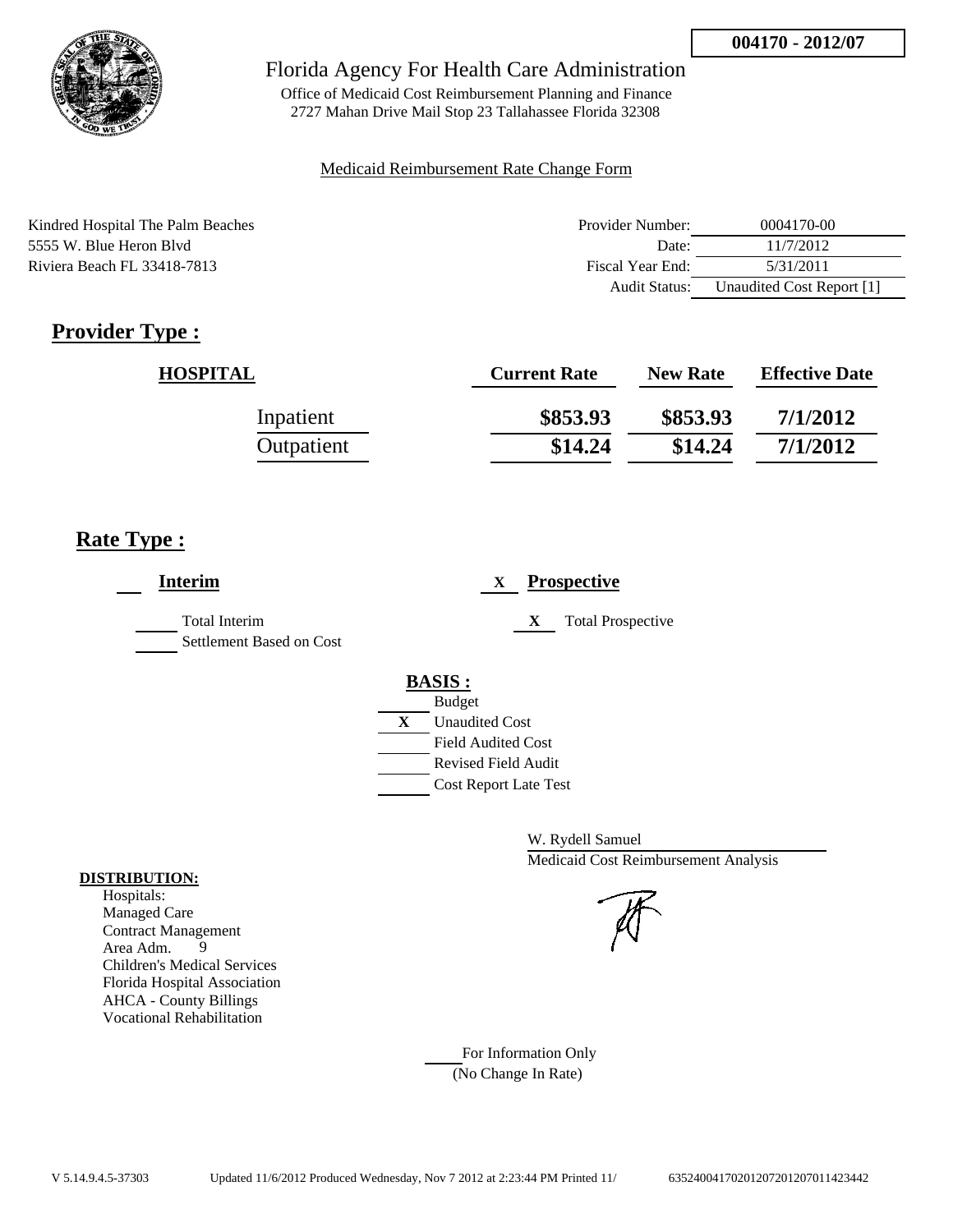

Office of Medicaid Cost Reimbursement Planning and Finance 2727 Mahan Drive Mail Stop 23 Tallahassee Florida 32308

### Medicaid Reimbursement Rate Change Form

| Kindred Hospital The Palm Beaches | Provider Number: | 0004170-00                |
|-----------------------------------|------------------|---------------------------|
| 5555 W. Blue Heron Blyd           | Date:            | 11/7/2012                 |
| Riviera Beach FL 33418-7813       | Fiscal Year End: | 5/31/2011                 |
|                                   | Audit Status:    | Unaudited Cost Report [1] |

# **Provider Type :**

| <b>HOSPITAL</b> | <b>Current Rate</b> | <b>New Rate</b> | <b>Effective Date</b> |
|-----------------|---------------------|-----------------|-----------------------|
| Inpatient       | \$853.93            | \$853.93        | 7/1/2012              |
| Outpatient      | \$14.24             | \$14.24         | 7/1/2012              |

# **Rate Type :**

| <b>Interim</b>                            | <b>Prospective</b><br>X                                                                                                                                     |
|-------------------------------------------|-------------------------------------------------------------------------------------------------------------------------------------------------------------|
| Total Interim<br>Settlement Based on Cost | <b>Total Prospective</b><br>X                                                                                                                               |
|                                           | <b>BASIS:</b><br><b>Budget</b><br>$\mathbf{X}$<br><b>Unaudited Cost</b><br><b>Field Audited Cost</b><br>Revised Field Audit<br><b>Cost Report Late Test</b> |

W. Rydell Samuel Medicaid Cost Reimbursement Analysis

For Information Only (No Change In Rate)

### **DISTRIBUTION:**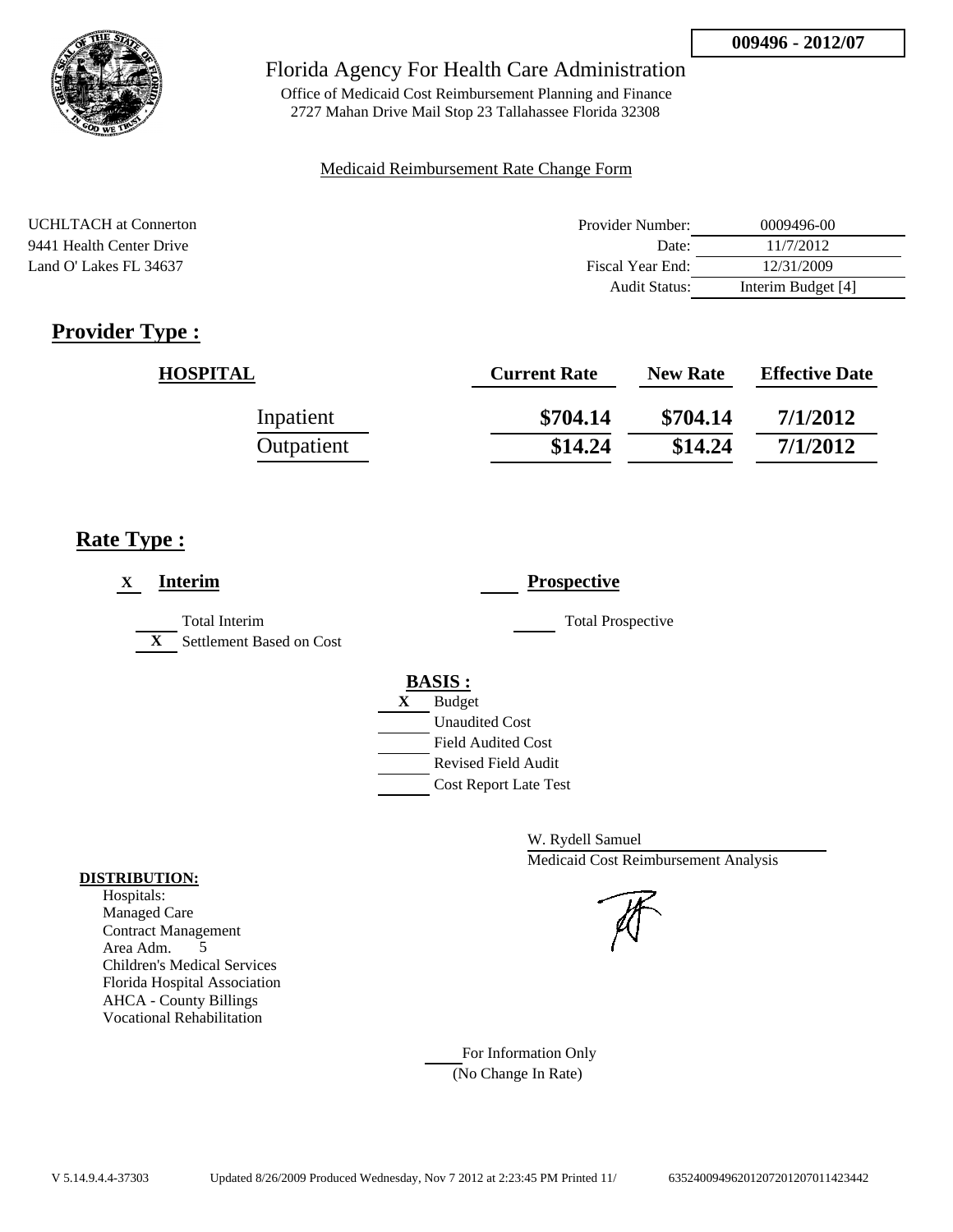

Office of Medicaid Cost Reimbursement Planning and Finance 2727 Mahan Drive Mail Stop 23 Tallahassee Florida 32308

### Medicaid Reimbursement Rate Change Form

| <b>UCHLTACH</b> at Connerton | Provider Number: | 0009496-00         |
|------------------------------|------------------|--------------------|
| 9441 Health Center Drive     | Date:            | 11/7/2012          |
| Land O' Lakes FL 34637       | Fiscal Year End: | 12/31/2009         |
|                              | Audit Status:    | Interim Budget [4] |

# **Provider Type :**

| <b>HOSPITAL</b> | <b>Current Rate</b> | <b>New Rate</b> | <b>Effective Date</b> |
|-----------------|---------------------|-----------------|-----------------------|
| Inpatient       | \$704.14            | \$704.14        | 7/1/2012              |
| Outpatient      | \$14.24             | \$14.24         | 7/1/2012              |

# **Rate Type :**

| <b>Interim</b><br>X                                       | <b>Prospective</b>                                                                                                                               |
|-----------------------------------------------------------|--------------------------------------------------------------------------------------------------------------------------------------------------|
| Total Interim<br>Settlement Based on Cost<br>$\mathbf{X}$ | <b>Total Prospective</b>                                                                                                                         |
|                                                           | <b>BASIS:</b><br>X<br><b>Budget</b><br><b>Unaudited Cost</b><br><b>Field Audited Cost</b><br>Revised Field Audit<br><b>Cost Report Late Test</b> |

W. Rydell Samuel Medicaid Cost Reimbursement Analysis

### For Information Only (No Change In Rate)

**DISTRIBUTION:**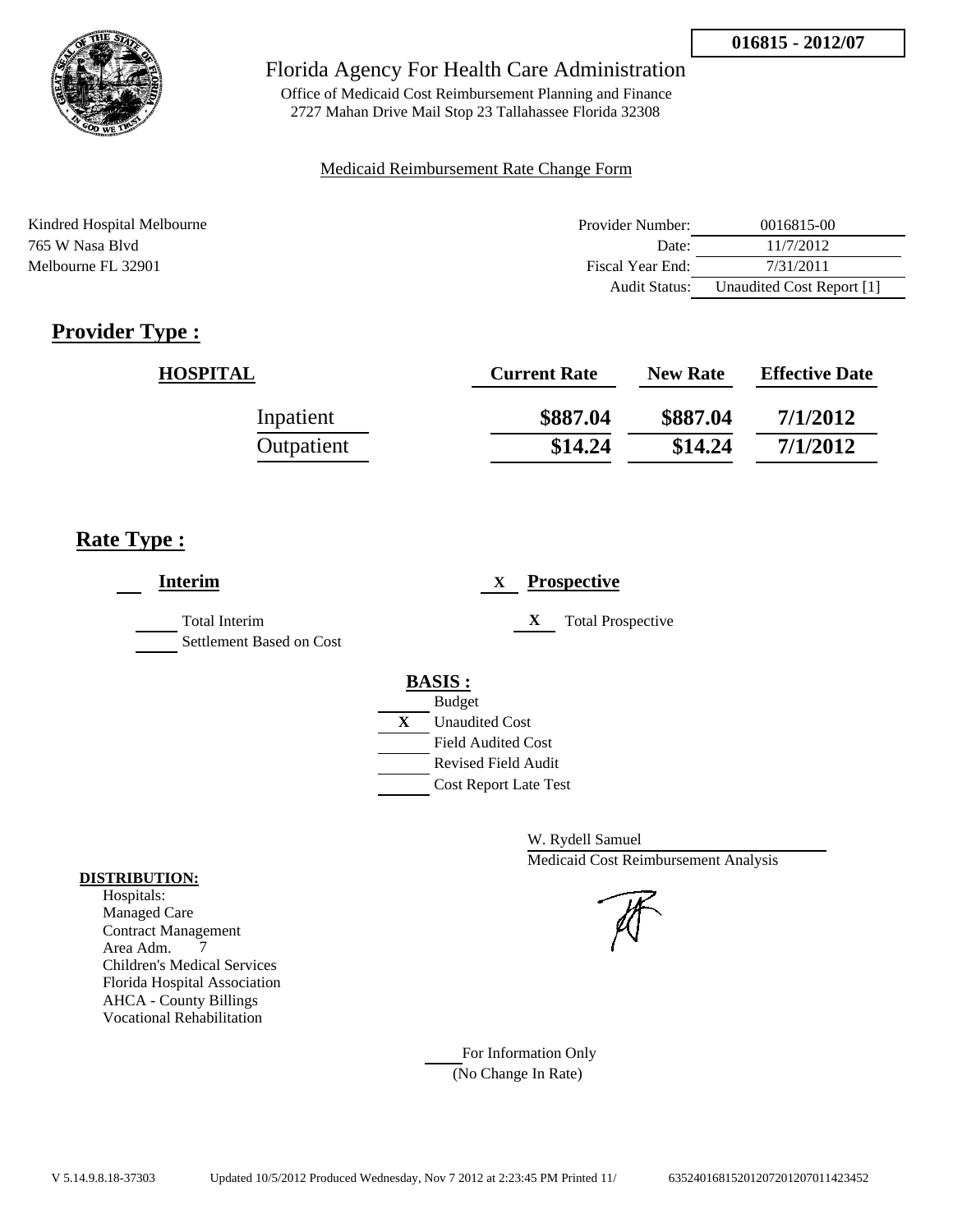

Office of Medicaid Cost Reimbursement Planning and Finance 2727 Mahan Drive Mail Stop 23 Tallahassee Florida 32308

### Medicaid Reimbursement Rate Change Form

| Kindred Hospital Melbourne | Provider Number:     | 0016815-00                |
|----------------------------|----------------------|---------------------------|
| 765 W Nasa Blyd            | Date:                | 11/7/2012                 |
| Melbourne FL 32901         | Fiscal Year End:     | 7/31/2011                 |
|                            | <b>Audit Status:</b> | Unaudited Cost Report [1] |

# **Provider Type :**

| <b>HOSPITAL</b> | <b>Current Rate</b> | <b>New Rate</b> | <b>Effective Date</b> |
|-----------------|---------------------|-----------------|-----------------------|
| Inpatient       | \$887.04            | \$887.04        | 7/1/2012              |
| Outpatient      | \$14.24             | \$14.24         | 7/1/2012              |

# **Rate Type :**

| <b>Interim</b>                                   | <b>Prospective</b><br>X       |
|--------------------------------------------------|-------------------------------|
| <b>Total Interim</b><br>Settlement Based on Cost | X<br><b>Total Prospective</b> |
|                                                  | <b>BASIS:</b>                 |
|                                                  | <b>Budget</b>                 |
|                                                  | X<br><b>Unaudited Cost</b>    |
|                                                  | <b>Field Audited Cost</b>     |
|                                                  | <b>Revised Field Audit</b>    |
|                                                  | <b>Cost Report Late Test</b>  |

W. Rydell Samuel Medicaid Cost Reimbursement Analysis

### **DISTRIBUTION:** Hospitals:

Managed Care Contract Management Area Adm. 7 Children's Medical Services Florida Hospital Association AHCA - County Billings Vocational Rehabilitation

> For Information Only (No Change In Rate)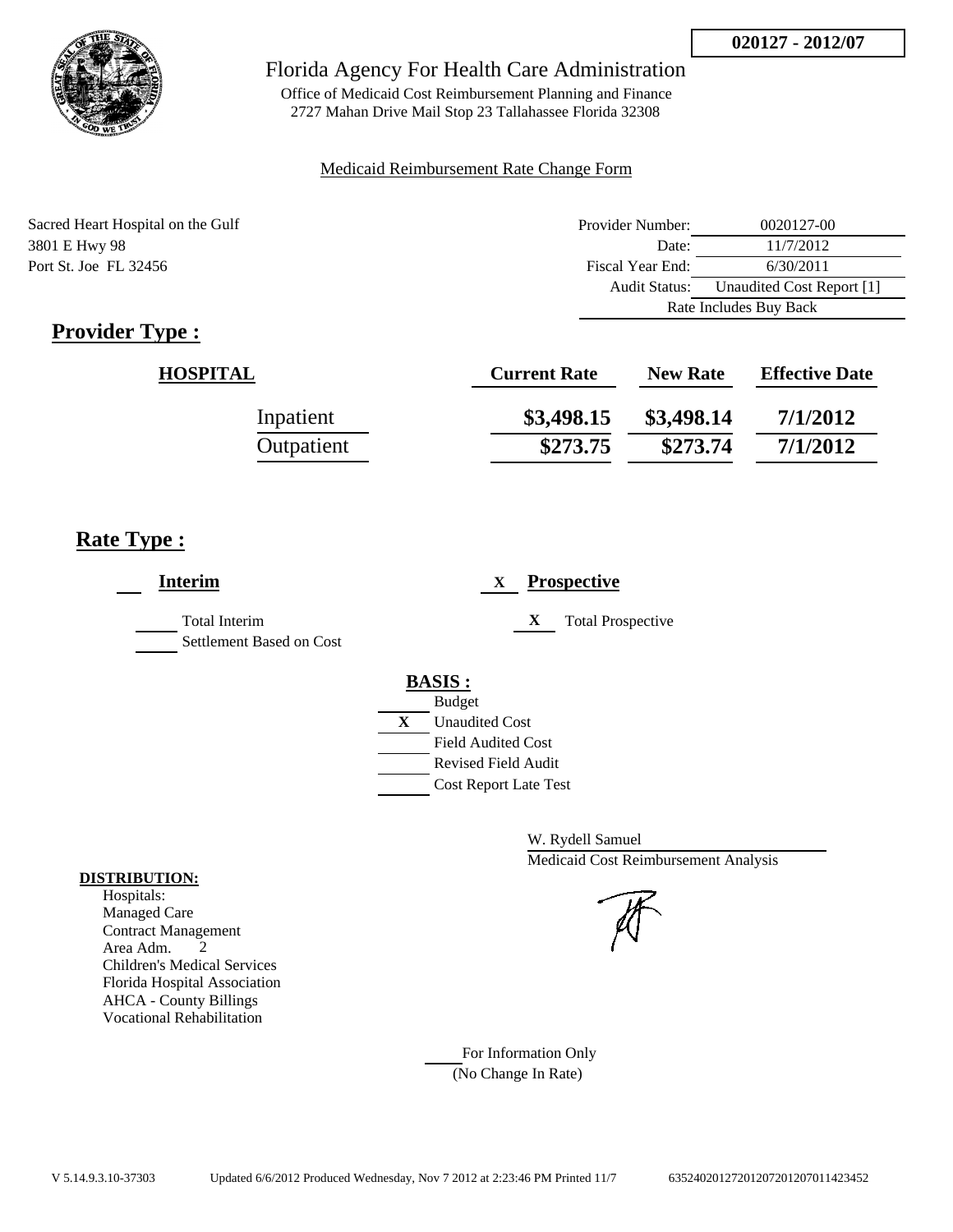

Office of Medicaid Cost Reimbursement Planning and Finance 2727 Mahan Drive Mail Stop 23 Tallahassee Florida 32308

### Medicaid Reimbursement Rate Change Form

Sacred Heart Hospital on the Gulf 3801 E Hwy 98 Port St. Joe FL 32456

| Provider Number:       | 0020127-00                |  |
|------------------------|---------------------------|--|
| Date:                  | 11/7/2012                 |  |
| Fiscal Year End:       | 6/30/2011                 |  |
| Audit Status:          | Unaudited Cost Report [1] |  |
| Rate Includes Buy Back |                           |  |

# **Provider Type :**

| <b>HOSPITAL</b> | <b>Current Rate</b> | <b>New Rate</b> | <b>Effective Date</b> |
|-----------------|---------------------|-----------------|-----------------------|
| Inpatient       | \$3,498.15          | \$3,498.14      | 7/1/2012              |
| Outpatient      | \$273.75            | \$273.74        | 7/1/2012              |

# **Rate Type :**

| <b>Interim</b>                            | <b>Prospective</b><br>X                                    |
|-------------------------------------------|------------------------------------------------------------|
| Total Interim<br>Settlement Based on Cost | X<br><b>Total Prospective</b>                              |
|                                           | <b>BASIS:</b>                                              |
|                                           | <b>Budget</b><br>X<br><b>Unaudited Cost</b>                |
|                                           | <b>Field Audited Cost</b>                                  |
|                                           | <b>Revised Field Audit</b><br><b>Cost Report Late Test</b> |
|                                           |                                                            |

W. Rydell Samuel Medicaid Cost Reimbursement Analysis

For Information Only (No Change In Rate)

### **DISTRIBUTION:**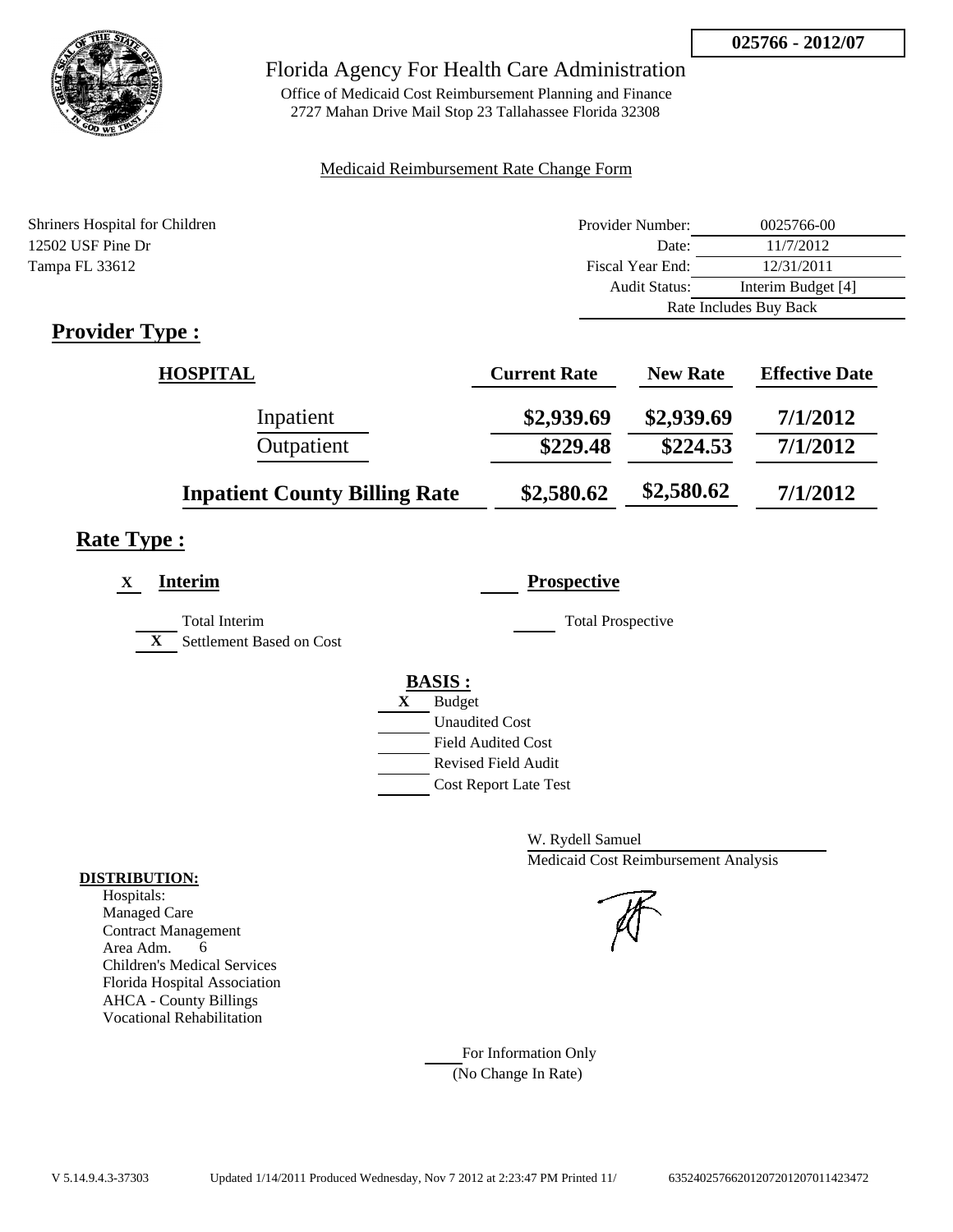

Office of Medicaid Cost Reimbursement Planning and Finance 2727 Mahan Drive Mail Stop 23 Tallahassee Florida 32308

### Medicaid Reimbursement Rate Change Form

| Shriners Hospital for Children | Provider Number:     | 0025766-00             |
|--------------------------------|----------------------|------------------------|
| 12502 USF Pine Dr              | Date:                | 11/7/2012              |
| Tampa FL 33612                 | Fiscal Year End:     | 12/31/2011             |
|                                | <b>Audit Status:</b> | Interim Budget [4]     |
|                                |                      | Rate Includes Buy Back |
| $\mathbf n$ $\mathbf n$        |                      |                        |

# **Provider Type :**

| <b>HOSPITAL</b>                      | <b>Current Rate</b> | <b>New Rate</b> | <b>Effective Date</b> |
|--------------------------------------|---------------------|-----------------|-----------------------|
| Inpatient                            | \$2,939.69          | \$2,939.69      | 7/1/2012              |
| Outpatient                           | \$229.48            | \$224.53        | 7/1/2012              |
| <b>Inpatient County Billing Rate</b> | \$2,580.62          | \$2,580.62      | 7/1/2012              |

# **Rate Type :**

| <b>Interim</b><br>X                                              | <b>Prospective</b>                                                                                                                                      |
|------------------------------------------------------------------|---------------------------------------------------------------------------------------------------------------------------------------------------------|
| <b>Total Interim</b><br>$\mathbf{X}$<br>Settlement Based on Cost | <b>Total Prospective</b>                                                                                                                                |
|                                                                  | <b>BASIS:</b><br>X<br><b>Budget</b><br><b>Unaudited Cost</b><br><b>Field Audited Cost</b><br><b>Revised Field Audit</b><br><b>Cost Report Late Test</b> |

W. Rydell Samuel Medicaid Cost Reimbursement Analysis

For Information Only (No Change In Rate)

### **DISTRIBUTION:**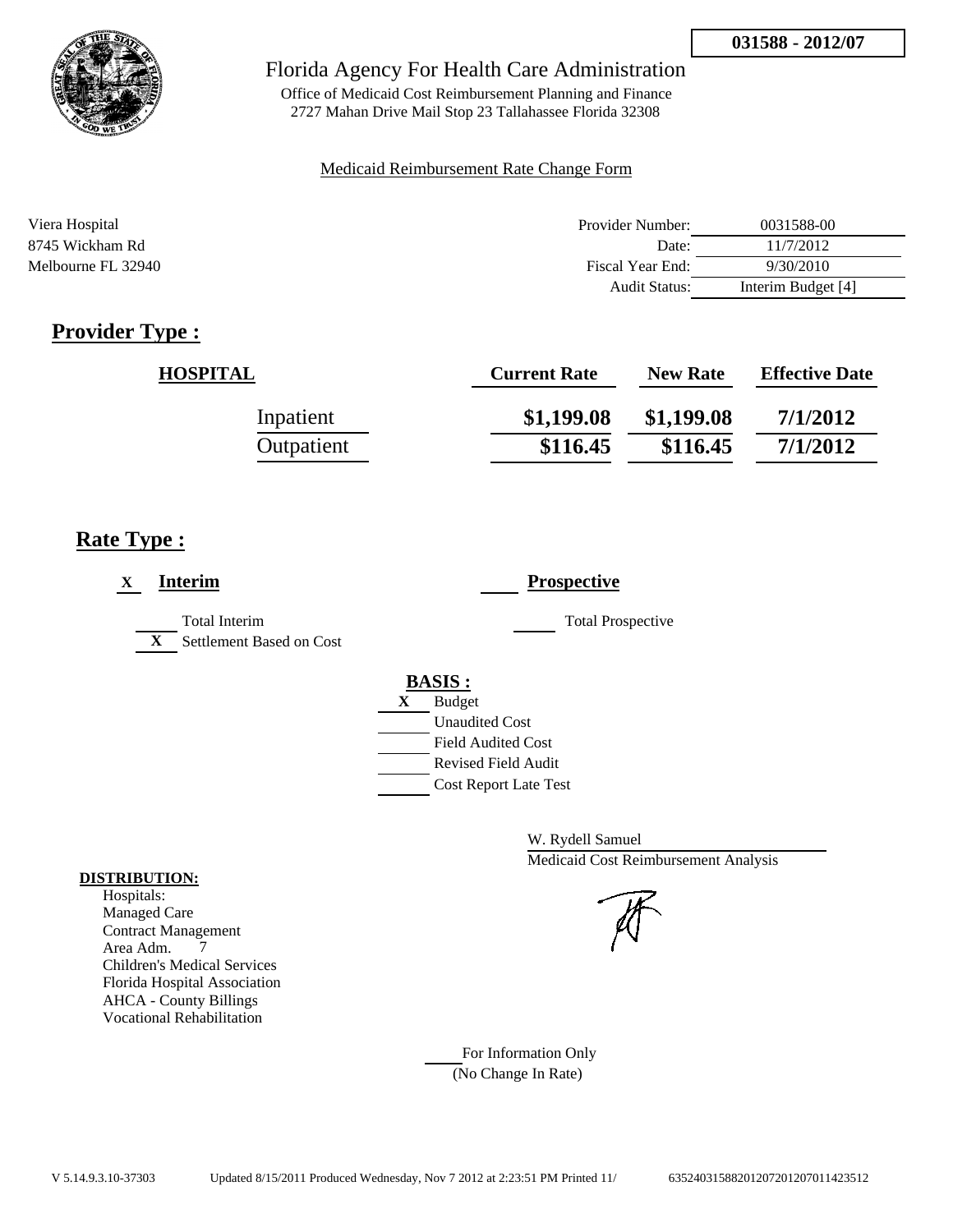

Office of Medicaid Cost Reimbursement Planning and Finance 2727 Mahan Drive Mail Stop 23 Tallahassee Florida 32308

### Medicaid Reimbursement Rate Change Form

| Viera Hospital     | Provider Number: | 0031588-00         |
|--------------------|------------------|--------------------|
| 8745 Wickham Rd    | Date:            | 11/7/2012          |
| Melbourne FL 32940 | Fiscal Year End: | 9/30/2010          |
|                    | Audit Status:    | Interim Budget [4] |

# **Provider Type :**

| <b>HOSPITAL</b> | <b>Current Rate</b> | <b>New Rate</b> | <b>Effective Date</b> |
|-----------------|---------------------|-----------------|-----------------------|
| Inpatient       | \$1,199.08          | \$1,199.08      | 7/1/2012              |
| Outpatient      | \$116.45            | \$116.45        | 7/1/2012              |

# **Rate Type :**

| <b>Interim</b><br>X                                              | <b>Prospective</b>           |
|------------------------------------------------------------------|------------------------------|
| <b>Total Interim</b><br>$\mathbf{X}$<br>Settlement Based on Cost | <b>Total Prospective</b>     |
|                                                                  | <b>BASIS:</b>                |
|                                                                  | <b>Budget</b><br>X           |
|                                                                  | <b>Unaudited Cost</b>        |
|                                                                  | <b>Field Audited Cost</b>    |
|                                                                  | Revised Field Audit          |
|                                                                  | <b>Cost Report Late Test</b> |

W. Rydell Samuel Medicaid Cost Reimbursement Analysis

For Information Only (No Change In Rate)

### **DISTRIBUTION:**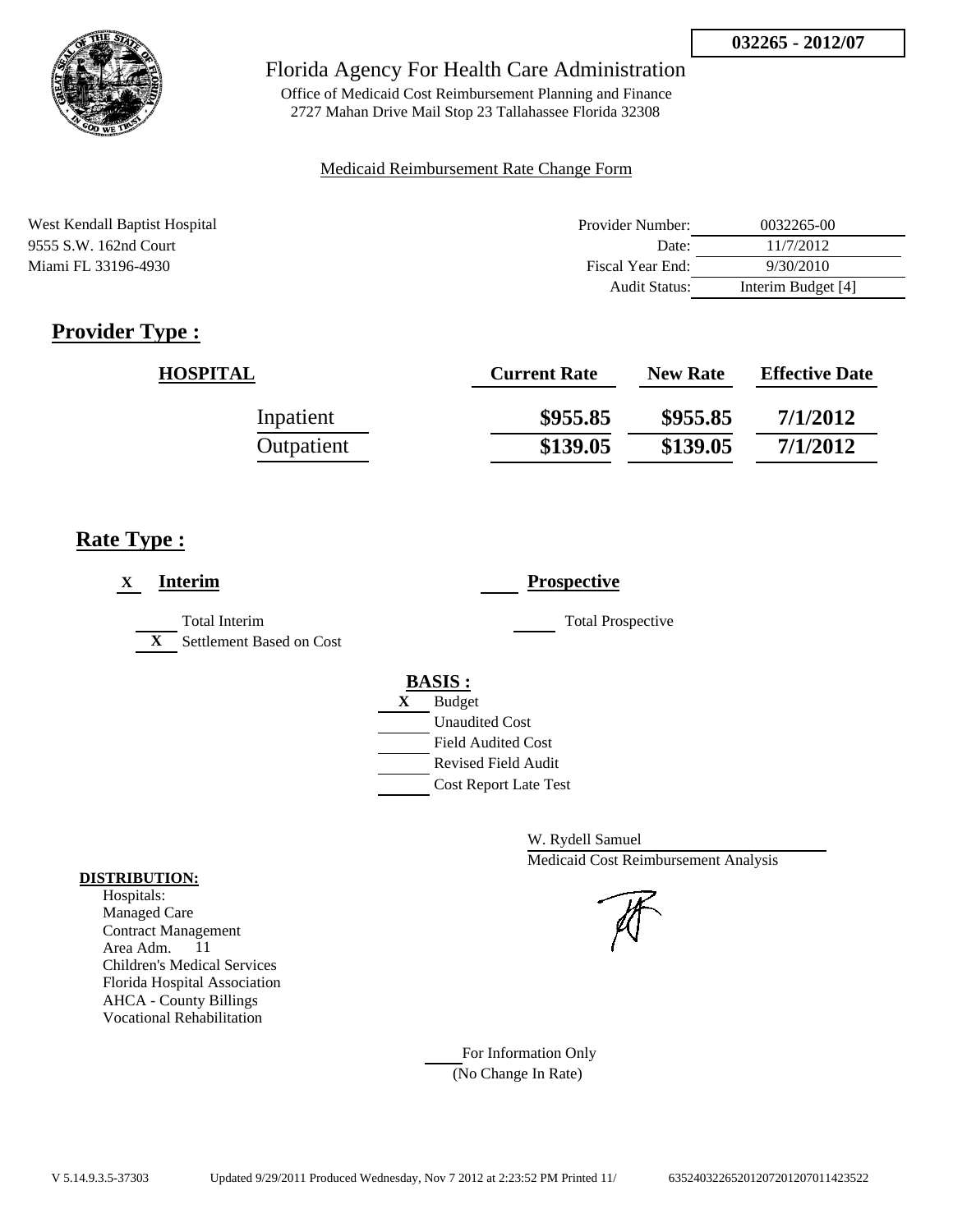

Office of Medicaid Cost Reimbursement Planning and Finance 2727 Mahan Drive Mail Stop 23 Tallahassee Florida 32308

### Medicaid Reimbursement Rate Change Form

| West Kendall Baptist Hospital | Provider Number:     | 0032265-00         |
|-------------------------------|----------------------|--------------------|
| 9555 S.W. 162nd Court         | Date:                | 11/7/2012          |
| Miami FL 33196-4930           | Fiscal Year End:     | 9/30/2010          |
|                               | <b>Audit Status:</b> | Interim Budget [4] |

# **Provider Type :**

| <b>HOSPITAL</b> | <b>Current Rate</b> | <b>New Rate</b> | <b>Effective Date</b> |
|-----------------|---------------------|-----------------|-----------------------|
| Inpatient       | \$955.85            | \$955.85        | 7/1/2012              |
| Outpatient      | \$139.05            | \$139.05        | 7/1/2012              |

# **Rate Type :**

| <b>Interim</b><br>X                                              | <b>Prospective</b>                                                                                                                                      |
|------------------------------------------------------------------|---------------------------------------------------------------------------------------------------------------------------------------------------------|
| <b>Total Interim</b><br>$\mathbf{X}$<br>Settlement Based on Cost | <b>Total Prospective</b>                                                                                                                                |
|                                                                  | <b>BASIS:</b><br><b>Budget</b><br>X<br><b>Unaudited Cost</b><br><b>Field Audited Cost</b><br><b>Revised Field Audit</b><br><b>Cost Report Late Test</b> |

W. Rydell Samuel Medicaid Cost Reimbursement Analysis

For Information Only (No Change In Rate)

### **DISTRIBUTION:**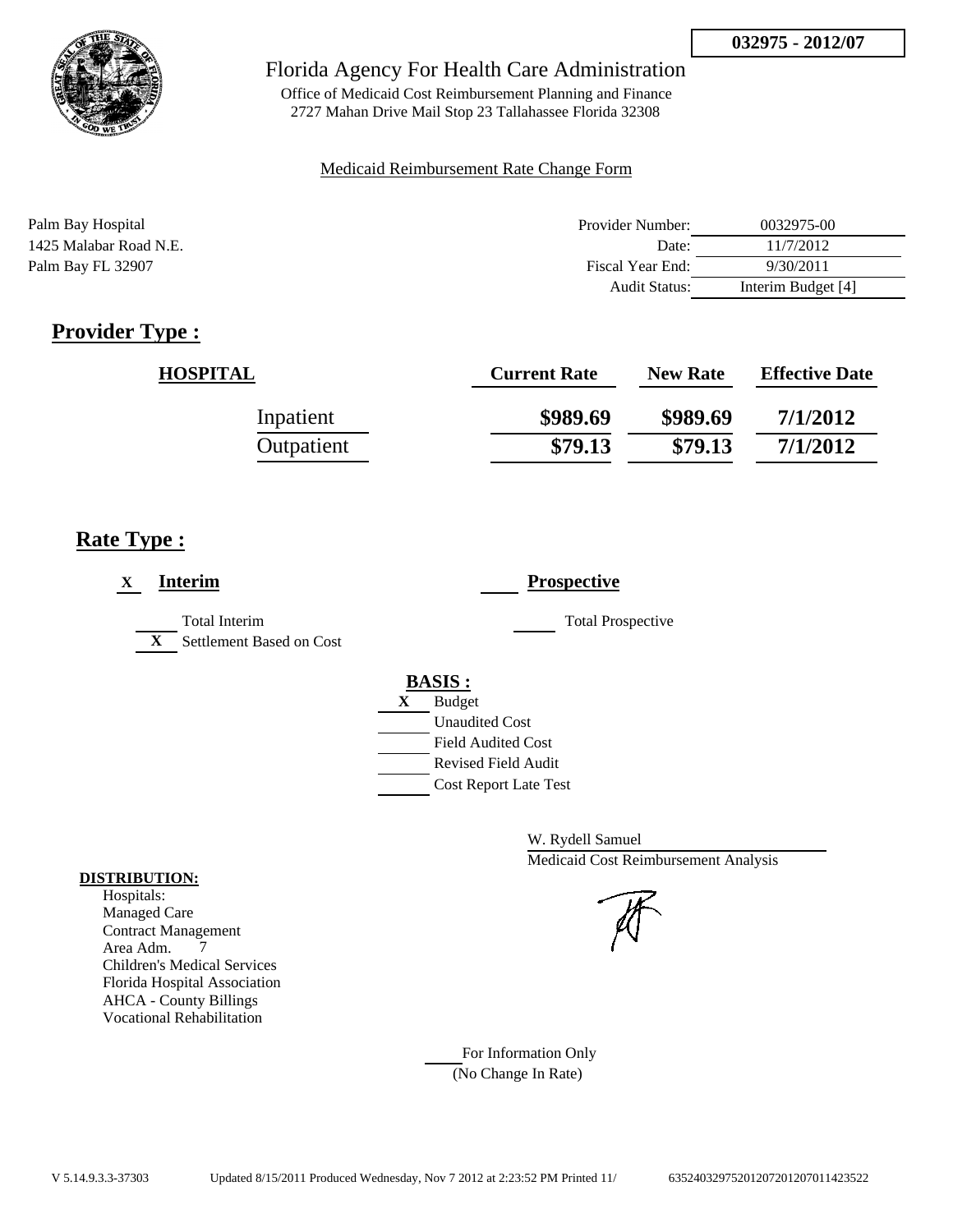

Office of Medicaid Cost Reimbursement Planning and Finance 2727 Mahan Drive Mail Stop 23 Tallahassee Florida 32308

### Medicaid Reimbursement Rate Change Form

| Palm Bay Hospital      | Provider Number: | 0032975-00         |
|------------------------|------------------|--------------------|
| 1425 Malabar Road N.E. | Date:            | 11/7/2012          |
| Palm Bay FL 32907      | Fiscal Year End: | 9/30/2011          |
|                        | Audit Status:    | Interim Budget [4] |

# **Provider Type :**

| <b>HOSPITAL</b> | <b>Current Rate</b> | <b>New Rate</b> | <b>Effective Date</b> |
|-----------------|---------------------|-----------------|-----------------------|
| Inpatient       | \$989.69            | \$989.69        | 7/1/2012              |
| Outpatient      | \$79.13             | \$79.13         | 7/1/2012              |

# **Rate Type :**

| <b>Interim</b><br>X                                       | <b>Prospective</b>           |
|-----------------------------------------------------------|------------------------------|
| Total Interim<br>Settlement Based on Cost<br>$\mathbf{X}$ | <b>Total Prospective</b>     |
|                                                           | <b>BASIS:</b>                |
|                                                           | <b>Budget</b><br>X           |
|                                                           | <b>Unaudited Cost</b>        |
|                                                           | <b>Field Audited Cost</b>    |
|                                                           | Revised Field Audit          |
|                                                           | <b>Cost Report Late Test</b> |

W. Rydell Samuel Medicaid Cost Reimbursement Analysis

For Information Only (No Change In Rate)

### **DISTRIBUTION:**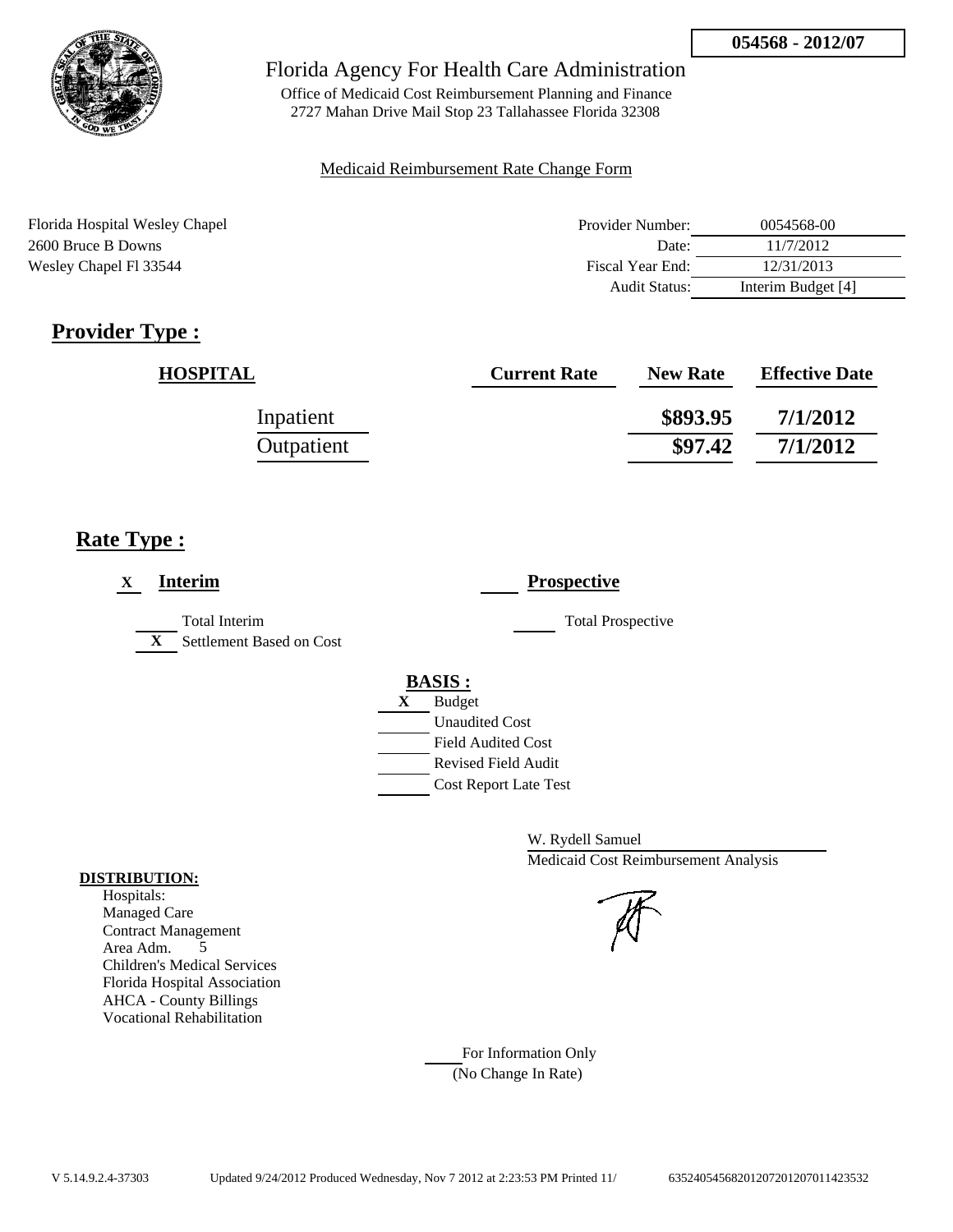

Office of Medicaid Cost Reimbursement Planning and Finance 2727 Mahan Drive Mail Stop 23 Tallahassee Florida 32308

### Medicaid Reimbursement Rate Change Form

| Florida Hospital Wesley Chapel | Provider Number: | 0054568-00         |
|--------------------------------|------------------|--------------------|
| 2600 Bruce B Downs             | Date:            | 11/7/2012          |
| Wesley Chapel FI 33544         | Fiscal Year End: | 12/31/2013         |
|                                | Audit Status:    | Interim Budget [4] |

# **Provider Type :**

| <b>HOSPITAL</b> | <b>Current Rate</b> | <b>New Rate</b> | <b>Effective Date</b> |
|-----------------|---------------------|-----------------|-----------------------|
| Inpatient       |                     | \$893.95        | 7/1/2012              |
| Outpatient      |                     | \$97.42         | 7/1/2012              |

# **Rate Type :**

| <b>Interim</b><br>$\mathbf X$                                    | <b>Prospective</b>           |
|------------------------------------------------------------------|------------------------------|
| <b>Total Interim</b><br>Settlement Based on Cost<br>$\mathbf{X}$ | <b>Total Prospective</b>     |
|                                                                  | <b>BASIS:</b>                |
|                                                                  | <b>Budget</b><br>X           |
|                                                                  | <b>Unaudited Cost</b>        |
|                                                                  | <b>Field Audited Cost</b>    |
|                                                                  | <b>Revised Field Audit</b>   |
|                                                                  | <b>Cost Report Late Test</b> |
|                                                                  |                              |

W. Rydell Samuel Medicaid Cost Reimbursement Analysis

For Information Only (No Change In Rate)

### **DISTRIBUTION:**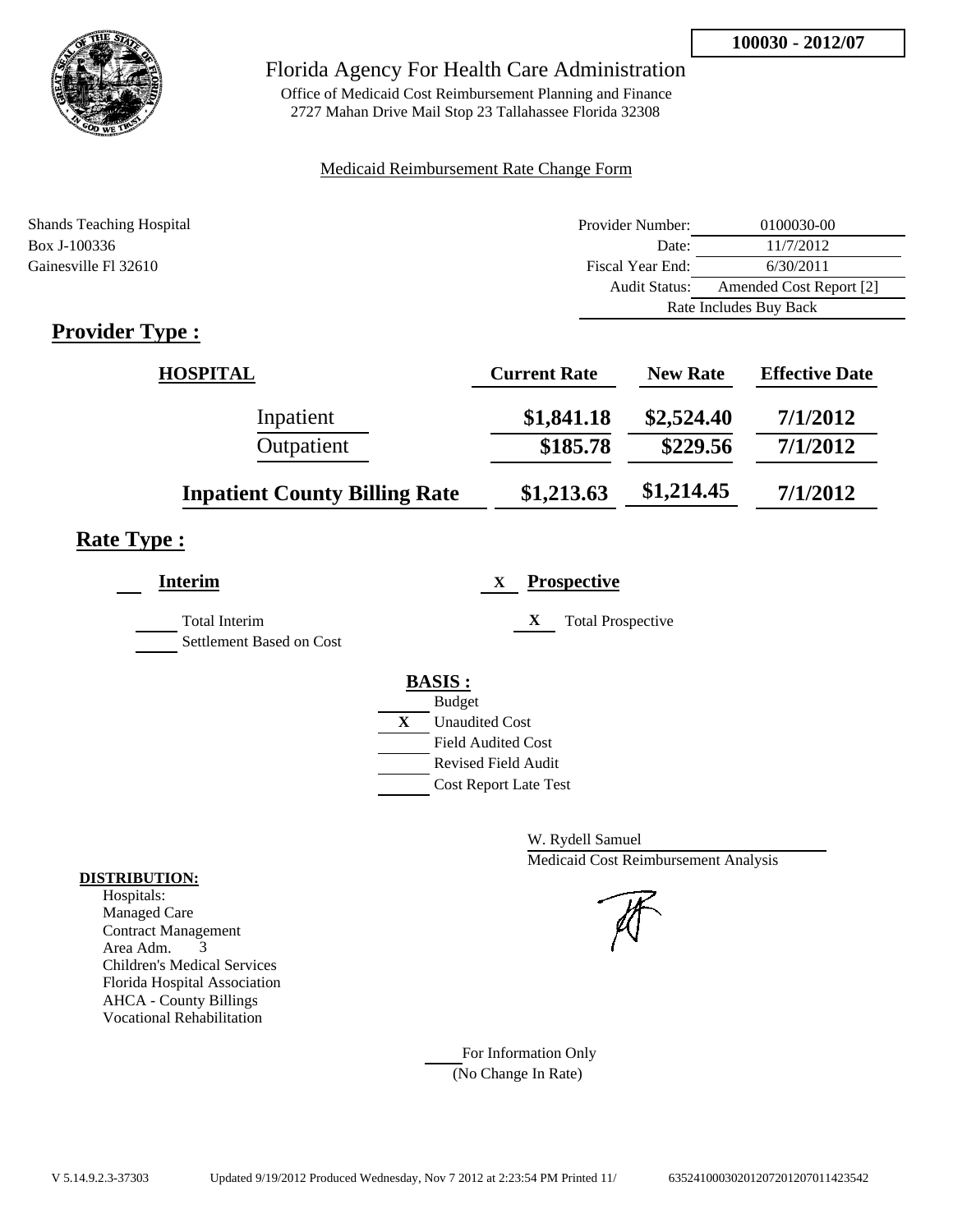

Office of Medicaid Cost Reimbursement Planning and Finance 2727 Mahan Drive Mail Stop 23 Tallahassee Florida 32308

### Medicaid Reimbursement Rate Change Form

| <b>Shands Teaching Hospital</b> | Provider Number:     | 0100030-00              |
|---------------------------------|----------------------|-------------------------|
| Box J-100336                    | Date:                | 11/7/2012               |
| Gainesville Fl 32610            | Fiscal Year End:     | 6/30/2011               |
|                                 | <b>Audit Status:</b> | Amended Cost Report [2] |
|                                 |                      | Rate Includes Buy Back  |
|                                 |                      |                         |

# **Provider Type :**

| HOSPITAL                             | <b>Current Rate</b> | <b>New Rate</b> | <b>Effective Date</b> |
|--------------------------------------|---------------------|-----------------|-----------------------|
| Inpatient                            | \$1,841.18          | \$2,524.40      | 7/1/2012              |
| Outpatient                           | \$185.78            | \$229.56        | 7/1/2012              |
| <b>Inpatient County Billing Rate</b> | \$1,213.63          | \$1,214.45      | 7/1/2012              |

# **Rate Type :**

| <b>Interim</b>                            | <b>Prospective</b><br>X               |
|-------------------------------------------|---------------------------------------|
| Total Interim<br>Settlement Based on Cost | X<br><b>Total Prospective</b>         |
|                                           |                                       |
|                                           | <b>BASIS:</b><br><b>Budget</b>        |
|                                           | $\mathbf{X}$<br><b>Unaudited Cost</b> |
|                                           | <b>Field Audited Cost</b>             |
|                                           | Revised Field Audit                   |
|                                           | <b>Cost Report Late Test</b>          |

W. Rydell Samuel Medicaid Cost Reimbursement Analysis

For Information Only (No Change In Rate)

### **DISTRIBUTION:**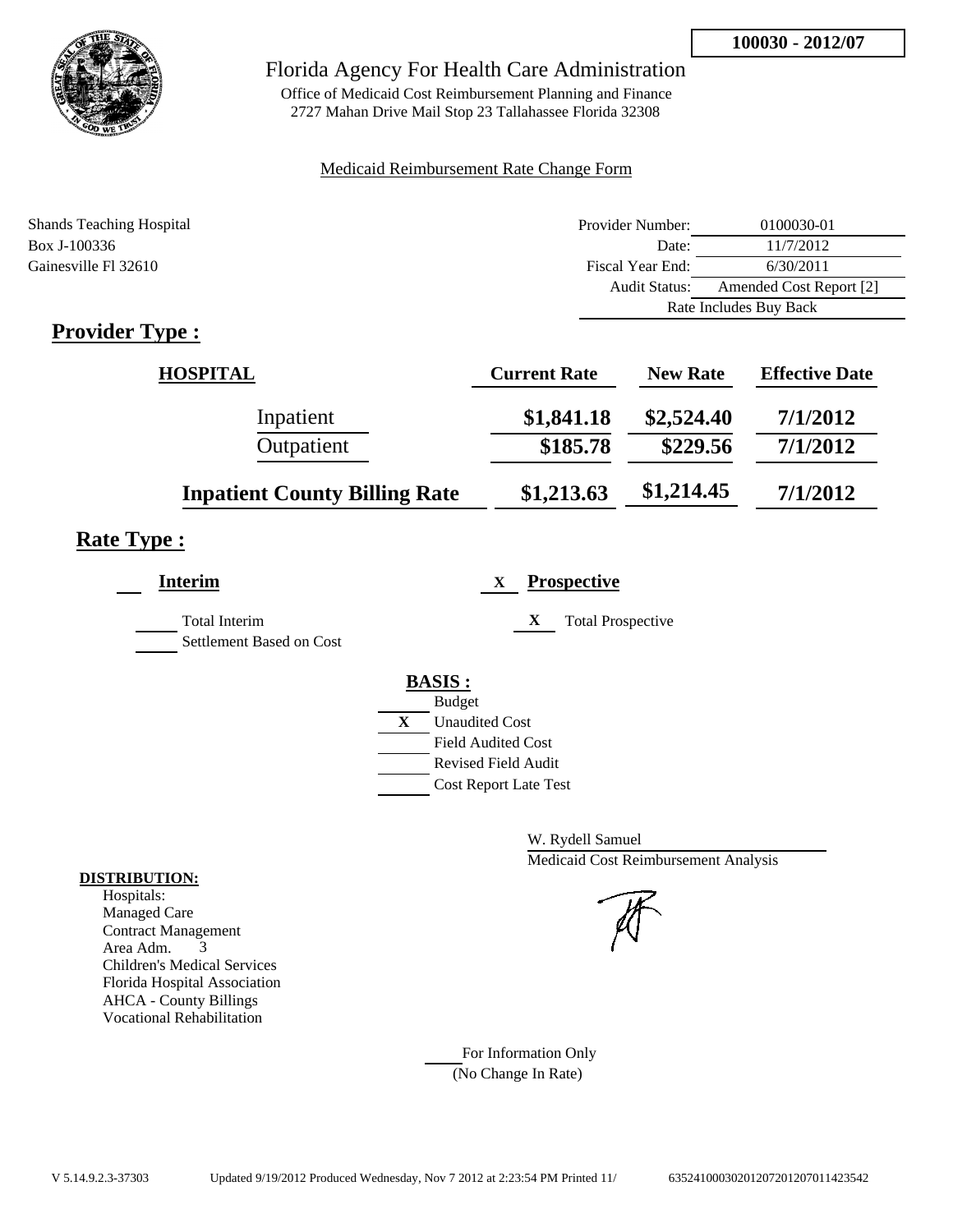

Office of Medicaid Cost Reimbursement Planning and Finance 2727 Mahan Drive Mail Stop 23 Tallahassee Florida 32308

### Medicaid Reimbursement Rate Change Form

| <b>Shands Teaching Hospital</b>           | Provider Number:     | 0100030-01              |
|-------------------------------------------|----------------------|-------------------------|
| Box J-100336                              | Date:                | 11/7/2012               |
| Gainesville Fl 32610                      | Fiscal Year End:     | 6/30/2011               |
|                                           | <b>Audit Status:</b> | Amended Cost Report [2] |
|                                           |                      | Rate Includes Buy Back  |
| $\sim$ $\sim$<br>$\overline{\phantom{a}}$ |                      |                         |

# **Provider Type :**

| <b>HOSPITAL</b>                      | <b>Current Rate</b> | <b>New Rate</b> | <b>Effective Date</b> |
|--------------------------------------|---------------------|-----------------|-----------------------|
| Inpatient                            | \$1,841.18          | \$2,524.40      | 7/1/2012              |
| Outpatient                           | \$185.78            | \$229.56        | 7/1/2012              |
| <b>Inpatient County Billing Rate</b> | \$1,213.63          | \$1,214.45      | 7/1/2012              |

# **Rate Type :**

| <b>Interim</b>                                   | <b>Prospective</b><br>X        |
|--------------------------------------------------|--------------------------------|
| <b>Total Interim</b><br>Settlement Based on Cost | X<br><b>Total Prospective</b>  |
|                                                  | <b>BASIS:</b><br><b>Budget</b> |
|                                                  | X<br><b>Unaudited Cost</b>     |
|                                                  | <b>Field Audited Cost</b>      |
|                                                  | Revised Field Audit            |
|                                                  | <b>Cost Report Late Test</b>   |
|                                                  |                                |

W. Rydell Samuel Medicaid Cost Reimbursement Analysis

For Information Only (No Change In Rate)

### **DISTRIBUTION:**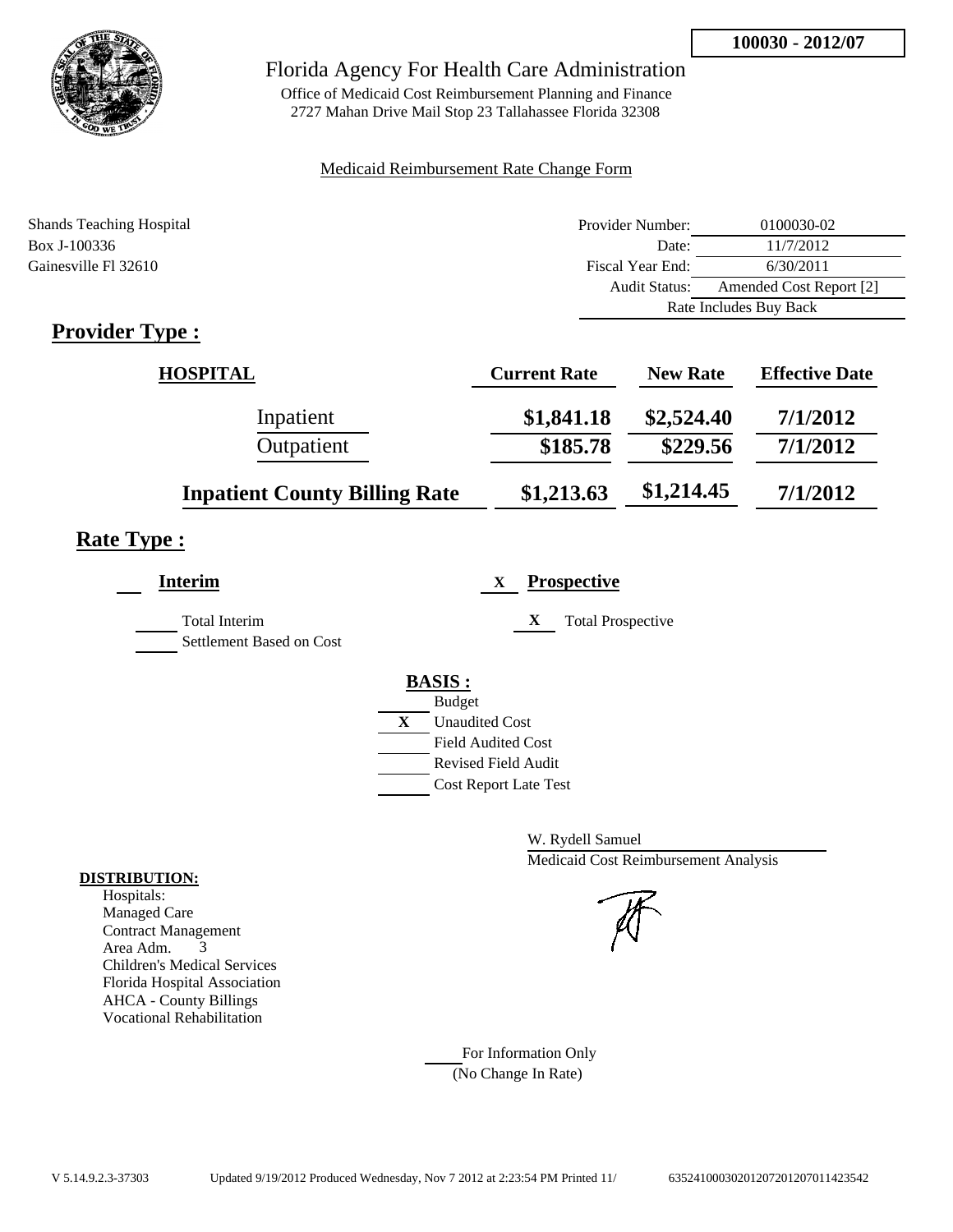

Office of Medicaid Cost Reimbursement Planning and Finance 2727 Mahan Drive Mail Stop 23 Tallahassee Florida 32308

### Medicaid Reimbursement Rate Change Form

| <b>Shands Teaching Hospital</b> | Provider Number:     | 0100030-02              |
|---------------------------------|----------------------|-------------------------|
| Box J-100336                    | Date:                | 11/7/2012               |
| Gainesville Fl 32610            | Fiscal Year End:     | 6/30/2011               |
|                                 | <b>Audit Status:</b> | Amended Cost Report [2] |
|                                 |                      | Rate Includes Buy Back  |
|                                 |                      |                         |

# **Provider Type :**

| HOSPITAL                             | <b>Current Rate</b> | <b>New Rate</b> | <b>Effective Date</b> |
|--------------------------------------|---------------------|-----------------|-----------------------|
| Inpatient                            | \$1,841.18          | \$2,524.40      | 7/1/2012              |
| Outpatient                           | \$185.78            | \$229.56        | 7/1/2012              |
| <b>Inpatient County Billing Rate</b> | \$1,213.63          | \$1,214.45      | 7/1/2012              |

# **Rate Type :**

| <b>Interim</b>                                   | <b>Prospective</b><br>X       |
|--------------------------------------------------|-------------------------------|
| <b>Total Interim</b><br>Settlement Based on Cost | X<br><b>Total Prospective</b> |
|                                                  | <b>BASIS:</b>                 |
|                                                  | <b>Budget</b>                 |
|                                                  | X<br><b>Unaudited Cost</b>    |
|                                                  | <b>Field Audited Cost</b>     |
|                                                  | <b>Revised Field Audit</b>    |
|                                                  | <b>Cost Report Late Test</b>  |
|                                                  |                               |

W. Rydell Samuel Medicaid Cost Reimbursement Analysis

For Information Only (No Change In Rate)

### **DISTRIBUTION:**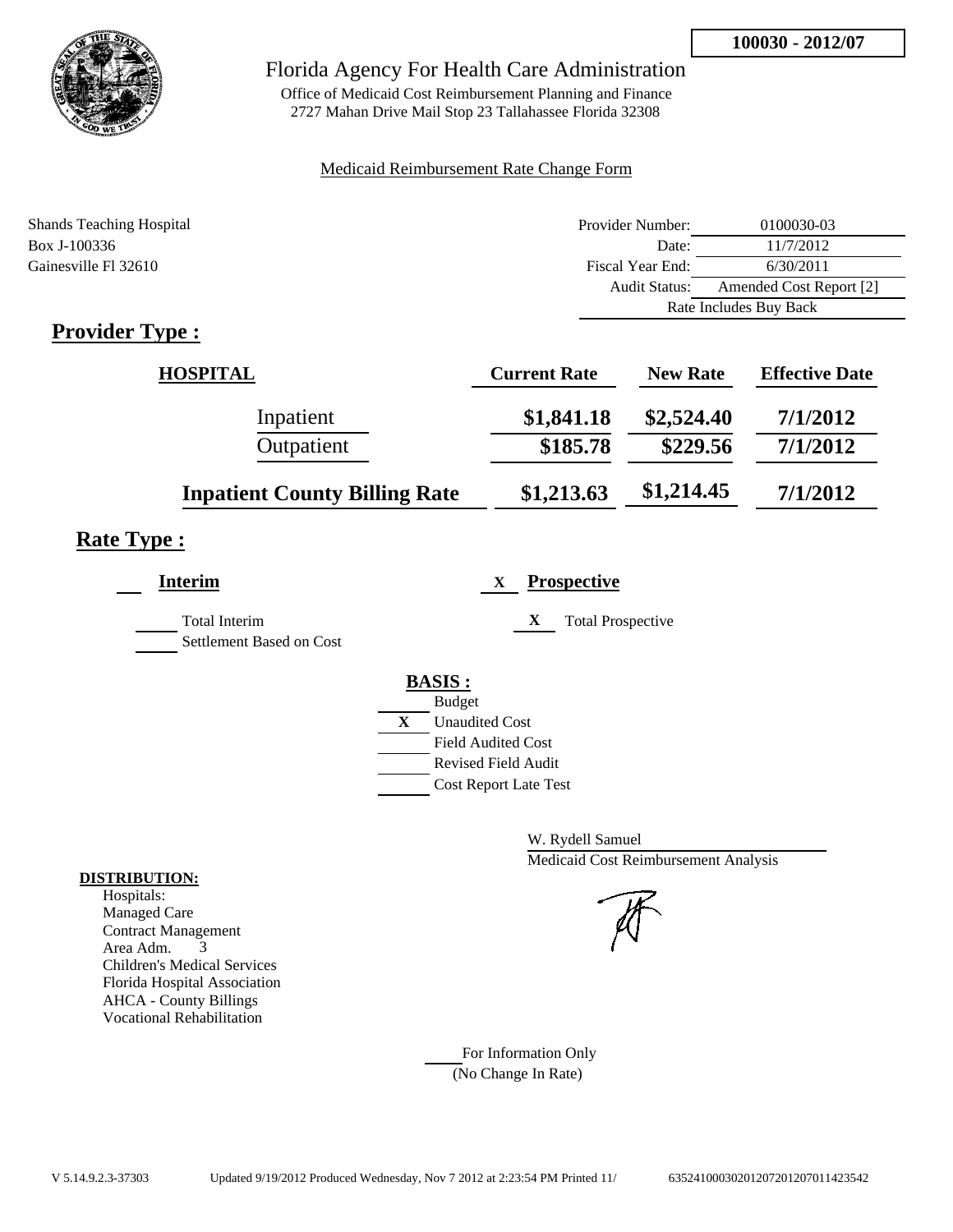

Office of Medicaid Cost Reimbursement Planning and Finance 2727 Mahan Drive Mail Stop 23 Tallahassee Florida 32308

### Medicaid Reimbursement Rate Change Form

| <b>Shands Teaching Hospital</b> | Provider Number:     | 0100030-03              |  |
|---------------------------------|----------------------|-------------------------|--|
| Box J-100336                    | Date:                | 11/7/2012               |  |
| Gainesville Fl 32610            | Fiscal Year End:     | 6/30/2011               |  |
|                                 | <b>Audit Status:</b> | Amended Cost Report [2] |  |
|                                 |                      | Rate Includes Buy Back  |  |
|                                 |                      |                         |  |

# **Provider Type :**

| HOSPITAL                             | <b>Current Rate</b> | <b>New Rate</b> | <b>Effective Date</b> |
|--------------------------------------|---------------------|-----------------|-----------------------|
| Inpatient                            | \$1,841.18          | \$2,524.40      | 7/1/2012              |
| Outpatient                           | \$185.78            | \$229.56        | 7/1/2012              |
| <b>Inpatient County Billing Rate</b> | \$1,213.63          | \$1,214.45      | 7/1/2012              |

# **Rate Type :**

| <b>Interim</b>                            | <b>Prospective</b><br>X               |
|-------------------------------------------|---------------------------------------|
| Total Interim<br>Settlement Based on Cost | X<br><b>Total Prospective</b>         |
|                                           |                                       |
|                                           | <b>BASIS:</b><br><b>Budget</b>        |
|                                           | $\mathbf{X}$<br><b>Unaudited Cost</b> |
|                                           | <b>Field Audited Cost</b>             |
|                                           | Revised Field Audit                   |
|                                           | <b>Cost Report Late Test</b>          |

W. Rydell Samuel Medicaid Cost Reimbursement Analysis

For Information Only (No Change In Rate)

### **DISTRIBUTION:**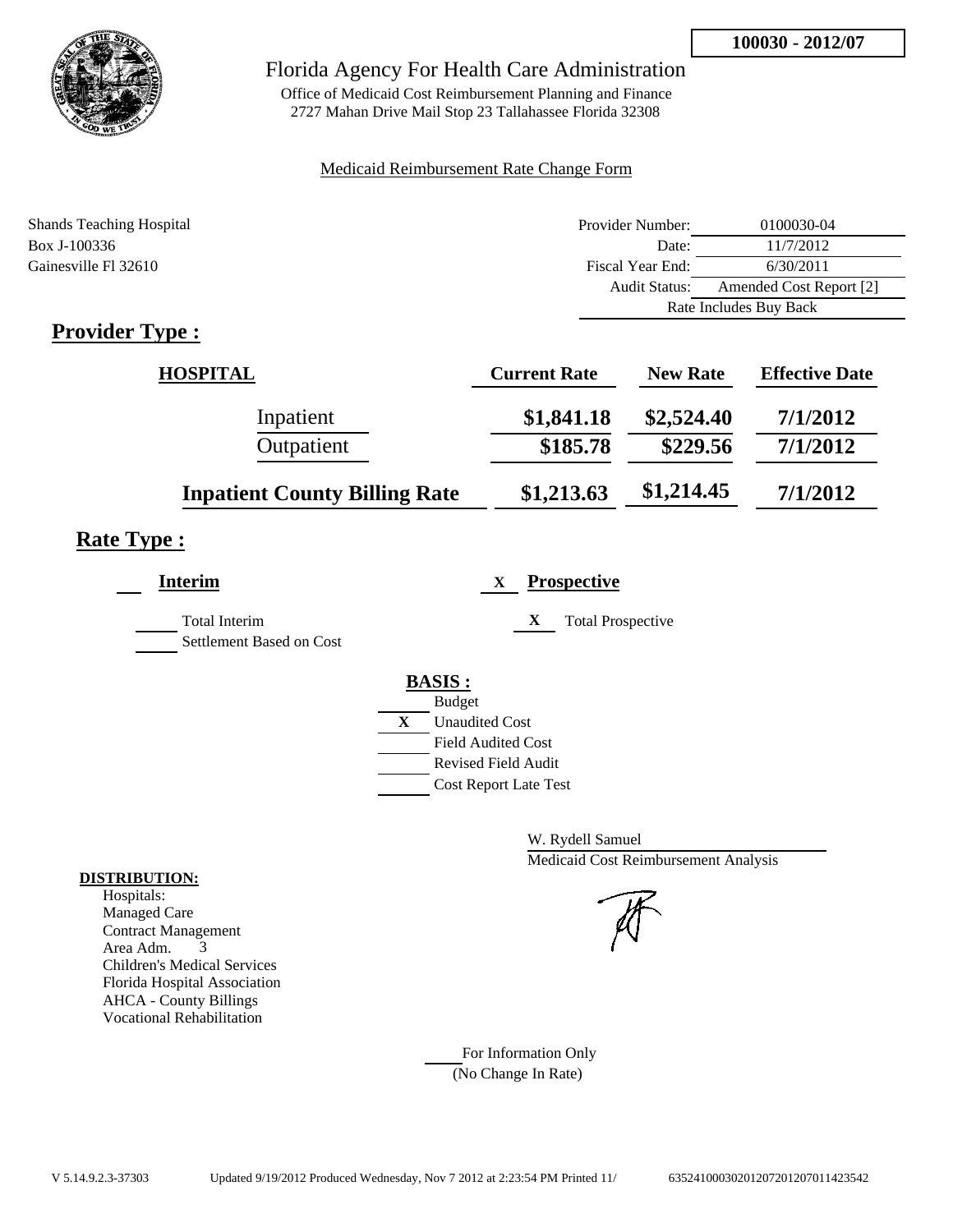

Office of Medicaid Cost Reimbursement Planning and Finance 2727 Mahan Drive Mail Stop 23 Tallahassee Florida 32308

### Medicaid Reimbursement Rate Change Form

| <b>Shands Teaching Hospital</b>    | Provider Number:     | 0100030-04              |  |
|------------------------------------|----------------------|-------------------------|--|
| Box J-100336                       | Date:                | 11/7/2012               |  |
| Gainesville Fl 32610               | Fiscal Year End:     | 6/30/2011               |  |
|                                    | <b>Audit Status:</b> | Amended Cost Report [2] |  |
|                                    |                      | Rate Includes Buy Back  |  |
| $\sim$<br>$\overline{\phantom{a}}$ |                      |                         |  |

# **Provider Type :**

| <b>HOSPITAL</b>                      | <b>Current Rate</b> | <b>New Rate</b> | <b>Effective Date</b> |
|--------------------------------------|---------------------|-----------------|-----------------------|
| Inpatient                            | \$1,841.18          | \$2,524.40      | 7/1/2012              |
| Outpatient                           | \$185.78            | \$229.56        | 7/1/2012              |
| <b>Inpatient County Billing Rate</b> | \$1,213.63          | \$1,214.45      | 7/1/2012              |

# **Rate Type :**

| <b>Interim</b>                                   | <b>Prospective</b><br>X               |
|--------------------------------------------------|---------------------------------------|
| <b>Total Interim</b><br>Settlement Based on Cost | X<br><b>Total Prospective</b>         |
|                                                  | <b>BASIS:</b>                         |
|                                                  | <b>Budget</b>                         |
|                                                  | $\mathbf{X}$<br><b>Unaudited Cost</b> |
|                                                  | <b>Field Audited Cost</b>             |
|                                                  | Revised Field Audit                   |
|                                                  | <b>Cost Report Late Test</b>          |

W. Rydell Samuel Medicaid Cost Reimbursement Analysis

For Information Only (No Change In Rate)

### **DISTRIBUTION:**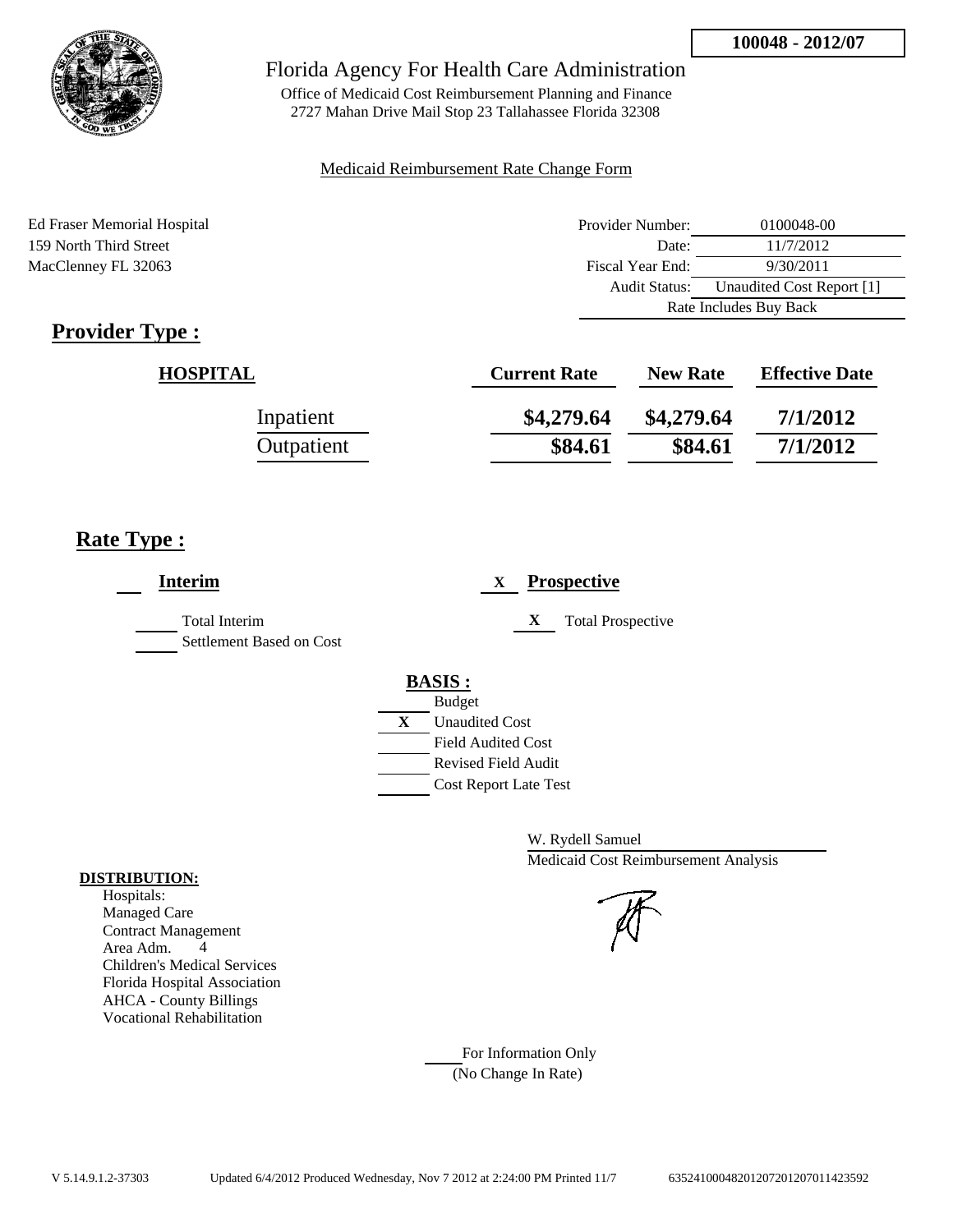Rate Includes Buy Back



### Florida Agency For Health Care Administration

Office of Medicaid Cost Reimbursement Planning and Finance 2727 Mahan Drive Mail Stop 23 Tallahassee Florida 32308

### Medicaid Reimbursement Rate Change Form

Ed Fraser Memorial Hospital Provider Number: 0100048-00 159 North Third Street Date: 11/7/2012 MacClenney FL 32063 Fiscal Year End: 9/30/2011 Audit Status: Unaudited Cost Report [1]

# **Provider Type :**

| <b>HOSPITAL</b> | <b>Current Rate</b> | <b>New Rate</b> | <b>Effective Date</b> |
|-----------------|---------------------|-----------------|-----------------------|
| Inpatient       | \$4,279.64          | \$4,279.64      | 7/1/2012              |
| Outpatient      | \$84.61             | \$84.61         | 7/1/2012              |

# **Rate Type :**

| <b>Interim</b>                                   | <b>Prospective</b><br>X                                                                                                                                     |
|--------------------------------------------------|-------------------------------------------------------------------------------------------------------------------------------------------------------------|
| <b>Total Interim</b><br>Settlement Based on Cost | X<br><b>Total Prospective</b>                                                                                                                               |
|                                                  | <b>BASIS:</b><br><b>Budget</b><br>$\mathbf{X}$<br><b>Unaudited Cost</b><br><b>Field Audited Cost</b><br>Revised Field Audit<br><b>Cost Report Late Test</b> |

W. Rydell Samuel Medicaid Cost Reimbursement Analysis

For Information Only (No Change In Rate)

### **DISTRIBUTION:**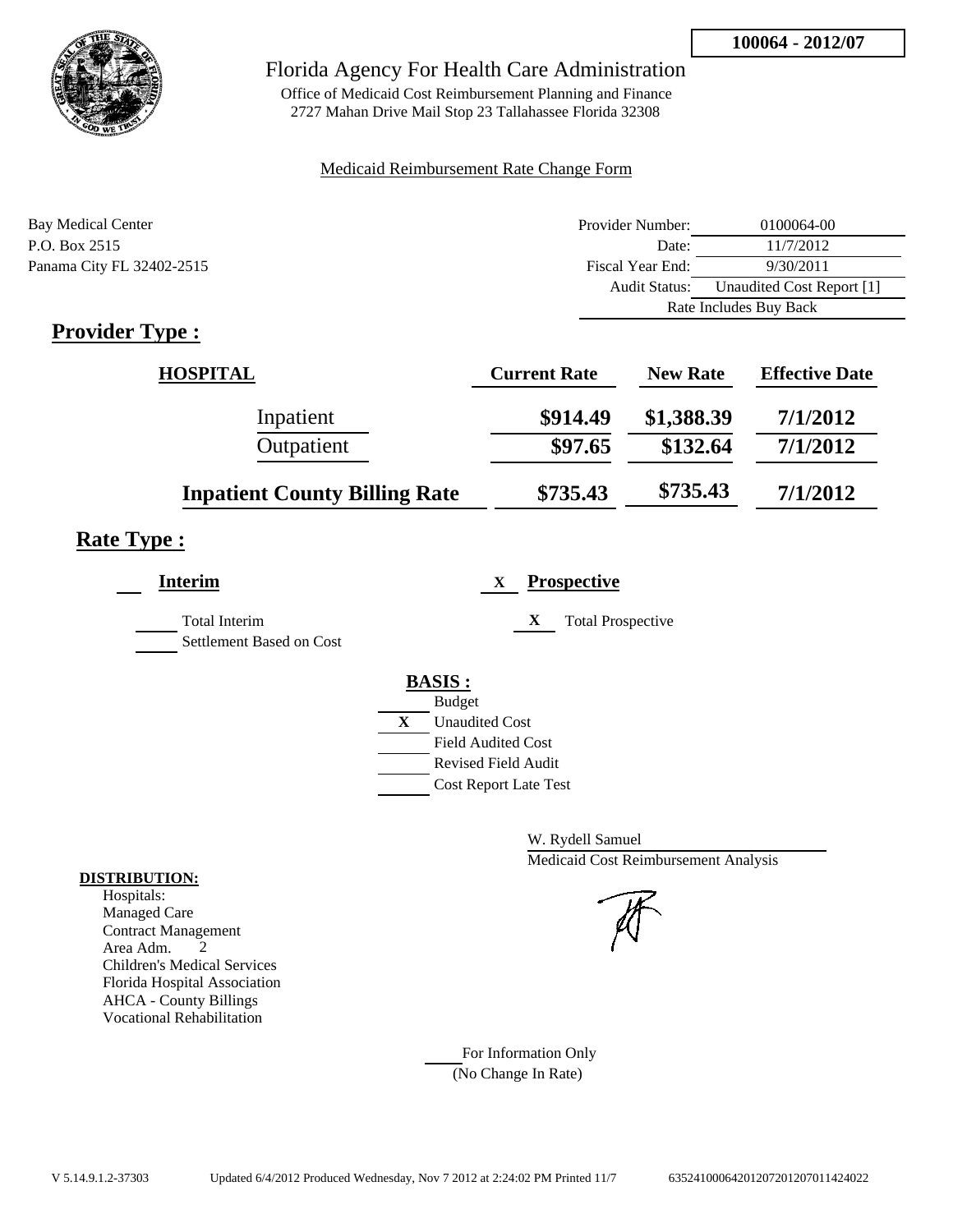

Office of Medicaid Cost Reimbursement Planning and Finance 2727 Mahan Drive Mail Stop 23 Tallahassee Florida 32308

### Medicaid Reimbursement Rate Change Form

| Bay Medical Center        | Provider Number: | 0100064-00                |
|---------------------------|------------------|---------------------------|
| P.O. Box 2515             | Date:            | 11/7/2012                 |
| Panama City FL 32402-2515 | Fiscal Year End: | 9/30/2011                 |
|                           | Audit Status:    | Unaudited Cost Report [1] |
|                           |                  | Rate Includes Buy Back    |

# **Provider Type :**

| <b>HOSPITAL</b>                      | <b>Current Rate</b> | <b>New Rate</b> | <b>Effective Date</b> |
|--------------------------------------|---------------------|-----------------|-----------------------|
| Inpatient                            | \$914.49            | \$1,388.39      | 7/1/2012              |
| Outpatient                           | \$97.65             | \$132.64        | 7/1/2012              |
| <b>Inpatient County Billing Rate</b> | \$735.43            | \$735.43        | 7/1/2012              |

# **Rate Type :**

| <b>Interim</b>                            | <b>Prospective</b><br>X       |
|-------------------------------------------|-------------------------------|
| Total Interim<br>Settlement Based on Cost | X<br><b>Total Prospective</b> |
|                                           | <b>BASIS:</b>                 |
|                                           | <b>Budget</b>                 |
|                                           | X<br><b>Unaudited Cost</b>    |
|                                           | <b>Field Audited Cost</b>     |
|                                           | <b>Revised Field Audit</b>    |
|                                           | <b>Cost Report Late Test</b>  |
|                                           |                               |

W. Rydell Samuel Medicaid Cost Reimbursement Analysis

For Information Only (No Change In Rate)

### **DISTRIBUTION:**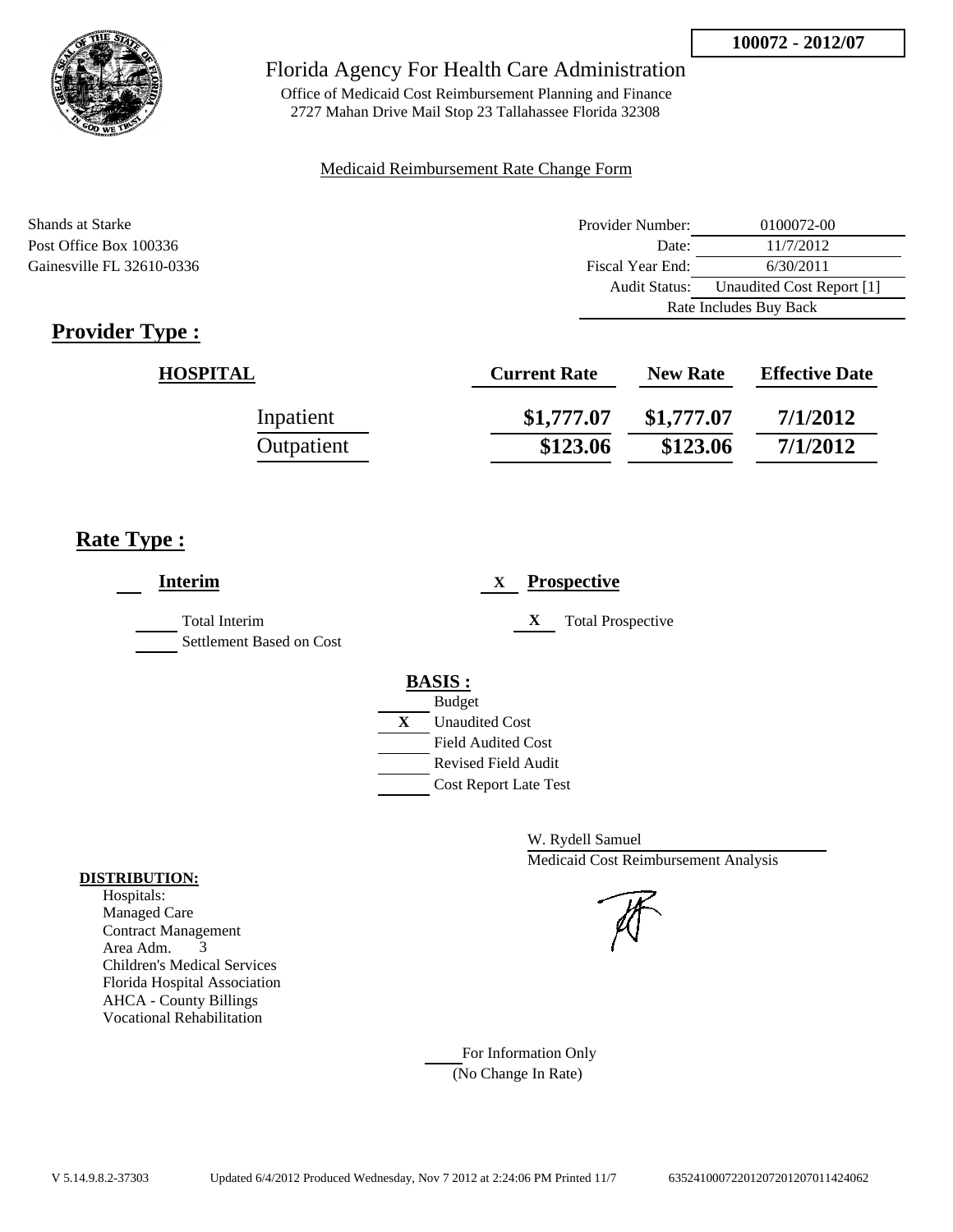

Office of Medicaid Cost Reimbursement Planning and Finance 2727 Mahan Drive Mail Stop 23 Tallahassee Florida 32308

### Medicaid Reimbursement Rate Change Form

| Shands at Starke          | Provider Number:     | 0100072-00                |  |
|---------------------------|----------------------|---------------------------|--|
| Post Office Box 100336    | Date:                | 11/7/2012                 |  |
| Gainesville FL 32610-0336 | Fiscal Year End:     | 6/30/2011                 |  |
|                           | <b>Audit Status:</b> | Unaudited Cost Report [1] |  |
|                           |                      | Rate Includes Buy Back    |  |

# **Provider Type :**

| <b>HOSPITAL</b> | <b>Current Rate</b> | <b>New Rate</b> | <b>Effective Date</b> |
|-----------------|---------------------|-----------------|-----------------------|
| Inpatient       | \$1,777.07          | \$1,777.07      | 7/1/2012              |
| Outpatient      | \$123.06            | \$123.06        | 7/1/2012              |

# **Rate Type :**

| <b>Interim</b>                                   | <b>Prospective</b><br>$\mathbf{X}$                                                                                                                      |
|--------------------------------------------------|---------------------------------------------------------------------------------------------------------------------------------------------------------|
| <b>Total Interim</b><br>Settlement Based on Cost | X<br><b>Total Prospective</b>                                                                                                                           |
|                                                  | <b>BASIS:</b><br><b>Budget</b><br>X<br><b>Unaudited Cost</b><br><b>Field Audited Cost</b><br><b>Revised Field Audit</b><br><b>Cost Report Late Test</b> |

W. Rydell Samuel Medicaid Cost Reimbursement Analysis

For Information Only (No Change In Rate)

### **DISTRIBUTION:**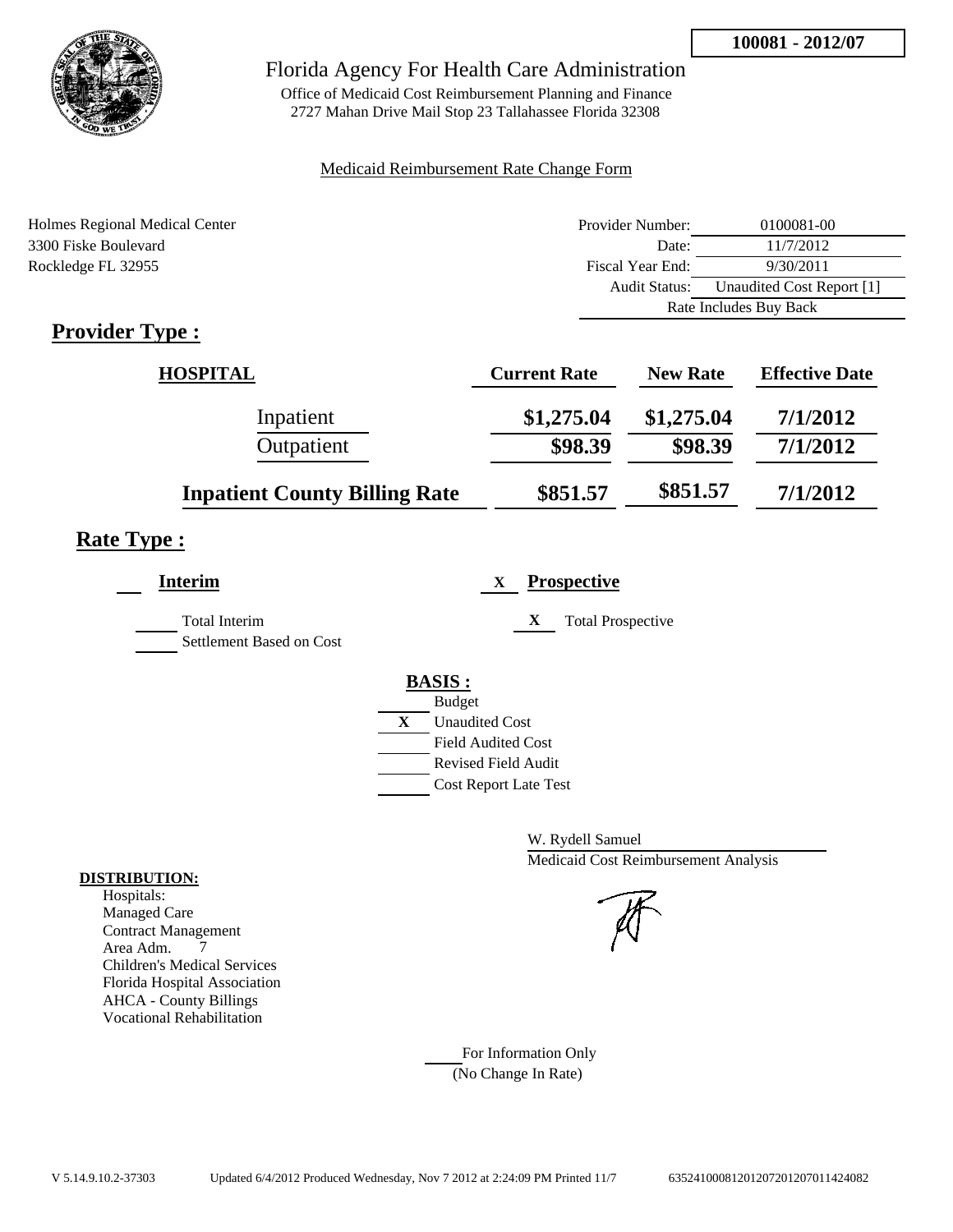

Office of Medicaid Cost Reimbursement Planning and Finance 2727 Mahan Drive Mail Stop 23 Tallahassee Florida 32308

### Medicaid Reimbursement Rate Change Form

| Holmes Regional Medical Center            | Provider Number:     | 0100081-00                |  |
|-------------------------------------------|----------------------|---------------------------|--|
| 3300 Fiske Boulevard                      | Date:                | 11/7/2012                 |  |
| Rockledge FL 32955                        | Fiscal Year End:     | 9/30/2011                 |  |
|                                           | <b>Audit Status:</b> | Unaudited Cost Report [1] |  |
|                                           |                      | Rate Includes Buy Back    |  |
| $\sim$ $\sim$<br>$\overline{\phantom{a}}$ |                      |                           |  |

# **Provider Type :**

| <b>HOSPITAL</b>                      | <b>Current Rate</b> | <b>New Rate</b> | <b>Effective Date</b> |
|--------------------------------------|---------------------|-----------------|-----------------------|
| Inpatient                            | \$1,275.04          | \$1,275.04      | 7/1/2012              |
| Outpatient                           | \$98.39             | \$98.39         | 7/1/2012              |
| <b>Inpatient County Billing Rate</b> | \$851.57            | \$851.57        | 7/1/2012              |

# **Rate Type :**

| <b>Prospective</b><br>X                                                   | <b>Interim</b>                                   |
|---------------------------------------------------------------------------|--------------------------------------------------|
| X<br><b>Total Prospective</b>                                             | <b>Total Interim</b><br>Settlement Based on Cost |
| <b>BASIS:</b><br><b>Budget</b>                                            |                                                  |
| <b>Unaudited Cost</b><br><b>Field Audited Cost</b><br>Revised Field Audit |                                                  |
| <b>Cost Report Late Test</b>                                              |                                                  |

W. Rydell Samuel Medicaid Cost Reimbursement Analysis

For Information Only (No Change In Rate)

### **DISTRIBUTION:**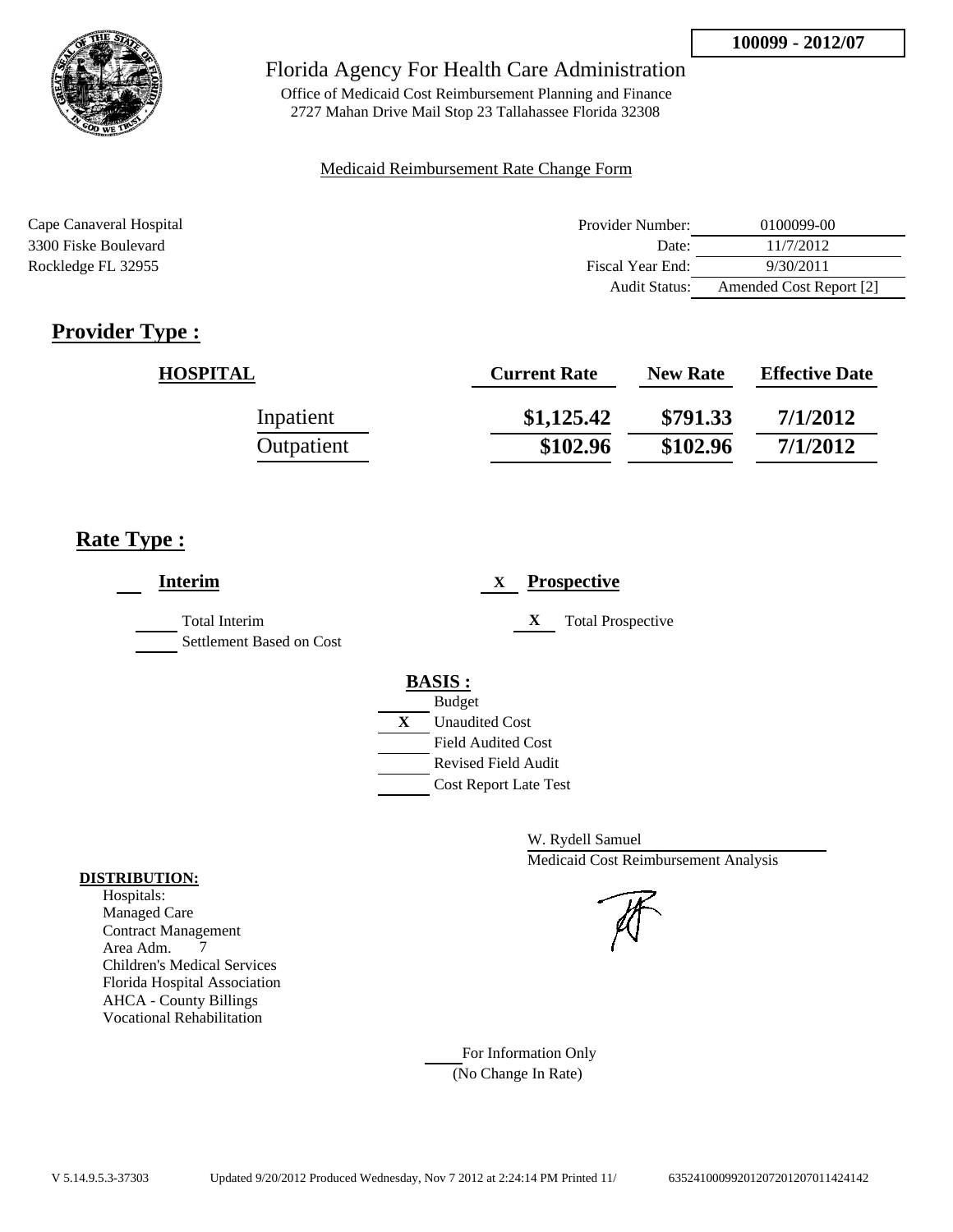

Office of Medicaid Cost Reimbursement Planning and Finance 2727 Mahan Drive Mail Stop 23 Tallahassee Florida 32308

### Medicaid Reimbursement Rate Change Form

| Cape Canaveral Hospital | Provider Number: | 0100099-00              |
|-------------------------|------------------|-------------------------|
| 3300 Fiske Boulevard    | Date:            | 11/7/2012               |
| Rockledge FL 32955      | Fiscal Year End: | 9/30/2011               |
|                         | Audit Status:    | Amended Cost Report [2] |

# **Provider Type :**

| <b>HOSPITAL</b> | <b>Current Rate</b> | <b>New Rate</b> | <b>Effective Date</b> |
|-----------------|---------------------|-----------------|-----------------------|
| Inpatient       | \$1,125.42          | \$791.33        | 7/1/2012              |
| Outpatient      | \$102.96            | \$102.96        | 7/1/2012              |

# **Rate Type :**

| <b>Interim</b>                                   | <b>Prospective</b><br>X       |
|--------------------------------------------------|-------------------------------|
| <b>Total Interim</b><br>Settlement Based on Cost | X<br><b>Total Prospective</b> |
|                                                  | <b>BASIS:</b>                 |
|                                                  | <b>Budget</b>                 |
|                                                  | X<br><b>Unaudited Cost</b>    |
|                                                  | <b>Field Audited Cost</b>     |
|                                                  | <b>Revised Field Audit</b>    |
|                                                  | <b>Cost Report Late Test</b>  |

W. Rydell Samuel Medicaid Cost Reimbursement Analysis

For Information Only (No Change In Rate)

### **DISTRIBUTION:**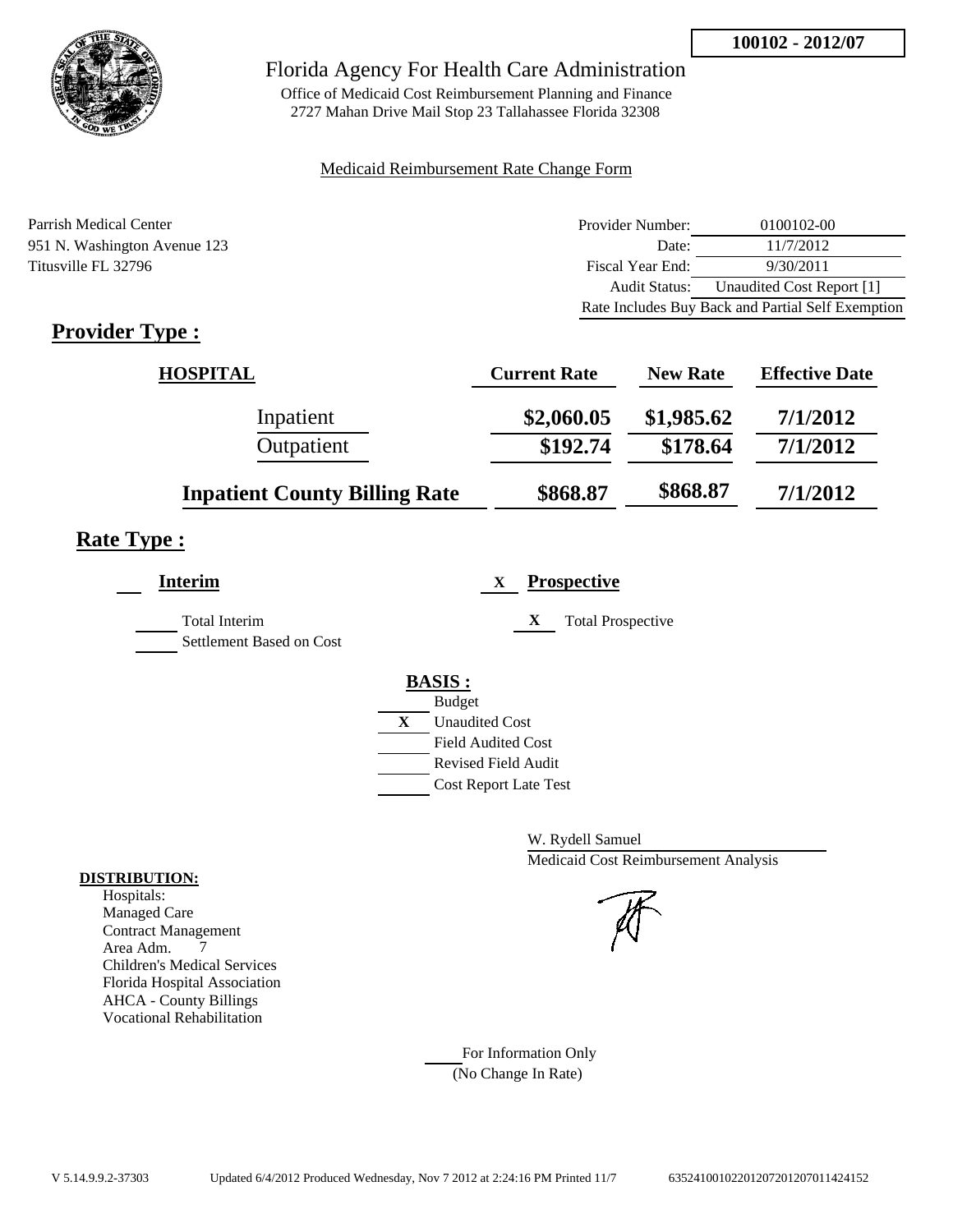

Office of Medicaid Cost Reimbursement Planning and Finance 2727 Mahan Drive Mail Stop 23 Tallahassee Florida 32308

### Medicaid Reimbursement Rate Change Form

Parrish Medical Center 951 N. Washington Avenue 123 Titusville FL 32796

| Provider Number:     | 0100102-00                                        |
|----------------------|---------------------------------------------------|
| Date:                | 11/7/2012                                         |
| Fiscal Year End:     | 9/30/2011                                         |
| <b>Audit Status:</b> | Unaudited Cost Report [1]                         |
|                      | Rate Includes Buy Back and Partial Self Exemption |

# **Provider Type :**

| <b>HOSPITAL</b>                      | <b>Current Rate</b> | <b>New Rate</b> | <b>Effective Date</b> |
|--------------------------------------|---------------------|-----------------|-----------------------|
| Inpatient                            | \$2,060.05          | \$1,985.62      | 7/1/2012              |
| Outpatient                           | \$192.74            | \$178.64        | 7/1/2012              |
| <b>Inpatient County Billing Rate</b> | \$868.87            | \$868.87        | 7/1/2012              |

# **Rate Type :**

L,

| <b>Interim</b>                                   | <b>Prospective</b><br>X        |
|--------------------------------------------------|--------------------------------|
| <b>Total Interim</b><br>Settlement Based on Cost | X<br><b>Total Prospective</b>  |
|                                                  | <b>BASIS:</b><br><b>Budget</b> |
|                                                  | X<br><b>Unaudited Cost</b>     |
|                                                  | <b>Field Audited Cost</b>      |
|                                                  | <b>Revised Field Audit</b>     |
|                                                  | <b>Cost Report Late Test</b>   |
|                                                  |                                |

W. Rydell Samuel Medicaid Cost Reimbursement Analysis

For Information Only (No Change In Rate)

### **DISTRIBUTION:**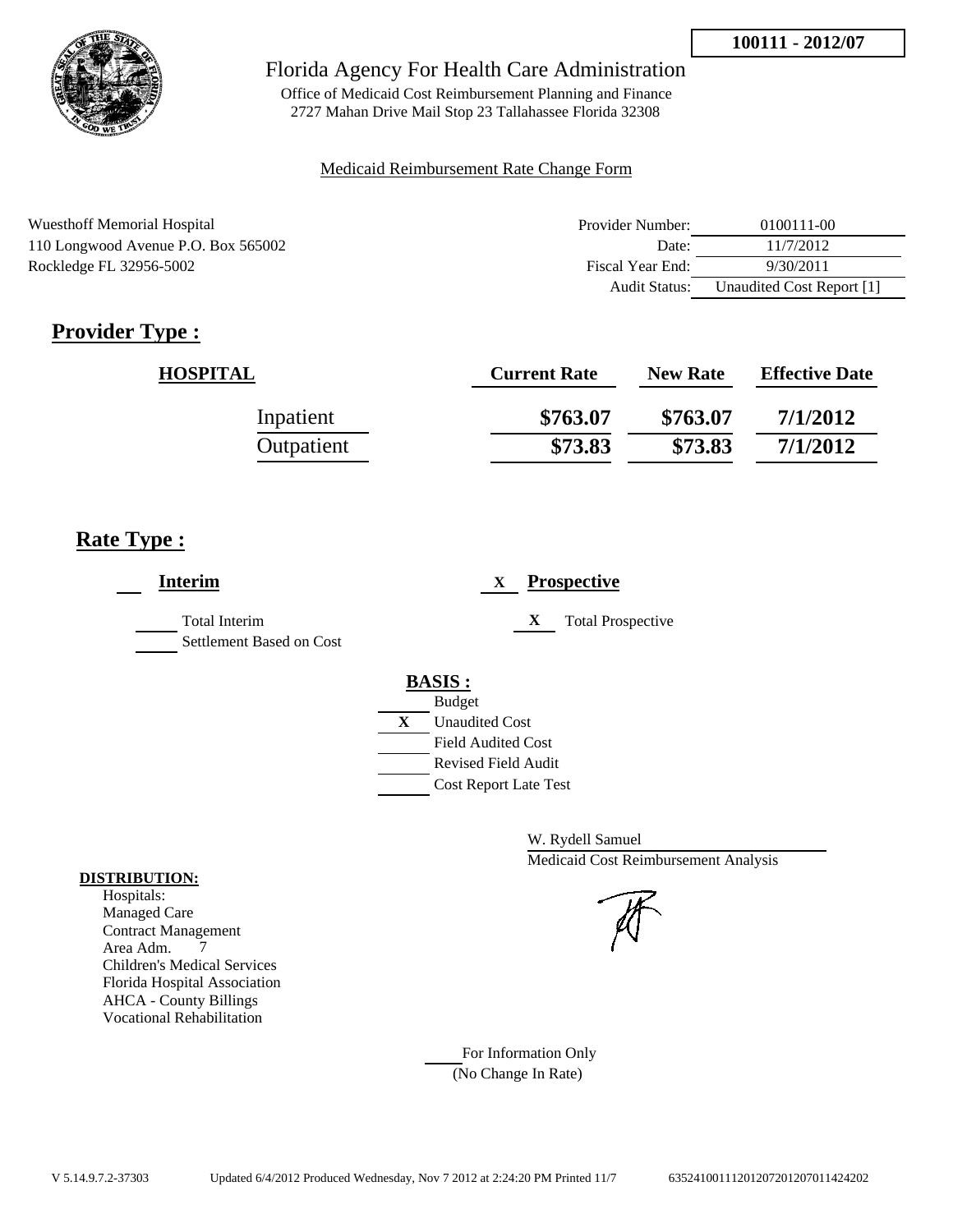

Office of Medicaid Cost Reimbursement Planning and Finance 2727 Mahan Drive Mail Stop 23 Tallahassee Florida 32308

### Medicaid Reimbursement Rate Change Form

| <b>Wuesthoff Memorial Hospital</b>  | Provider Number: | 0100111-00                |
|-------------------------------------|------------------|---------------------------|
| 110 Longwood Avenue P.O. Box 565002 | Date:            | 11/7/2012                 |
| Rockledge FL 32956-5002             | Fiscal Year End: | 9/30/2011                 |
|                                     | Audit Status:    | Unaudited Cost Report [1] |

# **Provider Type :**

| <b>HOSPITAL</b> | <b>Current Rate</b> | <b>New Rate</b> | <b>Effective Date</b> |
|-----------------|---------------------|-----------------|-----------------------|
| Inpatient       | \$763.07            | \$763.07        | 7/1/2012              |
| Outpatient      | \$73.83             | \$73.83         | 7/1/2012              |

# **Rate Type :**

| <b>Interim</b>                                   | <b>Prospective</b><br>X               |
|--------------------------------------------------|---------------------------------------|
| <b>Total Interim</b><br>Settlement Based on Cost | X<br><b>Total Prospective</b>         |
|                                                  | <b>BASIS:</b>                         |
|                                                  | <b>Budget</b>                         |
|                                                  | $\mathbf{X}$<br><b>Unaudited Cost</b> |
|                                                  | <b>Field Audited Cost</b>             |
|                                                  | <b>Revised Field Audit</b>            |
|                                                  | <b>Cost Report Late Test</b>          |
|                                                  |                                       |

W. Rydell Samuel Medicaid Cost Reimbursement Analysis

For Information Only (No Change In Rate)

### **DISTRIBUTION:**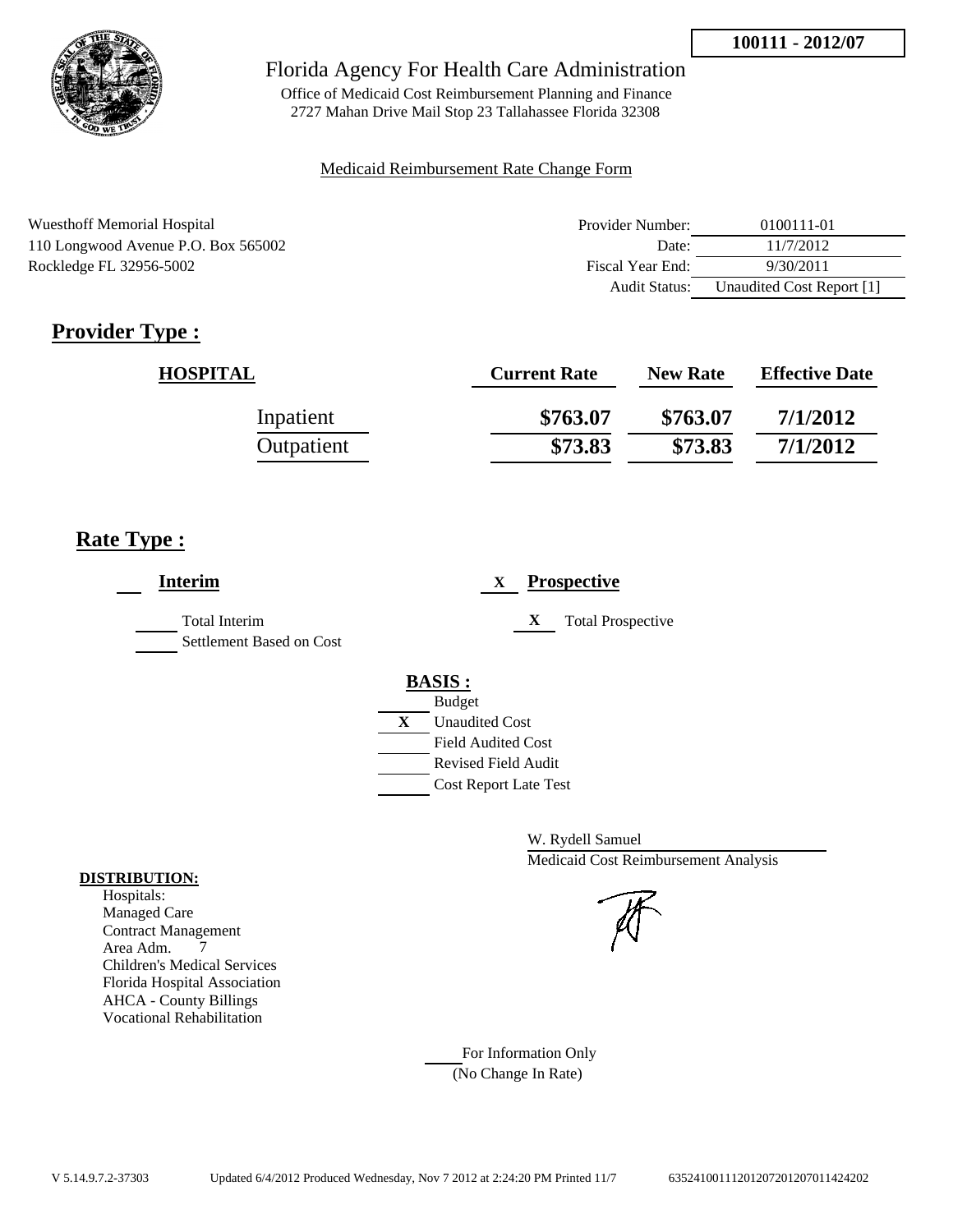

Office of Medicaid Cost Reimbursement Planning and Finance 2727 Mahan Drive Mail Stop 23 Tallahassee Florida 32308

### Medicaid Reimbursement Rate Change Form

| <b>Wuesthoff Memorial Hospital</b>  | Provider Number: | 0100111-01                |
|-------------------------------------|------------------|---------------------------|
| 110 Longwood Avenue P.O. Box 565002 | Date:            | 11/7/2012                 |
| Rockledge FL 32956-5002             | Fiscal Year End: | 9/30/2011                 |
|                                     | Audit Status:    | Unaudited Cost Report [1] |

# **Provider Type :**

| <b>HOSPITAL</b> | <b>Current Rate</b> | <b>New Rate</b> | <b>Effective Date</b> |
|-----------------|---------------------|-----------------|-----------------------|
| Inpatient       | \$763.07            | \$763.07        | 7/1/2012              |
| Outpatient      | \$73.83             | \$73.83         | 7/1/2012              |

# **Rate Type :**

| <b>Interim</b>                            | <b>Prospective</b><br>X                                                                                                                          |
|-------------------------------------------|--------------------------------------------------------------------------------------------------------------------------------------------------|
| Total Interim<br>Settlement Based on Cost | X<br><b>Total Prospective</b>                                                                                                                    |
|                                           | <b>BASIS:</b><br><b>Budget</b><br>X<br><b>Unaudited Cost</b><br><b>Field Audited Cost</b><br>Revised Field Audit<br><b>Cost Report Late Test</b> |

W. Rydell Samuel Medicaid Cost Reimbursement Analysis

For Information Only (No Change In Rate)

### **DISTRIBUTION:**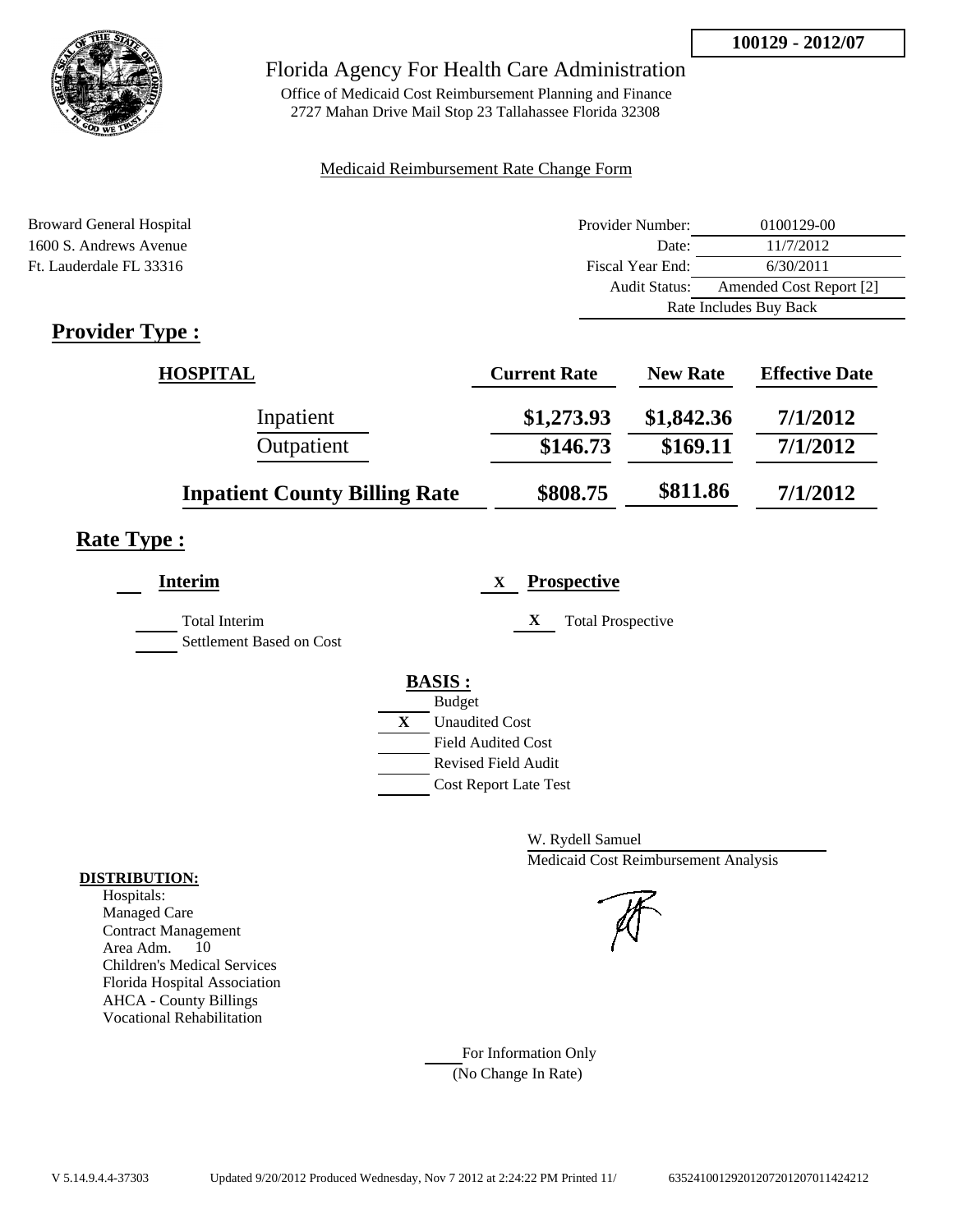

Office of Medicaid Cost Reimbursement Planning and Finance 2727 Mahan Drive Mail Stop 23 Tallahassee Florida 32308

### Medicaid Reimbursement Rate Change Form

| <b>Broward General Hospital</b>           | Provider Number:     | 0100129-00              |  |
|-------------------------------------------|----------------------|-------------------------|--|
| 1600 S. Andrews Avenue                    | Date:                | 11/7/2012               |  |
| Ft. Lauderdale FL 33316                   | Fiscal Year End:     | 6/30/2011               |  |
|                                           | <b>Audit Status:</b> | Amended Cost Report [2] |  |
|                                           |                      | Rate Includes Buy Back  |  |
| $D$ <i>novidor</i> $T$ <i>vno</i> $\cdot$ |                      |                         |  |

# **Provider Type :**

| <b>HOSPITAL</b>                      | <b>Current Rate</b> | <b>New Rate</b> | <b>Effective Date</b> |
|--------------------------------------|---------------------|-----------------|-----------------------|
| Inpatient                            | \$1,273.93          | \$1,842.36      | 7/1/2012              |
| Outpatient                           | \$146.73            | \$169.11        | 7/1/2012              |
| <b>Inpatient County Billing Rate</b> | \$808.75            | \$811.86        | 7/1/2012              |

# **Rate Type :**

| <b>Interim</b>                            | <b>Prospective</b><br>X                                    |
|-------------------------------------------|------------------------------------------------------------|
| Total Interim<br>Settlement Based on Cost | X<br><b>Total Prospective</b>                              |
|                                           | <b>BASIS:</b>                                              |
|                                           | <b>Budget</b>                                              |
|                                           | X<br><b>Unaudited Cost</b><br><b>Field Audited Cost</b>    |
|                                           | <b>Revised Field Audit</b><br><b>Cost Report Late Test</b> |
|                                           |                                                            |

W. Rydell Samuel Medicaid Cost Reimbursement Analysis

For Information Only (No Change In Rate)

### **DISTRIBUTION:**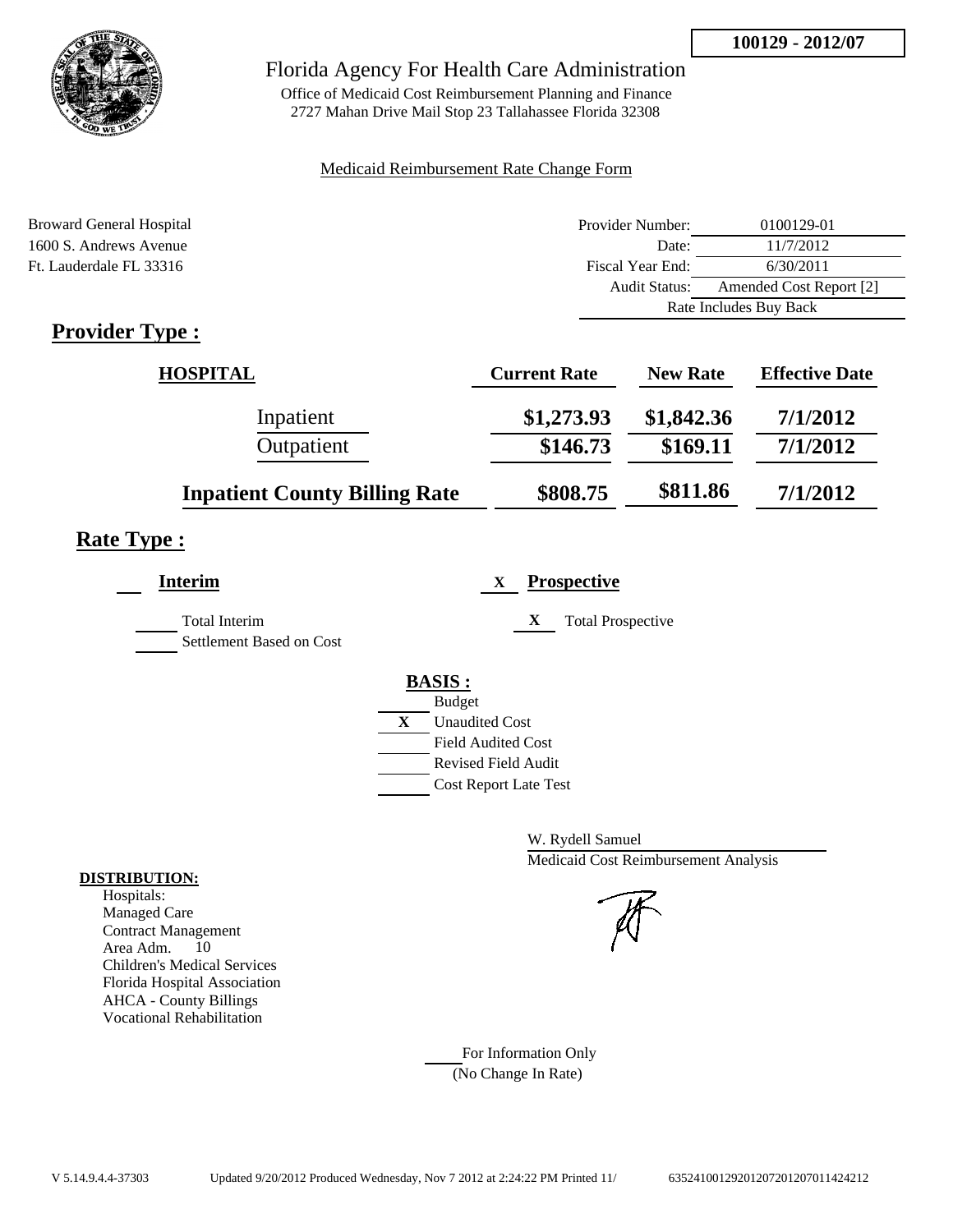

Office of Medicaid Cost Reimbursement Planning and Finance 2727 Mahan Drive Mail Stop 23 Tallahassee Florida 32308

### Medicaid Reimbursement Rate Change Form

| <b>Broward General Hospital</b>           | Provider Number:     | 0100129-01              |  |
|-------------------------------------------|----------------------|-------------------------|--|
| 1600 S. Andrews Avenue                    | Date:                | 11/7/2012               |  |
| Ft. Lauderdale FL 33316                   | Fiscal Year End:     | 6/30/2011               |  |
|                                           | <b>Audit Status:</b> | Amended Cost Report [2] |  |
|                                           |                      | Rate Includes Buy Back  |  |
| $D$ <i>novidor</i> $T$ <i>vno</i> $\cdot$ |                      |                         |  |

# **Provider Type :**

| <b>HOSPITAL</b>                      | <b>Current Rate</b> | <b>New Rate</b> | <b>Effective Date</b> |
|--------------------------------------|---------------------|-----------------|-----------------------|
| Inpatient                            | \$1,273.93          | \$1,842.36      | 7/1/2012              |
| Outpatient                           | \$146.73            | \$169.11        | 7/1/2012              |
| <b>Inpatient County Billing Rate</b> | \$808.75            | \$811.86        | 7/1/2012              |

# **Rate Type :**

| <b>Interim</b>           | <b>Prospective</b><br>X       |
|--------------------------|-------------------------------|
| <b>Total Interim</b>     | X<br><b>Total Prospective</b> |
| Settlement Based on Cost |                               |
|                          | <b>BASIS:</b>                 |
|                          | <b>Budget</b>                 |
|                          | X<br><b>Unaudited Cost</b>    |
|                          | <b>Field Audited Cost</b>     |
|                          | <b>Revised Field Audit</b>    |
|                          | <b>Cost Report Late Test</b>  |
|                          |                               |

W. Rydell Samuel Medicaid Cost Reimbursement Analysis

For Information Only (No Change In Rate)

### **DISTRIBUTION:**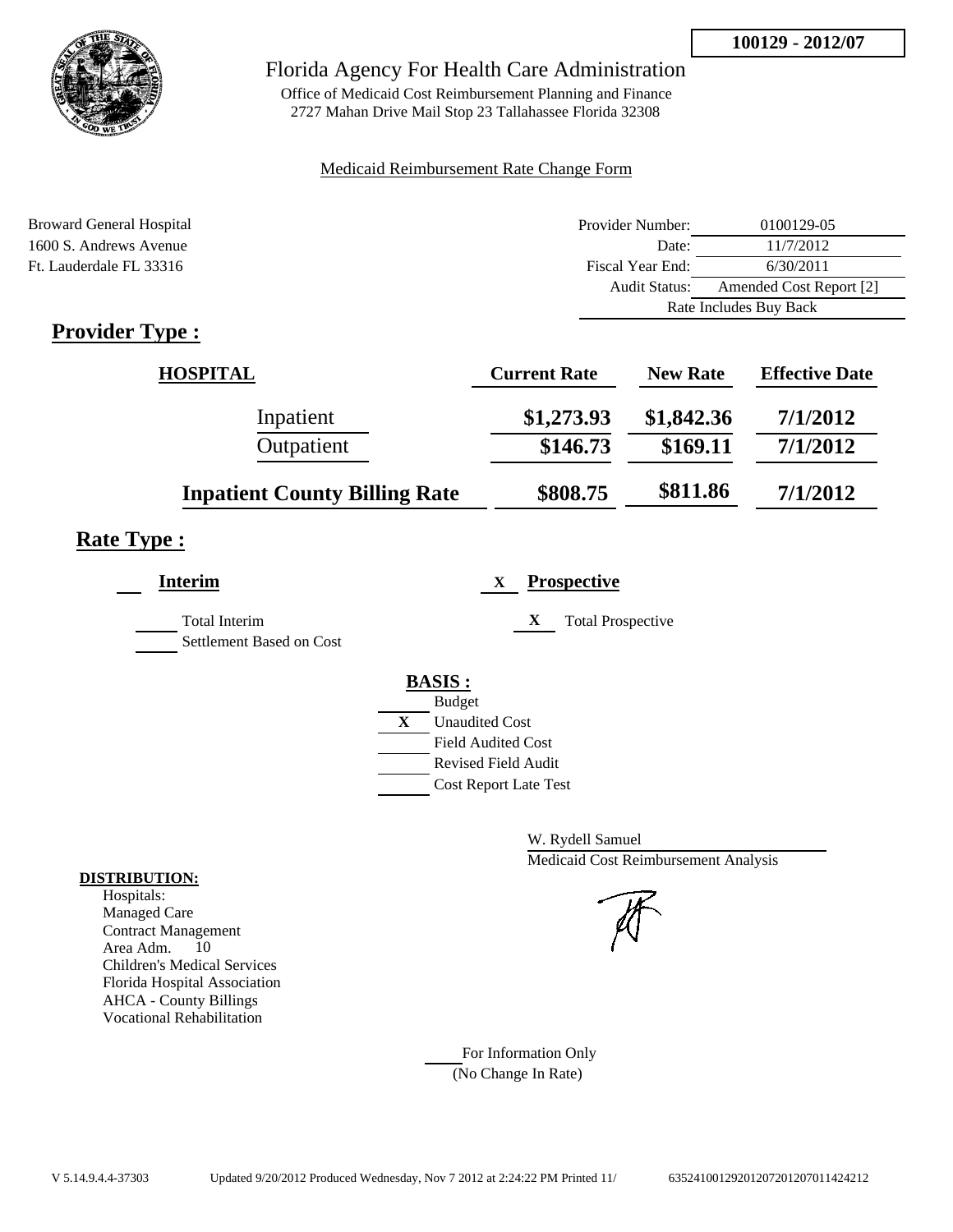

Office of Medicaid Cost Reimbursement Planning and Finance 2727 Mahan Drive Mail Stop 23 Tallahassee Florida 32308

### Medicaid Reimbursement Rate Change Form

| <b>Broward General Hospital</b> | Provider Number:     | 0100129-05              |  |
|---------------------------------|----------------------|-------------------------|--|
| 1600 S. Andrews Avenue          | Date:                | 11/7/2012               |  |
| Ft. Lauderdale FL 33316         | Fiscal Year End:     | 6/30/2011               |  |
|                                 | <b>Audit Status:</b> | Amended Cost Report [2] |  |
|                                 |                      | Rate Includes Buy Back  |  |
| $D$ ravidar $T$ rna $\cdot$     |                      |                         |  |

# **Provider Type :**

| <b>HOSPITAL</b>                      | <b>Current Rate</b> | <b>New Rate</b> | <b>Effective Date</b> |
|--------------------------------------|---------------------|-----------------|-----------------------|
| Inpatient                            | \$1,273.93          | \$1,842.36      | 7/1/2012              |
| Outpatient                           | \$146.73            | \$169.11        | 7/1/2012              |
| <b>Inpatient County Billing Rate</b> | \$808.75            | \$811.86        | 7/1/2012              |

# **Rate Type :**

| <b>Interim</b>           | <b>Prospective</b><br>X       |
|--------------------------|-------------------------------|
| <b>Total Interim</b>     | X<br><b>Total Prospective</b> |
| Settlement Based on Cost |                               |
|                          | <b>BASIS:</b>                 |
|                          | <b>Budget</b>                 |
|                          | X<br><b>Unaudited Cost</b>    |
|                          | <b>Field Audited Cost</b>     |
|                          | <b>Revised Field Audit</b>    |
|                          | <b>Cost Report Late Test</b>  |
|                          |                               |

W. Rydell Samuel Medicaid Cost Reimbursement Analysis

For Information Only (No Change In Rate)

### **DISTRIBUTION:**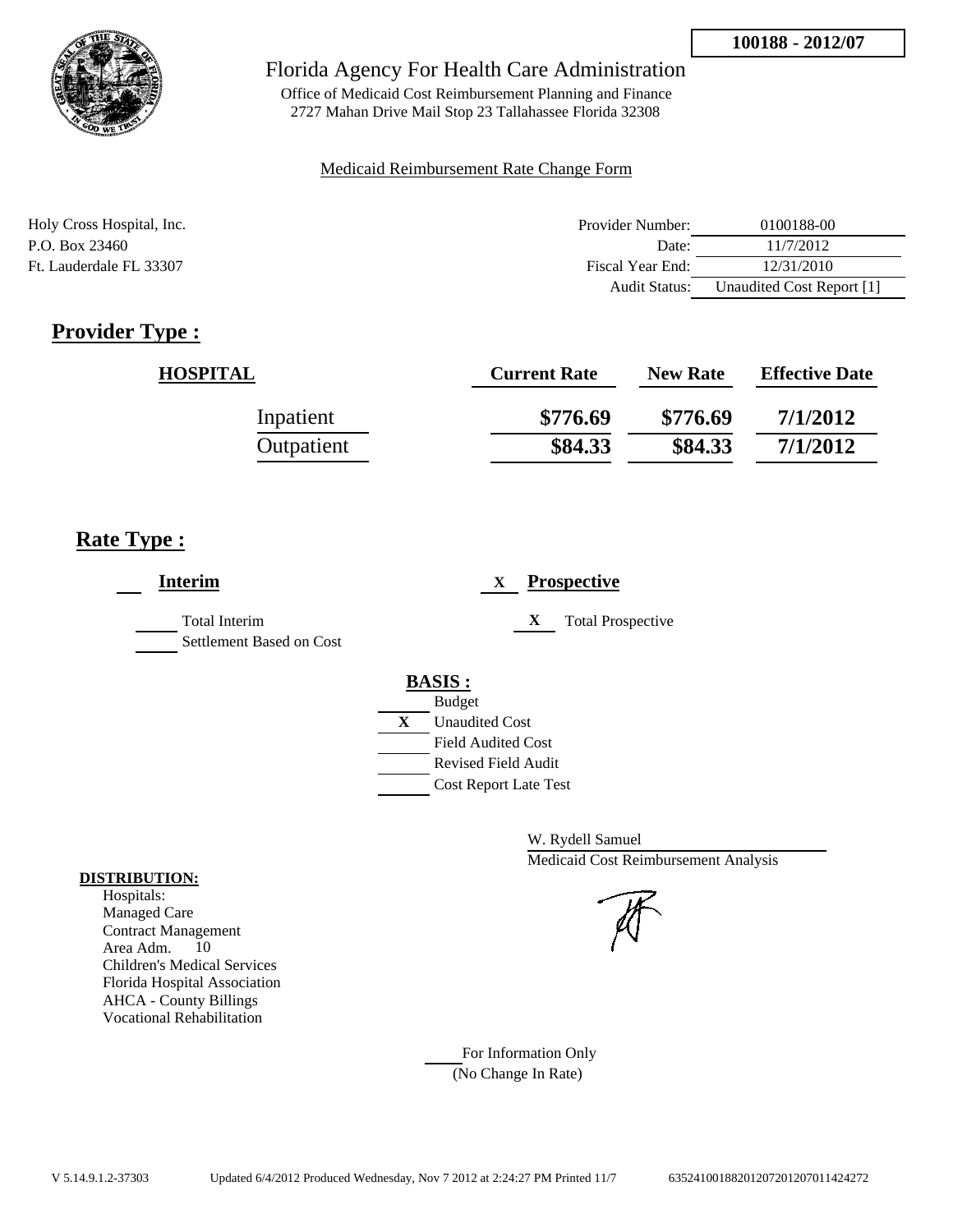

Office of Medicaid Cost Reimbursement Planning and Finance 2727 Mahan Drive Mail Stop 23 Tallahassee Florida 32308

### Medicaid Reimbursement Rate Change Form

| Holy Cross Hospital, Inc. | Provider Number:     | 0100188-00                |
|---------------------------|----------------------|---------------------------|
| P.O. Box 23460            | Date:                | 11/7/2012                 |
| Ft. Lauderdale FL 33307   | Fiscal Year End:     | 12/31/2010                |
|                           | <b>Audit Status:</b> | Unaudited Cost Report [1] |

# **Provider Type :**

| <b>HOSPITAL</b> | <b>Current Rate</b> | <b>New Rate</b> | <b>Effective Date</b> |
|-----------------|---------------------|-----------------|-----------------------|
| Inpatient       | \$776.69            | \$776.69        | 7/1/2012              |
| Outpatient      | \$84.33             | \$84.33         | 7/1/2012              |

# **Rate Type :**

| <b>Interim</b>                                   | <b>Prospective</b><br>X       |
|--------------------------------------------------|-------------------------------|
| <b>Total Interim</b><br>Settlement Based on Cost | X<br><b>Total Prospective</b> |
|                                                  | <b>BASIS:</b>                 |
|                                                  | <b>Budget</b>                 |
|                                                  | X<br><b>Unaudited Cost</b>    |
|                                                  | <b>Field Audited Cost</b>     |
|                                                  | <b>Revised Field Audit</b>    |
|                                                  | <b>Cost Report Late Test</b>  |
|                                                  |                               |

W. Rydell Samuel Medicaid Cost Reimbursement Analysis

For Information Only (No Change In Rate)

### **DISTRIBUTION:**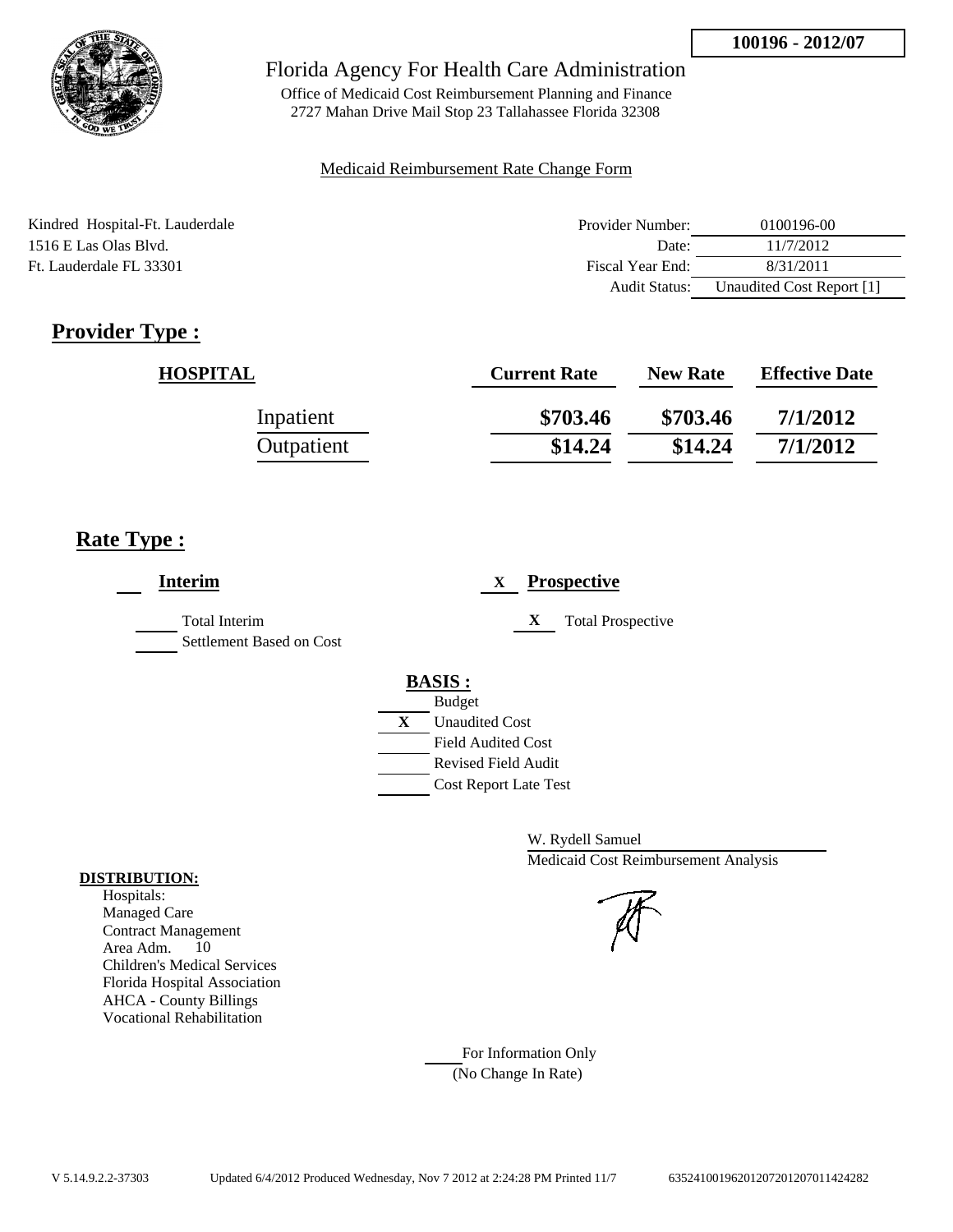

Office of Medicaid Cost Reimbursement Planning and Finance 2727 Mahan Drive Mail Stop 23 Tallahassee Florida 32308

### Medicaid Reimbursement Rate Change Form

| Kindred Hospital-Ft. Lauderdale | Provider Number:     | 0100196-00                |
|---------------------------------|----------------------|---------------------------|
| 1516 E Las Olas Blvd.           | Date:                | 11/7/2012                 |
| Ft. Lauderdale FL 33301         | Fiscal Year End:     | 8/31/2011                 |
|                                 | <b>Audit Status:</b> | Unaudited Cost Report [1] |

# **Provider Type :**

| <b>HOSPITAL</b> | <b>Current Rate</b> | <b>New Rate</b> | <b>Effective Date</b> |
|-----------------|---------------------|-----------------|-----------------------|
| Inpatient       | \$703.46            | \$703.46        | 7/1/2012              |
| Outpatient      | \$14.24             | \$14.24         | 7/1/2012              |

# **Rate Type :**

| <b>Interim</b>                                   | <b>Prospective</b><br>X       |
|--------------------------------------------------|-------------------------------|
| <b>Total Interim</b><br>Settlement Based on Cost | X<br><b>Total Prospective</b> |
|                                                  | <b>BASIS:</b>                 |
|                                                  | <b>Budget</b>                 |
|                                                  | X<br><b>Unaudited Cost</b>    |
|                                                  | <b>Field Audited Cost</b>     |
|                                                  | <b>Revised Field Audit</b>    |
|                                                  | <b>Cost Report Late Test</b>  |

W. Rydell Samuel Medicaid Cost Reimbursement Analysis

For Information Only (No Change In Rate)

### **DISTRIBUTION:**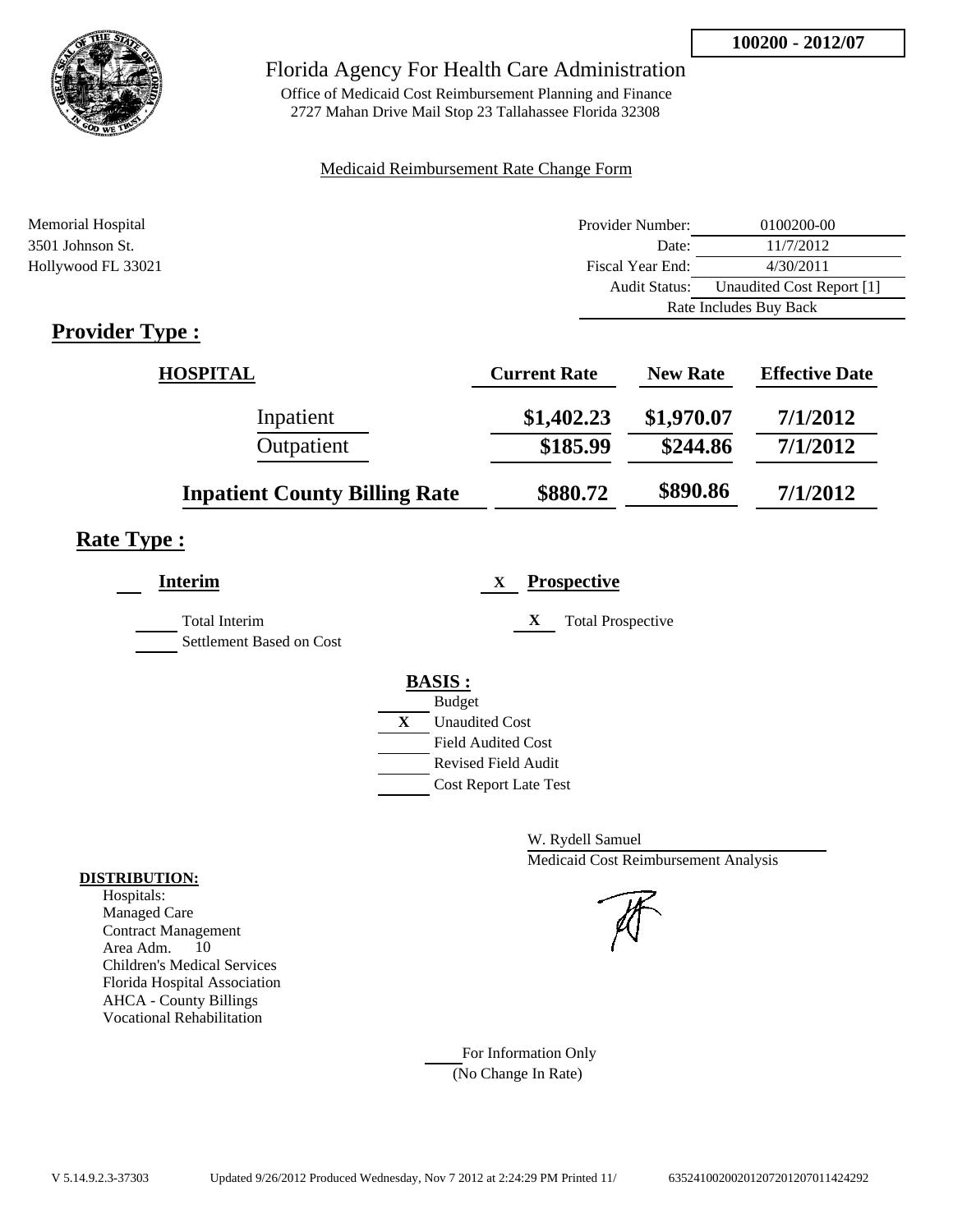

Office of Medicaid Cost Reimbursement Planning and Finance 2727 Mahan Drive Mail Stop 23 Tallahassee Florida 32308

### Medicaid Reimbursement Rate Change Form

| Memorial Hospital                      | Provider Number:     | 0100200-00                |  |
|----------------------------------------|----------------------|---------------------------|--|
| 3501 Johnson St.                       | Date:                | 11/7/2012                 |  |
| Hollywood FL 33021                     | Fiscal Year End:     | 4/30/2011                 |  |
|                                        | <b>Audit Status:</b> | Unaudited Cost Report [1] |  |
|                                        |                      | Rate Includes Buy Back    |  |
| $\mathbf{n}$ . The set of $\mathbf{n}$ |                      |                           |  |

# **Provider Type :**

| <b>HOSPITAL</b>                      | <b>Current Rate</b> | <b>New Rate</b> | <b>Effective Date</b> |
|--------------------------------------|---------------------|-----------------|-----------------------|
| Inpatient                            | \$1,402.23          | \$1,970.07      | 7/1/2012              |
| Outpatient                           | \$185.99            | \$244.86        | 7/1/2012              |
| <b>Inpatient County Billing Rate</b> | \$880.72            | \$890.86        | 7/1/2012              |

# **Rate Type :**

| <b>Interim</b>                            | <b>Prospective</b><br>X               |
|-------------------------------------------|---------------------------------------|
| Total Interim<br>Settlement Based on Cost | X<br><b>Total Prospective</b>         |
|                                           | <b>BASIS:</b>                         |
|                                           | <b>Budget</b>                         |
|                                           | $\mathbf{X}$<br><b>Unaudited Cost</b> |
|                                           | <b>Field Audited Cost</b>             |
|                                           | Revised Field Audit                   |
|                                           | <b>Cost Report Late Test</b>          |
|                                           |                                       |

W. Rydell Samuel Medicaid Cost Reimbursement Analysis

For Information Only (No Change In Rate)

### **DISTRIBUTION:**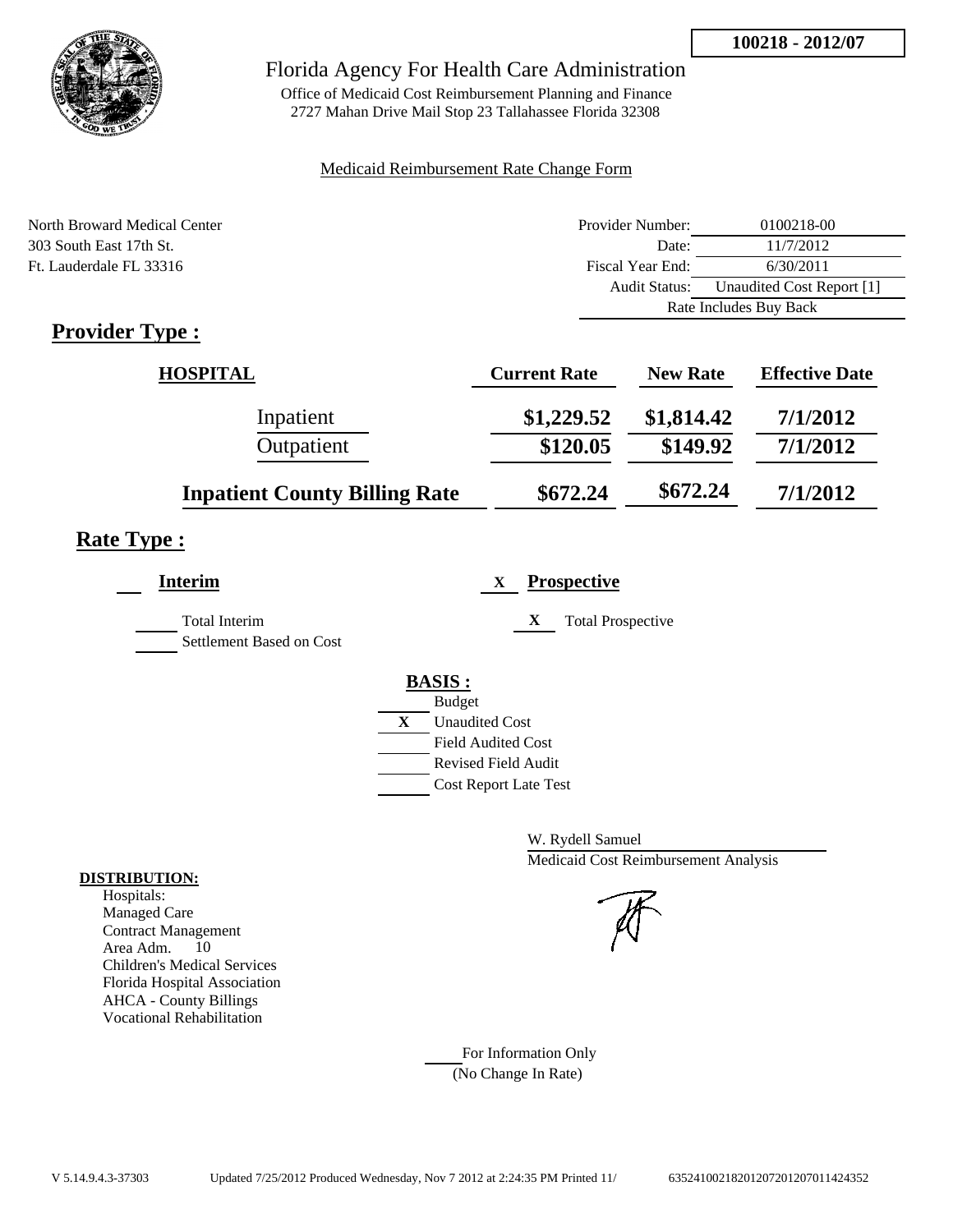

Office of Medicaid Cost Reimbursement Planning and Finance 2727 Mahan Drive Mail Stop 23 Tallahassee Florida 32308

### Medicaid Reimbursement Rate Change Form

| North Broward Medical Center | Provider Number: | 0100218-00                |  |
|------------------------------|------------------|---------------------------|--|
| 303 South East 17th St.      | Date:            | 11/7/2012                 |  |
| Ft. Lauderdale FL 33316      | Fiscal Year End: | 6/30/2011                 |  |
|                              | Audit Status:    | Unaudited Cost Report [1] |  |
|                              |                  | Rate Includes Buy Back    |  |

# **Provider Type :**

| <b>HOSPITAL</b>                      | <b>Current Rate</b> | <b>New Rate</b> | <b>Effective Date</b> |
|--------------------------------------|---------------------|-----------------|-----------------------|
| Inpatient                            | \$1,229.52          | \$1,814.42      | 7/1/2012              |
| Outpatient                           | \$120.05            | \$149.92        | 7/1/2012              |
| <b>Inpatient County Billing Rate</b> | \$672.24            | \$672.24        | 7/1/2012              |

# **Rate Type :**

| Interim                                   | <b>Prospective</b><br>$\mathbf{X}$                                                                                                                                 |
|-------------------------------------------|--------------------------------------------------------------------------------------------------------------------------------------------------------------------|
| Total Interim<br>Settlement Based on Cost | X<br><b>Total Prospective</b>                                                                                                                                      |
|                                           | <b>BASIS:</b><br><b>Budget</b><br>$\mathbf{X}$<br><b>Unaudited Cost</b><br><b>Field Audited Cost</b><br><b>Revised Field Audit</b><br><b>Cost Report Late Test</b> |

W. Rydell Samuel Medicaid Cost Reimbursement Analysis

For Information Only (No Change In Rate)

### **DISTRIBUTION:**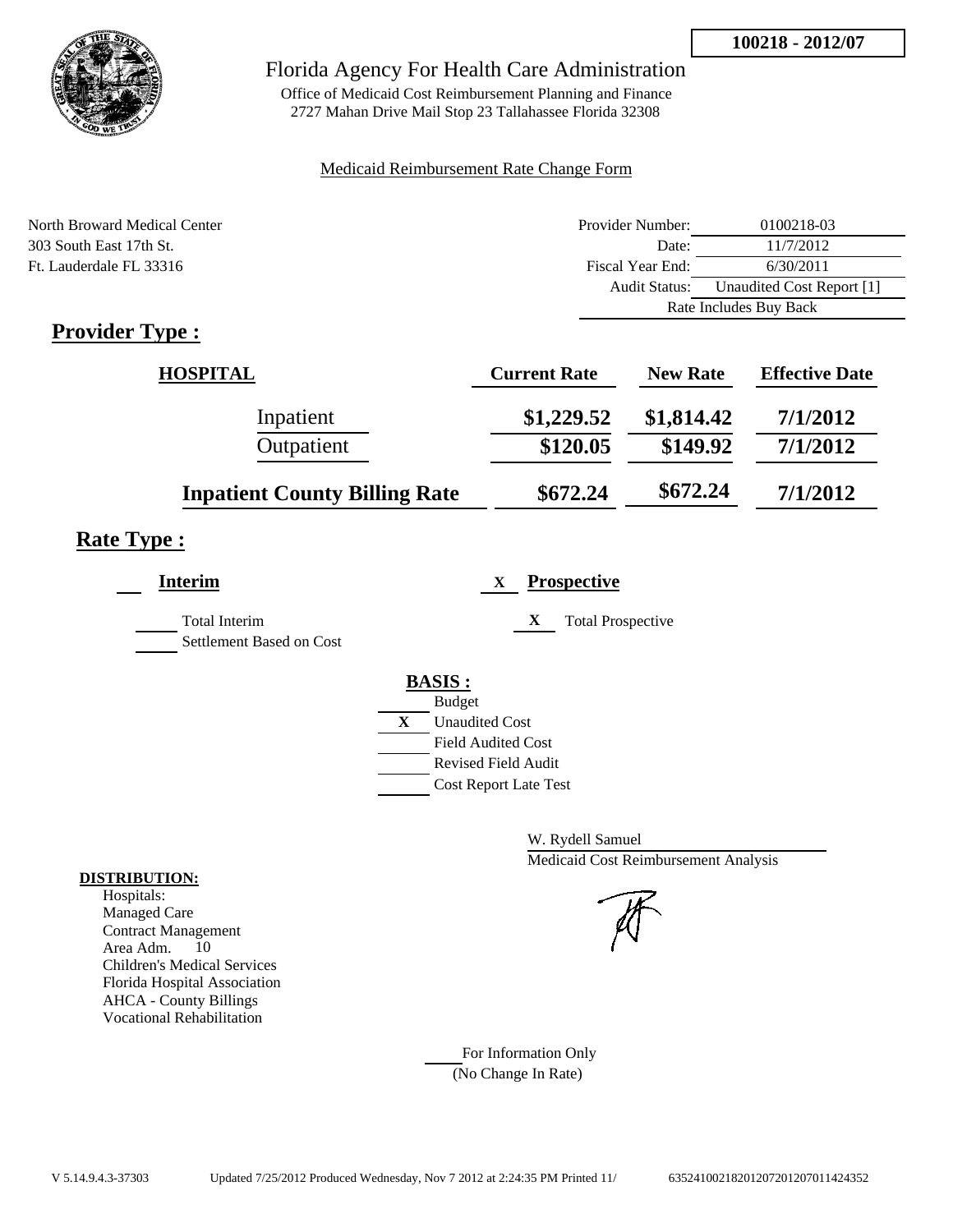

Office of Medicaid Cost Reimbursement Planning and Finance 2727 Mahan Drive Mail Stop 23 Tallahassee Florida 32308

### Medicaid Reimbursement Rate Change Form

| North Broward Medical Center | Provider Number:     | 0100218-03                |  |
|------------------------------|----------------------|---------------------------|--|
| 303 South East 17th St.      | Date:                | 11/7/2012                 |  |
| Ft. Lauderdale FL 33316      | Fiscal Year End:     | 6/30/2011                 |  |
|                              | <b>Audit Status:</b> | Unaudited Cost Report [1] |  |
|                              |                      | Rate Includes Buy Back    |  |

# **Provider Type :**

| <b>HOSPITAL</b>                      | <b>Current Rate</b> | <b>New Rate</b> | <b>Effective Date</b> |
|--------------------------------------|---------------------|-----------------|-----------------------|
| Inpatient                            | \$1,229.52          | \$1,814.42      | 7/1/2012              |
| Outpatient                           | \$120.05            | \$149.92        | 7/1/2012              |
| <b>Inpatient County Billing Rate</b> | \$672.24            | \$672.24        | 7/1/2012              |

# **Rate Type :**

| <b>Interim</b>                                   |   | <b>Prospective</b><br>$\mathbf{X}$ |
|--------------------------------------------------|---|------------------------------------|
| <b>Total Interim</b><br>Settlement Based on Cost |   | X<br><b>Total Prospective</b>      |
|                                                  |   | <b>BASIS:</b>                      |
|                                                  |   | <b>Budget</b>                      |
|                                                  | X | <b>Unaudited Cost</b>              |
|                                                  |   | <b>Field Audited Cost</b>          |
|                                                  |   | <b>Revised Field Audit</b>         |
|                                                  |   | <b>Cost Report Late Test</b>       |
|                                                  |   |                                    |

W. Rydell Samuel Medicaid Cost Reimbursement Analysis

For Information Only (No Change In Rate)

### **DISTRIBUTION:**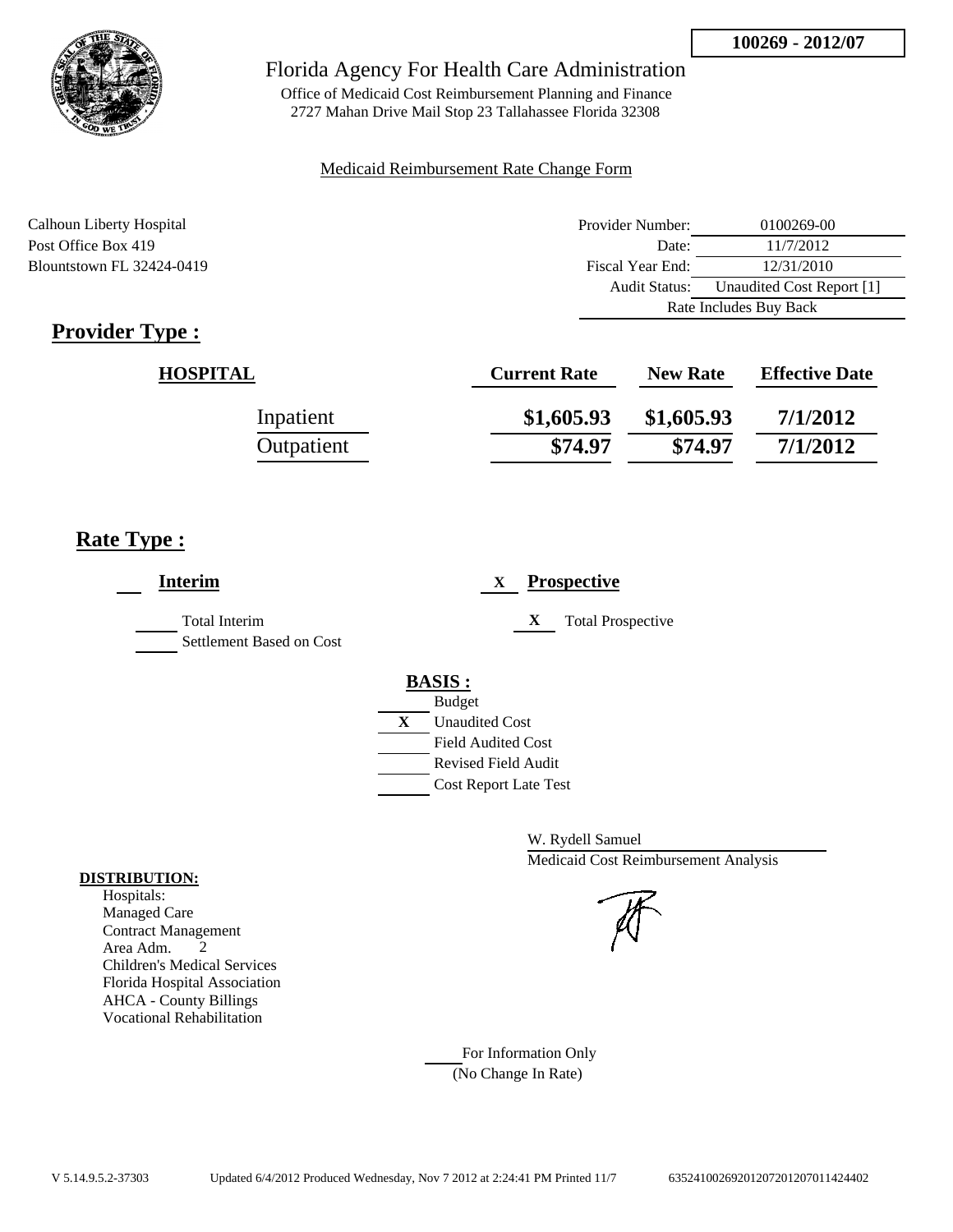

Office of Medicaid Cost Reimbursement Planning and Finance 2727 Mahan Drive Mail Stop 23 Tallahassee Florida 32308

### Medicaid Reimbursement Rate Change Form

Calhoun Liberty Hospital **Provider Number:** 0100269-00 Post Office Box 419 Date: 11/7/2012 Blountstown FL 32424-0419 Fiscal Year End: 12/31/2010 Audit Status: Unaudited Cost Report [1] Rate Includes Buy Back

# **Provider Type :**

| <b>HOSPITAL</b> | <b>Current Rate</b> | <b>New Rate</b> | <b>Effective Date</b> |
|-----------------|---------------------|-----------------|-----------------------|
| Inpatient       | \$1,605.93          | \$1,605.93      | 7/1/2012              |
| Outpatient      | \$74.97             | \$74.97         | 7/1/2012              |

# **Rate Type :**

| <b>Interim</b>                                   |   | <b>Prospective</b><br>X                |
|--------------------------------------------------|---|----------------------------------------|
| <b>Total Interim</b><br>Settlement Based on Cost |   | X<br><b>Total Prospective</b>          |
|                                                  |   | <b>BASIS:</b>                          |
|                                                  | X | <b>Budget</b><br><b>Unaudited Cost</b> |
|                                                  |   | <b>Field Audited Cost</b>              |
|                                                  |   | <b>Revised Field Audit</b>             |
|                                                  |   | <b>Cost Report Late Test</b>           |
|                                                  |   |                                        |

W. Rydell Samuel Medicaid Cost Reimbursement Analysis

For Information Only (No Change In Rate)

### **DISTRIBUTION:**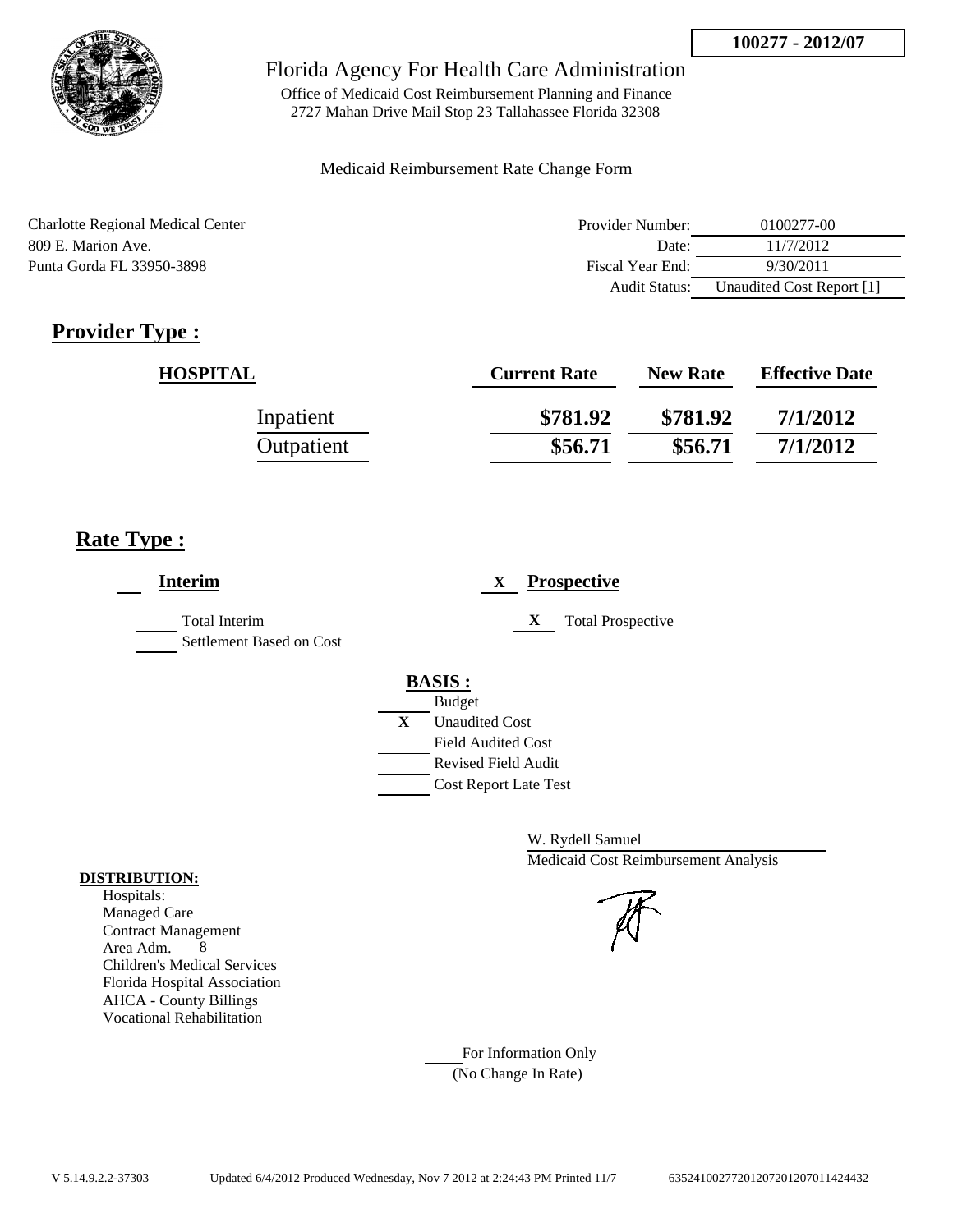

Office of Medicaid Cost Reimbursement Planning and Finance 2727 Mahan Drive Mail Stop 23 Tallahassee Florida 32308

### Medicaid Reimbursement Rate Change Form

| Charlotte Regional Medical Center | Provider Number: | 0100277-00                |
|-----------------------------------|------------------|---------------------------|
| 809 E. Marion Ave.                | Date:            | 11/7/2012                 |
| Punta Gorda FL 33950-3898         | Fiscal Year End: | 9/30/2011                 |
|                                   | Audit Status:    | Unaudited Cost Report [1] |

# **Provider Type :**

| <b>HOSPITAL</b> | <b>Current Rate</b> | <b>New Rate</b> | <b>Effective Date</b> |
|-----------------|---------------------|-----------------|-----------------------|
| Inpatient       | \$781.92            | \$781.92        | 7/1/2012              |
| Outpatient      | \$56.71             | \$56.71         | 7/1/2012              |

# **Rate Type :**

| <b>Interim</b>                                   | <b>Prospective</b><br>X       |
|--------------------------------------------------|-------------------------------|
| <b>Total Interim</b><br>Settlement Based on Cost | X<br><b>Total Prospective</b> |
|                                                  | <b>BASIS:</b>                 |
|                                                  | <b>Budget</b>                 |
|                                                  | X<br><b>Unaudited Cost</b>    |
|                                                  | <b>Field Audited Cost</b>     |
|                                                  | <b>Revised Field Audit</b>    |
|                                                  | <b>Cost Report Late Test</b>  |
|                                                  |                               |

W. Rydell Samuel Medicaid Cost Reimbursement Analysis

### **DISTRIBUTION:** Hospitals:

Managed Care Contract Management Area Adm. 8 Children's Medical Services Florida Hospital Association AHCA - County Billings Vocational Rehabilitation

> For Information Only (No Change In Rate)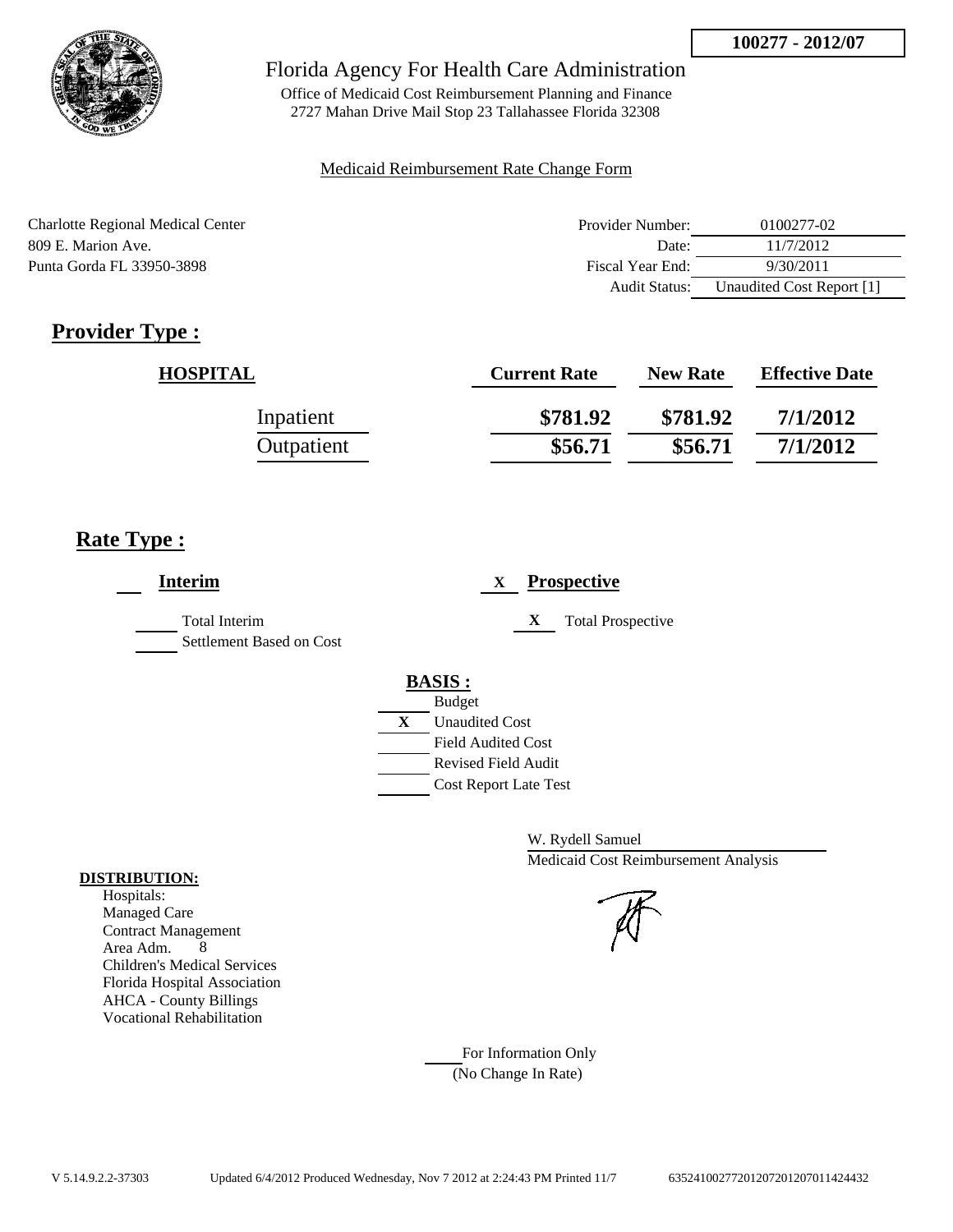

Office of Medicaid Cost Reimbursement Planning and Finance 2727 Mahan Drive Mail Stop 23 Tallahassee Florida 32308

### Medicaid Reimbursement Rate Change Form

| Charlotte Regional Medical Center | Provider Number: | 0100277-02                |
|-----------------------------------|------------------|---------------------------|
| 809 E. Marion Ave.                | Date:            | 11/7/2012                 |
| Punta Gorda FL 33950-3898         | Fiscal Year End: | 9/30/2011                 |
|                                   | Audit Status:    | Unaudited Cost Report [1] |

# **Provider Type :**

| <b>HOSPITAL</b> | <b>Current Rate</b> | <b>New Rate</b> | <b>Effective Date</b> |
|-----------------|---------------------|-----------------|-----------------------|
| Inpatient       | \$781.92            | \$781.92        | 7/1/2012              |
| Outpatient      | \$56.71             | \$56.71         | 7/1/2012              |

# **Rate Type :**

| <b>Interim</b>                            | <b>Prospective</b><br>X       |
|-------------------------------------------|-------------------------------|
| Total Interim<br>Settlement Based on Cost | X<br><b>Total Prospective</b> |
|                                           | <b>BASIS:</b>                 |
|                                           | <b>Budget</b>                 |
|                                           | X<br><b>Unaudited Cost</b>    |
|                                           | <b>Field Audited Cost</b>     |
|                                           | <b>Revised Field Audit</b>    |
|                                           | <b>Cost Report Late Test</b>  |
|                                           |                               |

W. Rydell Samuel Medicaid Cost Reimbursement Analysis

For Information Only (No Change In Rate)

### **DISTRIBUTION:**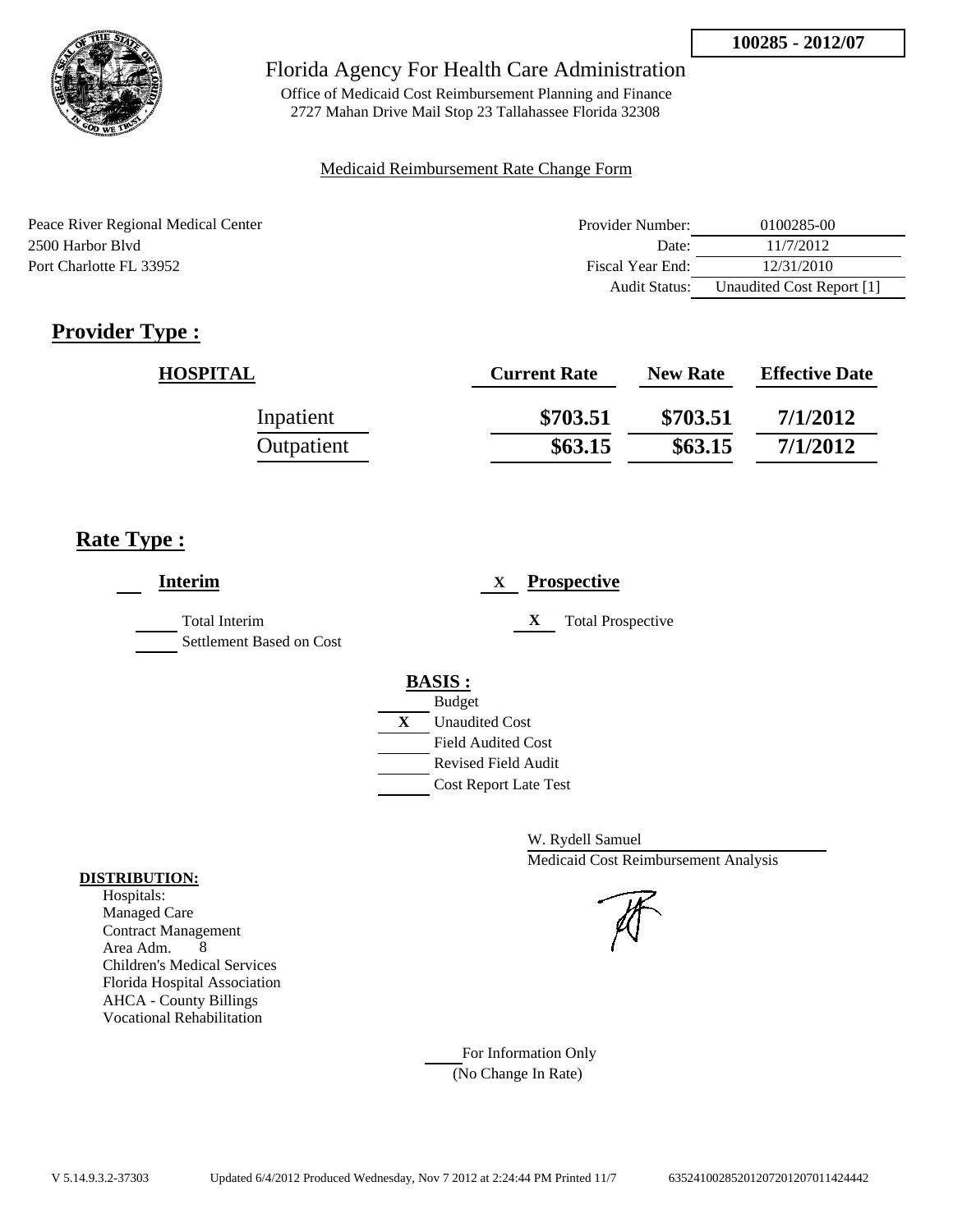

Office of Medicaid Cost Reimbursement Planning and Finance 2727 Mahan Drive Mail Stop 23 Tallahassee Florida 32308

### Medicaid Reimbursement Rate Change Form

| Peace River Regional Medical Center | Provider Number:     | 0100285-00                |
|-------------------------------------|----------------------|---------------------------|
| 2500 Harbor Blyd                    | Date:                | 11/7/2012                 |
| Port Charlotte FL 33952             | Fiscal Year End:     | 12/31/2010                |
|                                     | <b>Audit Status:</b> | Unaudited Cost Report [1] |

# **Provider Type :**

| <b>HOSPITAL</b> | <b>Current Rate</b> | <b>New Rate</b> | <b>Effective Date</b> |
|-----------------|---------------------|-----------------|-----------------------|
| Inpatient       | \$703.51            | \$703.51        | 7/1/2012              |
| Outpatient      | \$63.15             | \$63.15         | 7/1/2012              |

# **Rate Type :**

| <b>Interim</b>                                   | <b>Prospective</b><br>X       |
|--------------------------------------------------|-------------------------------|
| <b>Total Interim</b><br>Settlement Based on Cost | X<br><b>Total Prospective</b> |
|                                                  | <b>BASIS:</b>                 |
|                                                  | <b>Budget</b>                 |
|                                                  | X<br><b>Unaudited Cost</b>    |
|                                                  | <b>Field Audited Cost</b>     |
|                                                  | <b>Revised Field Audit</b>    |
|                                                  | <b>Cost Report Late Test</b>  |
|                                                  |                               |

W. Rydell Samuel Medicaid Cost Reimbursement Analysis

For Information Only (No Change In Rate)

### **DISTRIBUTION:**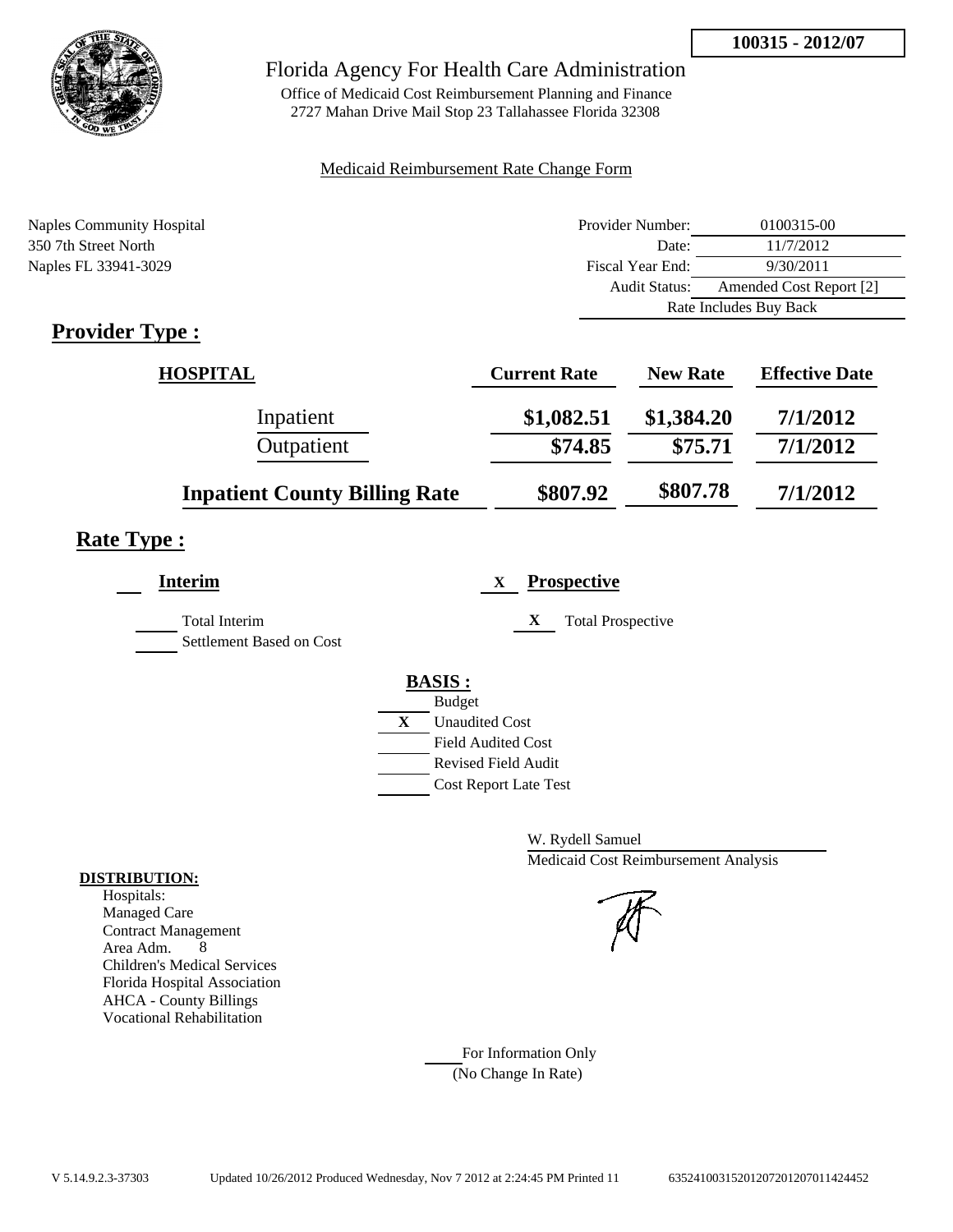

Office of Medicaid Cost Reimbursement Planning and Finance 2727 Mahan Drive Mail Stop 23 Tallahassee Florida 32308

### Medicaid Reimbursement Rate Change Form

| <b>Naples Community Hospital</b> | Provider Number:     | 0100315-00              |
|----------------------------------|----------------------|-------------------------|
| 350 7th Street North             | Date:                | 11/7/2012               |
| Naples FL 33941-3029             | Fiscal Year End:     | 9/30/2011               |
|                                  | <b>Audit Status:</b> | Amended Cost Report [2] |
|                                  |                      | Rate Includes Buy Back  |
|                                  |                      |                         |

# **Provider Type :**

| <b>HOSPITAL</b>                      | <b>Current Rate</b> | <b>New Rate</b> | <b>Effective Date</b> |
|--------------------------------------|---------------------|-----------------|-----------------------|
| Inpatient                            | \$1,082.51          | \$1,384.20      | 7/1/2012              |
| Outpatient                           | \$74.85             | \$75.71         | 7/1/2012              |
| <b>Inpatient County Billing Rate</b> | \$807.92            | \$807.78        | 7/1/2012              |

# **Rate Type :**

| <b>Interim</b>                                   | <b>Prospective</b><br>X       |
|--------------------------------------------------|-------------------------------|
| <b>Total Interim</b><br>Settlement Based on Cost | X<br><b>Total Prospective</b> |
|                                                  | <b>BASIS:</b>                 |
|                                                  | <b>Budget</b>                 |
|                                                  | X<br><b>Unaudited Cost</b>    |
|                                                  | <b>Field Audited Cost</b>     |
|                                                  | Revised Field Audit           |
|                                                  | <b>Cost Report Late Test</b>  |
|                                                  |                               |

W. Rydell Samuel Medicaid Cost Reimbursement Analysis

For Information Only (No Change In Rate)

### **DISTRIBUTION:**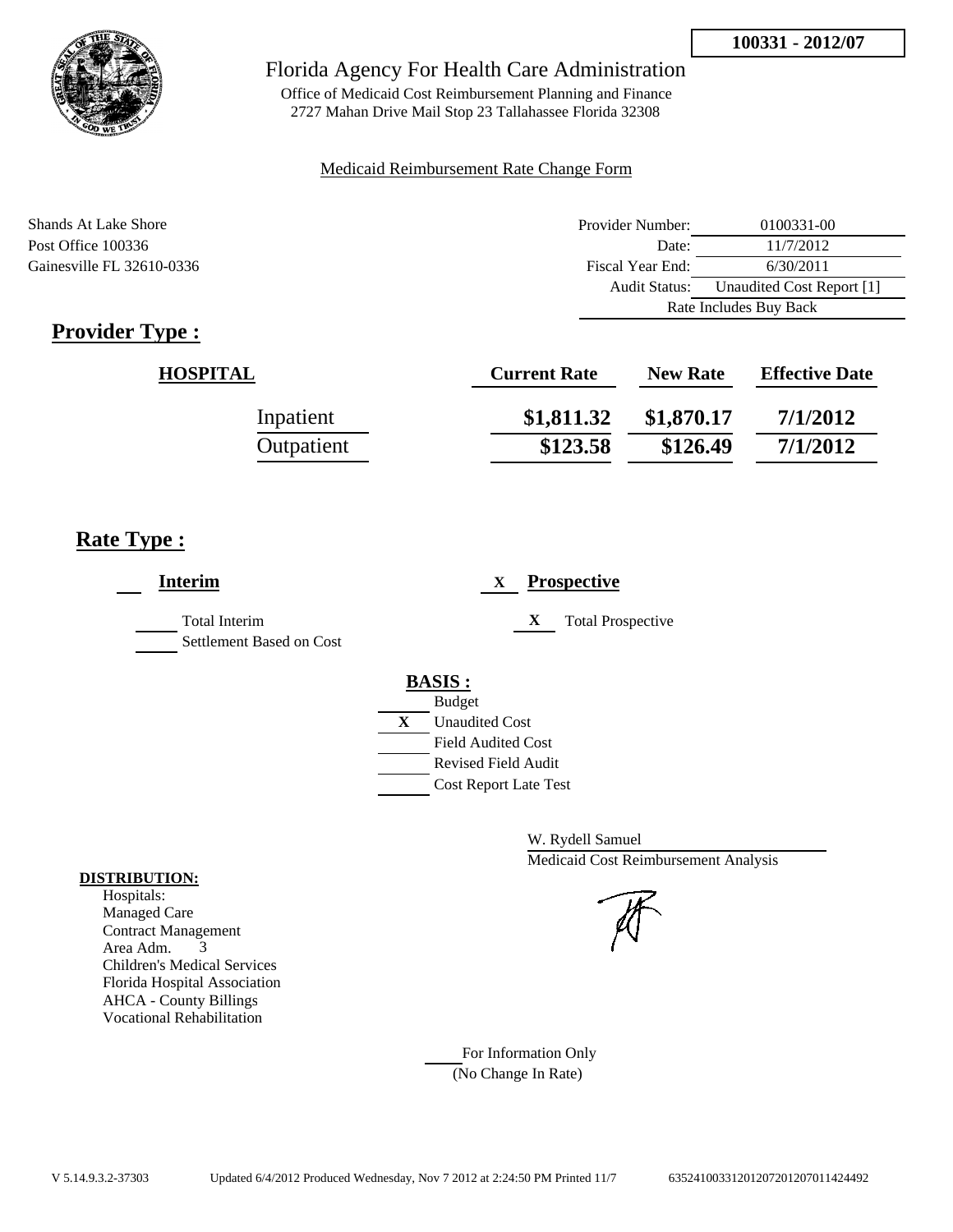

Office of Medicaid Cost Reimbursement Planning and Finance 2727 Mahan Drive Mail Stop 23 Tallahassee Florida 32308

### Medicaid Reimbursement Rate Change Form

| Shands At Lake Shore      | Provider Number:     | 0100331-00                |
|---------------------------|----------------------|---------------------------|
| Post Office 100336        | Date:                | 11/7/2012                 |
| Gainesville FL 32610-0336 | Fiscal Year End:     | 6/30/2011                 |
|                           | <b>Audit Status:</b> | Unaudited Cost Report [1] |
|                           |                      | Rate Includes Buy Back    |

# **Provider Type :**

| <b>HOSPITAL</b> | <b>Current Rate</b> | <b>New Rate</b> | <b>Effective Date</b> |
|-----------------|---------------------|-----------------|-----------------------|
| Inpatient       | \$1,811.32          | \$1,870.17      | 7/1/2012              |
| Outpatient      | \$123.58            | \$126.49        | 7/1/2012              |

# **Rate Type :**

| <b>Interim</b>                                   | <b>Prospective</b><br>$\mathbf{X}$          |
|--------------------------------------------------|---------------------------------------------|
| <b>Total Interim</b><br>Settlement Based on Cost | X<br><b>Total Prospective</b>               |
|                                                  | <b>BASIS:</b>                               |
|                                                  | <b>Budget</b><br>X<br><b>Unaudited Cost</b> |
|                                                  | <b>Field Audited Cost</b>                   |
|                                                  | <b>Revised Field Audit</b>                  |
|                                                  | <b>Cost Report Late Test</b>                |

W. Rydell Samuel Medicaid Cost Reimbursement Analysis

### For Information Only (No Change In Rate)

#### **DISTRIBUTION:**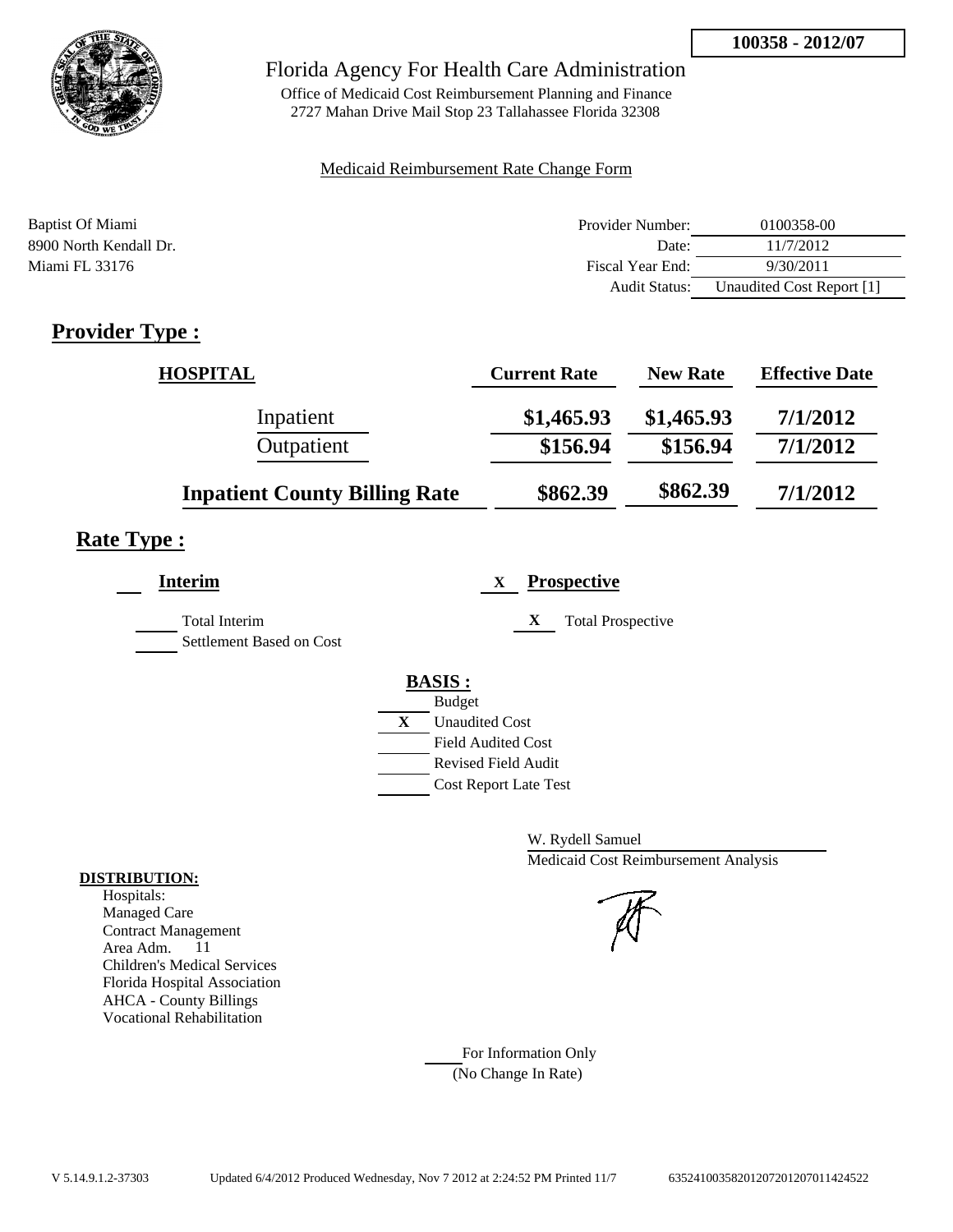

Office of Medicaid Cost Reimbursement Planning and Finance 2727 Mahan Drive Mail Stop 23 Tallahassee Florida 32308

#### Medicaid Reimbursement Rate Change Form

| Baptist Of Miami       | Provider Number:     | 0100358-00                |
|------------------------|----------------------|---------------------------|
| 8900 North Kendall Dr. | Date:                | 11/7/2012                 |
| Miami FL 33176         | Fiscal Year End:     | 9/30/2011                 |
|                        | <b>Audit Status:</b> | Unaudited Cost Report [1] |

# **Provider Type :**

| <b>HOSPITAL</b>                      | <b>Current Rate</b> | <b>New Rate</b> | <b>Effective Date</b> |
|--------------------------------------|---------------------|-----------------|-----------------------|
| Inpatient                            | \$1,465.93          | \$1,465.93      | 7/1/2012              |
| Outpatient                           | \$156.94            | \$156.94        | 7/1/2012              |
| <b>Inpatient County Billing Rate</b> | \$862.39            | \$862.39        | 7/1/2012              |

### **Rate Type :**

| <b>Interim</b>                            | <b>Prospective</b><br>X       |
|-------------------------------------------|-------------------------------|
| Total Interim<br>Settlement Based on Cost | X<br><b>Total Prospective</b> |
|                                           | <b>BASIS:</b>                 |
|                                           | <b>Budget</b>                 |
|                                           | X<br><b>Unaudited Cost</b>    |
|                                           | <b>Field Audited Cost</b>     |
|                                           | <b>Revised Field Audit</b>    |
|                                           | <b>Cost Report Late Test</b>  |
|                                           |                               |

W. Rydell Samuel Medicaid Cost Reimbursement Analysis

For Information Only (No Change In Rate)

### **DISTRIBUTION:**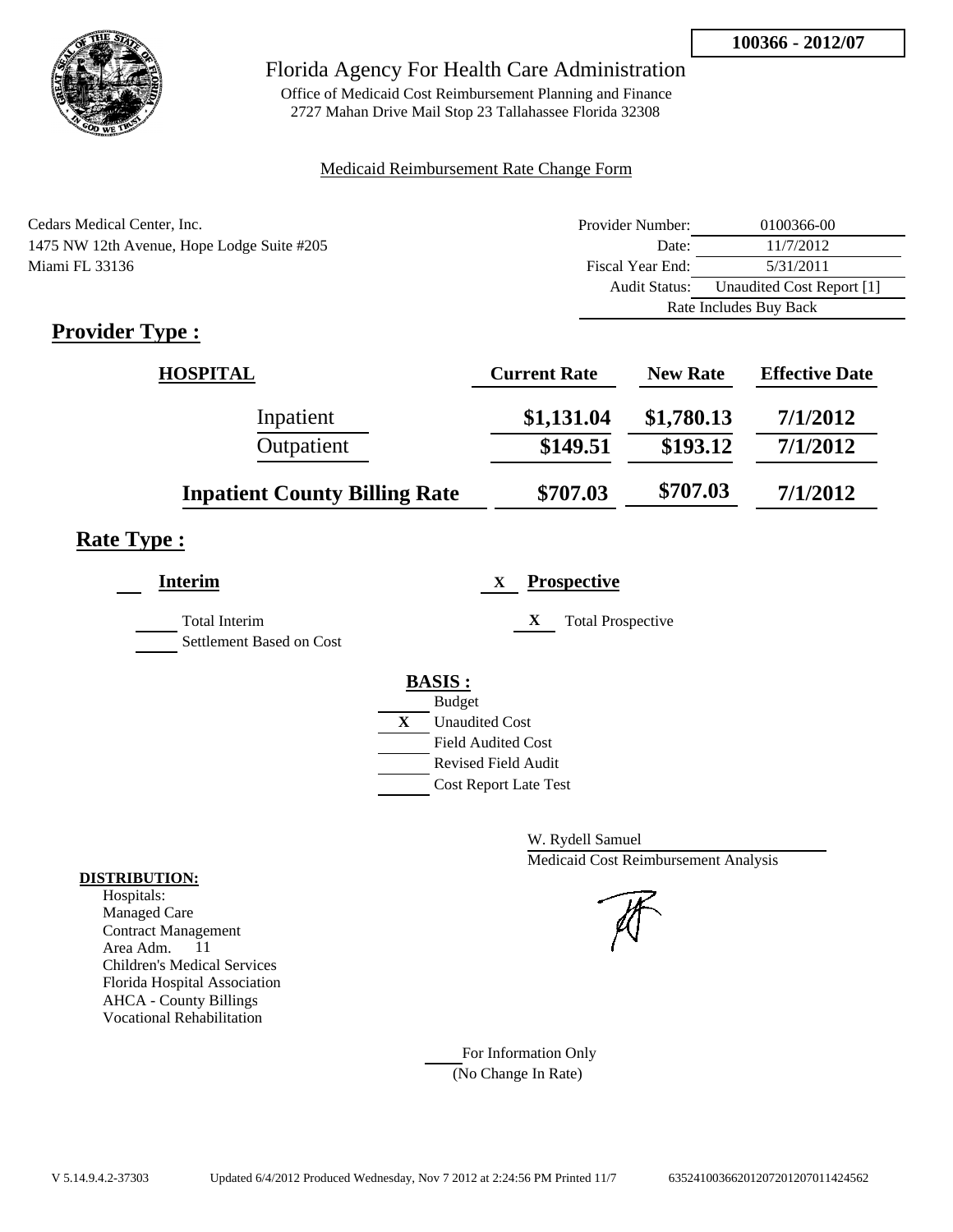

Office of Medicaid Cost Reimbursement Planning and Finance 2727 Mahan Drive Mail Stop 23 Tallahassee Florida 32308

#### Medicaid Reimbursement Rate Change Form

| Cedars Medical Center, Inc.                | Provider Number:     | 0100366-00                |
|--------------------------------------------|----------------------|---------------------------|
| 1475 NW 12th Avenue, Hope Lodge Suite #205 | Date:                | 11/7/2012                 |
| Miami FL 33136                             | Fiscal Year End:     | 5/31/2011                 |
|                                            | <b>Audit Status:</b> | Unaudited Cost Report [1] |
|                                            |                      | Rate Includes Buy Back    |

# **Provider Type :**

| <b>HOSPITAL</b>                      | <b>Current Rate</b> | <b>New Rate</b> | <b>Effective Date</b> |
|--------------------------------------|---------------------|-----------------|-----------------------|
| Inpatient                            | \$1,131.04          | \$1,780.13      | 7/1/2012              |
| Outpatient                           | \$149.51            | \$193.12        | 7/1/2012              |
| <b>Inpatient County Billing Rate</b> | \$707.03            | \$707.03        | 7/1/2012              |

### **Rate Type :**

| <b>Interim</b>                                   | <b>Prospective</b><br>X       |
|--------------------------------------------------|-------------------------------|
| <b>Total Interim</b><br>Settlement Based on Cost | X<br><b>Total Prospective</b> |
|                                                  | <b>BASIS:</b>                 |
|                                                  | <b>Budget</b>                 |
|                                                  | X<br><b>Unaudited Cost</b>    |
|                                                  | <b>Field Audited Cost</b>     |
|                                                  | <b>Revised Field Audit</b>    |
|                                                  | <b>Cost Report Late Test</b>  |
|                                                  |                               |

W. Rydell Samuel Medicaid Cost Reimbursement Analysis

For Information Only (No Change In Rate)

#### **DISTRIBUTION:**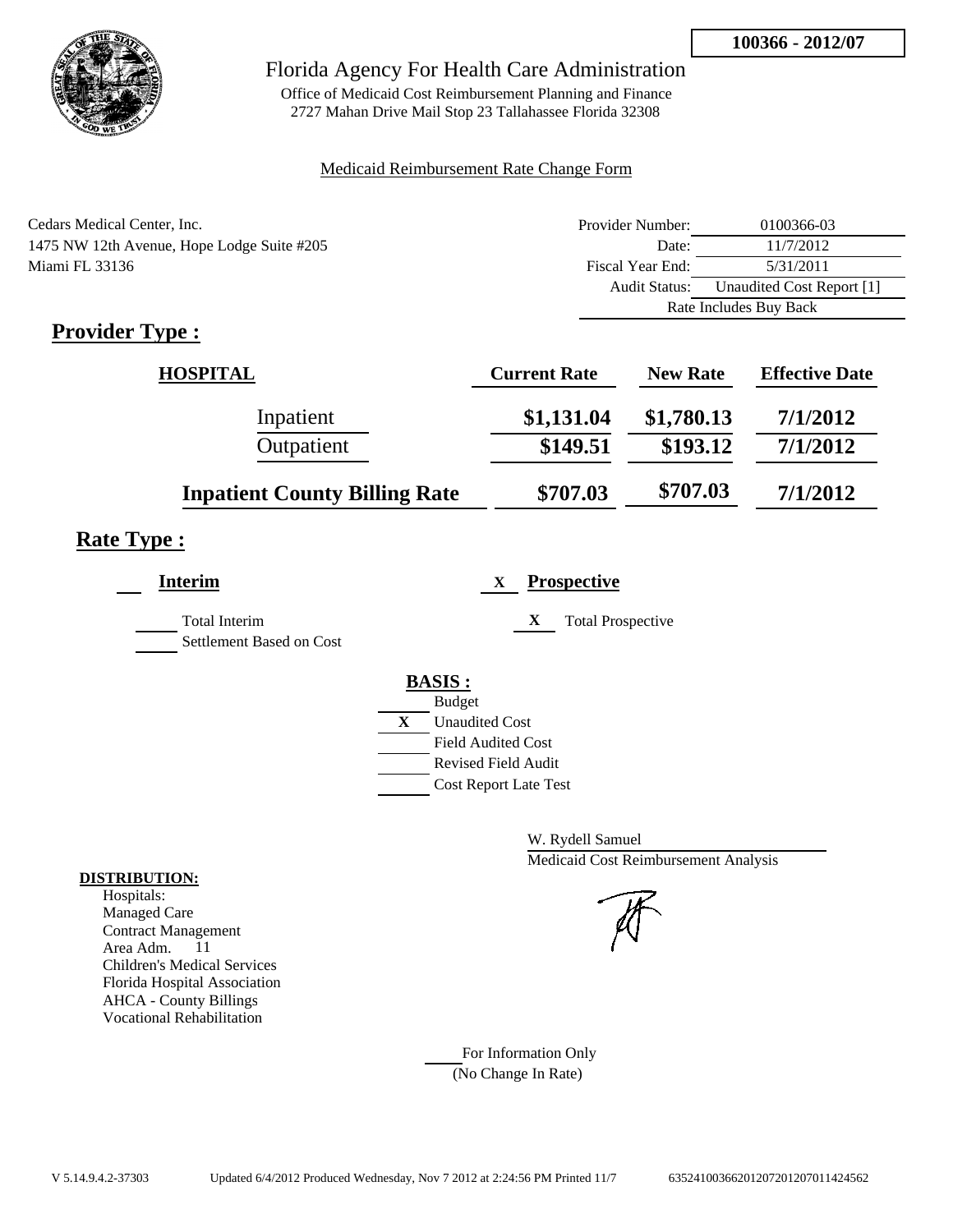

Office of Medicaid Cost Reimbursement Planning and Finance 2727 Mahan Drive Mail Stop 23 Tallahassee Florida 32308

#### Medicaid Reimbursement Rate Change Form

| Cedars Medical Center, Inc.                | Provider Number:     | 0100366-03                |
|--------------------------------------------|----------------------|---------------------------|
| 1475 NW 12th Avenue, Hope Lodge Suite #205 | Date:                | 11/7/2012                 |
| Miami FL 33136                             | Fiscal Year End:     | 5/31/2011                 |
|                                            | <b>Audit Status:</b> | Unaudited Cost Report [1] |
|                                            |                      | Rate Includes Buy Back    |

# **Provider Type :**

| <b>HOSPITAL</b>                      | <b>Current Rate</b> | <b>New Rate</b> | <b>Effective Date</b> |
|--------------------------------------|---------------------|-----------------|-----------------------|
| Inpatient                            | \$1,131.04          | \$1,780.13      | 7/1/2012              |
| Outpatient                           | \$149.51            | \$193.12        | 7/1/2012              |
| <b>Inpatient County Billing Rate</b> | \$707.03            | \$707.03        | 7/1/2012              |

### **Rate Type :**

| <b>Interim</b>                                   | <b>Prospective</b>            |
|--------------------------------------------------|-------------------------------|
| <b>Total Interim</b><br>Settlement Based on Cost | X<br><b>Total Prospective</b> |
|                                                  | <b>BASIS:</b>                 |
|                                                  | <b>Budget</b>                 |
|                                                  | X<br><b>Unaudited Cost</b>    |
|                                                  | <b>Field Audited Cost</b>     |
|                                                  | <b>Revised Field Audit</b>    |
|                                                  | <b>Cost Report Late Test</b>  |
|                                                  |                               |

W. Rydell Samuel Medicaid Cost Reimbursement Analysis

For Information Only (No Change In Rate)

#### **DISTRIBUTION:**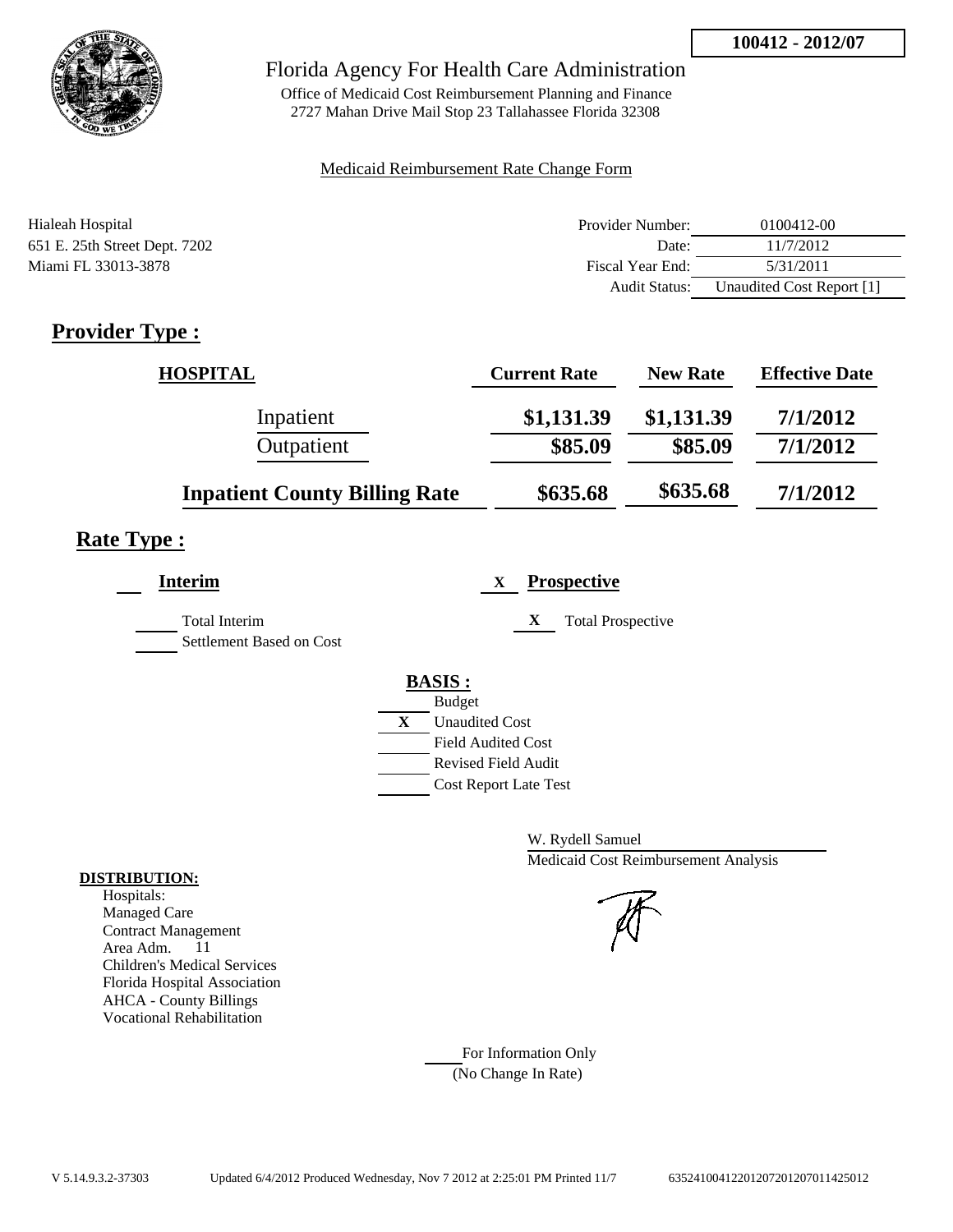

Office of Medicaid Cost Reimbursement Planning and Finance 2727 Mahan Drive Mail Stop 23 Tallahassee Florida 32308

#### Medicaid Reimbursement Rate Change Form

| Hialeah Hospital              | Provider Number: | 0100412-00                |
|-------------------------------|------------------|---------------------------|
| 651 E. 25th Street Dept. 7202 | Date:            | 11/7/2012                 |
| Miami FL 33013-3878           | Fiscal Year End: | 5/31/2011                 |
|                               | Audit Status:    | Unaudited Cost Report [1] |

# **Provider Type :**

| <b>HOSPITAL</b>                      | <b>Current Rate</b> | <b>New Rate</b> | <b>Effective Date</b> |
|--------------------------------------|---------------------|-----------------|-----------------------|
| Inpatient                            | \$1,131.39          | \$1,131.39      | 7/1/2012              |
| Outpatient                           | \$85.09             | \$85.09         | 7/1/2012              |
| <b>Inpatient County Billing Rate</b> | \$635.68            | \$635.68        | 7/1/2012              |

# **Rate Type :**

| <b>Interim</b>                            | <b>Prospective</b><br>X                          |
|-------------------------------------------|--------------------------------------------------|
| Total Interim<br>Settlement Based on Cost | <b>Total Prospective</b><br>X                    |
|                                           | <b>BASIS:</b><br><b>Budget</b>                   |
|                                           | $\mathbf{X}$<br><b>Unaudited Cost</b>            |
|                                           | <b>Field Audited Cost</b><br>Revised Field Audit |
|                                           | <b>Cost Report Late Test</b>                     |

W. Rydell Samuel Medicaid Cost Reimbursement Analysis

For Information Only (No Change In Rate)

#### **DISTRIBUTION:**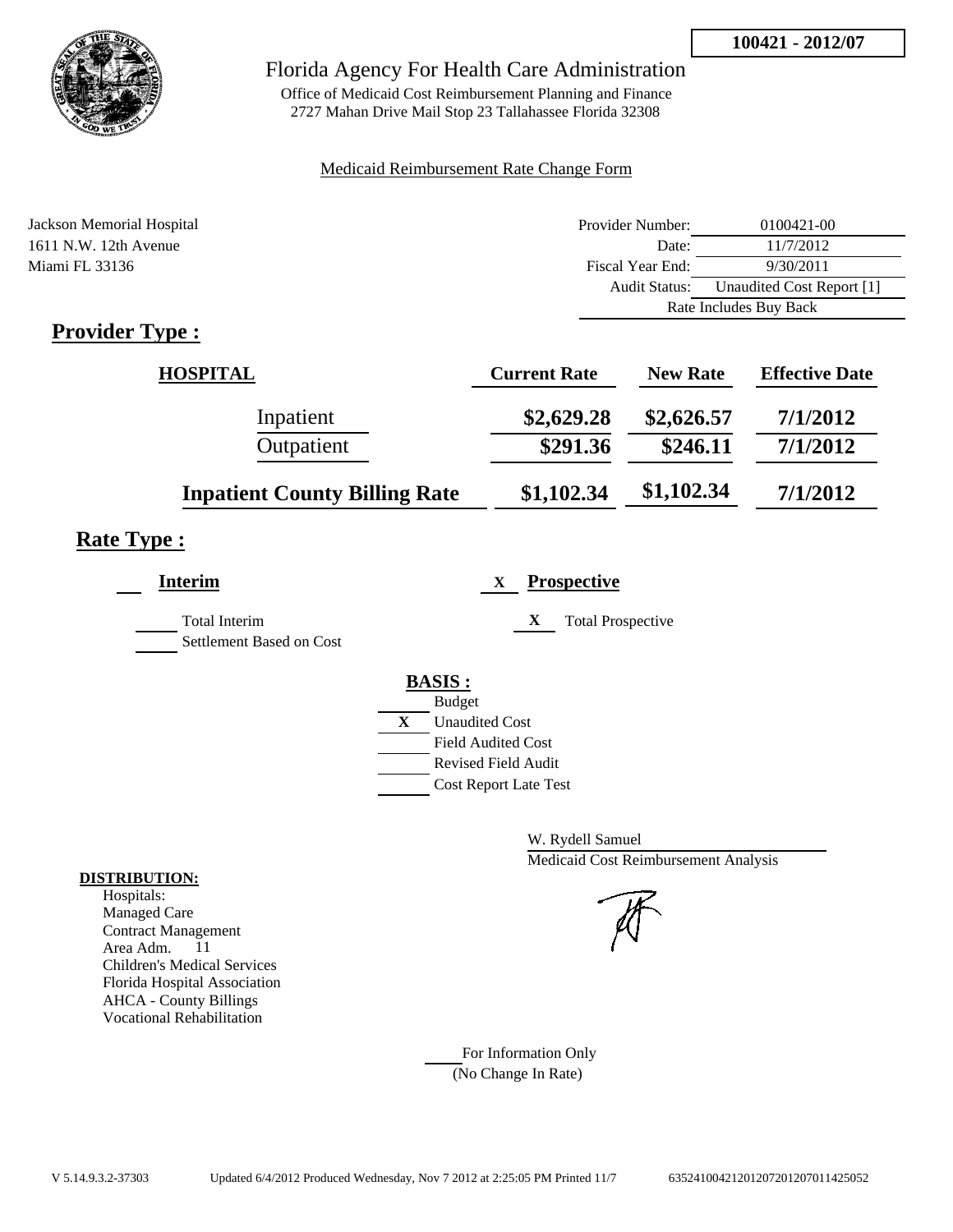

Office of Medicaid Cost Reimbursement Planning and Finance 2727 Mahan Drive Mail Stop 23 Tallahassee Florida 32308

#### Medicaid Reimbursement Rate Change Form

| Jackson Memorial Hospital                                                                                                                                                                                                                                                                                                                                                         | Provider Number: | 0100421-00                |
|-----------------------------------------------------------------------------------------------------------------------------------------------------------------------------------------------------------------------------------------------------------------------------------------------------------------------------------------------------------------------------------|------------------|---------------------------|
| 1611 N.W. 12th Avenue                                                                                                                                                                                                                                                                                                                                                             | Date:            | 11/7/2012                 |
| Miami FL 33136                                                                                                                                                                                                                                                                                                                                                                    | Fiscal Year End: | 9/30/2011                 |
|                                                                                                                                                                                                                                                                                                                                                                                   | Audit Status:    | Unaudited Cost Report [1] |
|                                                                                                                                                                                                                                                                                                                                                                                   |                  | Rate Includes Buy Back    |
| $\mathbf{n}$ . $\mathbf{1}$ . $\mathbf{n}$ . $\mathbf{n}$ . $\mathbf{n}$ . $\mathbf{n}$ . $\mathbf{n}$ . $\mathbf{n}$ . $\mathbf{n}$ . $\mathbf{n}$ . $\mathbf{n}$ . $\mathbf{n}$ . $\mathbf{n}$ . $\mathbf{n}$ . $\mathbf{n}$ . $\mathbf{n}$ . $\mathbf{n}$ . $\mathbf{n}$ . $\mathbf{n}$ . $\mathbf{n}$ . $\mathbf{n}$ . $\mathbf{n}$ . $\mathbf{n}$ . $\mathbf{n}$ . $\mathbf$ |                  |                           |

### **Provider Type :**

| <b>HOSPITAL</b>                      | <b>Current Rate</b> | <b>New Rate</b> | <b>Effective Date</b> |
|--------------------------------------|---------------------|-----------------|-----------------------|
| Inpatient                            | \$2,629.28          | \$2,626.57      | 7/1/2012              |
| Outpatient                           | \$291.36            | \$246.11        | 7/1/2012              |
| <b>Inpatient County Billing Rate</b> | \$1,102.34          | \$1,102.34      | 7/1/2012              |

# **Rate Type :**

| <b>Interim</b>                            | <b>Prospective</b><br>X                                                                 |
|-------------------------------------------|-----------------------------------------------------------------------------------------|
| Total Interim<br>Settlement Based on Cost | X<br><b>Total Prospective</b>                                                           |
|                                           | <b>BASIS:</b><br><b>Budget</b><br>X<br><b>Unaudited Cost</b>                            |
|                                           | <b>Field Audited Cost</b><br><b>Revised Field Audit</b><br><b>Cost Report Late Test</b> |

W. Rydell Samuel Medicaid Cost Reimbursement Analysis

For Information Only (No Change In Rate)

#### **DISTRIBUTION:**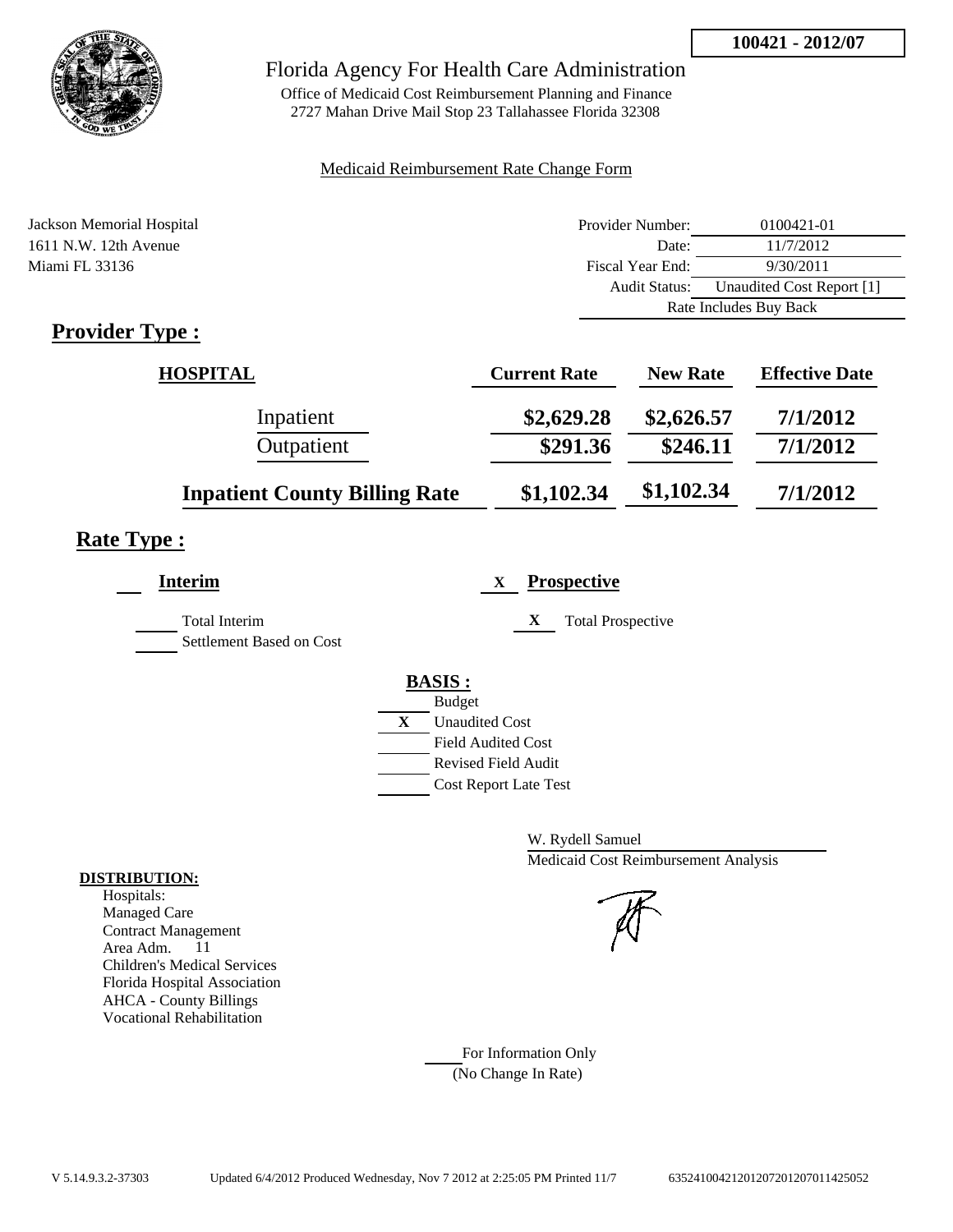

Office of Medicaid Cost Reimbursement Planning and Finance 2727 Mahan Drive Mail Stop 23 Tallahassee Florida 32308

#### Medicaid Reimbursement Rate Change Form

| Jackson Memorial Hospital                                 | Provider Number: | 0100421-01                |
|-----------------------------------------------------------|------------------|---------------------------|
| 1611 N.W. 12th Avenue                                     | Date:            | 11/7/2012                 |
| Miami FL 33136                                            | Fiscal Year End: | 9/30/2011                 |
|                                                           | Audit Status:    | Unaudited Cost Report [1] |
|                                                           |                  | Rate Includes Buy Back    |
| $\mathbf{D}_{\text{model}}$ , $\mathbf{D}_{\text{model}}$ |                  |                           |

### **Provider Type :**

| <b>HOSPITAL</b>                      | <b>Current Rate</b> | <b>New Rate</b> | <b>Effective Date</b> |
|--------------------------------------|---------------------|-----------------|-----------------------|
| Inpatient                            | \$2,629.28          | \$2,626.57      | 7/1/2012              |
| Outpatient                           | \$291.36            | \$246.11        | 7/1/2012              |
| <b>Inpatient County Billing Rate</b> | \$1,102.34          | \$1,102.34      | 7/1/2012              |

# **Rate Type :**

| Interim                                          | <b>Prospective</b><br>X                                                                                                                                 |
|--------------------------------------------------|---------------------------------------------------------------------------------------------------------------------------------------------------------|
| <b>Total Interim</b><br>Settlement Based on Cost | X<br><b>Total Prospective</b>                                                                                                                           |
|                                                  | <b>BASIS:</b><br><b>Budget</b><br>X<br><b>Unaudited Cost</b><br><b>Field Audited Cost</b><br><b>Revised Field Audit</b><br><b>Cost Report Late Test</b> |

W. Rydell Samuel Medicaid Cost Reimbursement Analysis

For Information Only (No Change In Rate)

#### **DISTRIBUTION:**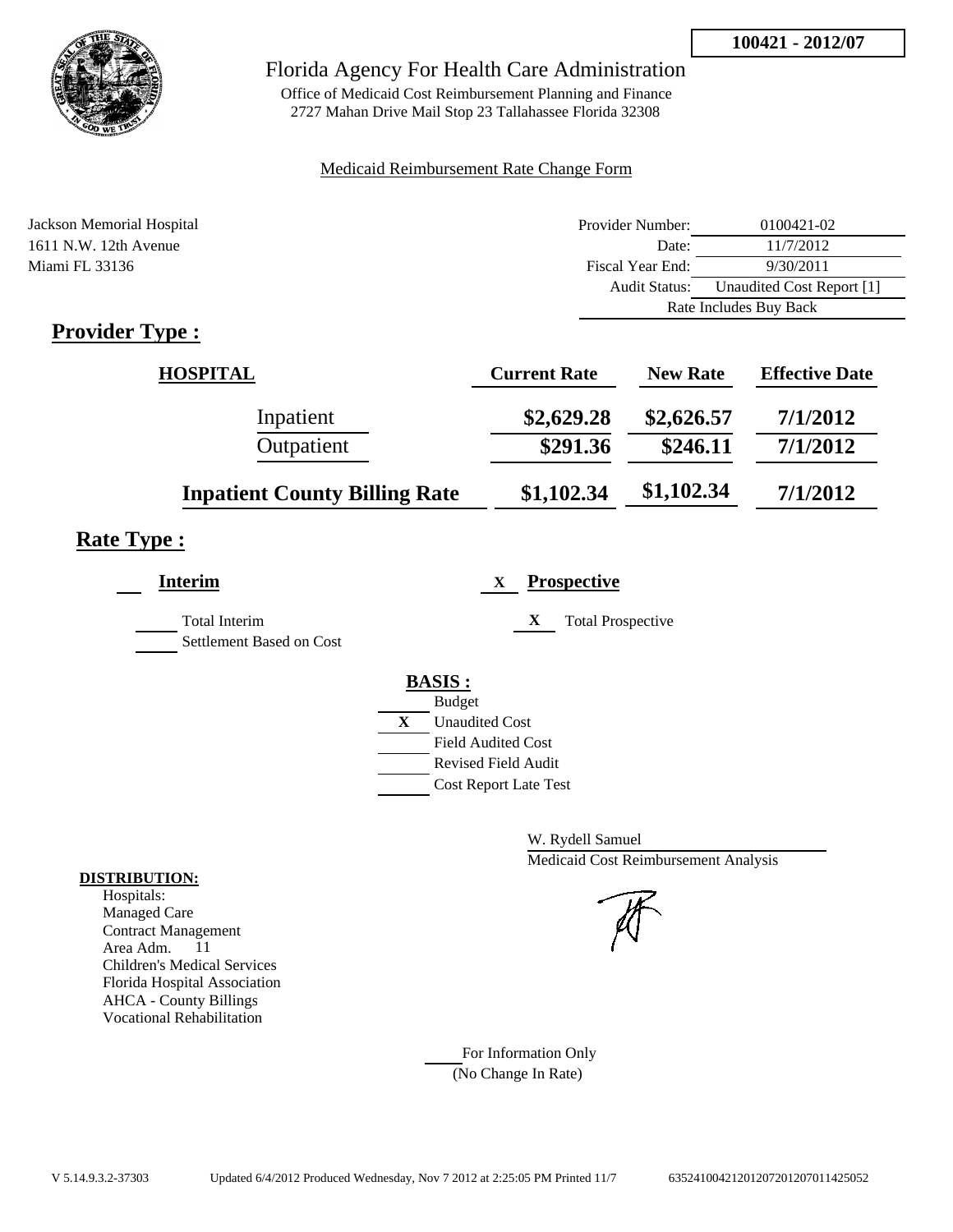

Office of Medicaid Cost Reimbursement Planning and Finance 2727 Mahan Drive Mail Stop 23 Tallahassee Florida 32308

#### Medicaid Reimbursement Rate Change Form

| Jackson Memorial Hospital   | Provider Number: | 0100421-02                |
|-----------------------------|------------------|---------------------------|
| 1611 N.W. 12th Avenue       | Date:            | 11/7/2012                 |
| Miami FL 33136              | Fiscal Year End: | 9/30/2011                 |
|                             | Audit Status:    | Unaudited Cost Report [1] |
|                             |                  | Rate Includes Buy Back    |
| $\mathbf{D}_{\text{model}}$ |                  |                           |

### **Provider Type :**

| <b>HOSPITAL</b>                      | <b>Current Rate</b> | <b>New Rate</b> | <b>Effective Date</b> |
|--------------------------------------|---------------------|-----------------|-----------------------|
| Inpatient                            | \$2,629.28          | \$2,626.57      | 7/1/2012              |
| Outpatient                           | \$291.36            | \$246.11        | 7/1/2012              |
| <b>Inpatient County Billing Rate</b> | \$1,102.34          | \$1,102.34      | 7/1/2012              |

# **Rate Type :**

| Interim                                          | <b>Prospective</b><br>X                                                                                                                                 |
|--------------------------------------------------|---------------------------------------------------------------------------------------------------------------------------------------------------------|
| <b>Total Interim</b><br>Settlement Based on Cost | X<br><b>Total Prospective</b>                                                                                                                           |
|                                                  | <b>BASIS:</b><br><b>Budget</b><br>X<br><b>Unaudited Cost</b><br><b>Field Audited Cost</b><br><b>Revised Field Audit</b><br><b>Cost Report Late Test</b> |

W. Rydell Samuel Medicaid Cost Reimbursement Analysis

For Information Only (No Change In Rate)

#### **DISTRIBUTION:**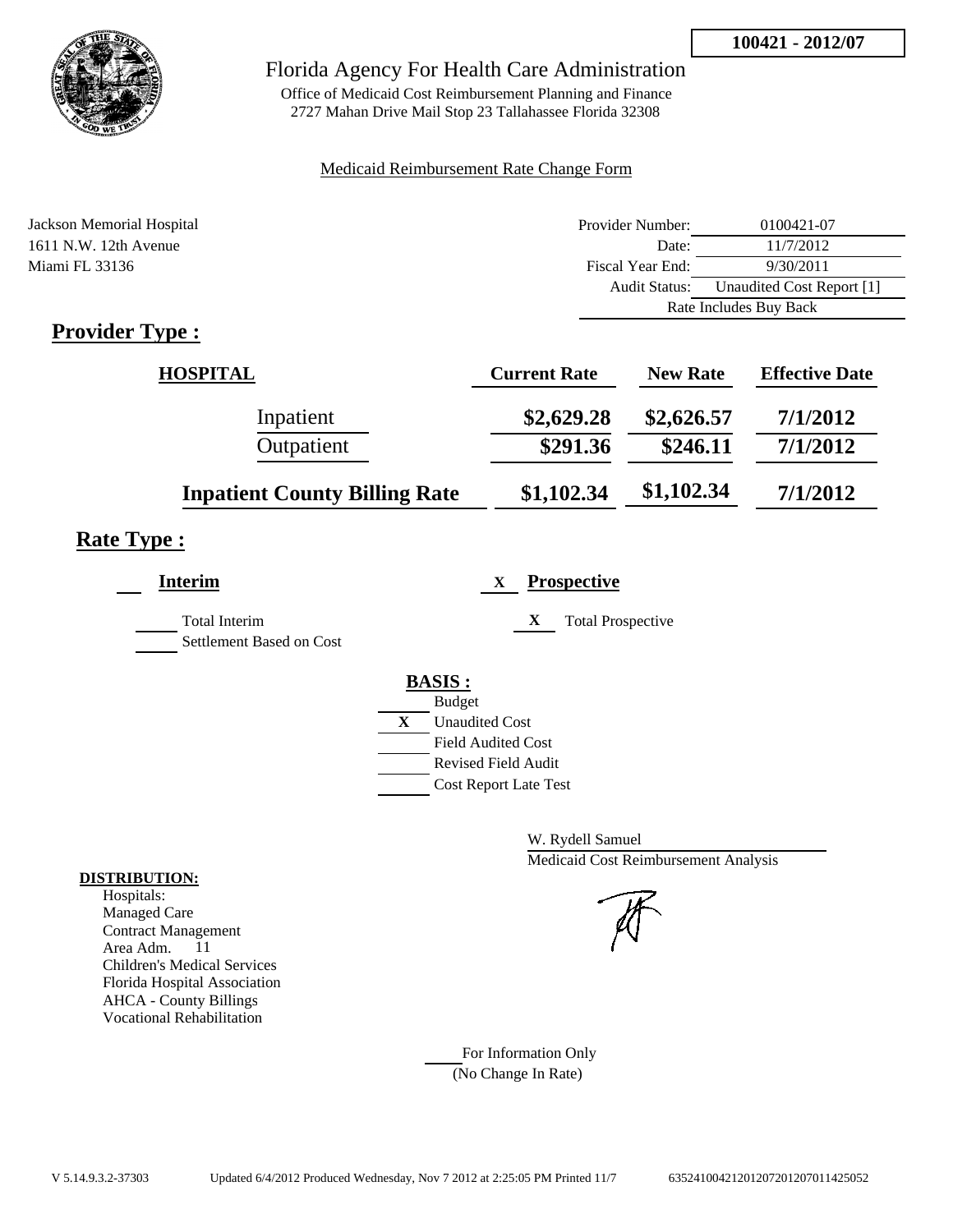

Office of Medicaid Cost Reimbursement Planning and Finance 2727 Mahan Drive Mail Stop 23 Tallahassee Florida 32308

#### Medicaid Reimbursement Rate Change Form

| Jackson Memorial Hospital   | Provider Number: | 0100421-07                |
|-----------------------------|------------------|---------------------------|
| 1611 N.W. 12th Avenue       | Date:            | 11/7/2012                 |
| Miami FL 33136              | Fiscal Year End: | 9/30/2011                 |
|                             | Audit Status:    | Unaudited Cost Report [1] |
|                             |                  | Rate Includes Buy Back    |
| $\mathbf{D}_{\text{model}}$ |                  |                           |

### **Provider Type :**

| <b>HOSPITAL</b>                      | <b>Current Rate</b> | <b>New Rate</b> | <b>Effective Date</b> |
|--------------------------------------|---------------------|-----------------|-----------------------|
| Inpatient                            | \$2,629.28          | \$2,626.57      | 7/1/2012              |
| Outpatient                           | \$291.36            | \$246.11        | 7/1/2012              |
| <b>Inpatient County Billing Rate</b> | \$1,102.34          | \$1,102.34      | 7/1/2012              |

# **Rate Type :**

| Interim                                          | <b>Prospective</b><br>X                                                                                                                                 |
|--------------------------------------------------|---------------------------------------------------------------------------------------------------------------------------------------------------------|
| <b>Total Interim</b><br>Settlement Based on Cost | X<br><b>Total Prospective</b>                                                                                                                           |
|                                                  | <b>BASIS:</b><br><b>Budget</b><br>X<br><b>Unaudited Cost</b><br><b>Field Audited Cost</b><br><b>Revised Field Audit</b><br><b>Cost Report Late Test</b> |

W. Rydell Samuel Medicaid Cost Reimbursement Analysis

For Information Only (No Change In Rate)

#### **DISTRIBUTION:**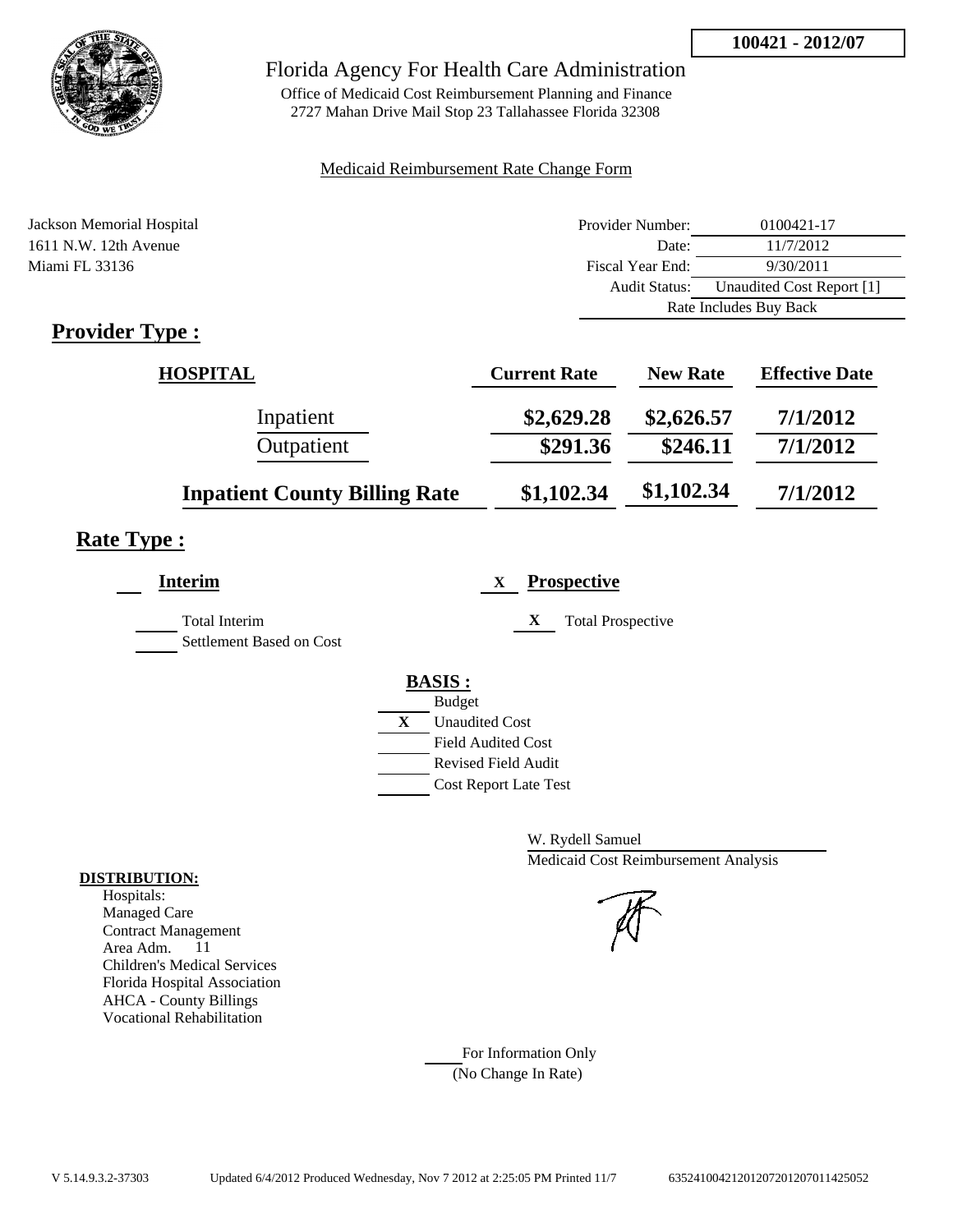

Office of Medicaid Cost Reimbursement Planning and Finance 2727 Mahan Drive Mail Stop 23 Tallahassee Florida 32308

#### Medicaid Reimbursement Rate Change Form

| Jackson Memorial Hospital                                 | Provider Number: | 0100421-17                |
|-----------------------------------------------------------|------------------|---------------------------|
| 1611 N.W. 12th Avenue                                     | Date:            | 11/7/2012                 |
| Miami FL 33136                                            | Fiscal Year End: | 9/30/2011                 |
|                                                           | Audit Status:    | Unaudited Cost Report [1] |
|                                                           |                  | Rate Includes Buy Back    |
| $\mathbf{D}_{\text{model}}$ , $\mathbf{D}_{\text{model}}$ |                  |                           |

### **Provider Type :**

| <b>HOSPITAL</b>                      | <b>Current Rate</b> | <b>New Rate</b> | <b>Effective Date</b> |
|--------------------------------------|---------------------|-----------------|-----------------------|
| Inpatient                            | \$2,629.28          | \$2,626.57      | 7/1/2012              |
| Outpatient                           | \$291.36            | \$246.11        | 7/1/2012              |
| <b>Inpatient County Billing Rate</b> | \$1,102.34          | \$1,102.34      | 7/1/2012              |

# **Rate Type :**

| Interim                                          | <b>Prospective</b><br>X                                                                                                                                 |
|--------------------------------------------------|---------------------------------------------------------------------------------------------------------------------------------------------------------|
| <b>Total Interim</b><br>Settlement Based on Cost | X<br><b>Total Prospective</b>                                                                                                                           |
|                                                  | <b>BASIS:</b><br><b>Budget</b><br>X<br><b>Unaudited Cost</b><br><b>Field Audited Cost</b><br><b>Revised Field Audit</b><br><b>Cost Report Late Test</b> |

W. Rydell Samuel Medicaid Cost Reimbursement Analysis

For Information Only (No Change In Rate)

#### **DISTRIBUTION:**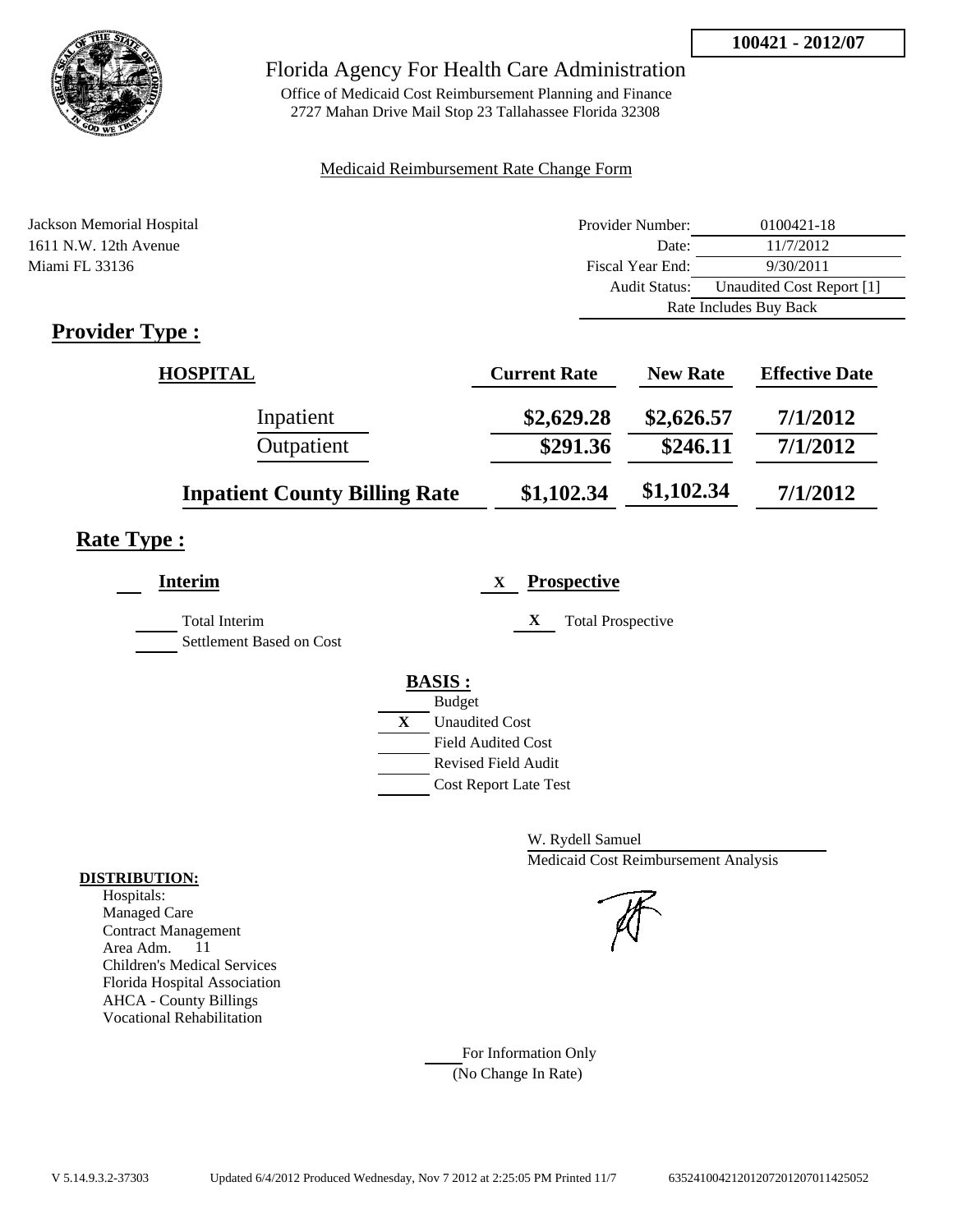

Office of Medicaid Cost Reimbursement Planning and Finance 2727 Mahan Drive Mail Stop 23 Tallahassee Florida 32308

#### Medicaid Reimbursement Rate Change Form

| Jackson Memorial Hospital                                 | Provider Number: | 0100421-18                |
|-----------------------------------------------------------|------------------|---------------------------|
| 1611 N.W. 12th Avenue                                     | Date:            | 11/7/2012                 |
| Miami FL 33136                                            | Fiscal Year End: | 9/30/2011                 |
|                                                           | Audit Status:    | Unaudited Cost Report [1] |
|                                                           |                  | Rate Includes Buy Back    |
| $\mathbf{D}_{\text{model}}$ , $\mathbf{D}_{\text{model}}$ |                  |                           |

### **Provider Type :**

| <b>HOSPITAL</b>                      | <b>Current Rate</b> | <b>New Rate</b> | <b>Effective Date</b> |
|--------------------------------------|---------------------|-----------------|-----------------------|
| Inpatient                            | \$2,629.28          | \$2,626.57      | 7/1/2012              |
| Outpatient                           | \$291.36            | \$246.11        | 7/1/2012              |
| <b>Inpatient County Billing Rate</b> | \$1,102.34          | \$1,102.34      | 7/1/2012              |

# **Rate Type :**

| Interim                                          | <b>Prospective</b><br>X                                                                                                                                 |
|--------------------------------------------------|---------------------------------------------------------------------------------------------------------------------------------------------------------|
| <b>Total Interim</b><br>Settlement Based on Cost | X<br><b>Total Prospective</b>                                                                                                                           |
|                                                  | <b>BASIS:</b><br><b>Budget</b><br>X<br><b>Unaudited Cost</b><br><b>Field Audited Cost</b><br><b>Revised Field Audit</b><br><b>Cost Report Late Test</b> |

W. Rydell Samuel Medicaid Cost Reimbursement Analysis

For Information Only (No Change In Rate)

#### **DISTRIBUTION:**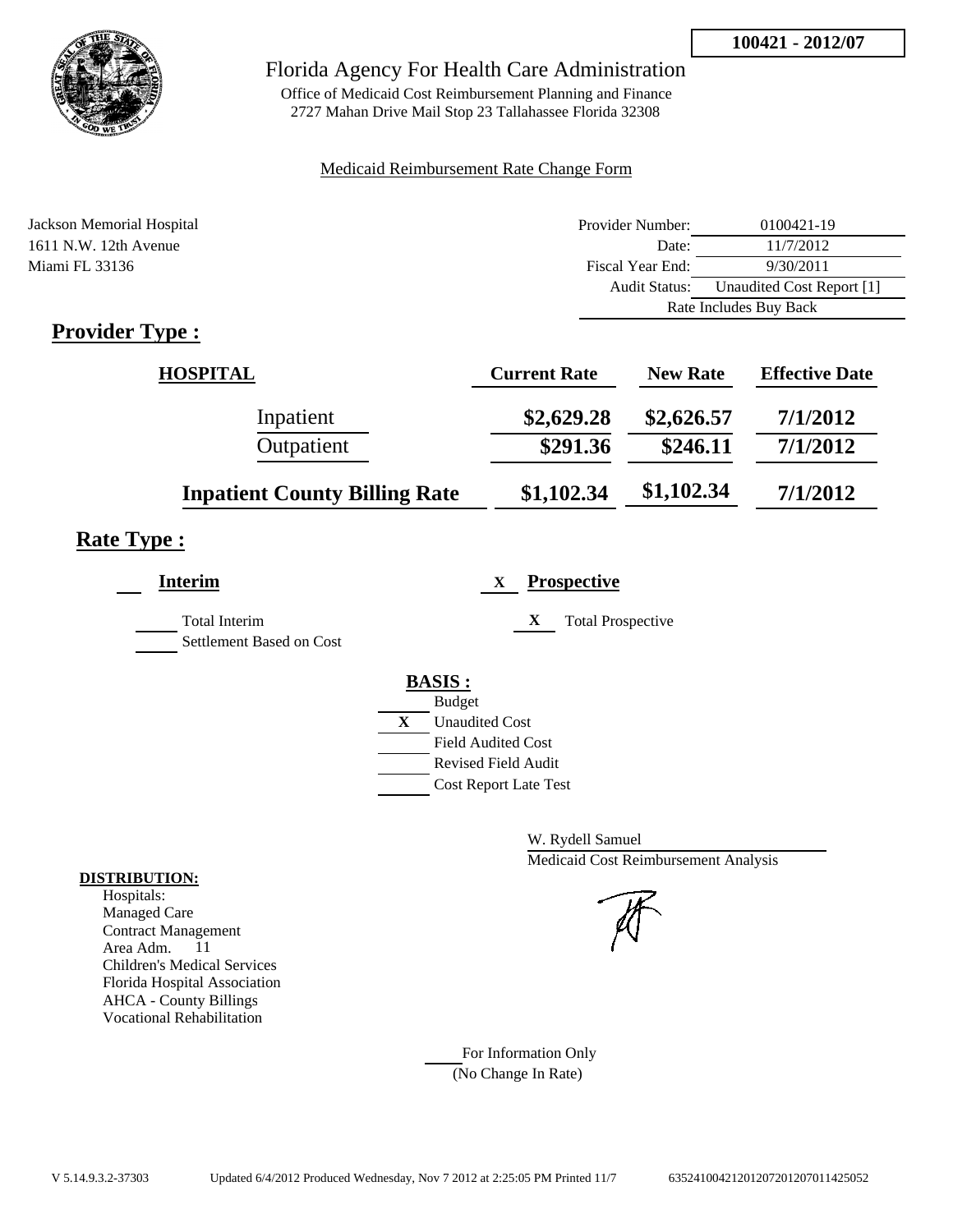

Office of Medicaid Cost Reimbursement Planning and Finance 2727 Mahan Drive Mail Stop 23 Tallahassee Florida 32308

#### Medicaid Reimbursement Rate Change Form

| Jackson Memorial Hospital                                 | Provider Number: | 0100421-19                |
|-----------------------------------------------------------|------------------|---------------------------|
| 1611 N.W. 12th Avenue                                     | Date:            | 11/7/2012                 |
| Miami FL 33136                                            | Fiscal Year End: | 9/30/2011                 |
|                                                           | Audit Status:    | Unaudited Cost Report [1] |
|                                                           |                  | Rate Includes Buy Back    |
| $\mathbf{D}_{\text{model}}$ , $\mathbf{D}_{\text{model}}$ |                  |                           |

### **Provider Type :**

| <b>HOSPITAL</b>                      | <b>Current Rate</b> | <b>New Rate</b> | <b>Effective Date</b> |
|--------------------------------------|---------------------|-----------------|-----------------------|
| Inpatient                            | \$2,629.28          | \$2,626.57      | 7/1/2012              |
| Outpatient                           | \$291.36            | \$246.11        | 7/1/2012              |
| <b>Inpatient County Billing Rate</b> | \$1,102.34          | \$1,102.34      | 7/1/2012              |

# **Rate Type :**

| Interim                                          | <b>Prospective</b><br>X                                                                                                                                 |
|--------------------------------------------------|---------------------------------------------------------------------------------------------------------------------------------------------------------|
| <b>Total Interim</b><br>Settlement Based on Cost | X<br><b>Total Prospective</b>                                                                                                                           |
|                                                  | <b>BASIS:</b><br><b>Budget</b><br>X<br><b>Unaudited Cost</b><br><b>Field Audited Cost</b><br><b>Revised Field Audit</b><br><b>Cost Report Late Test</b> |

W. Rydell Samuel Medicaid Cost Reimbursement Analysis

For Information Only (No Change In Rate)

#### **DISTRIBUTION:**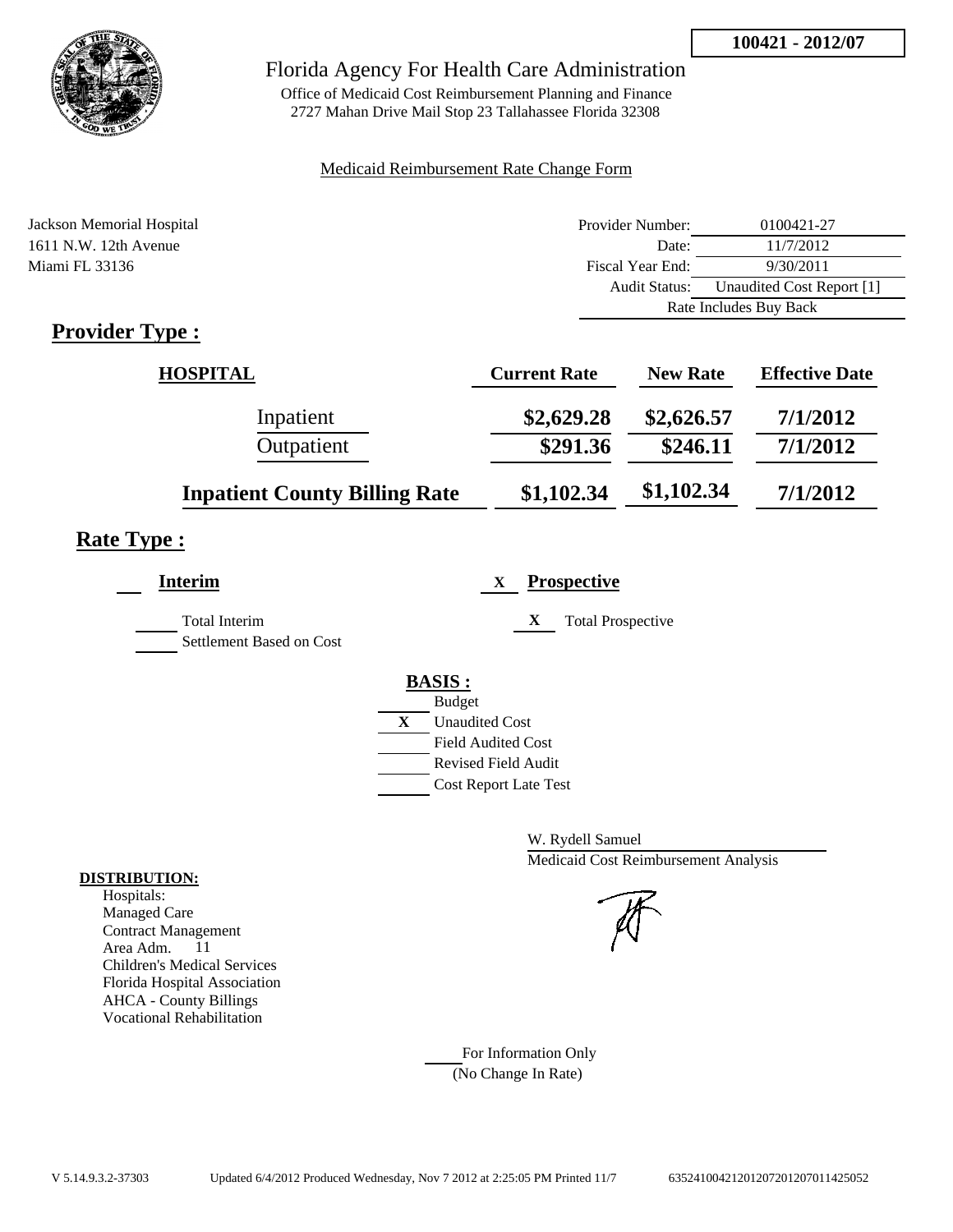

Office of Medicaid Cost Reimbursement Planning and Finance 2727 Mahan Drive Mail Stop 23 Tallahassee Florida 32308

#### Medicaid Reimbursement Rate Change Form

| Jackson Memorial Hospital                                 | Provider Number: | 0100421-27                |
|-----------------------------------------------------------|------------------|---------------------------|
| 1611 N.W. 12th Avenue                                     | Date:            | 11/7/2012                 |
| Miami FL 33136                                            | Fiscal Year End: | 9/30/2011                 |
|                                                           | Audit Status:    | Unaudited Cost Report [1] |
|                                                           |                  | Rate Includes Buy Back    |
| $\mathbf{D}_{\text{model}}$ , $\mathbf{D}_{\text{model}}$ |                  |                           |

### **Provider Type :**

| <b>HOSPITAL</b>                      | <b>Current Rate</b> | <b>New Rate</b> | <b>Effective Date</b> |
|--------------------------------------|---------------------|-----------------|-----------------------|
| Inpatient                            | \$2,629.28          | \$2,626.57      | 7/1/2012              |
| Outpatient                           | \$291.36            | \$246.11        | 7/1/2012              |
| <b>Inpatient County Billing Rate</b> | \$1,102.34          | \$1,102.34      | 7/1/2012              |

# **Rate Type :**

| Interim                                          | <b>Prospective</b><br>X                                                                                                                                 |
|--------------------------------------------------|---------------------------------------------------------------------------------------------------------------------------------------------------------|
| <b>Total Interim</b><br>Settlement Based on Cost | X<br><b>Total Prospective</b>                                                                                                                           |
|                                                  | <b>BASIS:</b><br><b>Budget</b><br>X<br><b>Unaudited Cost</b><br><b>Field Audited Cost</b><br><b>Revised Field Audit</b><br><b>Cost Report Late Test</b> |

W. Rydell Samuel Medicaid Cost Reimbursement Analysis

For Information Only (No Change In Rate)

#### **DISTRIBUTION:**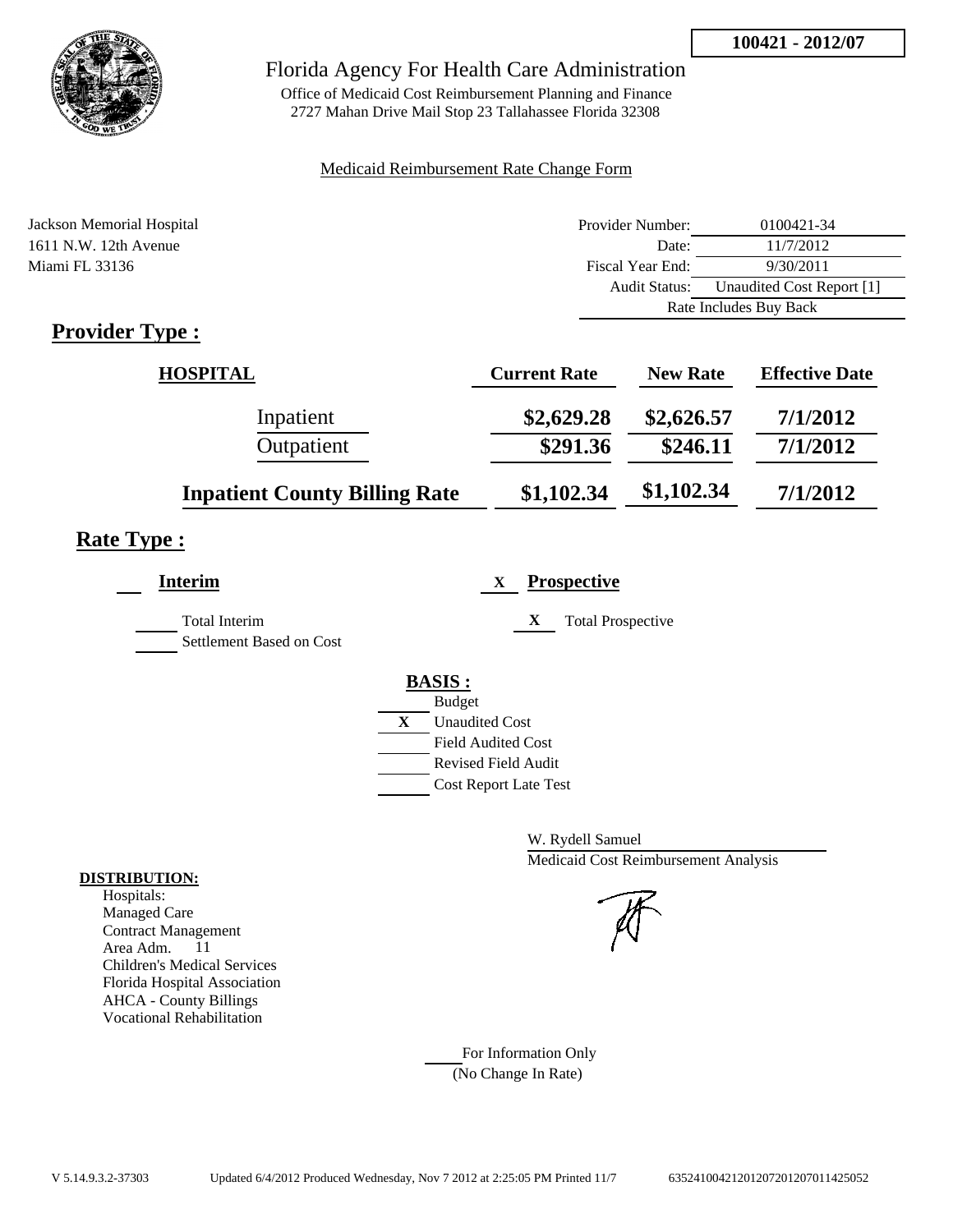

Office of Medicaid Cost Reimbursement Planning and Finance 2727 Mahan Drive Mail Stop 23 Tallahassee Florida 32308

#### Medicaid Reimbursement Rate Change Form

| Jackson Memorial Hospital   | Provider Number: | 0100421-34                |
|-----------------------------|------------------|---------------------------|
| 1611 N.W. 12th Avenue       | Date:            | 11/7/2012                 |
| Miami FL 33136              | Fiscal Year End: | 9/30/2011                 |
|                             | Audit Status:    | Unaudited Cost Report [1] |
|                             |                  | Rate Includes Buy Back    |
| $\mathbf{D}_{\text{model}}$ |                  |                           |

### **Provider Type :**

| HOSPITAL                             | <b>Current Rate</b> | <b>New Rate</b> | <b>Effective Date</b> |
|--------------------------------------|---------------------|-----------------|-----------------------|
| Inpatient                            | \$2,629.28          | \$2,626.57      | 7/1/2012              |
| Outpatient                           | \$291.36            | \$246.11        | 7/1/2012              |
| <b>Inpatient County Billing Rate</b> | \$1,102.34          | \$1,102.34      | 7/1/2012              |

# **Rate Type :**

| <b>Interim</b>                            | <b>Prospective</b><br>X                                                                 |
|-------------------------------------------|-----------------------------------------------------------------------------------------|
| Total Interim<br>Settlement Based on Cost | X<br><b>Total Prospective</b>                                                           |
|                                           | <b>BASIS:</b><br><b>Budget</b><br>X<br><b>Unaudited Cost</b>                            |
|                                           | <b>Field Audited Cost</b><br><b>Revised Field Audit</b><br><b>Cost Report Late Test</b> |

W. Rydell Samuel Medicaid Cost Reimbursement Analysis

For Information Only (No Change In Rate)

#### **DISTRIBUTION:**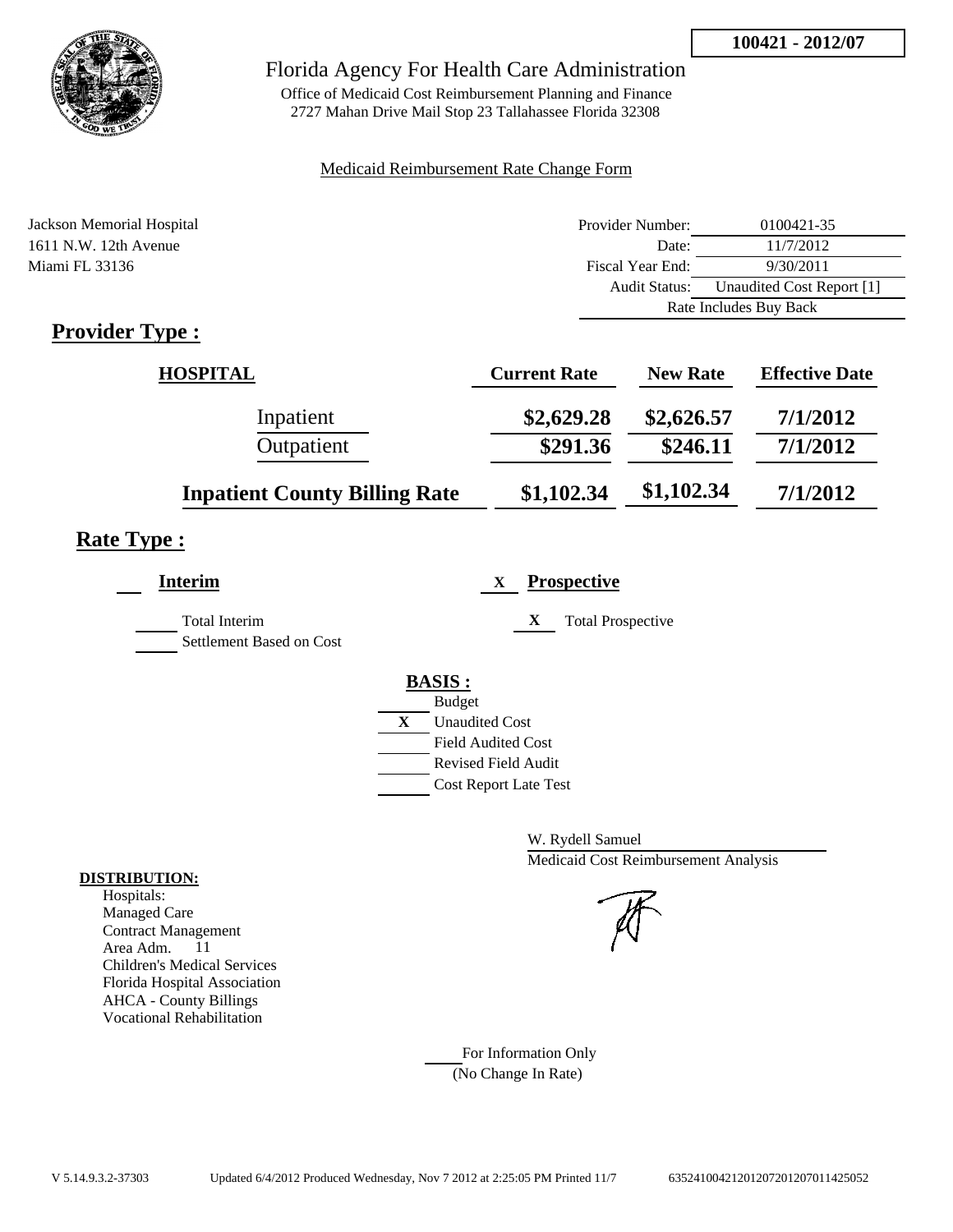

Office of Medicaid Cost Reimbursement Planning and Finance 2727 Mahan Drive Mail Stop 23 Tallahassee Florida 32308

#### Medicaid Reimbursement Rate Change Form

| Jackson Memorial Hospital   | Provider Number: | 0100421-35                |
|-----------------------------|------------------|---------------------------|
| 1611 N.W. 12th Avenue       | Date:            | 11/7/2012                 |
| Miami FL 33136              | Fiscal Year End: | 9/30/2011                 |
|                             | Audit Status:    | Unaudited Cost Report [1] |
|                             |                  | Rate Includes Buy Back    |
| $\mathbf{D}_{\text{model}}$ |                  |                           |

### **Provider Type :**

| <b>HOSPITAL</b>                      | <b>Current Rate</b> | <b>New Rate</b> | <b>Effective Date</b> |
|--------------------------------------|---------------------|-----------------|-----------------------|
| Inpatient                            | \$2,629.28          | \$2,626.57      | 7/1/2012              |
| Outpatient                           | \$291.36            | \$246.11        | 7/1/2012              |
| <b>Inpatient County Billing Rate</b> | \$1,102.34          | \$1,102.34      | 7/1/2012              |

# **Rate Type :**

| Interim                                          | <b>Prospective</b><br>X                                                                                                                                 |
|--------------------------------------------------|---------------------------------------------------------------------------------------------------------------------------------------------------------|
| <b>Total Interim</b><br>Settlement Based on Cost | X<br><b>Total Prospective</b>                                                                                                                           |
|                                                  | <b>BASIS:</b><br><b>Budget</b><br>X<br><b>Unaudited Cost</b><br><b>Field Audited Cost</b><br><b>Revised Field Audit</b><br><b>Cost Report Late Test</b> |

W. Rydell Samuel Medicaid Cost Reimbursement Analysis

For Information Only (No Change In Rate)

#### **DISTRIBUTION:**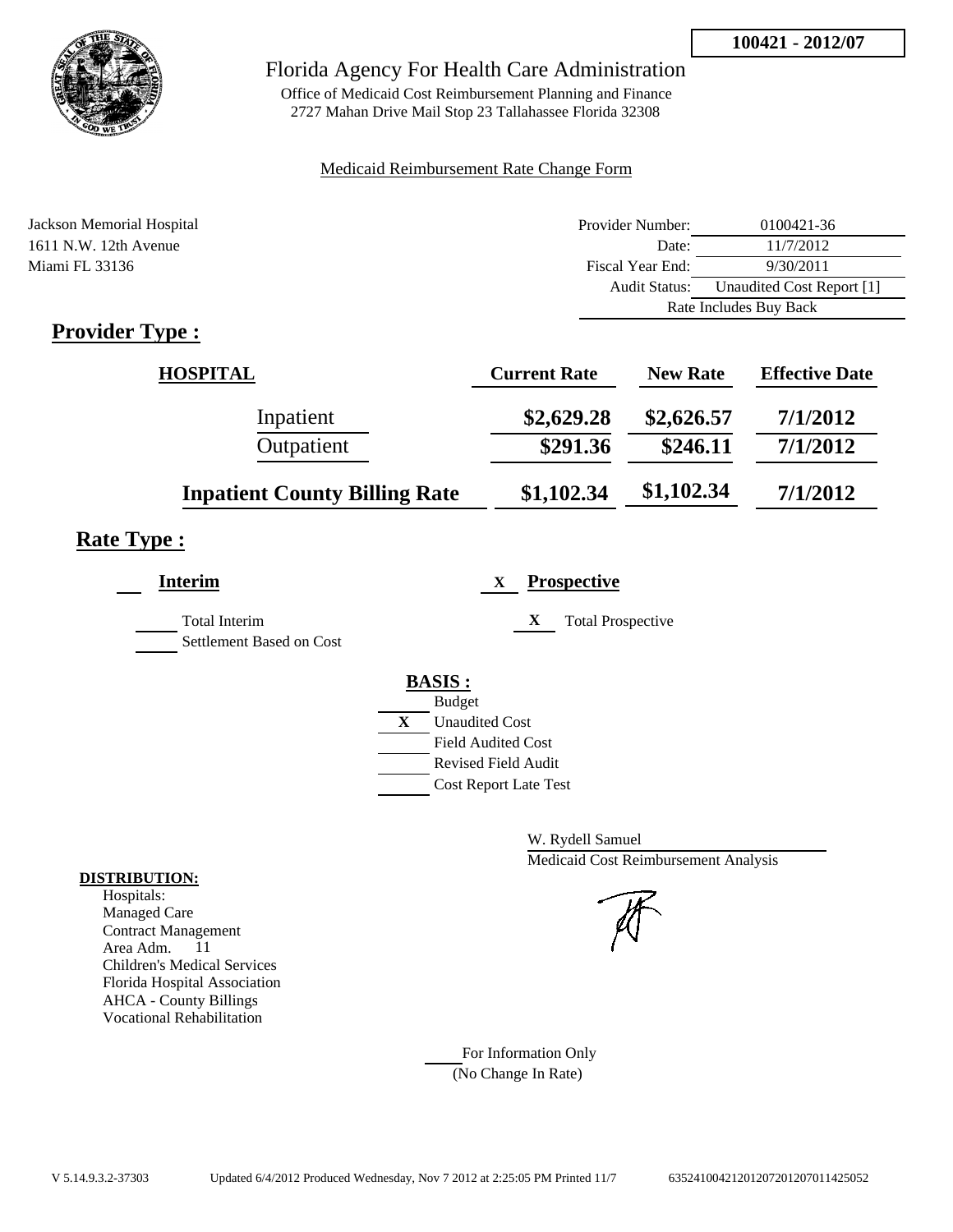

Office of Medicaid Cost Reimbursement Planning and Finance 2727 Mahan Drive Mail Stop 23 Tallahassee Florida 32308

#### Medicaid Reimbursement Rate Change Form

| Jackson Memorial Hospital   | Provider Number: | 0100421-36                |
|-----------------------------|------------------|---------------------------|
| 1611 N.W. 12th Avenue       | Date:            | 11/7/2012                 |
| Miami FL 33136              | Fiscal Year End: | 9/30/2011                 |
|                             | Audit Status:    | Unaudited Cost Report [1] |
|                             |                  | Rate Includes Buy Back    |
| $\mathbf{D}_{\text{model}}$ |                  |                           |

### **Provider Type :**

| <b>HOSPITAL</b>                      | <b>Current Rate</b> | <b>New Rate</b> | <b>Effective Date</b> |
|--------------------------------------|---------------------|-----------------|-----------------------|
| Inpatient                            | \$2,629.28          | \$2,626.57      | 7/1/2012              |
| Outpatient                           | \$291.36            | \$246.11        | 7/1/2012              |
| <b>Inpatient County Billing Rate</b> | \$1,102.34          | \$1,102.34      | 7/1/2012              |

# **Rate Type :**

| Interim                                          | <b>Prospective</b><br>X                                                                                                                                 |
|--------------------------------------------------|---------------------------------------------------------------------------------------------------------------------------------------------------------|
| <b>Total Interim</b><br>Settlement Based on Cost | X<br><b>Total Prospective</b>                                                                                                                           |
|                                                  | <b>BASIS:</b><br><b>Budget</b><br>X<br><b>Unaudited Cost</b><br><b>Field Audited Cost</b><br><b>Revised Field Audit</b><br><b>Cost Report Late Test</b> |

W. Rydell Samuel Medicaid Cost Reimbursement Analysis

For Information Only (No Change In Rate)

#### **DISTRIBUTION:**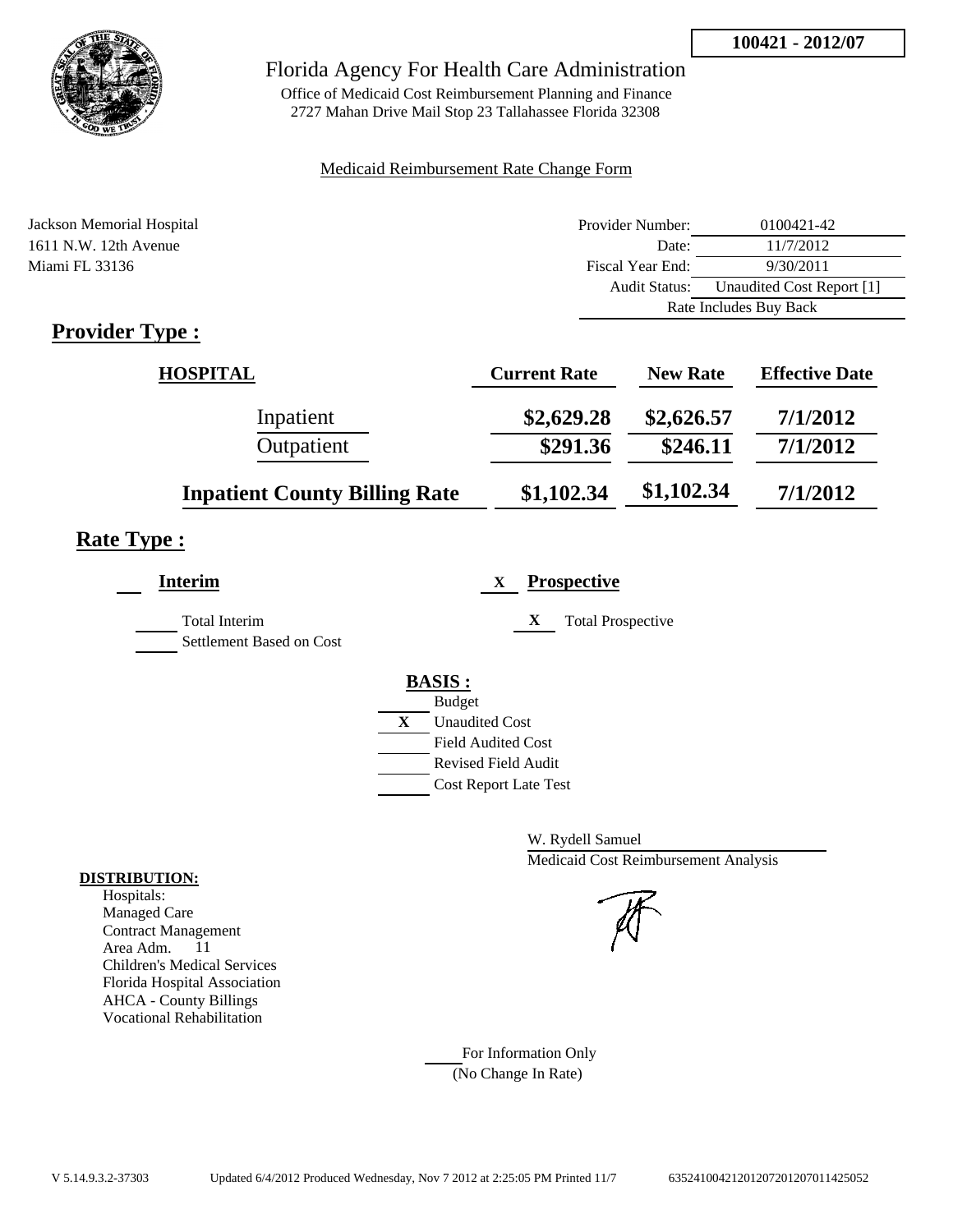

Office of Medicaid Cost Reimbursement Planning and Finance 2727 Mahan Drive Mail Stop 23 Tallahassee Florida 32308

#### Medicaid Reimbursement Rate Change Form

| Jackson Memorial Hospital   | Provider Number: | 0100421-42                |
|-----------------------------|------------------|---------------------------|
| 1611 N.W. 12th Avenue       | Date:            | 11/7/2012                 |
| Miami FL 33136              | Fiscal Year End: | 9/30/2011                 |
|                             | Audit Status:    | Unaudited Cost Report [1] |
|                             |                  | Rate Includes Buy Back    |
| $\mathbf{D}_{\text{model}}$ |                  |                           |

### **Provider Type :**

| <b>HOSPITAL</b>                      | <b>Current Rate</b> | <b>New Rate</b> | <b>Effective Date</b> |
|--------------------------------------|---------------------|-----------------|-----------------------|
| Inpatient                            | \$2,629.28          | \$2,626.57      | 7/1/2012              |
| Outpatient                           | \$291.36            | \$246.11        | 7/1/2012              |
| <b>Inpatient County Billing Rate</b> | \$1,102.34          | \$1,102.34      | 7/1/2012              |

# **Rate Type :**

| Interim                                          | <b>Prospective</b><br>X                                                                                                                                 |
|--------------------------------------------------|---------------------------------------------------------------------------------------------------------------------------------------------------------|
| <b>Total Interim</b><br>Settlement Based on Cost | X<br><b>Total Prospective</b>                                                                                                                           |
|                                                  | <b>BASIS:</b><br><b>Budget</b><br>X<br><b>Unaudited Cost</b><br><b>Field Audited Cost</b><br><b>Revised Field Audit</b><br><b>Cost Report Late Test</b> |

W. Rydell Samuel Medicaid Cost Reimbursement Analysis

For Information Only (No Change In Rate)

#### **DISTRIBUTION:**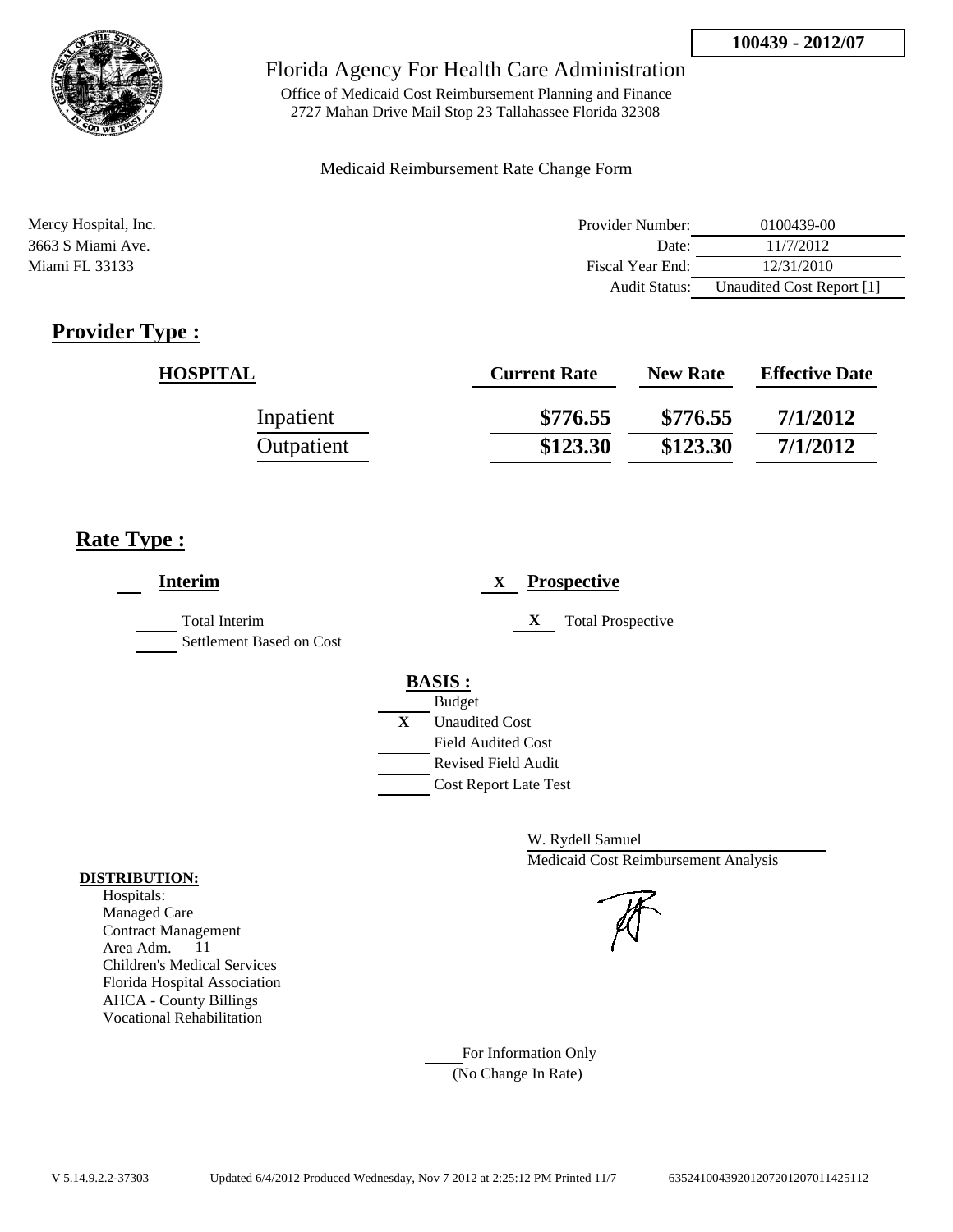

Office of Medicaid Cost Reimbursement Planning and Finance 2727 Mahan Drive Mail Stop 23 Tallahassee Florida 32308

#### Medicaid Reimbursement Rate Change Form

| Mercy Hospital, Inc. | Provider Number:     | 0100439-00                |
|----------------------|----------------------|---------------------------|
| 3663 S Miami Ave.    | Date:                | 11/7/2012                 |
| Miami FL 33133       | Fiscal Year End:     | 12/31/2010                |
|                      | <b>Audit Status:</b> | Unaudited Cost Report [1] |

# **Provider Type :**

| <b>HOSPITAL</b> | <b>Current Rate</b> | <b>New Rate</b> | <b>Effective Date</b> |
|-----------------|---------------------|-----------------|-----------------------|
| Inpatient       | \$776.55            | \$776.55        | 7/1/2012              |
| Outpatient      | \$123.30            | \$123.30        | 7/1/2012              |

### **Rate Type :**

| <b>Interim</b>                            | <b>Prospective</b><br>X                                                                                                                                 |
|-------------------------------------------|---------------------------------------------------------------------------------------------------------------------------------------------------------|
| Total Interim<br>Settlement Based on Cost | X<br><b>Total Prospective</b>                                                                                                                           |
|                                           | <b>BASIS:</b><br><b>Budget</b><br>X<br><b>Unaudited Cost</b><br><b>Field Audited Cost</b><br><b>Revised Field Audit</b><br><b>Cost Report Late Test</b> |

W. Rydell Samuel Medicaid Cost Reimbursement Analysis

For Information Only (No Change In Rate)

#### **DISTRIBUTION:**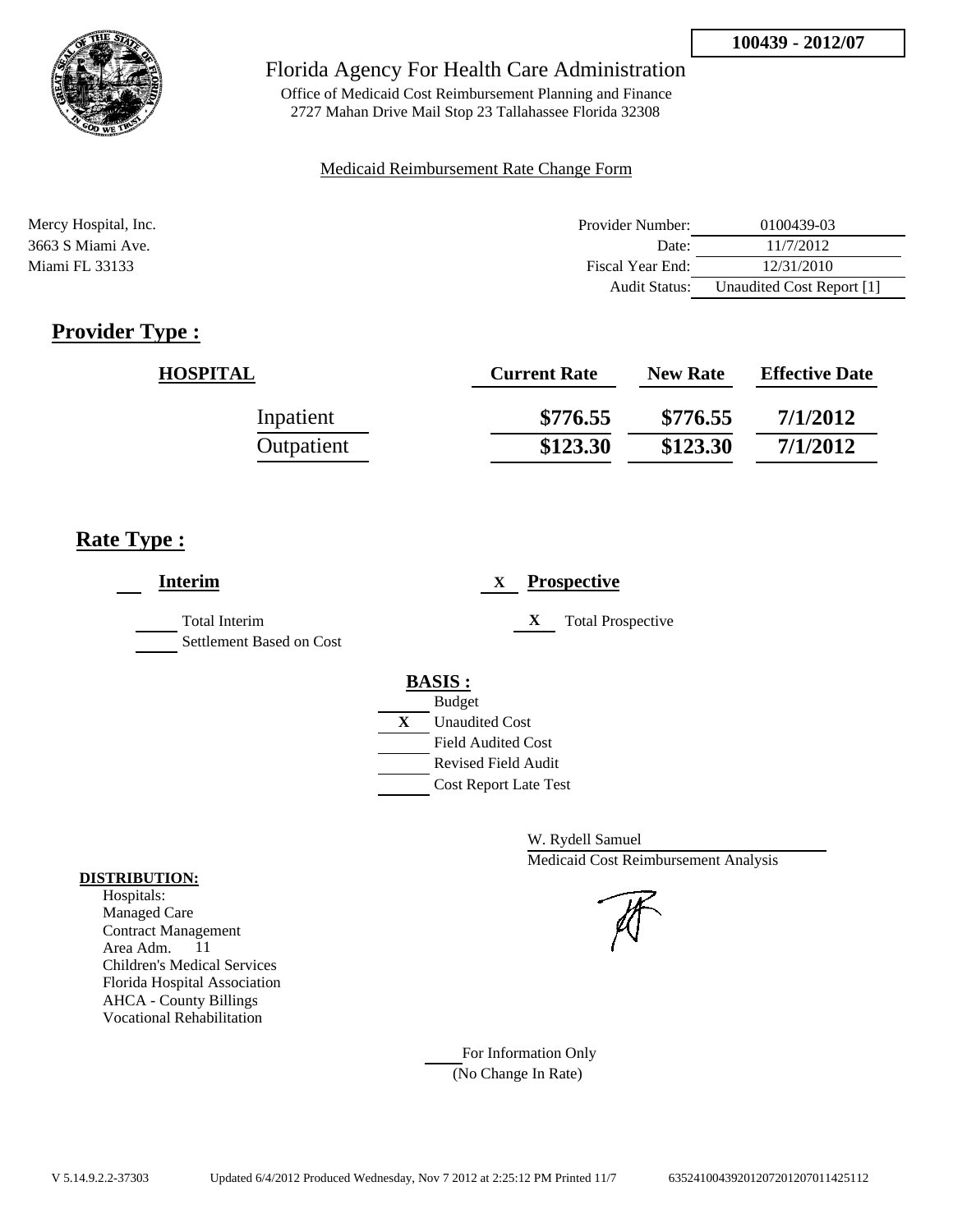

Office of Medicaid Cost Reimbursement Planning and Finance 2727 Mahan Drive Mail Stop 23 Tallahassee Florida 32308

#### Medicaid Reimbursement Rate Change Form

| Mercy Hospital, Inc. | Provider Number:     | 0100439-03                |
|----------------------|----------------------|---------------------------|
| 3663 S Miami Ave.    | Date:                | 11/7/2012                 |
| Miami FL 33133       | Fiscal Year End:     | 12/31/2010                |
|                      | <b>Audit Status:</b> | Unaudited Cost Report [1] |

# **Provider Type :**

| <b>HOSPITAL</b> | <b>Current Rate</b> | <b>New Rate</b> | <b>Effective Date</b> |
|-----------------|---------------------|-----------------|-----------------------|
| Inpatient       | \$776.55            | \$776.55        | 7/1/2012              |
| Outpatient      | \$123.30            | \$123.30        | 7/1/2012              |

### **Rate Type :**

| <b>Interim</b>                                   | <b>Prospective</b><br>X       |
|--------------------------------------------------|-------------------------------|
| <b>Total Interim</b><br>Settlement Based on Cost | X<br><b>Total Prospective</b> |
|                                                  | <b>BASIS:</b>                 |
|                                                  | <b>Budget</b>                 |
|                                                  | X<br><b>Unaudited Cost</b>    |
|                                                  | <b>Field Audited Cost</b>     |
|                                                  | <b>Revised Field Audit</b>    |
|                                                  | Cost Report Late Test         |
|                                                  |                               |

W. Rydell Samuel Medicaid Cost Reimbursement Analysis

For Information Only (No Change In Rate)

#### **DISTRIBUTION:**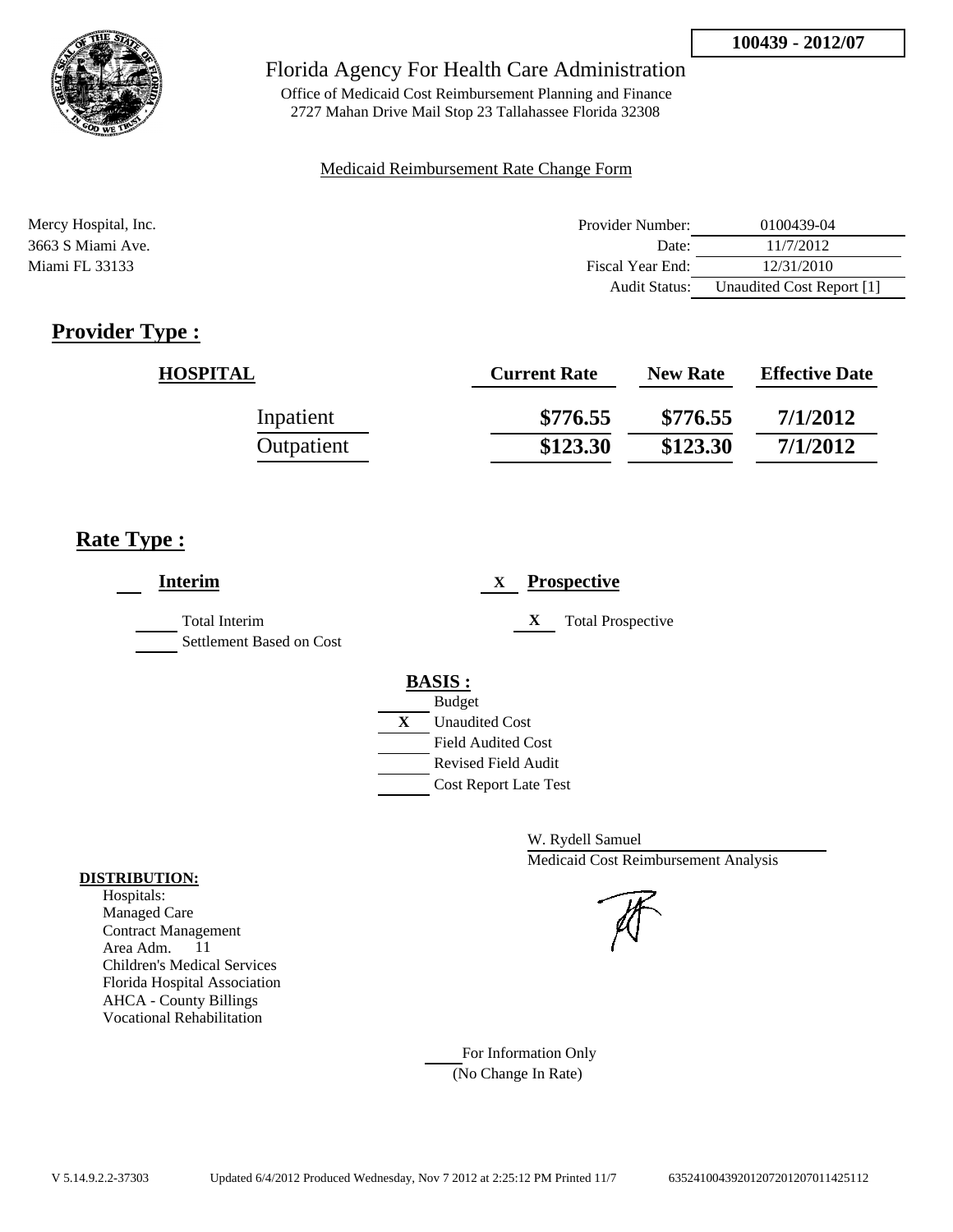

Office of Medicaid Cost Reimbursement Planning and Finance 2727 Mahan Drive Mail Stop 23 Tallahassee Florida 32308

#### Medicaid Reimbursement Rate Change Form

| Mercy Hospital, Inc. | Provider Number:     | 0100439-04                |
|----------------------|----------------------|---------------------------|
| 3663 S Miami Ave.    | Date:                | 11/7/2012                 |
| Miami FL 33133       | Fiscal Year End:     | 12/31/2010                |
|                      | <b>Audit Status:</b> | Unaudited Cost Report [1] |

# **Provider Type :**

| <b>HOSPITAL</b> | <b>Current Rate</b> | <b>New Rate</b> | <b>Effective Date</b> |
|-----------------|---------------------|-----------------|-----------------------|
| Inpatient       | \$776.55            | \$776.55        | 7/1/2012              |
| Outpatient      | \$123.30            | \$123.30        | 7/1/2012              |

### **Rate Type :**

| <b>Interim</b>                                   | <b>Prospective</b><br>X                                                                                                                                           |
|--------------------------------------------------|-------------------------------------------------------------------------------------------------------------------------------------------------------------------|
| <b>Total Interim</b><br>Settlement Based on Cost | X<br><b>Total Prospective</b>                                                                                                                                     |
|                                                  | <b>BASIS:</b><br><b>Budget</b><br>$\mathbf X$<br><b>Unaudited Cost</b><br><b>Field Audited Cost</b><br><b>Revised Field Audit</b><br><b>Cost Report Late Test</b> |

W. Rydell Samuel Medicaid Cost Reimbursement Analysis

For Information Only (No Change In Rate)

#### **DISTRIBUTION:**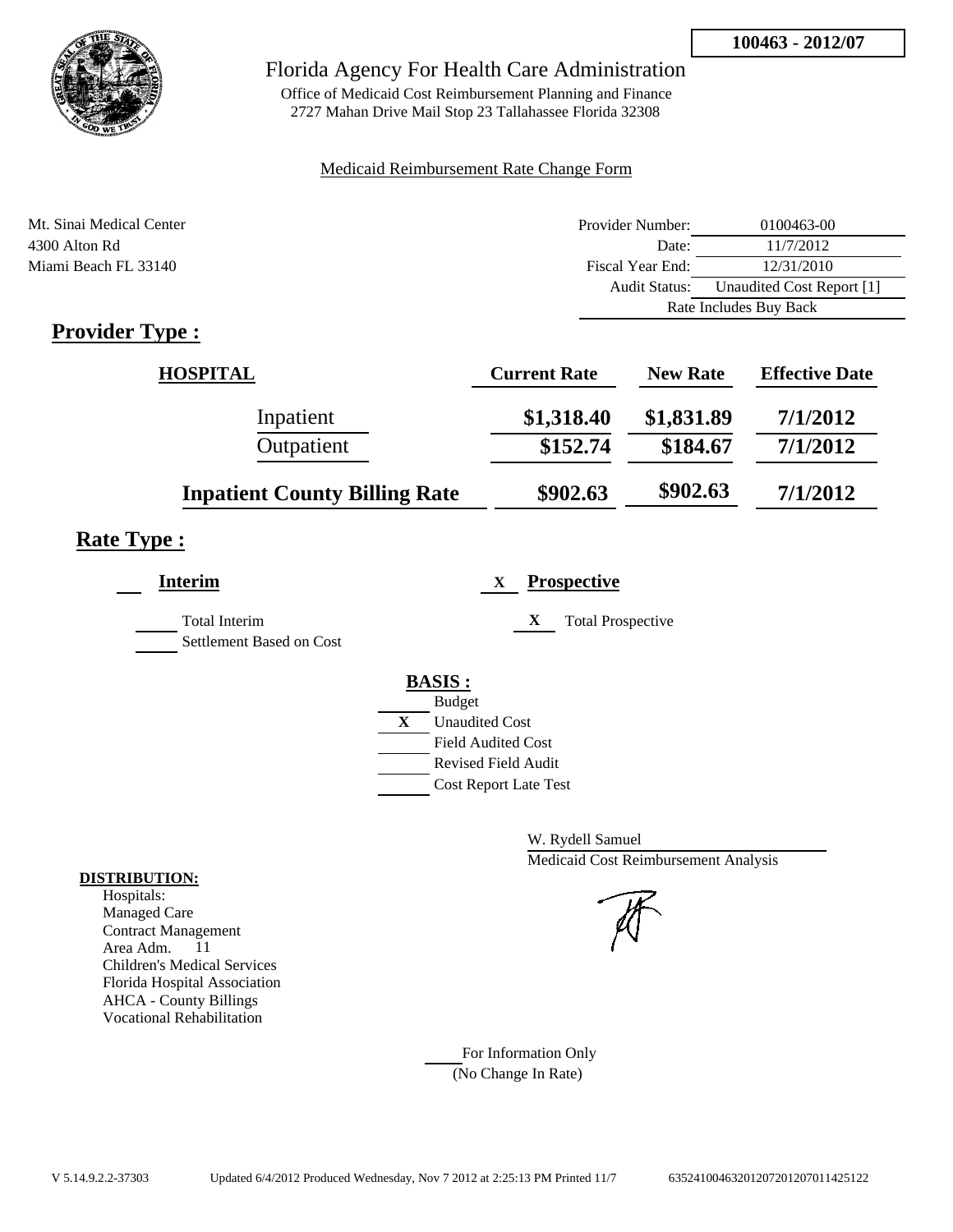

Office of Medicaid Cost Reimbursement Planning and Finance 2727 Mahan Drive Mail Stop 23 Tallahassee Florida 32308

#### Medicaid Reimbursement Rate Change Form

| Mt. Sinai Medical Center | Provider Number:     | 0100463-00                |
|--------------------------|----------------------|---------------------------|
| 4300 Alton Rd            | Date:                | 11/7/2012                 |
| Miami Beach FL 33140     | Fiscal Year End:     | 12/31/2010                |
|                          | <b>Audit Status:</b> | Unaudited Cost Report [1] |
|                          |                      | Rate Includes Buy Back    |

# **Provider Type :**

| <b>HOSPITAL</b>                      | <b>Current Rate</b> | <b>New Rate</b> | <b>Effective Date</b> |
|--------------------------------------|---------------------|-----------------|-----------------------|
| Inpatient                            | \$1,318.40          | \$1,831.89      | 7/1/2012              |
| Outpatient                           | \$152.74            | \$184.67        | 7/1/2012              |
| <b>Inpatient County Billing Rate</b> | \$902.63            | \$902.63        | 7/1/2012              |

# **Rate Type :**

| <b>Interim</b>                            | <b>Prospective</b><br>X                                                                                                 |
|-------------------------------------------|-------------------------------------------------------------------------------------------------------------------------|
| Total Interim<br>Settlement Based on Cost | X<br><b>Total Prospective</b>                                                                                           |
|                                           | <b>BASIS:</b><br><b>Budget</b><br>X<br><b>Unaudited Cost</b><br><b>Field Audited Cost</b><br><b>Revised Field Audit</b> |
|                                           | <b>Cost Report Late Test</b>                                                                                            |

W. Rydell Samuel Medicaid Cost Reimbursement Analysis

For Information Only (No Change In Rate)

#### **DISTRIBUTION:**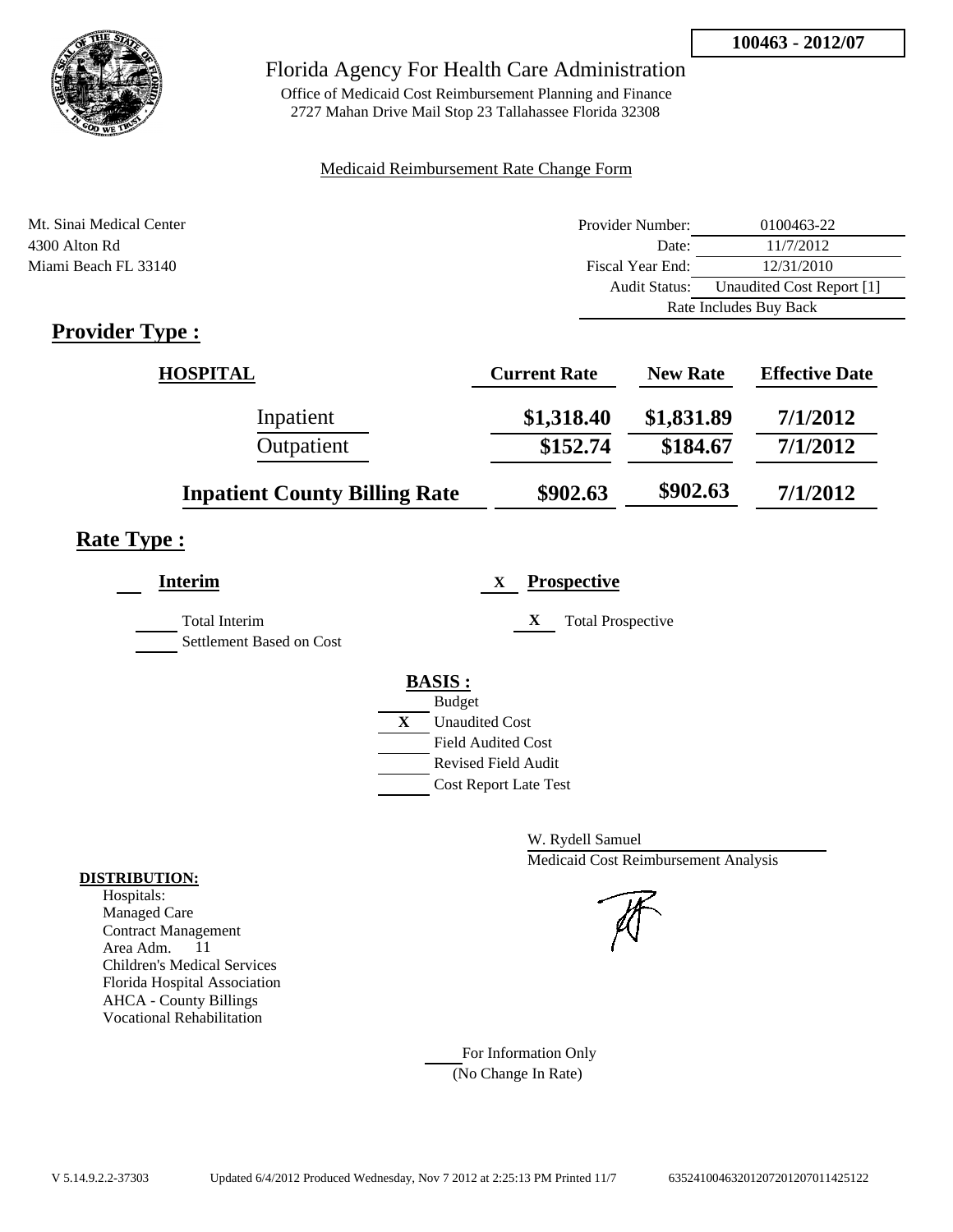

Office of Medicaid Cost Reimbursement Planning and Finance 2727 Mahan Drive Mail Stop 23 Tallahassee Florida 32308

#### Medicaid Reimbursement Rate Change Form

| Mt. Sinai Medical Center | Provider Number:     | 0100463-22                |
|--------------------------|----------------------|---------------------------|
| 4300 Alton Rd            | Date:                | 11/7/2012                 |
| Miami Beach FL 33140     | Fiscal Year End:     | 12/31/2010                |
|                          | <b>Audit Status:</b> | Unaudited Cost Report [1] |
|                          |                      | Rate Includes Buy Back    |

# **Provider Type :**

| <b>HOSPITAL</b>                      | <b>Current Rate</b> | <b>New Rate</b> | <b>Effective Date</b> |
|--------------------------------------|---------------------|-----------------|-----------------------|
| Inpatient                            | \$1,318.40          | \$1,831.89      | 7/1/2012              |
| Outpatient                           | \$152.74            | \$184.67        | 7/1/2012              |
| <b>Inpatient County Billing Rate</b> | \$902.63            | \$902.63        | 7/1/2012              |

# **Rate Type :**

| <b>Interim</b>                            | <b>Prospective</b><br>X                                                                                                 |
|-------------------------------------------|-------------------------------------------------------------------------------------------------------------------------|
| Total Interim<br>Settlement Based on Cost | X<br><b>Total Prospective</b>                                                                                           |
|                                           | <b>BASIS:</b><br><b>Budget</b><br>X<br><b>Unaudited Cost</b><br><b>Field Audited Cost</b><br><b>Revised Field Audit</b> |
|                                           | <b>Cost Report Late Test</b>                                                                                            |

W. Rydell Samuel Medicaid Cost Reimbursement Analysis

For Information Only (No Change In Rate)

#### **DISTRIBUTION:**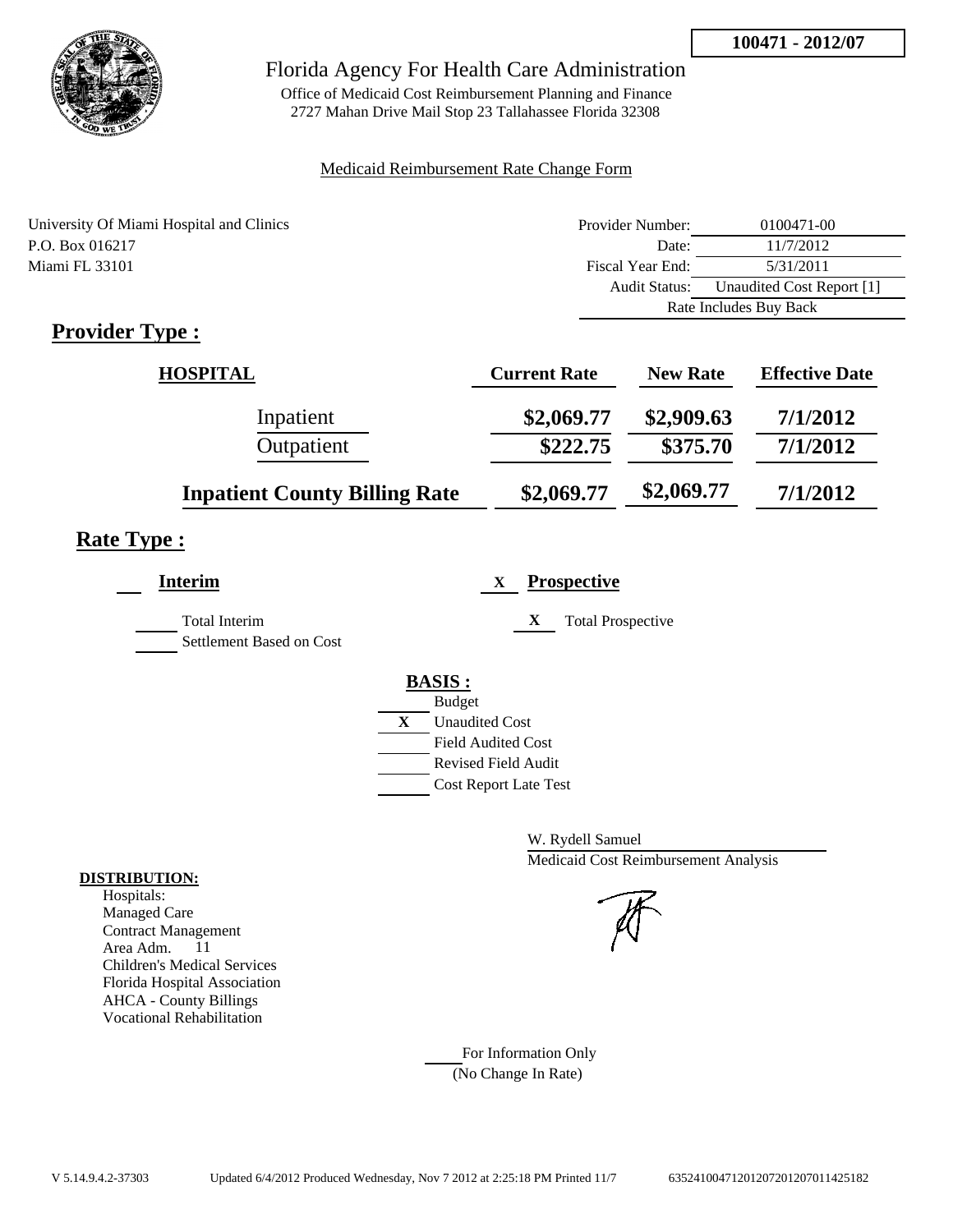

Office of Medicaid Cost Reimbursement Planning and Finance 2727 Mahan Drive Mail Stop 23 Tallahassee Florida 32308

#### Medicaid Reimbursement Rate Change Form

| University Of Miami Hospital and Clinics | Provider Number: | 0100471-00                |
|------------------------------------------|------------------|---------------------------|
| P.O. Box 016217                          | Date:            | 11/7/2012                 |
| Miami FL 33101                           | Fiscal Year End: | 5/31/2011                 |
|                                          | Audit Status:    | Unaudited Cost Report [1] |
|                                          |                  | Rate Includes Buy Back    |
| $\cdot$ $\cdot$<br>$\blacksquare$<br>m   |                  |                           |

### **Provider Type :**

| <b>HOSPITAL</b>                      | <b>Current Rate</b> | <b>New Rate</b> | <b>Effective Date</b> |
|--------------------------------------|---------------------|-----------------|-----------------------|
| Inpatient                            | \$2,069.77          | \$2,909.63      | 7/1/2012              |
| Outpatient                           | \$222.75            | \$375.70        | 7/1/2012              |
| <b>Inpatient County Billing Rate</b> | \$2,069.77          | \$2,069.77      | 7/1/2012              |

### **Rate Type :**

| <b>Interim</b>                                   | <b>Prospective</b><br>X       |
|--------------------------------------------------|-------------------------------|
| <b>Total Interim</b><br>Settlement Based on Cost | X<br><b>Total Prospective</b> |
|                                                  | <b>BASIS:</b>                 |
|                                                  | <b>Budget</b>                 |
|                                                  | X<br><b>Unaudited Cost</b>    |
|                                                  | <b>Field Audited Cost</b>     |
|                                                  | Revised Field Audit           |
|                                                  | <b>Cost Report Late Test</b>  |

W. Rydell Samuel Medicaid Cost Reimbursement Analysis

For Information Only (No Change In Rate)

#### **DISTRIBUTION:**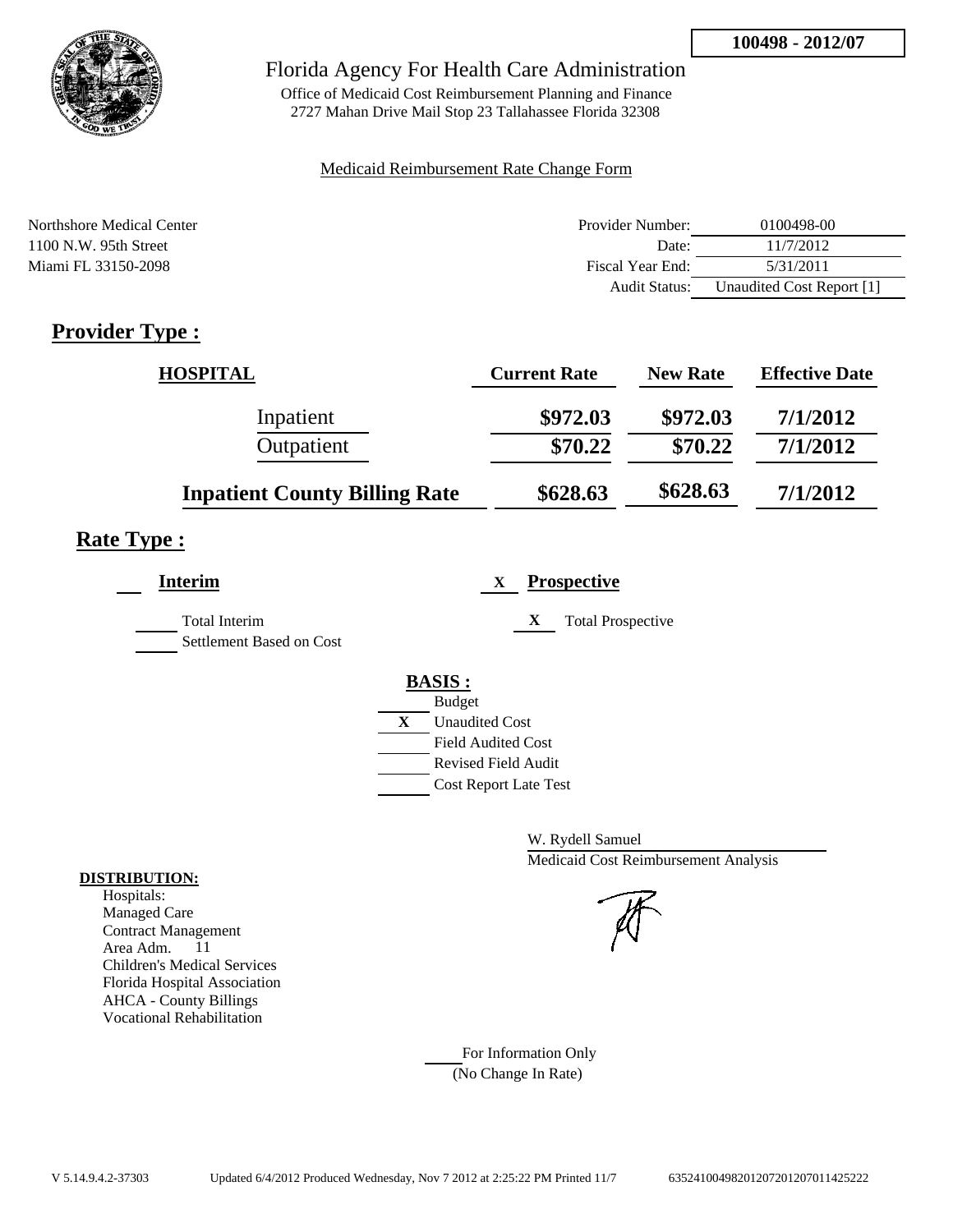

Office of Medicaid Cost Reimbursement Planning and Finance 2727 Mahan Drive Mail Stop 23 Tallahassee Florida 32308

#### Medicaid Reimbursement Rate Change Form

| Northshore Medical Center | Provider Number: | 0100498-00                |
|---------------------------|------------------|---------------------------|
| $1100$ N.W. 95th Street   | Date:            | 11/7/2012                 |
| Miami FL 33150-2098       | Fiscal Year End: | 5/31/2011                 |
|                           | Audit Status:    | Unaudited Cost Report [1] |

# **Provider Type :**

| <b>HOSPITAL</b>                      | <b>Current Rate</b> | <b>New Rate</b> | <b>Effective Date</b> |
|--------------------------------------|---------------------|-----------------|-----------------------|
| Inpatient                            | \$972.03            | \$972.03        | 7/1/2012              |
| Outpatient                           | \$70.22             | \$70.22         | 7/1/2012              |
| <b>Inpatient County Billing Rate</b> | \$628.63            | \$628.63        | 7/1/2012              |

# **Rate Type :**

| <b>Interim</b>                            | <b>Prospective</b><br>X                                                          |
|-------------------------------------------|----------------------------------------------------------------------------------|
| Total Interim<br>Settlement Based on Cost | <b>Total Prospective</b><br>X                                                    |
|                                           | <b>BASIS:</b><br><b>Budget</b><br>X<br><b>Unaudited Cost</b>                     |
|                                           | <b>Field Audited Cost</b><br>Revised Field Audit<br><b>Cost Report Late Test</b> |

W. Rydell Samuel Medicaid Cost Reimbursement Analysis

For Information Only (No Change In Rate)

### **DISTRIBUTION:**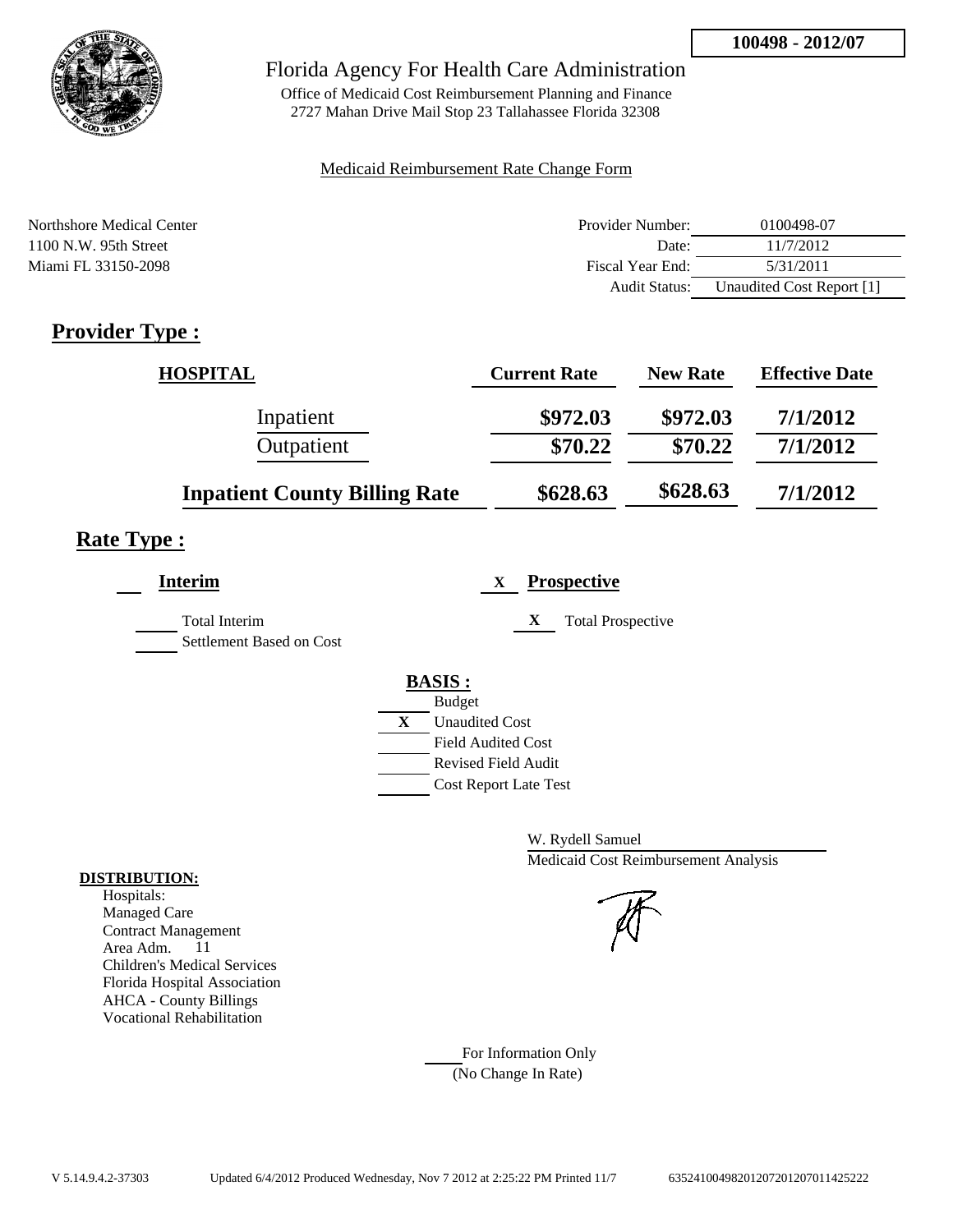

Office of Medicaid Cost Reimbursement Planning and Finance 2727 Mahan Drive Mail Stop 23 Tallahassee Florida 32308

#### Medicaid Reimbursement Rate Change Form

| Northshore Medical Center | Provider Number:     | 0100498-07                |
|---------------------------|----------------------|---------------------------|
| $1100$ N.W. 95th Street   | Date:                | 11/7/2012                 |
| Miami FL 33150-2098       | Fiscal Year End:     | 5/31/2011                 |
|                           | <b>Audit Status:</b> | Unaudited Cost Report [1] |

# **Provider Type :**

| <b>HOSPITAL</b>                      | <b>Current Rate</b> | <b>New Rate</b> | <b>Effective Date</b> |
|--------------------------------------|---------------------|-----------------|-----------------------|
| Inpatient                            | \$972.03            | \$972.03        | 7/1/2012              |
| Outpatient                           | \$70.22             | \$70.22         | 7/1/2012              |
| <b>Inpatient County Billing Rate</b> | \$628.63            | \$628.63        | 7/1/2012              |

# **Rate Type :**

| Interim                                   | <b>Prospective</b><br>X                                                                                                                          |
|-------------------------------------------|--------------------------------------------------------------------------------------------------------------------------------------------------|
| Total Interim<br>Settlement Based on Cost | <b>Total Prospective</b><br>X                                                                                                                    |
|                                           | <b>BASIS:</b><br><b>Budget</b><br>X<br><b>Unaudited Cost</b><br><b>Field Audited Cost</b><br>Revised Field Audit<br><b>Cost Report Late Test</b> |

W. Rydell Samuel Medicaid Cost Reimbursement Analysis



For Information Only (No Change In Rate)

### **DISTRIBUTION:**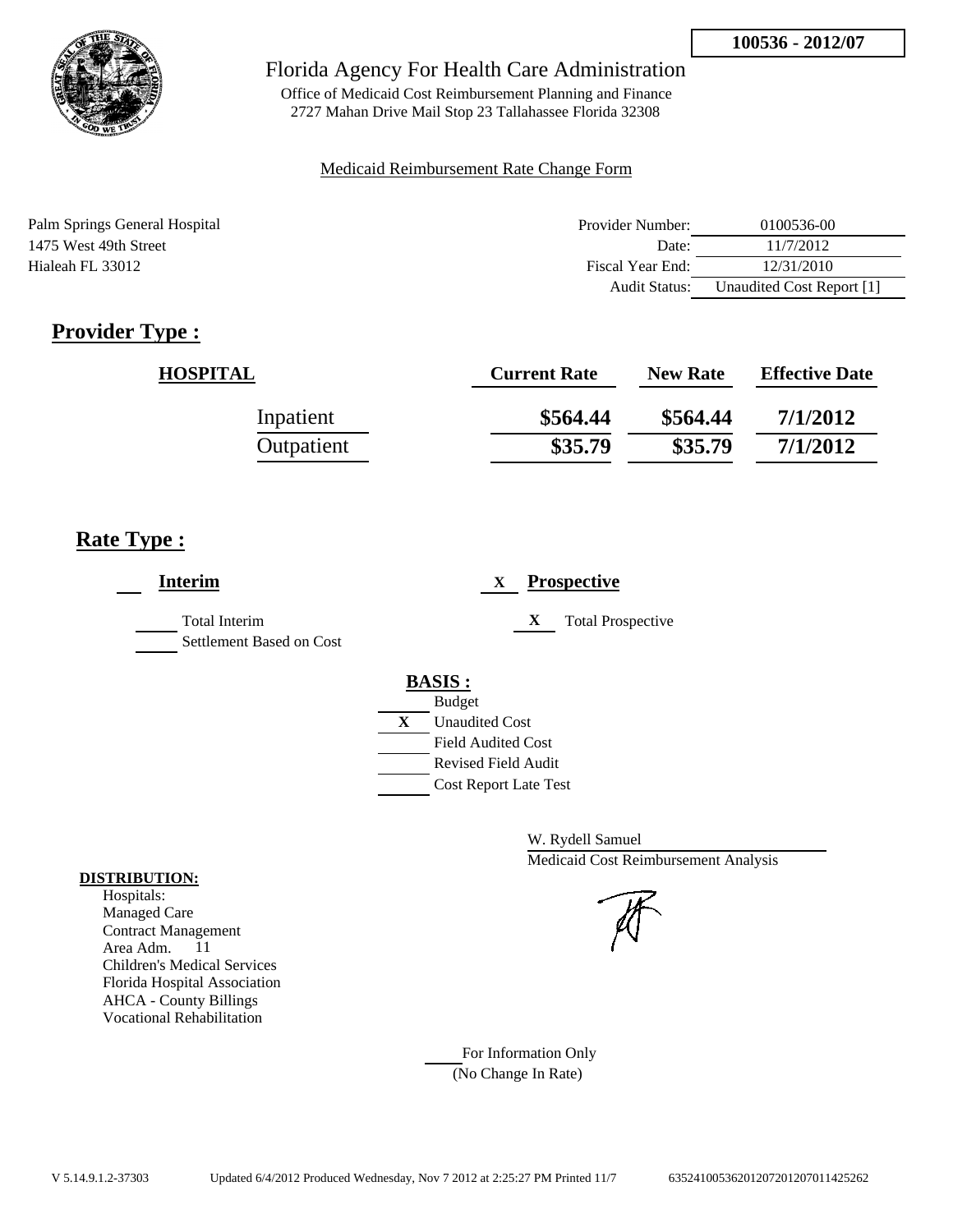

Office of Medicaid Cost Reimbursement Planning and Finance 2727 Mahan Drive Mail Stop 23 Tallahassee Florida 32308

#### Medicaid Reimbursement Rate Change Form

| Palm Springs General Hospital | Provider Number:     | 0100536-00                |
|-------------------------------|----------------------|---------------------------|
| 1475 West 49th Street         | Date:                | 11/7/2012                 |
| Hialeah FL 33012              | Fiscal Year End:     | 12/31/2010                |
|                               | <b>Audit Status:</b> | Unaudited Cost Report [1] |

# **Provider Type :**

| <b>HOSPITAL</b> | <b>Current Rate</b> | <b>New Rate</b> | <b>Effective Date</b> |
|-----------------|---------------------|-----------------|-----------------------|
| Inpatient       | \$564.44            | \$564.44        | 7/1/2012              |
| Outpatient      | \$35.79             | \$35.79         | 7/1/2012              |

# **Rate Type :**

| <b>Interim</b>                                   | <b>Prospective</b><br>X                                |
|--------------------------------------------------|--------------------------------------------------------|
| <b>Total Interim</b><br>Settlement Based on Cost | <b>Total Prospective</b><br>X                          |
|                                                  | <b>BASIS:</b>                                          |
|                                                  | <b>Budget</b><br>$\mathbf{X}$<br><b>Unaudited Cost</b> |
|                                                  | <b>Field Audited Cost</b>                              |
|                                                  | <b>Revised Field Audit</b>                             |
|                                                  | <b>Cost Report Late Test</b>                           |

W. Rydell Samuel Medicaid Cost Reimbursement Analysis

For Information Only (No Change In Rate)

#### **DISTRIBUTION:**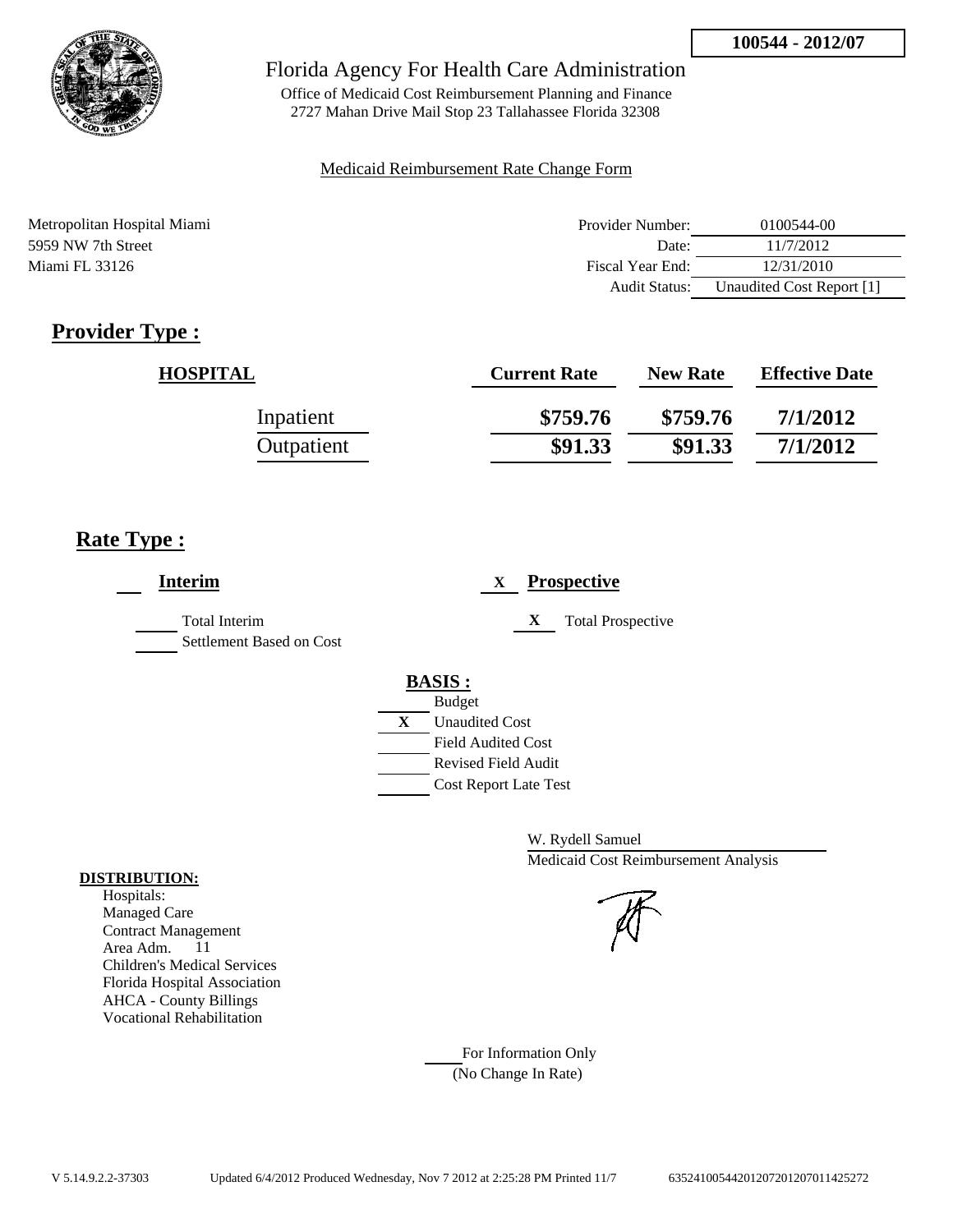

Office of Medicaid Cost Reimbursement Planning and Finance 2727 Mahan Drive Mail Stop 23 Tallahassee Florida 32308

#### Medicaid Reimbursement Rate Change Form

| Metropolitan Hospital Miami | Provider Number:     | 0100544-00                |
|-----------------------------|----------------------|---------------------------|
| 5959 NW 7th Street          | Date <sup>-</sup>    | 11/7/2012                 |
| Miami FL 33126              | Fiscal Year End:     | 12/31/2010                |
|                             | <b>Audit Status:</b> | Unaudited Cost Report [1] |

# **Provider Type :**

| <b>HOSPITAL</b> | <b>Current Rate</b> | <b>New Rate</b> | <b>Effective Date</b> |
|-----------------|---------------------|-----------------|-----------------------|
| Inpatient       | \$759.76            | \$759.76        | 7/1/2012              |
| Outpatient      | \$91.33             | \$91.33         | 7/1/2012              |

### **Rate Type :**

| <b>Interim</b>                            | <b>Prospective</b><br>X               |
|-------------------------------------------|---------------------------------------|
| Total Interim<br>Settlement Based on Cost | X<br><b>Total Prospective</b>         |
|                                           | <b>BASIS:</b>                         |
|                                           | <b>Budget</b>                         |
|                                           | $\mathbf{X}$<br><b>Unaudited Cost</b> |
|                                           | <b>Field Audited Cost</b>             |
|                                           | <b>Revised Field Audit</b>            |
|                                           | <b>Cost Report Late Test</b>          |
|                                           |                                       |

W. Rydell Samuel Medicaid Cost Reimbursement Analysis

For Information Only (No Change In Rate)

#### **DISTRIBUTION:**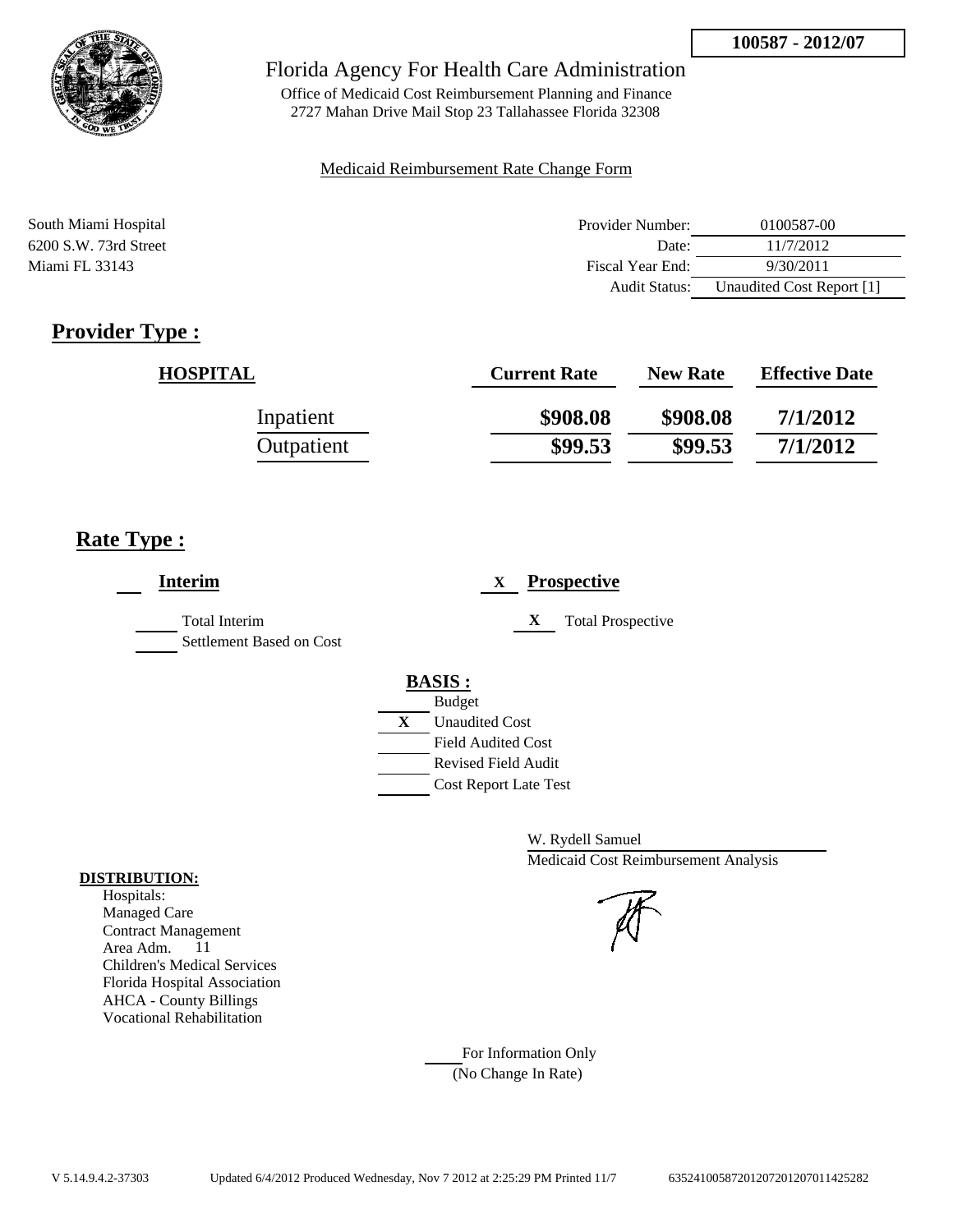

Office of Medicaid Cost Reimbursement Planning and Finance 2727 Mahan Drive Mail Stop 23 Tallahassee Florida 32308

#### Medicaid Reimbursement Rate Change Form

| South Miami Hospital    | Provider Number: | 0100587-00                |
|-------------------------|------------------|---------------------------|
| $6200$ S.W. 73rd Street | Date:            | 11/7/2012                 |
| Miami FL 33143          | Fiscal Year End: | 9/30/2011                 |
|                         | Audit Status:    | Unaudited Cost Report [1] |

# **Provider Type :**

| <b>HOSPITAL</b> | <b>Current Rate</b> | <b>New Rate</b> | <b>Effective Date</b> |
|-----------------|---------------------|-----------------|-----------------------|
| Inpatient       | \$908.08            | \$908.08        | 7/1/2012              |
| Outpatient      | \$99.53             | \$99.53         | 7/1/2012              |

### **Rate Type :**

| <b>Interim</b>                                   | <b>Prospective</b><br>X       |
|--------------------------------------------------|-------------------------------|
| <b>Total Interim</b><br>Settlement Based on Cost | X<br><b>Total Prospective</b> |
|                                                  | <b>BASIS:</b>                 |
|                                                  | <b>Budget</b>                 |
|                                                  | X<br><b>Unaudited Cost</b>    |
|                                                  | <b>Field Audited Cost</b>     |
|                                                  | <b>Revised Field Audit</b>    |
|                                                  | <b>Cost Report Late Test</b>  |

W. Rydell Samuel Medicaid Cost Reimbursement Analysis

For Information Only (No Change In Rate)

#### **DISTRIBUTION:**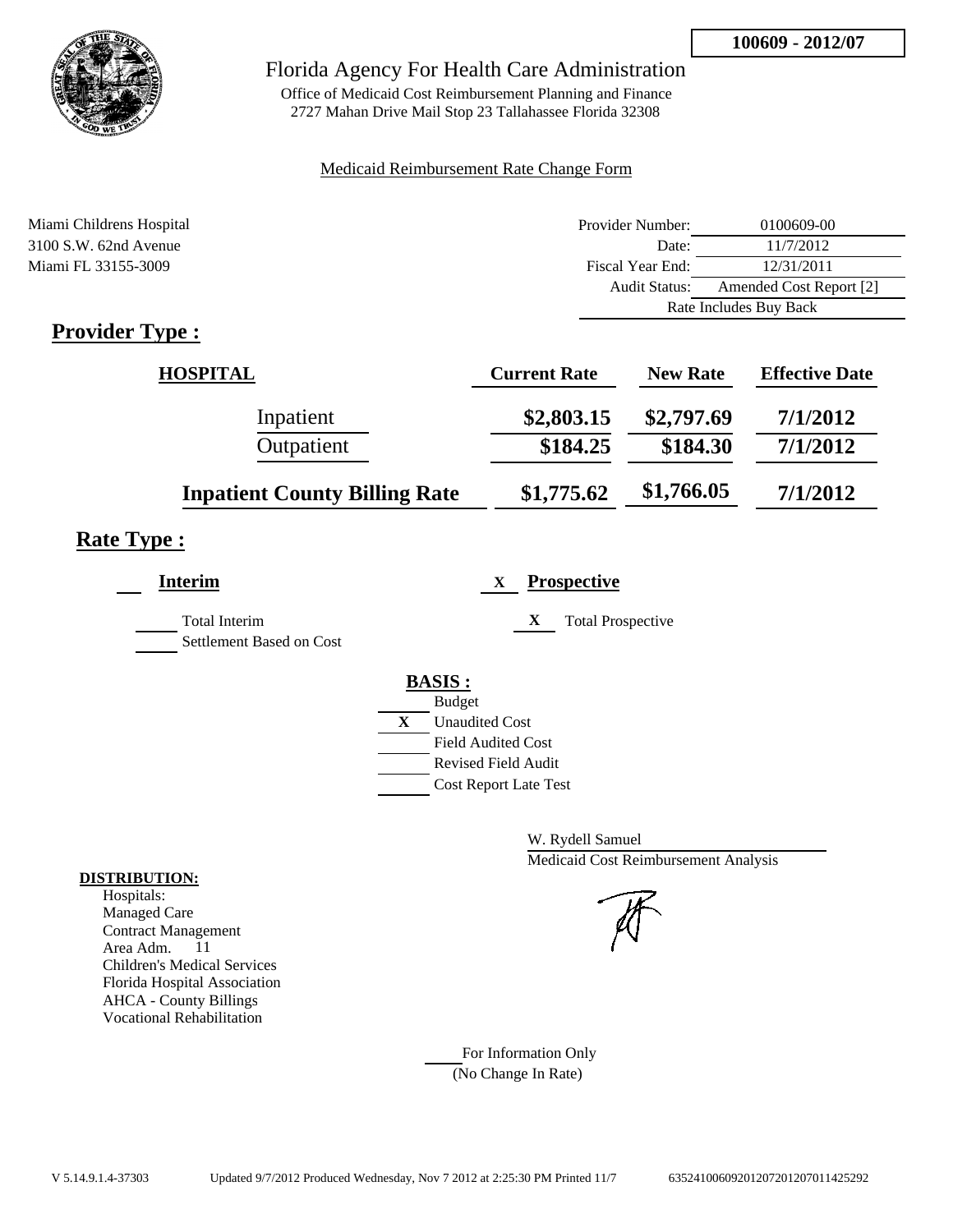

Office of Medicaid Cost Reimbursement Planning and Finance 2727 Mahan Drive Mail Stop 23 Tallahassee Florida 32308

#### Medicaid Reimbursement Rate Change Form

| Miami Childrens Hospital | Provider Number: | 0100609-00              |
|--------------------------|------------------|-------------------------|
| $3100$ S.W. 62nd Avenue  | Date:            | 11/7/2012               |
| Miami FL 33155-3009      | Fiscal Year End: | 12/31/2011              |
|                          | Audit Status:    | Amended Cost Report [2] |
|                          |                  | Rate Includes Buy Back  |
| $Drawidor \text{Trno}$   |                  |                         |

### **Provider Type :**

| <b>HOSPITAL</b>                      | <b>Current Rate</b> | <b>New Rate</b> | <b>Effective Date</b> |
|--------------------------------------|---------------------|-----------------|-----------------------|
| Inpatient                            | \$2,803.15          | \$2,797.69      | 7/1/2012              |
| Outpatient                           | \$184.25            | \$184.30        | 7/1/2012              |
| <b>Inpatient County Billing Rate</b> | \$1,775.62          | \$1,766.05      | 7/1/2012              |

### **Rate Type :**

| Interim                  | <b>Prospective</b><br>X               |
|--------------------------|---------------------------------------|
| <b>Total Interim</b>     | X<br><b>Total Prospective</b>         |
| Settlement Based on Cost |                                       |
|                          | <b>BASIS:</b>                         |
|                          | <b>Budget</b>                         |
|                          | $\mathbf{X}$<br><b>Unaudited Cost</b> |
|                          | <b>Field Audited Cost</b>             |
|                          | Revised Field Audit                   |
|                          | <b>Cost Report Late Test</b>          |

W. Rydell Samuel Medicaid Cost Reimbursement Analysis

For Information Only (No Change In Rate)

#### **DISTRIBUTION:**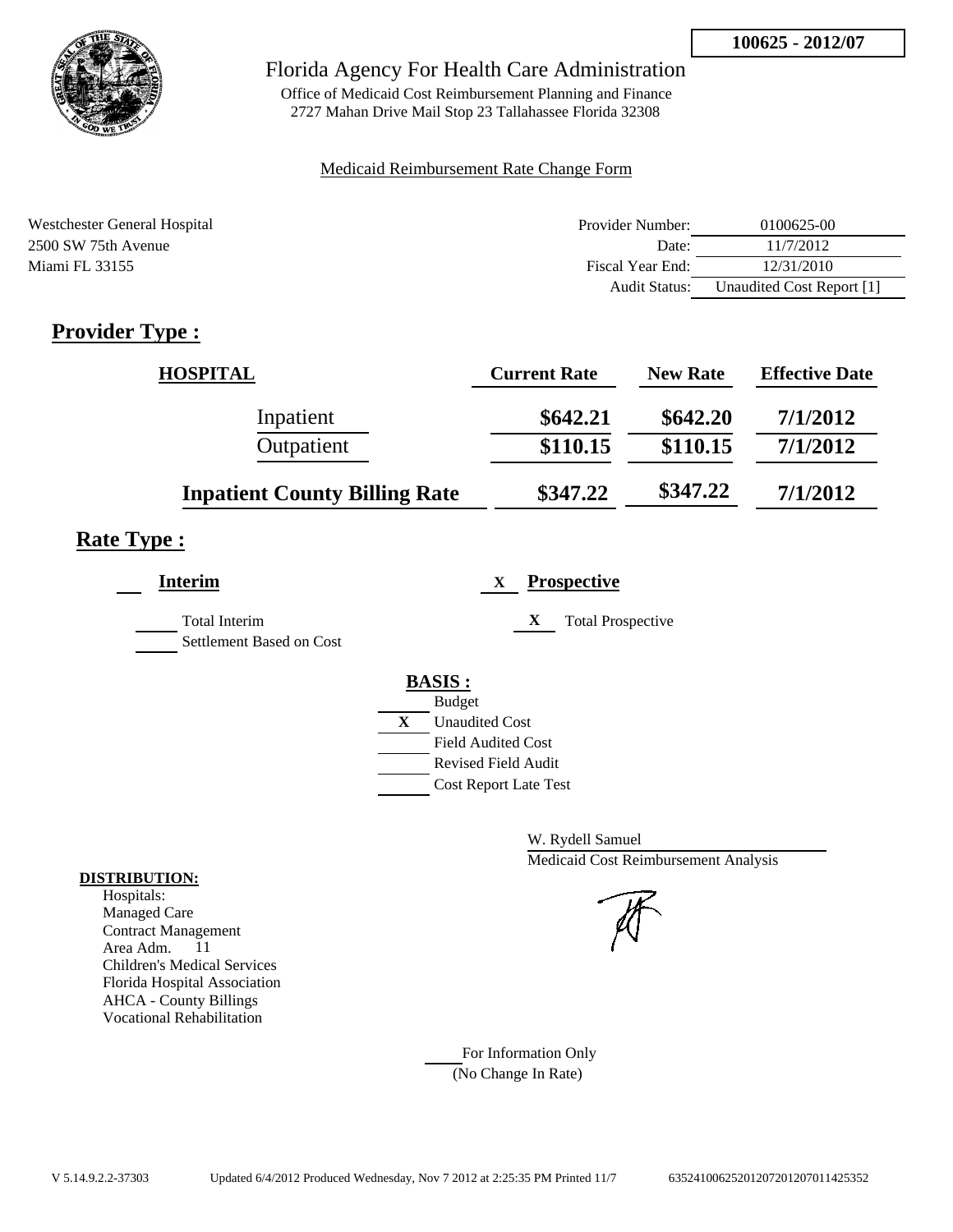

Office of Medicaid Cost Reimbursement Planning and Finance 2727 Mahan Drive Mail Stop 23 Tallahassee Florida 32308

#### Medicaid Reimbursement Rate Change Form

| Westchester General Hospital | Provider Number:     | 0100625-00                |
|------------------------------|----------------------|---------------------------|
| 2500 SW 75th Avenue          | Date:                | 11/7/2012                 |
| Miami FL 33155               | Fiscal Year End:     | 12/31/2010                |
|                              | <b>Audit Status:</b> | Unaudited Cost Report [1] |

# **Provider Type :**

| <b>HOSPITAL</b>                      | <b>Current Rate</b> | <b>New Rate</b> | <b>Effective Date</b> |
|--------------------------------------|---------------------|-----------------|-----------------------|
| Inpatient                            | \$642.21            | \$642.20        | 7/1/2012              |
| Outpatient                           | \$110.15            | \$110.15        | 7/1/2012              |
| <b>Inpatient County Billing Rate</b> | \$347.22            | \$347.22        | 7/1/2012              |

# **Rate Type :**

| <b>Interim</b>                            | <b>Prospective</b><br>X                                                                                                                                 |
|-------------------------------------------|---------------------------------------------------------------------------------------------------------------------------------------------------------|
| Total Interim<br>Settlement Based on Cost | <b>Total Prospective</b><br>X                                                                                                                           |
|                                           | <b>BASIS:</b><br><b>Budget</b><br>X<br><b>Unaudited Cost</b><br><b>Field Audited Cost</b><br><b>Revised Field Audit</b><br><b>Cost Report Late Test</b> |

W. Rydell Samuel Medicaid Cost Reimbursement Analysis

For Information Only (No Change In Rate)

### **DISTRIBUTION:**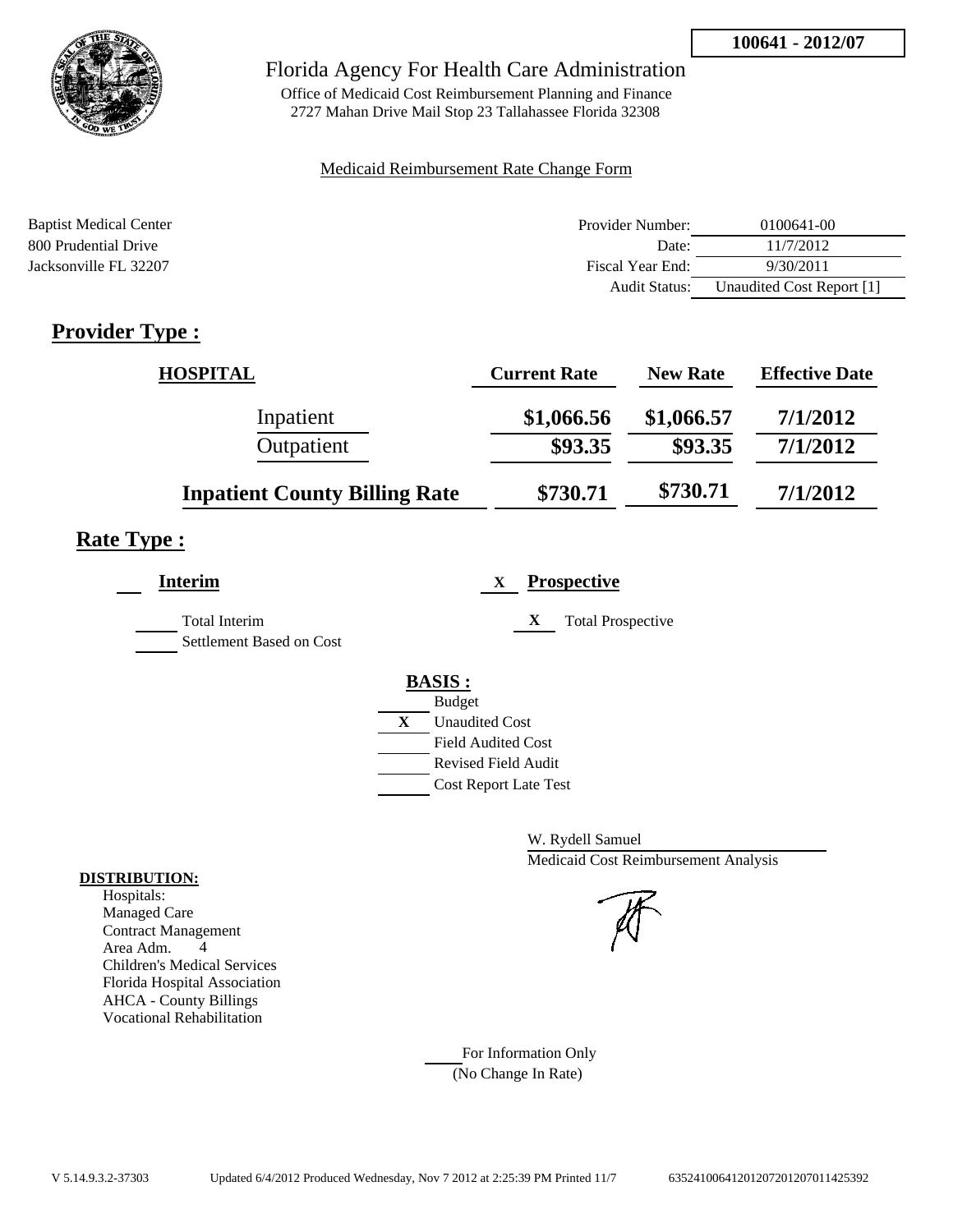

Office of Medicaid Cost Reimbursement Planning and Finance 2727 Mahan Drive Mail Stop 23 Tallahassee Florida 32308

#### Medicaid Reimbursement Rate Change Form

| <b>Baptist Medical Center</b> | Provider Number:     | 0100641-00                |
|-------------------------------|----------------------|---------------------------|
| 800 Prudential Drive          | Date:                | 11/7/2012                 |
| Jacksonville FL 32207         | Fiscal Year End:     | 9/30/2011                 |
|                               | <b>Audit Status:</b> | Unaudited Cost Report [1] |

# **Provider Type :**

| <b>HOSPITAL</b>                      | <b>Current Rate</b> | <b>New Rate</b> | <b>Effective Date</b> |
|--------------------------------------|---------------------|-----------------|-----------------------|
| Inpatient                            | \$1,066.56          | \$1,066.57      | 7/1/2012              |
| Outpatient                           | \$93.35             | \$93.35         | 7/1/2012              |
| <b>Inpatient County Billing Rate</b> | \$730.71            | \$730.71        | 7/1/2012              |

# **Rate Type :**

| <b>Interim</b>                                   | <b>Prospective</b><br>$\mathbf{X}$ |
|--------------------------------------------------|------------------------------------|
| <b>Total Interim</b><br>Settlement Based on Cost | X<br><b>Total Prospective</b>      |
|                                                  | <b>BASIS:</b>                      |
|                                                  | <b>Budget</b>                      |
|                                                  | X<br><b>Unaudited Cost</b>         |
|                                                  | <b>Field Audited Cost</b>          |
|                                                  | <b>Revised Field Audit</b>         |
|                                                  | <b>Cost Report Late Test</b>       |
|                                                  |                                    |

W. Rydell Samuel Medicaid Cost Reimbursement Analysis



For Information Only (No Change In Rate)

#### **DISTRIBUTION:**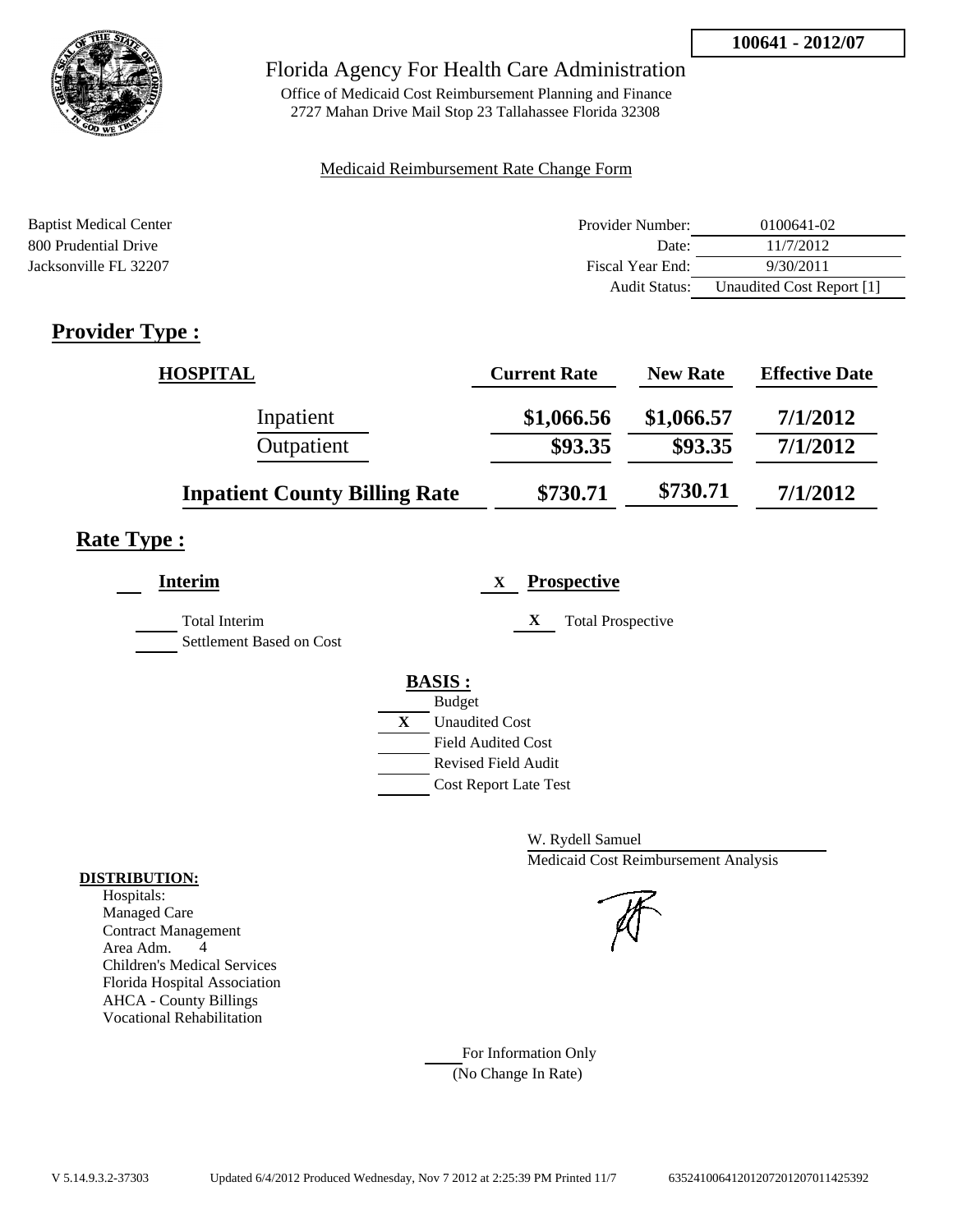

Office of Medicaid Cost Reimbursement Planning and Finance 2727 Mahan Drive Mail Stop 23 Tallahassee Florida 32308

#### Medicaid Reimbursement Rate Change Form

| <b>Baptist Medical Center</b> | Provider Number:     | 0100641-02                |
|-------------------------------|----------------------|---------------------------|
| 800 Prudential Drive          | Date:                | 11/7/2012                 |
| Jacksonville FL 32207         | Fiscal Year End:     | 9/30/2011                 |
|                               | <b>Audit Status:</b> | Unaudited Cost Report [1] |

# **Provider Type :**

| <b>HOSPITAL</b>                      | <b>Current Rate</b> | <b>New Rate</b> | <b>Effective Date</b> |
|--------------------------------------|---------------------|-----------------|-----------------------|
| Inpatient                            | \$1,066.56          | \$1,066.57      | 7/1/2012              |
| Outpatient                           | \$93.35             | \$93.35         | 7/1/2012              |
| <b>Inpatient County Billing Rate</b> | \$730.71            | \$730.71        | 7/1/2012              |

# **Rate Type :**

| Interim                                          | <b>Prospective</b><br>X       |
|--------------------------------------------------|-------------------------------|
| <b>Total Interim</b><br>Settlement Based on Cost | X<br><b>Total Prospective</b> |
|                                                  | <b>BASIS:</b>                 |
|                                                  | <b>Budget</b>                 |
|                                                  | X<br><b>Unaudited Cost</b>    |
|                                                  | <b>Field Audited Cost</b>     |
|                                                  | <b>Revised Field Audit</b>    |
|                                                  | <b>Cost Report Late Test</b>  |
|                                                  |                               |

W. Rydell Samuel Medicaid Cost Reimbursement Analysis

For Information Only (No Change In Rate)

#### **DISTRIBUTION:**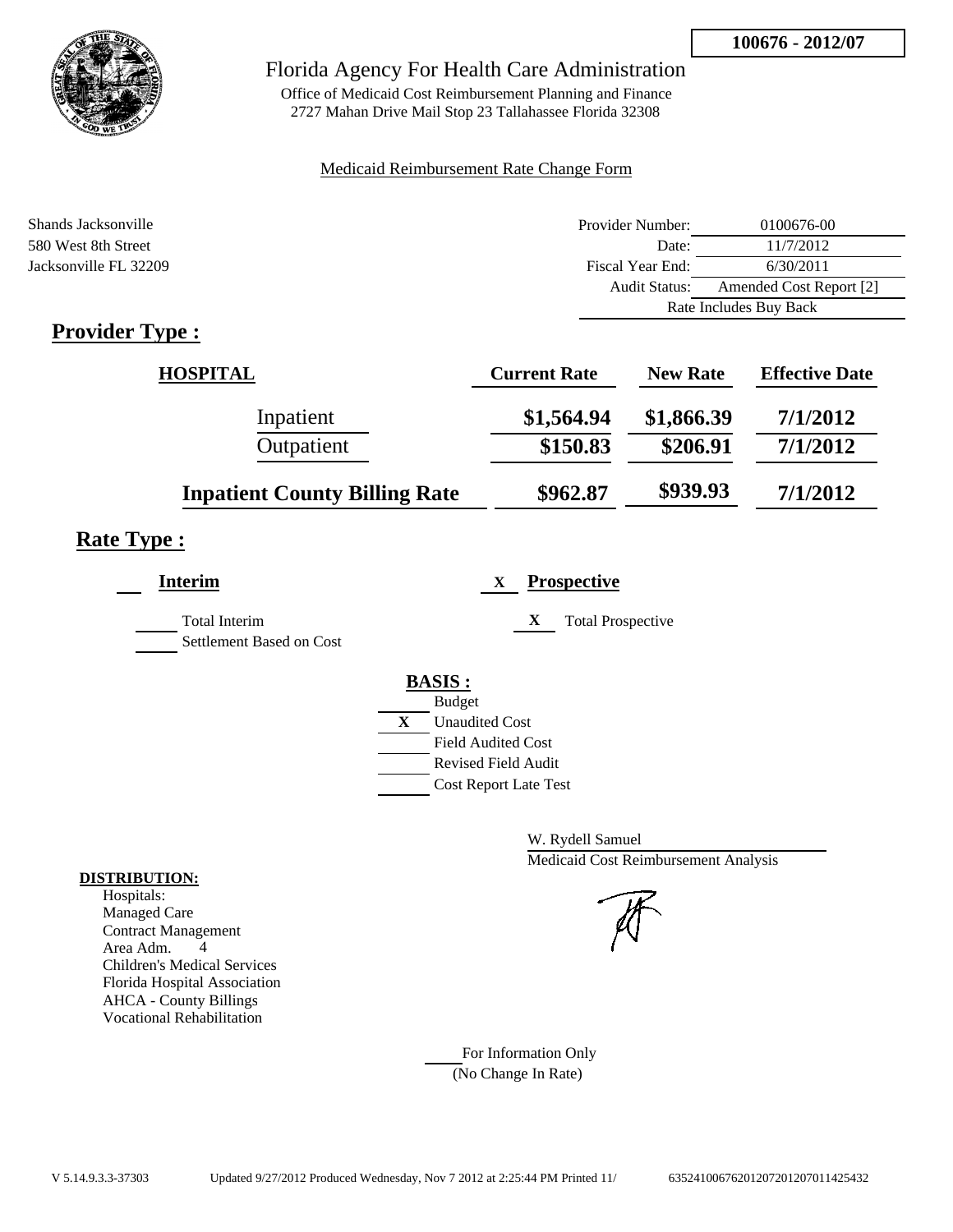

Office of Medicaid Cost Reimbursement Planning and Finance 2727 Mahan Drive Mail Stop 23 Tallahassee Florida 32308

#### Medicaid Reimbursement Rate Change Form

| Shands Jacksonville                             | Provider Number:     | 0100676-00              |
|-------------------------------------------------|----------------------|-------------------------|
| 580 West 8th Street                             | Date:                | 11/7/2012               |
| Jacksonville FL 32209                           | Fiscal Year End:     | 6/30/2011               |
|                                                 | <b>Audit Status:</b> | Amended Cost Report [2] |
|                                                 |                      | Rate Includes Buy Back  |
| $\bullet$ $\blacksquare$<br>$\blacksquare$<br>m |                      |                         |

### **Provider Type :**

| <b>HOSPITAL</b>                      | <b>Current Rate</b> | <b>New Rate</b> | <b>Effective Date</b> |
|--------------------------------------|---------------------|-----------------|-----------------------|
| Inpatient                            | \$1,564.94          | \$1,866.39      | 7/1/2012              |
| Outpatient                           | \$150.83            | \$206.91        | 7/1/2012              |
| <b>Inpatient County Billing Rate</b> | \$962.87            | \$939.93        | 7/1/2012              |

# **Rate Type :**

| <b>Interim</b>                                   | <b>Prospective</b><br>X       |
|--------------------------------------------------|-------------------------------|
| <b>Total Interim</b><br>Settlement Based on Cost | X<br><b>Total Prospective</b> |
|                                                  | <b>BASIS:</b>                 |
|                                                  | <b>Budget</b>                 |
|                                                  | X<br><b>Unaudited Cost</b>    |
|                                                  | <b>Field Audited Cost</b>     |
|                                                  | <b>Revised Field Audit</b>    |
|                                                  | <b>Cost Report Late Test</b>  |
|                                                  |                               |

W. Rydell Samuel Medicaid Cost Reimbursement Analysis

For Information Only (No Change In Rate)

#### **DISTRIBUTION:**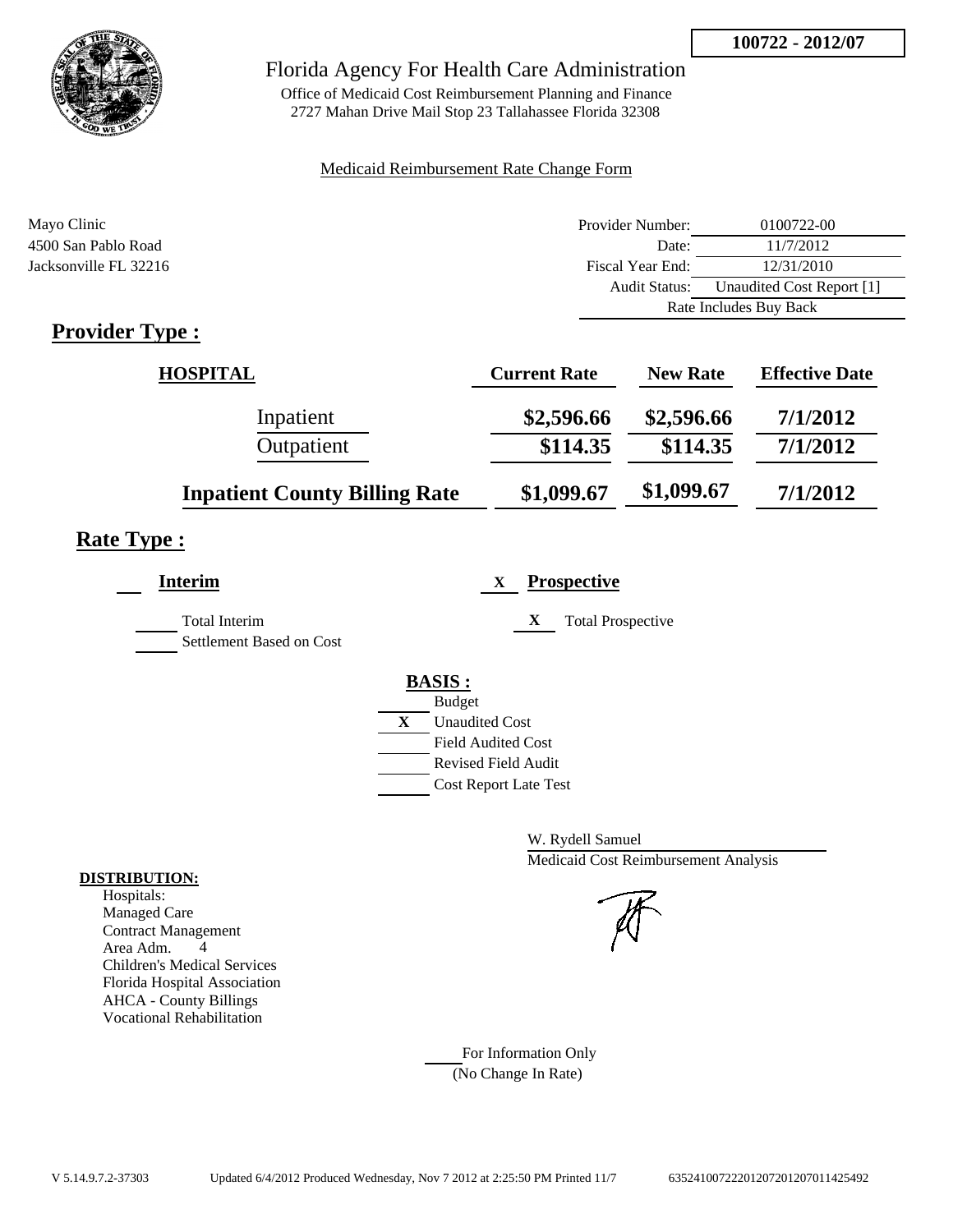**100722 - 2012/07**



### Florida Agency For Health Care Administration

Office of Medicaid Cost Reimbursement Planning and Finance 2727 Mahan Drive Mail Stop 23 Tallahassee Florida 32308

#### Medicaid Reimbursement Rate Change Form

| Mayo Clinic           | Provider Number:     | 0100722-00                |
|-----------------------|----------------------|---------------------------|
| 4500 San Pablo Road   | Date:                | 11/7/2012                 |
| Jacksonville FL 32216 | Fiscal Year End:     | 12/31/2010                |
|                       | <b>Audit Status:</b> | Unaudited Cost Report [1] |
|                       |                      | Rate Includes Buy Back    |
| m<br>$\cdot$ 1<br>n.  |                      |                           |

### **Provider Type :**

| <b>HOSPITAL</b>                      | <b>Current Rate</b> | <b>New Rate</b> | <b>Effective Date</b> |
|--------------------------------------|---------------------|-----------------|-----------------------|
| Inpatient                            | \$2,596.66          | \$2,596.66      | 7/1/2012              |
| Outpatient                           | \$114.35            | \$114.35        | 7/1/2012              |
| <b>Inpatient County Billing Rate</b> | \$1,099.67          | \$1,099.67      | 7/1/2012              |

# **Rate Type :**

| <b>Interim</b>                                   | <b>Prospective</b><br>X       |
|--------------------------------------------------|-------------------------------|
| <b>Total Interim</b><br>Settlement Based on Cost | X<br><b>Total Prospective</b> |
|                                                  | <b>BASIS:</b>                 |
|                                                  | <b>Budget</b>                 |
|                                                  | X<br><b>Unaudited Cost</b>    |
|                                                  | <b>Field Audited Cost</b>     |
|                                                  | Revised Field Audit           |
|                                                  | <b>Cost Report Late Test</b>  |
|                                                  |                               |

W. Rydell Samuel Medicaid Cost Reimbursement Analysis

For Information Only (No Change In Rate)

#### **DISTRIBUTION:**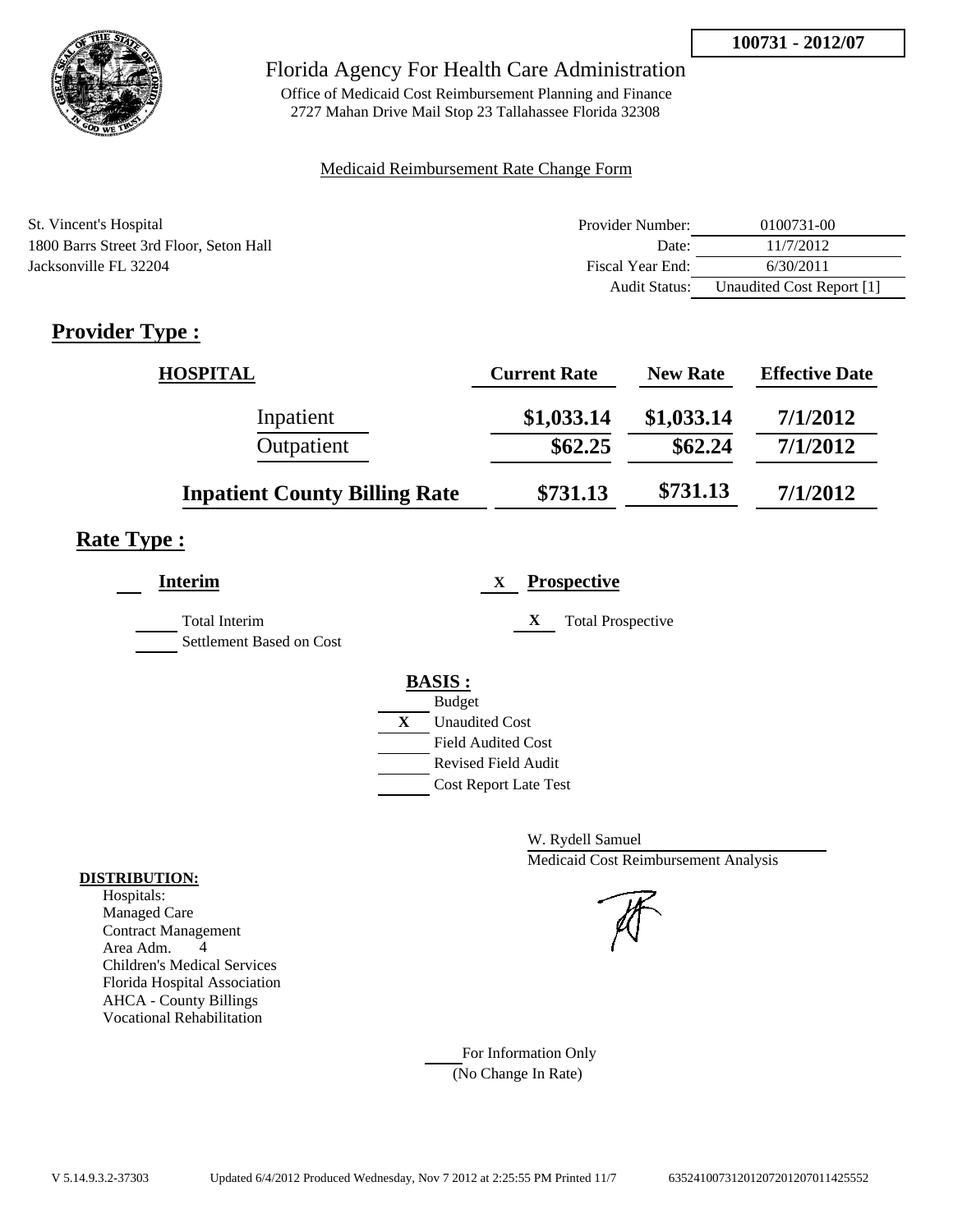

Office of Medicaid Cost Reimbursement Planning and Finance 2727 Mahan Drive Mail Stop 23 Tallahassee Florida 32308

#### Medicaid Reimbursement Rate Change Form

| St. Vincent's Hospital                  | Provider Number:     | 0100731-00                |
|-----------------------------------------|----------------------|---------------------------|
| 1800 Barrs Street 3rd Floor, Seton Hall | Date:                | 11/7/2012                 |
| Jacksonville FL 32204                   | Fiscal Year End:     | 6/30/2011                 |
|                                         | <b>Audit Status:</b> | Unaudited Cost Report [1] |

# **Provider Type :**

| <b>HOSPITAL</b>                      | <b>Current Rate</b> | <b>New Rate</b> | <b>Effective Date</b> |
|--------------------------------------|---------------------|-----------------|-----------------------|
| Inpatient                            | \$1,033.14          | \$1,033.14      | 7/1/2012              |
| Outpatient                           | \$62.25             | \$62.24         | 7/1/2012              |
| <b>Inpatient County Billing Rate</b> | \$731.13            | \$731.13        | 7/1/2012              |

### **Rate Type :**

| <b>Interim</b>                            | <b>Prospective</b><br>X                                                                                                                          |
|-------------------------------------------|--------------------------------------------------------------------------------------------------------------------------------------------------|
| Total Interim<br>Settlement Based on Cost | <b>Total Prospective</b><br>X                                                                                                                    |
|                                           | <b>BASIS:</b><br><b>Budget</b><br>X<br><b>Unaudited Cost</b><br><b>Field Audited Cost</b><br>Revised Field Audit<br><b>Cost Report Late Test</b> |

W. Rydell Samuel Medicaid Cost Reimbursement Analysis



For Information Only (No Change In Rate)

### **DISTRIBUTION:**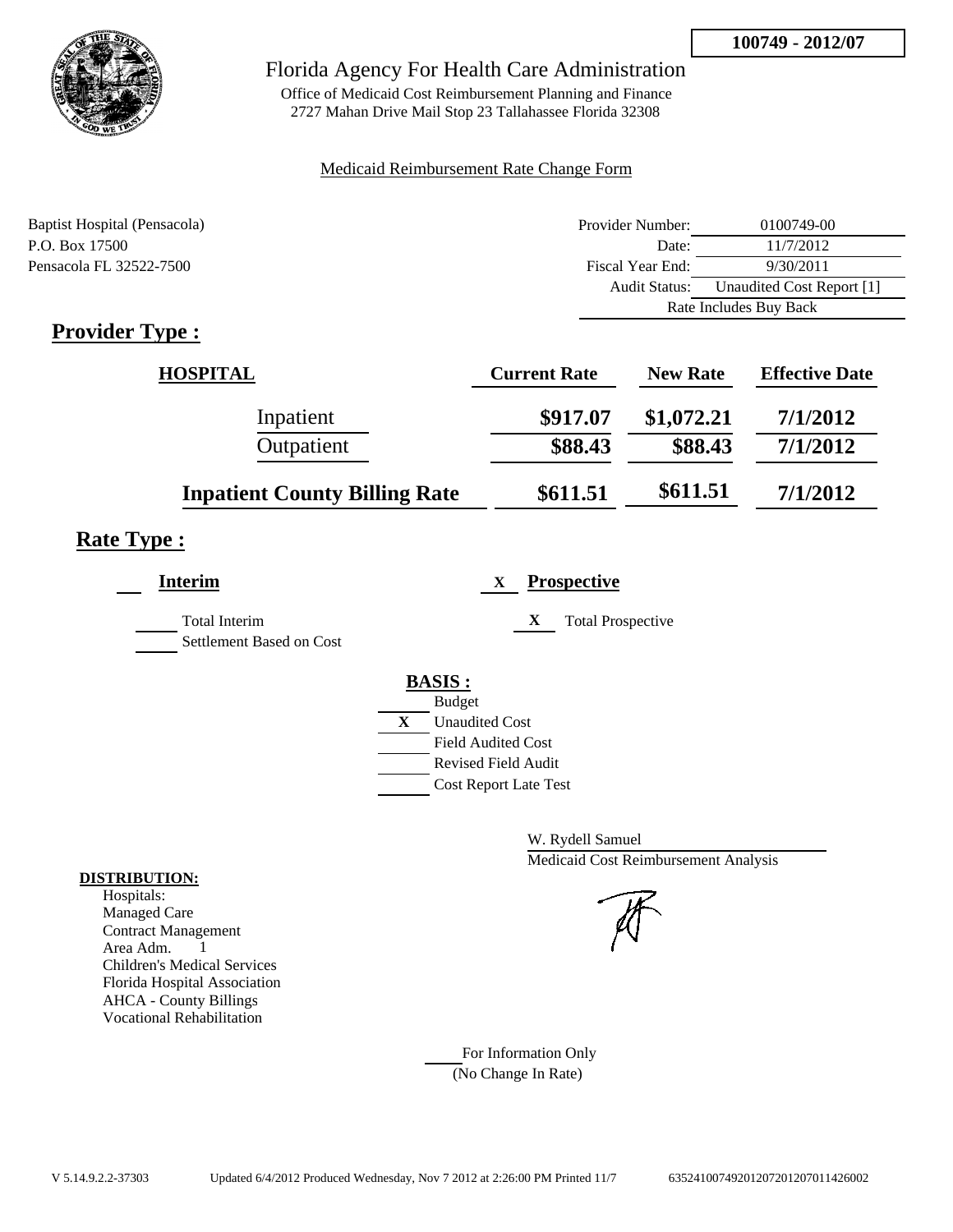

Office of Medicaid Cost Reimbursement Planning and Finance 2727 Mahan Drive Mail Stop 23 Tallahassee Florida 32308

#### Medicaid Reimbursement Rate Change Form

| Baptist Hospital (Pensacola) | Provider Number: | 0100749-00                |
|------------------------------|------------------|---------------------------|
| P.O. Box 17500               | Date:            | 11/7/2012                 |
| Pensacola FL 32522-7500      | Fiscal Year End: | 9/30/2011                 |
|                              | Audit Status:    | Unaudited Cost Report [1] |
|                              |                  | Rate Includes Buy Back    |

# **Provider Type :**

| <b>HOSPITAL</b>                      | <b>Current Rate</b> | <b>New Rate</b> | <b>Effective Date</b> |
|--------------------------------------|---------------------|-----------------|-----------------------|
| Inpatient                            | \$917.07            | \$1,072.21      | 7/1/2012              |
| Outpatient                           | \$88.43             | \$88.43         | 7/1/2012              |
| <b>Inpatient County Billing Rate</b> | \$611.51            | \$611.51        | 7/1/2012              |

# **Rate Type :**

| <b>Interim</b>                            | <b>Prospective</b><br>$\mathbf{X}$ |
|-------------------------------------------|------------------------------------|
| Total Interim<br>Settlement Based on Cost | X<br><b>Total Prospective</b>      |
|                                           | <b>BASIS:</b>                      |
|                                           | <b>Budget</b>                      |
|                                           | X<br><b>Unaudited Cost</b>         |
|                                           | <b>Field Audited Cost</b>          |
|                                           | <b>Revised Field Audit</b>         |
|                                           | <b>Cost Report Late Test</b>       |
|                                           |                                    |

W. Rydell Samuel Medicaid Cost Reimbursement Analysis

For Information Only (No Change In Rate)

#### **DISTRIBUTION:**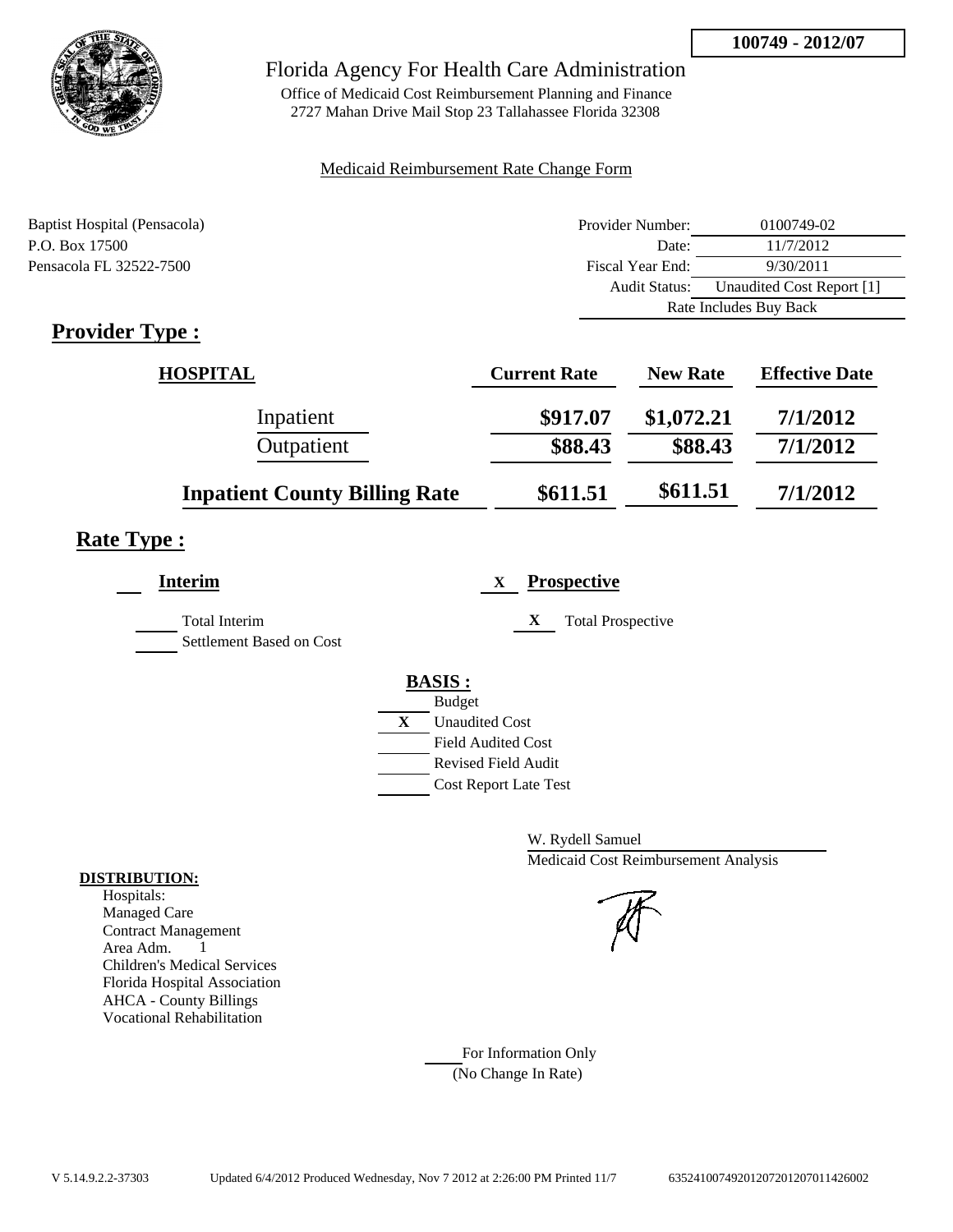

Office of Medicaid Cost Reimbursement Planning and Finance 2727 Mahan Drive Mail Stop 23 Tallahassee Florida 32308

#### Medicaid Reimbursement Rate Change Form

| Baptist Hospital (Pensacola) | Provider Number:     | 0100749-02                |
|------------------------------|----------------------|---------------------------|
| P.O. Box 17500               | Date:                | 11/7/2012                 |
| Pensacola FL 32522-7500      | Fiscal Year End:     | 9/30/2011                 |
|                              | <b>Audit Status:</b> | Unaudited Cost Report [1] |
|                              |                      | Rate Includes Buy Back    |

# **Provider Type :**

| <b>HOSPITAL</b>                      | <b>Current Rate</b> | <b>New Rate</b> | <b>Effective Date</b> |
|--------------------------------------|---------------------|-----------------|-----------------------|
| Inpatient                            | \$917.07            | \$1,072.21      | 7/1/2012              |
| Outpatient                           | \$88.43             | \$88.43         | 7/1/2012              |
| <b>Inpatient County Billing Rate</b> | \$611.51            | \$611.51        | 7/1/2012              |

# **Rate Type :**

| <b>Interim</b>                            | <b>Prospective</b><br>$\mathbf{X}$ |
|-------------------------------------------|------------------------------------|
| Total Interim<br>Settlement Based on Cost | X<br><b>Total Prospective</b>      |
|                                           | <b>BASIS:</b>                      |
|                                           | <b>Budget</b>                      |
|                                           | X<br><b>Unaudited Cost</b>         |
|                                           | <b>Field Audited Cost</b>          |
|                                           | <b>Revised Field Audit</b>         |
|                                           | <b>Cost Report Late Test</b>       |
|                                           |                                    |

W. Rydell Samuel Medicaid Cost Reimbursement Analysis

For Information Only (No Change In Rate)

#### **DISTRIBUTION:**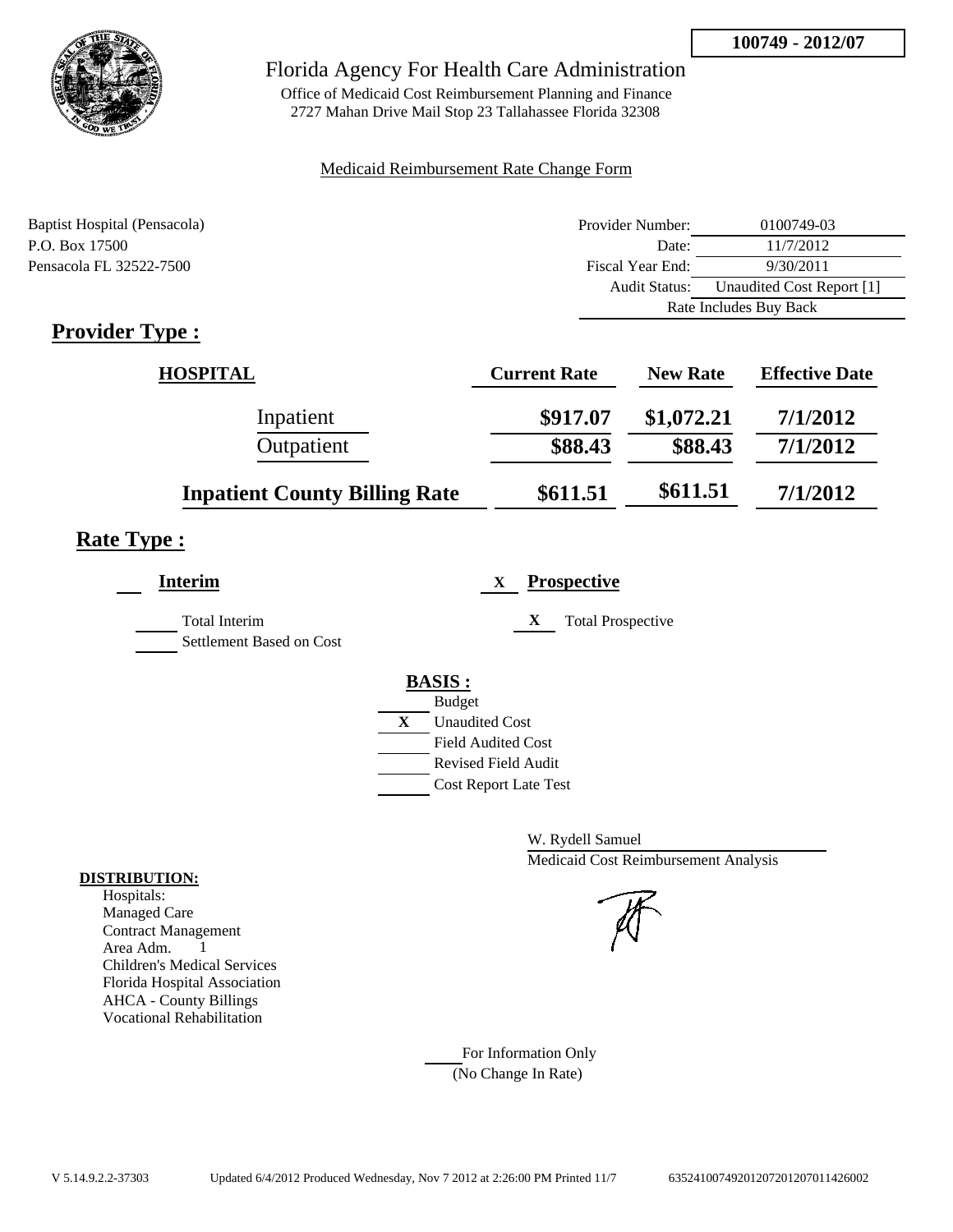

Office of Medicaid Cost Reimbursement Planning and Finance 2727 Mahan Drive Mail Stop 23 Tallahassee Florida 32308

## Medicaid Reimbursement Rate Change Form

| Baptist Hospital (Pensacola) | Provider Number: | 0100749-03                |
|------------------------------|------------------|---------------------------|
| P.O. Box 17500               | Date:            | 11/7/2012                 |
| Pensacola FL 32522-7500      | Fiscal Year End: | 9/30/2011                 |
|                              | Audit Status:    | Unaudited Cost Report [1] |
|                              |                  | Rate Includes Buy Back    |

# **Provider Type :**

| <b>HOSPITAL</b>                      | <b>Current Rate</b> | <b>New Rate</b> | <b>Effective Date</b> |
|--------------------------------------|---------------------|-----------------|-----------------------|
| Inpatient                            | \$917.07            | \$1,072.21      | 7/1/2012              |
| Outpatient                           | \$88.43             | \$88.43         | 7/1/2012              |
| <b>Inpatient County Billing Rate</b> | \$611.51            | \$611.51        | 7/1/2012              |

# **Rate Type :**

| <b>Interim</b>                            | <b>Prospective</b><br>$\mathbf{X}$ |
|-------------------------------------------|------------------------------------|
| Total Interim<br>Settlement Based on Cost | X<br><b>Total Prospective</b>      |
|                                           | <b>BASIS:</b>                      |
|                                           | <b>Budget</b>                      |
|                                           | X<br><b>Unaudited Cost</b>         |
|                                           | <b>Field Audited Cost</b>          |
|                                           | <b>Revised Field Audit</b>         |
|                                           | <b>Cost Report Late Test</b>       |
|                                           |                                    |

W. Rydell Samuel Medicaid Cost Reimbursement Analysis

For Information Only (No Change In Rate)

#### **DISTRIBUTION:**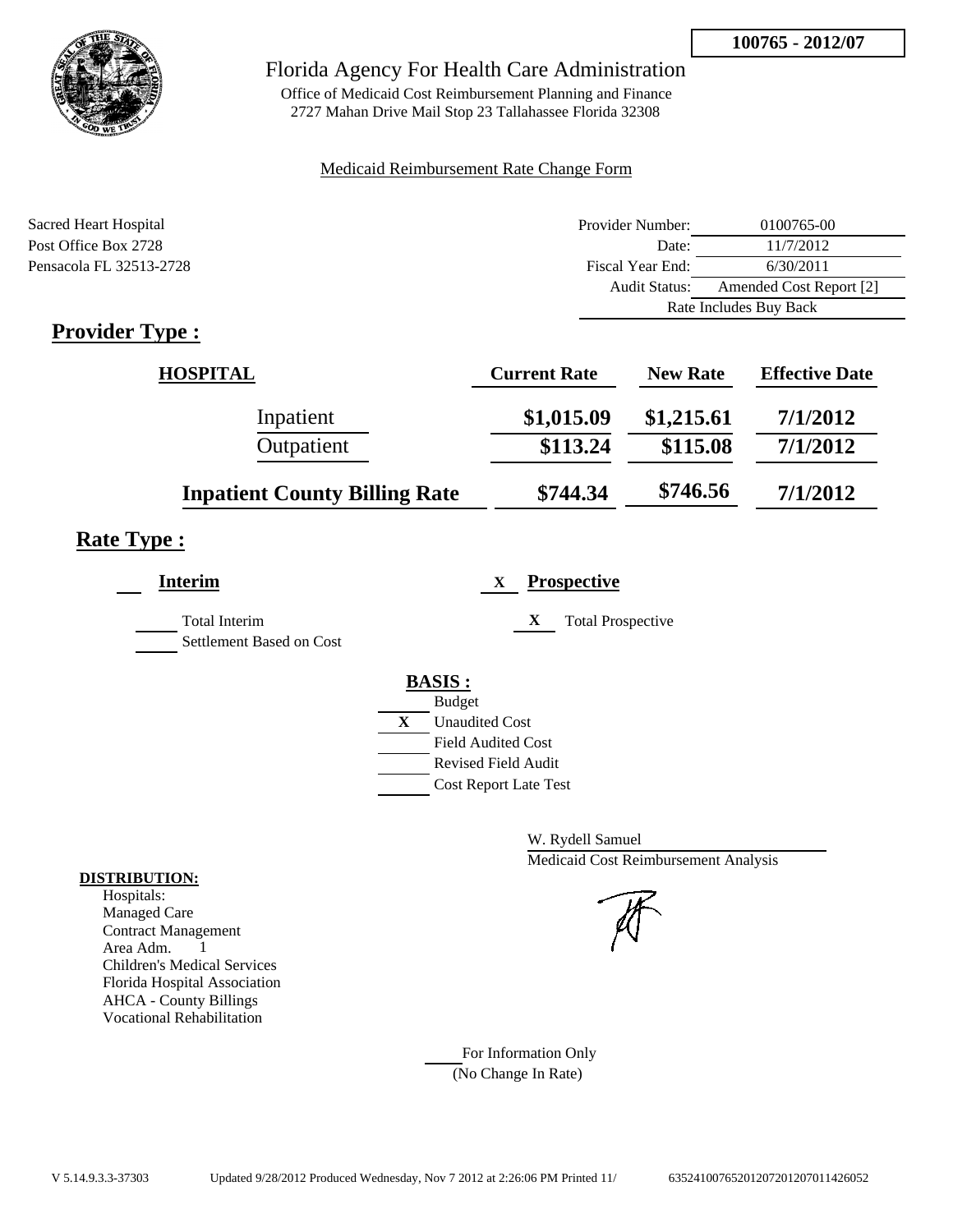

Office of Medicaid Cost Reimbursement Planning and Finance 2727 Mahan Drive Mail Stop 23 Tallahassee Florida 32308

## Medicaid Reimbursement Rate Change Form

| Sacred Heart Hospital   | Provider Number:     | 0100765-00              |
|-------------------------|----------------------|-------------------------|
| Post Office Box 2728    | Date:                | 11/7/2012               |
| Pensacola FL 32513-2728 | Fiscal Year End:     | 6/30/2011               |
|                         | <b>Audit Status:</b> | Amended Cost Report [2] |
|                         |                      | Rate Includes Buy Back  |
| m<br>n.                 |                      |                         |

# **Provider Type :**

| <b>HOSPITAL</b>                      | <b>Current Rate</b> | <b>New Rate</b> | <b>Effective Date</b> |
|--------------------------------------|---------------------|-----------------|-----------------------|
| Inpatient                            | \$1,015.09          | \$1,215.61      | 7/1/2012              |
| Outpatient                           | \$113.24            | \$115.08        | 7/1/2012              |
| <b>Inpatient County Billing Rate</b> | \$744.34            | \$746.56        | 7/1/2012              |

# **Rate Type :**

| Interim                                          | <b>Prospective</b><br>X       |
|--------------------------------------------------|-------------------------------|
| <b>Total Interim</b><br>Settlement Based on Cost | X<br><b>Total Prospective</b> |
|                                                  | <b>BASIS:</b>                 |
|                                                  | <b>Budget</b>                 |
|                                                  | X<br><b>Unaudited Cost</b>    |
|                                                  | <b>Field Audited Cost</b>     |
|                                                  | Revised Field Audit           |
|                                                  | <b>Cost Report Late Test</b>  |

W. Rydell Samuel Medicaid Cost Reimbursement Analysis

For Information Only (No Change In Rate)

#### **DISTRIBUTION:**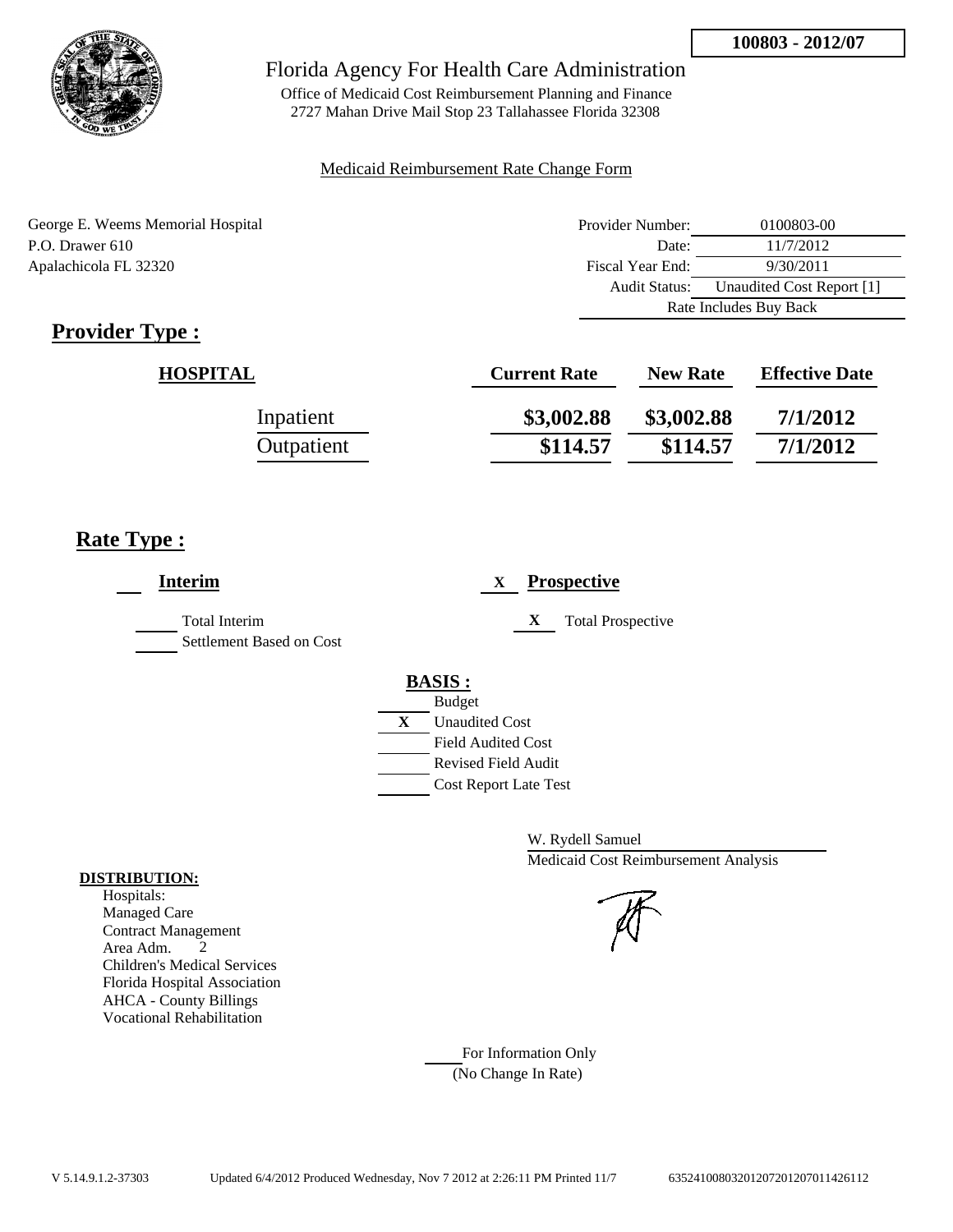

Office of Medicaid Cost Reimbursement Planning and Finance 2727 Mahan Drive Mail Stop 23 Tallahassee Florida 32308

#### Medicaid Reimbursement Rate Change Form

George E. Weems Memorial Hospital P.O. Drawer 610 Apalachicola FL 32320

| Provider Number:       | 0100803-00                |
|------------------------|---------------------------|
| Date:                  | 11/7/2012                 |
| Fiscal Year End:       | 9/30/2011                 |
| Audit Status:          | Unaudited Cost Report [1] |
| Rate Includes Buy Back |                           |

# **Provider Type :**

| <b>HOSPITAL</b> | <b>Current Rate</b> | <b>New Rate</b> | <b>Effective Date</b> |
|-----------------|---------------------|-----------------|-----------------------|
| Inpatient       | \$3,002.88          | \$3,002.88      | 7/1/2012              |
| Outpatient      | \$114.57            | \$114.57        | 7/1/2012              |

## **Rate Type :**

| <b>Interim</b>                                   |                                | <b>Prospective</b><br>$\mathbf{X}$ |
|--------------------------------------------------|--------------------------------|------------------------------------|
| <b>Total Interim</b><br>Settlement Based on Cost |                                | X<br><b>Total Prospective</b>      |
|                                                  | <b>BASIS:</b><br><b>Budget</b> |                                    |
|                                                  | X                              | <b>Unaudited Cost</b>              |
|                                                  |                                | <b>Field Audited Cost</b>          |
|                                                  |                                | <b>Revised Field Audit</b>         |
|                                                  |                                | <b>Cost Report Late Test</b>       |
|                                                  |                                |                                    |

W. Rydell Samuel Medicaid Cost Reimbursement Analysis

For Information Only (No Change In Rate)

#### **DISTRIBUTION:**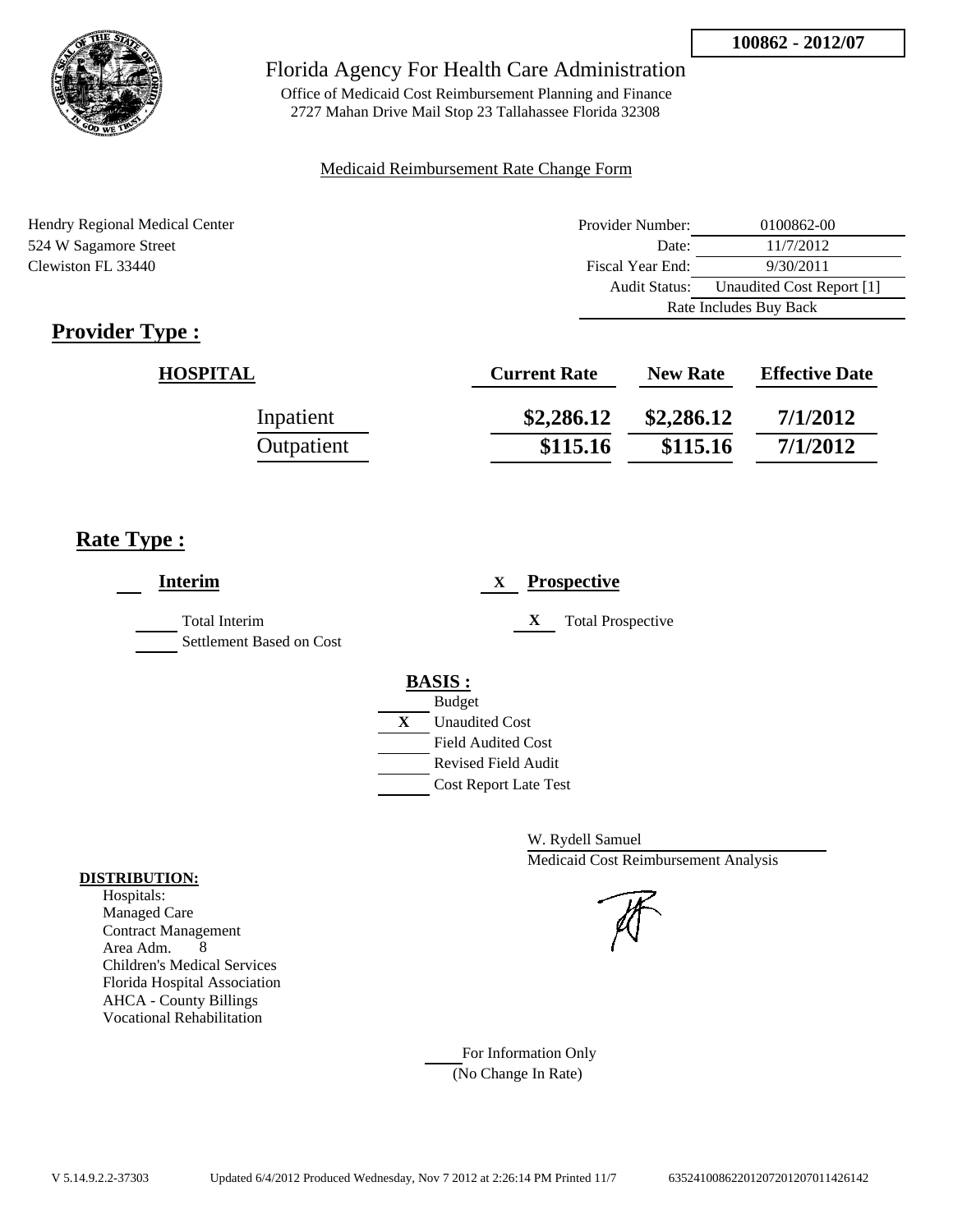

Office of Medicaid Cost Reimbursement Planning and Finance 2727 Mahan Drive Mail Stop 23 Tallahassee Florida 32308

#### Medicaid Reimbursement Rate Change Form

Hendry Regional Medical Center 524 W Sagamore Street Clewiston FL 33440

| Provider Number:       | 0100862-00                |
|------------------------|---------------------------|
| Date:                  | 11/7/2012                 |
| Fiscal Year End:       | 9/30/2011                 |
| <b>Audit Status:</b>   | Unaudited Cost Report [1] |
| Rate Includes Buy Back |                           |

# **Provider Type :**

| <b>HOSPITAL</b> | <b>Current Rate</b> | <b>New Rate</b> | <b>Effective Date</b> |
|-----------------|---------------------|-----------------|-----------------------|
| Inpatient       | \$2,286.12          | \$2,286.12      | 7/1/2012              |
| Outpatient      | \$115.16            | \$115.16        | 7/1/2012              |

# **Rate Type :**

| <b>Interim</b>                            | <b>Prospective</b><br>X                                                                                                                          |
|-------------------------------------------|--------------------------------------------------------------------------------------------------------------------------------------------------|
| Total Interim<br>Settlement Based on Cost | X<br><b>Total Prospective</b>                                                                                                                    |
|                                           | <b>BASIS:</b><br><b>Budget</b><br>X<br><b>Unaudited Cost</b><br><b>Field Audited Cost</b><br>Revised Field Audit<br><b>Cost Report Late Test</b> |

W. Rydell Samuel Medicaid Cost Reimbursement Analysis

For Information Only (No Change In Rate)

## **DISTRIBUTION:**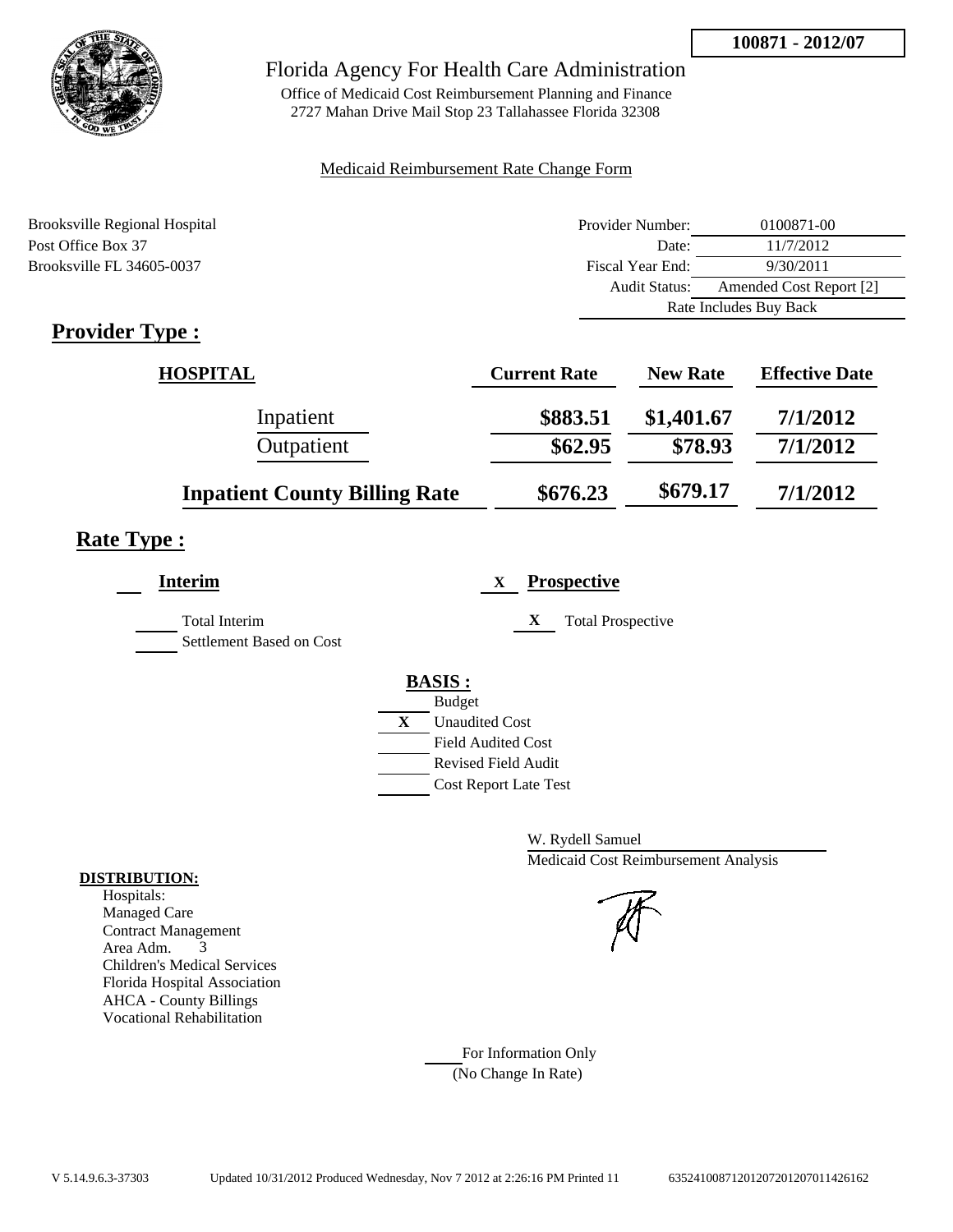

Office of Medicaid Cost Reimbursement Planning and Finance 2727 Mahan Drive Mail Stop 23 Tallahassee Florida 32308

## Medicaid Reimbursement Rate Change Form

| Brooksville Regional Hospital | Provider Number: | 0100871-00              |  |
|-------------------------------|------------------|-------------------------|--|
| Post Office Box 37            | Date:            | 11/7/2012               |  |
| Brooksville FL 34605-0037     | Fiscal Year End: | 9/30/2011               |  |
|                               | Audit Status:    | Amended Cost Report [2] |  |
|                               |                  | Rate Includes Buy Back  |  |

# **Provider Type :**

| <b>HOSPITAL</b>                      | <b>Current Rate</b> | <b>New Rate</b> | <b>Effective Date</b> |
|--------------------------------------|---------------------|-----------------|-----------------------|
| Inpatient                            | \$883.51            | \$1,401.67      | 7/1/2012              |
| Outpatient                           | \$62.95             | \$78.93         | 7/1/2012              |
| <b>Inpatient County Billing Rate</b> | \$676.23            | \$679.17        | 7/1/2012              |

# **Rate Type :**

| <b>Prospective</b><br>X       |
|-------------------------------|
| X<br><b>Total Prospective</b> |
|                               |
| <b>BASIS:</b>                 |
| <b>Budget</b>                 |
| X<br><b>Unaudited Cost</b>    |
| <b>Field Audited Cost</b>     |
| <b>Revised Field Audit</b>    |
| <b>Cost Report Late Test</b>  |
|                               |

W. Rydell Samuel Medicaid Cost Reimbursement Analysis

For Information Only (No Change In Rate)

#### **DISTRIBUTION:**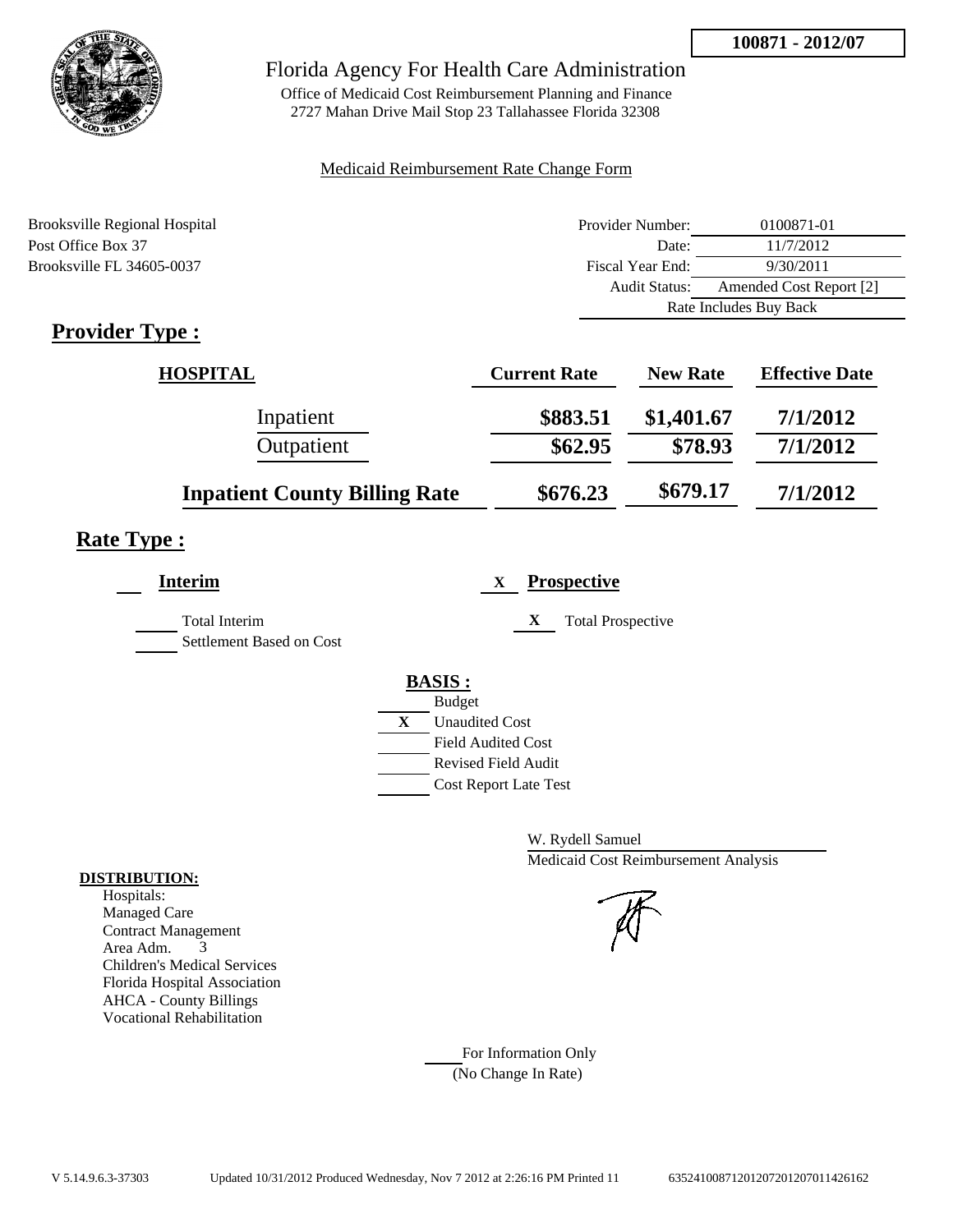

Office of Medicaid Cost Reimbursement Planning and Finance 2727 Mahan Drive Mail Stop 23 Tallahassee Florida 32308

## Medicaid Reimbursement Rate Change Form

| Brooksville Regional Hospital | Provider Number: | 0100871-01              |  |
|-------------------------------|------------------|-------------------------|--|
| Post Office Box 37            | Date:            | 11/7/2012               |  |
| Brooksville FL 34605-0037     | Fiscal Year End: | 9/30/2011               |  |
|                               | Audit Status:    | Amended Cost Report [2] |  |
|                               |                  | Rate Includes Buy Back  |  |

# **Provider Type :**

| <b>HOSPITAL</b>                      | <b>Current Rate</b> | <b>New Rate</b> | <b>Effective Date</b> |
|--------------------------------------|---------------------|-----------------|-----------------------|
| Inpatient                            | \$883.51            | \$1,401.67      | 7/1/2012              |
| Outpatient                           | \$62.95             | \$78.93         | 7/1/2012              |
| <b>Inpatient County Billing Rate</b> | \$676.23            | \$679.17        | 7/1/2012              |

# **Rate Type :**

| <b>Interim</b>                                   | <b>Prospective</b><br>X.                                                                                                                         |
|--------------------------------------------------|--------------------------------------------------------------------------------------------------------------------------------------------------|
| <b>Total Interim</b><br>Settlement Based on Cost | X<br><b>Total Prospective</b>                                                                                                                    |
|                                                  | <b>BASIS:</b><br><b>Budget</b><br>X<br><b>Unaudited Cost</b><br><b>Field Audited Cost</b><br>Revised Field Audit<br><b>Cost Report Late Test</b> |

W. Rydell Samuel Medicaid Cost Reimbursement Analysis

For Information Only (No Change In Rate)

#### **DISTRIBUTION:**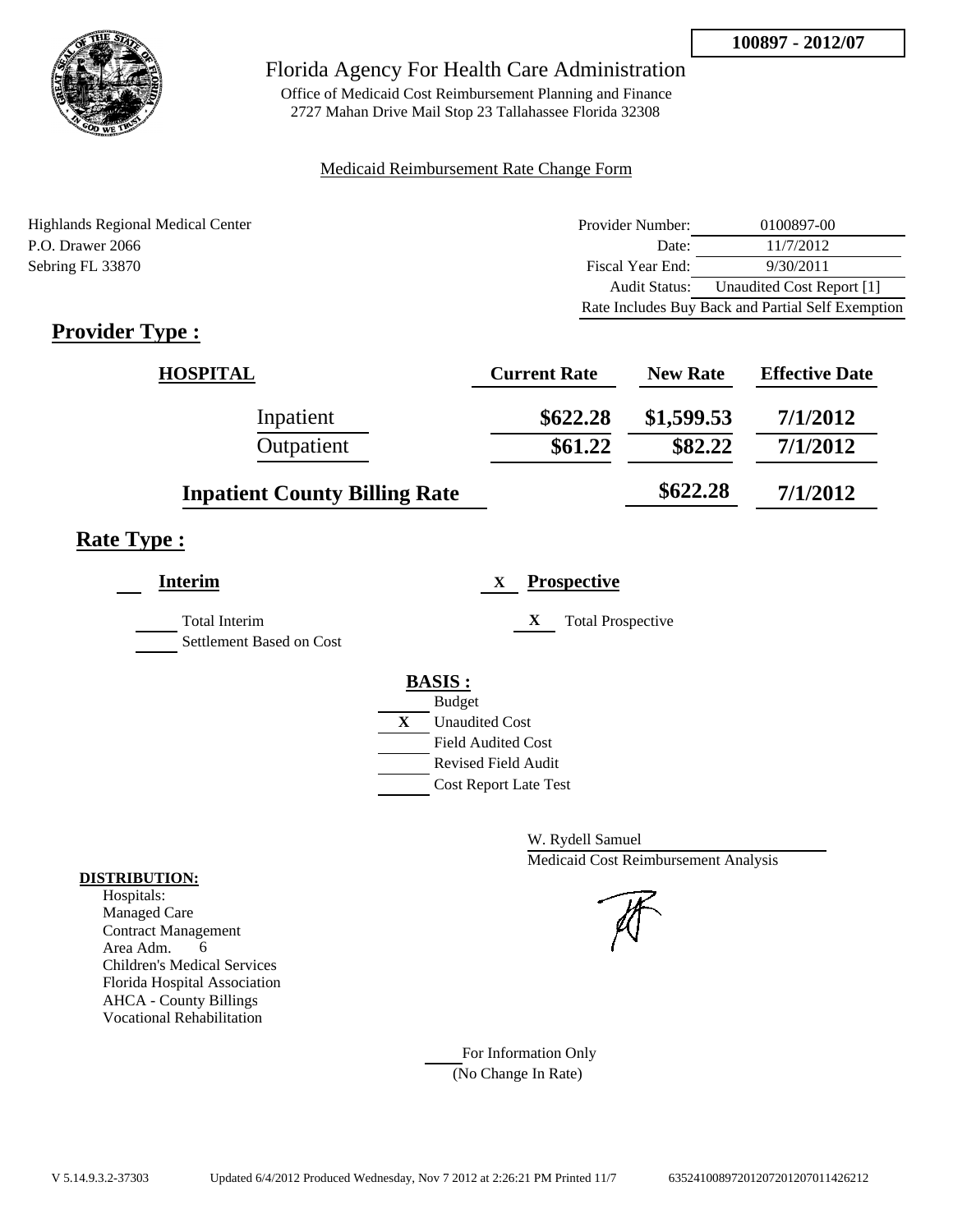

Office of Medicaid Cost Reimbursement Planning and Finance 2727 Mahan Drive Mail Stop 23 Tallahassee Florida 32308

#### Medicaid Reimbursement Rate Change Form

Highlands Regional Medical Center P.O. Drawer 2066 Sebring FL 33870

| Provider Number:     | 0100897-00                                        |
|----------------------|---------------------------------------------------|
| Date:                | 11/7/2012                                         |
| Fiscal Year End:     | 9/30/2011                                         |
| <b>Audit Status:</b> | Unaudited Cost Report [1]                         |
|                      | Rate Includes Buy Back and Partial Self Exemption |

# **Provider Type :**

| <b>HOSPITAL</b>                      | <b>Current Rate</b> | <b>New Rate</b> | <b>Effective Date</b> |
|--------------------------------------|---------------------|-----------------|-----------------------|
| Inpatient                            | \$622.28            | \$1,599.53      | 7/1/2012              |
| Outpatient                           | \$61.22             | \$82.22         | 7/1/2012              |
| <b>Inpatient County Billing Rate</b> |                     | \$622.28        | 7/1/2012              |

# **Rate Type :**

| <b>Interim</b>                                   | <b>Prospective</b><br>X              |
|--------------------------------------------------|--------------------------------------|
| <b>Total Interim</b><br>Settlement Based on Cost | X<br><b>Total Prospective</b>        |
|                                                  |                                      |
|                                                  | <b>BASIS:</b>                        |
|                                                  | <b>Budget</b>                        |
|                                                  | $\mathbf X$<br><b>Unaudited Cost</b> |
|                                                  | <b>Field Audited Cost</b>            |
|                                                  | Revised Field Audit                  |
|                                                  | <b>Cost Report Late Test</b>         |

W. Rydell Samuel Medicaid Cost Reimbursement Analysis

For Information Only (No Change In Rate)

#### **DISTRIBUTION:**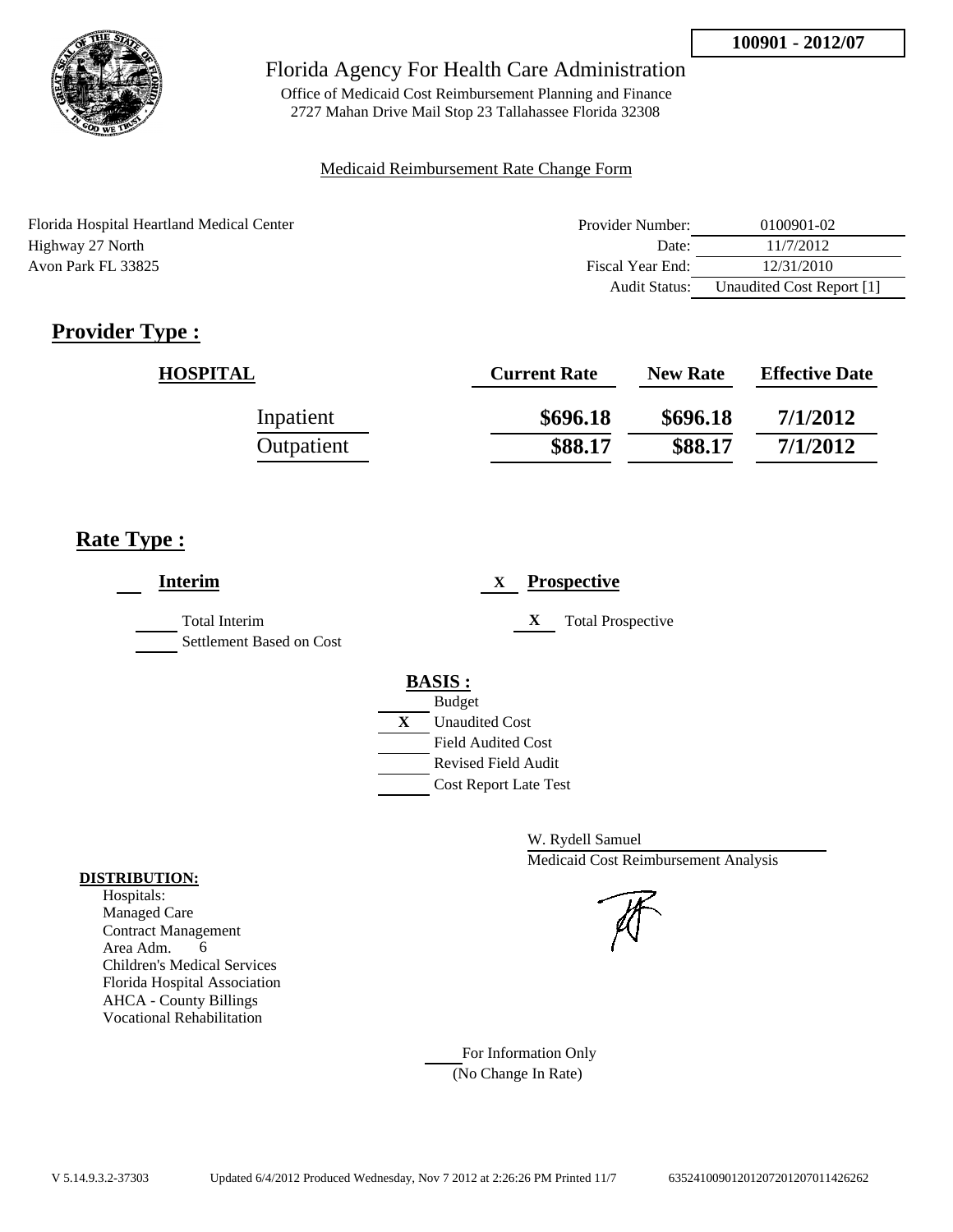

Office of Medicaid Cost Reimbursement Planning and Finance 2727 Mahan Drive Mail Stop 23 Tallahassee Florida 32308

## Medicaid Reimbursement Rate Change Form

| Provider Number: | 0100901-02 |
|------------------|------------|
| Date:            | 11/7/2012  |
| Fiscal Year End: | 12/31/2010 |
|                  |            |

| Provider Number: | 0100901-02                |
|------------------|---------------------------|
| Date:            | 11/7/2012                 |
| Fiscal Year End: | 12/31/2010                |
| Audit Status:    | Unaudited Cost Report [1] |

# **Provider Type :**

| <b>HOSPITAL</b> | <b>Current Rate</b> | <b>New Rate</b> | <b>Effective Date</b> |
|-----------------|---------------------|-----------------|-----------------------|
| Inpatient       | \$696.18            | \$696.18        | 7/1/2012              |
| Outpatient      | \$88.17             | \$88.17         | 7/1/2012              |

# **Rate Type :**

| <b>Prospective</b><br>X       |
|-------------------------------|
| X<br><b>Total Prospective</b> |
| <b>BASIS:</b>                 |
| <b>Budget</b>                 |
| X<br><b>Unaudited Cost</b>    |
| <b>Field Audited Cost</b>     |
| <b>Revised Field Audit</b>    |
| <b>Cost Report Late Test</b>  |
|                               |

W. Rydell Samuel Medicaid Cost Reimbursement Analysis

For Information Only (No Change In Rate)

## **DISTRIBUTION:**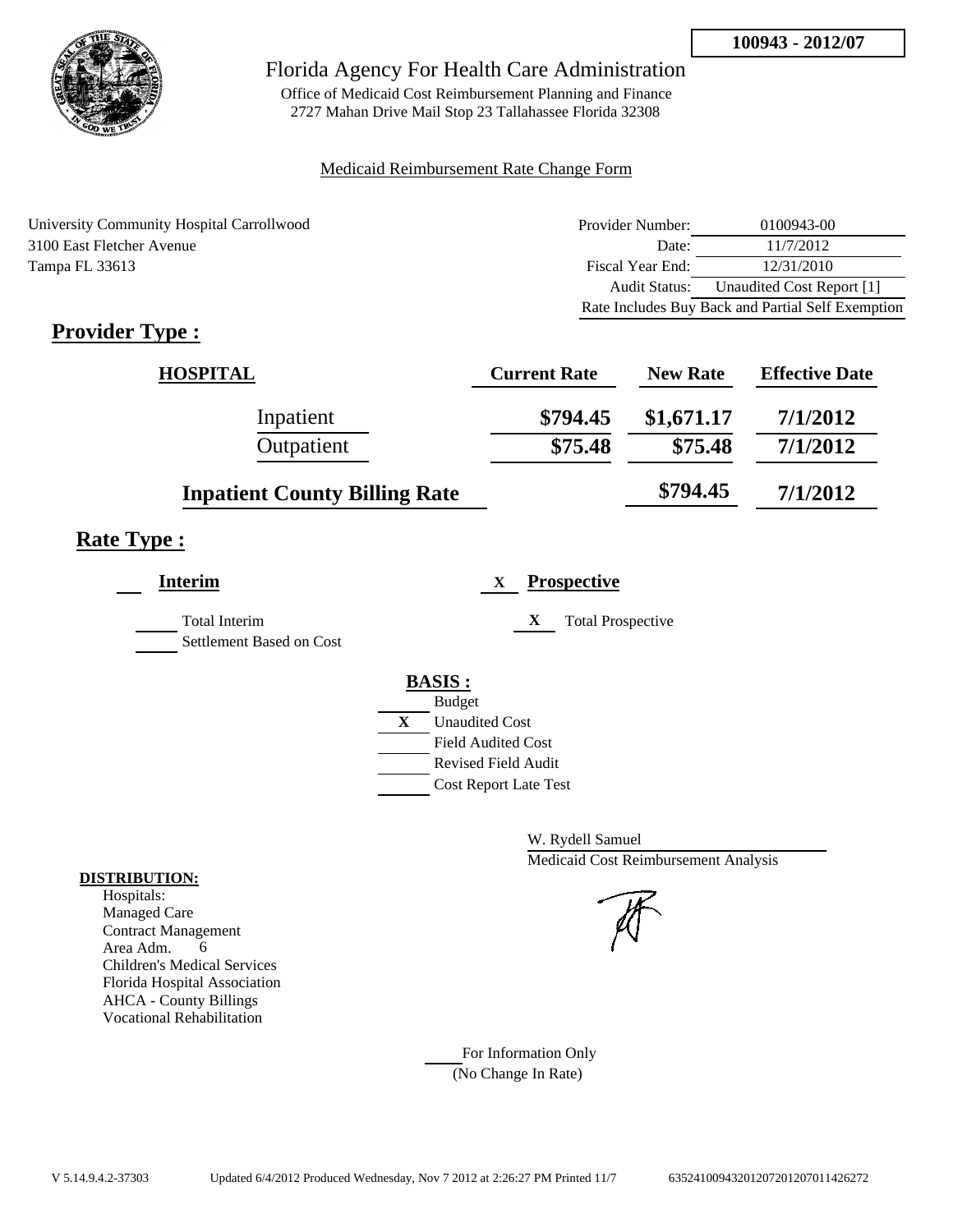

Office of Medicaid Cost Reimbursement Planning and Finance 2727 Mahan Drive Mail Stop 23 Tallahassee Florida 32308

## Medicaid Reimbursement Rate Change Form

University Community Hospital Carrollwood 3100 East Fletcher Avenue Tampa FL 33613

| Provider Number: | 0100943-00                                        |
|------------------|---------------------------------------------------|
| Date:            | 11/7/2012                                         |
| Fiscal Year End: | 12/31/2010                                        |
| Audit Status:    | Unaudited Cost Report [1]                         |
|                  | Rate Includes Buy Back and Partial Self Exemption |

# **Provider Type :**

| <b>HOSPITAL</b>                      | <b>Current Rate</b> | <b>New Rate</b> | <b>Effective Date</b> |
|--------------------------------------|---------------------|-----------------|-----------------------|
| Inpatient                            | \$794.45            | \$1,671.17      | 7/1/2012              |
| Outpatient                           | \$75.48             | \$75.48         | 7/1/2012              |
| <b>Inpatient County Billing Rate</b> |                     | \$794.45        | 7/1/2012              |

# **Rate Type :**

| <b>Prospective</b><br>X       |
|-------------------------------|
| X<br><b>Total Prospective</b> |
| <b>BASIS:</b>                 |
| <b>Budget</b>                 |
| X<br><b>Unaudited Cost</b>    |
| <b>Field Audited Cost</b>     |
| <b>Revised Field Audit</b>    |
| <b>Cost Report Late Test</b>  |
|                               |

W. Rydell Samuel Medicaid Cost Reimbursement Analysis

For Information Only (No Change In Rate)

## **DISTRIBUTION:**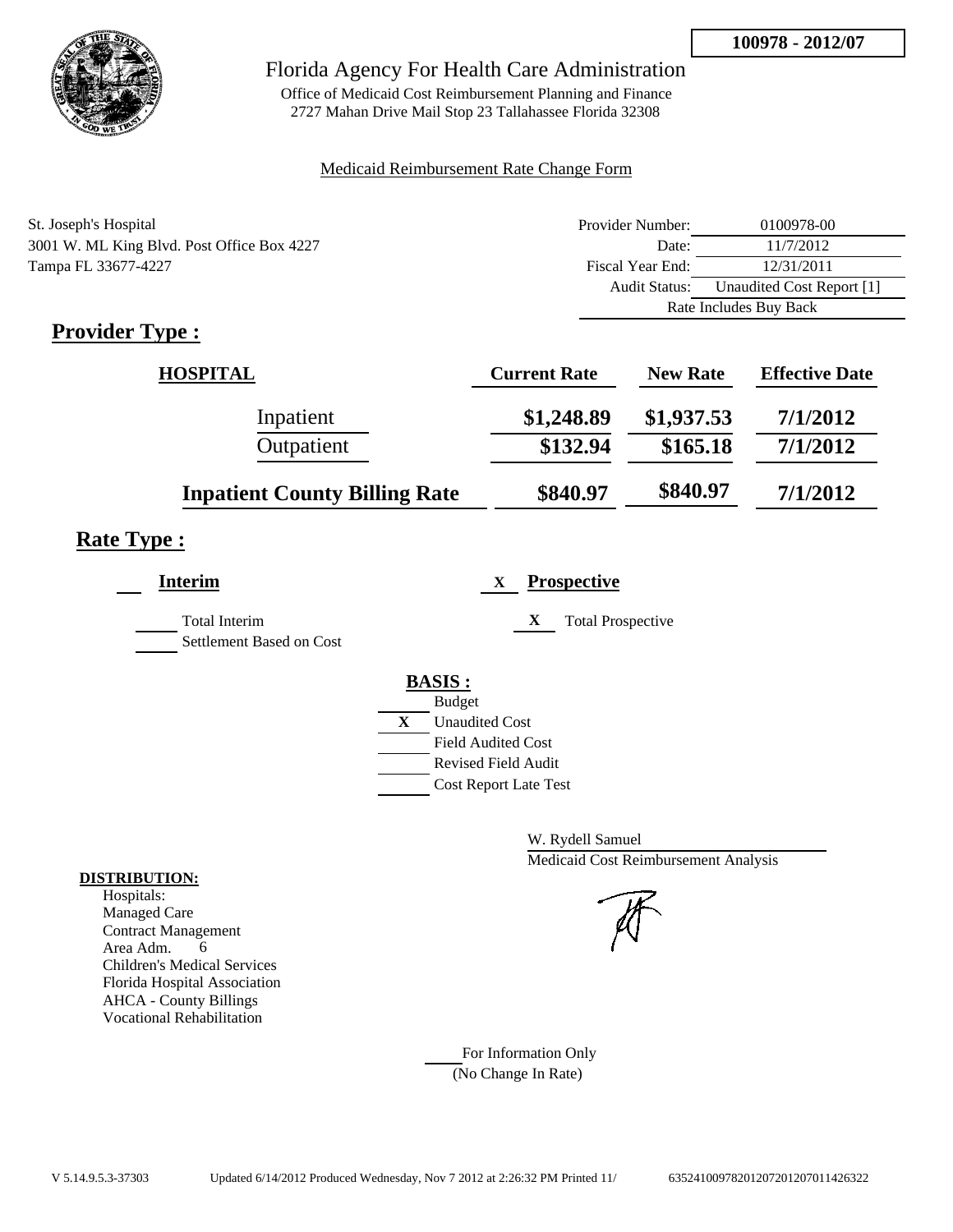

Office of Medicaid Cost Reimbursement Planning and Finance 2727 Mahan Drive Mail Stop 23 Tallahassee Florida 32308

## Medicaid Reimbursement Rate Change Form

| St. Joseph's Hospital                      | Provider Number:     | 0100978-00                |  |
|--------------------------------------------|----------------------|---------------------------|--|
| 3001 W. ML King Blvd. Post Office Box 4227 | Date:                | 11/7/2012                 |  |
| Tampa FL 33677-4227                        | Fiscal Year End:     | 12/31/2011                |  |
|                                            | <b>Audit Status:</b> | Unaudited Cost Report [1] |  |
|                                            |                      | Rate Includes Buy Back    |  |

# **Provider Type :**

| <b>HOSPITAL</b>                      | <b>Current Rate</b> | <b>New Rate</b> | <b>Effective Date</b> |
|--------------------------------------|---------------------|-----------------|-----------------------|
| Inpatient                            | \$1,248.89          | \$1,937.53      | 7/1/2012              |
| Outpatient                           | \$132.94            | \$165.18        | 7/1/2012              |
| <b>Inpatient County Billing Rate</b> | \$840.97            | \$840.97        | 7/1/2012              |

# **Rate Type :**

| <b>Interim</b>                                   | <b>Prospective</b><br>X       |
|--------------------------------------------------|-------------------------------|
| <b>Total Interim</b><br>Settlement Based on Cost | X<br><b>Total Prospective</b> |
|                                                  | <b>BASIS:</b>                 |
|                                                  | <b>Budget</b>                 |
|                                                  | X<br><b>Unaudited Cost</b>    |
|                                                  | <b>Field Audited Cost</b>     |
|                                                  | <b>Revised Field Audit</b>    |
|                                                  | <b>Cost Report Late Test</b>  |
|                                                  |                               |

W. Rydell Samuel Medicaid Cost Reimbursement Analysis

For Information Only (No Change In Rate)

#### **DISTRIBUTION:**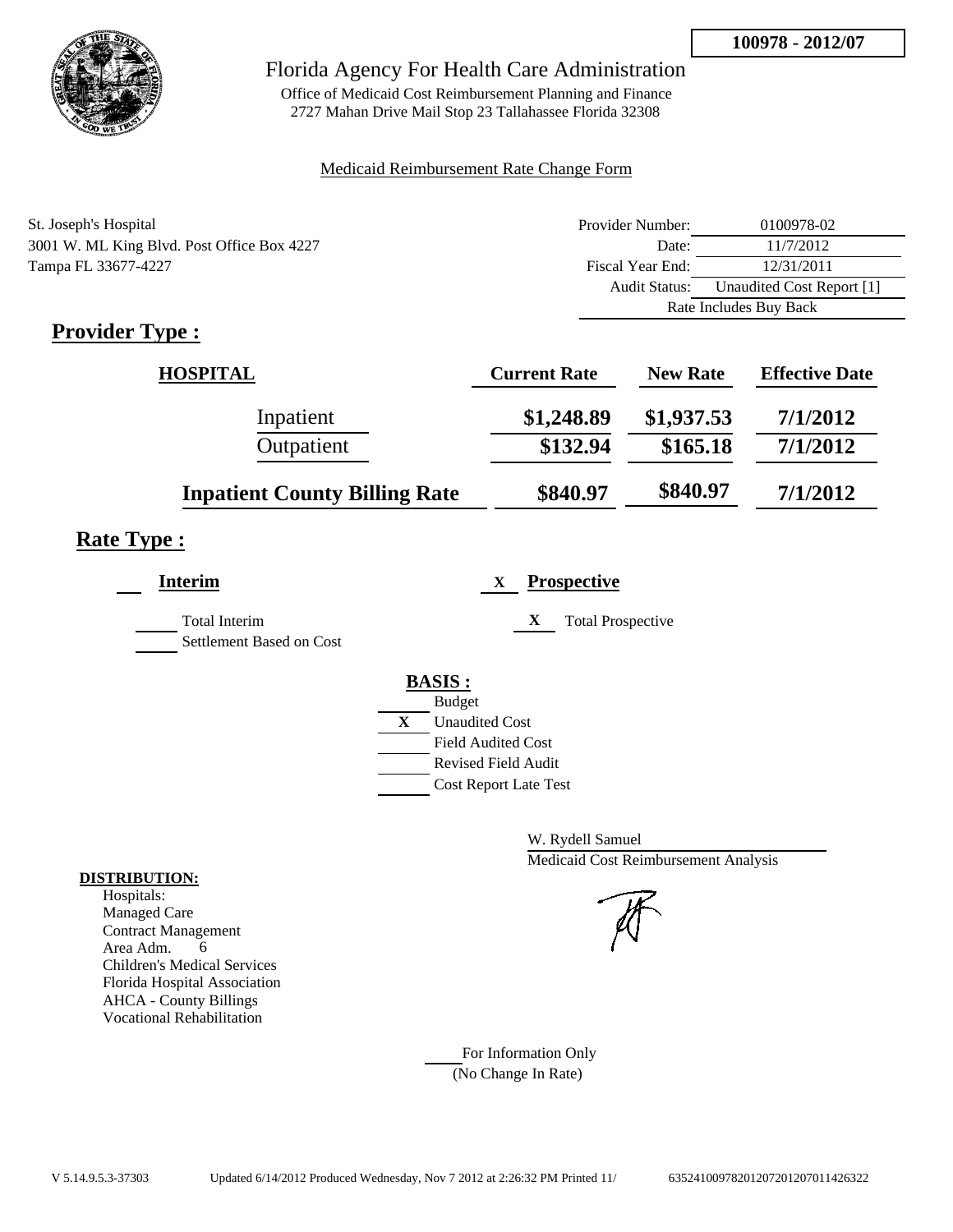

Office of Medicaid Cost Reimbursement Planning and Finance 2727 Mahan Drive Mail Stop 23 Tallahassee Florida 32308

## Medicaid Reimbursement Rate Change Form

| St. Joseph's Hospital                      | Provider Number:       | 0100978-02                |
|--------------------------------------------|------------------------|---------------------------|
| 3001 W. ML King Blvd. Post Office Box 4227 | Date:                  | 11/7/2012                 |
| Tampa FL 33677-4227                        | Fiscal Year End:       | 12/31/2011                |
|                                            | <b>Audit Status:</b>   | Unaudited Cost Report [1] |
|                                            | Rate Includes Buy Back |                           |

# **Provider Type :**

| <b>HOSPITAL</b>                      | <b>Current Rate</b> | <b>New Rate</b> | <b>Effective Date</b> |
|--------------------------------------|---------------------|-----------------|-----------------------|
| Inpatient                            | \$1,248.89          | \$1,937.53      | 7/1/2012              |
| Outpatient                           | \$132.94            | \$165.18        | 7/1/2012              |
| <b>Inpatient County Billing Rate</b> | \$840.97            | \$840.97        | 7/1/2012              |

# **Rate Type :**

| <b>Interim</b>                                   | <b>Prospective</b><br>X       |
|--------------------------------------------------|-------------------------------|
| <b>Total Interim</b><br>Settlement Based on Cost | X<br><b>Total Prospective</b> |
|                                                  | <b>BASIS:</b>                 |
|                                                  | <b>Budget</b>                 |
|                                                  | X<br><b>Unaudited Cost</b>    |
|                                                  | <b>Field Audited Cost</b>     |
|                                                  | <b>Revised Field Audit</b>    |
|                                                  | <b>Cost Report Late Test</b>  |
|                                                  |                               |

W. Rydell Samuel Medicaid Cost Reimbursement Analysis

For Information Only (No Change In Rate)

#### **DISTRIBUTION:**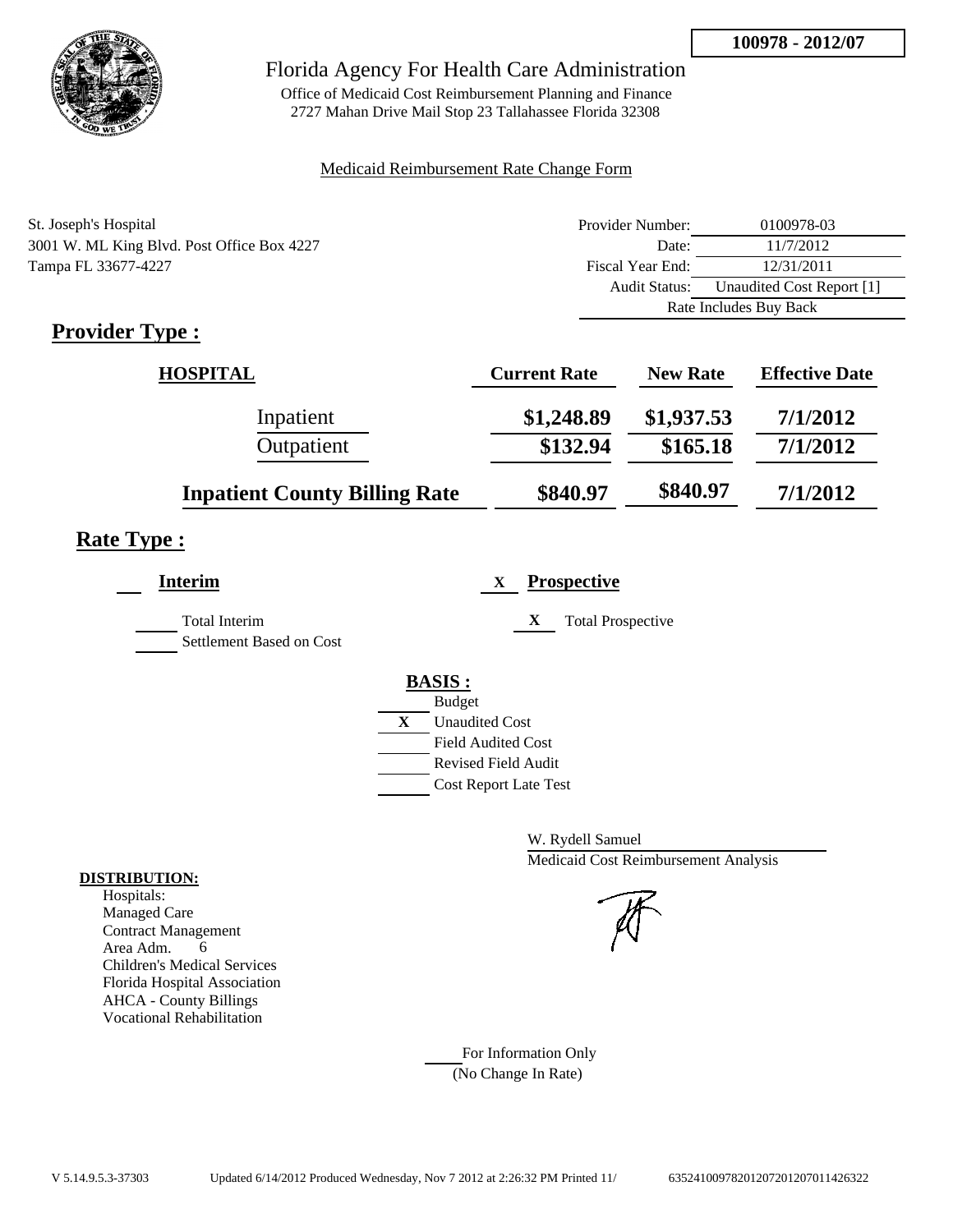

Office of Medicaid Cost Reimbursement Planning and Finance 2727 Mahan Drive Mail Stop 23 Tallahassee Florida 32308

## Medicaid Reimbursement Rate Change Form

| St. Joseph's Hospital                      | Provider Number:       | 0100978-03                |
|--------------------------------------------|------------------------|---------------------------|
| 3001 W. ML King Blvd. Post Office Box 4227 | Date:                  | 11/7/2012                 |
| Tampa FL 33677-4227                        | Fiscal Year End:       | 12/31/2011                |
|                                            | <b>Audit Status:</b>   | Unaudited Cost Report [1] |
|                                            | Rate Includes Buy Back |                           |

# **Provider Type :**

| <b>HOSPITAL</b>                      | <b>Current Rate</b> | <b>New Rate</b> | <b>Effective Date</b> |
|--------------------------------------|---------------------|-----------------|-----------------------|
| Inpatient                            | \$1,248.89          | \$1,937.53      | 7/1/2012              |
| Outpatient                           | \$132.94            | \$165.18        | 7/1/2012              |
| <b>Inpatient County Billing Rate</b> | \$840.97            | \$840.97        | 7/1/2012              |

# **Rate Type :**

| <b>Interim</b>                                   | <b>Prospective</b><br>X       |
|--------------------------------------------------|-------------------------------|
| <b>Total Interim</b><br>Settlement Based on Cost | X<br><b>Total Prospective</b> |
|                                                  | <b>BASIS:</b>                 |
|                                                  | <b>Budget</b>                 |
|                                                  | X<br><b>Unaudited Cost</b>    |
|                                                  | <b>Field Audited Cost</b>     |
|                                                  | <b>Revised Field Audit</b>    |
|                                                  | <b>Cost Report Late Test</b>  |
|                                                  |                               |

W. Rydell Samuel Medicaid Cost Reimbursement Analysis

For Information Only (No Change In Rate)

#### **DISTRIBUTION:**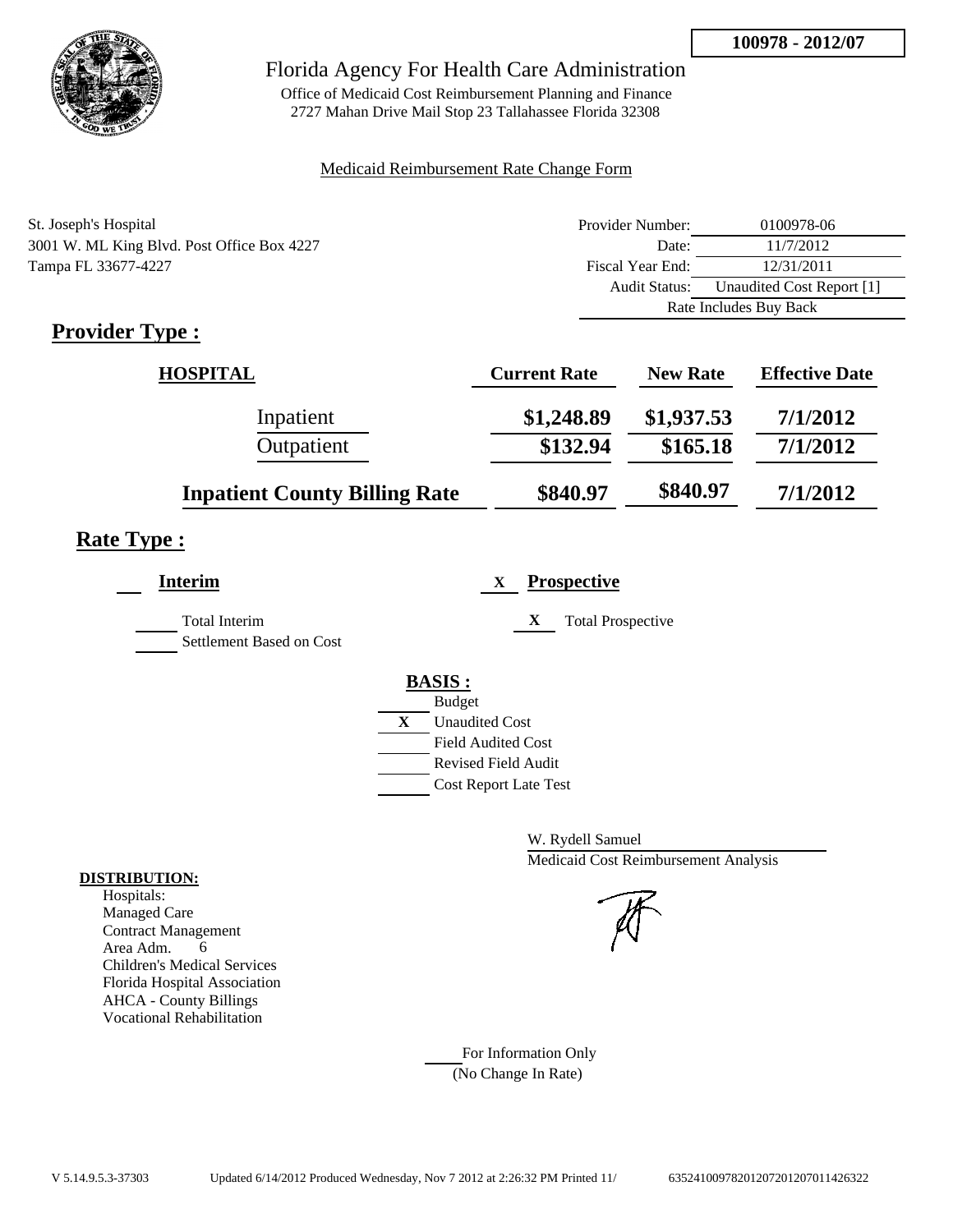

Office of Medicaid Cost Reimbursement Planning and Finance 2727 Mahan Drive Mail Stop 23 Tallahassee Florida 32308

## Medicaid Reimbursement Rate Change Form

| St. Joseph's Hospital                      | Provider Number:     | 0100978-06                |  |
|--------------------------------------------|----------------------|---------------------------|--|
| 3001 W. ML King Blvd. Post Office Box 4227 | Date:                | 11/7/2012                 |  |
| Tampa FL 33677-4227                        | Fiscal Year End:     | 12/31/2011                |  |
|                                            | <b>Audit Status:</b> | Unaudited Cost Report [1] |  |
|                                            |                      | Rate Includes Buy Back    |  |

# **Provider Type :**

| <b>HOSPITAL</b>                      | <b>Current Rate</b> | <b>New Rate</b> | <b>Effective Date</b> |
|--------------------------------------|---------------------|-----------------|-----------------------|
| Inpatient                            | \$1,248.89          | \$1,937.53      | 7/1/2012              |
| Outpatient                           | \$132.94            | \$165.18        | 7/1/2012              |
| <b>Inpatient County Billing Rate</b> | \$840.97            | \$840.97        | 7/1/2012              |

# **Rate Type :**

| <b>Interim</b>                                   | <b>Prospective</b><br>X       |
|--------------------------------------------------|-------------------------------|
| <b>Total Interim</b><br>Settlement Based on Cost | X<br><b>Total Prospective</b> |
|                                                  | <b>BASIS:</b>                 |
|                                                  | <b>Budget</b>                 |
|                                                  | X<br><b>Unaudited Cost</b>    |
|                                                  | <b>Field Audited Cost</b>     |
|                                                  | <b>Revised Field Audit</b>    |
|                                                  | <b>Cost Report Late Test</b>  |
|                                                  |                               |

W. Rydell Samuel Medicaid Cost Reimbursement Analysis

For Information Only (No Change In Rate)

#### **DISTRIBUTION:**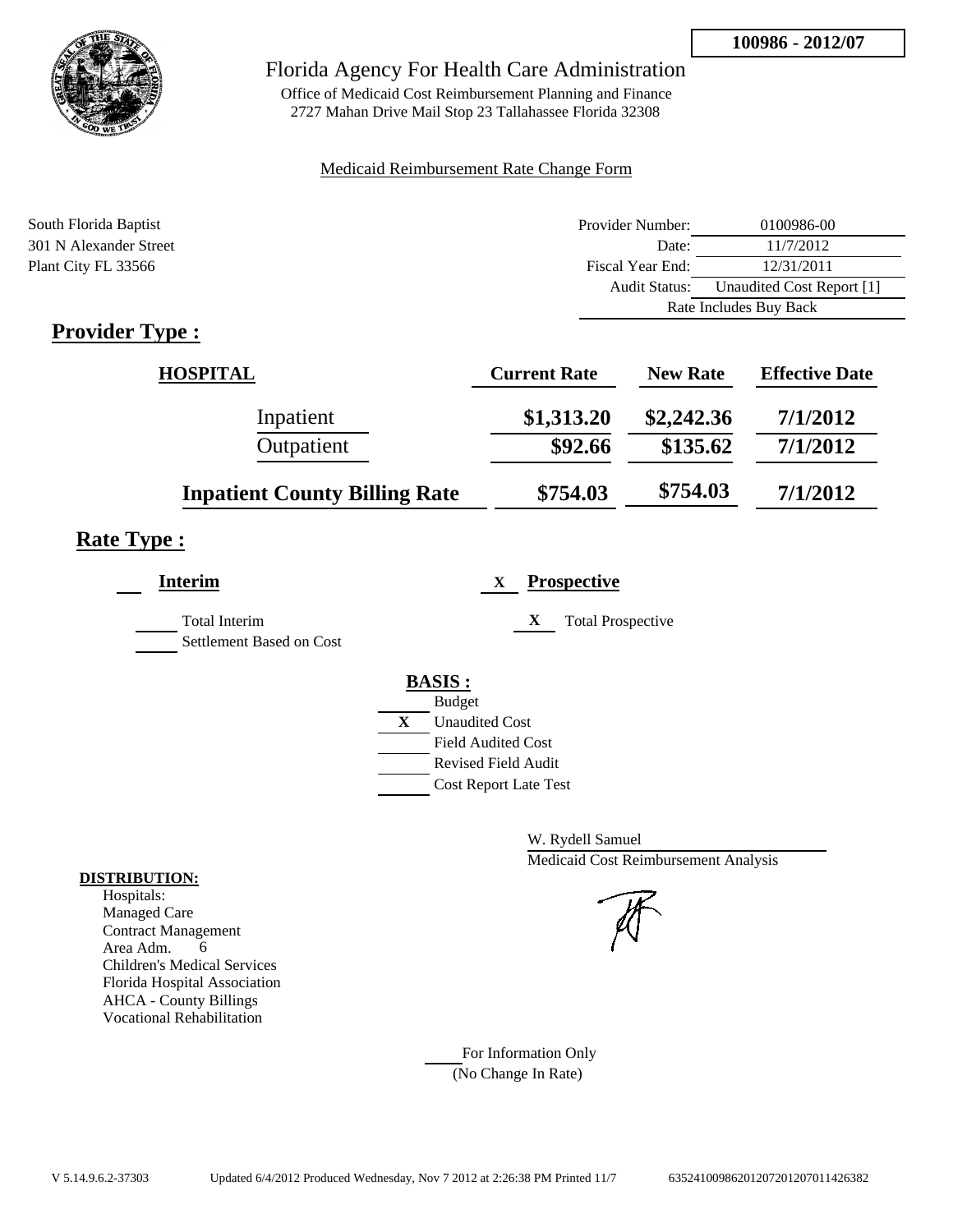

Office of Medicaid Cost Reimbursement Planning and Finance 2727 Mahan Drive Mail Stop 23 Tallahassee Florida 32308

## Medicaid Reimbursement Rate Change Form

| South Florida Baptist  | Provider Number:     | 0100986-00                |  |
|------------------------|----------------------|---------------------------|--|
| 301 N Alexander Street | Date:                | 11/7/2012                 |  |
| Plant City FL 33566    | Fiscal Year End:     | 12/31/2011                |  |
|                        | <b>Audit Status:</b> | Unaudited Cost Report [1] |  |
|                        |                      | Rate Includes Buy Back    |  |
| Provider Tyne .        |                      |                           |  |

# **Provider Type :**

| <b>HOSPITAL</b>                      | <b>Current Rate</b> | <b>New Rate</b> | <b>Effective Date</b> |
|--------------------------------------|---------------------|-----------------|-----------------------|
| Inpatient                            | \$1,313.20          | \$2,242.36      | 7/1/2012              |
| Outpatient                           | \$92.66             | \$135.62        | 7/1/2012              |
| <b>Inpatient County Billing Rate</b> | \$754.03            | \$754.03        | 7/1/2012              |

# **Rate Type :**

| Interim                                          | <b>Prospective</b><br>X       |
|--------------------------------------------------|-------------------------------|
| <b>Total Interim</b><br>Settlement Based on Cost | X<br><b>Total Prospective</b> |
|                                                  | <b>BASIS:</b>                 |
|                                                  | <b>Budget</b>                 |
|                                                  | X<br><b>Unaudited Cost</b>    |
|                                                  | <b>Field Audited Cost</b>     |
|                                                  | Revised Field Audit           |
|                                                  | <b>Cost Report Late Test</b>  |
|                                                  |                               |

W. Rydell Samuel Medicaid Cost Reimbursement Analysis

For Information Only (No Change In Rate)

#### **DISTRIBUTION:**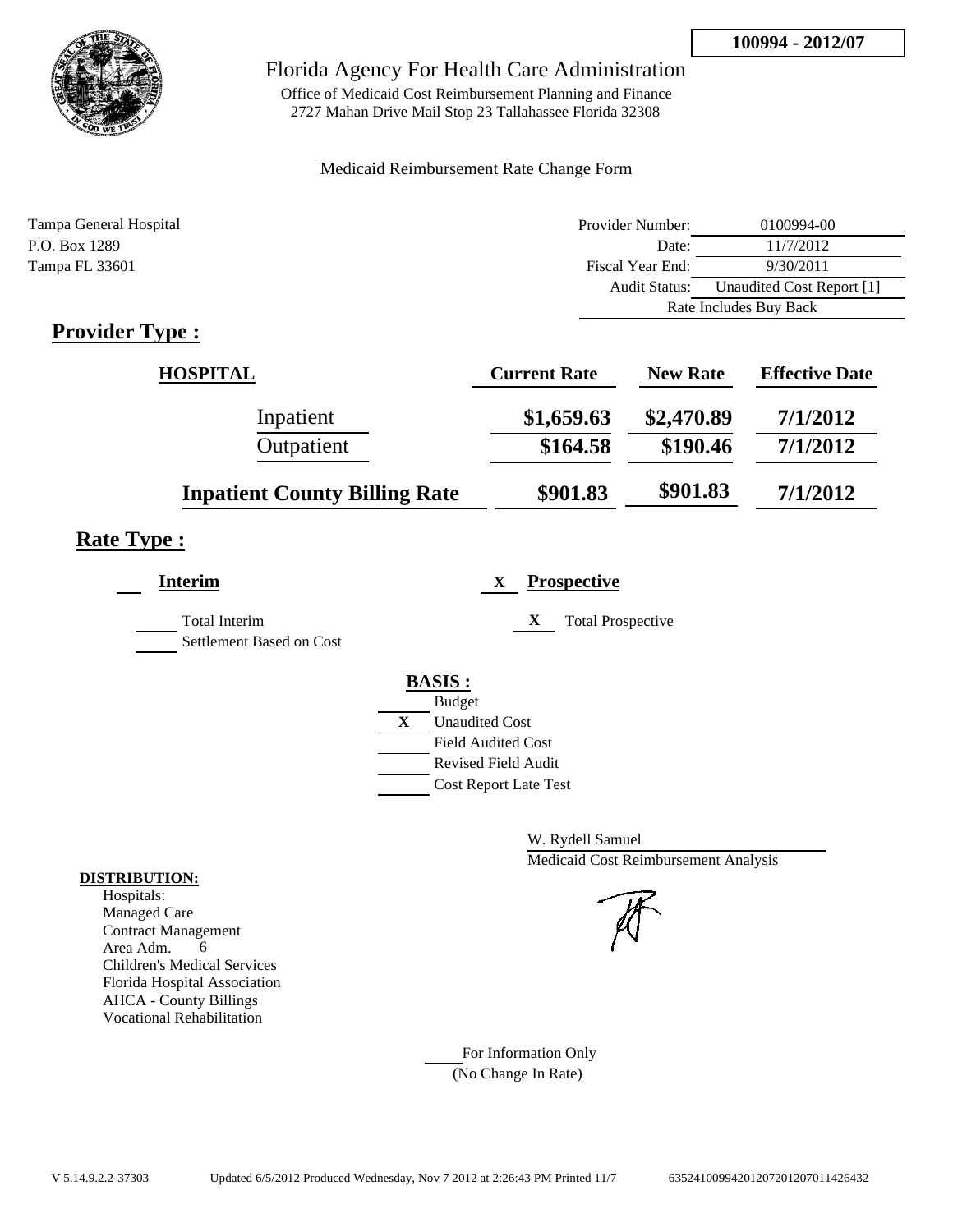

Office of Medicaid Cost Reimbursement Planning and Finance 2727 Mahan Drive Mail Stop 23 Tallahassee Florida 32308

## Medicaid Reimbursement Rate Change Form

| Tampa General Hospital | Provider Number:     | 0100994-00                |  |
|------------------------|----------------------|---------------------------|--|
| P.O. Box 1289          | Date:                | 11/7/2012                 |  |
| Tampa FL 33601         | Fiscal Year End:     | 9/30/2011                 |  |
|                        | <b>Audit Status:</b> | Unaudited Cost Report [1] |  |
|                        |                      | Rate Includes Buy Back    |  |
|                        |                      |                           |  |

# **Provider Type :**

| <b>HOSPITAL</b>                      | <b>Current Rate</b> | <b>New Rate</b> | <b>Effective Date</b> |
|--------------------------------------|---------------------|-----------------|-----------------------|
| Inpatient                            | \$1,659.63          | \$2,470.89      | 7/1/2012              |
| Outpatient                           | \$164.58            | \$190.46        | 7/1/2012              |
| <b>Inpatient County Billing Rate</b> | \$901.83            | \$901.83        | 7/1/2012              |

# **Rate Type :**

| <b>Interim</b>                            | <b>Prospective</b><br>X               |
|-------------------------------------------|---------------------------------------|
| Total Interim<br>Settlement Based on Cost | X<br><b>Total Prospective</b>         |
|                                           | <b>BASIS:</b>                         |
|                                           | <b>Budget</b>                         |
|                                           | $\mathbf{X}$<br><b>Unaudited Cost</b> |
|                                           | <b>Field Audited Cost</b>             |
|                                           | <b>Revised Field Audit</b>            |
|                                           | <b>Cost Report Late Test</b>          |
|                                           |                                       |

W. Rydell Samuel Medicaid Cost Reimbursement Analysis

For Information Only (No Change In Rate)

#### **DISTRIBUTION:**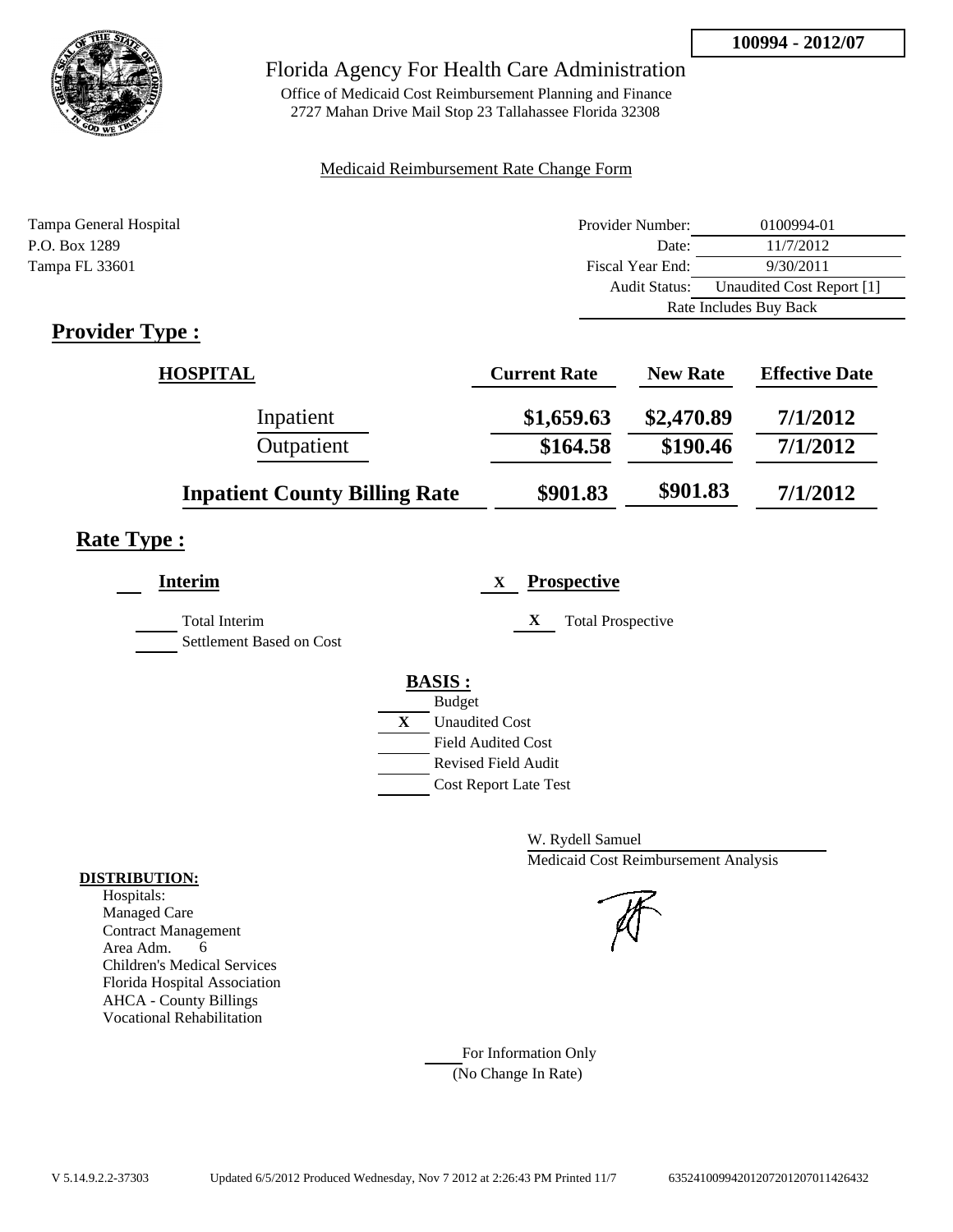

Office of Medicaid Cost Reimbursement Planning and Finance 2727 Mahan Drive Mail Stop 23 Tallahassee Florida 32308

## Medicaid Reimbursement Rate Change Form

| Tampa General Hospital | Provider Number:     | 0100994-01                |  |
|------------------------|----------------------|---------------------------|--|
| P.O. Box 1289          | Date:                | 11/7/2012                 |  |
| Tampa FL 33601         | Fiscal Year End:     | 9/30/2011                 |  |
|                        | <b>Audit Status:</b> | Unaudited Cost Report [1] |  |
|                        |                      | Rate Includes Buy Back    |  |
|                        |                      |                           |  |

# **Provider Type :**

| <b>HOSPITAL</b>                      | <b>Current Rate</b> | <b>New Rate</b> | <b>Effective Date</b> |
|--------------------------------------|---------------------|-----------------|-----------------------|
| Inpatient                            | \$1,659.63          | \$2,470.89      | 7/1/2012              |
| Outpatient                           | \$164.58            | \$190.46        | 7/1/2012              |
| <b>Inpatient County Billing Rate</b> | \$901.83            | \$901.83        | 7/1/2012              |

# **Rate Type :**

| <b>Interim</b>                            | <b>Prospective</b><br>X               |
|-------------------------------------------|---------------------------------------|
| Total Interim<br>Settlement Based on Cost | X<br><b>Total Prospective</b>         |
|                                           |                                       |
|                                           | <b>BASIS:</b><br><b>Budget</b>        |
|                                           | $\mathbf{X}$<br><b>Unaudited Cost</b> |
|                                           | <b>Field Audited Cost</b>             |
|                                           | <b>Revised Field Audit</b>            |
|                                           | <b>Cost Report Late Test</b>          |

W. Rydell Samuel Medicaid Cost Reimbursement Analysis

For Information Only (No Change In Rate)

#### **DISTRIBUTION:**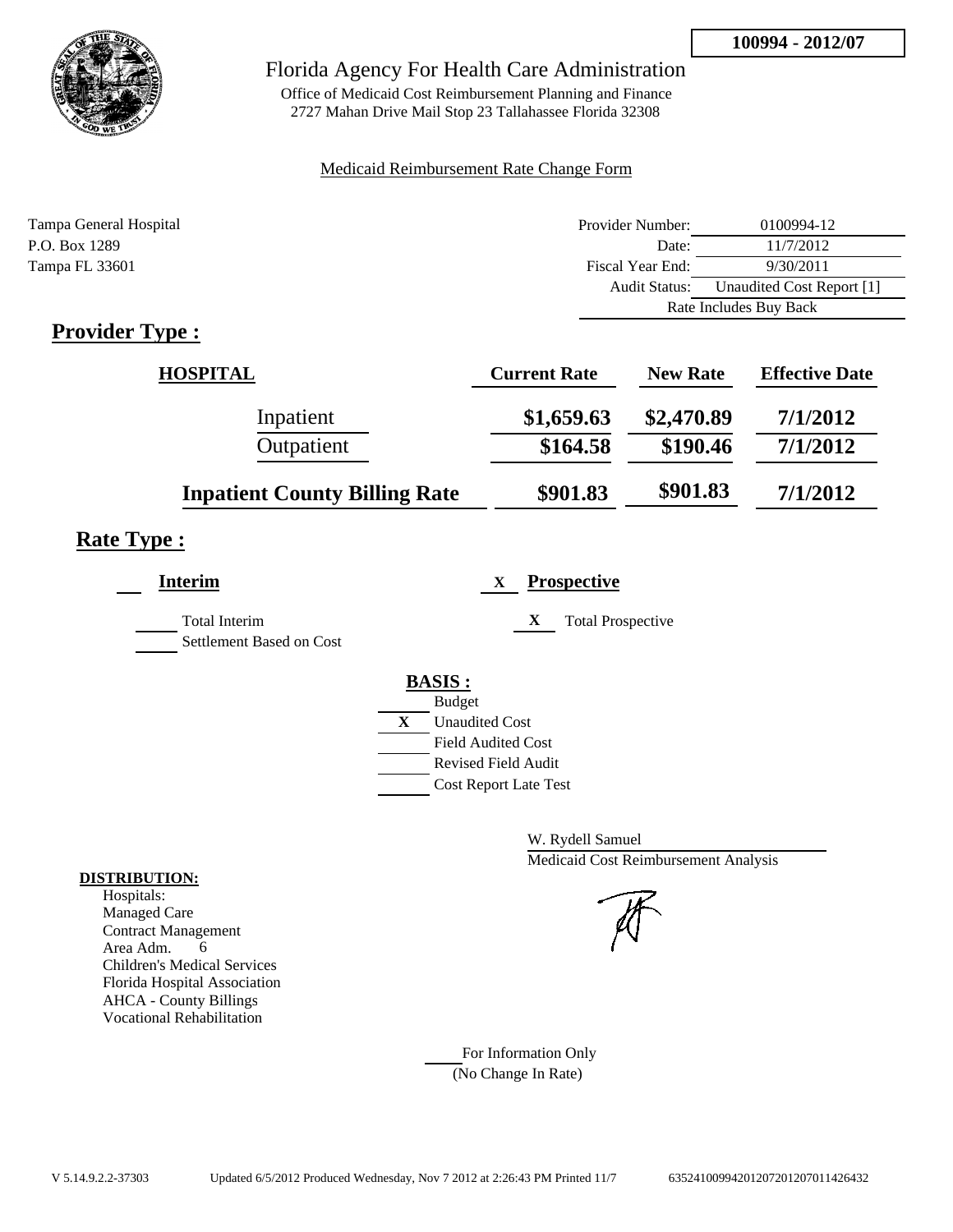

Office of Medicaid Cost Reimbursement Planning and Finance 2727 Mahan Drive Mail Stop 23 Tallahassee Florida 32308

## Medicaid Reimbursement Rate Change Form

| Tampa General Hospital | Provider Number:     | 0100994-12                |  |
|------------------------|----------------------|---------------------------|--|
| P.O. Box 1289          | Date:                | 11/7/2012                 |  |
| Tampa FL 33601         | Fiscal Year End:     | 9/30/2011                 |  |
|                        | <b>Audit Status:</b> | Unaudited Cost Report [1] |  |
|                        |                      | Rate Includes Buy Back    |  |
|                        |                      |                           |  |

# **Provider Type :**

| <b>HOSPITAL</b>                      | <b>Current Rate</b> | <b>New Rate</b> | <b>Effective Date</b> |
|--------------------------------------|---------------------|-----------------|-----------------------|
| Inpatient                            | \$1,659.63          | \$2,470.89      | 7/1/2012              |
| Outpatient                           | \$164.58            | \$190.46        | 7/1/2012              |
| <b>Inpatient County Billing Rate</b> | \$901.83            | \$901.83        | 7/1/2012              |

# **Rate Type :**

| <b>Interim</b>                            | <b>Prospective</b><br>X       |
|-------------------------------------------|-------------------------------|
| Total Interim<br>Settlement Based on Cost | X<br><b>Total Prospective</b> |
|                                           | <b>BASIS:</b>                 |
|                                           | <b>Budget</b>                 |
|                                           | X<br><b>Unaudited Cost</b>    |
|                                           | Field Audited Cost            |
|                                           | Revised Field Audit           |
|                                           | <b>Cost Report Late Test</b>  |
|                                           |                               |

W. Rydell Samuel Medicaid Cost Reimbursement Analysis

For Information Only (No Change In Rate)

## **DISTRIBUTION:**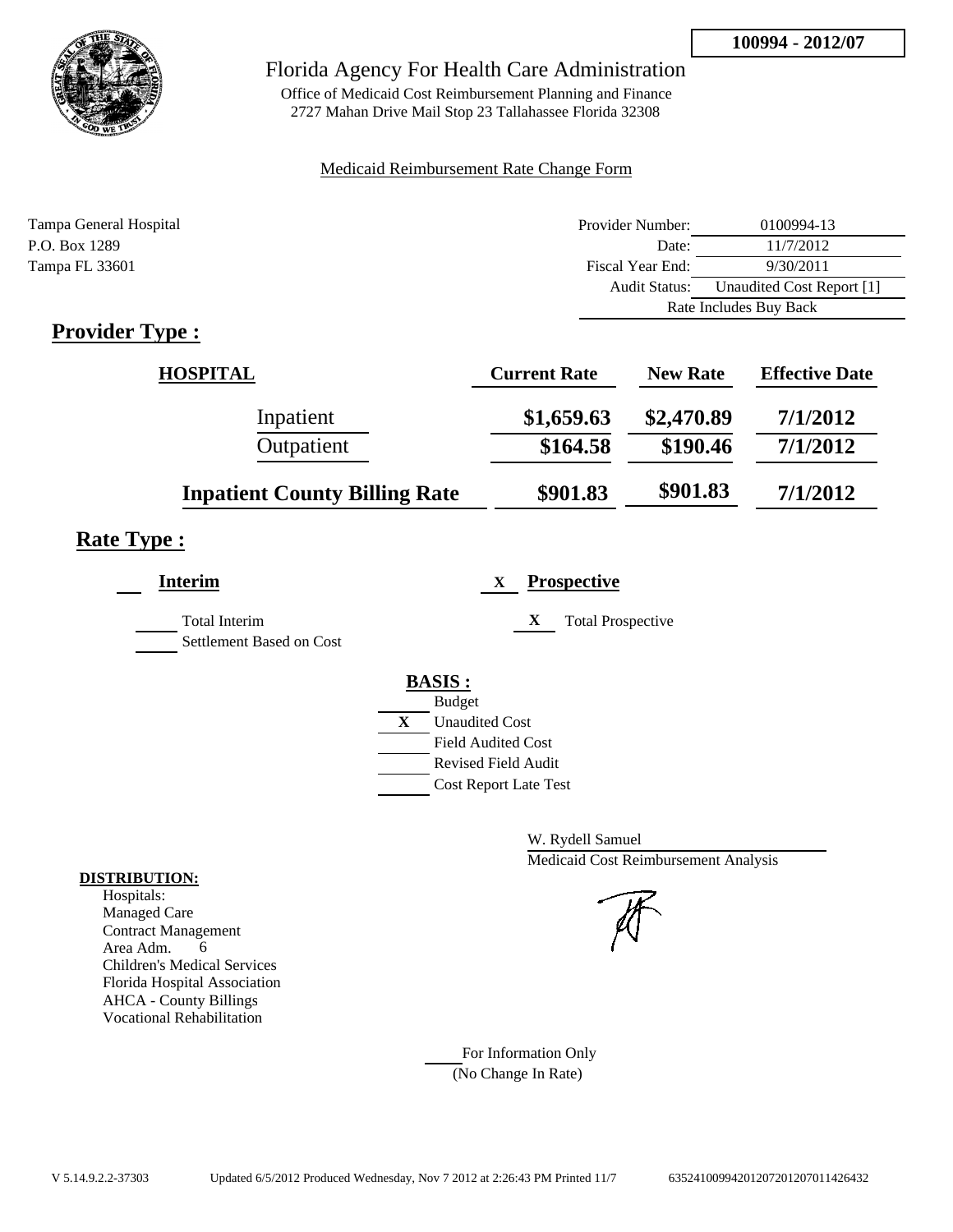

Office of Medicaid Cost Reimbursement Planning and Finance 2727 Mahan Drive Mail Stop 23 Tallahassee Florida 32308

## Medicaid Reimbursement Rate Change Form

| Tampa General Hospital | Provider Number:     | 0100994-13                |  |
|------------------------|----------------------|---------------------------|--|
| P.O. Box 1289          | Date:                | 11/7/2012                 |  |
| Tampa FL 33601         | Fiscal Year End:     | 9/30/2011                 |  |
|                        | <b>Audit Status:</b> | Unaudited Cost Report [1] |  |
|                        |                      | Rate Includes Buy Back    |  |

# **Provider Type :**

| <b>HOSPITAL</b>                      | <b>Current Rate</b> | <b>New Rate</b> | <b>Effective Date</b> |
|--------------------------------------|---------------------|-----------------|-----------------------|
| Inpatient                            | \$1,659.63          | \$2,470.89      | 7/1/2012              |
| Outpatient                           | \$164.58            | \$190.46        | 7/1/2012              |
| <b>Inpatient County Billing Rate</b> | \$901.83            | \$901.83        | 7/1/2012              |

# **Rate Type :**

| <b>Interim</b>                                   | <b>Prospective</b><br>X       |
|--------------------------------------------------|-------------------------------|
| <b>Total Interim</b><br>Settlement Based on Cost | X<br><b>Total Prospective</b> |
|                                                  | <b>BASIS:</b>                 |
|                                                  | <b>Budget</b>                 |
|                                                  | X<br><b>Unaudited Cost</b>    |
|                                                  | <b>Field Audited Cost</b>     |
|                                                  | <b>Revised Field Audit</b>    |
|                                                  | <b>Cost Report Late Test</b>  |
|                                                  |                               |

W. Rydell Samuel Medicaid Cost Reimbursement Analysis

For Information Only (No Change In Rate)

#### **DISTRIBUTION:**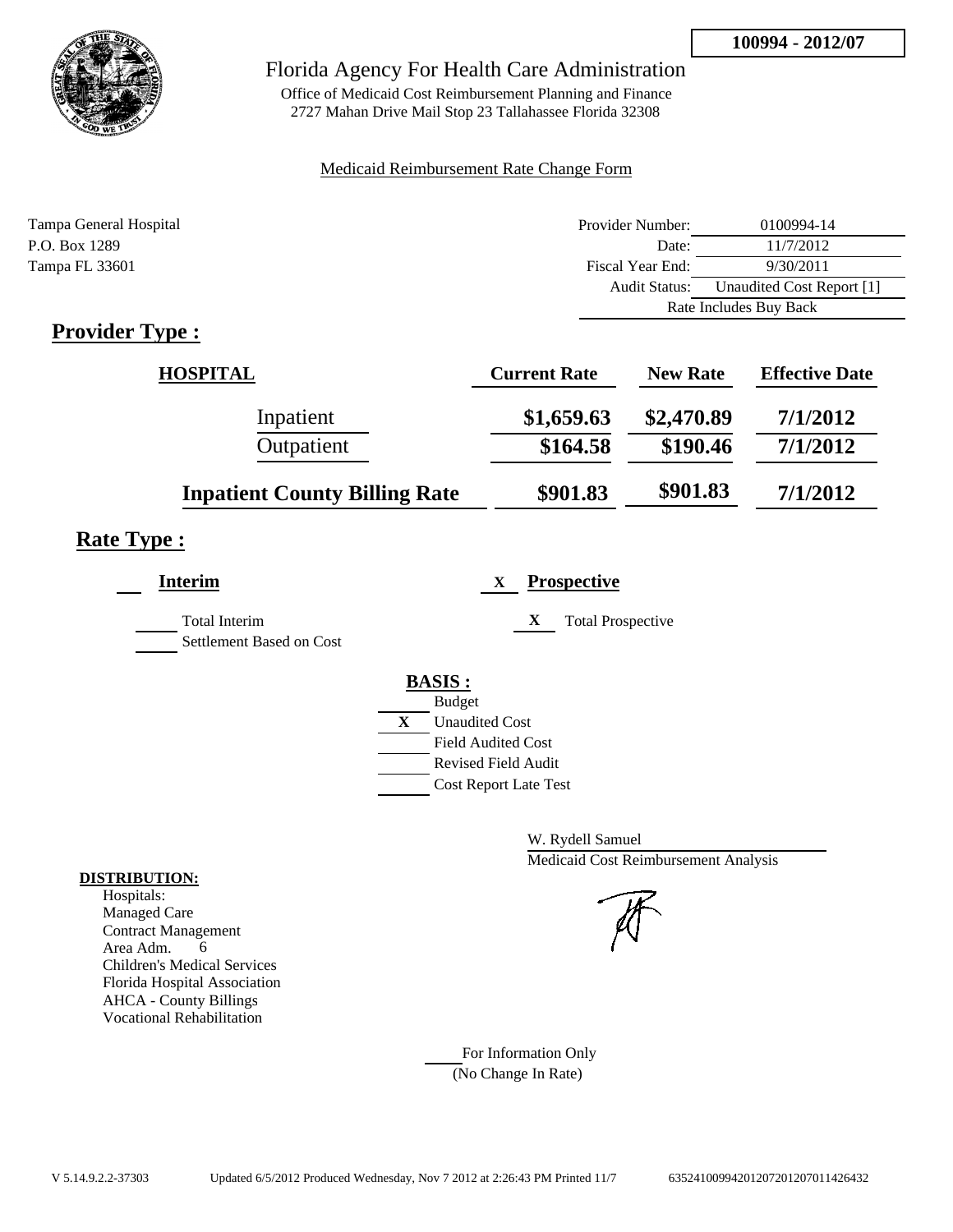

Office of Medicaid Cost Reimbursement Planning and Finance 2727 Mahan Drive Mail Stop 23 Tallahassee Florida 32308

## Medicaid Reimbursement Rate Change Form

| Tampa General Hospital | Provider Number:     | 0100994-14                |  |
|------------------------|----------------------|---------------------------|--|
| P.O. Box 1289          | Date:                | 11/7/2012                 |  |
| Tampa FL 33601         | Fiscal Year End:     | 9/30/2011                 |  |
|                        | <b>Audit Status:</b> | Unaudited Cost Report [1] |  |
|                        |                      | Rate Includes Buy Back    |  |
|                        |                      |                           |  |

# **Provider Type :**

| <b>HOSPITAL</b>                      | <b>Current Rate</b> | <b>New Rate</b> | <b>Effective Date</b> |
|--------------------------------------|---------------------|-----------------|-----------------------|
| Inpatient                            | \$1,659.63          | \$2,470.89      | 7/1/2012              |
| Outpatient                           | \$164.58            | \$190.46        | 7/1/2012              |
| <b>Inpatient County Billing Rate</b> | \$901.83            | \$901.83        | 7/1/2012              |

# **Rate Type :**

| <b>Interim</b>                            | <b>Prospective</b><br>X       |
|-------------------------------------------|-------------------------------|
| Total Interim<br>Settlement Based on Cost | X<br><b>Total Prospective</b> |
|                                           | <b>BASIS:</b>                 |
|                                           | <b>Budget</b>                 |
|                                           | X<br><b>Unaudited Cost</b>    |
|                                           | Field Audited Cost            |
|                                           | Revised Field Audit           |
|                                           | <b>Cost Report Late Test</b>  |
|                                           |                               |

W. Rydell Samuel Medicaid Cost Reimbursement Analysis

For Information Only (No Change In Rate)

#### **DISTRIBUTION:**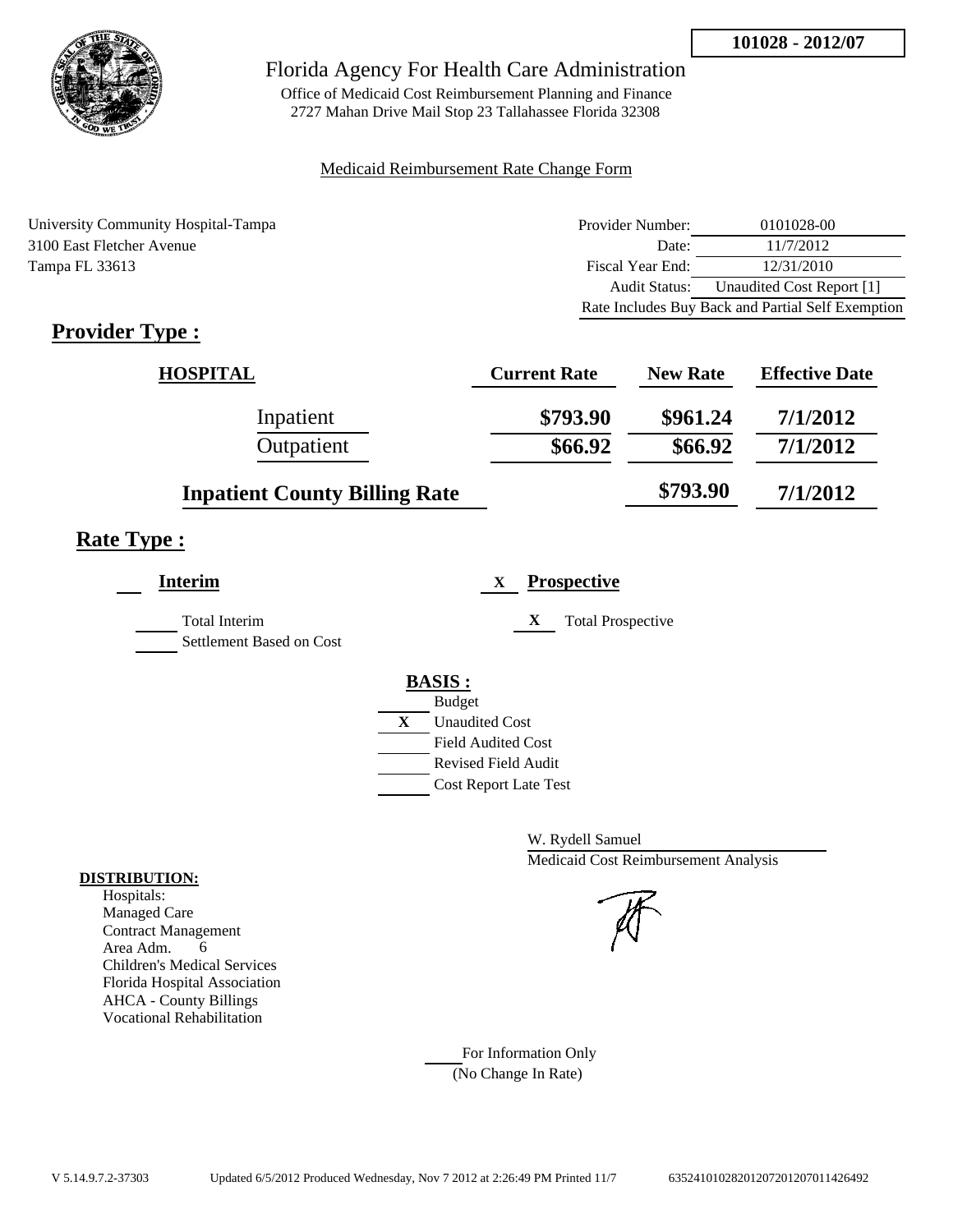

Office of Medicaid Cost Reimbursement Planning and Finance 2727 Mahan Drive Mail Stop 23 Tallahassee Florida 32308

## Medicaid Reimbursement Rate Change Form

University Community Hospital-Tampa 3100 East Fletcher Avenue Tampa FL 33613

| Provider Number: | 0101028-00                                        |
|------------------|---------------------------------------------------|
| Date:            | 11/7/2012                                         |
| Fiscal Year End: | 12/31/2010                                        |
| Audit Status:    | Unaudited Cost Report [1]                         |
|                  | Rate Includes Buy Back and Partial Self Exemption |

# **Provider Type :**

| <b>HOSPITAL</b>                      | <b>Current Rate</b> | <b>New Rate</b> | <b>Effective Date</b> |
|--------------------------------------|---------------------|-----------------|-----------------------|
| Inpatient                            | \$793.90            | \$961.24        | 7/1/2012              |
| Outpatient                           | \$66.92             | \$66.92         | 7/1/2012              |
| <b>Inpatient County Billing Rate</b> |                     | \$793.90        | 7/1/2012              |

# **Rate Type :**

| <b>Interim</b>                                   | <b>Prospective</b><br>X       |  |
|--------------------------------------------------|-------------------------------|--|
| <b>Total Interim</b><br>Settlement Based on Cost | X<br><b>Total Prospective</b> |  |
|                                                  | <b>BASIS:</b>                 |  |
|                                                  | <b>Budget</b>                 |  |
|                                                  | X<br><b>Unaudited Cost</b>    |  |
|                                                  | <b>Field Audited Cost</b>     |  |
|                                                  | Revised Field Audit           |  |
|                                                  | <b>Cost Report Late Test</b>  |  |
|                                                  |                               |  |

W. Rydell Samuel Medicaid Cost Reimbursement Analysis

For Information Only (No Change In Rate)

#### **DISTRIBUTION:**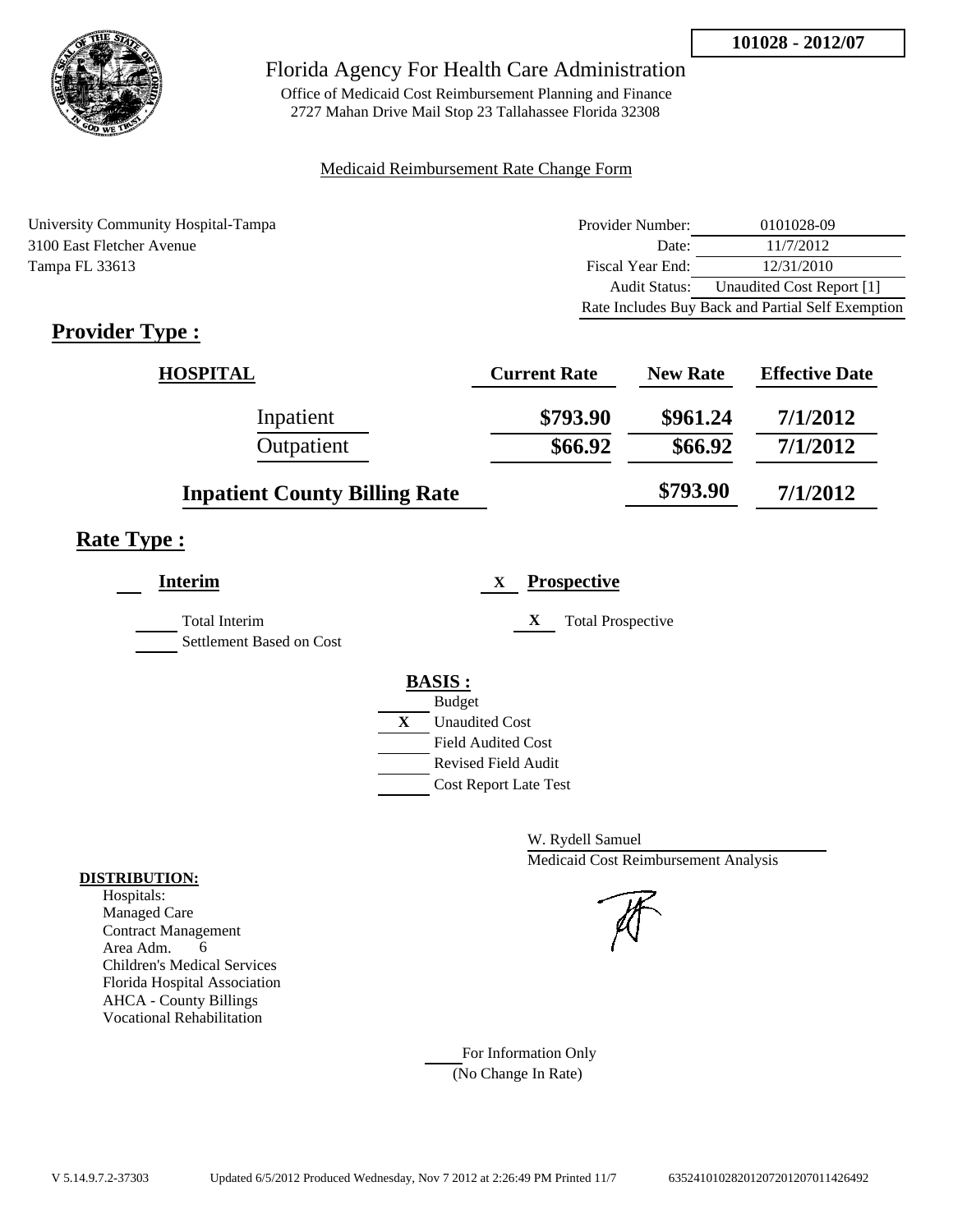

Office of Medicaid Cost Reimbursement Planning and Finance 2727 Mahan Drive Mail Stop 23 Tallahassee Florida 32308

## Medicaid Reimbursement Rate Change Form

University Community Hospital-Tampa 3100 East Fletcher Avenue Tampa FL 33613

| Provider Number: | 0101028-09                                        |
|------------------|---------------------------------------------------|
| Date:            | 11/7/2012                                         |
| Fiscal Year End: | 12/31/2010                                        |
| Audit Status:    | Unaudited Cost Report [1]                         |
|                  | Rate Includes Buy Back and Partial Self Exemption |

# **Provider Type :**

| <b>HOSPITAL</b>                      | <b>Current Rate</b> | <b>New Rate</b> | <b>Effective Date</b> |
|--------------------------------------|---------------------|-----------------|-----------------------|
| Inpatient                            | \$793.90            | \$961.24        | 7/1/2012              |
| Outpatient                           | \$66.92             | \$66.92         | 7/1/2012              |
| <b>Inpatient County Billing Rate</b> |                     | \$793.90        | 7/1/2012              |

# **Rate Type :**

| <b>Interim</b>                                   | <b>Prospective</b><br>X       |  |
|--------------------------------------------------|-------------------------------|--|
| <b>Total Interim</b><br>Settlement Based on Cost | X<br><b>Total Prospective</b> |  |
|                                                  | <b>BASIS:</b>                 |  |
|                                                  | <b>Budget</b>                 |  |
|                                                  | X<br><b>Unaudited Cost</b>    |  |
|                                                  | <b>Field Audited Cost</b>     |  |
|                                                  | Revised Field Audit           |  |
|                                                  | <b>Cost Report Late Test</b>  |  |
|                                                  |                               |  |

W. Rydell Samuel Medicaid Cost Reimbursement Analysis

For Information Only (No Change In Rate)

## **DISTRIBUTION:**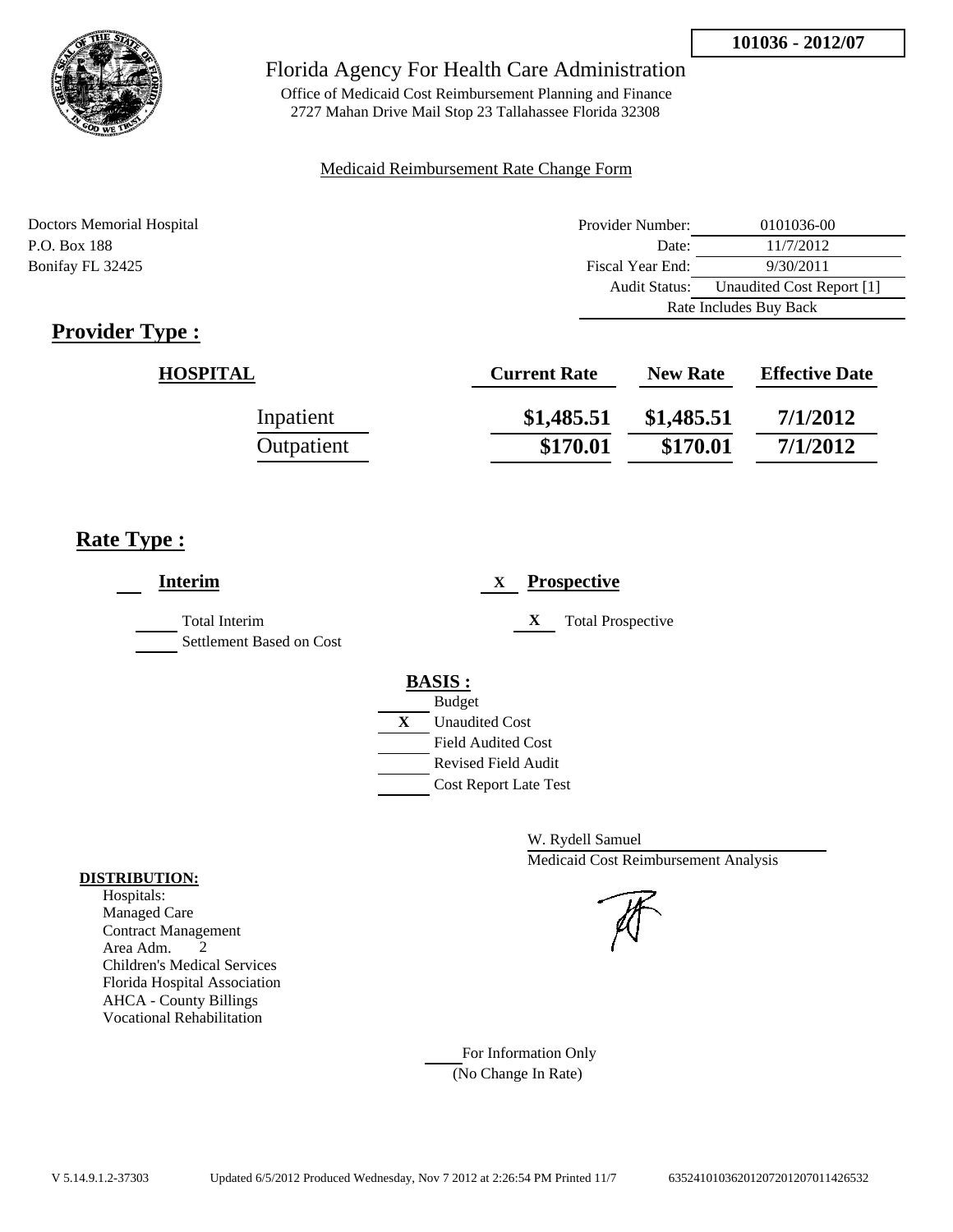

Office of Medicaid Cost Reimbursement Planning and Finance 2727 Mahan Drive Mail Stop 23 Tallahassee Florida 32308

## Medicaid Reimbursement Rate Change Form

Doctors Memorial Hospital P.O. Box 188 **Date:** 11/7/2012 Bonifay FL 32425

| Provider Number:       | 0101036-00                |  |
|------------------------|---------------------------|--|
| Date:                  | 11/7/2012                 |  |
| Fiscal Year End:       | 9/30/2011                 |  |
| Audit Status:          | Unaudited Cost Report [1] |  |
| Rate Includes Buy Back |                           |  |

# **Provider Type :**

| <b>HOSPITAL</b> | <b>Current Rate</b> | <b>New Rate</b> | <b>Effective Date</b> |
|-----------------|---------------------|-----------------|-----------------------|
| Inpatient       | \$1,485.51          | \$1,485.51      | 7/1/2012              |
| Outpatient      | \$170.01            | \$170.01        | 7/1/2012              |

# **Rate Type :**

| <b>Interim</b>                            | <b>Prospective</b>             |
|-------------------------------------------|--------------------------------|
| Total Interim<br>Settlement Based on Cost | X<br><b>Total Prospective</b>  |
|                                           | <b>BASIS:</b><br><b>Budget</b> |
|                                           | X<br><b>Unaudited Cost</b>     |
|                                           | <b>Field Audited Cost</b>      |
|                                           | Revised Field Audit            |
|                                           | <b>Cost Report Late Test</b>   |
|                                           |                                |

W. Rydell Samuel Medicaid Cost Reimbursement Analysis

For Information Only (No Change In Rate)

#### **DISTRIBUTION:**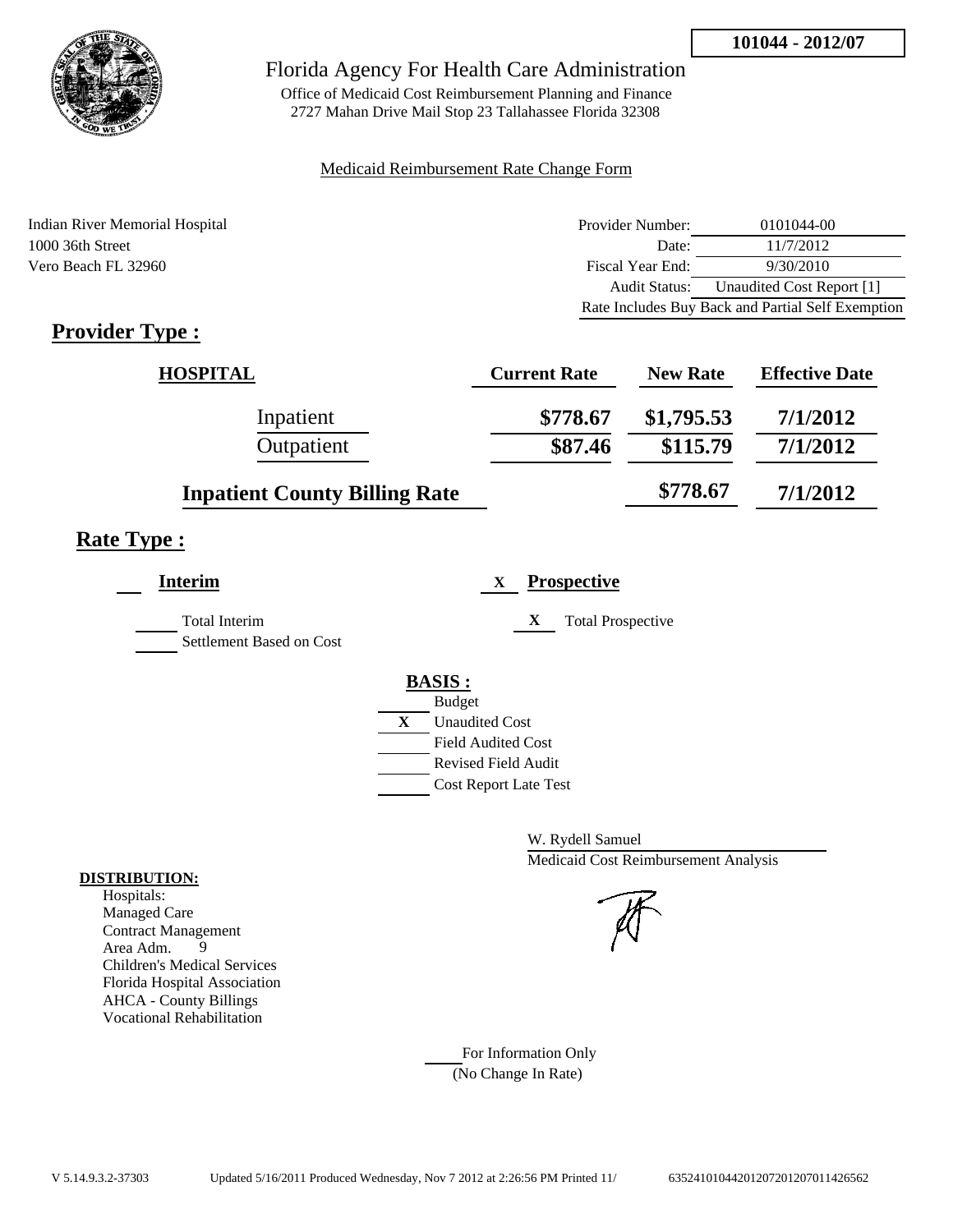

Office of Medicaid Cost Reimbursement Planning and Finance 2727 Mahan Drive Mail Stop 23 Tallahassee Florida 32308

## Medicaid Reimbursement Rate Change Form

Indian River Memorial Hospital 1000 36th Street Vero Beach FL 32960

| Provider Number: | 0101044-00                                        |
|------------------|---------------------------------------------------|
| Date:            | 11/7/2012                                         |
| Fiscal Year End: | 9/30/2010                                         |
| Audit Status:    | Unaudited Cost Report [1]                         |
|                  | Rate Includes Buy Back and Partial Self Exemption |

# **Provider Type :**

| <b>HOSPITAL</b>                      | <b>Current Rate</b> | <b>New Rate</b> | <b>Effective Date</b> |
|--------------------------------------|---------------------|-----------------|-----------------------|
| Inpatient                            | \$778.67            | \$1,795.53      | 7/1/2012              |
| Outpatient                           | \$87.46             | \$115.79        | 7/1/2012              |
| <b>Inpatient County Billing Rate</b> |                     | \$778.67        | 7/1/2012              |

# **Rate Type :**

| <b>Interim</b>                                   | <b>Prospective</b><br>X       |
|--------------------------------------------------|-------------------------------|
| <b>Total Interim</b><br>Settlement Based on Cost | X<br><b>Total Prospective</b> |
|                                                  | <b>BASIS:</b>                 |
|                                                  | <b>Budget</b>                 |
|                                                  | X<br><b>Unaudited Cost</b>    |
|                                                  | <b>Field Audited Cost</b>     |
|                                                  | <b>Revised Field Audit</b>    |
|                                                  | <b>Cost Report Late Test</b>  |
|                                                  |                               |

W. Rydell Samuel Medicaid Cost Reimbursement Analysis

For Information Only (No Change In Rate)

#### **DISTRIBUTION:**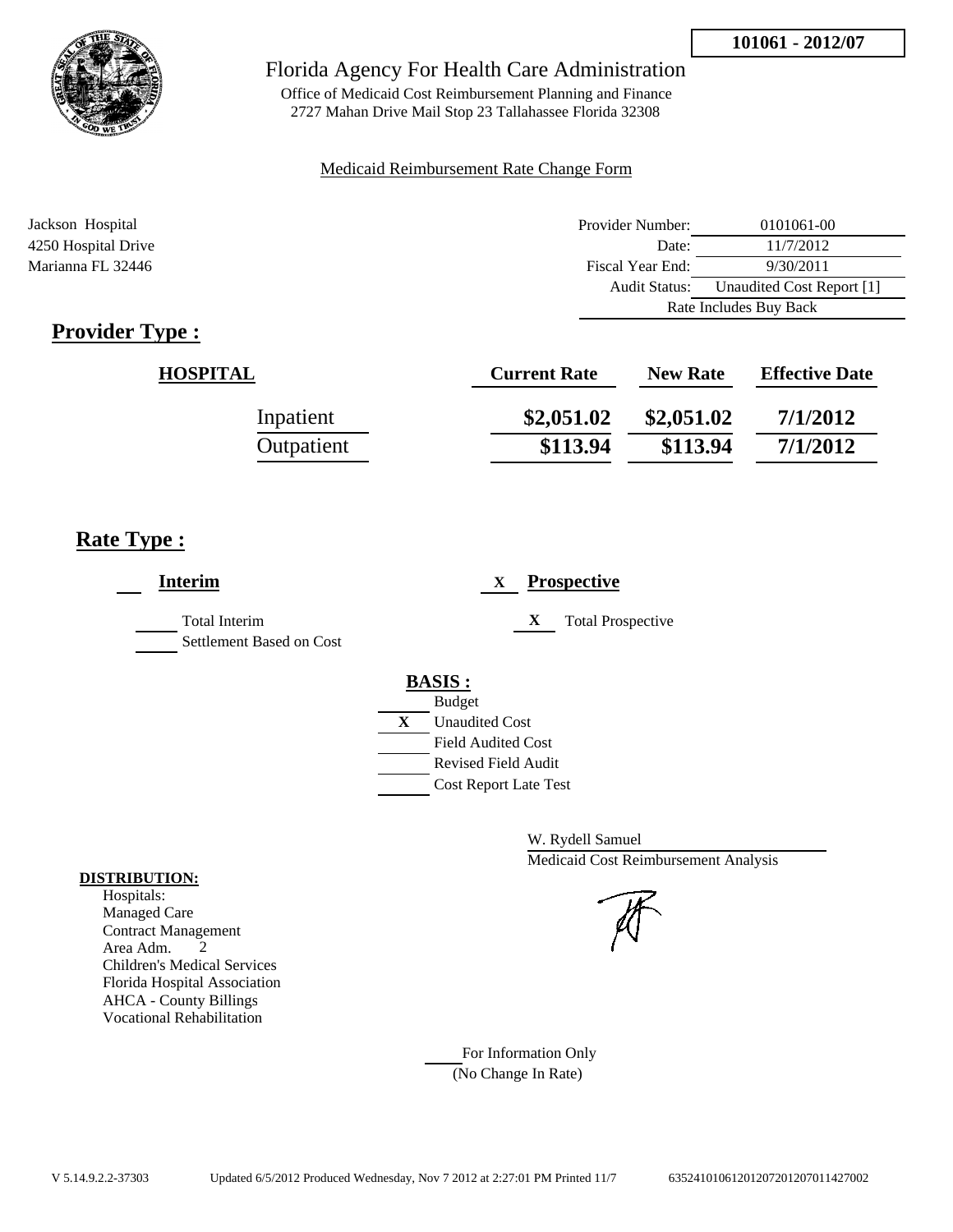

Office of Medicaid Cost Reimbursement Planning and Finance 2727 Mahan Drive Mail Stop 23 Tallahassee Florida 32308

#### Medicaid Reimbursement Rate Change Form

| Jackson Hospital    | Provider Number:     | 0101061-00                |  |
|---------------------|----------------------|---------------------------|--|
| 4250 Hospital Drive | Date:                | 11/7/2012                 |  |
| Marianna FL 32446   | Fiscal Year End:     | 9/30/2011                 |  |
|                     | <b>Audit Status:</b> | Unaudited Cost Report [1] |  |
|                     |                      | Rate Includes Buy Back    |  |

# **Provider Type :**

| <b>HOSPITAL</b> | <b>Current Rate</b> | <b>New Rate</b> | <b>Effective Date</b> |
|-----------------|---------------------|-----------------|-----------------------|
| Inpatient       | \$2,051.02          | \$2,051.02      | 7/1/2012              |
| Outpatient      | \$113.94            | \$113.94        | 7/1/2012              |

# **Rate Type :**

| <b>Interim</b>                                   | <b>Prospective</b><br>X                                                                                                                                 |
|--------------------------------------------------|---------------------------------------------------------------------------------------------------------------------------------------------------------|
| <b>Total Interim</b><br>Settlement Based on Cost | <b>Total Prospective</b><br>X                                                                                                                           |
|                                                  | <b>BASIS:</b><br><b>Budget</b><br>X<br><b>Unaudited Cost</b><br><b>Field Audited Cost</b><br><b>Revised Field Audit</b><br><b>Cost Report Late Test</b> |

W. Rydell Samuel Medicaid Cost Reimbursement Analysis

For Information Only (No Change In Rate)

#### **DISTRIBUTION:**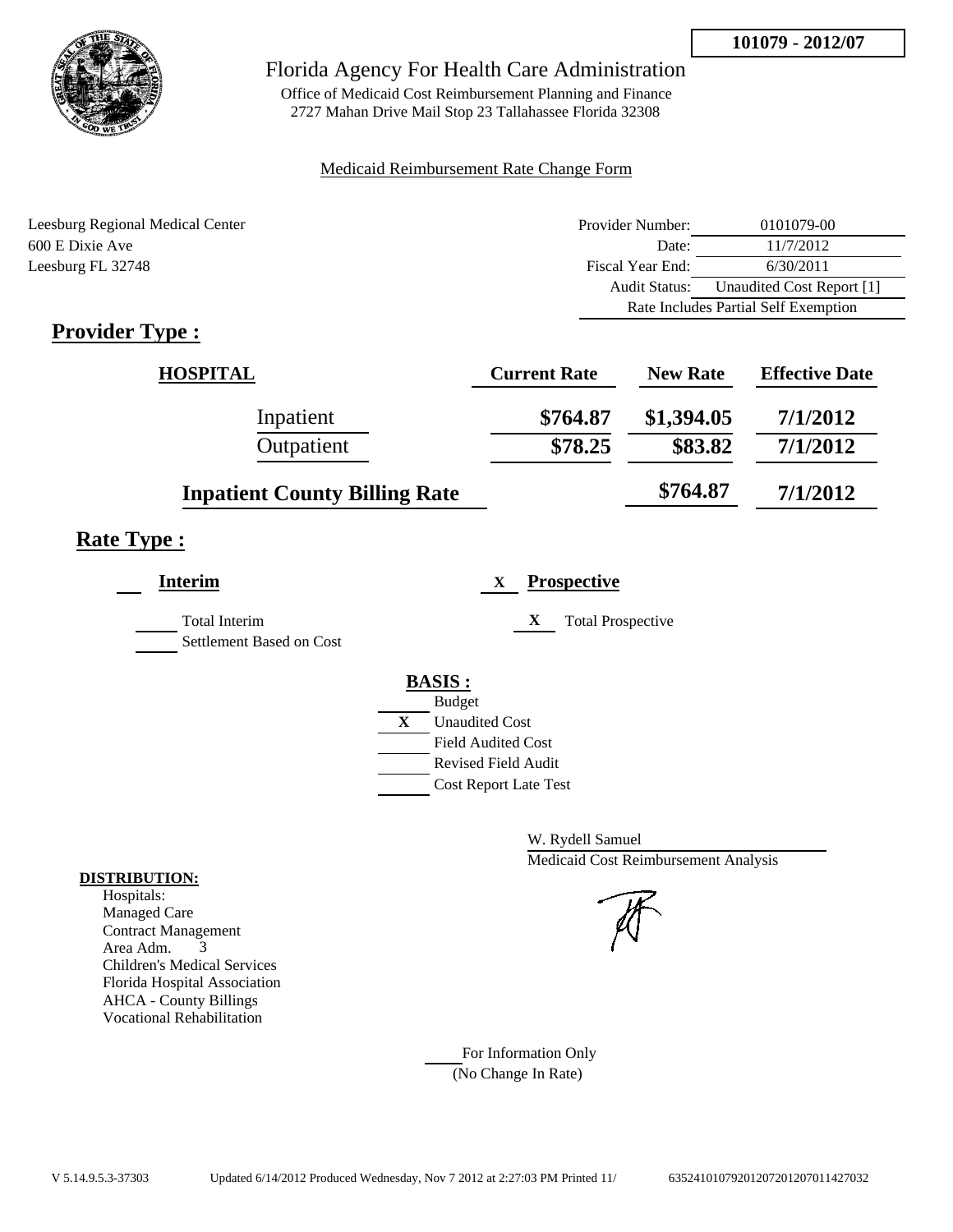

Office of Medicaid Cost Reimbursement Planning and Finance 2727 Mahan Drive Mail Stop 23 Tallahassee Florida 32308

#### Medicaid Reimbursement Rate Change Form

| Leesburg Regional Medical Center | Provider Number: | 0101079-00                           |  |
|----------------------------------|------------------|--------------------------------------|--|
| 600 E Dixie Ave                  | Date:            | 11/7/2012                            |  |
| Leesburg FL 32748                | Fiscal Year End: | 6/30/2011                            |  |
|                                  | Audit Status:    | Unaudited Cost Report [1]            |  |
|                                  |                  | Rate Includes Partial Self Exemption |  |

# **Provider Type :**

| <b>HOSPITAL</b>                      | <b>Current Rate</b> | <b>New Rate</b> | <b>Effective Date</b> |
|--------------------------------------|---------------------|-----------------|-----------------------|
| Inpatient                            | \$764.87            | \$1,394.05      | 7/1/2012              |
| Outpatient                           | \$78.25             | \$83.82         | 7/1/2012              |
| <b>Inpatient County Billing Rate</b> |                     | \$764.87        | 7/1/2012              |

# **Rate Type :**

| Interim                                          |   | <b>Prospective</b><br>X       |
|--------------------------------------------------|---|-------------------------------|
| <b>Total Interim</b><br>Settlement Based on Cost |   | X<br><b>Total Prospective</b> |
|                                                  |   | <b>BASIS:</b>                 |
|                                                  |   | <b>Budget</b>                 |
|                                                  | X | <b>Unaudited Cost</b>         |
|                                                  |   | <b>Field Audited Cost</b>     |
|                                                  |   | <b>Revised Field Audit</b>    |
|                                                  |   | <b>Cost Report Late Test</b>  |
|                                                  |   |                               |
|                                                  |   |                               |

W. Rydell Samuel Medicaid Cost Reimbursement Analysis

For Information Only (No Change In Rate)

#### **DISTRIBUTION:**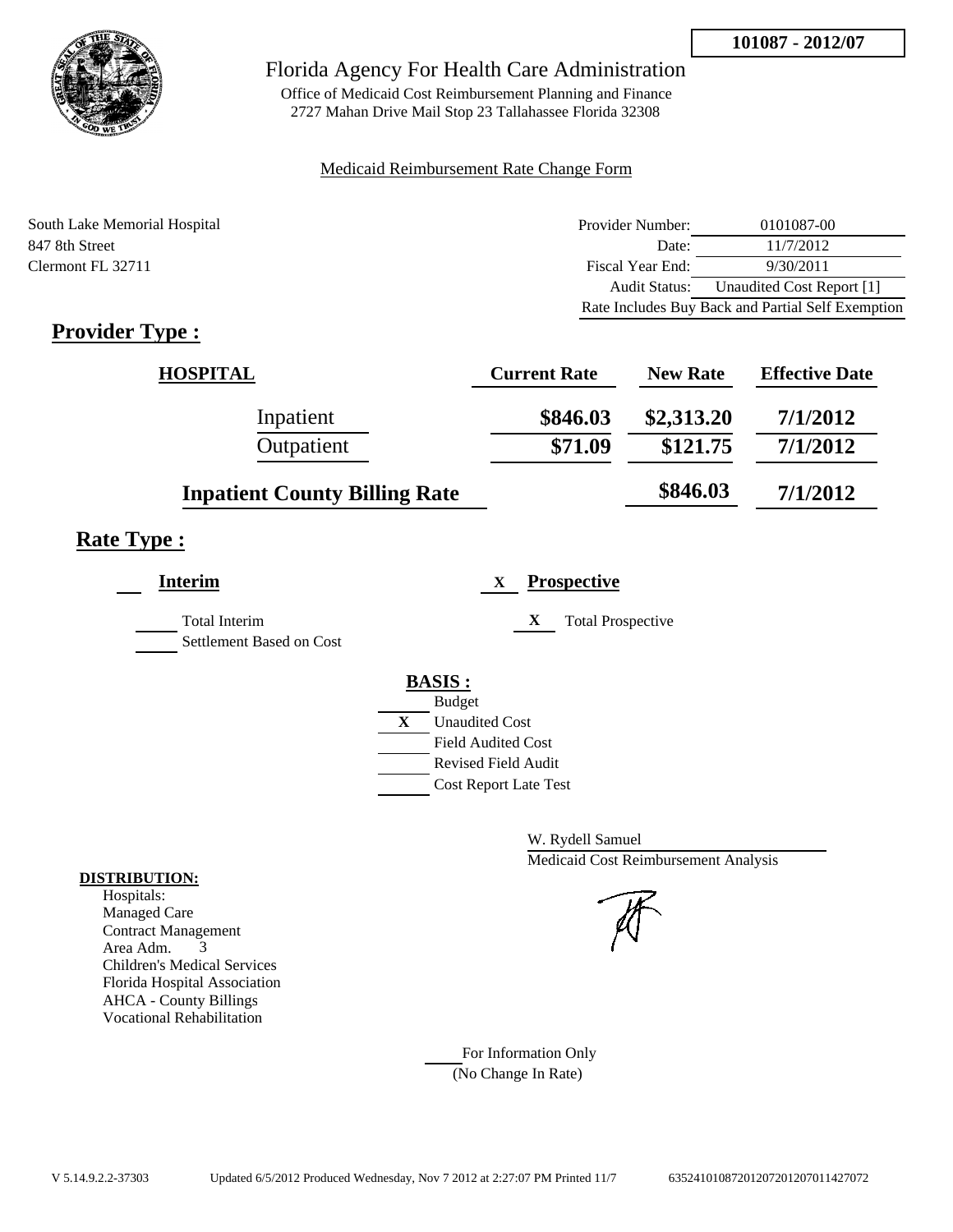

Office of Medicaid Cost Reimbursement Planning and Finance 2727 Mahan Drive Mail Stop 23 Tallahassee Florida 32308

#### Medicaid Reimbursement Rate Change Form

| South Lake Memorial Hospital | Provider Number: | 0101087-00                                        |
|------------------------------|------------------|---------------------------------------------------|
| 847 8th Street               | Date:            | 11/7/2012                                         |
| Clermont FL 32711            | Fiscal Year End: | 9/30/2011                                         |
|                              | Audit Status:    | Unaudited Cost Report [1]                         |
|                              |                  | Rate Includes Buy Back and Partial Self Exemption |

# **Provider Type :**

| <b>HOSPITAL</b>                      | <b>Current Rate</b> | <b>New Rate</b> | <b>Effective Date</b> |
|--------------------------------------|---------------------|-----------------|-----------------------|
| Inpatient                            | \$846.03            | \$2,313.20      | 7/1/2012              |
| Outpatient                           | \$71.09             | \$121.75        | 7/1/2012              |
| <b>Inpatient County Billing Rate</b> |                     | \$846.03        | 7/1/2012              |

# **Rate Type :**

 $\overline{\phantom{a}}$ 

| Interim                                          |   | <b>Prospective</b><br>$\mathbf X$ |
|--------------------------------------------------|---|-----------------------------------|
| <b>Total Interim</b><br>Settlement Based on Cost |   | X<br><b>Total Prospective</b>     |
|                                                  |   | <b>BASIS:</b>                     |
|                                                  |   | <b>Budget</b>                     |
|                                                  | X | <b>Unaudited Cost</b>             |
|                                                  |   | <b>Field Audited Cost</b>         |
|                                                  |   | Revised Field Audit               |
|                                                  |   | <b>Cost Report Late Test</b>      |
|                                                  |   |                                   |

W. Rydell Samuel Medicaid Cost Reimbursement Analysis

For Information Only (No Change In Rate)

#### **DISTRIBUTION:**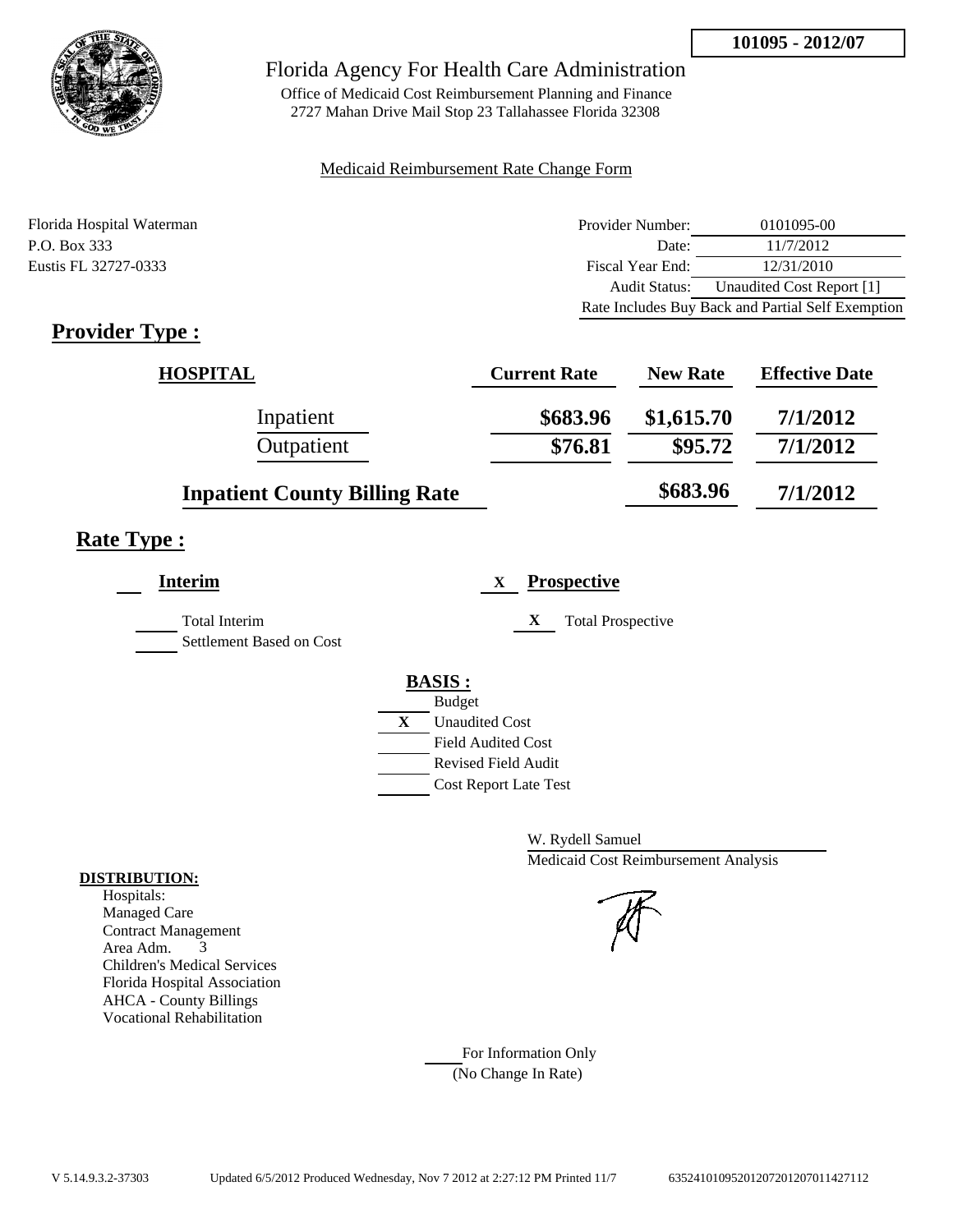

Office of Medicaid Cost Reimbursement Planning and Finance 2727 Mahan Drive Mail Stop 23 Tallahassee Florida 32308

## Medicaid Reimbursement Rate Change Form

| Florida Hospital Waterman | Provider Number: | 0101095-00                                        |
|---------------------------|------------------|---------------------------------------------------|
| P.O. Box 333              | Date:            | 11/7/2012                                         |
| Eustis FL 32727-0333      | Fiscal Year End: | 12/31/2010                                        |
|                           | Audit Status:    | Unaudited Cost Report [1]                         |
|                           |                  | Rate Includes Buy Back and Partial Self Exemption |

# **Provider Type :**

| <b>HOSPITAL</b>                      | <b>Current Rate</b> | <b>New Rate</b>       | <b>Effective Date</b> |
|--------------------------------------|---------------------|-----------------------|-----------------------|
| Inpatient<br>Outpatient              | \$683.96<br>\$76.81 | \$1,615.70<br>\$95.72 | 7/1/2012<br>7/1/2012  |
| <b>Inpatient County Billing Rate</b> |                     | \$683.96              | 7/1/2012              |

# **Rate Type :**

| Interim                                          | <b>Prospective</b><br>X       |
|--------------------------------------------------|-------------------------------|
| <b>Total Interim</b><br>Settlement Based on Cost | X<br><b>Total Prospective</b> |
|                                                  | <b>BASIS:</b>                 |
|                                                  | <b>Budget</b>                 |
|                                                  | X<br><b>Unaudited Cost</b>    |
|                                                  | <b>Field Audited Cost</b>     |
|                                                  | <b>Revised Field Audit</b>    |
|                                                  | <b>Cost Report Late Test</b>  |
|                                                  |                               |

W. Rydell Samuel Medicaid Cost Reimbursement Analysis

For Information Only (No Change In Rate)

#### **DISTRIBUTION:**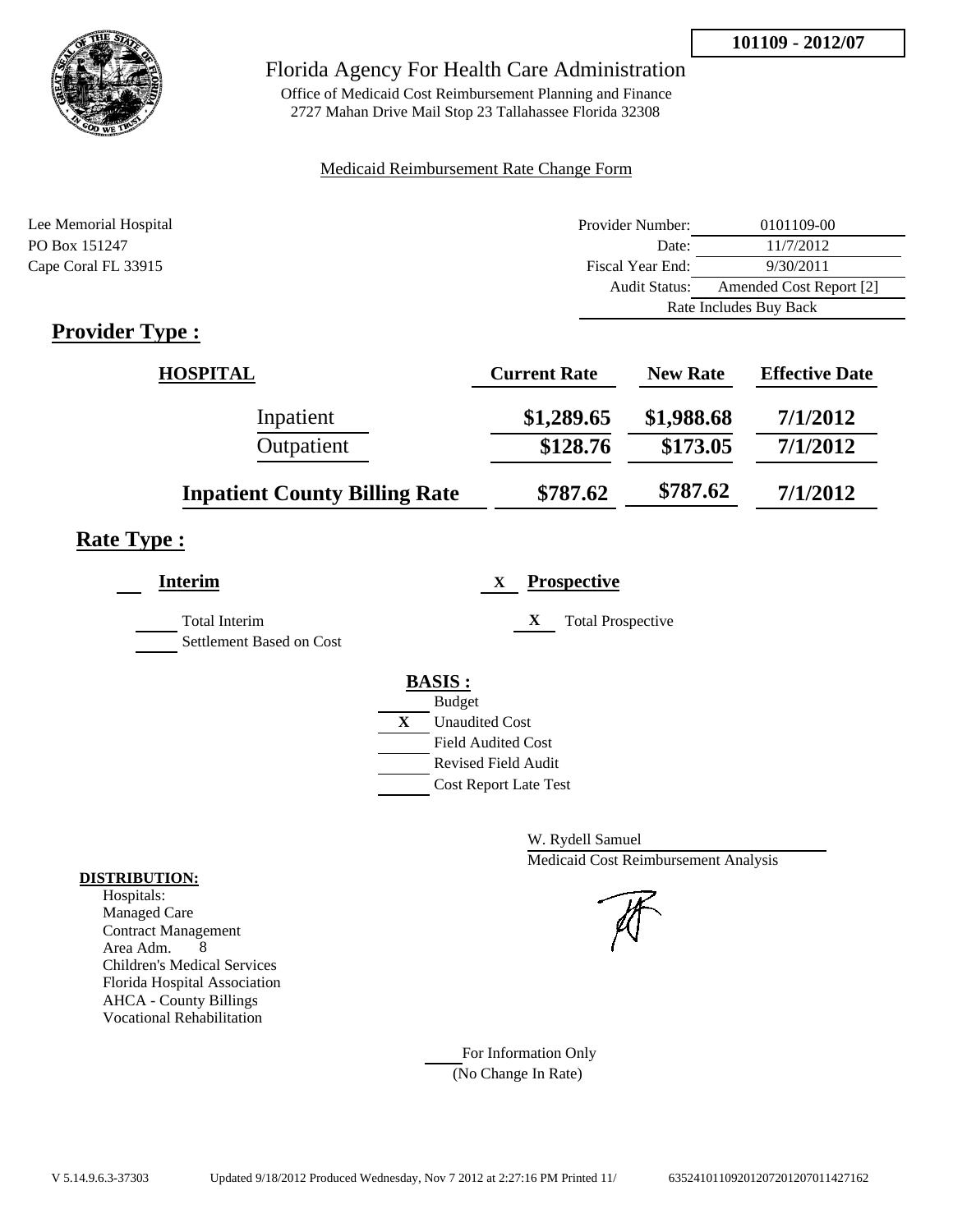

Office of Medicaid Cost Reimbursement Planning and Finance 2727 Mahan Drive Mail Stop 23 Tallahassee Florida 32308

## Medicaid Reimbursement Rate Change Form

| Lee Memorial Hospital | Provider Number:     | 0101109-00              |  |
|-----------------------|----------------------|-------------------------|--|
| PO Box 151247         | Date:                | 11/7/2012               |  |
| Cape Coral FL 33915   | Fiscal Year End:     | 9/30/2011               |  |
|                       | <b>Audit Status:</b> | Amended Cost Report [2] |  |
|                       |                      | Rate Includes Buy Back  |  |
|                       |                      |                         |  |

# **Provider Type :**

| <b>HOSPITAL</b>                      | <b>Current Rate</b> | <b>New Rate</b> | <b>Effective Date</b> |
|--------------------------------------|---------------------|-----------------|-----------------------|
| Inpatient                            | \$1,289.65          | \$1,988.68      | 7/1/2012              |
| Outpatient                           | \$128.76            | \$173.05        | 7/1/2012              |
| <b>Inpatient County Billing Rate</b> | \$787.62            | \$787.62        | 7/1/2012              |

## **Rate Type :**

| X<br><b>Total Prospective</b> |
|-------------------------------|
| <b>BASIS:</b>                 |
| <b>Budget</b>                 |
| X<br><b>Unaudited Cost</b>    |
| <b>Field Audited Cost</b>     |
| Revised Field Audit           |
| <b>Cost Report Late Test</b>  |
|                               |

W. Rydell Samuel Medicaid Cost Reimbursement Analysis

For Information Only (No Change In Rate)

#### **DISTRIBUTION:**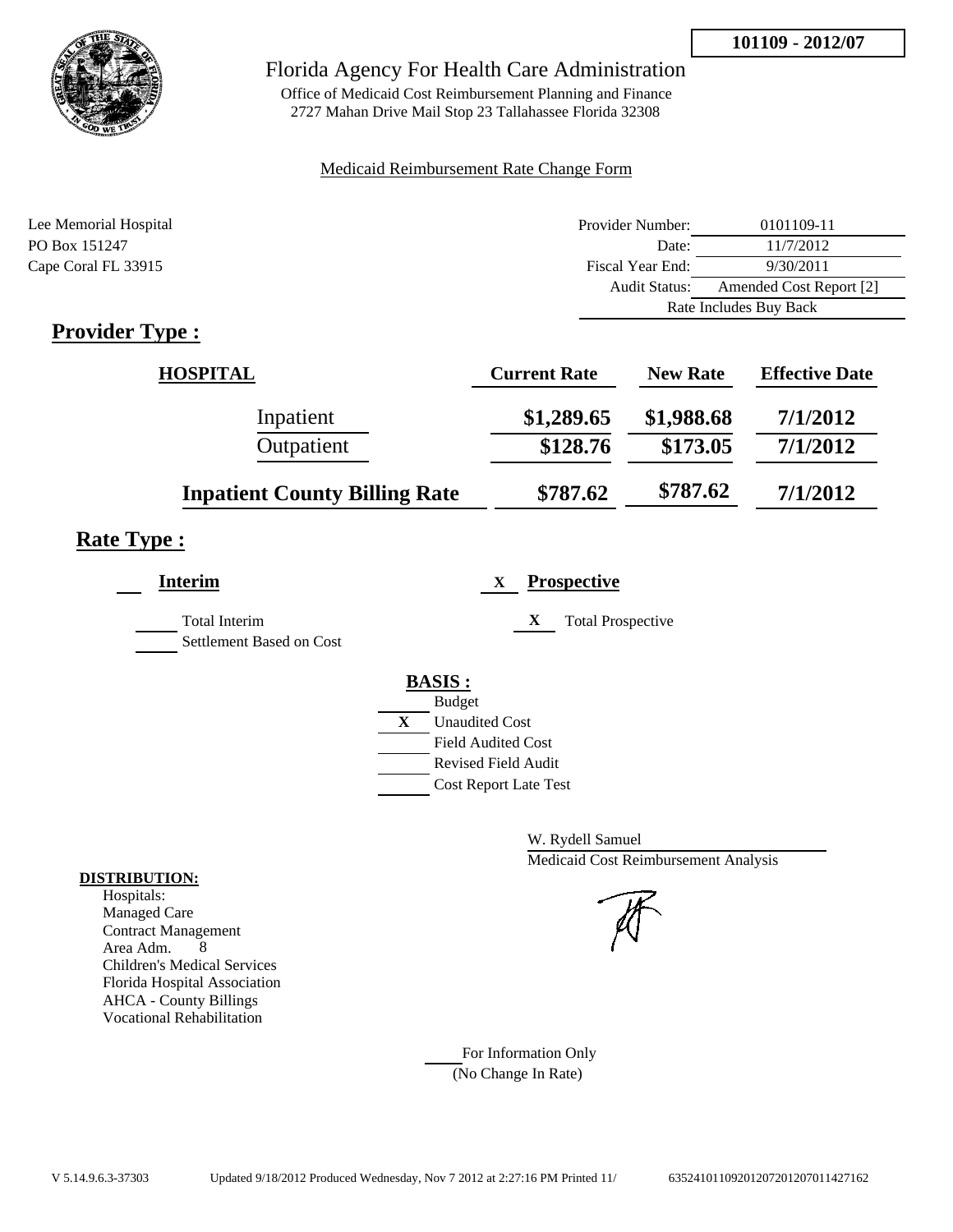**101109 - 2012/07**



## Florida Agency For Health Care Administration

Office of Medicaid Cost Reimbursement Planning and Finance 2727 Mahan Drive Mail Stop 23 Tallahassee Florida 32308

## Medicaid Reimbursement Rate Change Form

| Lee Memorial Hospital | Provider Number:     | 0101109-11              |  |
|-----------------------|----------------------|-------------------------|--|
| PO Box 151247         | Date:                | 11/7/2012               |  |
| Cape Coral FL 33915   | Fiscal Year End:     | 9/30/2011               |  |
|                       | <b>Audit Status:</b> | Amended Cost Report [2] |  |
|                       |                      | Rate Includes Buy Back  |  |
|                       |                      |                         |  |

# **Provider Type :**

| <b>HOSPITAL</b>                      | <b>Current Rate</b> | <b>New Rate</b> | <b>Effective Date</b> |
|--------------------------------------|---------------------|-----------------|-----------------------|
| Inpatient                            | \$1,289.65          | \$1,988.68      | 7/1/2012              |
| Outpatient                           | \$128.76            | \$173.05        | 7/1/2012              |
| <b>Inpatient County Billing Rate</b> | \$787.62            | \$787.62        | 7/1/2012              |

# **Rate Type :**

| Interim                                   | <b>Prospective</b><br>$\mathbf{X}$                                                                                                                          |
|-------------------------------------------|-------------------------------------------------------------------------------------------------------------------------------------------------------------|
| Total Interim<br>Settlement Based on Cost | X<br><b>Total Prospective</b>                                                                                                                               |
|                                           | <b>BASIS:</b><br><b>Budget</b><br>$\mathbf{X}$<br><b>Unaudited Cost</b><br><b>Field Audited Cost</b><br>Revised Field Audit<br><b>Cost Report Late Test</b> |

W. Rydell Samuel Medicaid Cost Reimbursement Analysis

For Information Only (No Change In Rate)

#### **DISTRIBUTION:**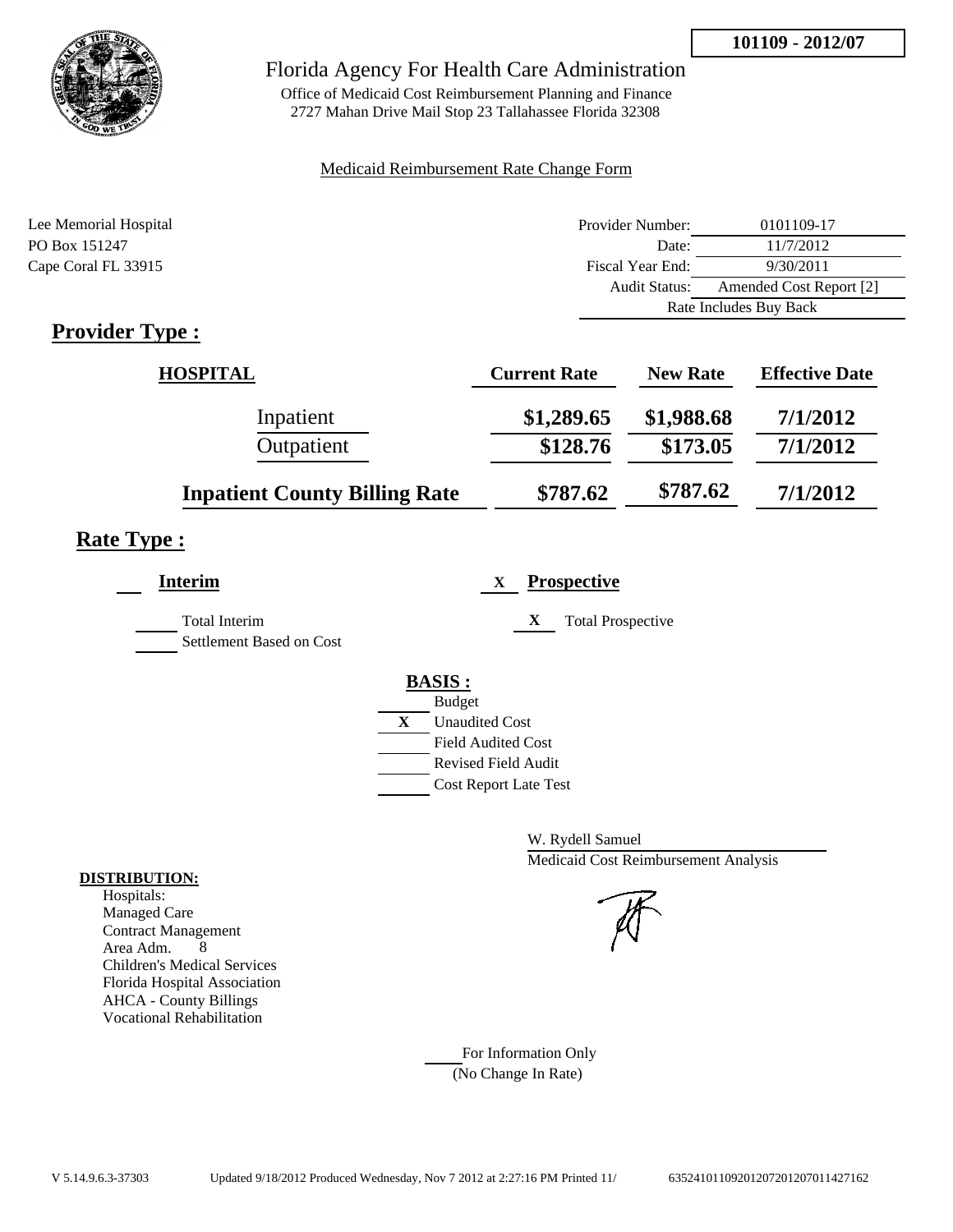**101109 - 2012/07**



## Florida Agency For Health Care Administration

Office of Medicaid Cost Reimbursement Planning and Finance 2727 Mahan Drive Mail Stop 23 Tallahassee Florida 32308

## Medicaid Reimbursement Rate Change Form

| Lee Memorial Hospital | Provider Number:     | 0101109-17              |  |
|-----------------------|----------------------|-------------------------|--|
| PO Box 151247         | Date:                | 11/7/2012               |  |
| Cape Coral FL 33915   | Fiscal Year End:     | 9/30/2011               |  |
|                       | <b>Audit Status:</b> | Amended Cost Report [2] |  |
|                       |                      | Rate Includes Buy Back  |  |
|                       |                      |                         |  |

# **Provider Type :**

| <b>HOSPITAL</b>                      | <b>Current Rate</b> | <b>New Rate</b> | <b>Effective Date</b> |
|--------------------------------------|---------------------|-----------------|-----------------------|
| Inpatient                            | \$1,289.65          | \$1,988.68      | 7/1/2012              |
| Outpatient                           | \$128.76            | \$173.05        | 7/1/2012              |
| <b>Inpatient County Billing Rate</b> | \$787.62            | \$787.62        | 7/1/2012              |

# **Rate Type :**

| <b>Interim</b>                                   | <b>Prospective</b><br>X                                                                                                                                 |
|--------------------------------------------------|---------------------------------------------------------------------------------------------------------------------------------------------------------|
| <b>Total Interim</b><br>Settlement Based on Cost | X<br><b>Total Prospective</b>                                                                                                                           |
|                                                  | <b>BASIS:</b><br><b>Budget</b><br>X<br><b>Unaudited Cost</b><br><b>Field Audited Cost</b><br><b>Revised Field Audit</b><br><b>Cost Report Late Test</b> |

W. Rydell Samuel Medicaid Cost Reimbursement Analysis

For Information Only (No Change In Rate)

#### **DISTRIBUTION:**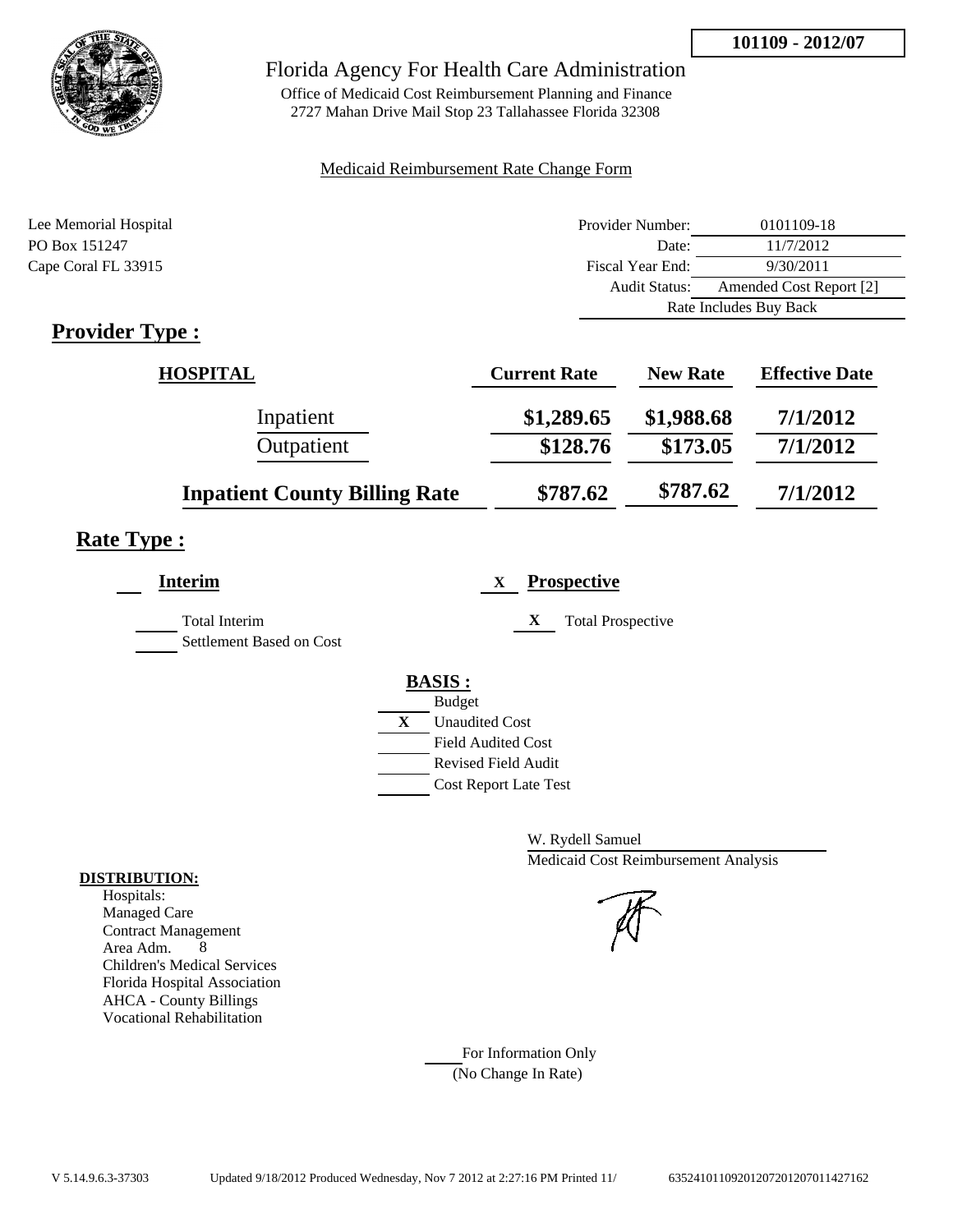**101109 - 2012/07**



## Florida Agency For Health Care Administration

Office of Medicaid Cost Reimbursement Planning and Finance 2727 Mahan Drive Mail Stop 23 Tallahassee Florida 32308

## Medicaid Reimbursement Rate Change Form

| Lee Memorial Hospital | Provider Number:     | 0101109-18              |  |
|-----------------------|----------------------|-------------------------|--|
| PO Box 151247         | Date:                | 11/7/2012               |  |
| Cape Coral FL 33915   | Fiscal Year End:     | 9/30/2011               |  |
|                       | <b>Audit Status:</b> | Amended Cost Report [2] |  |
|                       |                      | Rate Includes Buy Back  |  |
|                       |                      |                         |  |

# **Provider Type :**

| <b>HOSPITAL</b>                      | <b>Current Rate</b> | <b>New Rate</b> | <b>Effective Date</b> |
|--------------------------------------|---------------------|-----------------|-----------------------|
| Inpatient                            | \$1,289.65          | \$1,988.68      | 7/1/2012              |
| Outpatient                           | \$128.76            | \$173.05        | 7/1/2012              |
| <b>Inpatient County Billing Rate</b> | \$787.62            | \$787.62        | 7/1/2012              |

# **Rate Type :**

| Interim                                   | <b>Prospective</b><br>$\mathbf{X}$                                                                                                                          |
|-------------------------------------------|-------------------------------------------------------------------------------------------------------------------------------------------------------------|
| Total Interim<br>Settlement Based on Cost | X<br><b>Total Prospective</b>                                                                                                                               |
|                                           | <b>BASIS:</b><br><b>Budget</b><br>$\mathbf{X}$<br><b>Unaudited Cost</b><br><b>Field Audited Cost</b><br>Revised Field Audit<br><b>Cost Report Late Test</b> |

W. Rydell Samuel Medicaid Cost Reimbursement Analysis

For Information Only (No Change In Rate)

#### **DISTRIBUTION:**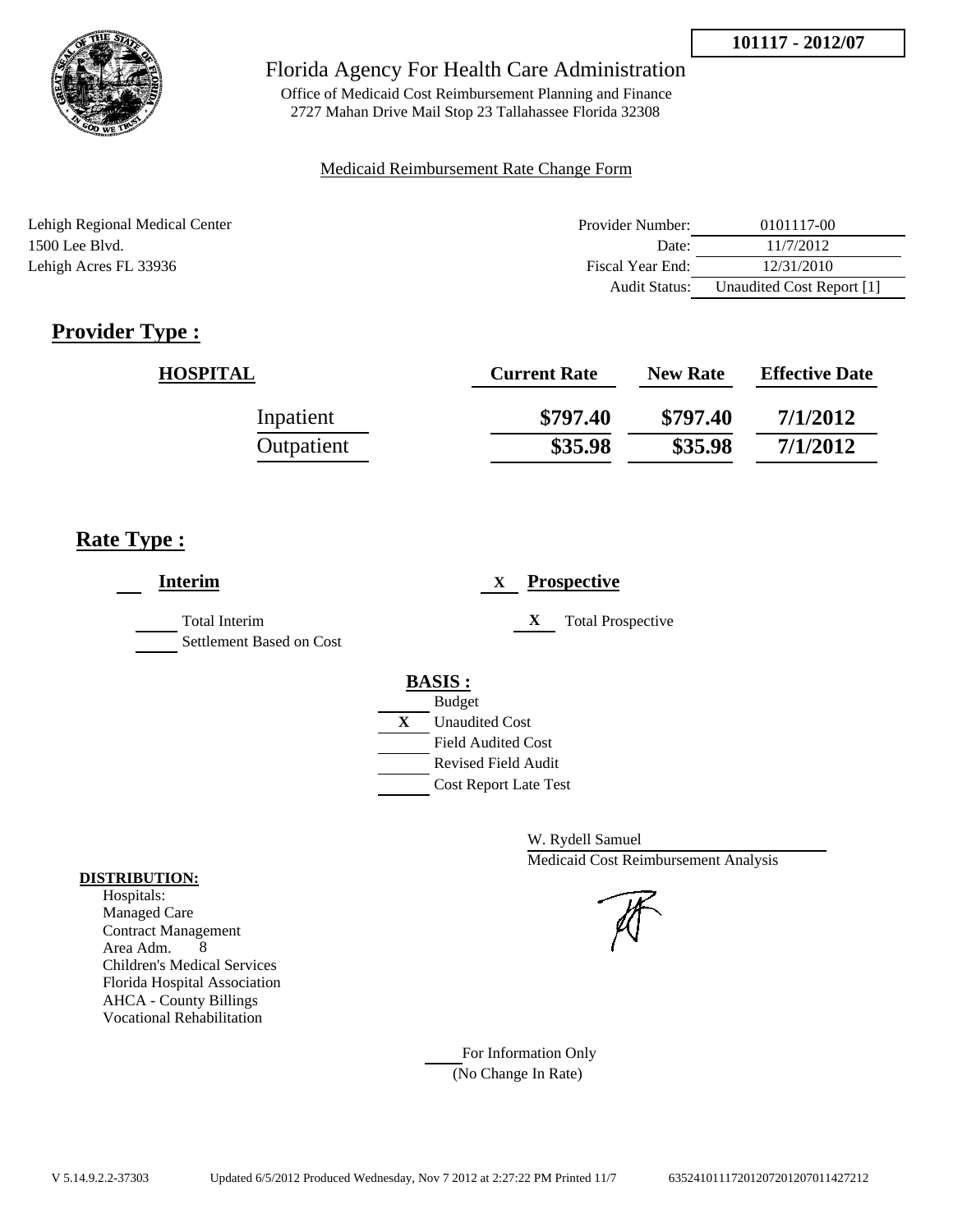

Office of Medicaid Cost Reimbursement Planning and Finance 2727 Mahan Drive Mail Stop 23 Tallahassee Florida 32308

#### Medicaid Reimbursement Rate Change Form

| Lehigh Regional Medical Center | Provider Number:     | 0101117-00                |
|--------------------------------|----------------------|---------------------------|
| $1500$ Lee Blyd.               | Date:                | 11/7/2012                 |
| Lehigh Acres FL 33936          | Fiscal Year End:     | 12/31/2010                |
|                                | <b>Audit Status:</b> | Unaudited Cost Report [1] |

# **Provider Type :**

| <b>HOSPITAL</b> | <b>Current Rate</b> | <b>New Rate</b> | <b>Effective Date</b> |
|-----------------|---------------------|-----------------|-----------------------|
| Inpatient       | \$797.40            | \$797.40        | 7/1/2012              |
| Outpatient      | \$35.98             | \$35.98         | 7/1/2012              |

# **Rate Type :**

| <b>Interim</b>                                   | <b>Prospective</b><br>X                             |
|--------------------------------------------------|-----------------------------------------------------|
| <b>Total Interim</b><br>Settlement Based on Cost | X<br><b>Total Prospective</b>                       |
|                                                  | <b>BASIS:</b>                                       |
|                                                  | <b>Budget</b><br>X<br><b>Unaudited Cost</b>         |
|                                                  | <b>Field Audited Cost</b>                           |
|                                                  | Revised Field Audit<br><b>Cost Report Late Test</b> |

W. Rydell Samuel Medicaid Cost Reimbursement Analysis

For Information Only (No Change In Rate)

#### **DISTRIBUTION:**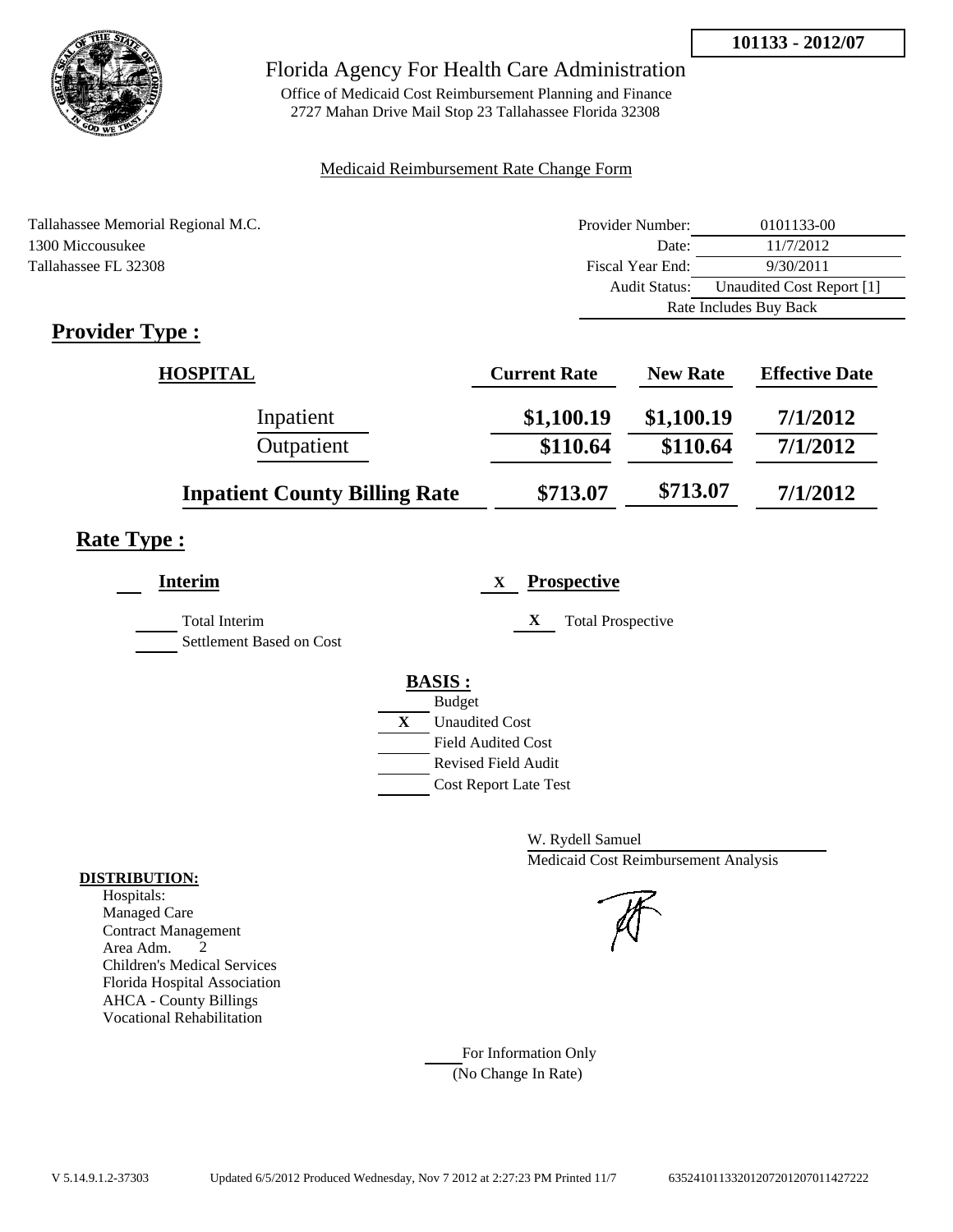

Office of Medicaid Cost Reimbursement Planning and Finance 2727 Mahan Drive Mail Stop 23 Tallahassee Florida 32308

## Medicaid Reimbursement Rate Change Form

| Tallahassee Memorial Regional M.C. | Provider Number:     | 0101133-00                |  |
|------------------------------------|----------------------|---------------------------|--|
| 1300 Miccousukee                   | Date:                | 11/7/2012                 |  |
| Tallahassee FL 32308               | Fiscal Year End:     | 9/30/2011                 |  |
|                                    | <b>Audit Status:</b> | Unaudited Cost Report [1] |  |
|                                    |                      | Rate Includes Buy Back    |  |

# **Provider Type :**

| <b>HOSPITAL</b>                      | <b>Current Rate</b> | <b>New Rate</b> | <b>Effective Date</b> |
|--------------------------------------|---------------------|-----------------|-----------------------|
| Inpatient                            | \$1,100.19          | \$1,100.19      | 7/1/2012              |
| Outpatient                           | \$110.64            | \$110.64        | 7/1/2012              |
| <b>Inpatient County Billing Rate</b> | \$713.07            | \$713.07        | 7/1/2012              |

# **Rate Type :**

| <b>Interim</b>                                   | <b>Prospective</b><br>X       |
|--------------------------------------------------|-------------------------------|
| <b>Total Interim</b><br>Settlement Based on Cost | X<br><b>Total Prospective</b> |
|                                                  | <b>BASIS:</b>                 |
|                                                  | <b>Budget</b>                 |
|                                                  | X<br><b>Unaudited Cost</b>    |
|                                                  | <b>Field Audited Cost</b>     |
|                                                  | <b>Revised Field Audit</b>    |
|                                                  | <b>Cost Report Late Test</b>  |
|                                                  |                               |

W. Rydell Samuel Medicaid Cost Reimbursement Analysis

For Information Only (No Change In Rate)

#### **DISTRIBUTION:**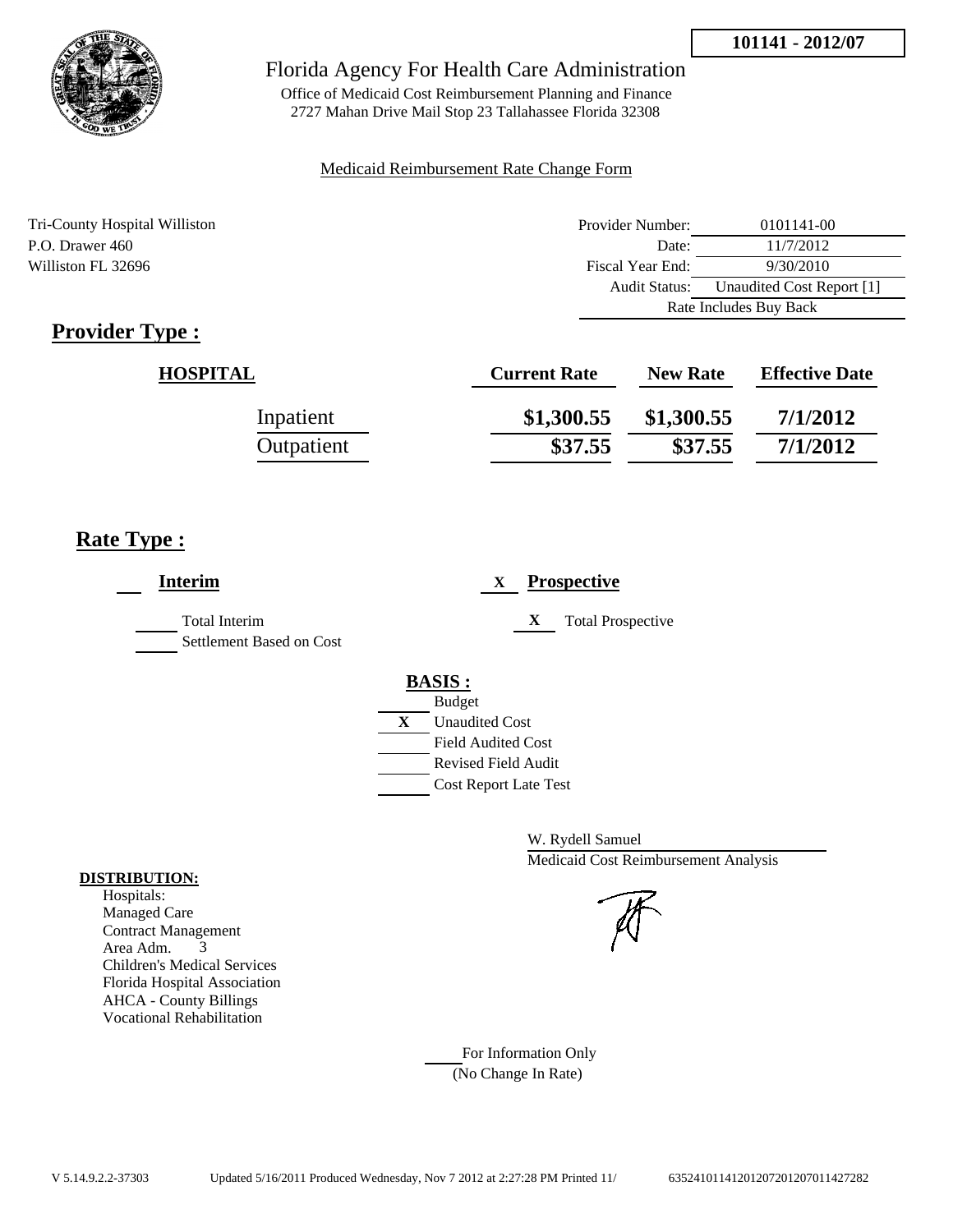

Office of Medicaid Cost Reimbursement Planning and Finance 2727 Mahan Drive Mail Stop 23 Tallahassee Florida 32308

#### Medicaid Reimbursement Rate Change Form

Tri-County Hospital Williston P.O. Drawer 460 Williston FL 32696

| Provider Number:       | 0101141-00                |  |
|------------------------|---------------------------|--|
| Date:                  | 11/7/2012                 |  |
| Fiscal Year End:       | 9/30/2010                 |  |
| Audit Status:          | Unaudited Cost Report [1] |  |
| Rate Includes Buy Back |                           |  |

# **Provider Type :**

| <b>HOSPITAL</b> | <b>Current Rate</b> | <b>New Rate</b> | <b>Effective Date</b> |
|-----------------|---------------------|-----------------|-----------------------|
| Inpatient       | \$1,300.55          | \$1,300.55      | 7/1/2012              |
| Outpatient      | \$37.55             | \$37.55         | 7/1/2012              |

# **Rate Type :**

| <b>Interim</b>                                   | <b>Prospective</b><br>$\mathbf{X}$                                                                                                                      |
|--------------------------------------------------|---------------------------------------------------------------------------------------------------------------------------------------------------------|
| <b>Total Interim</b><br>Settlement Based on Cost | <b>Total Prospective</b><br>X                                                                                                                           |
|                                                  | <b>BASIS:</b><br><b>Budget</b><br>X<br><b>Unaudited Cost</b><br><b>Field Audited Cost</b><br><b>Revised Field Audit</b><br><b>Cost Report Late Test</b> |

W. Rydell Samuel Medicaid Cost Reimbursement Analysis

For Information Only (No Change In Rate)

#### **DISTRIBUTION:**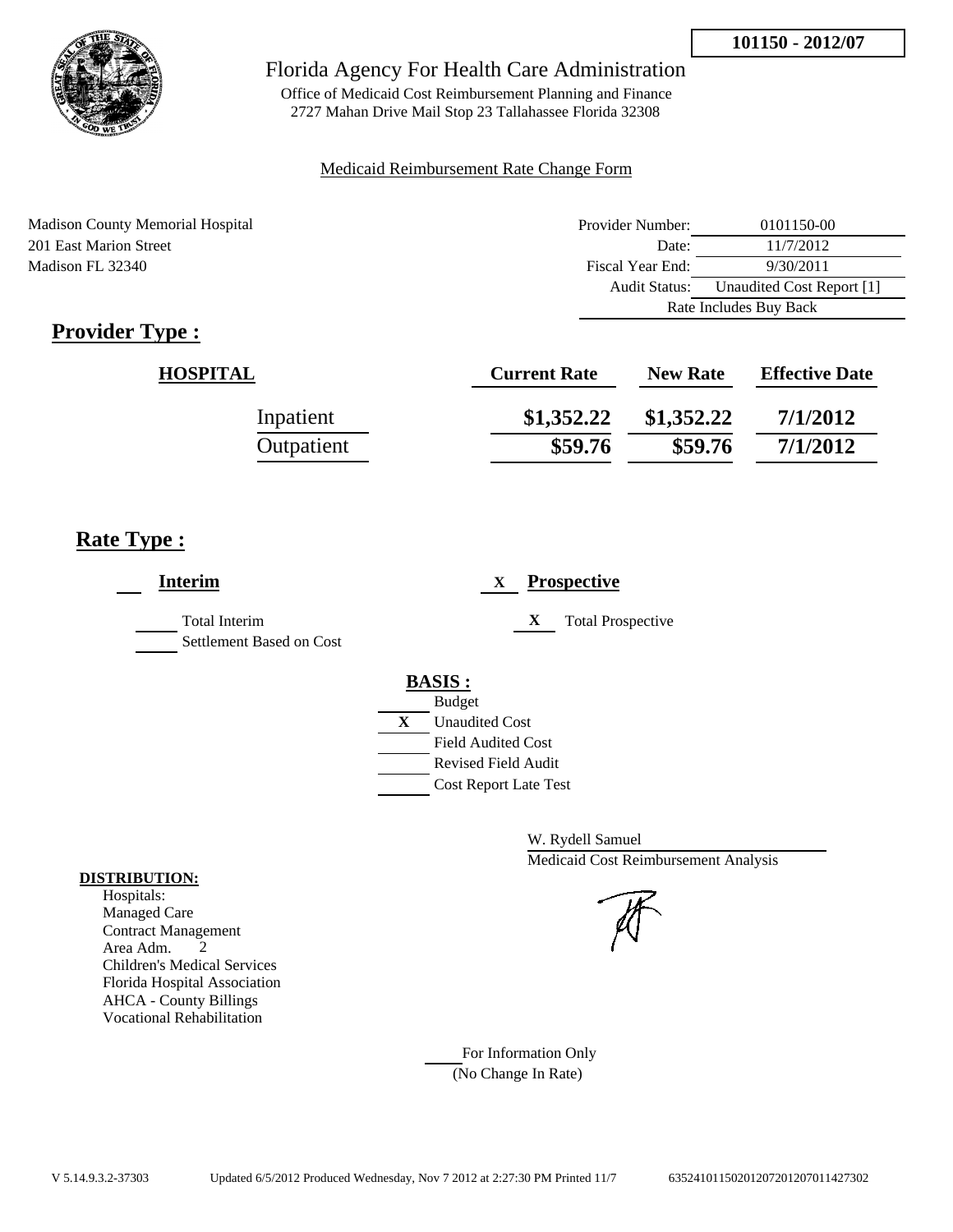

Office of Medicaid Cost Reimbursement Planning and Finance 2727 Mahan Drive Mail Stop 23 Tallahassee Florida 32308

## Medicaid Reimbursement Rate Change Form

| Madison County Memorial Hospital | Provider Number:     | 0101150-00                |  |
|----------------------------------|----------------------|---------------------------|--|
| 201 East Marion Street           | Date:                | 11/7/2012                 |  |
| Madison FL 32340                 | Fiscal Year End:     | 9/30/2011                 |  |
|                                  | <b>Audit Status:</b> | Unaudited Cost Report [1] |  |
|                                  |                      | Rate Includes Buy Back    |  |

# **Provider Type :**

| <b>HOSPITAL</b> | <b>Current Rate</b> | <b>New Rate</b> | <b>Effective Date</b> |
|-----------------|---------------------|-----------------|-----------------------|
| Inpatient       | \$1,352.22          | \$1,352.22      | 7/1/2012              |
| Outpatient      | \$59.76             | \$59.76         | 7/1/2012              |

# **Rate Type :**

| <b>Interim</b>                            | <b>Prospective</b><br>X                                                                                                                                     |
|-------------------------------------------|-------------------------------------------------------------------------------------------------------------------------------------------------------------|
| Total Interim<br>Settlement Based on Cost | <b>Total Prospective</b><br>X                                                                                                                               |
|                                           | <b>BASIS:</b><br><b>Budget</b><br>$\mathbf{X}$<br><b>Unaudited Cost</b><br><b>Field Audited Cost</b><br>Revised Field Audit<br><b>Cost Report Late Test</b> |

W. Rydell Samuel Medicaid Cost Reimbursement Analysis

## For Information Only (No Change In Rate)

#### **DISTRIBUTION:**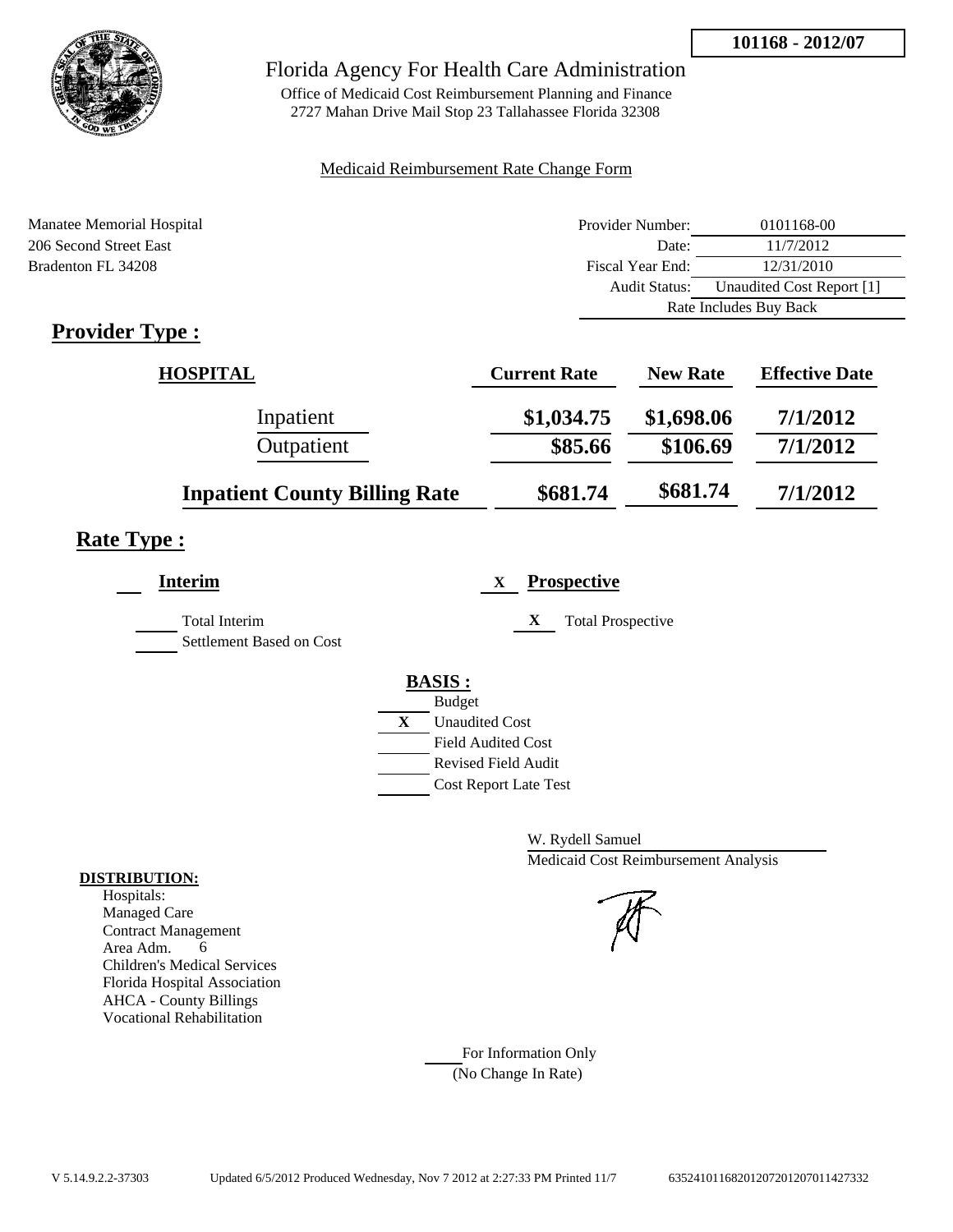

Office of Medicaid Cost Reimbursement Planning and Finance 2727 Mahan Drive Mail Stop 23 Tallahassee Florida 32308

## Medicaid Reimbursement Rate Change Form

| Manatee Memorial Hospital | Provider Number:     | 0101168-00                |  |
|---------------------------|----------------------|---------------------------|--|
| 206 Second Street East    | Date:                | 11/7/2012                 |  |
| Bradenton FL 34208        | Fiscal Year End:     | 12/31/2010                |  |
|                           | <b>Audit Status:</b> | Unaudited Cost Report [1] |  |
|                           |                      | Rate Includes Buy Back    |  |
|                           |                      |                           |  |

# **Provider Type :**

| HOSPITAL                             | <b>Current Rate</b> | <b>New Rate</b> | <b>Effective Date</b> |
|--------------------------------------|---------------------|-----------------|-----------------------|
| Inpatient                            | \$1,034.75          | \$1,698.06      | 7/1/2012              |
| Outpatient                           | \$85.66             | \$106.69        | 7/1/2012              |
| <b>Inpatient County Billing Rate</b> | \$681.74            | \$681.74        | 7/1/2012              |

# **Rate Type :**

| <b>Prospective</b><br>X               |
|---------------------------------------|
| X<br><b>Total Prospective</b>         |
| <b>BASIS:</b>                         |
| <b>Budget</b>                         |
| $\mathbf{X}$<br><b>Unaudited Cost</b> |
| <b>Field Audited Cost</b>             |
| <b>Revised Field Audit</b>            |
| <b>Cost Report Late Test</b>          |
|                                       |

W. Rydell Samuel Medicaid Cost Reimbursement Analysis

For Information Only (No Change In Rate)

#### **DISTRIBUTION:**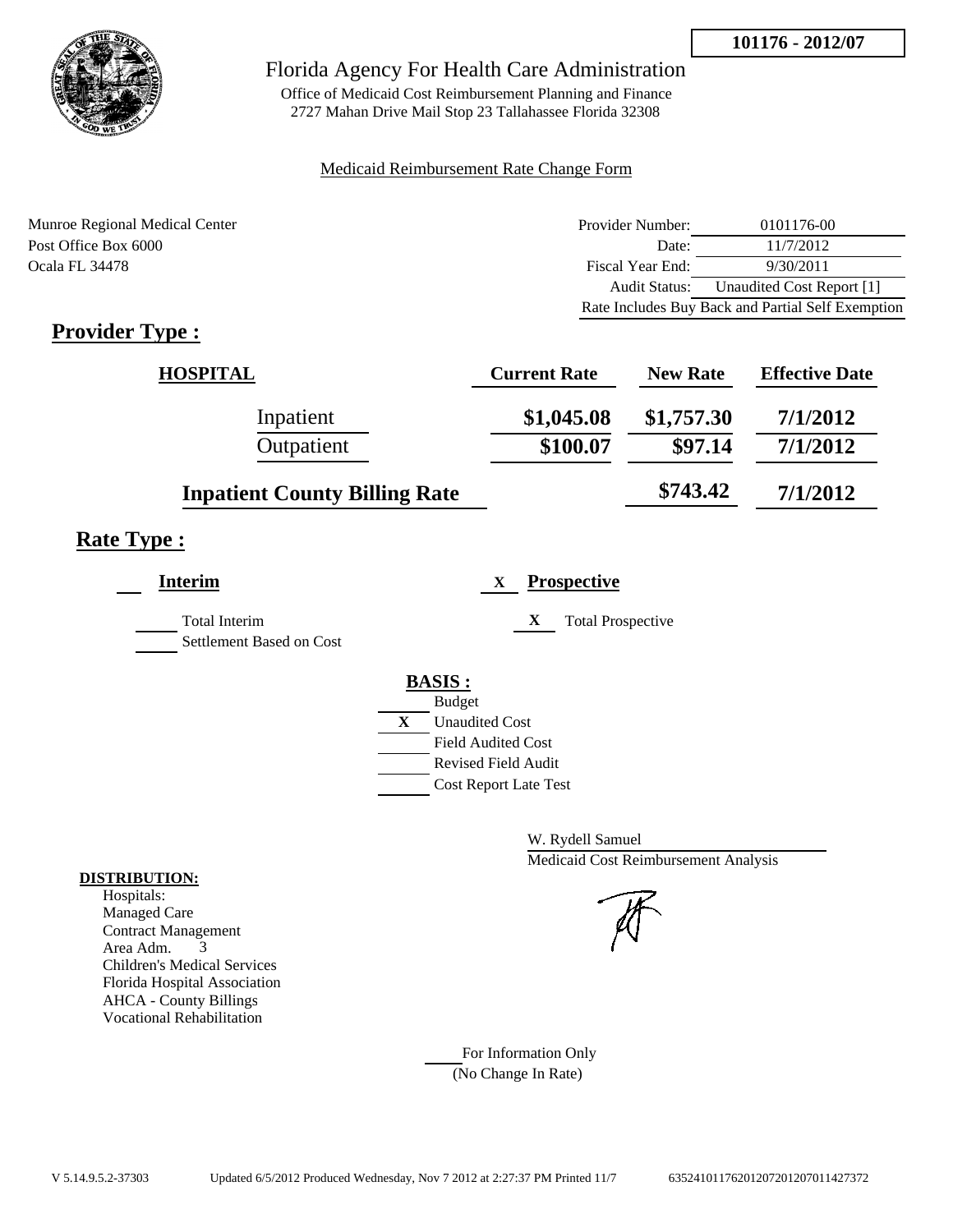

Office of Medicaid Cost Reimbursement Planning and Finance 2727 Mahan Drive Mail Stop 23 Tallahassee Florida 32308

#### Medicaid Reimbursement Rate Change Form

Munroe Regional Medical Center Post Office Box 6000 Ocala FL 34478

| Provider Number: | 0101176-00                                        |
|------------------|---------------------------------------------------|
| Date:            | 11/7/2012                                         |
| Fiscal Year End: | 9/30/2011                                         |
| Audit Status:    | Unaudited Cost Report [1]                         |
|                  | Rate Includes Buy Back and Partial Self Exemption |

## **Provider Type :**

| <b>HOSPITAL</b>                      | <b>Current Rate</b> | <b>New Rate</b> | <b>Effective Date</b> |
|--------------------------------------|---------------------|-----------------|-----------------------|
| Inpatient                            | \$1,045.08          | \$1,757.30      | 7/1/2012              |
| Outpatient                           | \$100.07            | \$97.14         | 7/1/2012              |
| <b>Inpatient County Billing Rate</b> |                     | \$743.42        | 7/1/2012              |

## **Rate Type :**

| <b>Interim</b>                                   |   | <b>Prospective</b><br>X       |
|--------------------------------------------------|---|-------------------------------|
| <b>Total Interim</b><br>Settlement Based on Cost |   | X<br><b>Total Prospective</b> |
|                                                  |   | <b>BASIS:</b>                 |
|                                                  |   | <b>Budget</b>                 |
|                                                  | X | <b>Unaudited Cost</b>         |
|                                                  |   | <b>Field Audited Cost</b>     |
|                                                  |   | <b>Revised Field Audit</b>    |
|                                                  |   | <b>Cost Report Late Test</b>  |
|                                                  |   |                               |

W. Rydell Samuel Medicaid Cost Reimbursement Analysis

For Information Only (No Change In Rate)

#### **DISTRIBUTION:**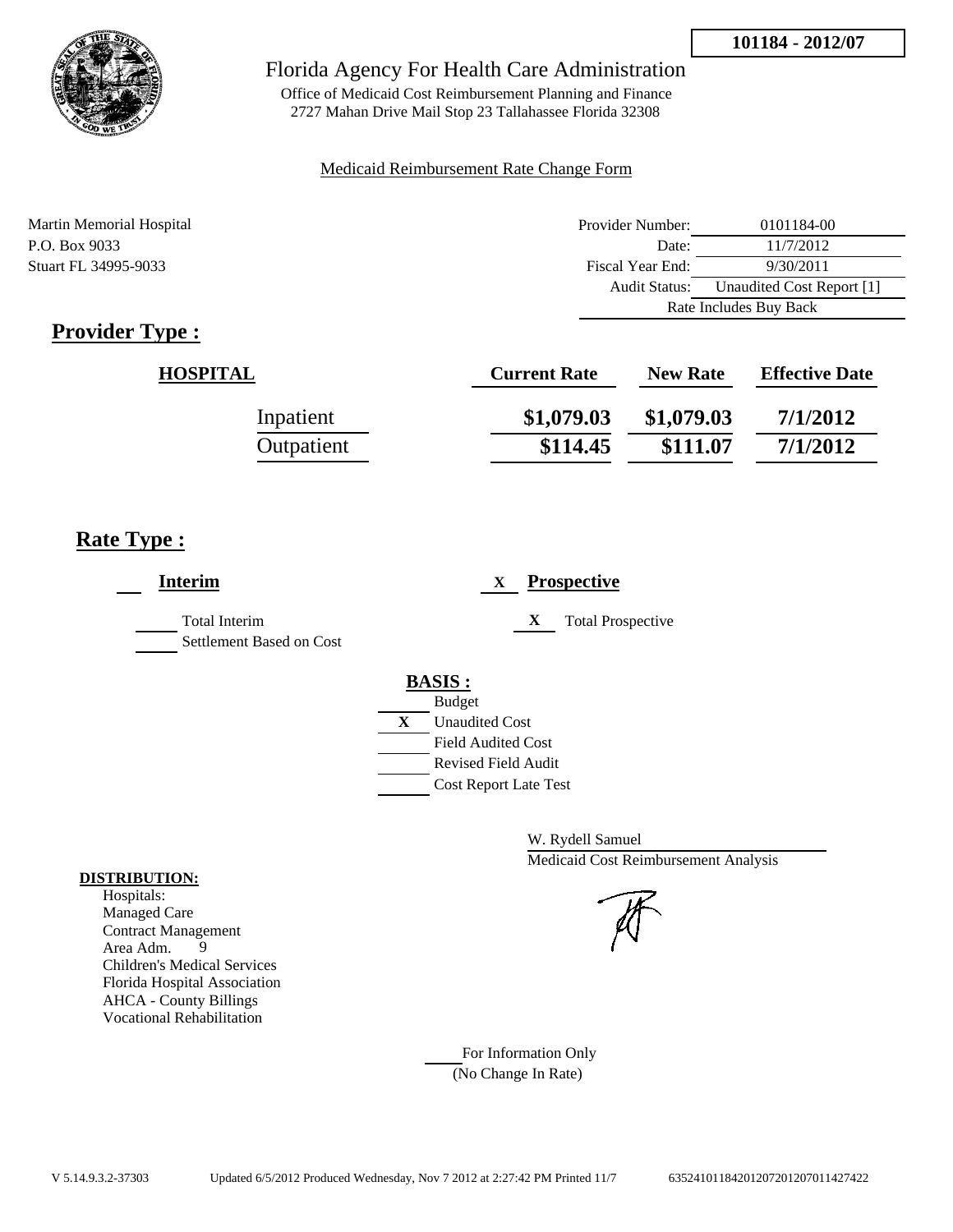

Office of Medicaid Cost Reimbursement Planning and Finance 2727 Mahan Drive Mail Stop 23 Tallahassee Florida 32308

#### Medicaid Reimbursement Rate Change Form

Martin Memorial Hospital P.O. Box 9033 Stuart FL 34995-9033

| Provider Number:                           | 0101184-00 |  |
|--------------------------------------------|------------|--|
| Date:                                      | 11/7/2012  |  |
| Fiscal Year End:                           | 9/30/2011  |  |
| Unaudited Cost Report [1]<br>Audit Status: |            |  |
| Rate Includes Buy Back                     |            |  |

## **Provider Type :**

| <b>HOSPITAL</b> | <b>Current Rate</b> | <b>New Rate</b> | <b>Effective Date</b> |
|-----------------|---------------------|-----------------|-----------------------|
| Inpatient       | \$1,079.03          | \$1,079.03      | 7/1/2012              |
| Outpatient      | \$114.45            | \$111.07        | 7/1/2012              |

## **Rate Type :**

| <b>Interim</b>                            |   | <b>Prospective</b><br>X                |
|-------------------------------------------|---|----------------------------------------|
| Total Interim<br>Settlement Based on Cost |   | X<br><b>Total Prospective</b>          |
|                                           |   | <b>BASIS:</b>                          |
|                                           | X | <b>Budget</b><br><b>Unaudited Cost</b> |
|                                           |   | <b>Field Audited Cost</b>              |
|                                           |   | <b>Revised Field Audit</b>             |
|                                           |   | <b>Cost Report Late Test</b>           |
|                                           |   |                                        |

W. Rydell Samuel Medicaid Cost Reimbursement Analysis

For Information Only (No Change In Rate)

#### **DISTRIBUTION:**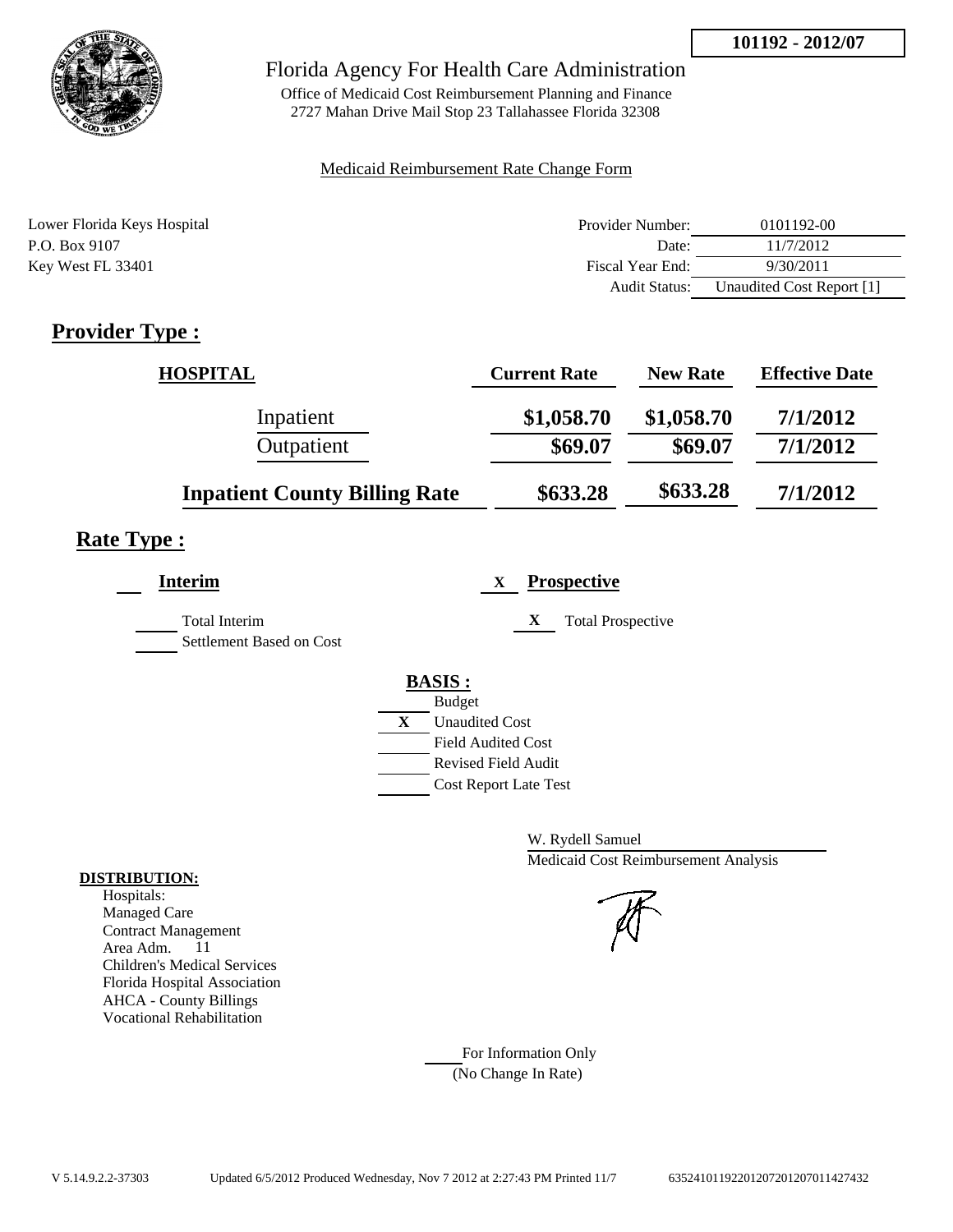

Office of Medicaid Cost Reimbursement Planning and Finance 2727 Mahan Drive Mail Stop 23 Tallahassee Florida 32308

#### Medicaid Reimbursement Rate Change Form

| Lower Florida Keys Hospital | Provider Number:     | 0101192-00                |
|-----------------------------|----------------------|---------------------------|
| P.O. Box 9107               | Date:                | 11/7/2012                 |
| Key West FL 33401           | Fiscal Year End:     | 9/30/2011                 |
|                             | <b>Audit Status:</b> | Unaudited Cost Report [1] |

## **Provider Type :**

| <b>HOSPITAL</b>                      | <b>Current Rate</b> | <b>New Rate</b> | <b>Effective Date</b> |
|--------------------------------------|---------------------|-----------------|-----------------------|
| Inpatient                            | \$1,058.70          | \$1,058.70      | 7/1/2012              |
| Outpatient                           | \$69.07             | \$69.07         | 7/1/2012              |
| <b>Inpatient County Billing Rate</b> | \$633.28            | \$633.28        | 7/1/2012              |

## **Rate Type :**

| <b>Interim</b>                                   | <b>Prospective</b><br>X                                                                                                                   |
|--------------------------------------------------|-------------------------------------------------------------------------------------------------------------------------------------------|
| <b>Total Interim</b><br>Settlement Based on Cost | <b>Total Prospective</b><br>$\mathbf X$                                                                                                   |
|                                                  | <b>BASIS:</b><br><b>Budget</b><br>X<br><b>Unaudited Cost</b><br>Field Audited Cost<br>Revised Field Audit<br><b>Cost Report Late Test</b> |

W. Rydell Samuel Medicaid Cost Reimbursement Analysis

For Information Only (No Change In Rate)

#### **DISTRIBUTION:**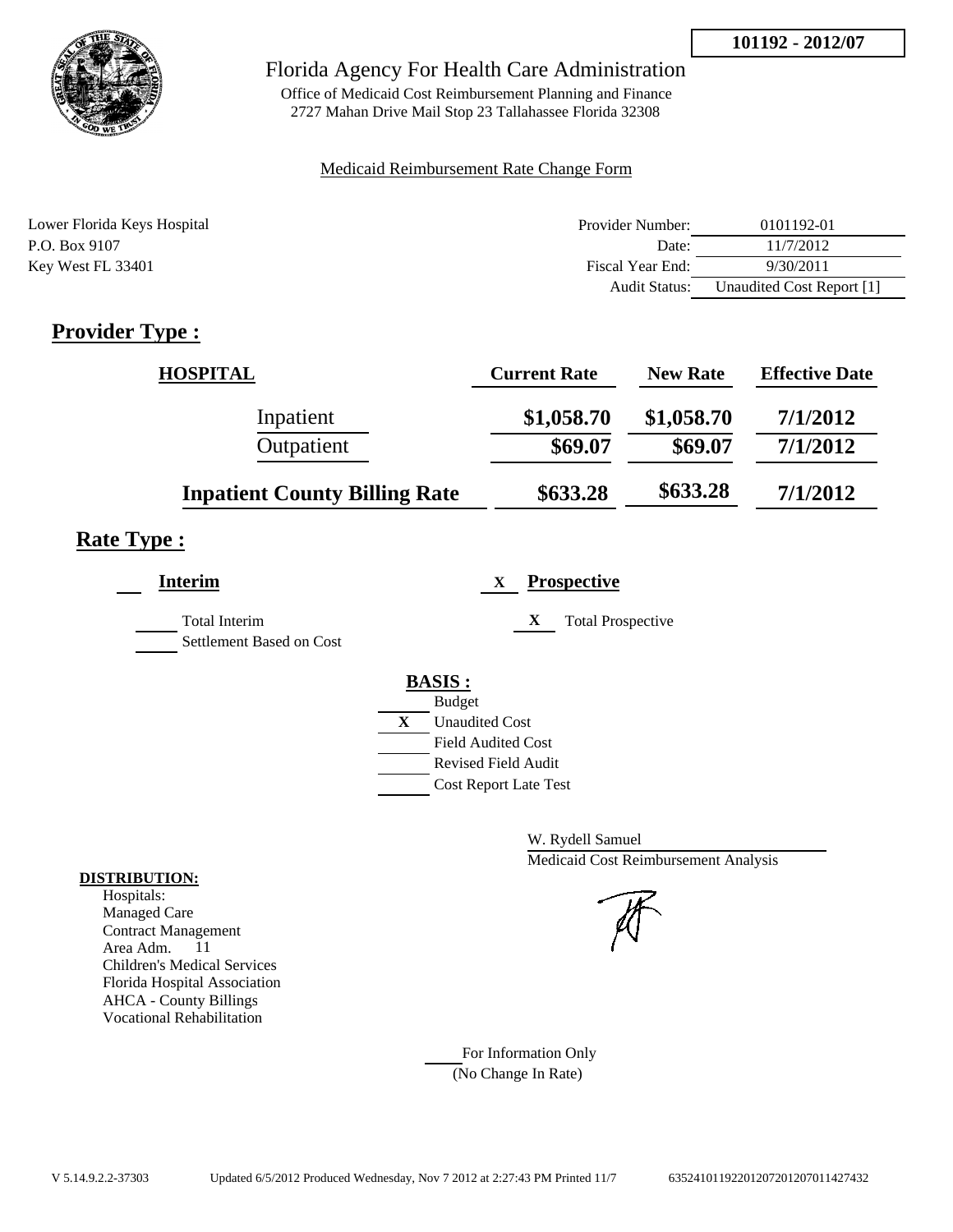

Office of Medicaid Cost Reimbursement Planning and Finance 2727 Mahan Drive Mail Stop 23 Tallahassee Florida 32308

#### Medicaid Reimbursement Rate Change Form

| Lower Florida Keys Hospital | Provider Number:     | 0101192-01                |
|-----------------------------|----------------------|---------------------------|
| P.O. Box 9107               | Date:                | 11/7/2012                 |
| Key West FL 33401           | Fiscal Year End:     | 9/30/2011                 |
|                             | <b>Audit Status:</b> | Unaudited Cost Report [1] |

## **Provider Type :**

| <b>HOSPITAL</b>                      | <b>Current Rate</b> | <b>New Rate</b> | <b>Effective Date</b> |
|--------------------------------------|---------------------|-----------------|-----------------------|
| Inpatient                            | \$1,058.70          | \$1,058.70      | 7/1/2012              |
| Outpatient                           | \$69.07             | \$69.07         | 7/1/2012              |
| <b>Inpatient County Billing Rate</b> | \$633.28            | \$633.28        | 7/1/2012              |

## **Rate Type :**

| <b>Interim</b>                            | <b>Prospective</b><br>X        |
|-------------------------------------------|--------------------------------|
| Total Interim<br>Settlement Based on Cost | <b>Total Prospective</b><br>X  |
|                                           | <b>BASIS:</b><br><b>Budget</b> |
|                                           | X<br><b>Unaudited Cost</b>     |
|                                           | <b>Field Audited Cost</b>      |
|                                           | <b>Revised Field Audit</b>     |
|                                           | <b>Cost Report Late Test</b>   |

W. Rydell Samuel Medicaid Cost Reimbursement Analysis

For Information Only (No Change In Rate)

#### **DISTRIBUTION:**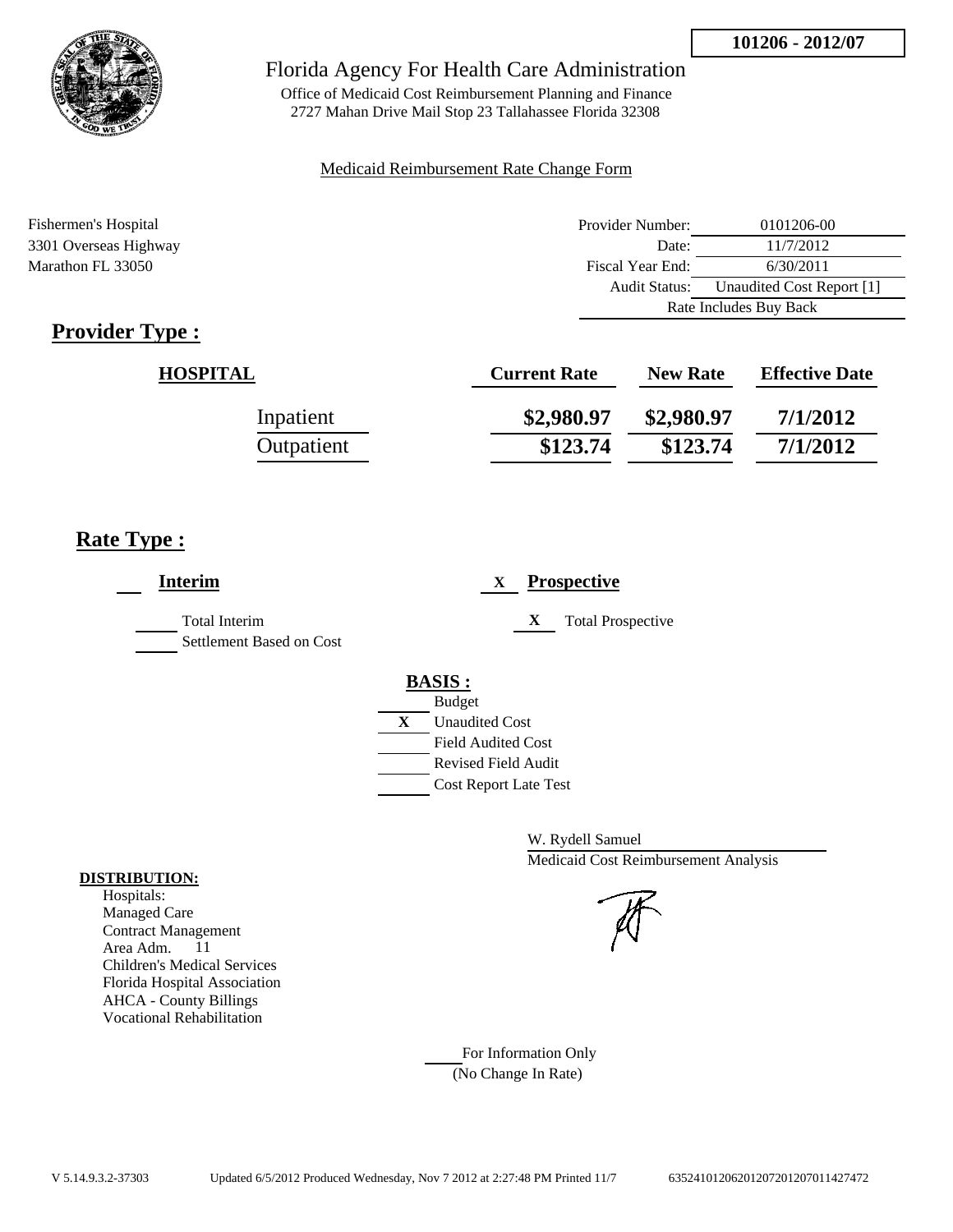

Office of Medicaid Cost Reimbursement Planning and Finance 2727 Mahan Drive Mail Stop 23 Tallahassee Florida 32308

#### Medicaid Reimbursement Rate Change Form

| Fishermen's Hospital  | Provider Number:     | 0101206-00                |
|-----------------------|----------------------|---------------------------|
| 3301 Overseas Highway | Date:                | 11/7/2012                 |
| Marathon FL 33050     | Fiscal Year End:     | 6/30/2011                 |
|                       | <b>Audit Status:</b> | Unaudited Cost Report [1] |
|                       |                      | Rate Includes Buy Back    |

## **Provider Type :**

| <b>HOSPITAL</b> | <b>Current Rate</b> | <b>New Rate</b> | <b>Effective Date</b> |
|-----------------|---------------------|-----------------|-----------------------|
| Inpatient       | \$2,980.97          | \$2,980.97      | 7/1/2012              |
| Outpatient      | \$123.74            | \$123.74        | 7/1/2012              |

## **Rate Type :**

| <b>Interim</b>                                   | <b>Prospective</b><br>X                                                                                                                          |
|--------------------------------------------------|--------------------------------------------------------------------------------------------------------------------------------------------------|
| <b>Total Interim</b><br>Settlement Based on Cost | X<br><b>Total Prospective</b>                                                                                                                    |
|                                                  | <b>BASIS:</b><br><b>Budget</b><br>X<br><b>Unaudited Cost</b><br><b>Field Audited Cost</b><br>Revised Field Audit<br><b>Cost Report Late Test</b> |

W. Rydell Samuel Medicaid Cost Reimbursement Analysis

For Information Only (No Change In Rate)

#### **DISTRIBUTION:**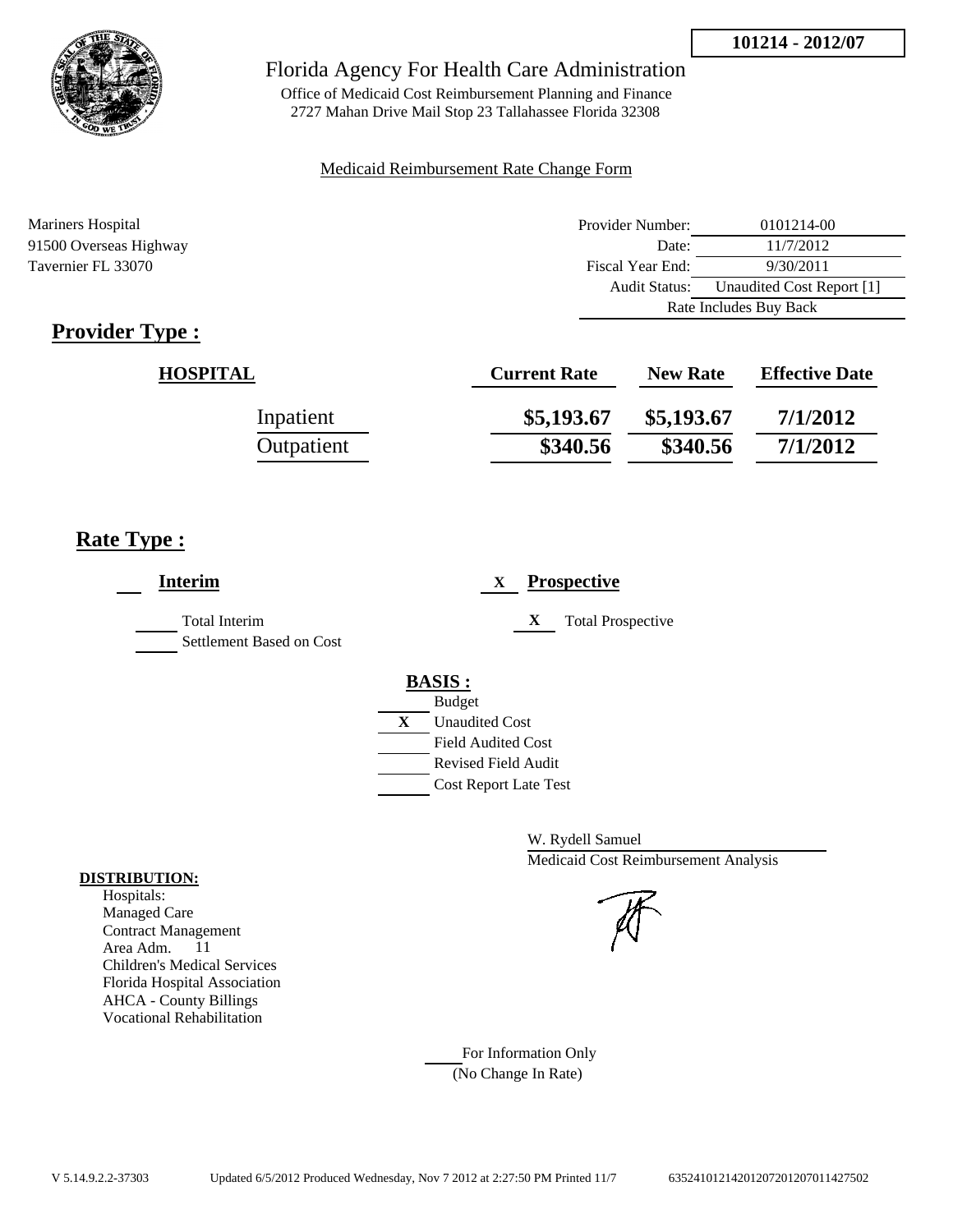

Office of Medicaid Cost Reimbursement Planning and Finance 2727 Mahan Drive Mail Stop 23 Tallahassee Florida 32308

#### Medicaid Reimbursement Rate Change Form

| Mariners Hospital      | Provider Number:     | 0101214-00                |
|------------------------|----------------------|---------------------------|
| 91500 Overseas Highway | Date:                | 11/7/2012                 |
| Tavernier FL 33070     | Fiscal Year End:     | 9/30/2011                 |
|                        | <b>Audit Status:</b> | Unaudited Cost Report [1] |
|                        |                      | Rate Includes Buy Back    |

## **Provider Type :**

| <b>HOSPITAL</b> | <b>Current Rate</b> | <b>New Rate</b> | <b>Effective Date</b> |
|-----------------|---------------------|-----------------|-----------------------|
| Inpatient       | \$5,193.67          | \$5,193.67      | 7/1/2012              |
| Outpatient      | \$340.56            | \$340.56        | 7/1/2012              |

## **Rate Type :**

| <b>Interim</b>                                   | <b>Prospective</b><br>X       |
|--------------------------------------------------|-------------------------------|
| <b>Total Interim</b><br>Settlement Based on Cost | <b>Total Prospective</b><br>X |
|                                                  | <b>BASIS:</b>                 |
|                                                  | <b>Budget</b>                 |
|                                                  | X<br><b>Unaudited Cost</b>    |
|                                                  | <b>Field Audited Cost</b>     |
|                                                  | <b>Revised Field Audit</b>    |
|                                                  | <b>Cost Report Late Test</b>  |
|                                                  |                               |

W. Rydell Samuel Medicaid Cost Reimbursement Analysis

#### For Information Only (No Change In Rate)

#### **DISTRIBUTION:**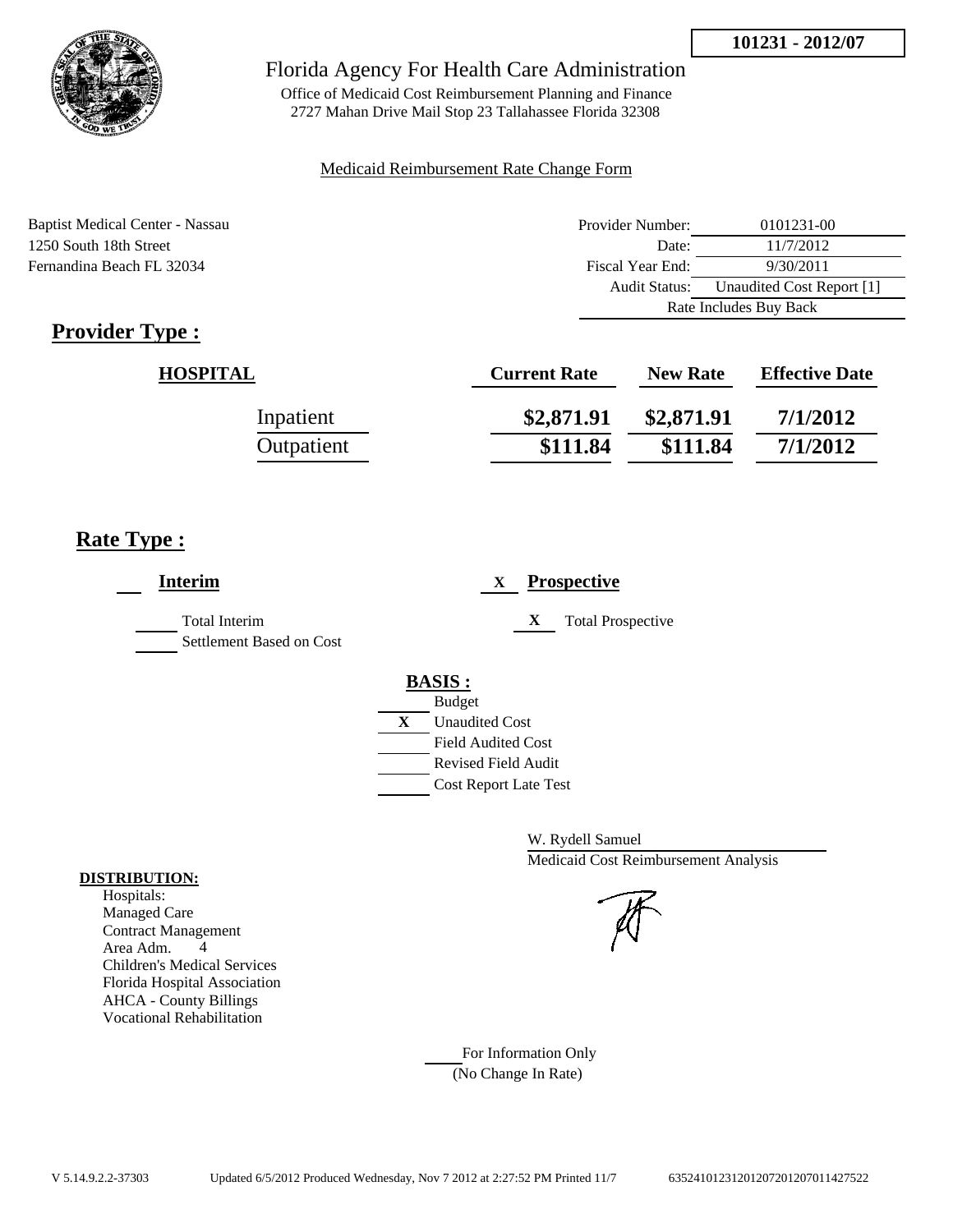

Office of Medicaid Cost Reimbursement Planning and Finance 2727 Mahan Drive Mail Stop 23 Tallahassee Florida 32308

#### Medicaid Reimbursement Rate Change Form

Baptist Medical Center - Nassau 1250 South 18th Street Fernandina Beach FL 32034

| Provider Number:       | 0101231-00                |
|------------------------|---------------------------|
| Date:                  | 11/7/2012                 |
| Fiscal Year End:       | 9/30/2011                 |
| <b>Audit Status:</b>   | Unaudited Cost Report [1] |
| Rate Includes Buy Back |                           |

## **Provider Type :**

| <b>HOSPITAL</b> | <b>Current Rate</b> | <b>New Rate</b> | <b>Effective Date</b> |
|-----------------|---------------------|-----------------|-----------------------|
| Inpatient       | \$2,871.91          | \$2,871.91      | 7/1/2012              |
| Outpatient      | \$111.84            | \$111.84        | 7/1/2012              |

## **Rate Type :**

| <b>Interim</b>                                   | <b>Prospective</b><br>X       |
|--------------------------------------------------|-------------------------------|
| <b>Total Interim</b><br>Settlement Based on Cost | <b>Total Prospective</b><br>X |
|                                                  | <b>BASIS:</b>                 |
|                                                  | <b>Budget</b>                 |
|                                                  | X<br><b>Unaudited Cost</b>    |
|                                                  | <b>Field Audited Cost</b>     |
|                                                  | <b>Revised Field Audit</b>    |
|                                                  | <b>Cost Report Late Test</b>  |
|                                                  |                               |

W. Rydell Samuel Medicaid Cost Reimbursement Analysis

# For Information Only

(No Change In Rate)

#### **DISTRIBUTION:**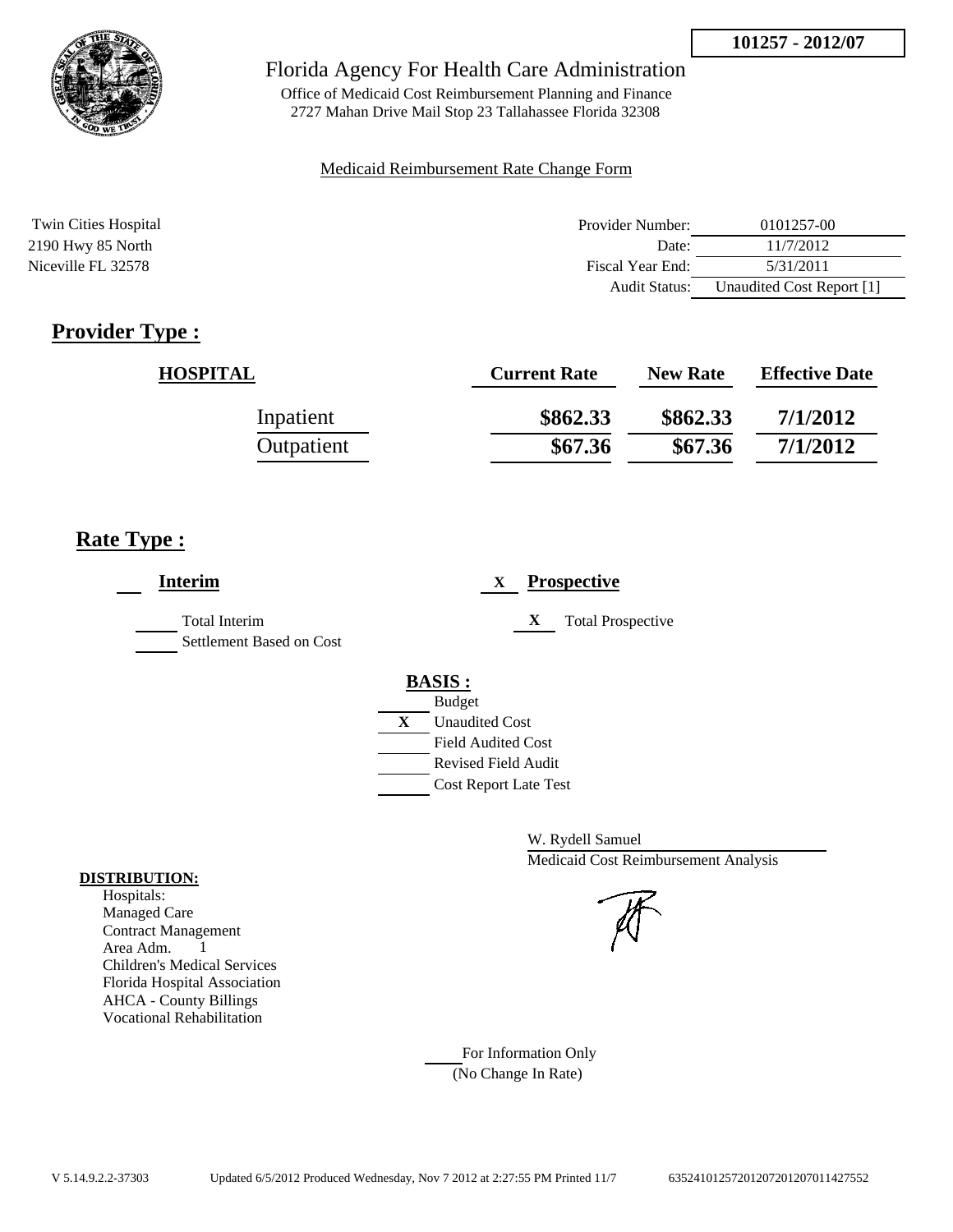

Office of Medicaid Cost Reimbursement Planning and Finance 2727 Mahan Drive Mail Stop 23 Tallahassee Florida 32308

#### Medicaid Reimbursement Rate Change Form

| Twin Cities Hospital | Provider Number:     | 0101257-00                |
|----------------------|----------------------|---------------------------|
| 2190 Hwy 85 North    | Date:                | 11/7/2012                 |
| Niceville FL 32578   | Fiscal Year End:     | 5/31/2011                 |
|                      | <b>Audit Status:</b> | Unaudited Cost Report [1] |

## **Provider Type :**

| <b>HOSPITAL</b> | <b>Current Rate</b> | <b>New Rate</b> | <b>Effective Date</b> |
|-----------------|---------------------|-----------------|-----------------------|
| Inpatient       | \$862.33            | \$862.33        | 7/1/2012              |
| Outpatient      | \$67.36             | \$67.36         | 7/1/2012              |

## **Rate Type :**

| <b>Interim</b>                                   | <b>Prospective</b><br>X                                                                                                                                 |
|--------------------------------------------------|---------------------------------------------------------------------------------------------------------------------------------------------------------|
| <b>Total Interim</b><br>Settlement Based on Cost | X<br><b>Total Prospective</b>                                                                                                                           |
|                                                  | <b>BASIS:</b><br><b>Budget</b><br>X<br><b>Unaudited Cost</b><br><b>Field Audited Cost</b><br><b>Revised Field Audit</b><br><b>Cost Report Late Test</b> |

W. Rydell Samuel Medicaid Cost Reimbursement Analysis

For Information Only (No Change In Rate)

#### **DISTRIBUTION:**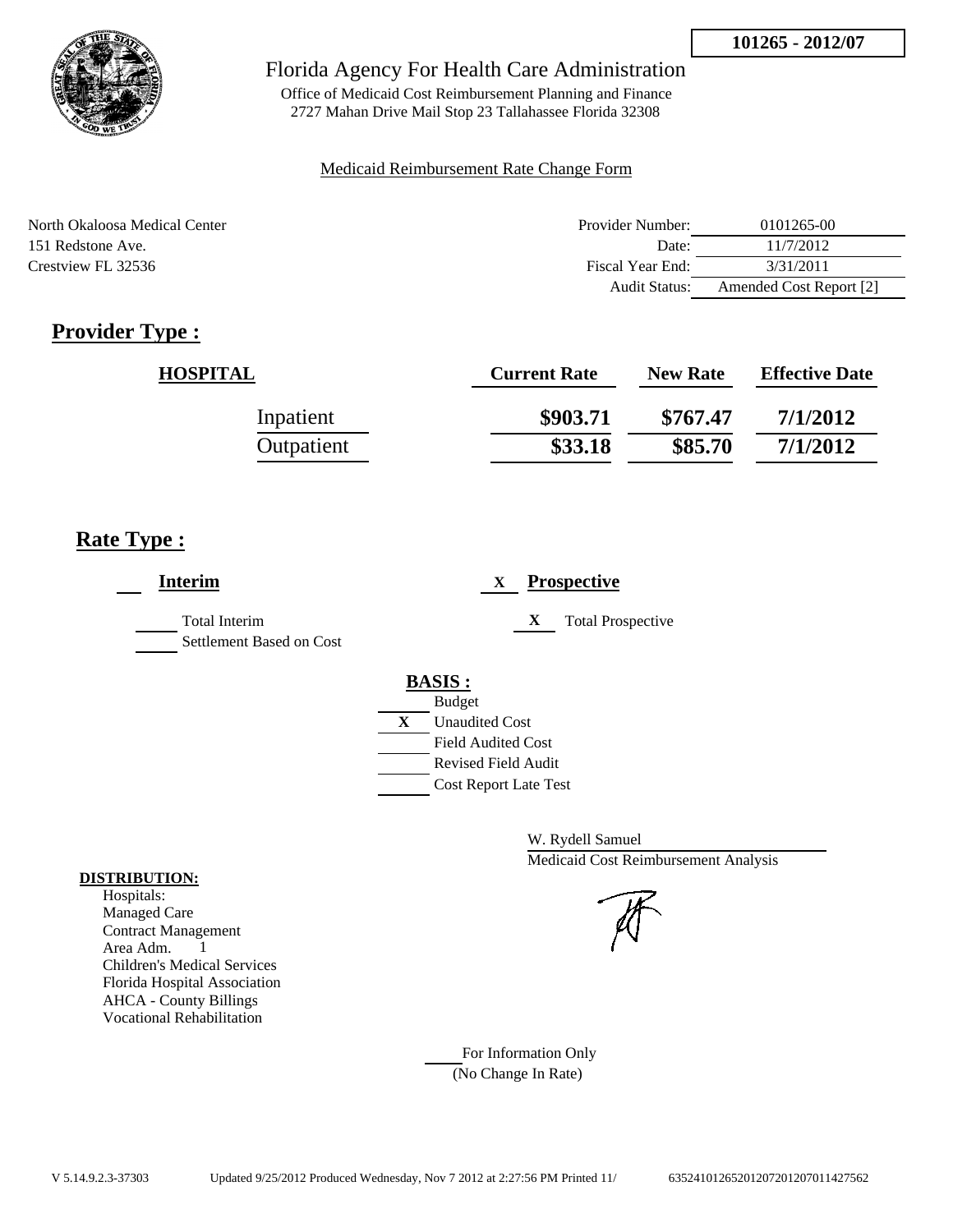

Office of Medicaid Cost Reimbursement Planning and Finance 2727 Mahan Drive Mail Stop 23 Tallahassee Florida 32308

#### Medicaid Reimbursement Rate Change Form

| North Okaloosa Medical Center | Provider Number:     | 0101265-00              |
|-------------------------------|----------------------|-------------------------|
| 151 Redstone Ave.             | Date:                | 11/7/2012               |
| Crestview FL 32536            | Fiscal Year End:     | 3/31/2011               |
|                               | <b>Audit Status:</b> | Amended Cost Report [2] |

## **Provider Type :**

| <b>HOSPITAL</b> | <b>Current Rate</b> | <b>New Rate</b> | <b>Effective Date</b> |
|-----------------|---------------------|-----------------|-----------------------|
| Inpatient       | \$903.71            | \$767.47        | 7/1/2012              |
| Outpatient      | \$33.18             | \$85.70         | 7/1/2012              |

## **Rate Type :**

| <b>Interim</b>                                   | <b>Prospective</b><br>X                     |
|--------------------------------------------------|---------------------------------------------|
| <b>Total Interim</b><br>Settlement Based on Cost | X<br><b>Total Prospective</b>               |
|                                                  | <b>BASIS:</b>                               |
|                                                  | <b>Budget</b><br>X<br><b>Unaudited Cost</b> |
|                                                  | <b>Field Audited Cost</b>                   |
|                                                  | <b>Revised Field Audit</b>                  |
|                                                  | <b>Cost Report Late Test</b>                |

W. Rydell Samuel Medicaid Cost Reimbursement Analysis

For Information Only (No Change In Rate)

#### **DISTRIBUTION:**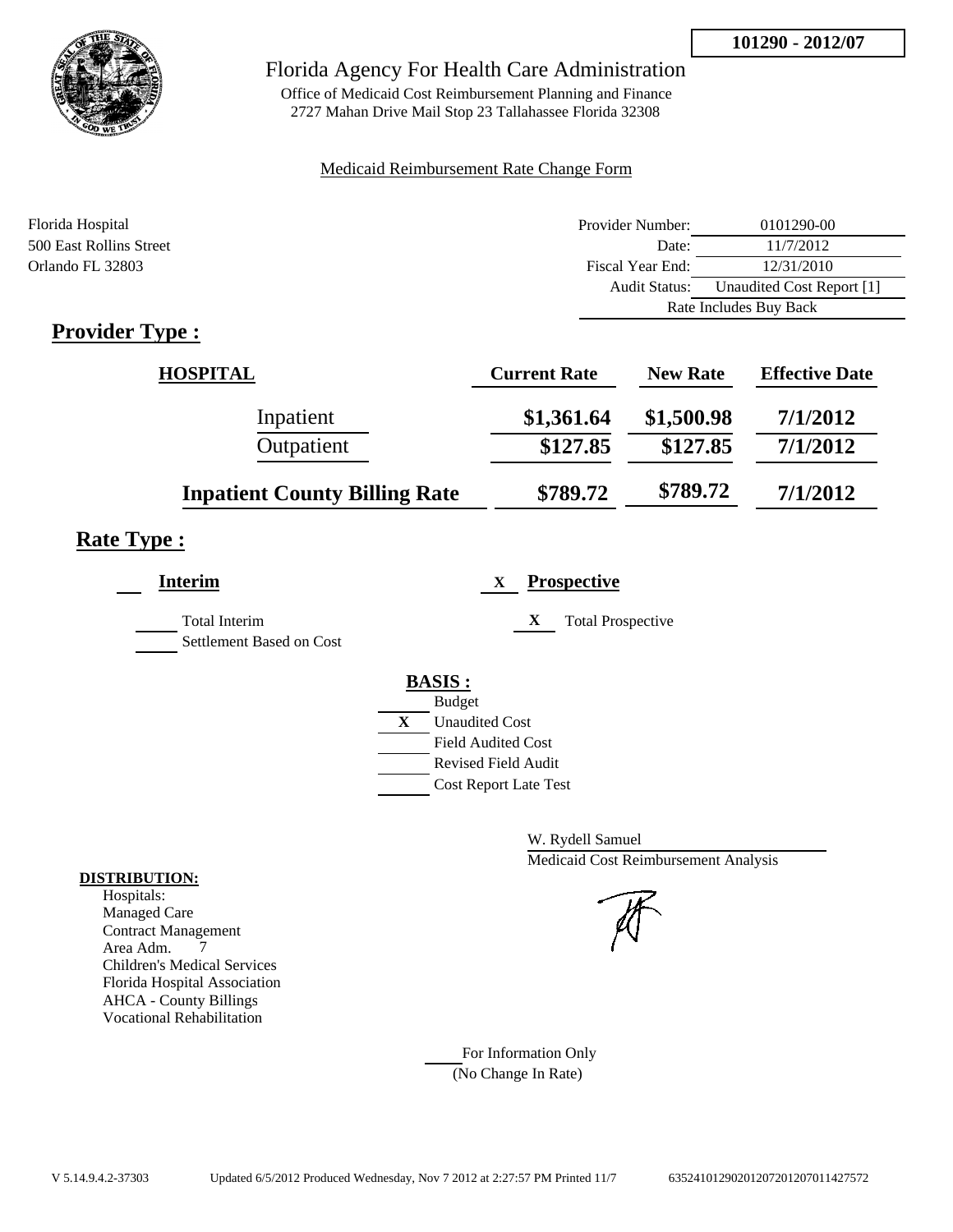

Office of Medicaid Cost Reimbursement Planning and Finance 2727 Mahan Drive Mail Stop 23 Tallahassee Florida 32308

#### Medicaid Reimbursement Rate Change Form

| Florida Hospital        | Provider Number: | 0101290-00                |
|-------------------------|------------------|---------------------------|
| 500 East Rollins Street | Date:            | 11/7/2012                 |
| Orlando FL 32803        | Fiscal Year End: | 12/31/2010                |
|                         | Audit Status:    | Unaudited Cost Report [1] |
|                         |                  | Rate Includes Buy Back    |
| m<br>$\cdot$ 1<br>T.    |                  |                           |

## **Provider Type :**

| <b>HOSPITAL</b>                      | <b>Current Rate</b> | <b>New Rate</b> | <b>Effective Date</b> |
|--------------------------------------|---------------------|-----------------|-----------------------|
| Inpatient                            | \$1,361.64          | \$1,500.98      | 7/1/2012              |
| Outpatient                           | \$127.85            | \$127.85        | 7/1/2012              |
| <b>Inpatient County Billing Rate</b> | \$789.72            | \$789.72        | 7/1/2012              |

## **Rate Type :**

| <b>Interim</b>                                   | <b>Prospective</b><br>X       |
|--------------------------------------------------|-------------------------------|
| <b>Total Interim</b><br>Settlement Based on Cost | X<br><b>Total Prospective</b> |
|                                                  | <b>BASIS:</b>                 |
|                                                  | <b>Budget</b>                 |
|                                                  | X<br><b>Unaudited Cost</b>    |
|                                                  | <b>Field Audited Cost</b>     |
|                                                  | <b>Revised Field Audit</b>    |
|                                                  | <b>Cost Report Late Test</b>  |
|                                                  |                               |

W. Rydell Samuel Medicaid Cost Reimbursement Analysis

For Information Only (No Change In Rate)

#### **DISTRIBUTION:**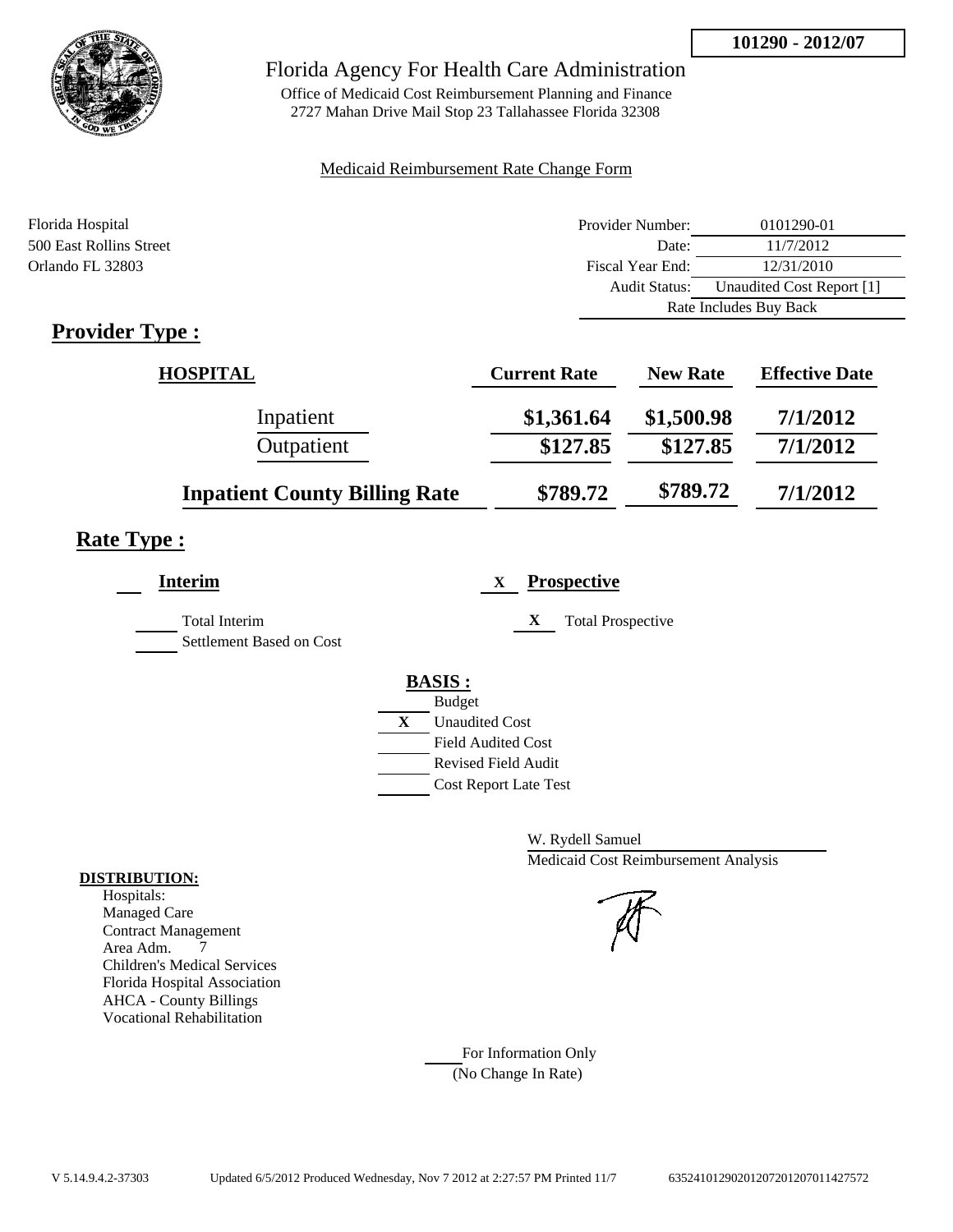

Office of Medicaid Cost Reimbursement Planning and Finance 2727 Mahan Drive Mail Stop 23 Tallahassee Florida 32308

#### Medicaid Reimbursement Rate Change Form

| Florida Hospital                       | Provider Number:     | 0101290-01                |
|----------------------------------------|----------------------|---------------------------|
| 500 East Rollins Street                | Date:                | 11/7/2012                 |
| Orlando FL 32803                       | Fiscal Year End:     | 12/31/2010                |
|                                        | <b>Audit Status:</b> | Unaudited Cost Report [1] |
|                                        |                      | Rate Includes Buy Back    |
| $\mathbf{n}$ . The set of $\mathbf{n}$ |                      |                           |

## **Provider Type :**

| <b>HOSPITAL</b>                      | <b>Current Rate</b> | <b>New Rate</b> | <b>Effective Date</b> |
|--------------------------------------|---------------------|-----------------|-----------------------|
| Inpatient                            | \$1,361.64          | \$1,500.98      | 7/1/2012              |
| Outpatient                           | \$127.85            | \$127.85        | 7/1/2012              |
| <b>Inpatient County Billing Rate</b> | \$789.72            | \$789.72        | 7/1/2012              |

## **Rate Type :**

| <b>Interim</b>                                   | <b>Prospective</b><br>X       |
|--------------------------------------------------|-------------------------------|
| <b>Total Interim</b><br>Settlement Based on Cost | X<br><b>Total Prospective</b> |
|                                                  | <b>BASIS:</b>                 |
|                                                  | <b>Budget</b>                 |
|                                                  | X<br><b>Unaudited Cost</b>    |
|                                                  | <b>Field Audited Cost</b>     |
|                                                  | <b>Revised Field Audit</b>    |
|                                                  | <b>Cost Report Late Test</b>  |
|                                                  |                               |

W. Rydell Samuel Medicaid Cost Reimbursement Analysis

For Information Only (No Change In Rate)

#### **DISTRIBUTION:**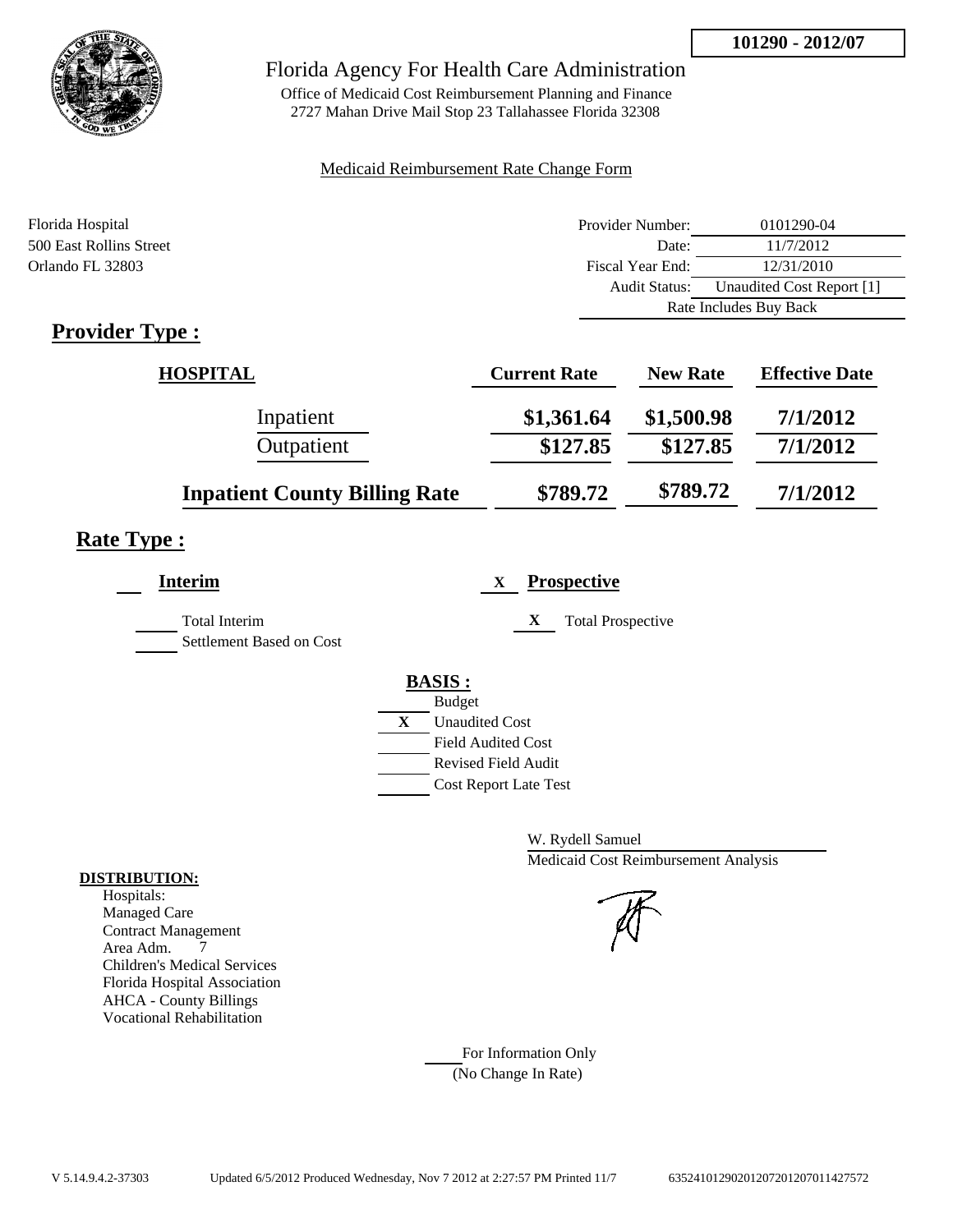

Office of Medicaid Cost Reimbursement Planning and Finance 2727 Mahan Drive Mail Stop 23 Tallahassee Florida 32308

#### Medicaid Reimbursement Rate Change Form

| Florida Hospital        | Provider Number: | 0101290-04                |
|-------------------------|------------------|---------------------------|
| 500 East Rollins Street | Date:            | 11/7/2012                 |
| Orlando FL 32803        | Fiscal Year End: | 12/31/2010                |
|                         | Audit Status:    | Unaudited Cost Report [1] |
|                         |                  | Rate Includes Buy Back    |
| m<br>$\cdot$ 1<br>T.    |                  |                           |

## **Provider Type :**

| <b>HOSPITAL</b>                      | <b>Current Rate</b> | <b>New Rate</b> | <b>Effective Date</b> |
|--------------------------------------|---------------------|-----------------|-----------------------|
| Inpatient                            | \$1,361.64          | \$1,500.98      | 7/1/2012              |
| Outpatient                           | \$127.85            | \$127.85        | 7/1/2012              |
| <b>Inpatient County Billing Rate</b> | \$789.72            | \$789.72        | 7/1/2012              |

## **Rate Type :**

| Interim                                          | <b>Prospective</b><br>X       |
|--------------------------------------------------|-------------------------------|
| <b>Total Interim</b><br>Settlement Based on Cost | X<br><b>Total Prospective</b> |
|                                                  | <b>BASIS:</b>                 |
|                                                  | <b>Budget</b>                 |
|                                                  | X<br><b>Unaudited Cost</b>    |
|                                                  | <b>Field Audited Cost</b>     |
|                                                  | Revised Field Audit           |
|                                                  | <b>Cost Report Late Test</b>  |

W. Rydell Samuel Medicaid Cost Reimbursement Analysis

For Information Only (No Change In Rate)

#### **DISTRIBUTION:**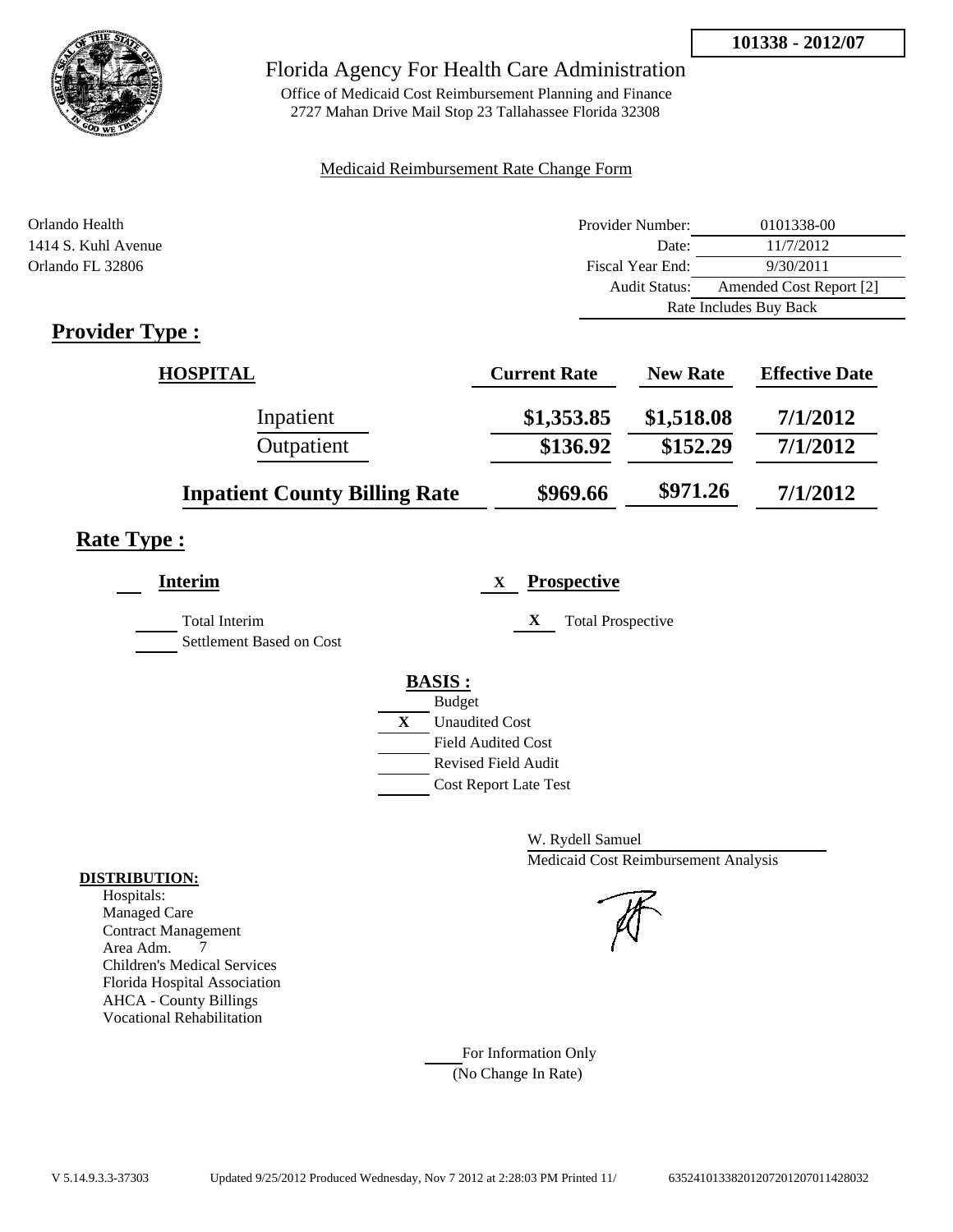

Office of Medicaid Cost Reimbursement Planning and Finance 2727 Mahan Drive Mail Stop 23 Tallahassee Florida 32308

#### Medicaid Reimbursement Rate Change Form

| Orlando Health                                                                  | Provider Number:     | 0101338-00              |
|---------------------------------------------------------------------------------|----------------------|-------------------------|
| 1414 S. Kuhl Avenue                                                             | Date:                | 11/7/2012               |
| Orlando FL 32806                                                                | Fiscal Year End:     | 9/30/2011               |
|                                                                                 | <b>Audit Status:</b> | Amended Cost Report [2] |
|                                                                                 |                      | Rate Includes Buy Back  |
| $\mathbf{D}_{\text{max}}$ , $\mathbf{J}_{\text{max}}$ $\mathbf{T}_{\text{max}}$ |                      |                         |

## **Provider Type :**

| <b>HOSPITAL</b>                      | <b>Current Rate</b> | <b>New Rate</b> | <b>Effective Date</b> |
|--------------------------------------|---------------------|-----------------|-----------------------|
| Inpatient                            | \$1,353.85          | \$1,518.08      | 7/1/2012              |
| Outpatient                           | \$136.92            | \$152.29        | 7/1/2012              |
| <b>Inpatient County Billing Rate</b> | \$969.66            | \$971.26        | 7/1/2012              |

## **Rate Type :**

| <b>Interim</b>                            | <b>Prospective</b><br>X               |
|-------------------------------------------|---------------------------------------|
| Total Interim<br>Settlement Based on Cost | X<br><b>Total Prospective</b>         |
|                                           | <b>BASIS:</b>                         |
|                                           | <b>Budget</b>                         |
|                                           | $\mathbf{X}$<br><b>Unaudited Cost</b> |
|                                           | <b>Field Audited Cost</b>             |
|                                           | <b>Revised Field Audit</b>            |
|                                           | <b>Cost Report Late Test</b>          |
|                                           |                                       |

W. Rydell Samuel Medicaid Cost Reimbursement Analysis

For Information Only (No Change In Rate)

#### **DISTRIBUTION:**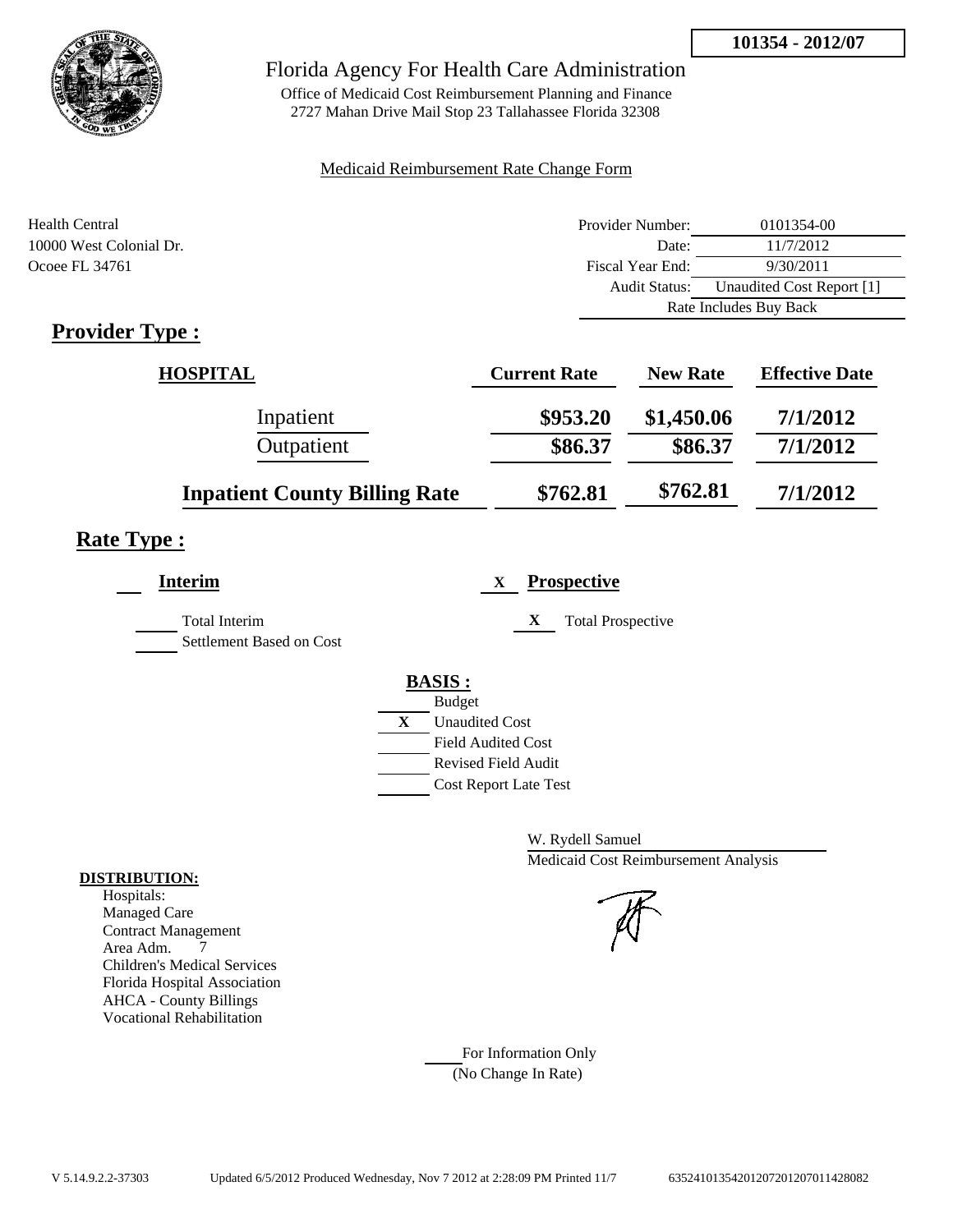

Office of Medicaid Cost Reimbursement Planning and Finance 2727 Mahan Drive Mail Stop 23 Tallahassee Florida 32308

#### Medicaid Reimbursement Rate Change Form

| Health Central                            | Provider Number: | 0101354-00                |
|-------------------------------------------|------------------|---------------------------|
| 10000 West Colonial Dr.                   | Date:            | 11/7/2012                 |
| Ocoee FL 34761                            | Fiscal Year End: | 9/30/2011                 |
|                                           | Audit Status:    | Unaudited Cost Report [1] |
|                                           |                  | Rate Includes Buy Back    |
| $\sim$ $\sim$<br>$\overline{\phantom{a}}$ |                  |                           |

## **Provider Type :**

| <b>HOSPITAL</b>                      | <b>Current Rate</b> | <b>New Rate</b> | <b>Effective Date</b> |
|--------------------------------------|---------------------|-----------------|-----------------------|
| Inpatient                            | \$953.20            | \$1,450.06      | 7/1/2012              |
| Outpatient                           | \$86.37             | \$86.37         | 7/1/2012              |
| <b>Inpatient County Billing Rate</b> | \$762.81            | \$762.81        | 7/1/2012              |

## **Rate Type :**

| <b>Interim</b>                            | <b>Prospective</b><br>$\mathbf{X}$                                                                                                               |
|-------------------------------------------|--------------------------------------------------------------------------------------------------------------------------------------------------|
| Total Interim<br>Settlement Based on Cost | X<br><b>Total Prospective</b>                                                                                                                    |
|                                           | <b>BASIS:</b><br><b>Budget</b><br>X<br><b>Unaudited Cost</b><br><b>Field Audited Cost</b><br>Revised Field Audit<br><b>Cost Report Late Test</b> |

W. Rydell Samuel Medicaid Cost Reimbursement Analysis

For Information Only (No Change In Rate)

#### **DISTRIBUTION:**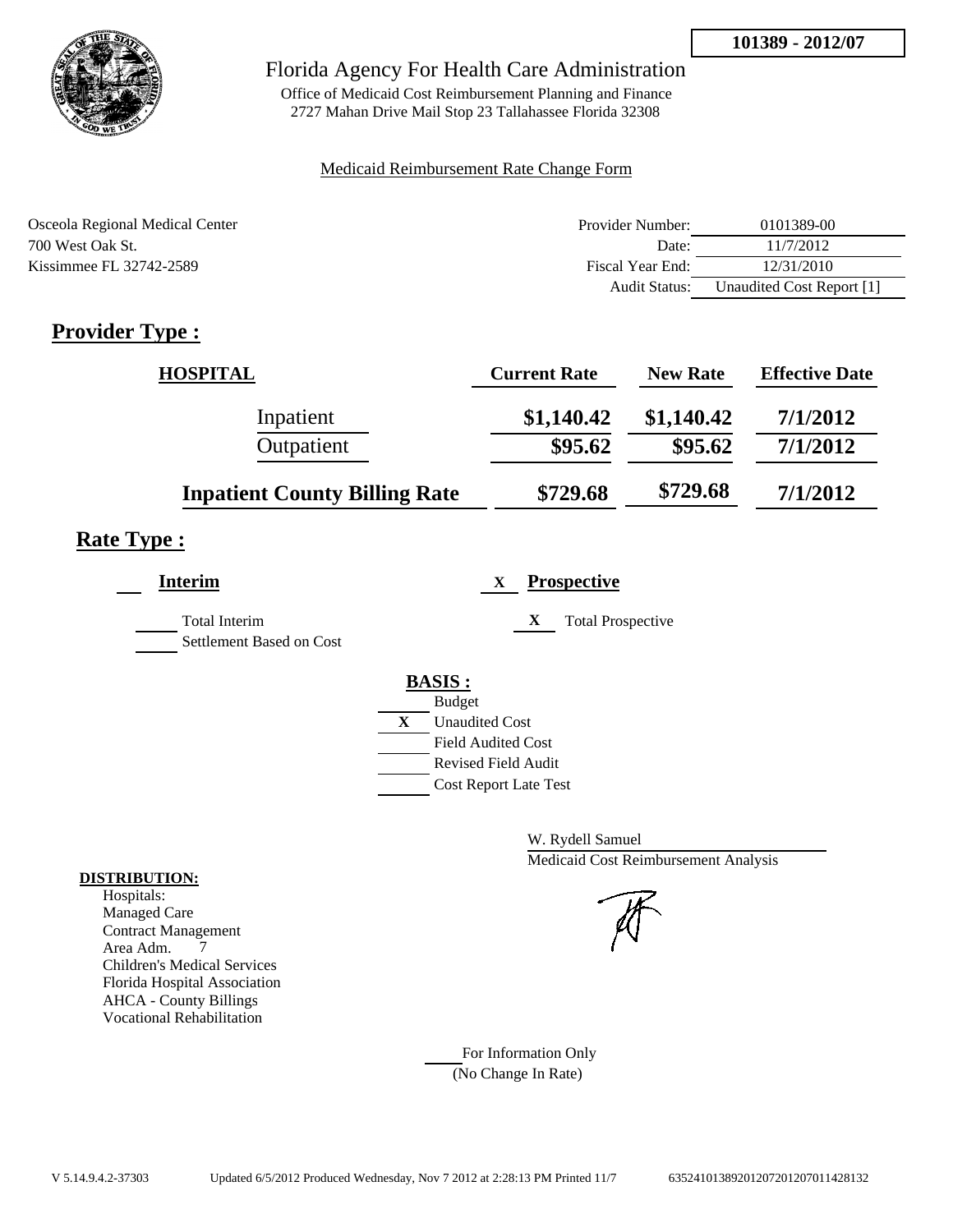

Office of Medicaid Cost Reimbursement Planning and Finance 2727 Mahan Drive Mail Stop 23 Tallahassee Florida 32308

#### Medicaid Reimbursement Rate Change Form

| Osceola Regional Medical Center | Provider Number: | 0101389-00                |
|---------------------------------|------------------|---------------------------|
| 700 West Oak St.                | Date:            | 11/7/2012                 |
| Kissimmee FL 32742-2589         | Fiscal Year End: | 12/31/2010                |
|                                 | Audit Status:    | Unaudited Cost Report [1] |

## **Provider Type :**

| <b>HOSPITAL</b>                      | <b>Current Rate</b> | <b>New Rate</b> | <b>Effective Date</b> |
|--------------------------------------|---------------------|-----------------|-----------------------|
| Inpatient                            | \$1,140.42          | \$1,140.42      | 7/1/2012              |
| Outpatient                           | \$95.62             | \$95.62         | 7/1/2012              |
| <b>Inpatient County Billing Rate</b> | \$729.68            | \$729.68        | 7/1/2012              |

## **Rate Type :**

| <b>Interim</b>                            | <b>Prospective</b><br>$\mathbf{X}$    |
|-------------------------------------------|---------------------------------------|
| Total Interim<br>Settlement Based on Cost | X<br><b>Total Prospective</b>         |
|                                           | <b>BASIS:</b>                         |
|                                           | <b>Budget</b>                         |
|                                           | $\mathbf{X}$<br><b>Unaudited Cost</b> |
|                                           | <b>Field Audited Cost</b>             |
|                                           | <b>Revised Field Audit</b>            |
|                                           | <b>Cost Report Late Test</b>          |
|                                           |                                       |

W. Rydell Samuel Medicaid Cost Reimbursement Analysis

For Information Only (No Change In Rate)

#### **DISTRIBUTION:**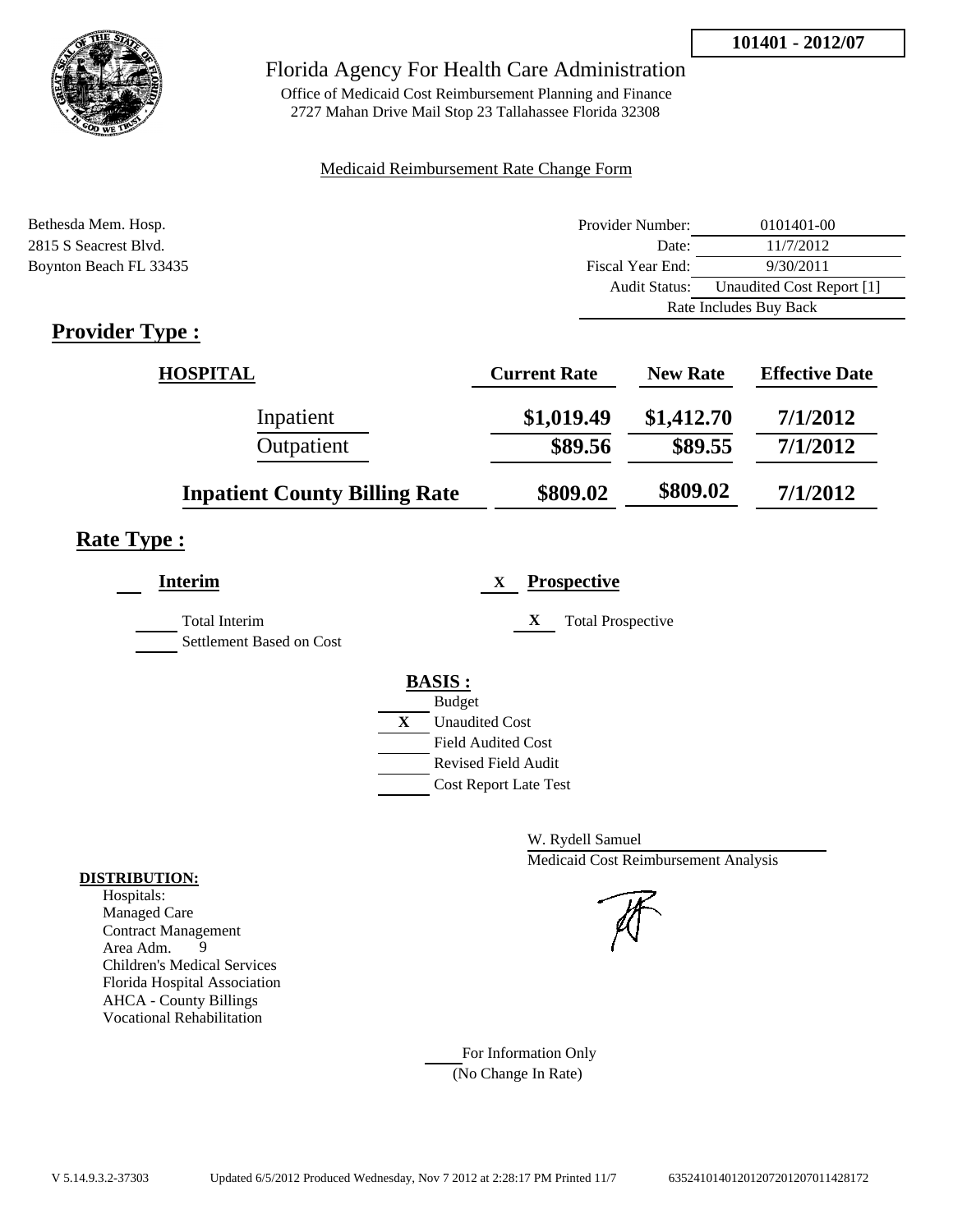

Office of Medicaid Cost Reimbursement Planning and Finance 2727 Mahan Drive Mail Stop 23 Tallahassee Florida 32308

#### Medicaid Reimbursement Rate Change Form

| Bethesda Mem. Hosp.                                                                                                                                                                                                                                                                                                                                                               | Provider Number:     | 0101401-00                |
|-----------------------------------------------------------------------------------------------------------------------------------------------------------------------------------------------------------------------------------------------------------------------------------------------------------------------------------------------------------------------------------|----------------------|---------------------------|
| 2815 S Seacrest Blvd.                                                                                                                                                                                                                                                                                                                                                             | Date:                | 11/7/2012                 |
| Boynton Beach FL 33435                                                                                                                                                                                                                                                                                                                                                            | Fiscal Year End:     | 9/30/2011                 |
|                                                                                                                                                                                                                                                                                                                                                                                   | <b>Audit Status:</b> | Unaudited Cost Report [1] |
|                                                                                                                                                                                                                                                                                                                                                                                   |                      | Rate Includes Buy Back    |
| $\mathbf{n}$ . $\mathbf{1}$ . $\mathbf{n}$ . $\mathbf{n}$ . $\mathbf{n}$ . $\mathbf{n}$ . $\mathbf{n}$ . $\mathbf{n}$ . $\mathbf{n}$ . $\mathbf{n}$ . $\mathbf{n}$ . $\mathbf{n}$ . $\mathbf{n}$ . $\mathbf{n}$ . $\mathbf{n}$ . $\mathbf{n}$ . $\mathbf{n}$ . $\mathbf{n}$ . $\mathbf{n}$ . $\mathbf{n}$ . $\mathbf{n}$ . $\mathbf{n}$ . $\mathbf{n}$ . $\mathbf{n}$ . $\mathbf$ |                      |                           |

## **Provider Type :**

| <b>HOSPITAL</b>                      | <b>Current Rate</b> | <b>New Rate</b> | <b>Effective Date</b> |
|--------------------------------------|---------------------|-----------------|-----------------------|
| Inpatient                            | \$1,019.49          | \$1,412.70      | 7/1/2012              |
| Outpatient                           | \$89.56             | \$89.55         | 7/1/2012              |
| <b>Inpatient County Billing Rate</b> | \$809.02            | \$809.02        | 7/1/2012              |

## **Rate Type :**

| Interim                                          | <b>Prospective</b><br>X       |
|--------------------------------------------------|-------------------------------|
| <b>Total Interim</b><br>Settlement Based on Cost | X<br><b>Total Prospective</b> |
|                                                  | <b>BASIS:</b>                 |
|                                                  | <b>Budget</b>                 |
|                                                  | X<br><b>Unaudited Cost</b>    |
|                                                  | <b>Field Audited Cost</b>     |
|                                                  | Revised Field Audit           |
|                                                  | <b>Cost Report Late Test</b>  |
|                                                  |                               |

W. Rydell Samuel Medicaid Cost Reimbursement Analysis

For Information Only (No Change In Rate)

#### **DISTRIBUTION:**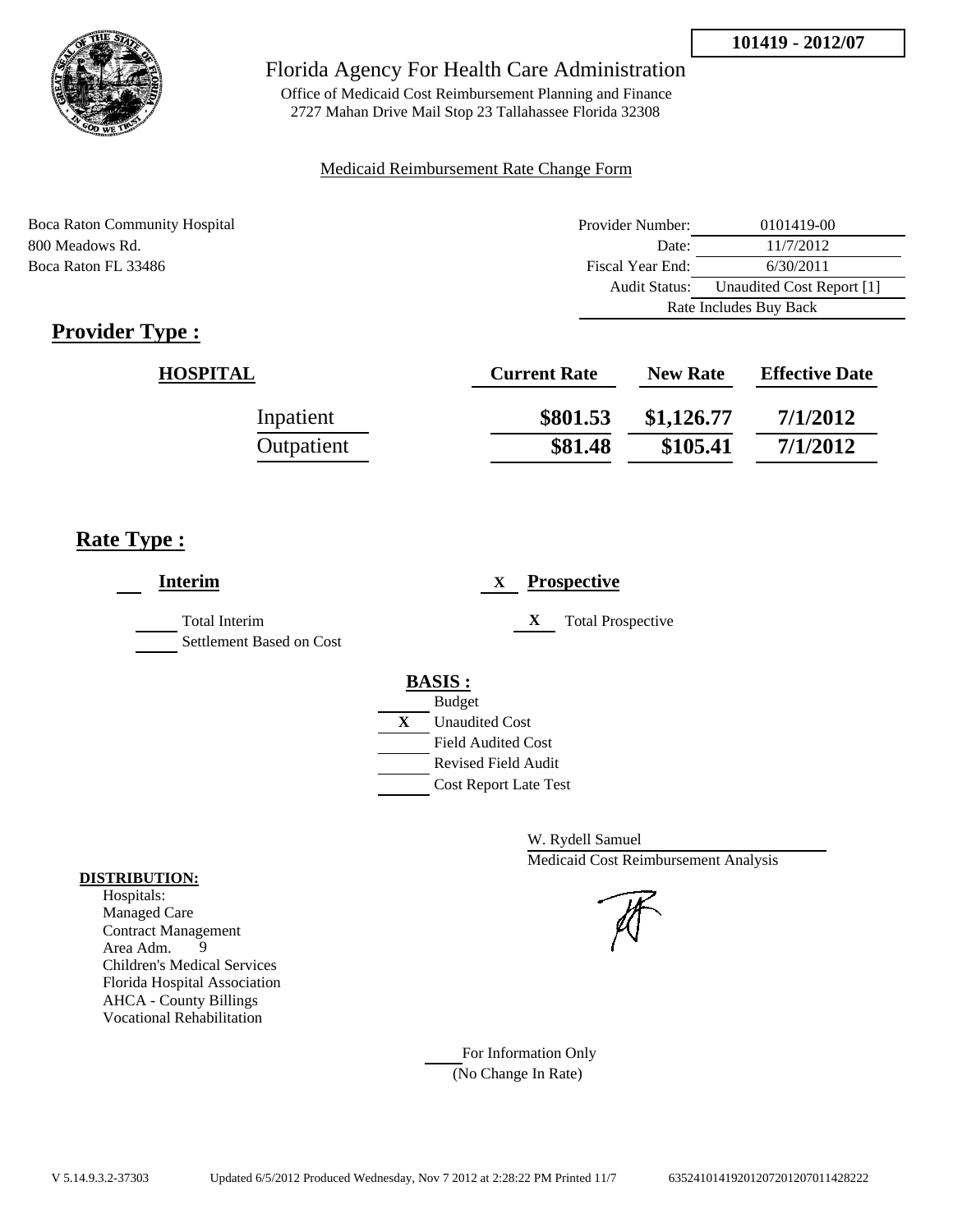

Office of Medicaid Cost Reimbursement Planning and Finance 2727 Mahan Drive Mail Stop 23 Tallahassee Florida 32308

#### Medicaid Reimbursement Rate Change Form

Boca Raton Community Hospital 800 Meadows Rd. Boca Raton FL 33486

| Provider Number:       | 0101419-00                |  |
|------------------------|---------------------------|--|
| Date:                  | 11/7/2012                 |  |
| Fiscal Year End:       | 6/30/2011                 |  |
| Audit Status:          | Unaudited Cost Report [1] |  |
| Rate Includes Buy Back |                           |  |

## **Provider Type :**

| <b>HOSPITAL</b> | <b>Current Rate</b> | <b>New Rate</b> | <b>Effective Date</b> |
|-----------------|---------------------|-----------------|-----------------------|
| Inpatient       | \$801.53            | \$1,126.77      | 7/1/2012              |
| Outpatient      | \$81.48             | \$105.41        | 7/1/2012              |

## **Rate Type :**

| <b>Interim</b>                            | <b>Prospective</b><br>X                                                                                                   |
|-------------------------------------------|---------------------------------------------------------------------------------------------------------------------------|
| Total Interim<br>Settlement Based on Cost | X<br><b>Total Prospective</b>                                                                                             |
|                                           | <b>BASIS:</b><br><b>Budget</b>                                                                                            |
|                                           | $\mathbf{X}$<br><b>Unaudited Cost</b><br><b>Field Audited Cost</b><br>Revised Field Audit<br><b>Cost Report Late Test</b> |

W. Rydell Samuel Medicaid Cost Reimbursement Analysis

For Information Only (No Change In Rate)

#### **DISTRIBUTION:**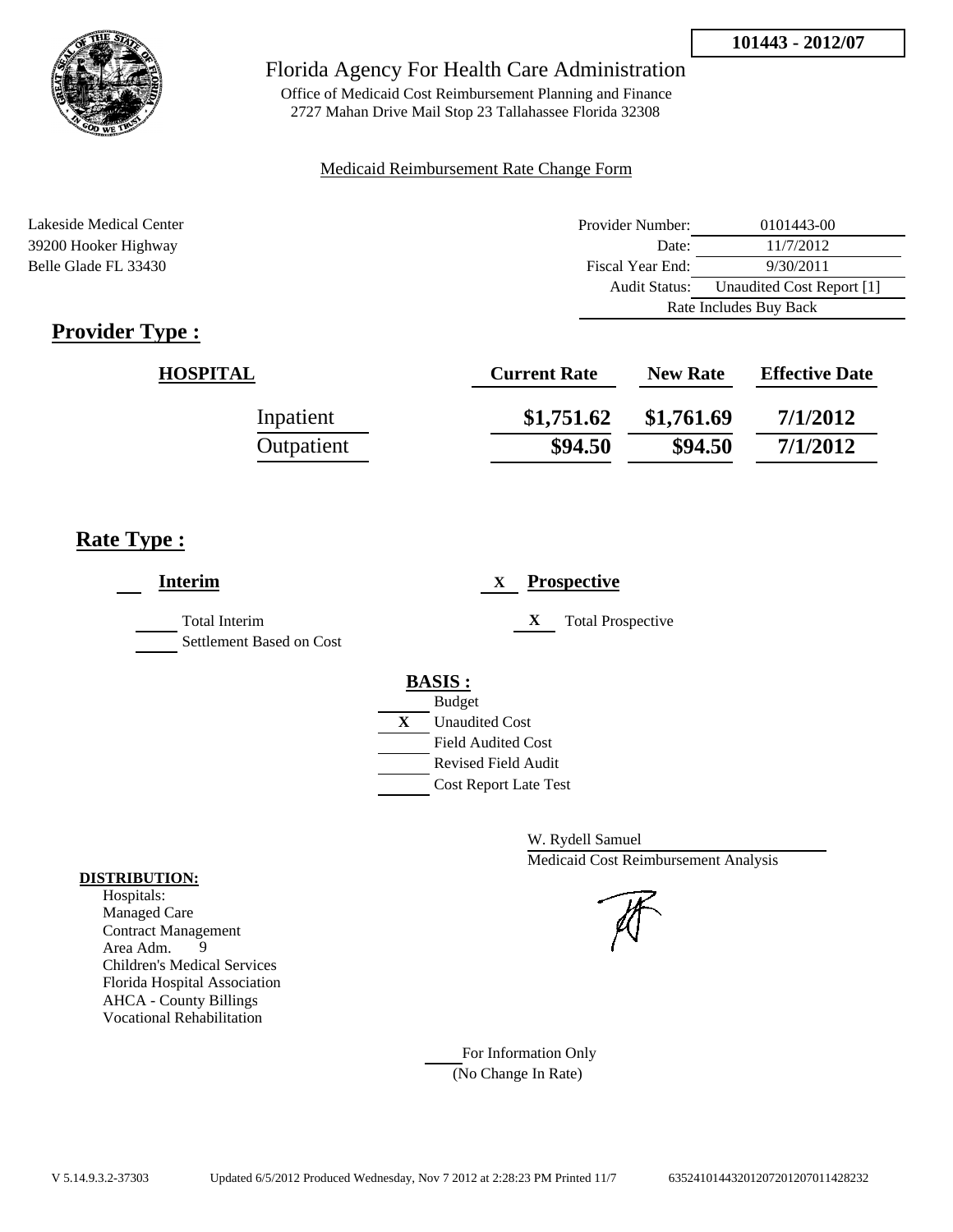

Office of Medicaid Cost Reimbursement Planning and Finance 2727 Mahan Drive Mail Stop 23 Tallahassee Florida 32308

#### Medicaid Reimbursement Rate Change Form

Lakeside Medical Center **Provider Number:** 0101443-00 39200 Hooker Highway Date: 11/7/2012 Belle Glade FL 33430 Fiscal Year End: 9/30/2011 Audit Status: Unaudited Cost Report [1] Rate Includes Buy Back

## **Provider Type :**

| <b>HOSPITAL</b> | <b>Current Rate</b> | <b>New Rate</b> | <b>Effective Date</b> |
|-----------------|---------------------|-----------------|-----------------------|
| Inpatient       | \$1,751.62          | \$1,761.69      | 7/1/2012              |
| Outpatient      | \$94.50             | \$94.50         | 7/1/2012              |

## **Rate Type :**

| <b>Interim</b>                                   | <b>Prospective</b><br>X                     |
|--------------------------------------------------|---------------------------------------------|
| <b>Total Interim</b><br>Settlement Based on Cost | X<br><b>Total Prospective</b>               |
|                                                  | <b>BASIS:</b>                               |
|                                                  | <b>Budget</b><br>X<br><b>Unaudited Cost</b> |
|                                                  | <b>Field Audited Cost</b>                   |
|                                                  | <b>Revised Field Audit</b>                  |
|                                                  | <b>Cost Report Late Test</b>                |

W. Rydell Samuel Medicaid Cost Reimbursement Analysis

#### For Information Only (No Change In Rate)

#### **DISTRIBUTION:**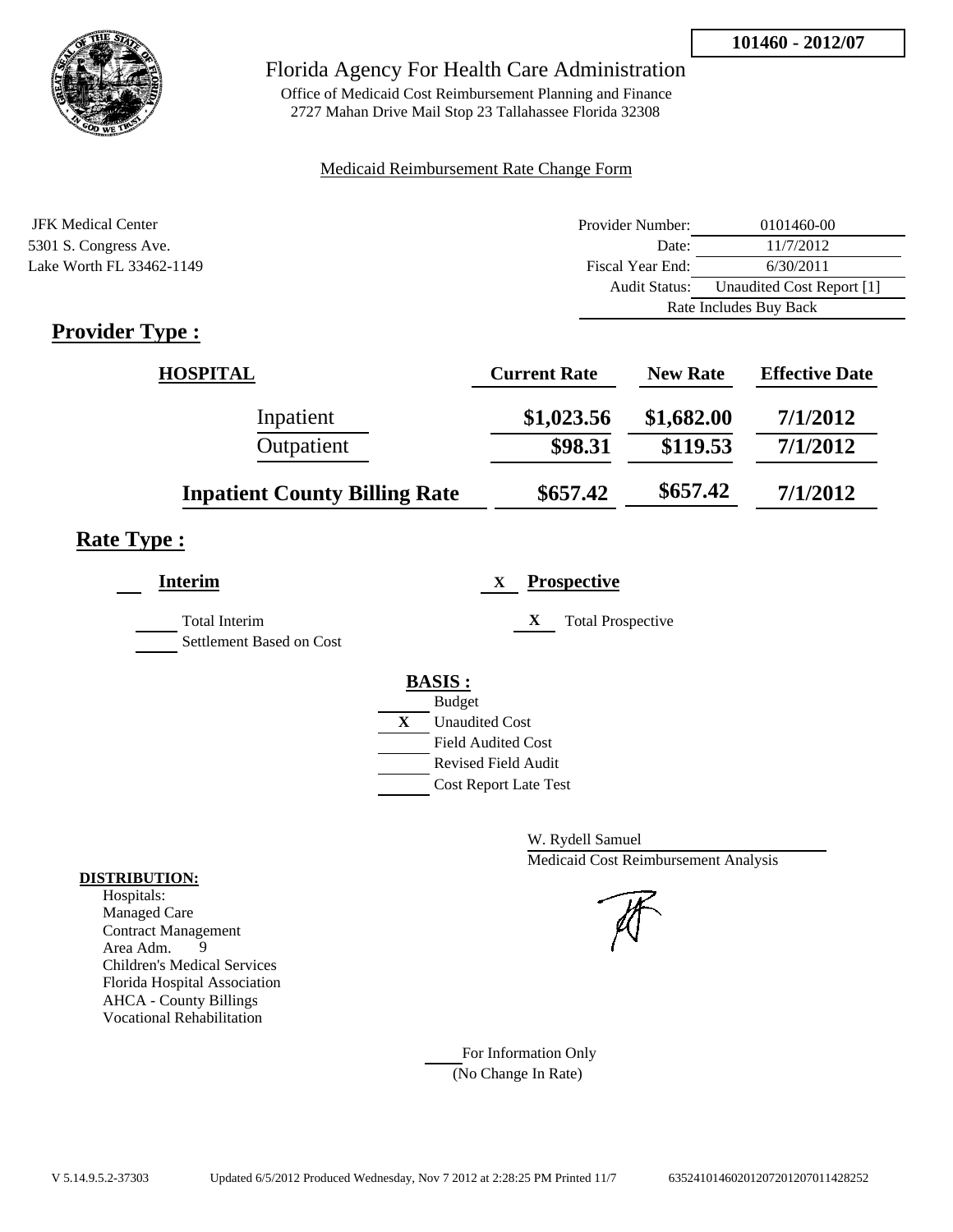

Office of Medicaid Cost Reimbursement Planning and Finance 2727 Mahan Drive Mail Stop 23 Tallahassee Florida 32308

#### Medicaid Reimbursement Rate Change Form

| JFK Medical Center       | Provider Number:     | 0101460-00                |  |
|--------------------------|----------------------|---------------------------|--|
| 5301 S. Congress Ave.    | Date:                | 11/7/2012                 |  |
| Lake Worth FL 33462-1149 | Fiscal Year End:     | 6/30/2011                 |  |
|                          | <b>Audit Status:</b> | Unaudited Cost Report [1] |  |
|                          |                      | Rate Includes Buy Back    |  |

## **Provider Type :**

| <b>HOSPITAL</b>                      | <b>Current Rate</b> | <b>New Rate</b> | <b>Effective Date</b> |
|--------------------------------------|---------------------|-----------------|-----------------------|
| Inpatient                            | \$1,023.56          | \$1,682.00      | 7/1/2012              |
| Outpatient                           | \$98.31             | \$119.53        | 7/1/2012              |
| <b>Inpatient County Billing Rate</b> | \$657.42            | \$657.42        | 7/1/2012              |

## **Rate Type :**

| <b>Interim</b>                                   | <b>Prospective</b><br>X               |
|--------------------------------------------------|---------------------------------------|
| <b>Total Interim</b><br>Settlement Based on Cost | X<br><b>Total Prospective</b>         |
|                                                  | <b>BASIS:</b>                         |
|                                                  | <b>Budget</b>                         |
|                                                  | $\mathbf{X}$<br><b>Unaudited Cost</b> |
|                                                  | <b>Field Audited Cost</b>             |
|                                                  | Revised Field Audit                   |
|                                                  | <b>Cost Report Late Test</b>          |
|                                                  |                                       |

W. Rydell Samuel Medicaid Cost Reimbursement Analysis

For Information Only (No Change In Rate)

#### **DISTRIBUTION:**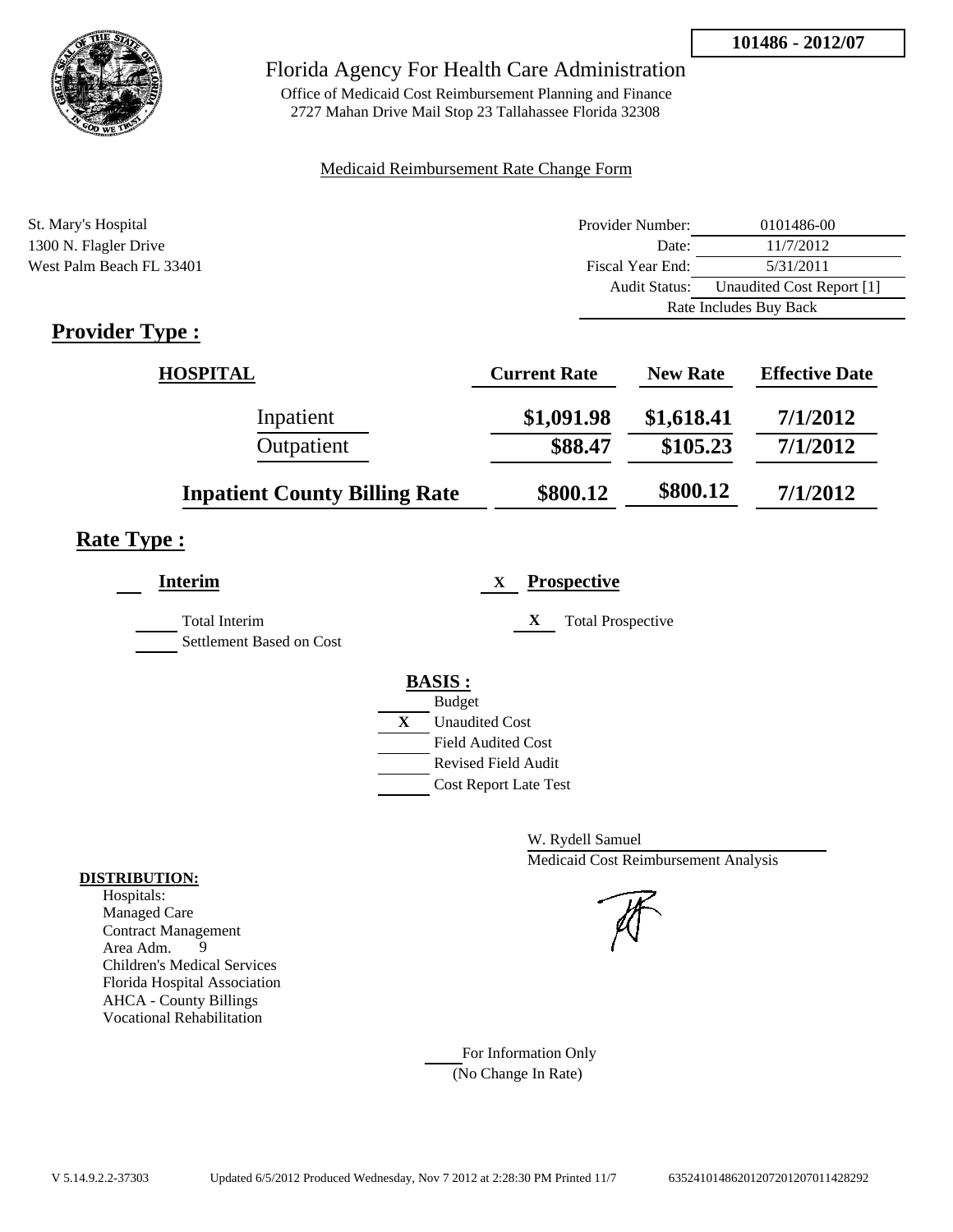

Office of Medicaid Cost Reimbursement Planning and Finance 2727 Mahan Drive Mail Stop 23 Tallahassee Florida 32308

#### Medicaid Reimbursement Rate Change Form

| St. Mary's Hospital      | Provider Number:     | 0101486-00                |  |
|--------------------------|----------------------|---------------------------|--|
| 1300 N. Flagler Drive    | Date:                | 11/7/2012                 |  |
| West Palm Beach FL 33401 | Fiscal Year End:     | 5/31/2011                 |  |
|                          | <b>Audit Status:</b> | Unaudited Cost Report [1] |  |
|                          |                      | Rate Includes Buy Back    |  |
|                          |                      |                           |  |

## **Provider Type :**

| <b>HOSPITAL</b>                      | <b>Current Rate</b> | <b>New Rate</b> | <b>Effective Date</b> |
|--------------------------------------|---------------------|-----------------|-----------------------|
| Inpatient                            | \$1,091.98          | \$1,618.41      | 7/1/2012              |
| Outpatient                           | \$88.47             | \$105.23        | 7/1/2012              |
| <b>Inpatient County Billing Rate</b> | \$800.12            | \$800.12        | 7/1/2012              |

## **Rate Type :**

| <b>Interim</b>                                   | <b>Prospective</b><br>X               |
|--------------------------------------------------|---------------------------------------|
| <b>Total Interim</b><br>Settlement Based on Cost | X<br><b>Total Prospective</b>         |
|                                                  | <b>BASIS:</b>                         |
|                                                  | <b>Budget</b>                         |
|                                                  | $\mathbf{X}$<br><b>Unaudited Cost</b> |
|                                                  | <b>Field Audited Cost</b>             |
|                                                  | <b>Revised Field Audit</b>            |
|                                                  | <b>Cost Report Late Test</b>          |
|                                                  |                                       |

W. Rydell Samuel Medicaid Cost Reimbursement Analysis

For Information Only (No Change In Rate)

#### **DISTRIBUTION:**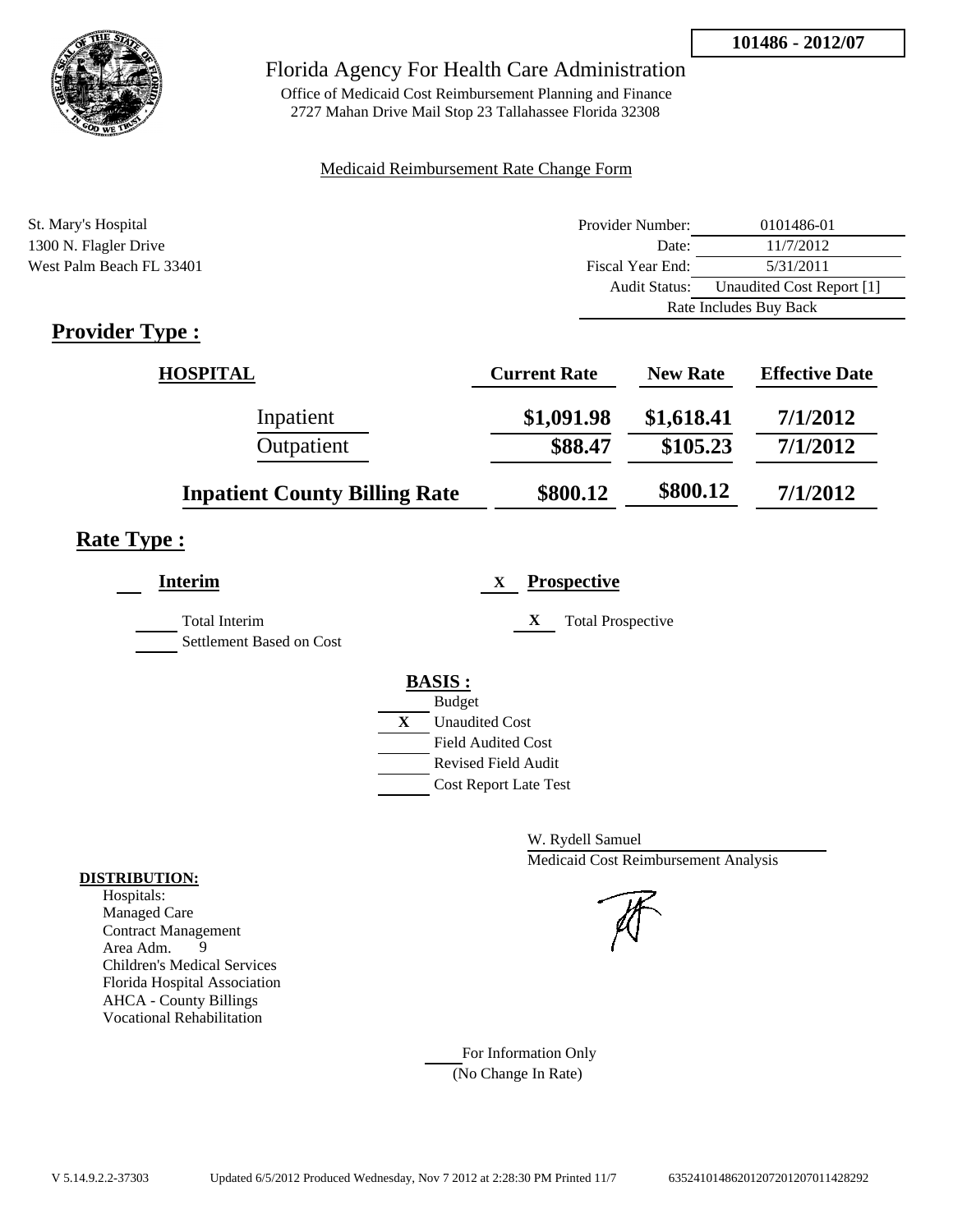

Office of Medicaid Cost Reimbursement Planning and Finance 2727 Mahan Drive Mail Stop 23 Tallahassee Florida 32308

#### Medicaid Reimbursement Rate Change Form

| St. Mary's Hospital      | Provider Number:     | 0101486-01                |  |
|--------------------------|----------------------|---------------------------|--|
| 1300 N. Flagler Drive    | Date:                | 11/7/2012                 |  |
| West Palm Beach FL 33401 | Fiscal Year End:     | 5/31/2011                 |  |
|                          | <b>Audit Status:</b> | Unaudited Cost Report [1] |  |
|                          |                      | Rate Includes Buy Back    |  |
|                          |                      |                           |  |

## **Provider Type :**

| <b>HOSPITAL</b>                      | <b>Current Rate</b> | <b>New Rate</b> | <b>Effective Date</b> |
|--------------------------------------|---------------------|-----------------|-----------------------|
| Inpatient                            | \$1,091.98          | \$1,618.41      | 7/1/2012              |
| Outpatient                           | \$88.47             | \$105.23        | 7/1/2012              |
| <b>Inpatient County Billing Rate</b> | \$800.12            | \$800.12        | 7/1/2012              |

## **Rate Type :**

| <b>Interim</b>           | <b>Prospective</b><br>X       |
|--------------------------|-------------------------------|
| <b>Total Interim</b>     | X<br><b>Total Prospective</b> |
| Settlement Based on Cost |                               |
|                          | <b>BASIS:</b>                 |
|                          | <b>Budget</b>                 |
|                          | X<br><b>Unaudited Cost</b>    |
|                          | <b>Field Audited Cost</b>     |
|                          | <b>Revised Field Audit</b>    |
|                          | <b>Cost Report Late Test</b>  |

W. Rydell Samuel Medicaid Cost Reimbursement Analysis

For Information Only (No Change In Rate)

#### **DISTRIBUTION:**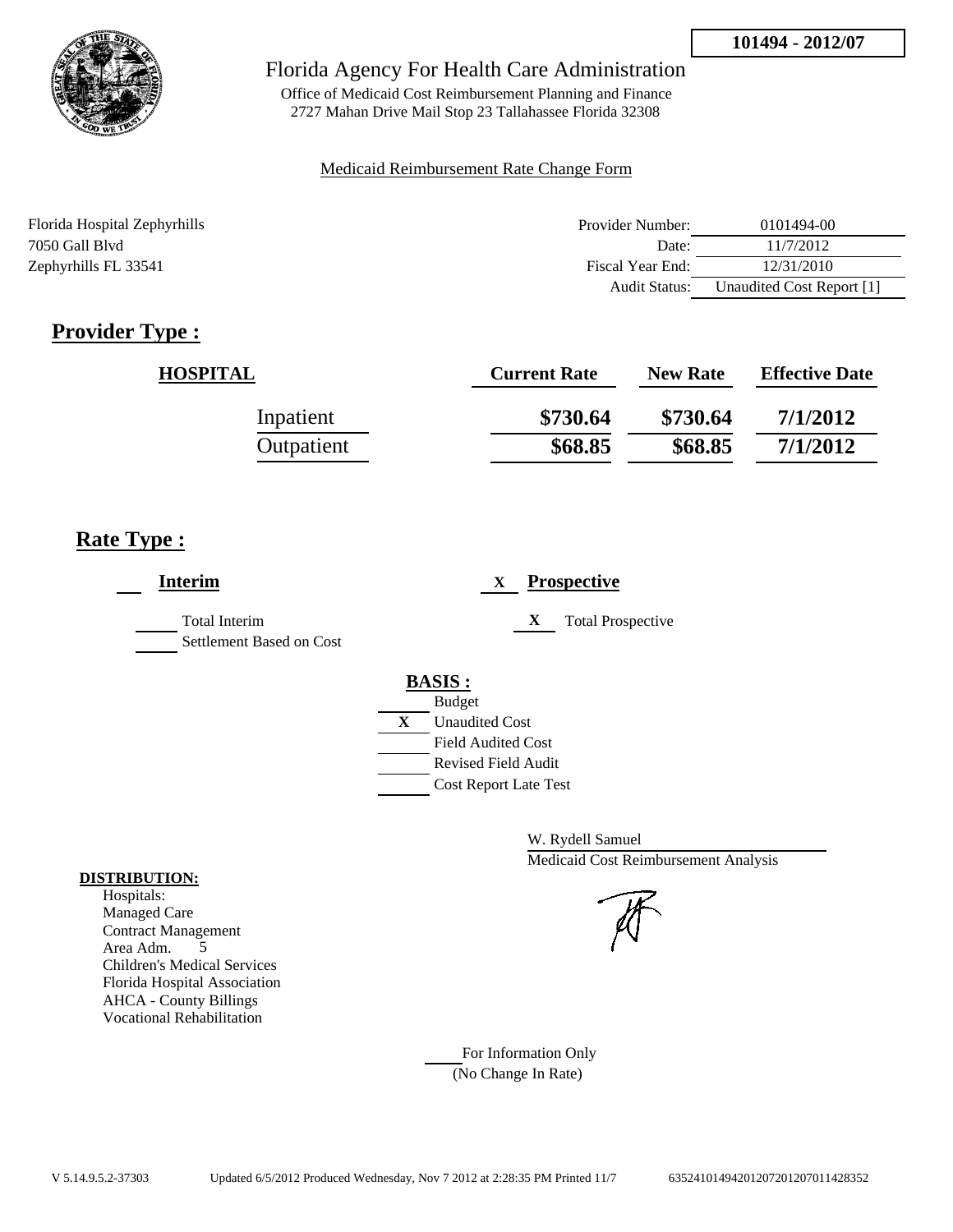

Office of Medicaid Cost Reimbursement Planning and Finance 2727 Mahan Drive Mail Stop 23 Tallahassee Florida 32308

#### Medicaid Reimbursement Rate Change Form

| Florida Hospital Zephyrhills | Provider Number: | 0101494-00                |
|------------------------------|------------------|---------------------------|
| 7050 Gall Blyd               | Date:            | 11/7/2012                 |
| Zephyrhills FL 33541         | Fiscal Year End: | 12/31/2010                |
|                              | Audit Status:    | Unaudited Cost Report [1] |

## **Provider Type :**

| <b>HOSPITAL</b> | <b>Current Rate</b> | <b>New Rate</b> | <b>Effective Date</b> |
|-----------------|---------------------|-----------------|-----------------------|
| Inpatient       | \$730.64            | \$730.64        | 7/1/2012              |
| Outpatient      | \$68.85             | \$68.85         | 7/1/2012              |

## **Rate Type :**

| <b>Interim</b>                            | <b>Prospective</b><br>X       |
|-------------------------------------------|-------------------------------|
| Total Interim<br>Settlement Based on Cost | X<br><b>Total Prospective</b> |
|                                           | <b>BASIS:</b>                 |
|                                           | <b>Budget</b>                 |
|                                           | X<br><b>Unaudited Cost</b>    |
|                                           | <b>Field Audited Cost</b>     |
|                                           | <b>Revised Field Audit</b>    |
|                                           | <b>Cost Report Late Test</b>  |

W. Rydell Samuel Medicaid Cost Reimbursement Analysis

For Information Only (No Change In Rate)

#### **DISTRIBUTION:**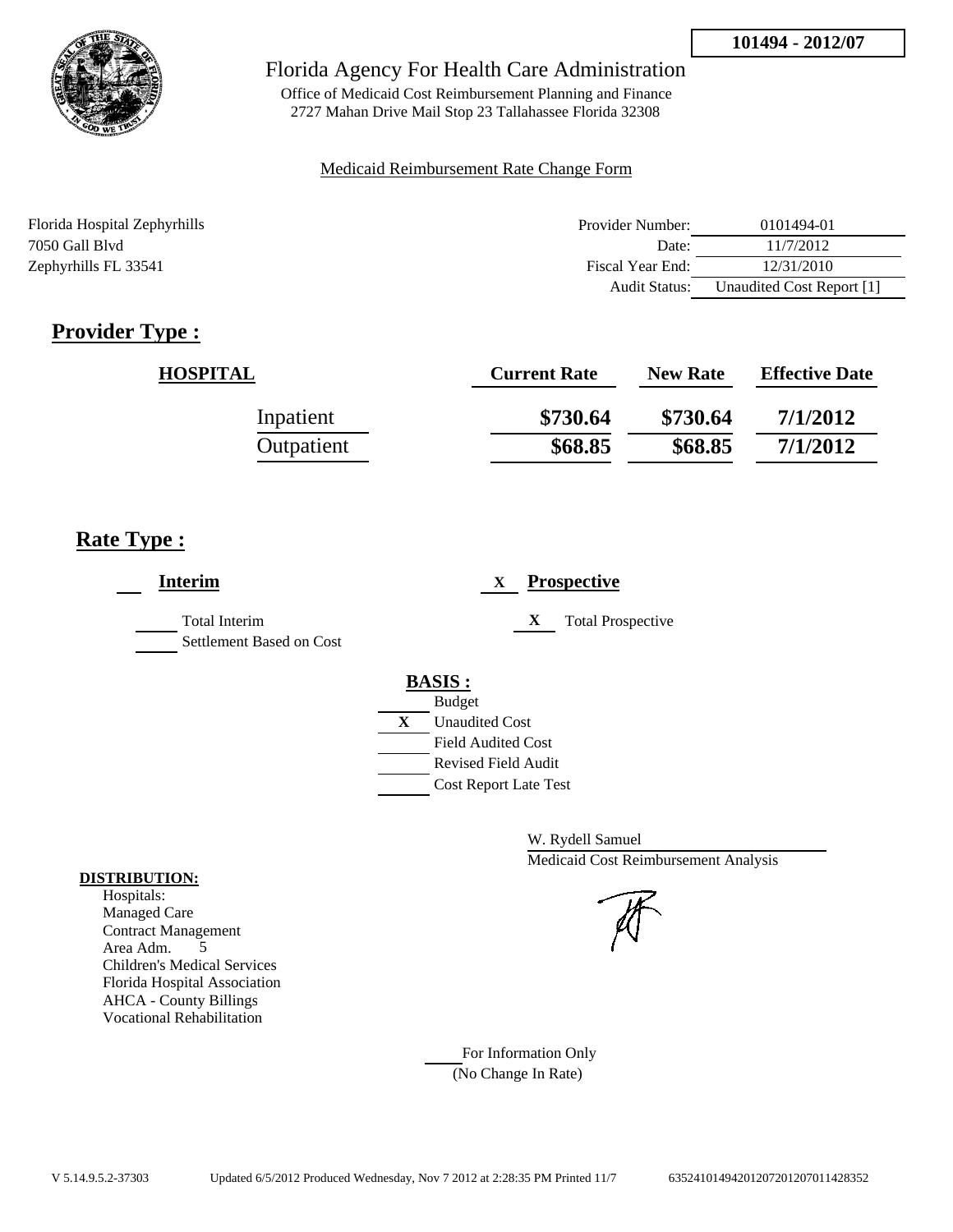

Office of Medicaid Cost Reimbursement Planning and Finance 2727 Mahan Drive Mail Stop 23 Tallahassee Florida 32308

#### Medicaid Reimbursement Rate Change Form

| Florida Hospital Zephyrhills | Provider Number: | 0101494-01                |
|------------------------------|------------------|---------------------------|
| 7050 Gall Blyd               | Date:            | 11/7/2012                 |
| Zephyrhills FL 33541         | Fiscal Year End: | 12/31/2010                |
|                              | Audit Status:    | Unaudited Cost Report [1] |

## **Provider Type :**

| <b>HOSPITAL</b> | <b>Current Rate</b> | <b>New Rate</b> | <b>Effective Date</b> |
|-----------------|---------------------|-----------------|-----------------------|
| Inpatient       | \$730.64            | \$730.64        | 7/1/2012              |
| Outpatient      | \$68.85             | \$68.85         | 7/1/2012              |

## **Rate Type :**

| <b>Interim</b>                            | <b>Prospective</b><br>X       |
|-------------------------------------------|-------------------------------|
| Total Interim<br>Settlement Based on Cost | X<br><b>Total Prospective</b> |
|                                           | <b>BASIS:</b>                 |
|                                           | <b>Budget</b>                 |
|                                           | X<br><b>Unaudited Cost</b>    |
|                                           | <b>Field Audited Cost</b>     |
|                                           | <b>Revised Field Audit</b>    |
|                                           | <b>Cost Report Late Test</b>  |

W. Rydell Samuel Medicaid Cost Reimbursement Analysis

#### **DISTRIBUTION:** Hospitals:

Managed Care Contract Management Area Adm. 5 Children's Medical Services Florida Hospital Association AHCA - County Billings Vocational Rehabilitation

> For Information Only (No Change In Rate)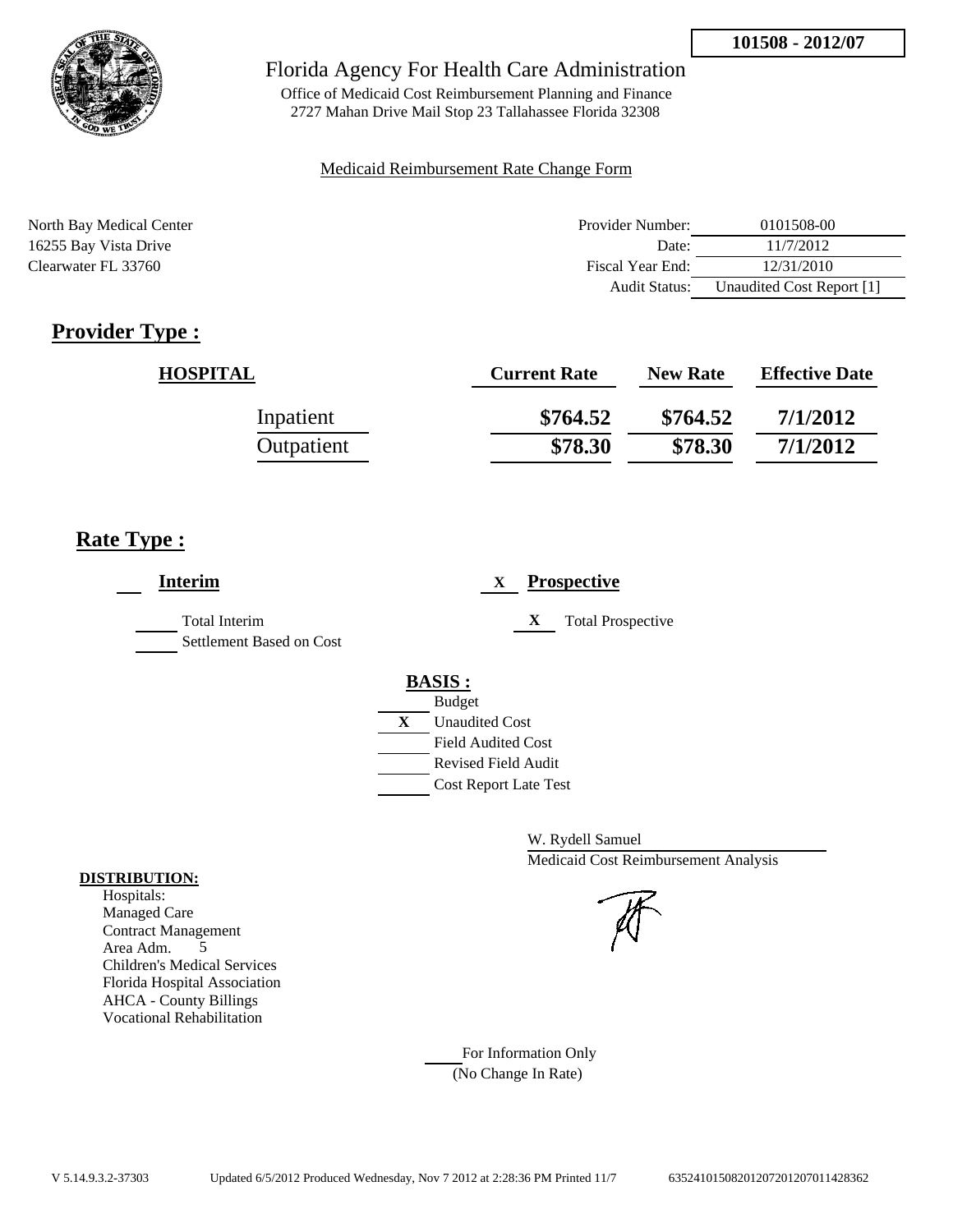

Office of Medicaid Cost Reimbursement Planning and Finance 2727 Mahan Drive Mail Stop 23 Tallahassee Florida 32308

#### Medicaid Reimbursement Rate Change Form

| North Bay Medical Center | Provider Number: | 0101508-00                |
|--------------------------|------------------|---------------------------|
| 16255 Bay Vista Drive    | Date:            | 11/7/2012                 |
| Clearwater FL 33760      | Fiscal Year End: | 12/31/2010                |
|                          | Audit Status:    | Unaudited Cost Report [1] |

## **Provider Type :**

| <b>HOSPITAL</b> | <b>Current Rate</b> | <b>New Rate</b> | <b>Effective Date</b> |
|-----------------|---------------------|-----------------|-----------------------|
| Inpatient       | \$764.52            | \$764.52        | 7/1/2012              |
| Outpatient      | \$78.30             | \$78.30         | 7/1/2012              |

## **Rate Type :**

| <b>Interim</b>                                   | <b>Prospective</b><br>X       |
|--------------------------------------------------|-------------------------------|
| <b>Total Interim</b><br>Settlement Based on Cost | X<br><b>Total Prospective</b> |
|                                                  | <b>BASIS:</b>                 |
|                                                  | <b>Budget</b>                 |
|                                                  | X<br><b>Unaudited Cost</b>    |
|                                                  | <b>Field Audited Cost</b>     |
|                                                  | <b>Revised Field Audit</b>    |
|                                                  | <b>Cost Report Late Test</b>  |

W. Rydell Samuel Medicaid Cost Reimbursement Analysis

For Information Only (No Change In Rate)

#### **DISTRIBUTION:**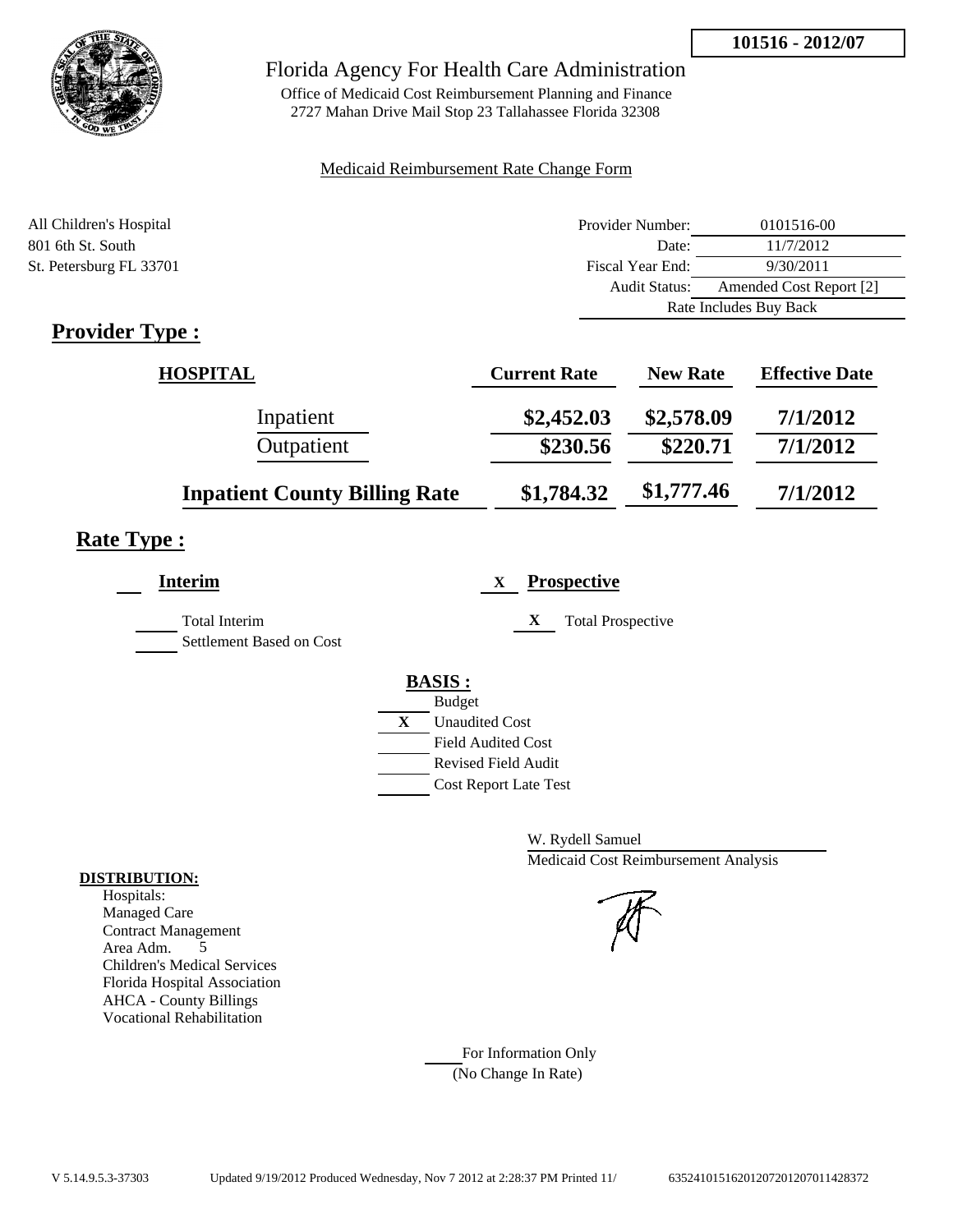**101516 - 2012/07**



### Florida Agency For Health Care Administration

Office of Medicaid Cost Reimbursement Planning and Finance 2727 Mahan Drive Mail Stop 23 Tallahassee Florida 32308

#### Medicaid Reimbursement Rate Change Form

| All Children's Hospital | Provider Number:     | 0101516-00              |  |
|-------------------------|----------------------|-------------------------|--|
| 801 6th St. South       | Date:                | 11/7/2012               |  |
| St. Petersburg FL 33701 | Fiscal Year End:     | 9/30/2011               |  |
|                         | <b>Audit Status:</b> | Amended Cost Report [2] |  |
|                         |                      | Rate Includes Buy Back  |  |

## **Provider Type :**

| <b>HOSPITAL</b>                      | <b>Current Rate</b> | <b>New Rate</b> | <b>Effective Date</b> |
|--------------------------------------|---------------------|-----------------|-----------------------|
| Inpatient                            | \$2,452.03          | \$2,578.09      | 7/1/2012              |
| Outpatient                           | \$230.56            | \$220.71        | 7/1/2012              |
| <b>Inpatient County Billing Rate</b> | \$1,784.32          | \$1,777.46      | 7/1/2012              |

## **Rate Type :**

| <b>Interim</b>           | <b>Prospective</b><br>$\mathbf{X}$    |
|--------------------------|---------------------------------------|
| Total Interim            | X<br><b>Total Prospective</b>         |
| Settlement Based on Cost |                                       |
|                          | <b>BASIS:</b>                         |
|                          | <b>Budget</b>                         |
|                          | $\mathbf{X}$<br><b>Unaudited Cost</b> |
|                          | <b>Field Audited Cost</b>             |
|                          | Revised Field Audit                   |
|                          | <b>Cost Report Late Test</b>          |

W. Rydell Samuel Medicaid Cost Reimbursement Analysis

#### For Information Only (No Change In Rate)

**DISTRIBUTION:**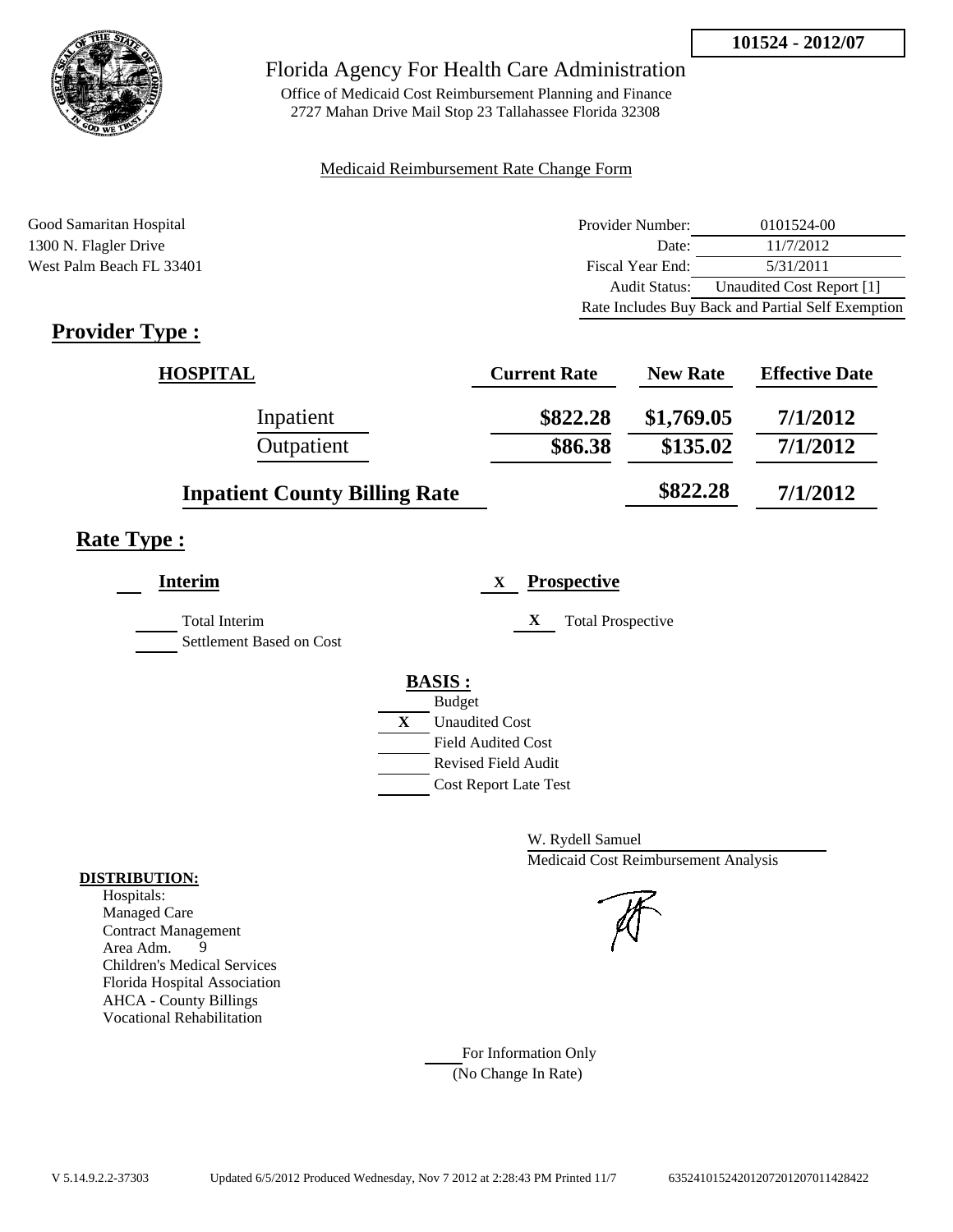

Office of Medicaid Cost Reimbursement Planning and Finance 2727 Mahan Drive Mail Stop 23 Tallahassee Florida 32308

#### Medicaid Reimbursement Rate Change Form

Good Samaritan Hospital **Provider Number:** 0101524-00 1300 N. Flagler Drive Date: 11/7/2012 West Palm Beach FL 33401 Fiscal Year End: 5/31/2011 Audit Status: Unaudited Cost Report [1] Rate Includes Buy Back and Partial Self Exemption

## **Provider Type :**

| <b>HOSPITAL</b>                      | <b>Current Rate</b> | <b>New Rate</b> | <b>Effective Date</b> |
|--------------------------------------|---------------------|-----------------|-----------------------|
| Inpatient                            | \$822.28            | \$1,769.05      | 7/1/2012              |
| Outpatient                           | \$86.38             | \$135.02        | 7/1/2012              |
| <b>Inpatient County Billing Rate</b> |                     | \$822.28        | 7/1/2012              |

### **Rate Type :**

| <b>Interim</b>                            | <b>Prospective</b><br>$\mathbf X$     |
|-------------------------------------------|---------------------------------------|
| Total Interim<br>Settlement Based on Cost | X<br><b>Total Prospective</b>         |
|                                           | <b>BASIS:</b>                         |
|                                           | <b>Budget</b>                         |
|                                           | $\mathbf{X}$<br><b>Unaudited Cost</b> |
|                                           | Field Audited Cost                    |
|                                           | Revised Field Audit                   |
|                                           | <b>Cost Report Late Test</b>          |
|                                           |                                       |

W. Rydell Samuel Medicaid Cost Reimbursement Analysis

For Information Only (No Change In Rate)

#### **DISTRIBUTION:**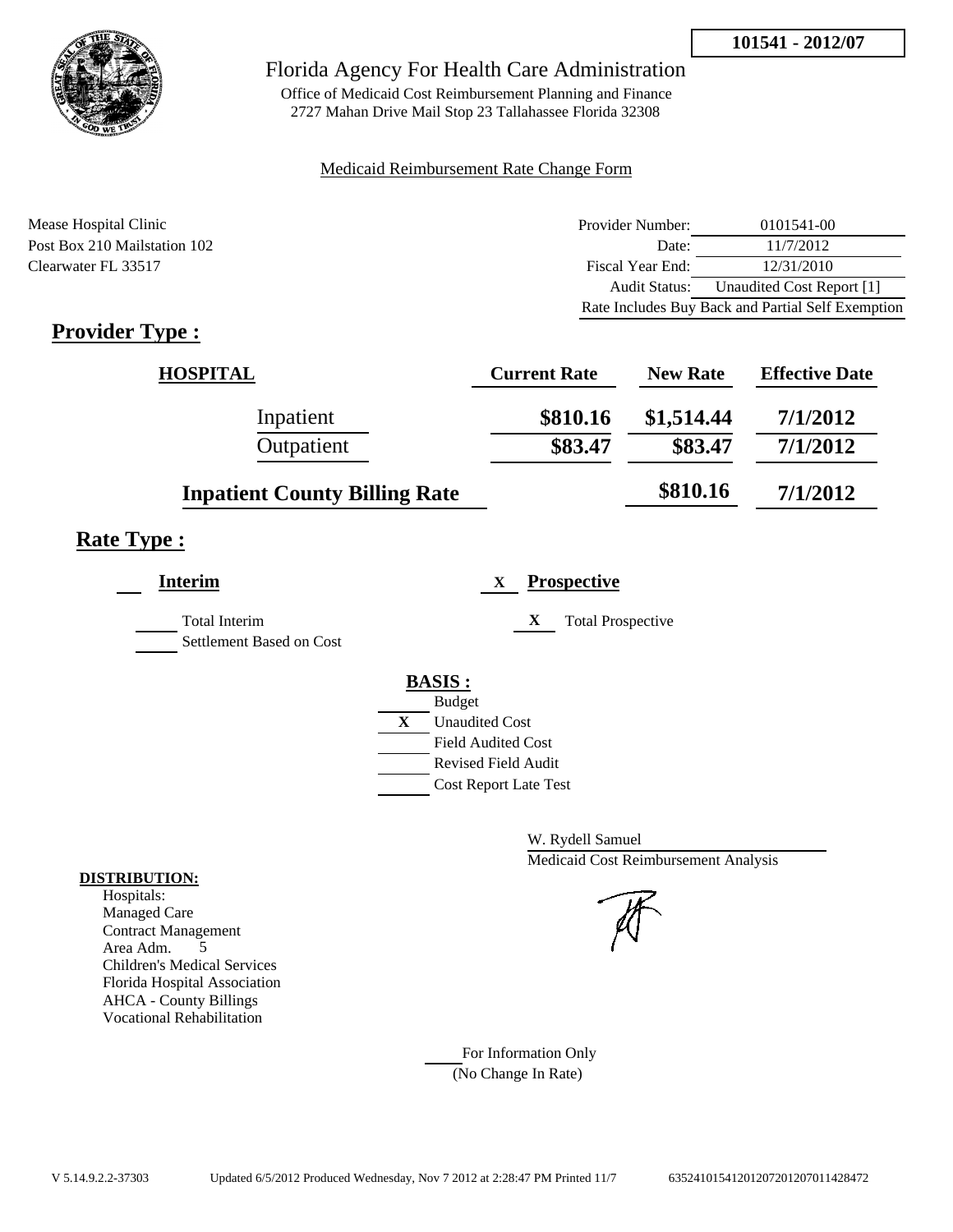

Office of Medicaid Cost Reimbursement Planning and Finance 2727 Mahan Drive Mail Stop 23 Tallahassee Florida 32308

#### Medicaid Reimbursement Rate Change Form

Mease Hospital Clinic Post Box 210 Mailstation 102 Clearwater FL 33517

| Provider Number:                                  | 0101541-00                |  |
|---------------------------------------------------|---------------------------|--|
| Date:                                             | 11/7/2012                 |  |
| Fiscal Year End:                                  | 12/31/2010                |  |
| <b>Audit Status:</b>                              | Unaudited Cost Report [1] |  |
| Rate Includes Buy Back and Partial Self Exemption |                           |  |

## **Provider Type :**

| <b>HOSPITAL</b>                      | <b>Current Rate</b> | <b>New Rate</b> | <b>Effective Date</b> |
|--------------------------------------|---------------------|-----------------|-----------------------|
| Inpatient                            | \$810.16            | \$1,514.44      | 7/1/2012              |
| Outpatient                           | \$83.47             | \$83.47         | 7/1/2012              |
| <b>Inpatient County Billing Rate</b> |                     | \$810.16        | 7/1/2012              |

## **Rate Type :**

| <b>Interim</b>                            |   | <b>Prospective</b><br>X       |
|-------------------------------------------|---|-------------------------------|
| Total Interim<br>Settlement Based on Cost |   | X<br><b>Total Prospective</b> |
|                                           |   | <b>BASIS:</b>                 |
|                                           |   | <b>Budget</b>                 |
|                                           | X | <b>Unaudited Cost</b>         |
|                                           |   | <b>Field Audited Cost</b>     |
|                                           |   | <b>Revised Field Audit</b>    |
|                                           |   | <b>Cost Report Late Test</b>  |
|                                           |   |                               |

W. Rydell Samuel Medicaid Cost Reimbursement Analysis

For Information Only (No Change In Rate)

#### **DISTRIBUTION:**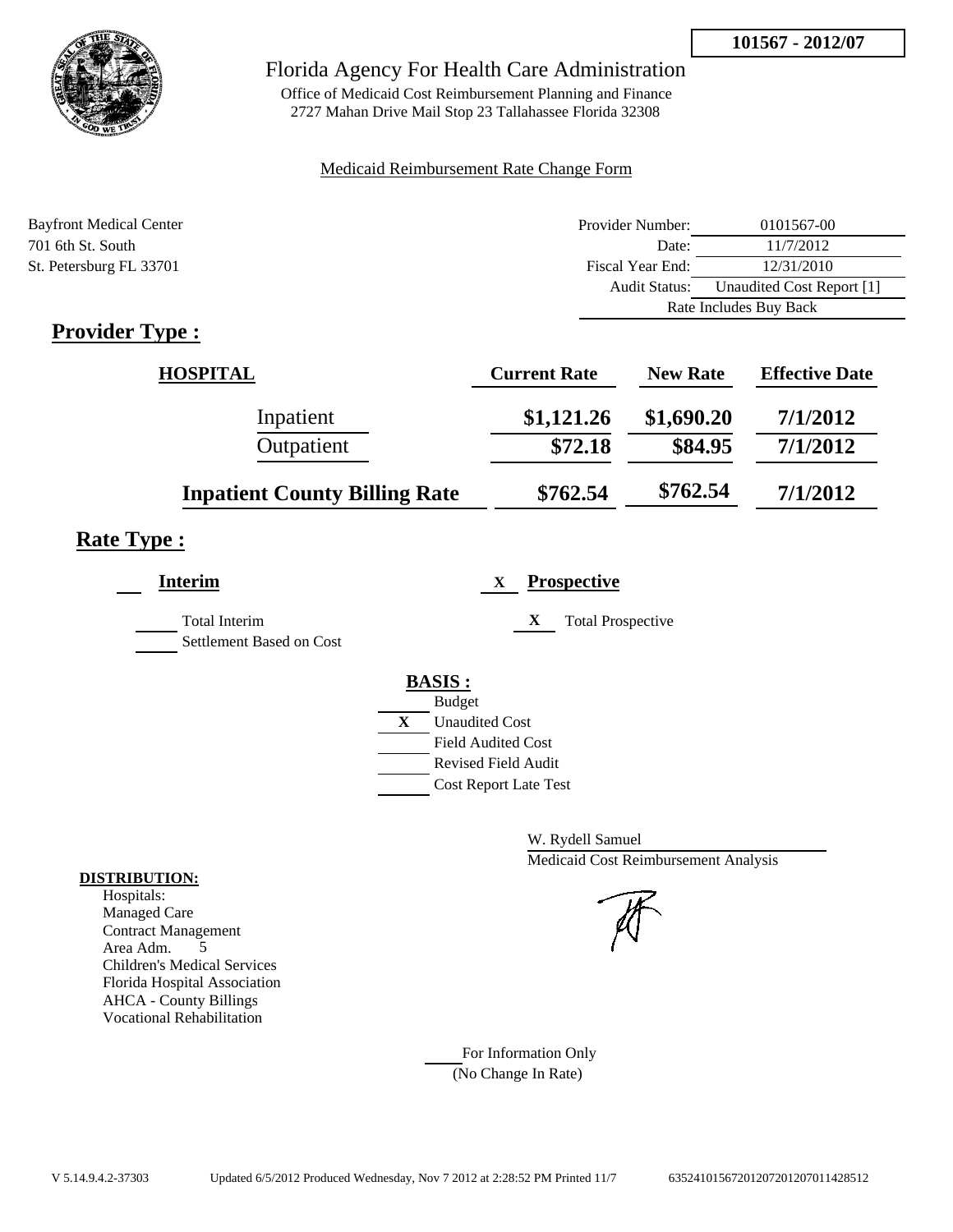**101567 - 2012/07**



## Florida Agency For Health Care Administration

Office of Medicaid Cost Reimbursement Planning and Finance 2727 Mahan Drive Mail Stop 23 Tallahassee Florida 32308

#### Medicaid Reimbursement Rate Change Form

| <b>Bayfront Medical Center</b> | Provider Number:     | 0101567-00                |  |
|--------------------------------|----------------------|---------------------------|--|
| 701 6th St. South              | Date:                | 11/7/2012                 |  |
| St. Petersburg FL 33701        | Fiscal Year End:     | 12/31/2010                |  |
|                                | <b>Audit Status:</b> | Unaudited Cost Report [1] |  |
|                                |                      | Rate Includes Buy Back    |  |

## **Provider Type :**

| <b>HOSPITAL</b>                      | <b>Current Rate</b> | <b>New Rate</b> | <b>Effective Date</b> |
|--------------------------------------|---------------------|-----------------|-----------------------|
| Inpatient                            | \$1,121.26          | \$1,690.20      | 7/1/2012              |
| Outpatient                           | \$72.18             | \$84.95         | 7/1/2012              |
| <b>Inpatient County Billing Rate</b> | \$762.54            | \$762.54        | 7/1/2012              |

## **Rate Type :**

| <b>Interim</b>                            | <b>Prospective</b><br>$\mathbf{X}$ |
|-------------------------------------------|------------------------------------|
| Total Interim<br>Settlement Based on Cost | X<br><b>Total Prospective</b>      |
|                                           | <b>BASIS:</b>                      |
|                                           | <b>Budget</b>                      |
|                                           | X<br><b>Unaudited Cost</b>         |
|                                           | <b>Field Audited Cost</b>          |
|                                           | Revised Field Audit                |
|                                           | <b>Cost Report Late Test</b>       |
|                                           |                                    |

W. Rydell Samuel Medicaid Cost Reimbursement Analysis

For Information Only (No Change In Rate)

#### **DISTRIBUTION:**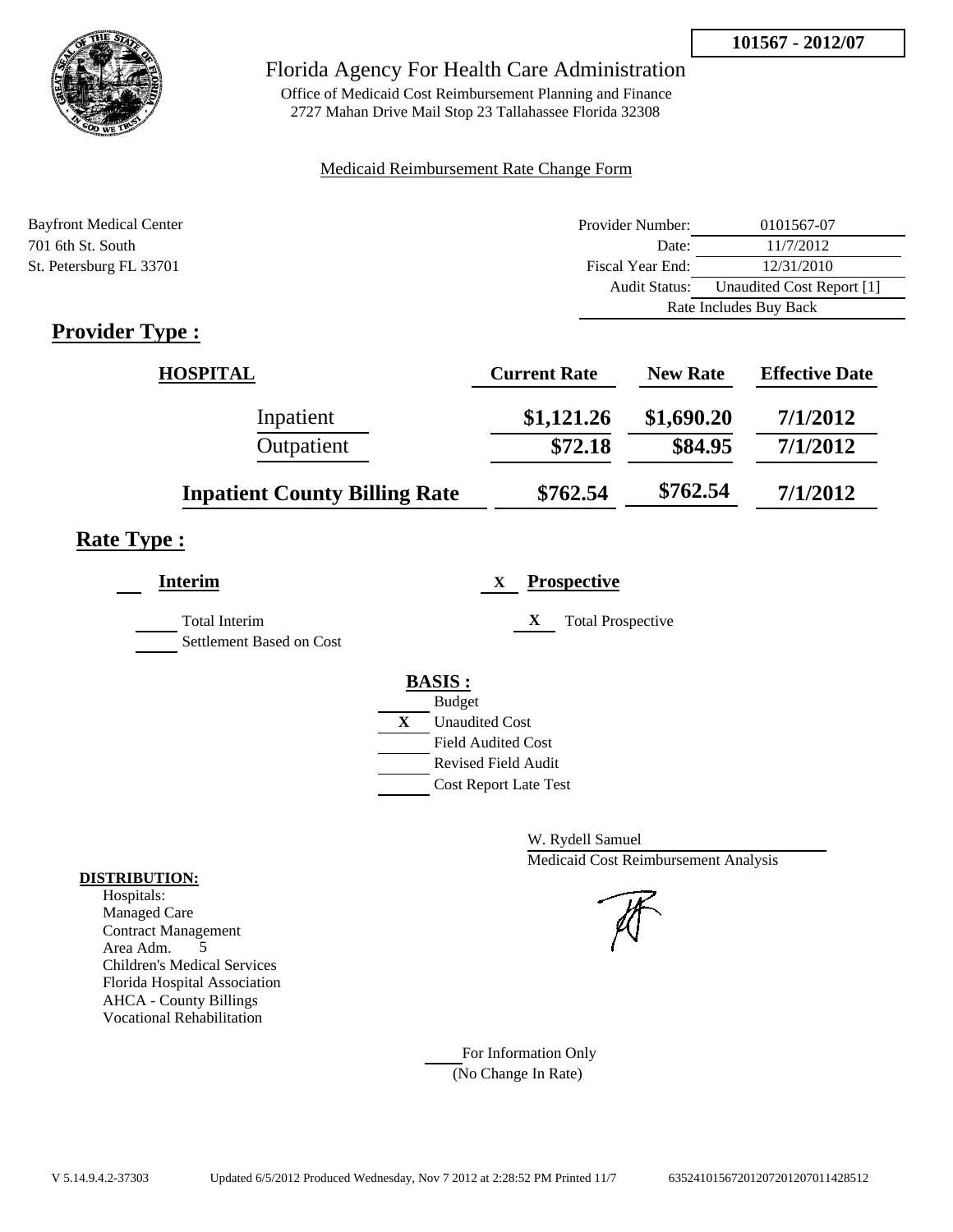**101567 - 2012/07**



## Florida Agency For Health Care Administration

Office of Medicaid Cost Reimbursement Planning and Finance 2727 Mahan Drive Mail Stop 23 Tallahassee Florida 32308

#### Medicaid Reimbursement Rate Change Form

| <b>Bayfront Medical Center</b> | Provider Number:     | 0101567-07                |  |
|--------------------------------|----------------------|---------------------------|--|
| 701 6th St. South              | Date:                | 11/7/2012                 |  |
| St. Petersburg FL 33701        | Fiscal Year End:     | 12/31/2010                |  |
|                                | <b>Audit Status:</b> | Unaudited Cost Report [1] |  |
|                                |                      | Rate Includes Buy Back    |  |

## **Provider Type :**

| <b>HOSPITAL</b>                      | <b>Current Rate</b> | <b>New Rate</b> | <b>Effective Date</b> |
|--------------------------------------|---------------------|-----------------|-----------------------|
| Inpatient                            | \$1,121.26          | \$1,690.20      | 7/1/2012              |
| Outpatient                           | \$72.18             | \$84.95         | 7/1/2012              |
| <b>Inpatient County Billing Rate</b> | \$762.54            | \$762.54        | 7/1/2012              |

## **Rate Type :**

| Interim                  | <b>Prospective</b><br>X               |
|--------------------------|---------------------------------------|
| <b>Total Interim</b>     | X<br><b>Total Prospective</b>         |
| Settlement Based on Cost |                                       |
|                          | <b>BASIS:</b>                         |
|                          | <b>Budget</b>                         |
|                          | $\mathbf{X}$<br><b>Unaudited Cost</b> |
|                          | <b>Field Audited Cost</b>             |
|                          | Revised Field Audit                   |
|                          | <b>Cost Report Late Test</b>          |

W. Rydell Samuel Medicaid Cost Reimbursement Analysis

For Information Only (No Change In Rate)

#### **DISTRIBUTION:**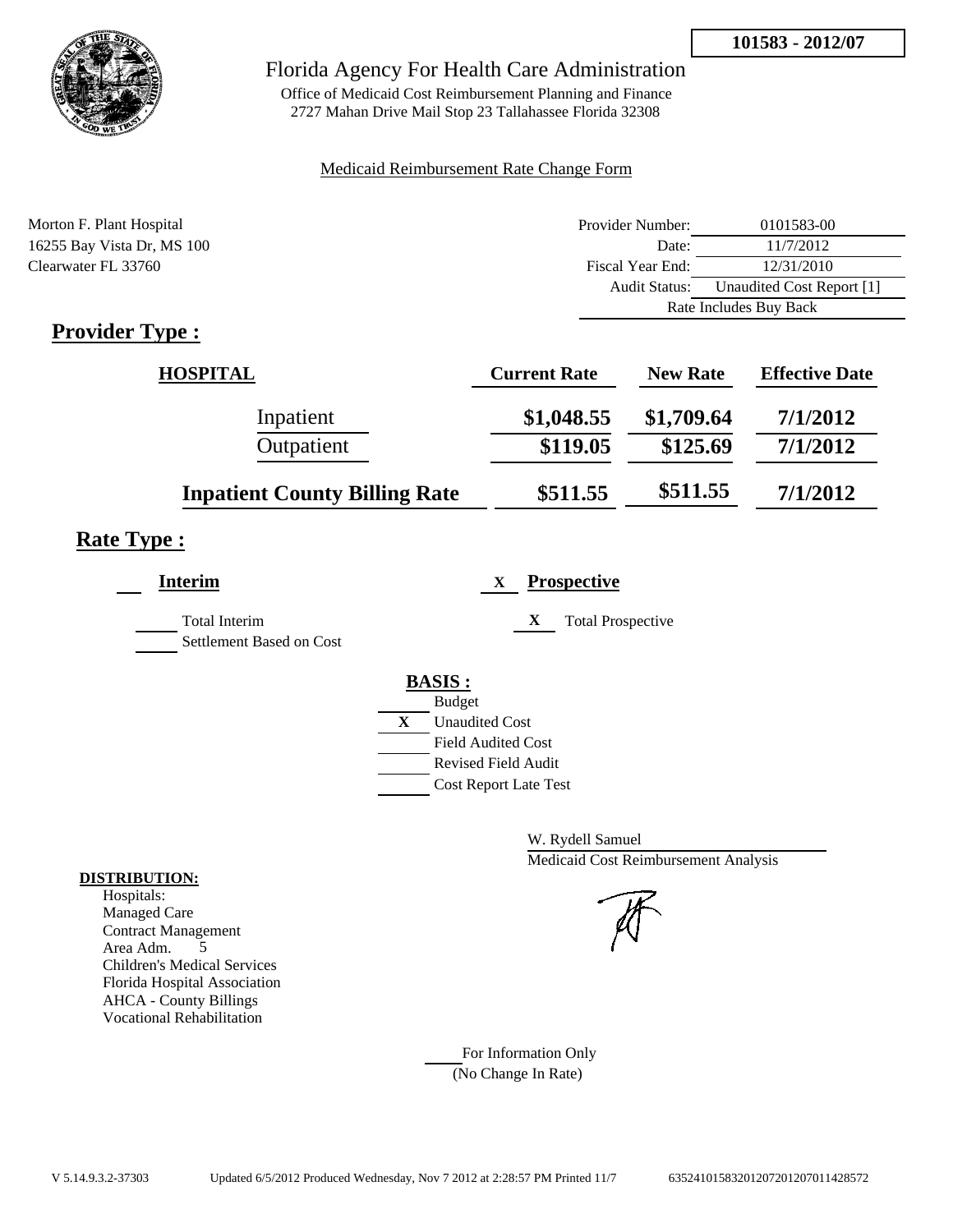

Office of Medicaid Cost Reimbursement Planning and Finance 2727 Mahan Drive Mail Stop 23 Tallahassee Florida 32308

#### Medicaid Reimbursement Rate Change Form

| Morton F. Plant Hospital   | Provider Number:     | 0101583-00                |  |
|----------------------------|----------------------|---------------------------|--|
| 16255 Bay Vista Dr, MS 100 | Date:                | 11/7/2012                 |  |
| Clearwater FL 33760        | Fiscal Year End:     | 12/31/2010                |  |
|                            | <b>Audit Status:</b> | Unaudited Cost Report [1] |  |
|                            |                      | Rate Includes Buy Back    |  |
|                            |                      |                           |  |

## **Provider Type :**

| HOSPITAL                             | <b>Current Rate</b> | <b>New Rate</b> | <b>Effective Date</b> |
|--------------------------------------|---------------------|-----------------|-----------------------|
| Inpatient                            | \$1,048.55          | \$1,709.64      | 7/1/2012              |
| Outpatient                           | \$119.05            | \$125.69        | 7/1/2012              |
| <b>Inpatient County Billing Rate</b> | \$511.55            | \$511.55        | 7/1/2012              |

## **Rate Type :**

| <b>Interim</b>                                   | <b>Prospective</b><br>X                                                                                                                                 |
|--------------------------------------------------|---------------------------------------------------------------------------------------------------------------------------------------------------------|
| <b>Total Interim</b><br>Settlement Based on Cost | X<br><b>Total Prospective</b>                                                                                                                           |
|                                                  | <b>BASIS:</b><br><b>Budget</b><br>X<br><b>Unaudited Cost</b><br><b>Field Audited Cost</b><br><b>Revised Field Audit</b><br><b>Cost Report Late Test</b> |

W. Rydell Samuel Medicaid Cost Reimbursement Analysis

For Information Only (No Change In Rate)

#### **DISTRIBUTION:**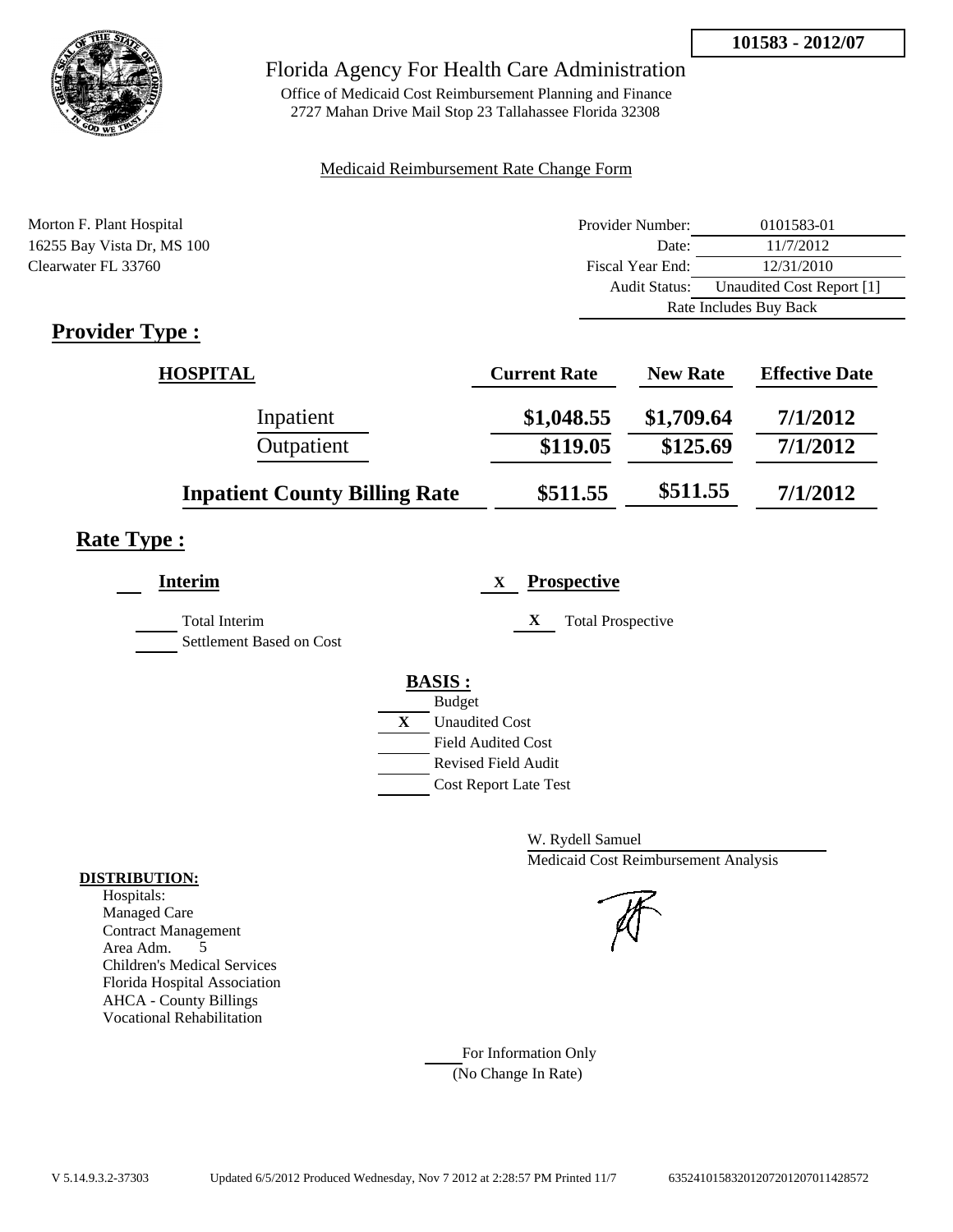

Office of Medicaid Cost Reimbursement Planning and Finance 2727 Mahan Drive Mail Stop 23 Tallahassee Florida 32308

#### Medicaid Reimbursement Rate Change Form

| Morton F. Plant Hospital   | Provider Number:     | 0101583-01                |  |
|----------------------------|----------------------|---------------------------|--|
| 16255 Bay Vista Dr, MS 100 | Date:                | 11/7/2012                 |  |
| Clearwater FL 33760        | Fiscal Year End:     | 12/31/2010                |  |
|                            | <b>Audit Status:</b> | Unaudited Cost Report [1] |  |
|                            |                      | Rate Includes Buy Back    |  |
|                            |                      |                           |  |

## **Provider Type :**

| HOSPITAL                             | <b>Current Rate</b> | <b>New Rate</b> | <b>Effective Date</b> |
|--------------------------------------|---------------------|-----------------|-----------------------|
| Inpatient                            | \$1,048.55          | \$1,709.64      | 7/1/2012              |
| Outpatient                           | \$119.05            | \$125.69        | 7/1/2012              |
| <b>Inpatient County Billing Rate</b> | \$511.55            | \$511.55        | 7/1/2012              |

## **Rate Type :**

| <b>Interim</b>                                   | <b>Prospective</b><br>X                                                                                                                                 |
|--------------------------------------------------|---------------------------------------------------------------------------------------------------------------------------------------------------------|
| <b>Total Interim</b><br>Settlement Based on Cost | X<br><b>Total Prospective</b>                                                                                                                           |
|                                                  | <b>BASIS:</b><br><b>Budget</b><br>X<br><b>Unaudited Cost</b><br><b>Field Audited Cost</b><br><b>Revised Field Audit</b><br><b>Cost Report Late Test</b> |

W. Rydell Samuel Medicaid Cost Reimbursement Analysis

For Information Only (No Change In Rate)

#### **DISTRIBUTION:**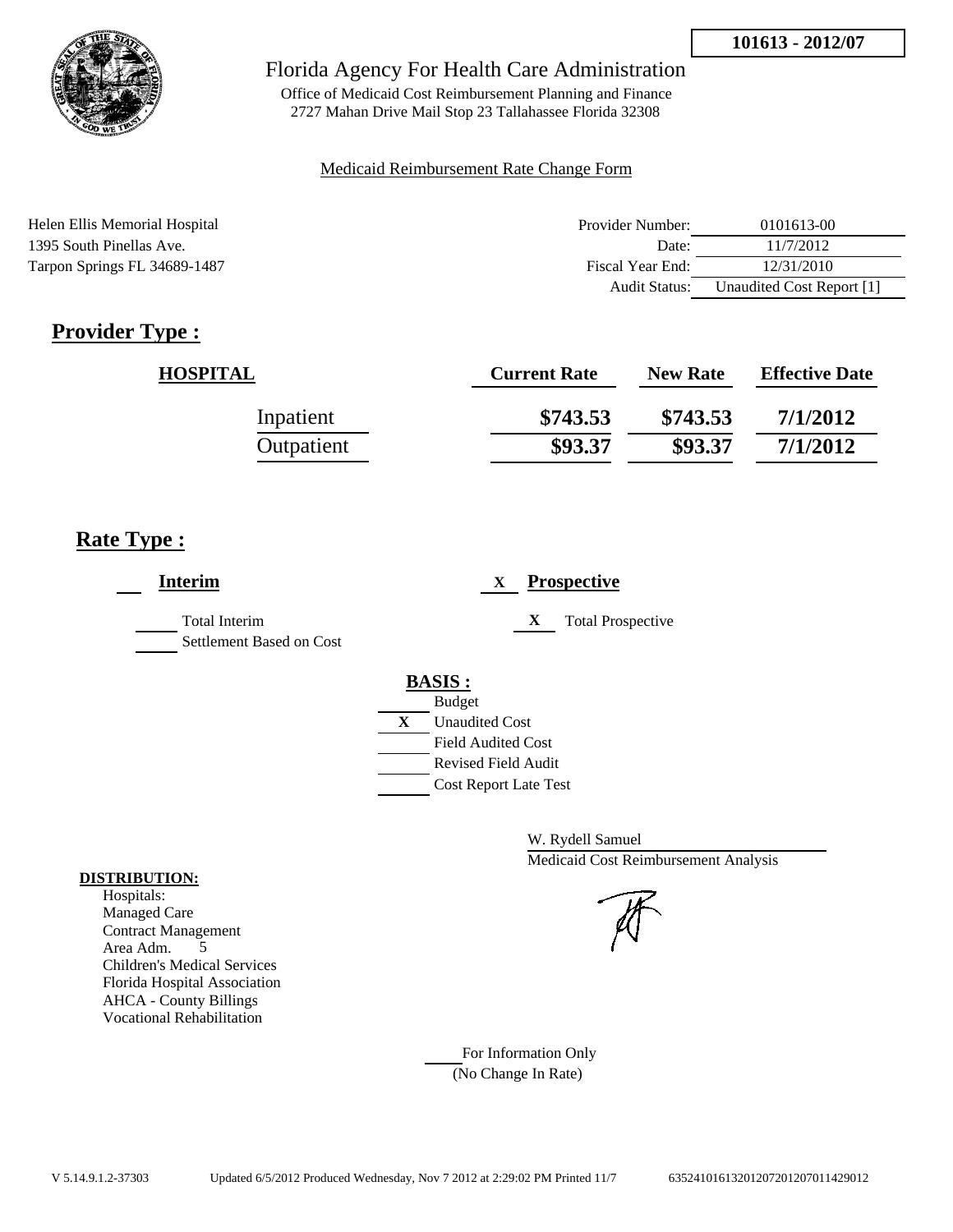

Office of Medicaid Cost Reimbursement Planning and Finance 2727 Mahan Drive Mail Stop 23 Tallahassee Florida 32308

#### Medicaid Reimbursement Rate Change Form

| Helen Ellis Memorial Hospital | Provider Number: | 0101613-00                |
|-------------------------------|------------------|---------------------------|
| 1395 South Pinellas Ave.      | Date:            | 11/7/2012                 |
| Tarpon Springs FL 34689-1487  | Fiscal Year End: | 12/31/2010                |
|                               | Audit Status:    | Unaudited Cost Report [1] |

## **Provider Type :**

| <b>HOSPITAL</b> | <b>Current Rate</b> | <b>New Rate</b> | <b>Effective Date</b> |
|-----------------|---------------------|-----------------|-----------------------|
| Inpatient       | \$743.53            | \$743.53        | 7/1/2012              |
| Outpatient      | \$93.37             | \$93.37         | 7/1/2012              |

## **Rate Type :**

| <b>Interim</b>                            | <b>Prospective</b><br>X                                                                                                                                            |
|-------------------------------------------|--------------------------------------------------------------------------------------------------------------------------------------------------------------------|
| Total Interim<br>Settlement Based on Cost | X<br><b>Total Prospective</b>                                                                                                                                      |
|                                           | <b>BASIS:</b><br><b>Budget</b><br>$\mathbf{X}$<br><b>Unaudited Cost</b><br><b>Field Audited Cost</b><br><b>Revised Field Audit</b><br><b>Cost Report Late Test</b> |

W. Rydell Samuel Medicaid Cost Reimbursement Analysis

For Information Only (No Change In Rate)

#### **DISTRIBUTION:**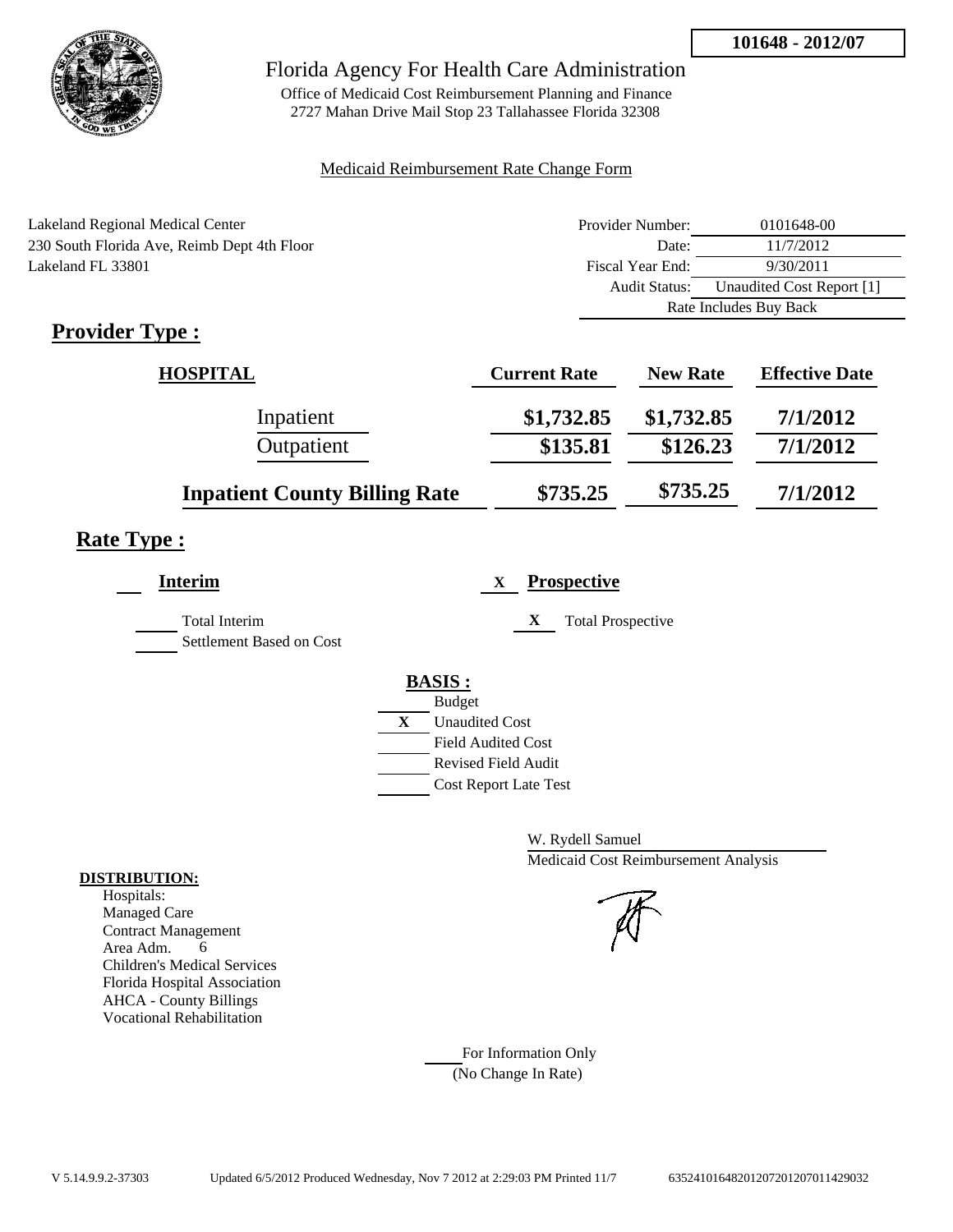

Office of Medicaid Cost Reimbursement Planning and Finance 2727 Mahan Drive Mail Stop 23 Tallahassee Florida 32308

#### Medicaid Reimbursement Rate Change Form

| Lakeland Regional Medical Center            | Provider Number:     | 0101648-00                |
|---------------------------------------------|----------------------|---------------------------|
| 230 South Florida Ave, Reimb Dept 4th Floor | Date:                | 11/7/2012                 |
| Lakeland FL 33801                           | Fiscal Year End:     | 9/30/2011                 |
|                                             | <b>Audit Status:</b> | Unaudited Cost Report [1] |
|                                             |                      | Rate Includes Buy Back    |
| T.<br>m                                     |                      |                           |

## **Provider Type :**

| <b>HOSPITAL</b>                      | <b>Current Rate</b> | <b>New Rate</b> | <b>Effective Date</b> |
|--------------------------------------|---------------------|-----------------|-----------------------|
| Inpatient                            | \$1,732.85          | \$1,732.85      | 7/1/2012              |
| Outpatient                           | \$135.81            | \$126.23        | 7/1/2012              |
| <b>Inpatient County Billing Rate</b> | \$735.25            | \$735.25        | 7/1/2012              |

## **Rate Type :**

| <b>Interim</b>                            | <b>Prospective</b><br>X                                                                                                                                 |
|-------------------------------------------|---------------------------------------------------------------------------------------------------------------------------------------------------------|
| Total Interim<br>Settlement Based on Cost | X<br><b>Total Prospective</b>                                                                                                                           |
|                                           | <b>BASIS:</b><br><b>Budget</b><br>X<br><b>Unaudited Cost</b><br><b>Field Audited Cost</b><br><b>Revised Field Audit</b><br><b>Cost Report Late Test</b> |

W. Rydell Samuel Medicaid Cost Reimbursement Analysis

For Information Only (No Change In Rate)

#### **DISTRIBUTION:**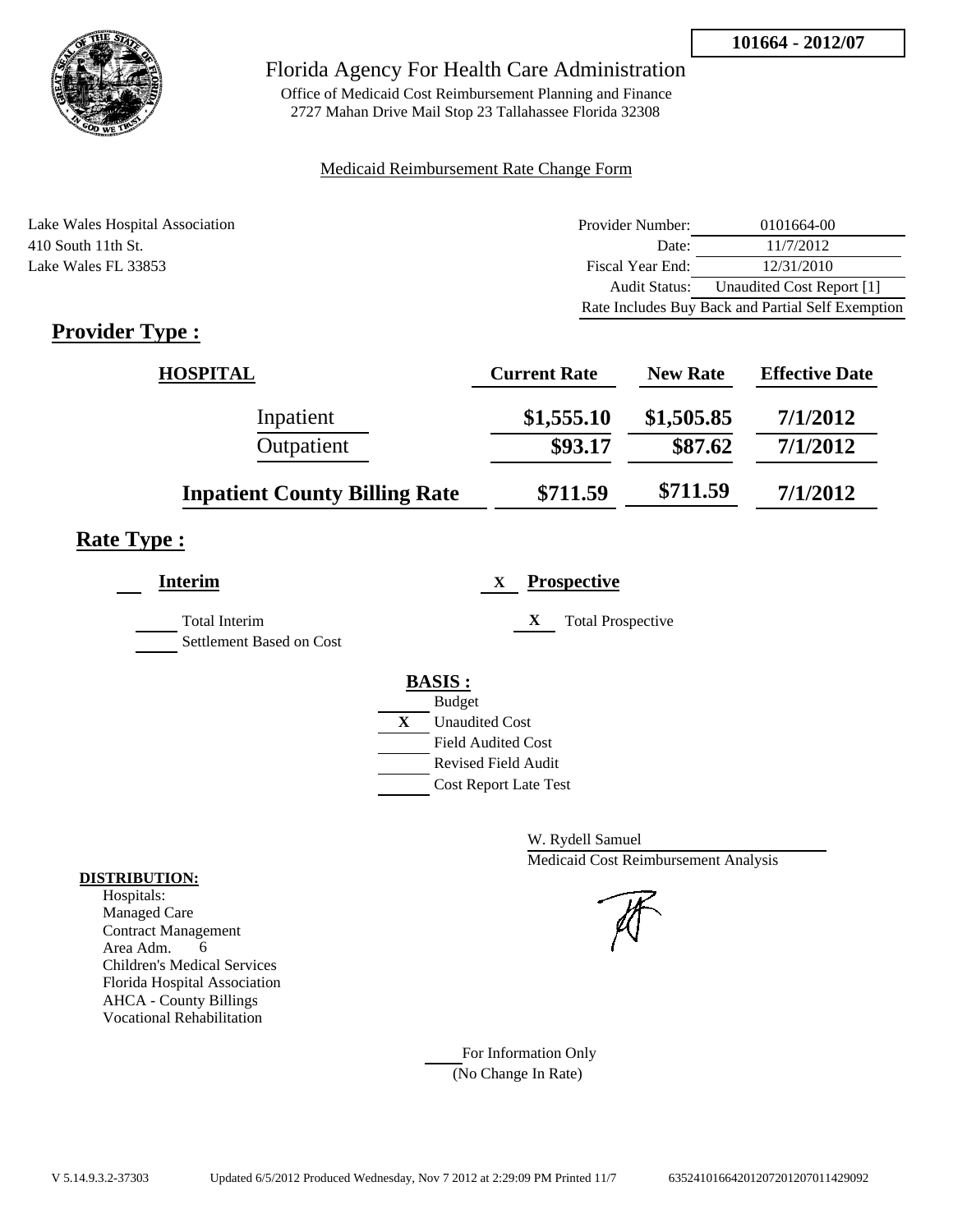

Office of Medicaid Cost Reimbursement Planning and Finance 2727 Mahan Drive Mail Stop 23 Tallahassee Florida 32308

#### Medicaid Reimbursement Rate Change Form

Lake Wales Hospital Association 410 South 11th St. Lake Wales FL 33853

| Provider Number:                                  | 0101664-00                |  |
|---------------------------------------------------|---------------------------|--|
| Date:                                             | 11/7/2012                 |  |
| Fiscal Year End:                                  | 12/31/2010                |  |
| <b>Audit Status:</b>                              | Unaudited Cost Report [1] |  |
| Rate Includes Buy Back and Partial Self Exemption |                           |  |

## **Provider Type :**

| <b>HOSPITAL</b>                      | <b>Current Rate</b> | <b>New Rate</b> | <b>Effective Date</b> |
|--------------------------------------|---------------------|-----------------|-----------------------|
| Inpatient                            | \$1,555.10          | \$1,505.85      | 7/1/2012              |
| Outpatient                           | \$93.17             | \$87.62         | 7/1/2012              |
| <b>Inpatient County Billing Rate</b> | \$711.59            | \$711.59        | 7/1/2012              |

## **Rate Type :**

| <b>Interim</b>                                   | <b>Prospective</b><br>X                                                                                                            |
|--------------------------------------------------|------------------------------------------------------------------------------------------------------------------------------------|
| <b>Total Interim</b><br>Settlement Based on Cost | X<br><b>Total Prospective</b>                                                                                                      |
|                                                  | <b>BASIS:</b><br><b>Budget</b><br>$\mathbf{X}$<br><b>Unaudited Cost</b><br><b>Field Audited Cost</b><br><b>Revised Field Audit</b> |
|                                                  | <b>Cost Report Late Test</b>                                                                                                       |

W. Rydell Samuel Medicaid Cost Reimbursement Analysis



For Information Only (No Change In Rate)

#### **DISTRIBUTION:**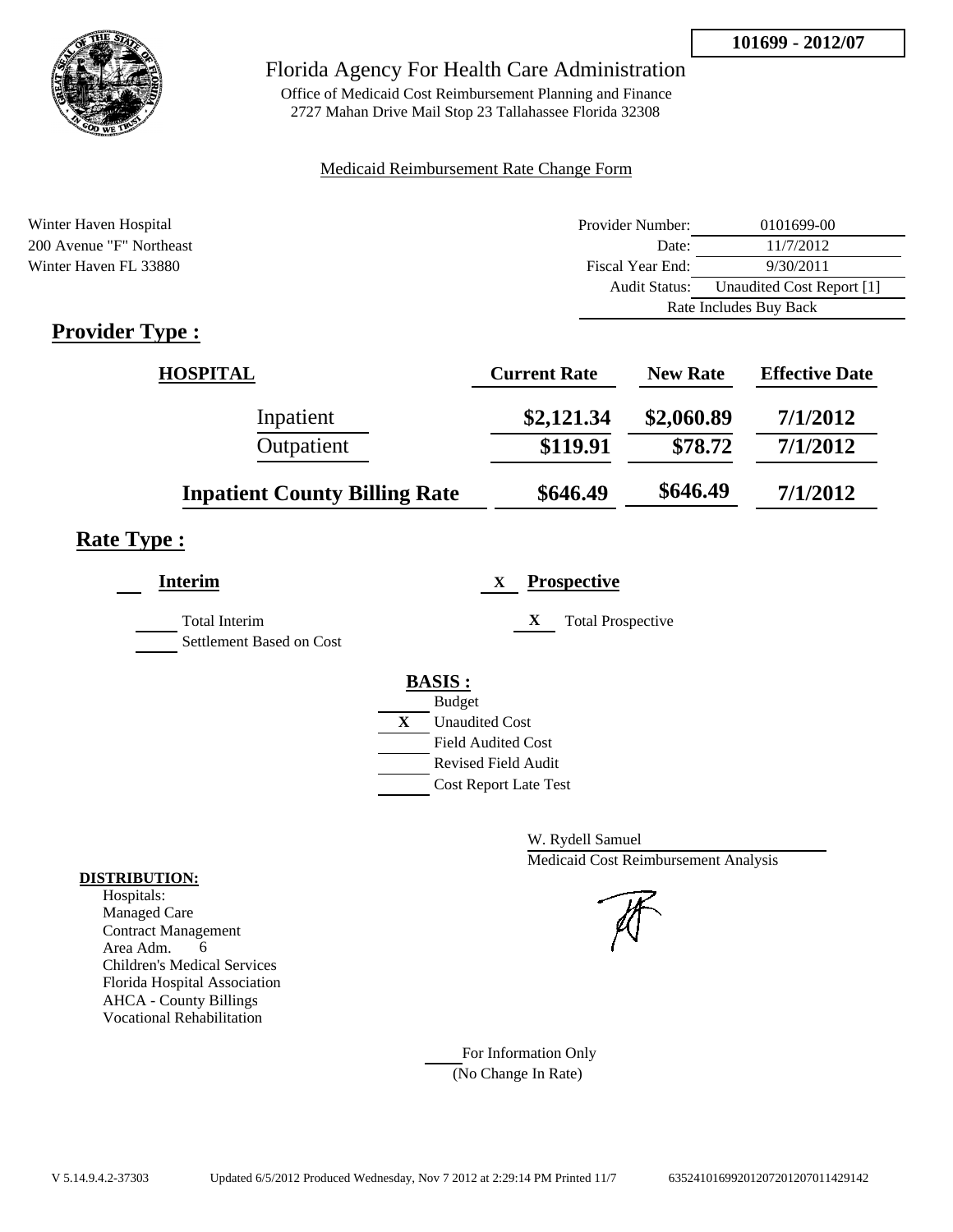

Office of Medicaid Cost Reimbursement Planning and Finance 2727 Mahan Drive Mail Stop 23 Tallahassee Florida 32308

#### Medicaid Reimbursement Rate Change Form

| Winter Haven Hospital      | Provider Number: | 0101699-00                |  |
|----------------------------|------------------|---------------------------|--|
| 200 Avenue "F" Northeast   | Date:            | 11/7/2012                 |  |
| Winter Haven FL 33880      | Fiscal Year End: | 9/30/2011                 |  |
|                            | Audit Status:    | Unaudited Cost Report [1] |  |
|                            |                  | Rate Includes Buy Back    |  |
| $\cdot$ $\cdot$<br>T.<br>m |                  |                           |  |

## **Provider Type :**

| <b>HOSPITAL</b>                      | <b>Current Rate</b> | <b>New Rate</b> | <b>Effective Date</b> |
|--------------------------------------|---------------------|-----------------|-----------------------|
| Inpatient                            | \$2,121.34          | \$2,060.89      | 7/1/2012              |
| Outpatient                           | \$119.91            | \$78.72         | 7/1/2012              |
| <b>Inpatient County Billing Rate</b> | \$646.49            | \$646.49        | 7/1/2012              |

## **Rate Type :**

| <b>Interim</b>                                   | <b>Prospective</b><br>X       |
|--------------------------------------------------|-------------------------------|
| <b>Total Interim</b><br>Settlement Based on Cost | X<br><b>Total Prospective</b> |
|                                                  | <b>BASIS:</b>                 |
|                                                  | <b>Budget</b>                 |
|                                                  | X<br><b>Unaudited Cost</b>    |
|                                                  | <b>Field Audited Cost</b>     |
|                                                  | <b>Revised Field Audit</b>    |
|                                                  | <b>Cost Report Late Test</b>  |
|                                                  |                               |

W. Rydell Samuel Medicaid Cost Reimbursement Analysis

For Information Only (No Change In Rate)

#### **DISTRIBUTION:**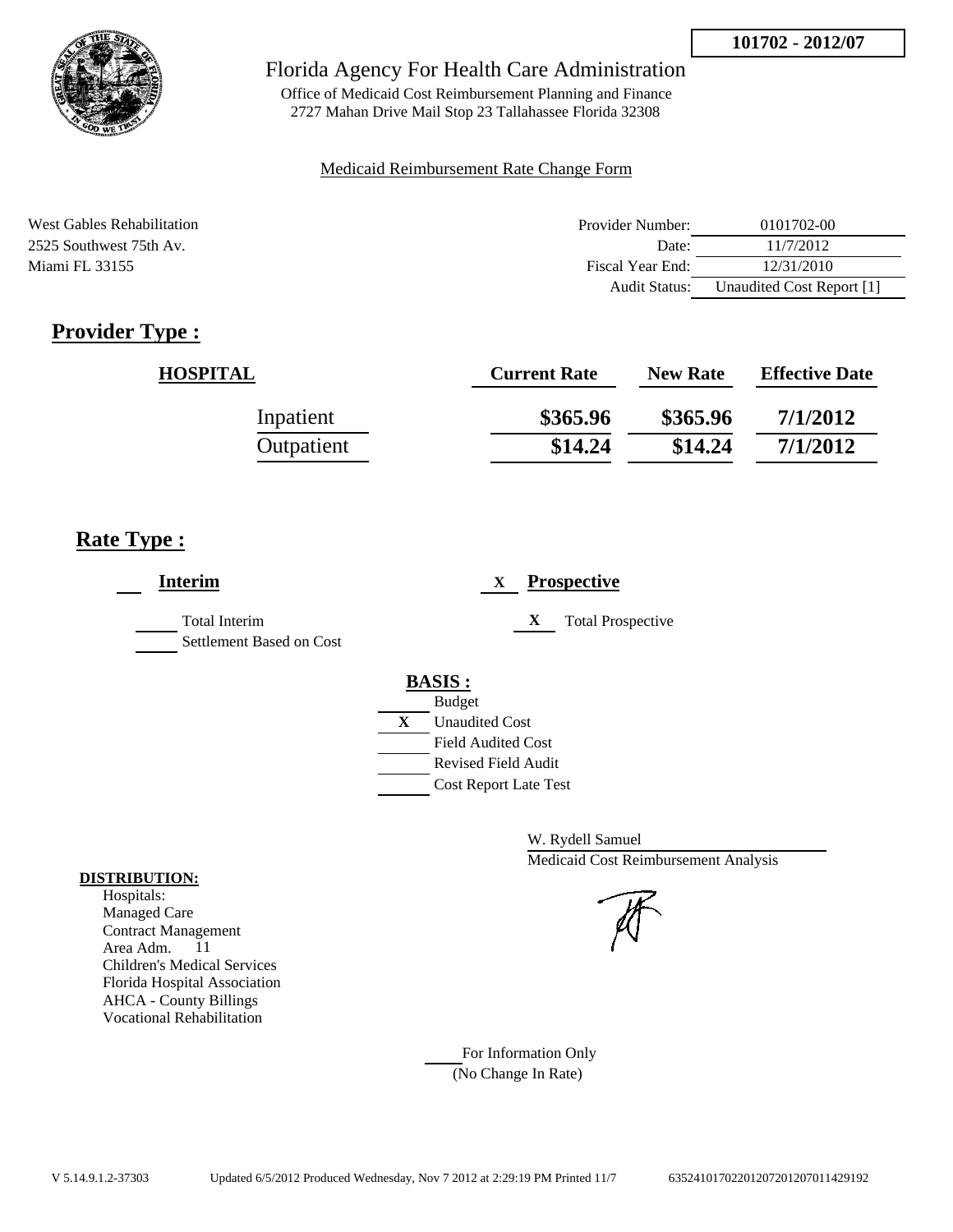

Office of Medicaid Cost Reimbursement Planning and Finance 2727 Mahan Drive Mail Stop 23 Tallahassee Florida 32308

#### Medicaid Reimbursement Rate Change Form

| West Gables Rehabilitation | Provider Number: | 0101702-00                |
|----------------------------|------------------|---------------------------|
| 2525 Southwest 75th Av.    | Date:            | 11/7/2012                 |
| Miami FL 33155             | Fiscal Year End: | 12/31/2010                |
|                            | Audit Status:    | Unaudited Cost Report [1] |

## **Provider Type :**

| <b>HOSPITAL</b> | <b>Current Rate</b> | <b>New Rate</b> | <b>Effective Date</b> |
|-----------------|---------------------|-----------------|-----------------------|
| Inpatient       | \$365.96            | \$365.96        | 7/1/2012              |
| Outpatient      | \$14.24             | \$14.24         | 7/1/2012              |

## **Rate Type :**

| <b>Interim</b>                                   | <b>Prospective</b><br>X       |
|--------------------------------------------------|-------------------------------|
| <b>Total Interim</b><br>Settlement Based on Cost | X<br><b>Total Prospective</b> |
|                                                  | <b>BASIS:</b>                 |
|                                                  | <b>Budget</b>                 |
|                                                  | X<br><b>Unaudited Cost</b>    |
|                                                  | <b>Field Audited Cost</b>     |
|                                                  | <b>Revised Field Audit</b>    |
|                                                  | <b>Cost Report Late Test</b>  |
|                                                  |                               |

W. Rydell Samuel Medicaid Cost Reimbursement Analysis



#### For Information Only (No Change In Rate)

**DISTRIBUTION:**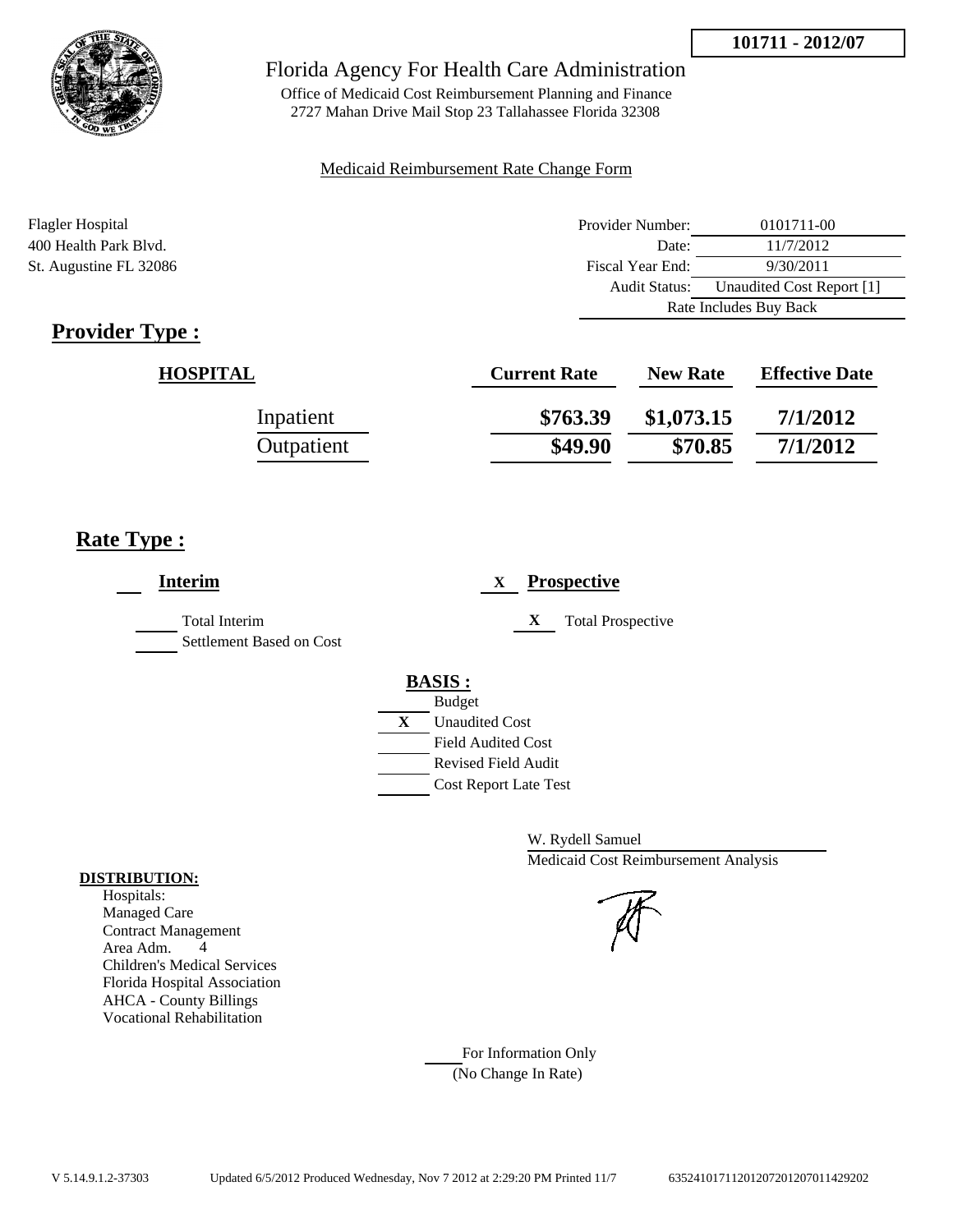



Office of Medicaid Cost Reimbursement Planning and Finance 2727 Mahan Drive Mail Stop 23 Tallahassee Florida 32308

#### Medicaid Reimbursement Rate Change Form

| Flagler Hospital       | Provider Number:     | 0101711-00                |
|------------------------|----------------------|---------------------------|
| 400 Health Park Blvd.  | Date:                | 11/7/2012                 |
| St. Augustine FL 32086 | Fiscal Year End:     | 9/30/2011                 |
|                        | <b>Audit Status:</b> | Unaudited Cost Report [1] |
|                        |                      | Rate Includes Buy Back    |

## **Provider Type :**

| <b>HOSPITAL</b> | <b>Current Rate</b> | <b>New Rate</b> | <b>Effective Date</b> |
|-----------------|---------------------|-----------------|-----------------------|
| Inpatient       | \$763.39            | \$1,073.15      | 7/1/2012              |
| Outpatient      | \$49.90             | \$70.85         | 7/1/2012              |

## **Rate Type :**

| <b>Interim</b>                                   | <b>Prospective</b><br>X       |
|--------------------------------------------------|-------------------------------|
| <b>Total Interim</b><br>Settlement Based on Cost | X<br><b>Total Prospective</b> |
|                                                  | <b>BASIS:</b>                 |
|                                                  | <b>Budget</b>                 |
|                                                  | X<br><b>Unaudited Cost</b>    |
|                                                  | <b>Field Audited Cost</b>     |
|                                                  | <b>Revised Field Audit</b>    |
|                                                  | <b>Cost Report Late Test</b>  |
|                                                  |                               |

W. Rydell Samuel Medicaid Cost Reimbursement Analysis

#### For Information Only (No Change In Rate)

**DISTRIBUTION:**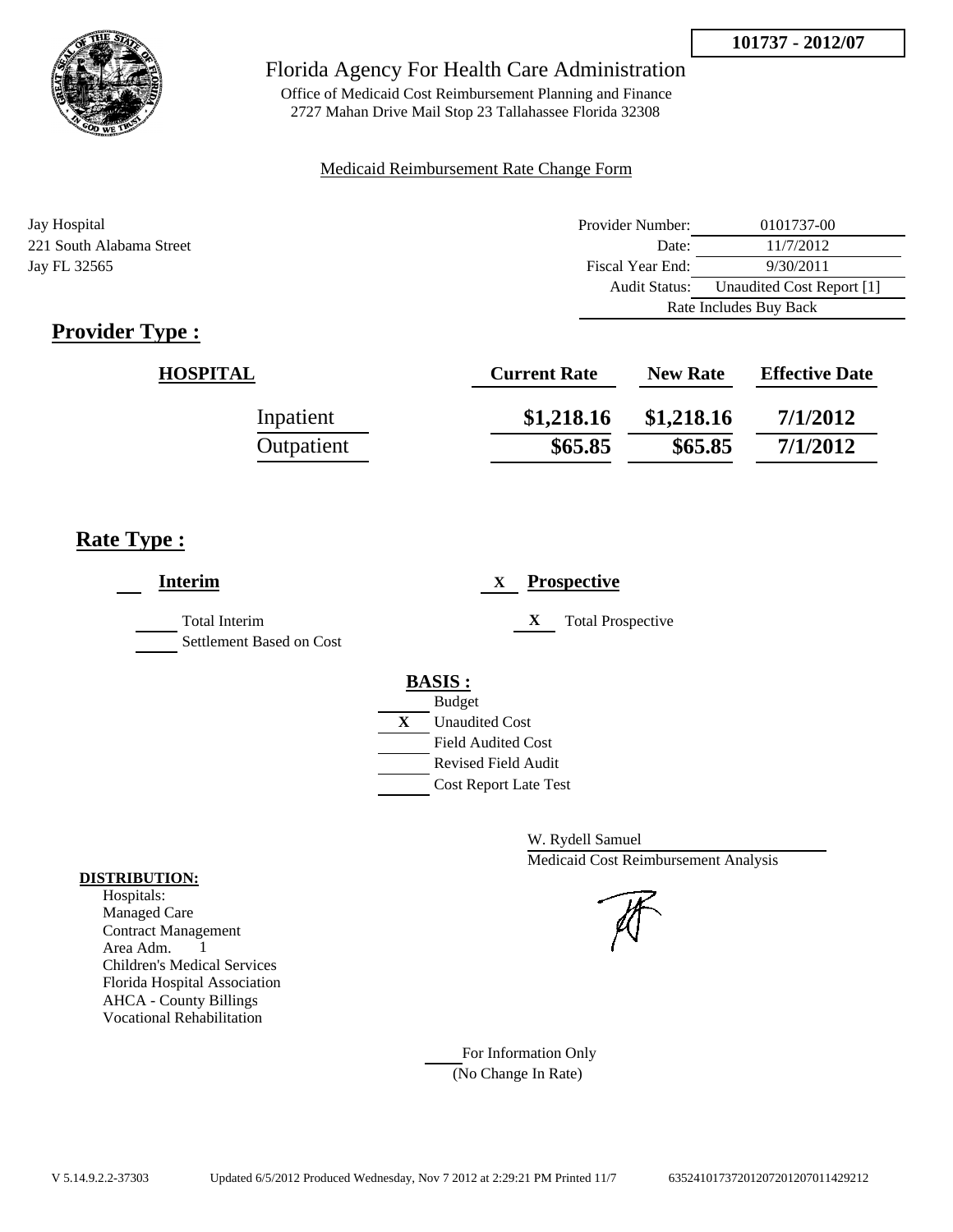



Office of Medicaid Cost Reimbursement Planning and Finance 2727 Mahan Drive Mail Stop 23 Tallahassee Florida 32308

#### Medicaid Reimbursement Rate Change Form

| Jay Hospital             | Provider Number: | 0101737-00                |
|--------------------------|------------------|---------------------------|
| 221 South Alabama Street | Date:            | 11/7/2012                 |
| Jay FL 32565             | Fiscal Year End: | 9/30/2011                 |
|                          | Audit Status:    | Unaudited Cost Report [1] |
|                          |                  | Rate Includes Buy Back    |

## **Provider Type :**

| <b>HOSPITAL</b> | <b>Current Rate</b> | <b>New Rate</b> | <b>Effective Date</b> |
|-----------------|---------------------|-----------------|-----------------------|
| Inpatient       | \$1,218.16          | \$1,218.16      | 7/1/2012              |
| Outpatient      | \$65.85             | \$65.85         | 7/1/2012              |

## **Rate Type :**

| <b>Interim</b>                                   | <b>Prospective</b><br>X                                                                                                                                 |
|--------------------------------------------------|---------------------------------------------------------------------------------------------------------------------------------------------------------|
| <b>Total Interim</b><br>Settlement Based on Cost | <b>Total Prospective</b><br>X                                                                                                                           |
|                                                  | <b>BASIS:</b><br><b>Budget</b><br>X<br><b>Unaudited Cost</b><br><b>Field Audited Cost</b><br><b>Revised Field Audit</b><br><b>Cost Report Late Test</b> |

W. Rydell Samuel Medicaid Cost Reimbursement Analysis

For Information Only (No Change In Rate)

#### **DISTRIBUTION:**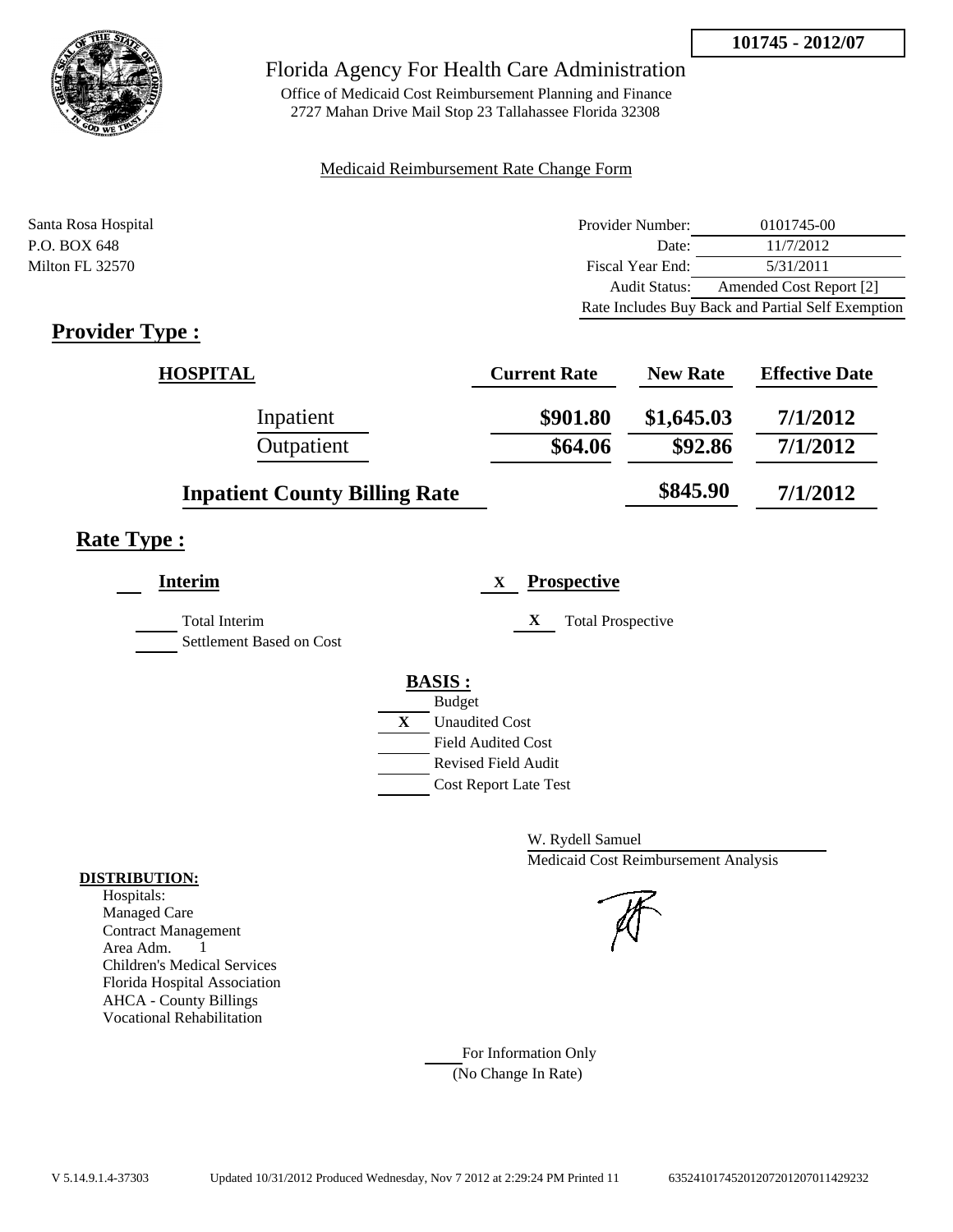

Office of Medicaid Cost Reimbursement Planning and Finance 2727 Mahan Drive Mail Stop 23 Tallahassee Florida 32308

#### Medicaid Reimbursement Rate Change Form

| Santa Rosa Hospital | Provider Number:     | 0101745-00                                        |
|---------------------|----------------------|---------------------------------------------------|
| P.O. BOX 648        | Date:                | 11/7/2012                                         |
| Milton FL 32570     | Fiscal Year End:     | 5/31/2011                                         |
|                     | <b>Audit Status:</b> | Amended Cost Report [2]                           |
|                     |                      | Rate Includes Buy Back and Partial Self Exemption |

## **Provider Type :**

| <b>HOSPITAL</b>                      | <b>Current Rate</b> | <b>New Rate</b> | <b>Effective Date</b> |
|--------------------------------------|---------------------|-----------------|-----------------------|
| Inpatient                            | \$901.80            | \$1,645.03      | 7/1/2012              |
| Outpatient                           | \$64.06             | \$92.86         | 7/1/2012              |
| <b>Inpatient County Billing Rate</b> |                     | \$845.90        | 7/1/2012              |

## **Rate Type :**

| <b>Interim</b>           |   | <b>Prospective</b><br>X       |
|--------------------------|---|-------------------------------|
| Total Interim            |   | X<br><b>Total Prospective</b> |
| Settlement Based on Cost |   |                               |
|                          |   | <b>BASIS:</b>                 |
|                          |   | <b>Budget</b>                 |
|                          | X | <b>Unaudited Cost</b>         |
|                          |   | <b>Field Audited Cost</b>     |
|                          |   | <b>Revised Field Audit</b>    |
|                          |   | <b>Cost Report Late Test</b>  |
|                          |   |                               |

W. Rydell Samuel Medicaid Cost Reimbursement Analysis

For Information Only (No Change In Rate)

#### **DISTRIBUTION:**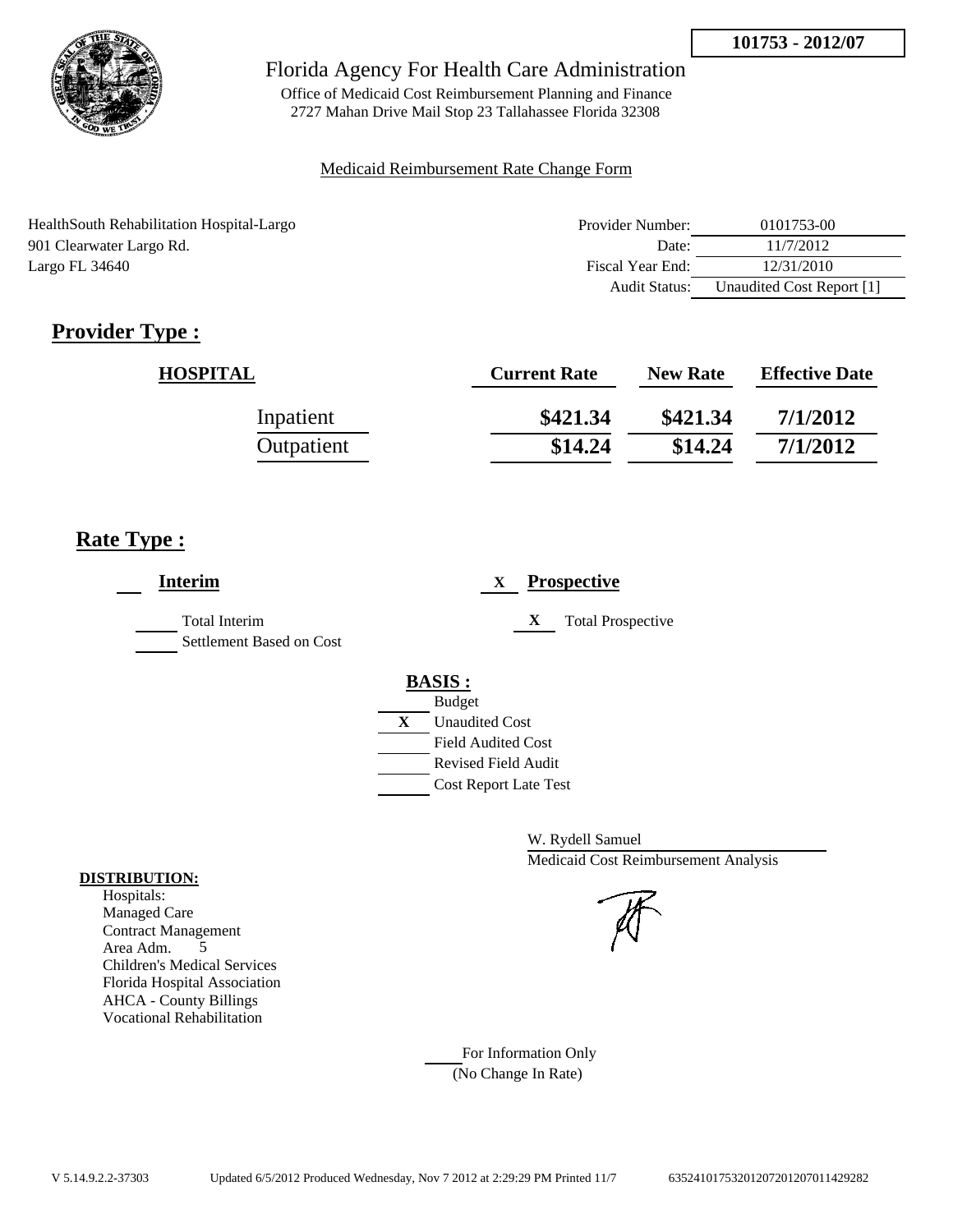

Office of Medicaid Cost Reimbursement Planning and Finance 2727 Mahan Drive Mail Stop 23 Tallahassee Florida 32308

### Medicaid Reimbursement Rate Change Form

| HealthSouth Rehabilitation Hospital-Largo | Provider Number: | 0101753-00                |
|-------------------------------------------|------------------|---------------------------|
| 901 Clearwater Largo Rd.                  | Date:            | 11/7/2012                 |
| Largo FL 34640                            | Fiscal Year End: | 12/31/2010                |
|                                           | Audit Status:    | Unaudited Cost Report [1] |

## **Provider Type :**

| <b>HOSPITAL</b> | <b>Current Rate</b> | <b>New Rate</b> | <b>Effective Date</b> |
|-----------------|---------------------|-----------------|-----------------------|
| Inpatient       | \$421.34            | \$421.34        | 7/1/2012              |
| Outpatient      | \$14.24             | \$14.24         | 7/1/2012              |

## **Rate Type :**

| <b>Interim</b>                                   | <b>Prospective</b><br>X       |
|--------------------------------------------------|-------------------------------|
| <b>Total Interim</b><br>Settlement Based on Cost | X<br><b>Total Prospective</b> |
|                                                  | <b>BASIS:</b>                 |
|                                                  | <b>Budget</b>                 |
|                                                  | X<br><b>Unaudited Cost</b>    |
|                                                  | <b>Field Audited Cost</b>     |
|                                                  | <b>Revised Field Audit</b>    |
|                                                  | <b>Cost Report Late Test</b>  |
|                                                  |                               |

W. Rydell Samuel Medicaid Cost Reimbursement Analysis

For Information Only (No Change In Rate)

#### **DISTRIBUTION:**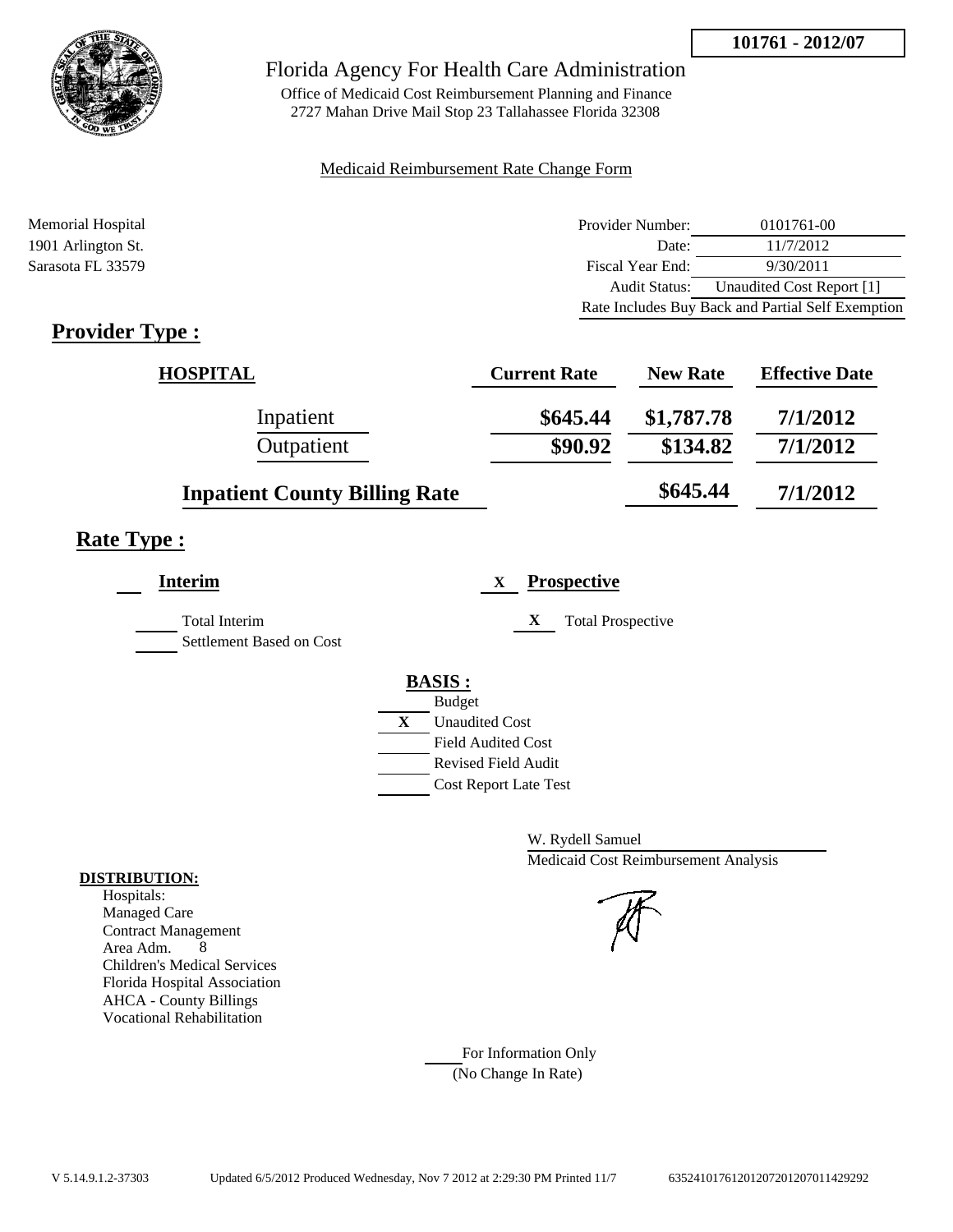

Office of Medicaid Cost Reimbursement Planning and Finance 2727 Mahan Drive Mail Stop 23 Tallahassee Florida 32308

#### Medicaid Reimbursement Rate Change Form

| Memorial Hospital  | Provider Number: | 0101761-00                                        |
|--------------------|------------------|---------------------------------------------------|
| 1901 Arlington St. | Date:            | 11/7/2012                                         |
| Sarasota FL 33579  | Fiscal Year End: | 9/30/2011                                         |
|                    | Audit Status:    | Unaudited Cost Report [1]                         |
|                    |                  | Rate Includes Buy Back and Partial Self Exemption |

## **Provider Type :**

| <b>HOSPITAL</b>                      | <b>Current Rate</b> | <b>New Rate</b> | <b>Effective Date</b> |
|--------------------------------------|---------------------|-----------------|-----------------------|
| Inpatient                            | \$645.44            | \$1,787.78      | 7/1/2012              |
| Outpatient                           | \$90.92             | \$134.82        | 7/1/2012              |
| <b>Inpatient County Billing Rate</b> |                     | \$645.44        | 7/1/2012              |

## **Rate Type :**

|   | X<br><b>Total Prospective</b> |
|---|-------------------------------|
|   | <b>BASIS:</b>                 |
|   | <b>Budget</b>                 |
| X | <b>Unaudited Cost</b>         |
|   | <b>Field Audited Cost</b>     |
|   | <b>Revised Field Audit</b>    |
|   | <b>Cost Report Late Test</b>  |
|   |                               |

W. Rydell Samuel Medicaid Cost Reimbursement Analysis



For Information Only (No Change In Rate)

#### **DISTRIBUTION:**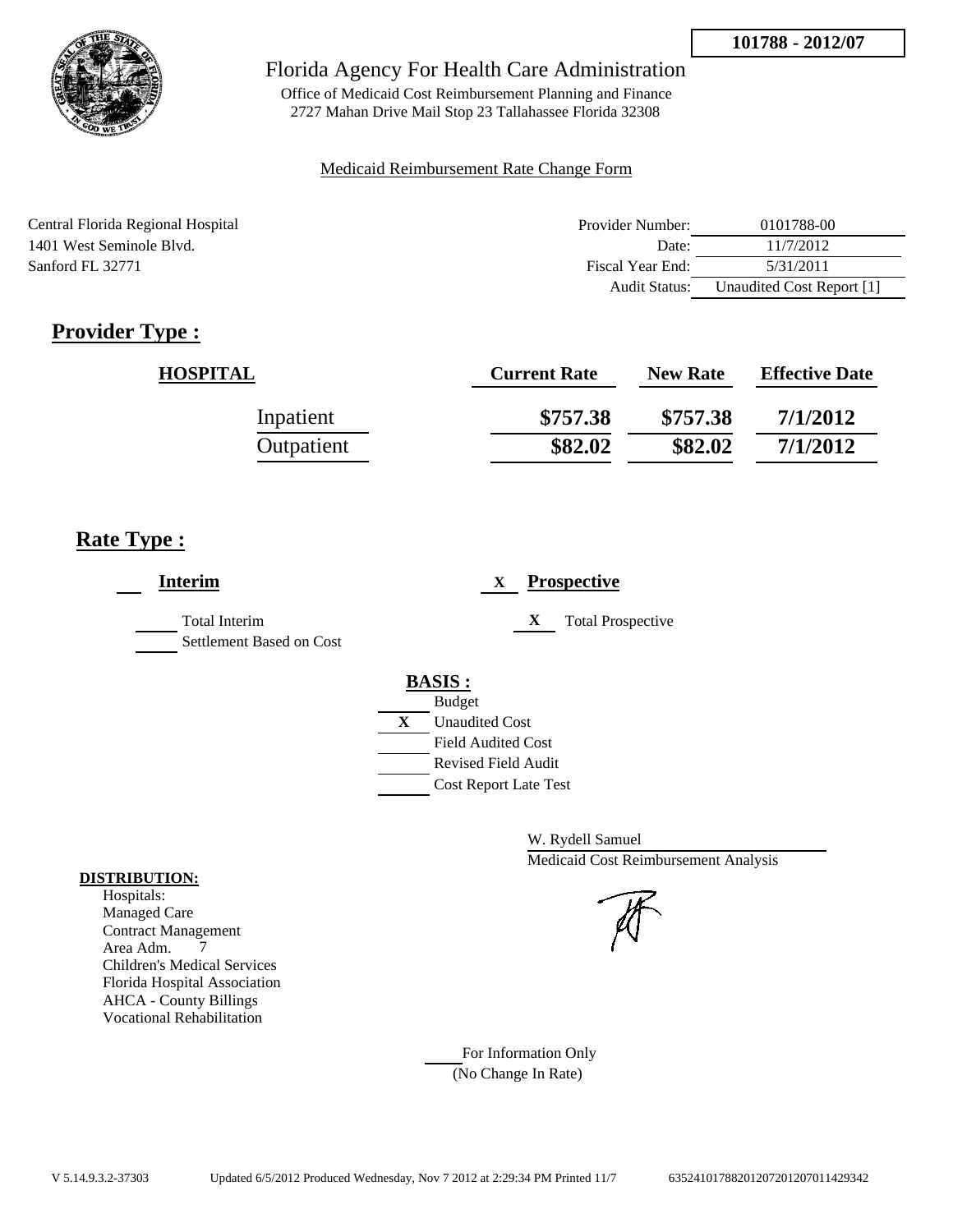

Office of Medicaid Cost Reimbursement Planning and Finance 2727 Mahan Drive Mail Stop 23 Tallahassee Florida 32308

#### Medicaid Reimbursement Rate Change Form

| Central Florida Regional Hospital | Provider Number: | 0101788-00                |
|-----------------------------------|------------------|---------------------------|
| 1401 West Seminole Blyd.          | Date:            | 11/7/2012                 |
| Sanford FL 32771                  | Fiscal Year End: | 5/31/2011                 |
|                                   | Audit Status:    | Unaudited Cost Report [1] |

## **Provider Type :**

| <b>HOSPITAL</b> | <b>Current Rate</b> | <b>New Rate</b> | <b>Effective Date</b> |
|-----------------|---------------------|-----------------|-----------------------|
| Inpatient       | \$757.38            | \$757.38        | 7/1/2012              |
| Outpatient      | \$82.02             | \$82.02         | 7/1/2012              |

## **Rate Type :**

| <b>Interim</b>                                   | <b>Prospective</b><br>X               |
|--------------------------------------------------|---------------------------------------|
| <b>Total Interim</b><br>Settlement Based on Cost | X<br><b>Total Prospective</b>         |
|                                                  | <b>BASIS:</b>                         |
|                                                  | <b>Budget</b>                         |
|                                                  | $\mathbf{X}$<br><b>Unaudited Cost</b> |
|                                                  | <b>Field Audited Cost</b>             |
|                                                  | Revised Field Audit                   |
|                                                  | <b>Cost Report Late Test</b>          |
|                                                  |                                       |

W. Rydell Samuel Medicaid Cost Reimbursement Analysis

For Information Only (No Change In Rate)

#### **DISTRIBUTION:**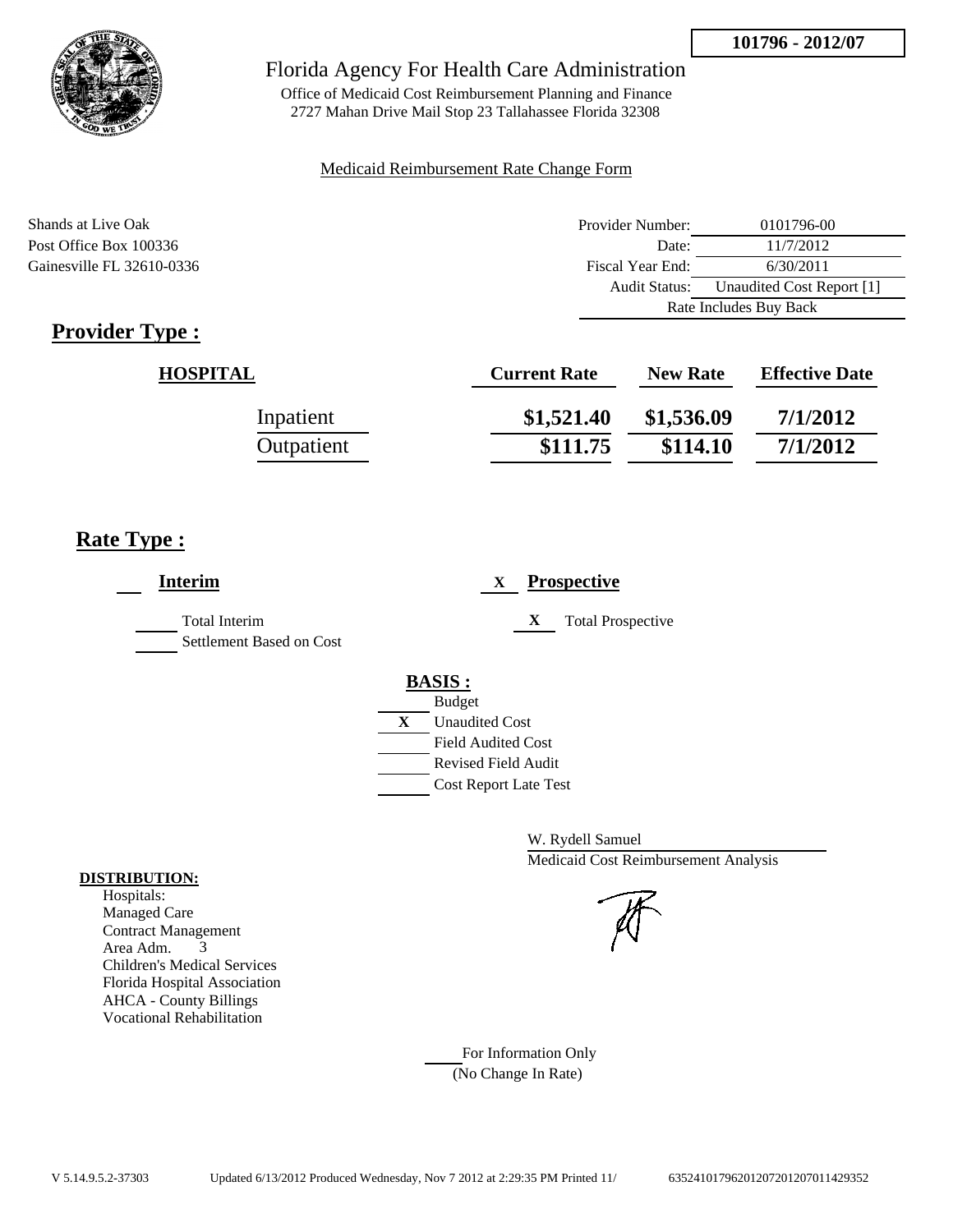

Office of Medicaid Cost Reimbursement Planning and Finance 2727 Mahan Drive Mail Stop 23 Tallahassee Florida 32308

### Medicaid Reimbursement Rate Change Form

Shands at Live Oak **Provider Number:** 0101796-00 Post Office Box 100336 Date: 11/7/2012 Gainesville FL 32610-0336 Fiscal Year End: 6/30/2011 Audit Status: Unaudited Cost Report [1] Rate Includes Buy Back

## **Provider Type :**

| <b>HOSPITAL</b> | <b>Current Rate</b> | <b>New Rate</b> | <b>Effective Date</b> |
|-----------------|---------------------|-----------------|-----------------------|
| Inpatient       | \$1,521.40          | \$1,536.09      | 7/1/2012              |
| Outpatient      | \$111.75            | \$114.10        | 7/1/2012              |

## **Rate Type :**

| <b>Interim</b>                                   | <b>Prospective</b><br>X                                                                                                                                 |
|--------------------------------------------------|---------------------------------------------------------------------------------------------------------------------------------------------------------|
| <b>Total Interim</b><br>Settlement Based on Cost | X<br><b>Total Prospective</b>                                                                                                                           |
|                                                  | <b>BASIS:</b><br><b>Budget</b><br>X<br><b>Unaudited Cost</b><br><b>Field Audited Cost</b><br><b>Revised Field Audit</b><br><b>Cost Report Late Test</b> |

W. Rydell Samuel Medicaid Cost Reimbursement Analysis

For Information Only (No Change In Rate)

#### **DISTRIBUTION:**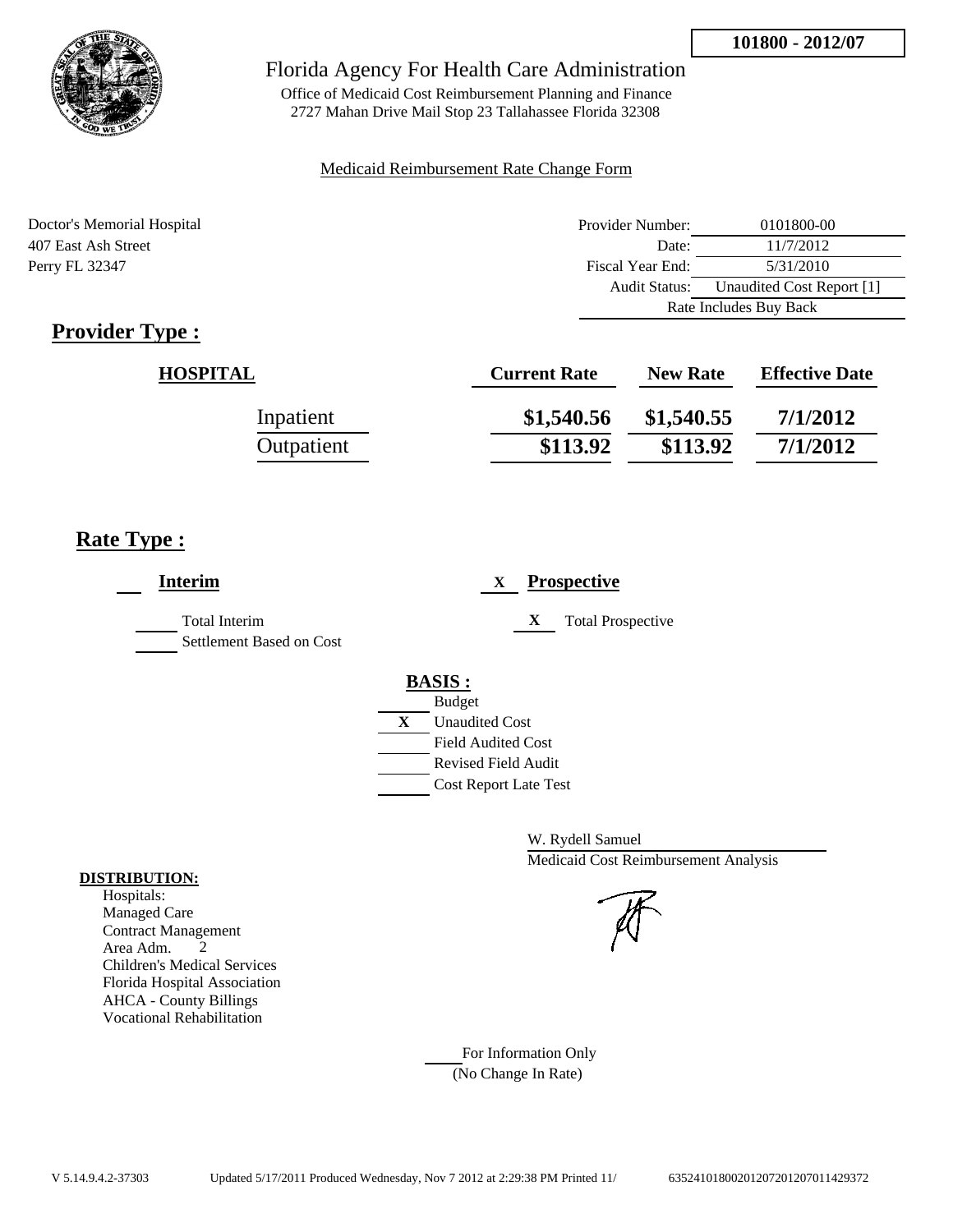

Office of Medicaid Cost Reimbursement Planning and Finance 2727 Mahan Drive Mail Stop 23 Tallahassee Florida 32308

### Medicaid Reimbursement Rate Change Form

Doctor's Memorial Hospital 407 East Ash Street Perry FL 32347

| Provider Number:       | 0101800-00                |
|------------------------|---------------------------|
| Date:                  | 11/7/2012                 |
| Fiscal Year End:       | 5/31/2010                 |
| <b>Audit Status:</b>   | Unaudited Cost Report [1] |
| Rate Includes Buy Back |                           |

## **Provider Type :**

| <b>HOSPITAL</b> | <b>Current Rate</b> | <b>New Rate</b> | <b>Effective Date</b> |
|-----------------|---------------------|-----------------|-----------------------|
| Inpatient       | \$1,540.56          | \$1,540.55      | 7/1/2012              |
| Outpatient      | \$113.92            | \$113.92        | 7/1/2012              |

## **Rate Type :**

| <b>Interim</b>                                   |   | <b>Prospective</b><br>X                                                                                            |
|--------------------------------------------------|---|--------------------------------------------------------------------------------------------------------------------|
| <b>Total Interim</b><br>Settlement Based on Cost |   | X<br><b>Total Prospective</b>                                                                                      |
|                                                  | X | <b>BASIS:</b><br><b>Budget</b><br><b>Unaudited Cost</b><br><b>Field Audited Cost</b><br><b>Revised Field Audit</b> |
|                                                  |   | <b>Cost Report Late Test</b>                                                                                       |

W. Rydell Samuel Medicaid Cost Reimbursement Analysis

For Information Only (No Change In Rate)

#### **DISTRIBUTION:**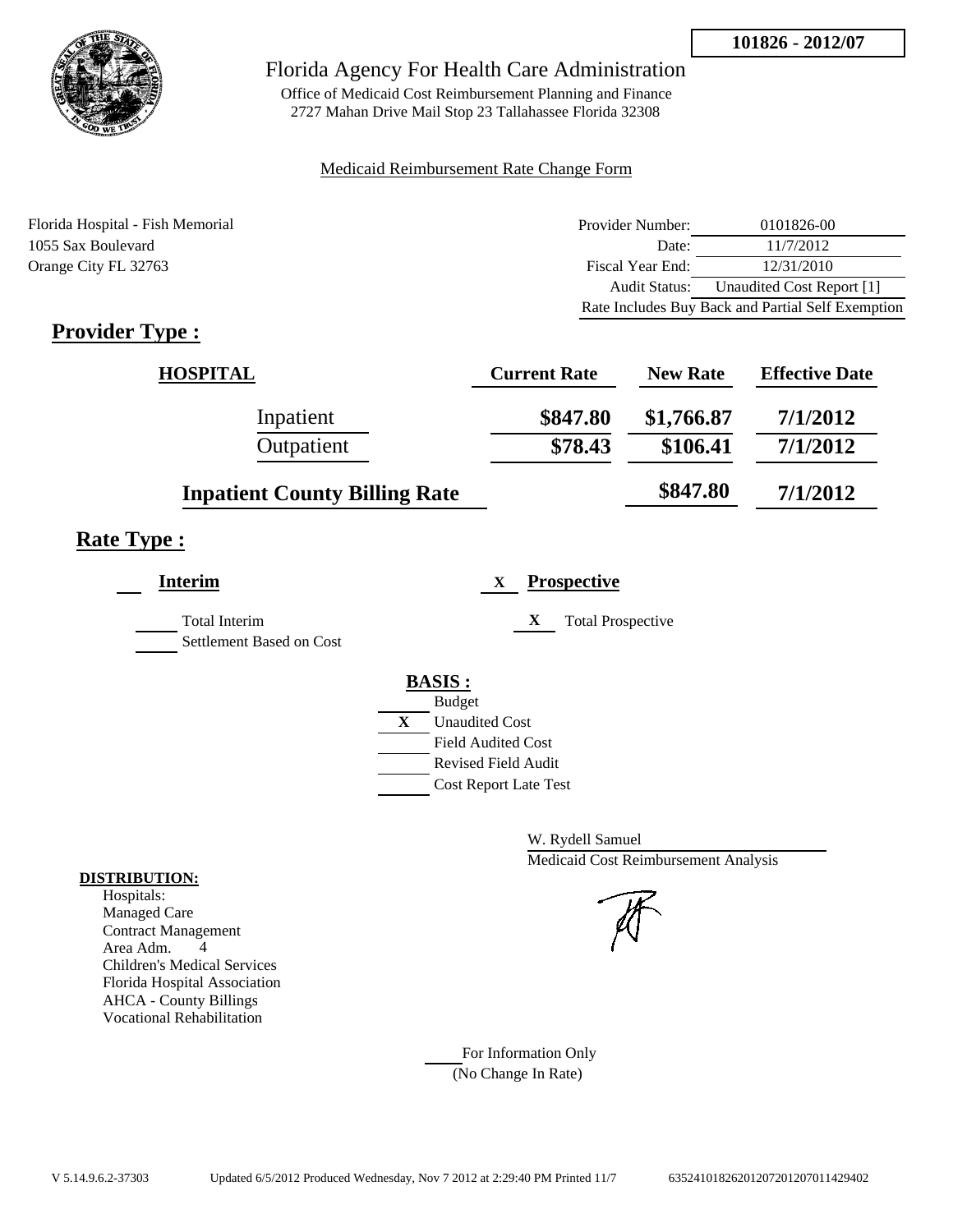

Office of Medicaid Cost Reimbursement Planning and Finance 2727 Mahan Drive Mail Stop 23 Tallahassee Florida 32308

#### Medicaid Reimbursement Rate Change Form

Florida Hospital - Fish Memorial 1055 Sax Boulevard Orange City FL 32763

| Provider Number:     | 0101826-00                                        |
|----------------------|---------------------------------------------------|
| Date:                | 11/7/2012                                         |
| Fiscal Year End:     | 12/31/2010                                        |
| <b>Audit Status:</b> | Unaudited Cost Report [1]                         |
|                      | Rate Includes Buy Back and Partial Self Exemption |

## **Provider Type :**

| <b>HOSPITAL</b>                      | <b>Current Rate</b> | <b>New Rate</b> | <b>Effective Date</b> |
|--------------------------------------|---------------------|-----------------|-----------------------|
| Inpatient                            | \$847.80            | \$1,766.87      | 7/1/2012              |
| Outpatient                           | \$78.43             | \$106.41        | 7/1/2012              |
| <b>Inpatient County Billing Rate</b> |                     | \$847.80        | 7/1/2012              |

## **Rate Type :**

| <b>Interim</b>                            |   | <b>Prospective</b><br>X       |
|-------------------------------------------|---|-------------------------------|
| Total Interim<br>Settlement Based on Cost |   | X<br><b>Total Prospective</b> |
|                                           |   | <b>BASIS:</b>                 |
|                                           |   | <b>Budget</b>                 |
|                                           | X | <b>Unaudited Cost</b>         |
|                                           |   | <b>Field Audited Cost</b>     |
|                                           |   | Revised Field Audit           |
|                                           |   | <b>Cost Report Late Test</b>  |
|                                           |   |                               |

W. Rydell Samuel Medicaid Cost Reimbursement Analysis

For Information Only (No Change In Rate)

#### **DISTRIBUTION:**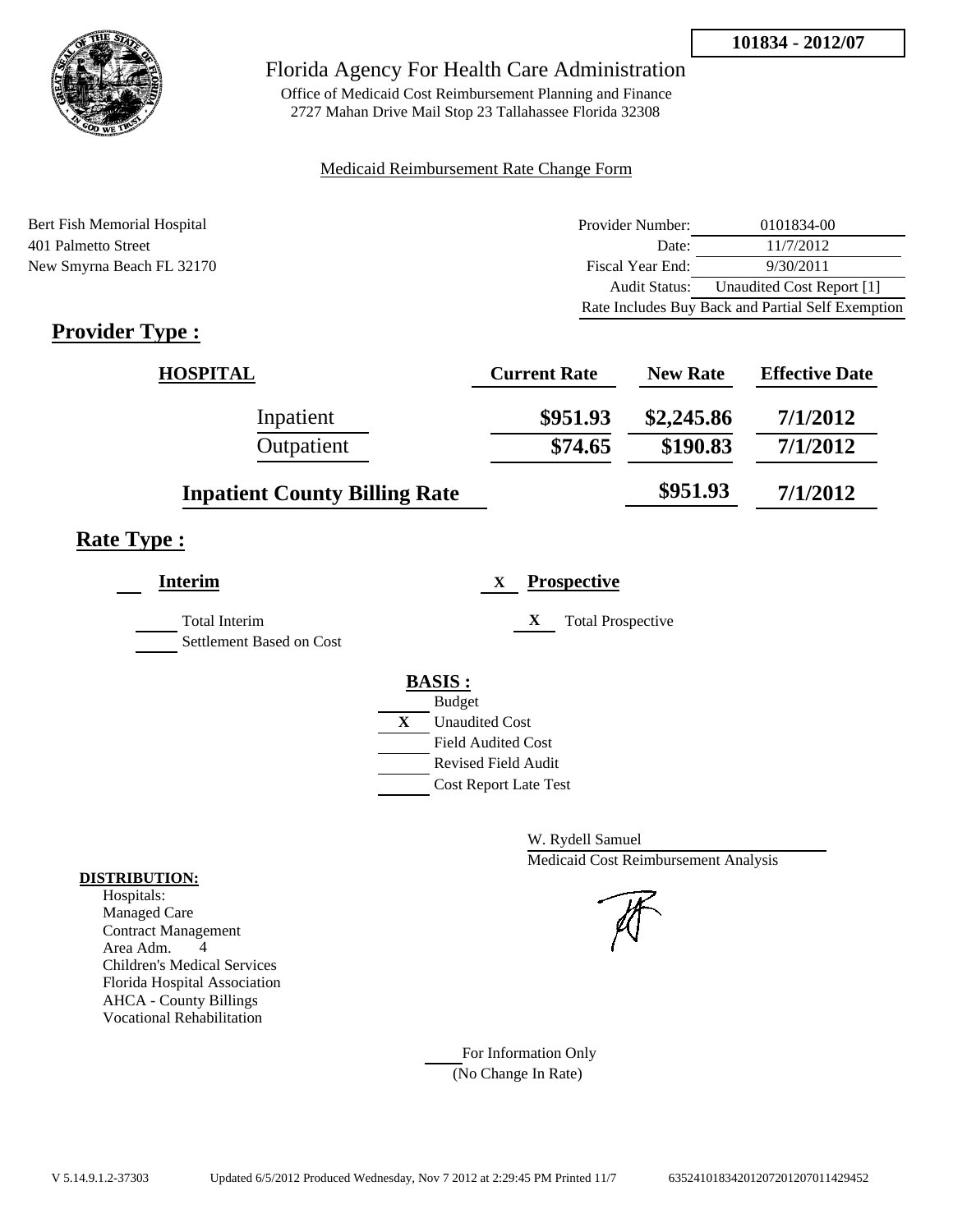

Office of Medicaid Cost Reimbursement Planning and Finance 2727 Mahan Drive Mail Stop 23 Tallahassee Florida 32308

#### Medicaid Reimbursement Rate Change Form

Bert Fish Memorial Hospital 401 Palmetto Street New Smyrna Beach FL 32170

| Provider Number: | 0101834-00                                        |
|------------------|---------------------------------------------------|
| Date:            | 11/7/2012                                         |
| Fiscal Year End: | 9/30/2011                                         |
| Audit Status:    | Unaudited Cost Report [1]                         |
|                  | Rate Includes Buy Back and Partial Self Exemption |

## **Provider Type :**

| <b>HOSPITAL</b>                      | <b>Current Rate</b> | <b>New Rate</b> | <b>Effective Date</b> |
|--------------------------------------|---------------------|-----------------|-----------------------|
| Inpatient                            | \$951.93            | \$2,245.86      | 7/1/2012              |
| Outpatient                           | \$74.65             | \$190.83        | 7/1/2012              |
| <b>Inpatient County Billing Rate</b> |                     | \$951.93        | 7/1/2012              |

## **Rate Type :**

L,

| <b>Interim</b>                            |              | <b>Prospective</b><br>X       |
|-------------------------------------------|--------------|-------------------------------|
| Total Interim<br>Settlement Based on Cost |              | X<br><b>Total Prospective</b> |
|                                           |              | <b>BASIS:</b>                 |
|                                           |              | <b>Budget</b>                 |
|                                           | $\mathbf{X}$ | <b>Unaudited Cost</b>         |
|                                           |              | <b>Field Audited Cost</b>     |
|                                           |              | Revised Field Audit           |
|                                           |              | <b>Cost Report Late Test</b>  |
|                                           |              |                               |

W. Rydell Samuel Medicaid Cost Reimbursement Analysis

#### For Information Only (No Change In Rate)

**DISTRIBUTION:**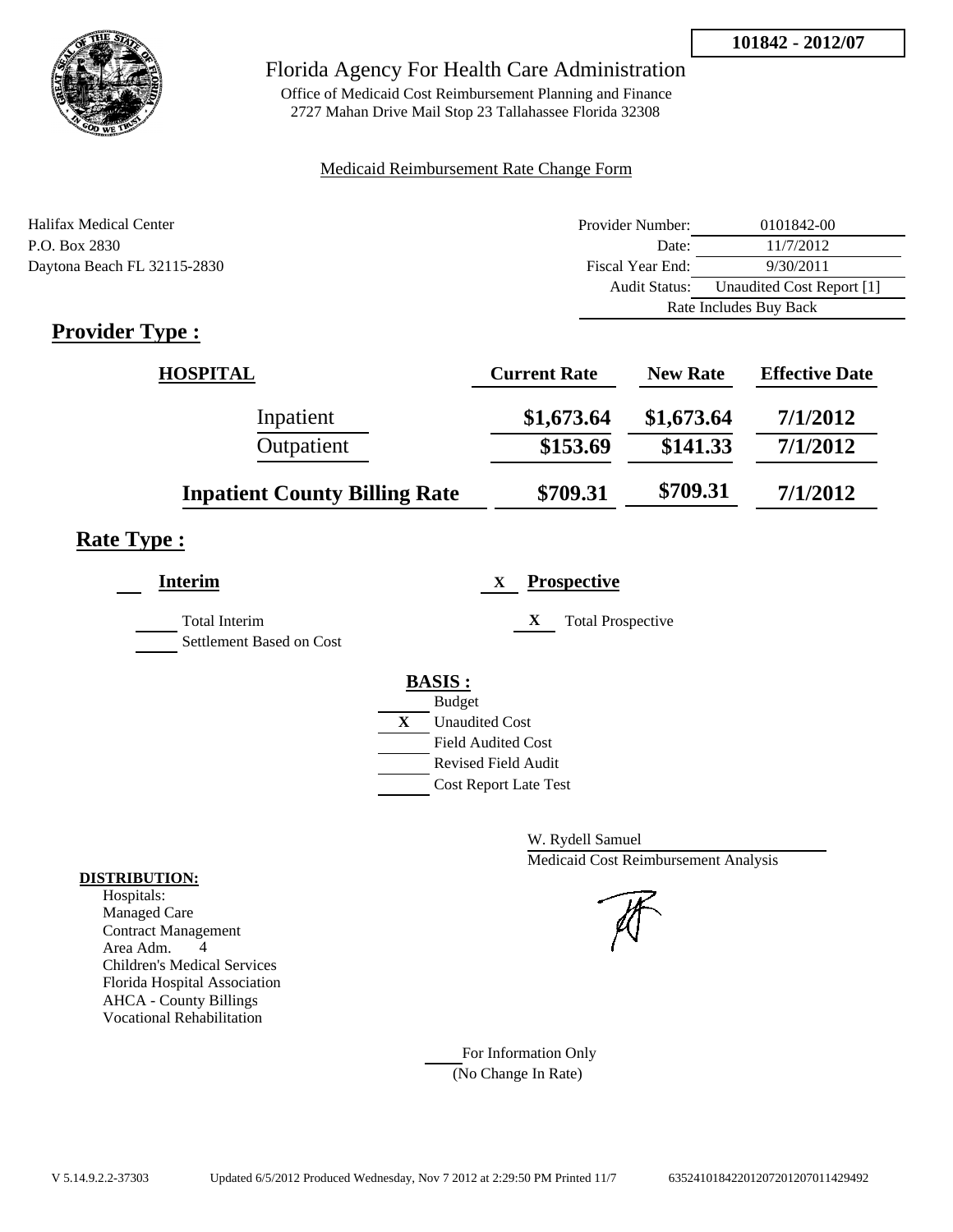**101842 - 2012/07**



## Florida Agency For Health Care Administration

Office of Medicaid Cost Reimbursement Planning and Finance 2727 Mahan Drive Mail Stop 23 Tallahassee Florida 32308

### Medicaid Reimbursement Rate Change Form

| Halifax Medical Center      | Provider Number:     | 0101842-00                |
|-----------------------------|----------------------|---------------------------|
| P.O. Box 2830               | Date:                | 11/7/2012                 |
| Daytona Beach FL 32115-2830 | Fiscal Year End:     | 9/30/2011                 |
|                             | <b>Audit Status:</b> | Unaudited Cost Report [1] |
|                             |                      | Rate Includes Buy Back    |

## **Provider Type :**

| <b>HOSPITAL</b>                      | <b>Current Rate</b> | <b>New Rate</b> | <b>Effective Date</b> |
|--------------------------------------|---------------------|-----------------|-----------------------|
| Inpatient                            | \$1,673.64          | \$1,673.64      | 7/1/2012              |
| Outpatient                           | \$153.69            | \$141.33        | 7/1/2012              |
| <b>Inpatient County Billing Rate</b> | \$709.31            | \$709.31        | 7/1/2012              |

## **Rate Type :**

| <b>Interim</b>                                   | <b>Prospective</b><br>X                                 |
|--------------------------------------------------|---------------------------------------------------------|
| <b>Total Interim</b><br>Settlement Based on Cost | X<br><b>Total Prospective</b>                           |
|                                                  | <b>BASIS:</b>                                           |
|                                                  | <b>Budget</b><br>X<br><b>Unaudited Cost</b>             |
|                                                  | <b>Field Audited Cost</b><br><b>Revised Field Audit</b> |
|                                                  | <b>Cost Report Late Test</b>                            |

W. Rydell Samuel Medicaid Cost Reimbursement Analysis

For Information Only (No Change In Rate)

#### **DISTRIBUTION:**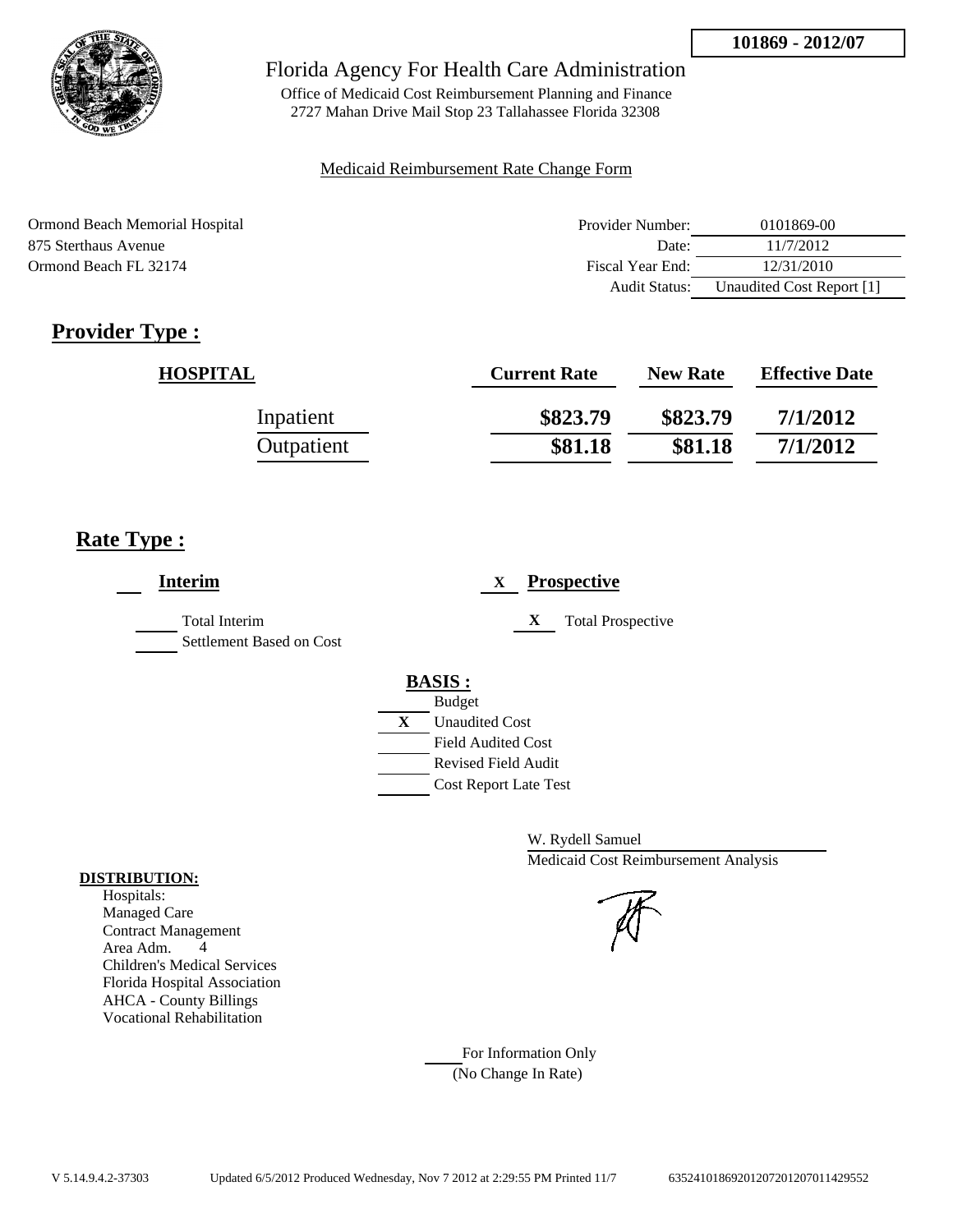

Office of Medicaid Cost Reimbursement Planning and Finance 2727 Mahan Drive Mail Stop 23 Tallahassee Florida 32308

### Medicaid Reimbursement Rate Change Form

| Ormond Beach Memorial Hospital | Provider Number: | 0101869-00                |
|--------------------------------|------------------|---------------------------|
| 875 Sterthaus Avenue           | Date:            | 11/7/2012                 |
| Ormond Beach FL 32174          | Fiscal Year End: | 12/31/2010                |
|                                | Audit Status:    | Unaudited Cost Report [1] |

## **Provider Type :**

| <b>HOSPITAL</b> | <b>Current Rate</b> | <b>New Rate</b> | <b>Effective Date</b> |
|-----------------|---------------------|-----------------|-----------------------|
| Inpatient       | \$823.79            | \$823.79        | 7/1/2012              |
| Outpatient      | \$81.18             | \$81.18         | 7/1/2012              |

## **Rate Type :**

| <b>Interim</b>                                   | <b>Prospective</b><br>X                                                                                                                          |
|--------------------------------------------------|--------------------------------------------------------------------------------------------------------------------------------------------------|
| <b>Total Interim</b><br>Settlement Based on Cost | X<br><b>Total Prospective</b>                                                                                                                    |
|                                                  | <b>BASIS:</b><br><b>Budget</b><br>X<br><b>Unaudited Cost</b><br><b>Field Audited Cost</b><br>Revised Field Audit<br><b>Cost Report Late Test</b> |

W. Rydell Samuel Medicaid Cost Reimbursement Analysis

For Information Only (No Change In Rate)

#### **DISTRIBUTION:**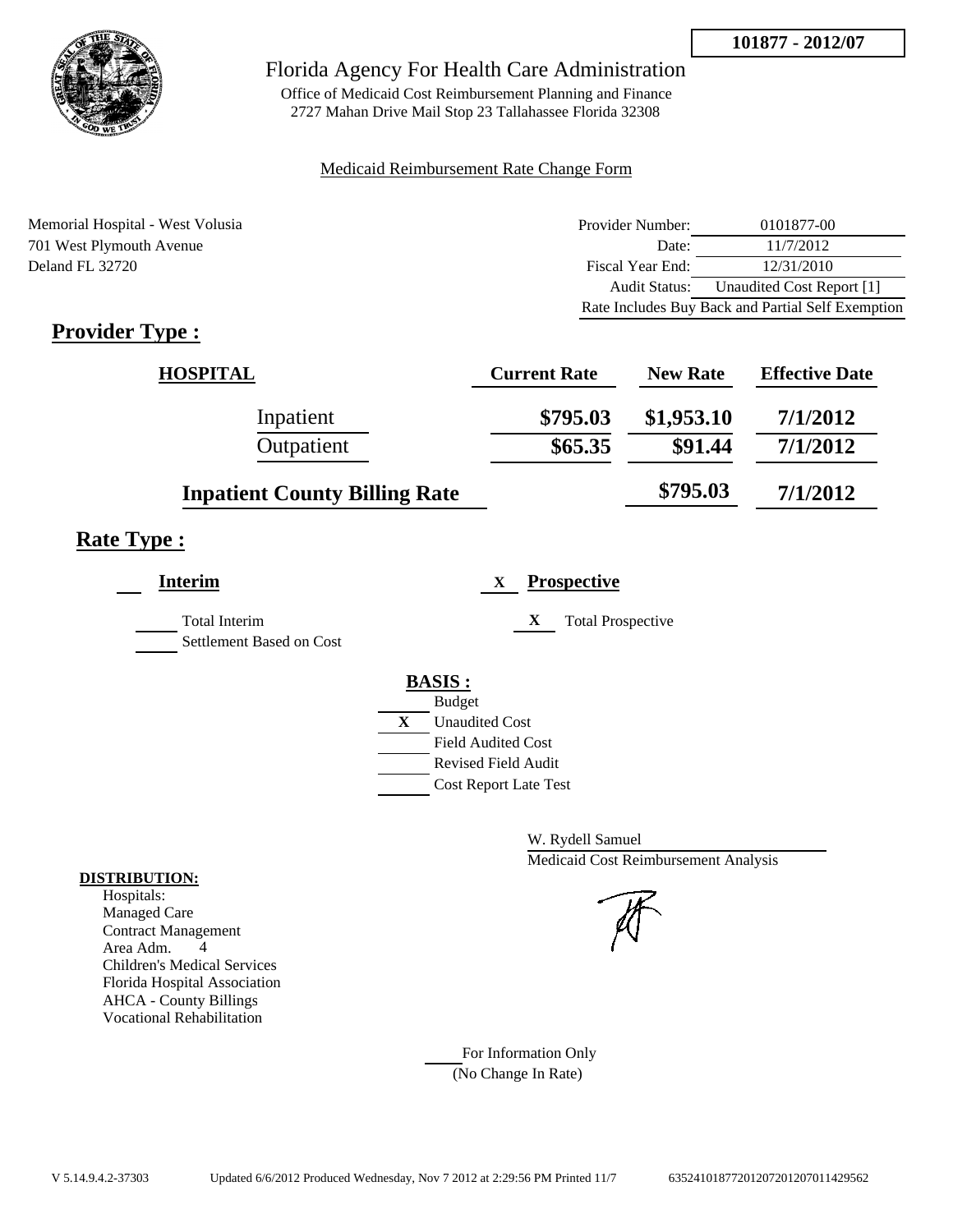

Office of Medicaid Cost Reimbursement Planning and Finance 2727 Mahan Drive Mail Stop 23 Tallahassee Florida 32308

#### Medicaid Reimbursement Rate Change Form

Memorial Hospital - West Volusia 701 West Plymouth Avenue Deland FL 32720

| Provider Number: | 0101877-00                                        |
|------------------|---------------------------------------------------|
| Date:            | 11/7/2012                                         |
| Fiscal Year End: | 12/31/2010                                        |
| Audit Status:    | Unaudited Cost Report [1]                         |
|                  | Rate Includes Buy Back and Partial Self Exemption |

## **Provider Type :**

| <b>HOSPITAL</b>                      | <b>Current Rate</b> | <b>New Rate</b> | <b>Effective Date</b> |
|--------------------------------------|---------------------|-----------------|-----------------------|
| Inpatient                            | \$795.03            | \$1,953.10      | 7/1/2012              |
| Outpatient                           | \$65.35             | \$91.44         | 7/1/2012              |
| <b>Inpatient County Billing Rate</b> |                     | \$795.03        | 7/1/2012              |

## **Rate Type :**

| <b>Interim</b>                                   |   | <b>Prospective</b><br>X       |
|--------------------------------------------------|---|-------------------------------|
| <b>Total Interim</b><br>Settlement Based on Cost |   | X<br><b>Total Prospective</b> |
|                                                  |   | <b>BASIS:</b>                 |
|                                                  |   | <b>Budget</b>                 |
|                                                  | X | <b>Unaudited Cost</b>         |
|                                                  |   | <b>Field Audited Cost</b>     |
|                                                  |   | <b>Revised Field Audit</b>    |
|                                                  |   | <b>Cost Report Late Test</b>  |
|                                                  |   |                               |

W. Rydell Samuel Medicaid Cost Reimbursement Analysis

For Information Only (No Change In Rate)

#### **DISTRIBUTION:**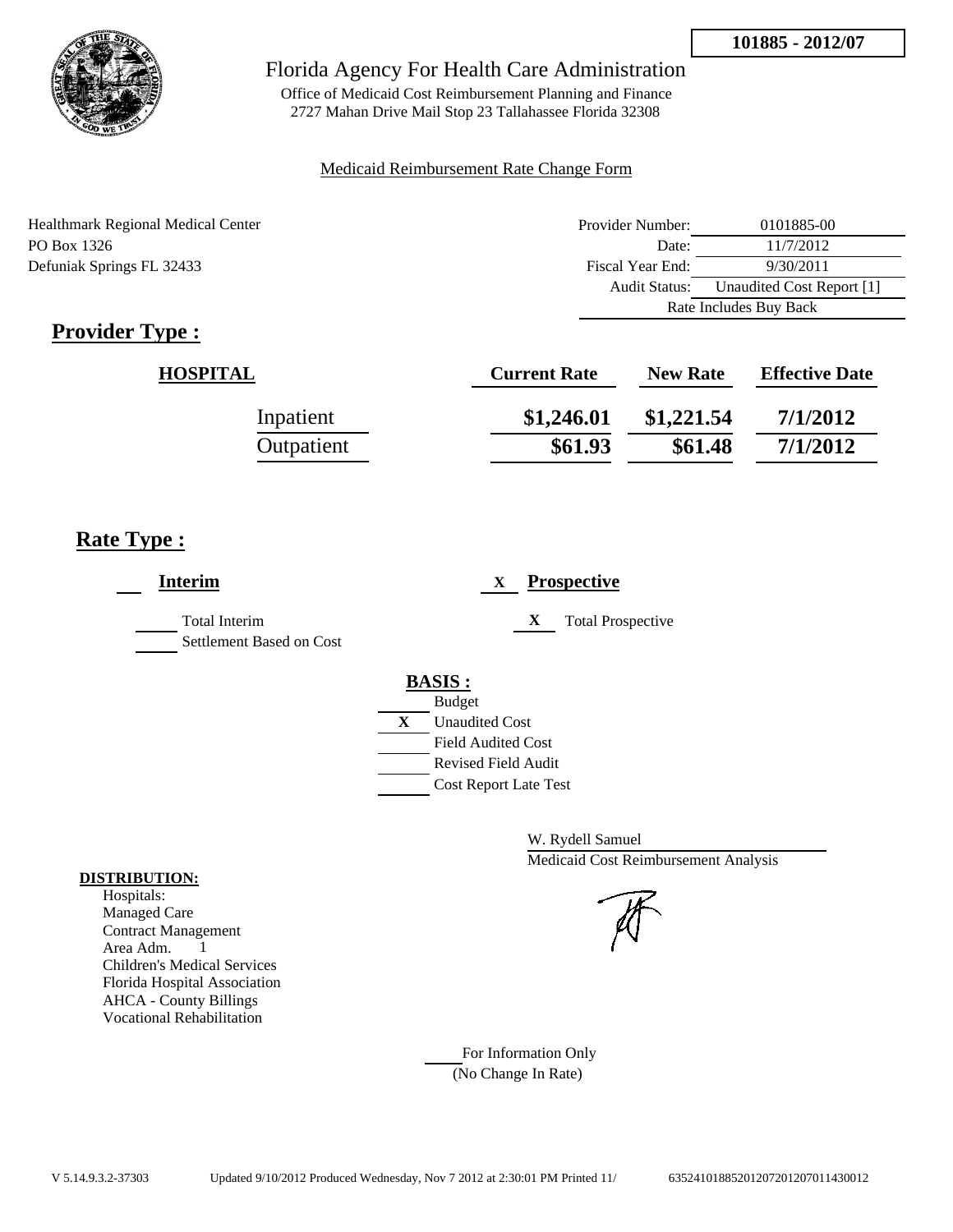

Office of Medicaid Cost Reimbursement Planning and Finance 2727 Mahan Drive Mail Stop 23 Tallahassee Florida 32308

### Medicaid Reimbursement Rate Change Form

| <b>Healthmark Regional Medical Center</b> | Provider Number: | 0101885-00                |
|-------------------------------------------|------------------|---------------------------|
| PO Box 1326                               | Date:            | 11/7/2012                 |
| Defuniak Springs FL 32433                 | Fiscal Year End: | 9/30/2011                 |
|                                           | Audit Status:    | Unaudited Cost Report [1] |
|                                           |                  | Rate Includes Buy Back    |

## **Provider Type :**

| <b>HOSPITAL</b> | <b>Current Rate</b> | <b>New Rate</b> | <b>Effective Date</b> |
|-----------------|---------------------|-----------------|-----------------------|
| Inpatient       | \$1,246.01          | \$1,221.54      | 7/1/2012              |
| Outpatient      | \$61.93             | \$61.48         | 7/1/2012              |

## **Rate Type :**

| <b>Interim</b>                                   | <b>Prospective</b><br>X                                                                                                                                 |
|--------------------------------------------------|---------------------------------------------------------------------------------------------------------------------------------------------------------|
| <b>Total Interim</b><br>Settlement Based on Cost | <b>Total Prospective</b><br>X                                                                                                                           |
|                                                  | <b>BASIS:</b><br><b>Budget</b><br>X<br><b>Unaudited Cost</b><br><b>Field Audited Cost</b><br><b>Revised Field Audit</b><br><b>Cost Report Late Test</b> |

W. Rydell Samuel Medicaid Cost Reimbursement Analysis

For Information Only (No Change In Rate)

#### **DISTRIBUTION:**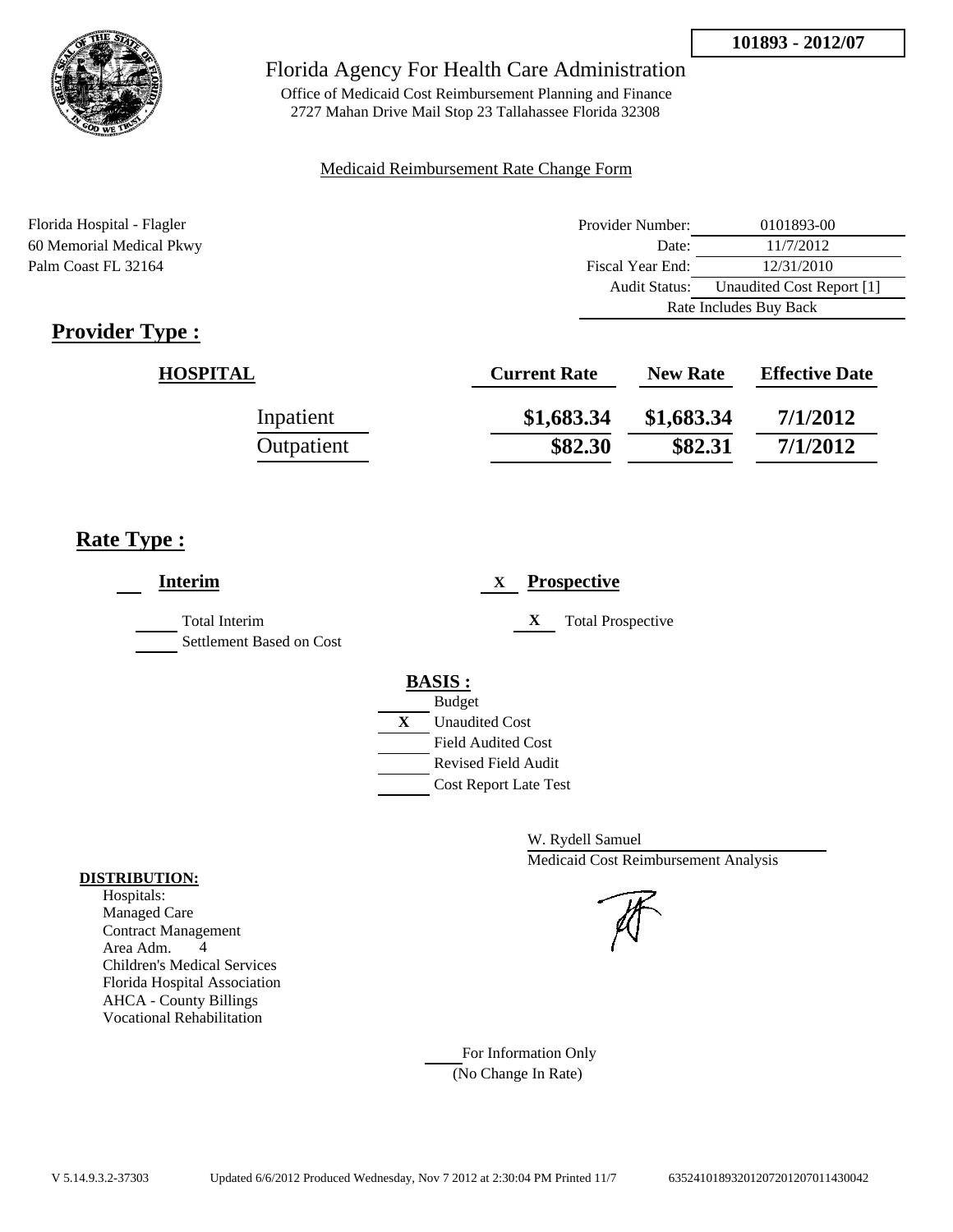

Office of Medicaid Cost Reimbursement Planning and Finance 2727 Mahan Drive Mail Stop 23 Tallahassee Florida 32308

#### Medicaid Reimbursement Rate Change Form

Florida Hospital - Flagler Provider Number: 0101893-00 60 Memorial Medical Pkwy Date: 11/7/2012 Palm Coast FL 32164 Fiscal Year End: 12/31/2010 Audit Status: Unaudited Cost Report [1] Rate Includes Buy Back

## **Provider Type :**

| <b>HOSPITAL</b> | <b>Current Rate</b> | <b>New Rate</b> | <b>Effective Date</b> |
|-----------------|---------------------|-----------------|-----------------------|
| Inpatient       | \$1,683.34          | \$1,683.34      | 7/1/2012              |
| Outpatient      | \$82.30             | \$82.31         | 7/1/2012              |

## **Rate Type :**

| <b>Interim</b>                            | <b>Prospective</b><br>X                                                                                                            |
|-------------------------------------------|------------------------------------------------------------------------------------------------------------------------------------|
| Total Interim<br>Settlement Based on Cost | X<br><b>Total Prospective</b>                                                                                                      |
|                                           | <b>BASIS:</b><br><b>Budget</b><br>$\mathbf{X}$<br><b>Unaudited Cost</b><br><b>Field Audited Cost</b><br><b>Revised Field Audit</b> |
|                                           | <b>Cost Report Late Test</b>                                                                                                       |

W. Rydell Samuel Medicaid Cost Reimbursement Analysis

#### Managed Care

**DISTRIBUTION:** Hospitals:

> Contract Management Area Adm. 4 Children's Medical Services Florida Hospital Association AHCA - County Billings Vocational Rehabilitation

> > For Information Only (No Change In Rate)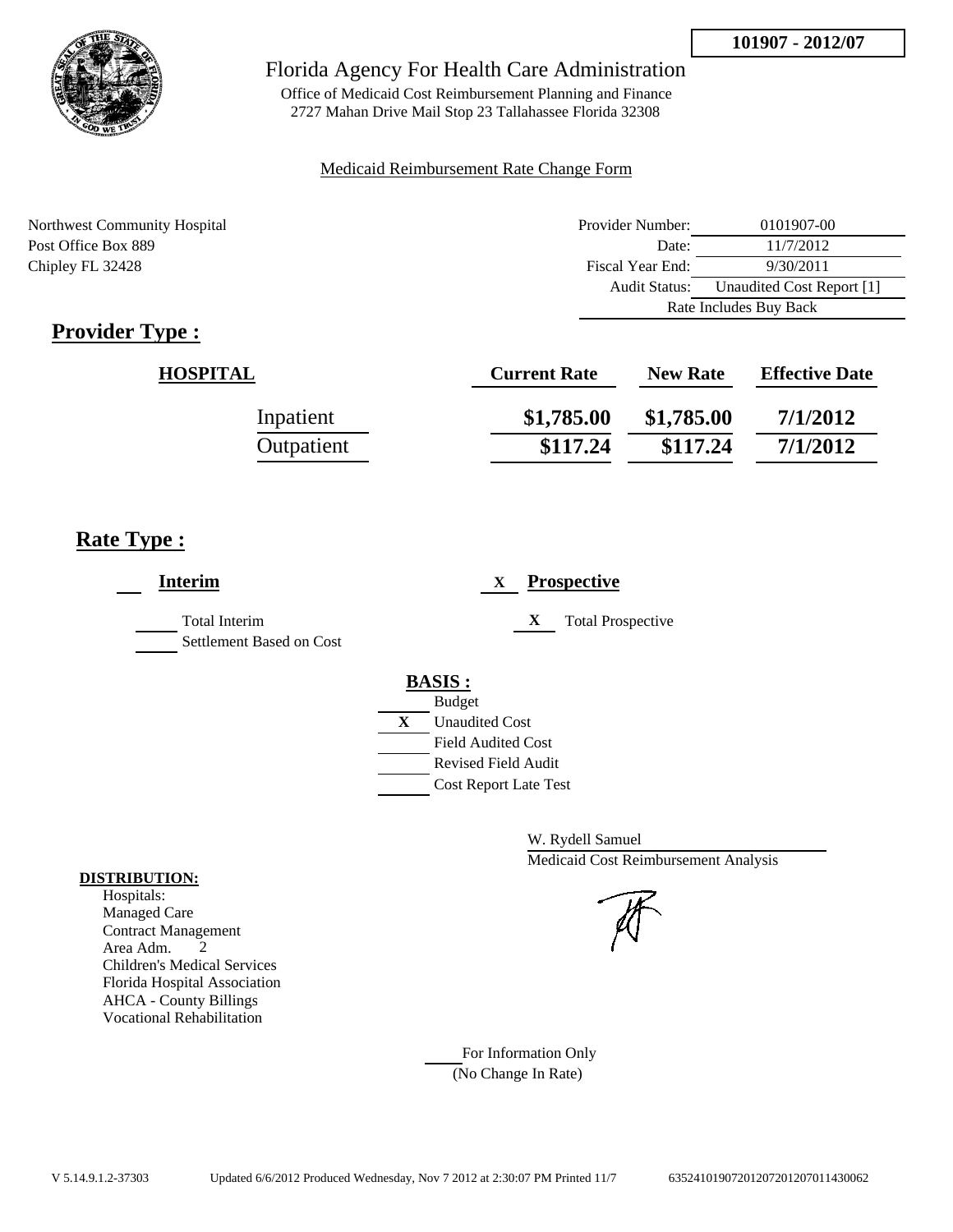

Office of Medicaid Cost Reimbursement Planning and Finance 2727 Mahan Drive Mail Stop 23 Tallahassee Florida 32308

#### Medicaid Reimbursement Rate Change Form

Northwest Community Hospital Post Office Box 889 Chipley FL 32428

| Provider Number:       | 0101907-00                |  |
|------------------------|---------------------------|--|
| Date:                  | 11/7/2012                 |  |
| Fiscal Year End:       | 9/30/2011                 |  |
| <b>Audit Status:</b>   | Unaudited Cost Report [1] |  |
| Rate Includes Buy Back |                           |  |

## **Provider Type :**

| <b>HOSPITAL</b> | <b>Current Rate</b> | <b>New Rate</b> | <b>Effective Date</b> |
|-----------------|---------------------|-----------------|-----------------------|
| Inpatient       | \$1,785.00          | \$1,785.00      | 7/1/2012              |
| Outpatient      | \$117.24            | \$117.24        | 7/1/2012              |

## **Rate Type :**

| <b>Interim</b>                                   | <b>Prospective</b><br>$\mathbf{X}$                                                                                                                      |
|--------------------------------------------------|---------------------------------------------------------------------------------------------------------------------------------------------------------|
| <b>Total Interim</b><br>Settlement Based on Cost | X<br><b>Total Prospective</b>                                                                                                                           |
|                                                  | <b>BASIS:</b><br><b>Budget</b><br>X<br><b>Unaudited Cost</b><br><b>Field Audited Cost</b><br><b>Revised Field Audit</b><br><b>Cost Report Late Test</b> |

W. Rydell Samuel Medicaid Cost Reimbursement Analysis

For Information Only (No Change In Rate)

#### **DISTRIBUTION:**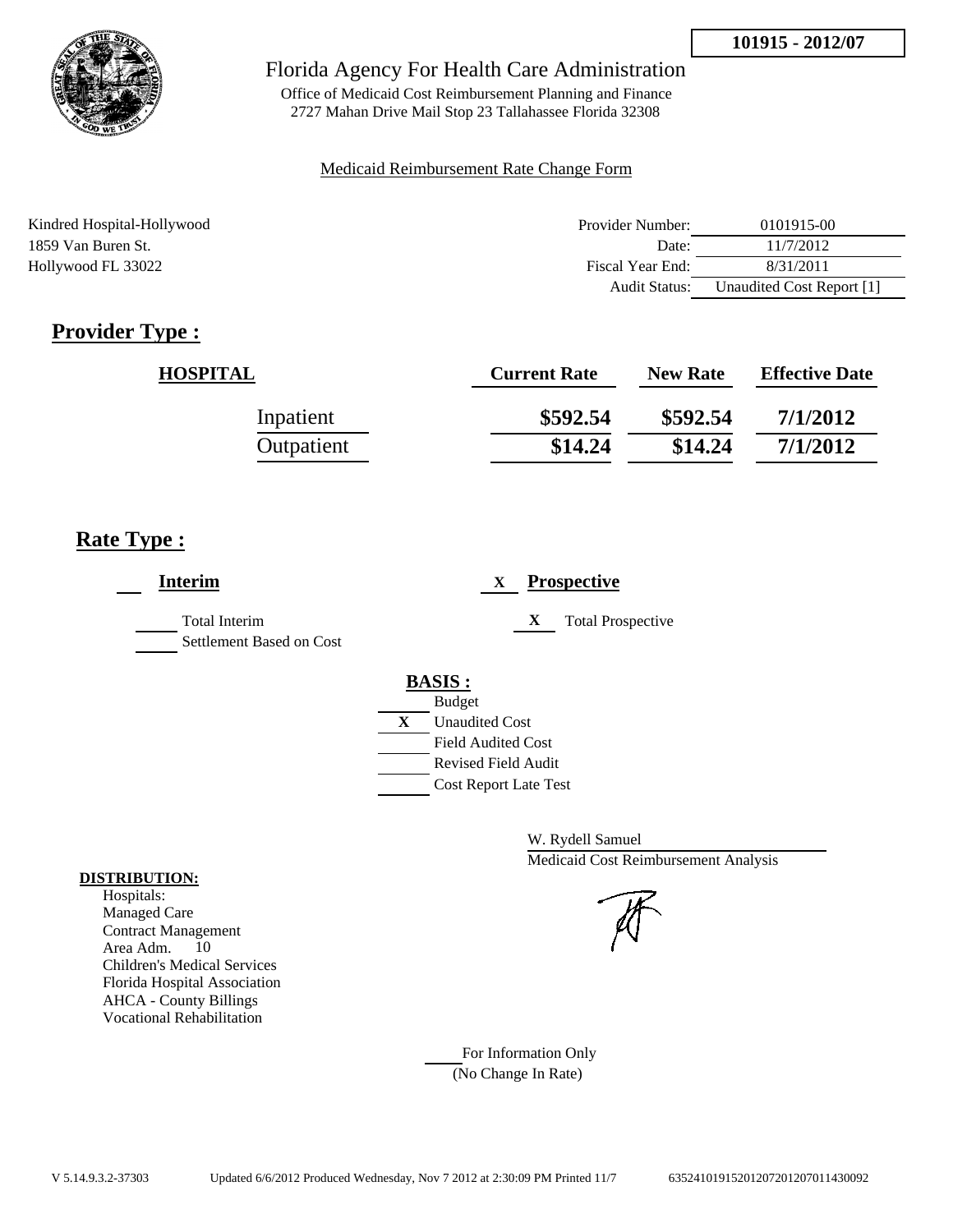

Office of Medicaid Cost Reimbursement Planning and Finance 2727 Mahan Drive Mail Stop 23 Tallahassee Florida 32308

#### Medicaid Reimbursement Rate Change Form

| Kindred Hospital-Hollywood | Provider Number:     | 0101915-00                |
|----------------------------|----------------------|---------------------------|
| 1859 Van Buren St.         | Date:                | 11/7/2012                 |
| Hollywood FL 33022         | Fiscal Year End:     | 8/31/2011                 |
|                            | <b>Audit Status:</b> | Unaudited Cost Report [1] |

## **Provider Type :**

| <b>HOSPITAL</b> | <b>Current Rate</b> | <b>New Rate</b> | <b>Effective Date</b> |
|-----------------|---------------------|-----------------|-----------------------|
| Inpatient       | \$592.54            | \$592.54        | 7/1/2012              |
| Outpatient      | \$14.24             | \$14.24         | 7/1/2012              |

## **Rate Type :**

| <b>Interim</b>                                   | <b>Prospective</b><br>X                                                                                                           |
|--------------------------------------------------|-----------------------------------------------------------------------------------------------------------------------------------|
| <b>Total Interim</b><br>Settlement Based on Cost | X<br><b>Total Prospective</b>                                                                                                     |
|                                                  | <b>BASIS:</b><br><b>Budget</b><br>$\mathbf X$<br><b>Unaudited Cost</b><br><b>Field Audited Cost</b><br><b>Revised Field Audit</b> |
|                                                  | <b>Cost Report Late Test</b>                                                                                                      |

W. Rydell Samuel Medicaid Cost Reimbursement Analysis

For Information Only (No Change In Rate)

#### **DISTRIBUTION:**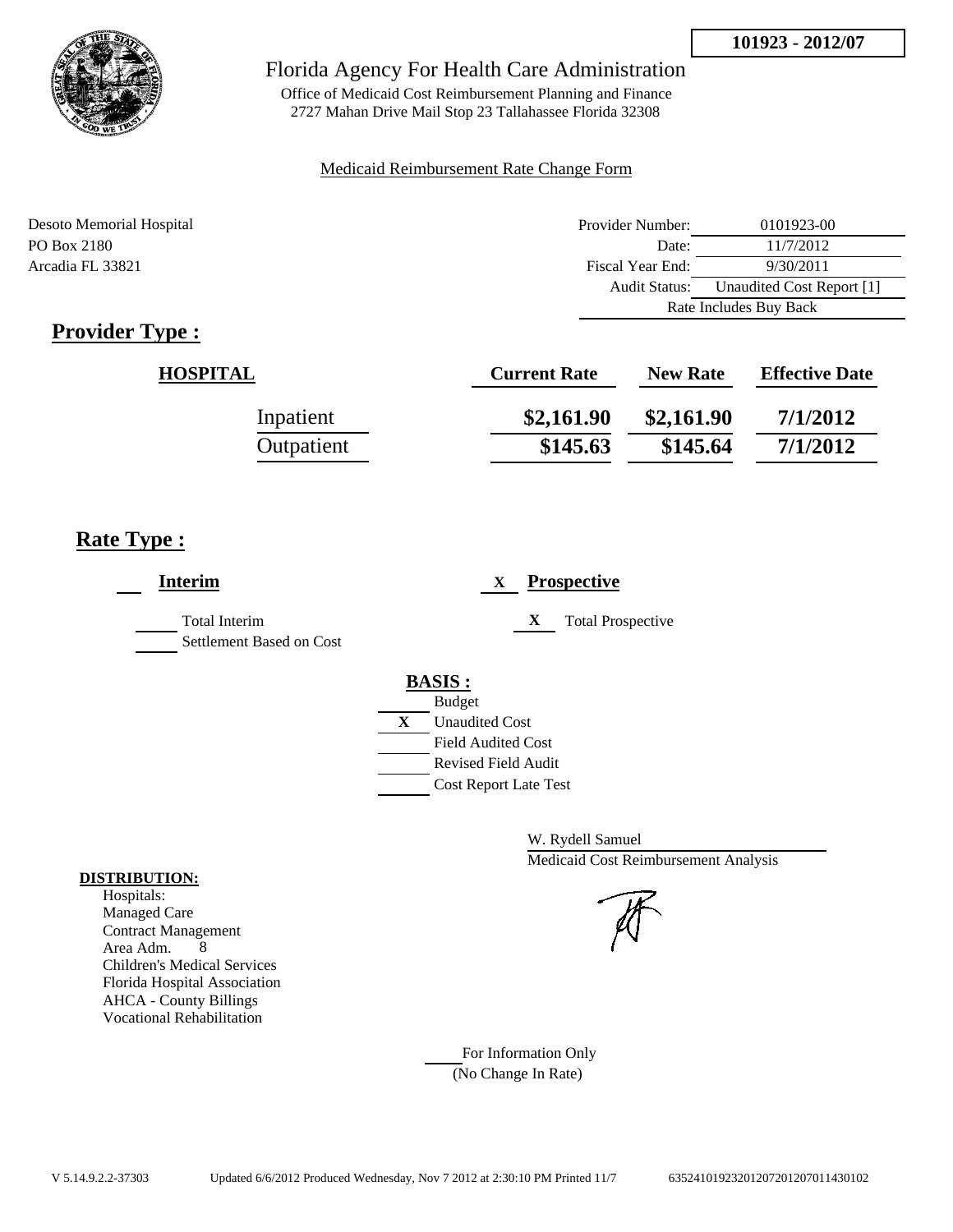

Office of Medicaid Cost Reimbursement Planning and Finance 2727 Mahan Drive Mail Stop 23 Tallahassee Florida 32308

### Medicaid Reimbursement Rate Change Form

| Desoto Memorial Hospital | Provider Number:     | 0101923-00                |  |
|--------------------------|----------------------|---------------------------|--|
| PO Box 2180              | Date:                | 11/7/2012                 |  |
| Arcadia FL 33821         | Fiscal Year End:     | 9/30/2011                 |  |
|                          | <b>Audit Status:</b> | Unaudited Cost Report [1] |  |
|                          |                      | Rate Includes Buy Back    |  |

## **Provider Type :**

| <b>HOSPITAL</b> | <b>Current Rate</b> | <b>New Rate</b> | <b>Effective Date</b> |
|-----------------|---------------------|-----------------|-----------------------|
| Inpatient       | \$2,161.90          | \$2,161.90      | 7/1/2012              |
| Outpatient      | \$145.63            | \$145.64        | 7/1/2012              |

## **Rate Type :**

| <b>Interim</b>                                   |   | <b>Prospective</b><br>X       |
|--------------------------------------------------|---|-------------------------------|
| <b>Total Interim</b><br>Settlement Based on Cost |   | X<br><b>Total Prospective</b> |
|                                                  |   | <b>BASIS:</b>                 |
|                                                  |   | <b>Budget</b>                 |
|                                                  | X | <b>Unaudited Cost</b>         |
|                                                  |   | <b>Field Audited Cost</b>     |
|                                                  |   | <b>Revised Field Audit</b>    |
|                                                  |   | <b>Cost Report Late Test</b>  |
|                                                  |   |                               |

W. Rydell Samuel Medicaid Cost Reimbursement Analysis

#### For Information Only (No Change In Rate)

**DISTRIBUTION:**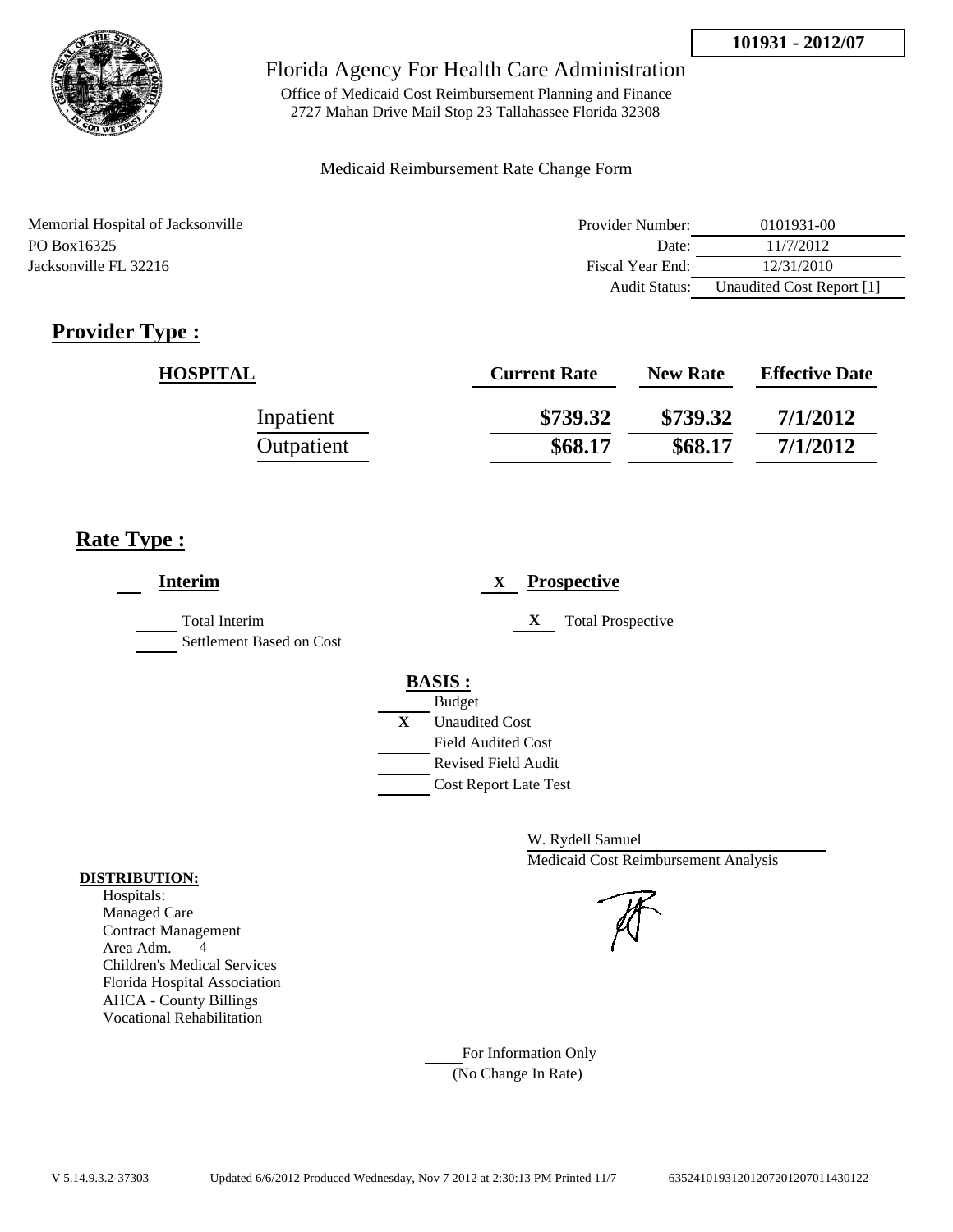

Office of Medicaid Cost Reimbursement Planning and Finance 2727 Mahan Drive Mail Stop 23 Tallahassee Florida 32308

### Medicaid Reimbursement Rate Change Form

| Memorial Hospital of Jacksonville | Provider Number:     | 0101931-00                |
|-----------------------------------|----------------------|---------------------------|
| PO Box 16325                      | Date:                | 11/7/2012                 |
| Jacksonville FL 32216             | Fiscal Year End:     | 12/31/2010                |
|                                   | <b>Audit Status:</b> | Unaudited Cost Report [1] |

## **Provider Type :**

| <b>HOSPITAL</b> | <b>Current Rate</b> | <b>New Rate</b> | <b>Effective Date</b> |
|-----------------|---------------------|-----------------|-----------------------|
| Inpatient       | \$739.32            | \$739.32        | 7/1/2012              |
| Outpatient      | \$68.17             | \$68.17         | 7/1/2012              |

## **Rate Type :**

| <b>Interim</b>                                   | <b>Prospective</b><br>X                                                                                                                                 |
|--------------------------------------------------|---------------------------------------------------------------------------------------------------------------------------------------------------------|
| <b>Total Interim</b><br>Settlement Based on Cost | X<br><b>Total Prospective</b>                                                                                                                           |
|                                                  | <b>BASIS:</b><br><b>Budget</b><br>X<br><b>Unaudited Cost</b><br><b>Field Audited Cost</b><br><b>Revised Field Audit</b><br><b>Cost Report Late Test</b> |

W. Rydell Samuel Medicaid Cost Reimbursement Analysis

For Information Only (No Change In Rate)

#### **DISTRIBUTION:**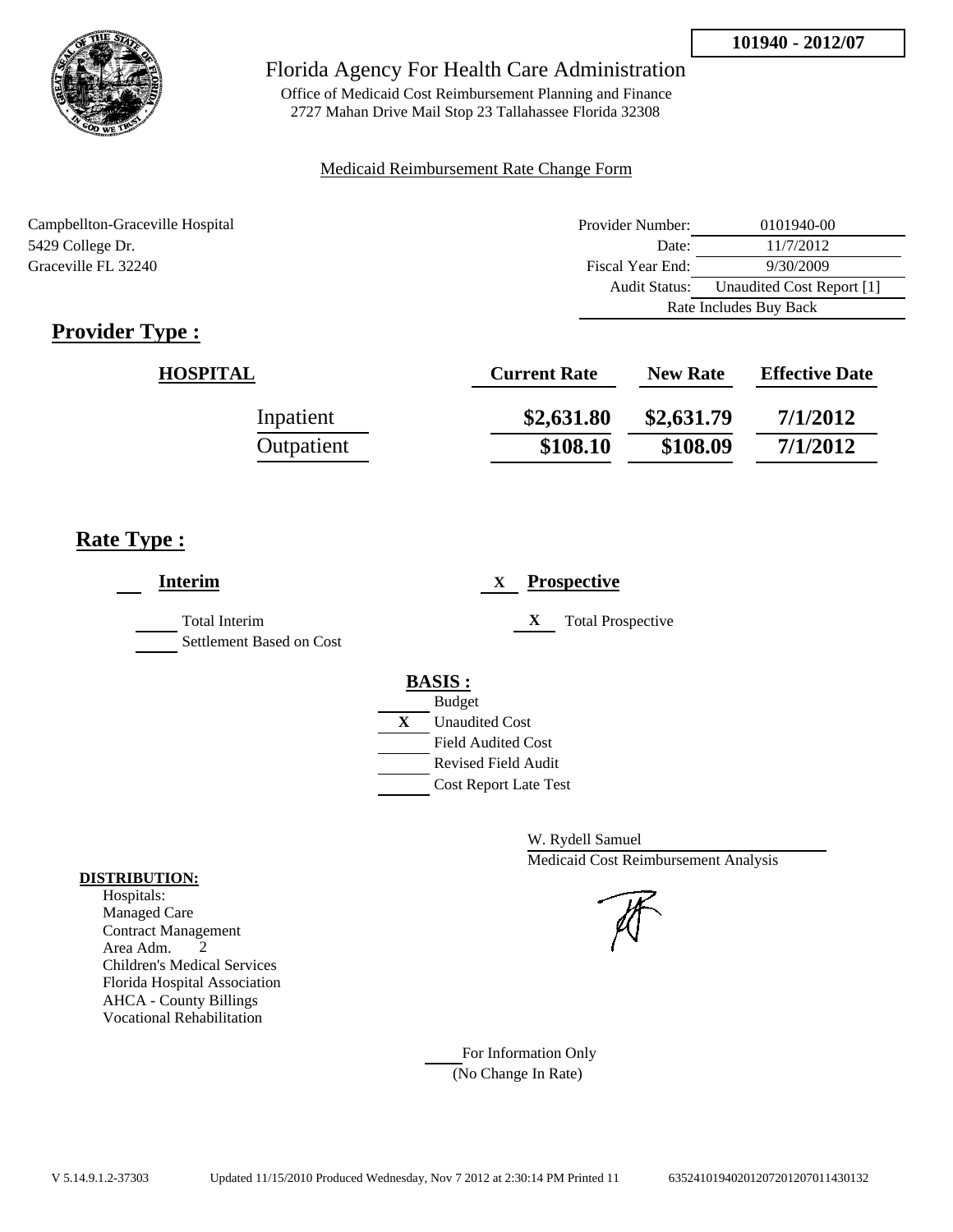

Office of Medicaid Cost Reimbursement Planning and Finance 2727 Mahan Drive Mail Stop 23 Tallahassee Florida 32308

#### Medicaid Reimbursement Rate Change Form

Campbellton-Graceville Hospital 5429 College Dr. Graceville FL 32240

| Provider Number:       | 0101940-00                |  |
|------------------------|---------------------------|--|
| Date:                  | 11/7/2012                 |  |
| Fiscal Year End:       | 9/30/2009                 |  |
| Audit Status:          | Unaudited Cost Report [1] |  |
| Rate Includes Buy Back |                           |  |

## **Provider Type :**

| <b>HOSPITAL</b> | <b>Current Rate</b> | <b>New Rate</b> | <b>Effective Date</b> |
|-----------------|---------------------|-----------------|-----------------------|
| Inpatient       | \$2,631.80          | \$2,631.79      | 7/1/2012              |
| Outpatient      | \$108.10            | \$108.09        | 7/1/2012              |

## **Rate Type :**

| <b>Interim</b>                            |   | <b>Prospective</b><br>X       |
|-------------------------------------------|---|-------------------------------|
| Total Interim<br>Settlement Based on Cost |   | X<br><b>Total Prospective</b> |
|                                           |   | <b>BASIS:</b>                 |
|                                           |   | <b>Budget</b>                 |
|                                           | X | <b>Unaudited Cost</b>         |
|                                           |   | <b>Field Audited Cost</b>     |
|                                           |   | <b>Revised Field Audit</b>    |
|                                           |   | <b>Cost Report Late Test</b>  |
|                                           |   |                               |

W. Rydell Samuel Medicaid Cost Reimbursement Analysis

For Information Only (No Change In Rate)

### **DISTRIBUTION:**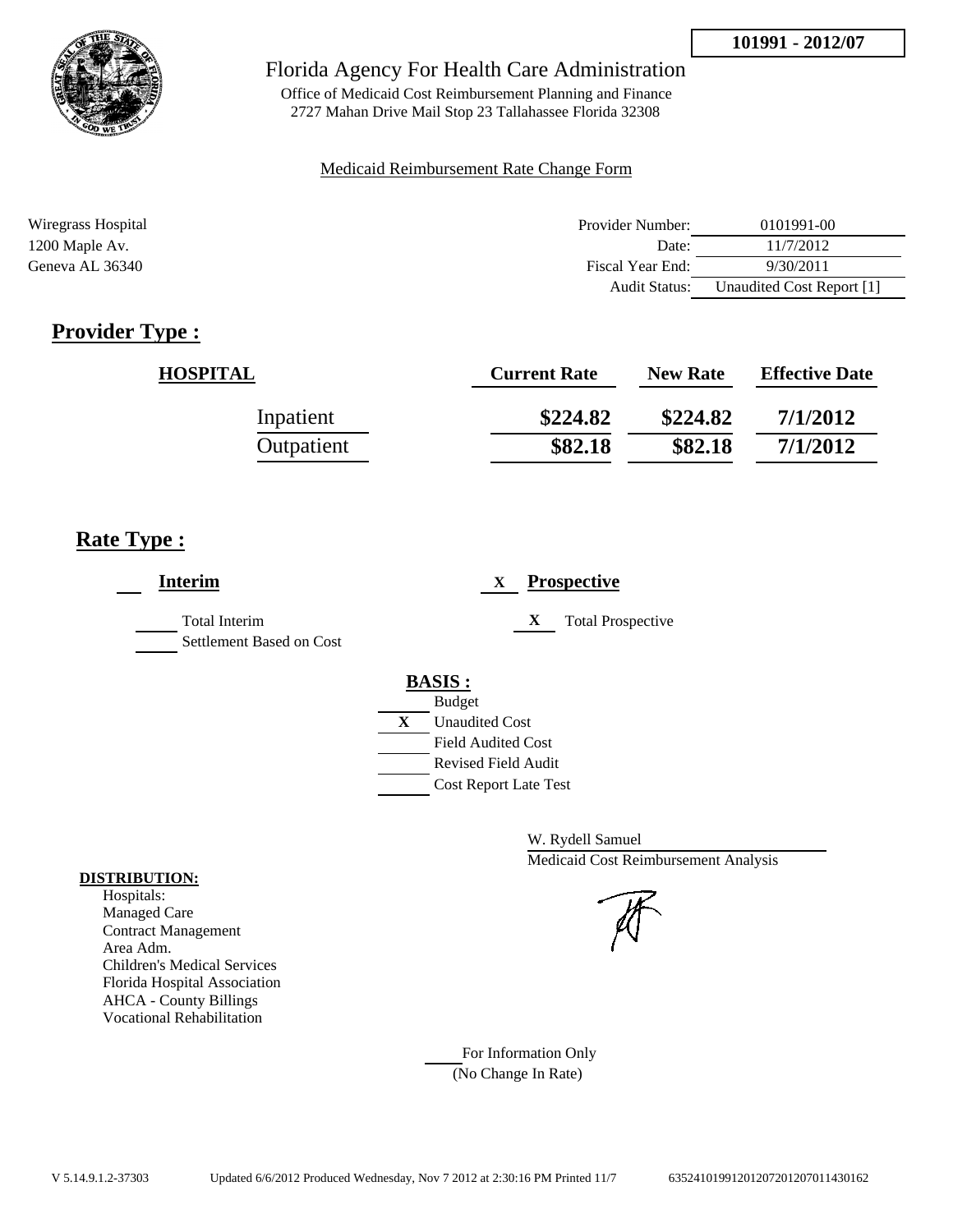

Office of Medicaid Cost Reimbursement Planning and Finance 2727 Mahan Drive Mail Stop 23 Tallahassee Florida 32308

### Medicaid Reimbursement Rate Change Form

| Wiregrass Hospital | Provider Number:     | 0101991-00                |
|--------------------|----------------------|---------------------------|
| 1200 Maple Av.     | Date:                | 11/7/2012                 |
| Geneva AL 36340    | Fiscal Year End:     | 9/30/2011                 |
|                    | <b>Audit Status:</b> | Unaudited Cost Report [1] |

## **Provider Type :**

| <b>HOSPITAL</b> | <b>Current Rate</b> | <b>New Rate</b> | <b>Effective Date</b> |
|-----------------|---------------------|-----------------|-----------------------|
| Inpatient       | \$224.82            | \$224.82        | 7/1/2012              |
| Outpatient      | \$82.18             | \$82.18         | 7/1/2012              |

## **Rate Type :**

| <b>Interim</b>                            | <b>Prospective</b><br>X                                                                                                                                 |
|-------------------------------------------|---------------------------------------------------------------------------------------------------------------------------------------------------------|
| Total Interim<br>Settlement Based on Cost | X<br><b>Total Prospective</b>                                                                                                                           |
|                                           | <b>BASIS:</b><br><b>Budget</b><br>X<br><b>Unaudited Cost</b><br><b>Field Audited Cost</b><br><b>Revised Field Audit</b><br><b>Cost Report Late Test</b> |

W. Rydell Samuel Medicaid Cost Reimbursement Analysis

For Information Only (No Change In Rate)

#### **DISTRIBUTION:**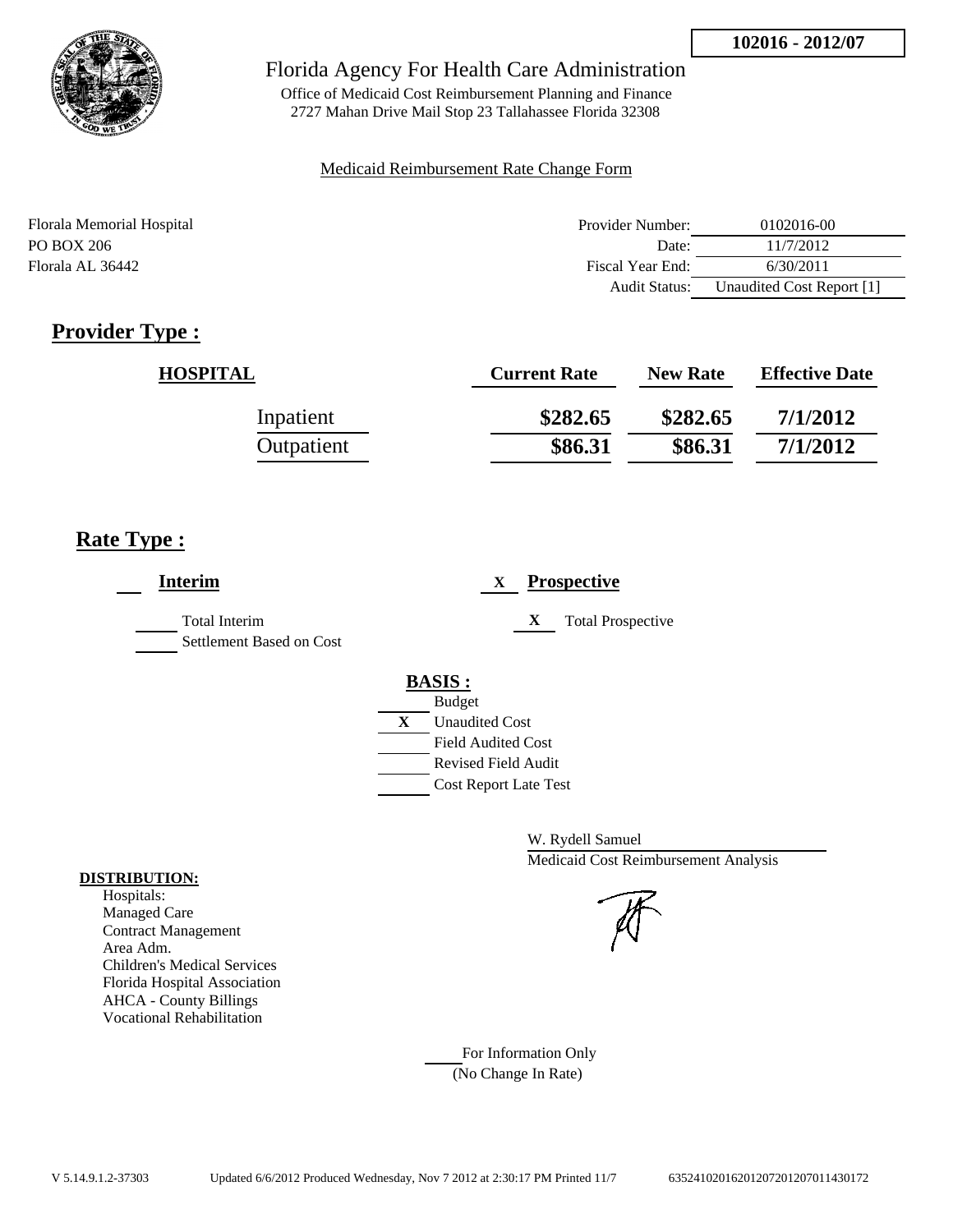

Office of Medicaid Cost Reimbursement Planning and Finance 2727 Mahan Drive Mail Stop 23 Tallahassee Florida 32308

### Medicaid Reimbursement Rate Change Form

| Florala Memorial Hospital | Provider Number:     | 0102016-00                |
|---------------------------|----------------------|---------------------------|
| PO BOX 206                | Date:                | 11/7/2012                 |
| Florala AL 36442          | Fiscal Year End:     | 6/30/2011                 |
|                           | <b>Audit Status:</b> | Unaudited Cost Report [1] |

## **Provider Type :**

| <b>HOSPITAL</b> | <b>Current Rate</b> | <b>New Rate</b> | <b>Effective Date</b> |
|-----------------|---------------------|-----------------|-----------------------|
| Inpatient       | \$282.65            | \$282.65        | 7/1/2012              |
| Outpatient      | \$86.31             | \$86.31         | 7/1/2012              |

## **Rate Type :**

| Interim                                          | <b>Prospective</b><br>X                                                                                                                                 |
|--------------------------------------------------|---------------------------------------------------------------------------------------------------------------------------------------------------------|
| <b>Total Interim</b><br>Settlement Based on Cost | X<br><b>Total Prospective</b>                                                                                                                           |
|                                                  | <b>BASIS:</b><br><b>Budget</b><br>X<br><b>Unaudited Cost</b><br><b>Field Audited Cost</b><br><b>Revised Field Audit</b><br><b>Cost Report Late Test</b> |

W. Rydell Samuel Medicaid Cost Reimbursement Analysis

For Information Only (No Change In Rate)

#### **DISTRIBUTION:**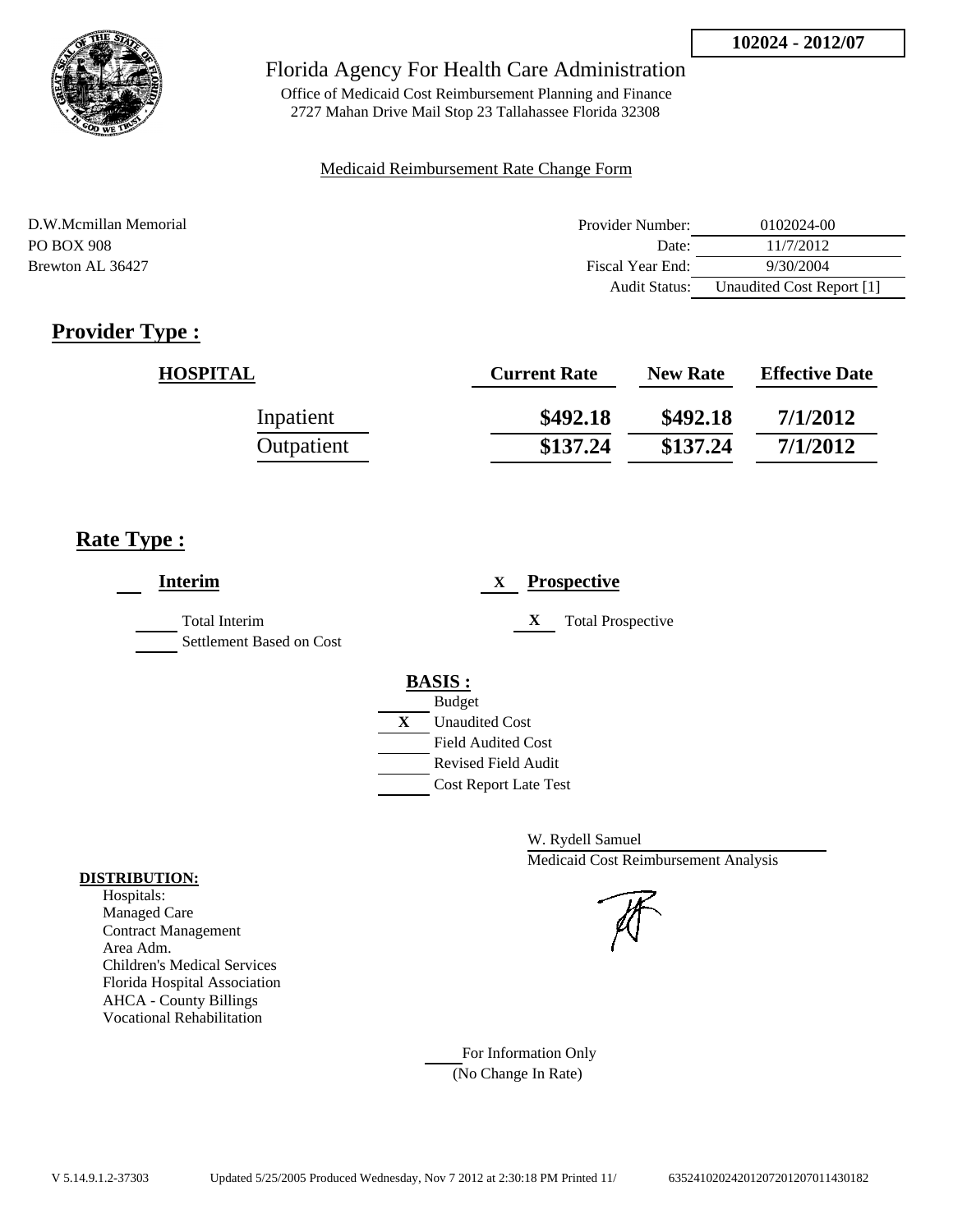

Office of Medicaid Cost Reimbursement Planning and Finance 2727 Mahan Drive Mail Stop 23 Tallahassee Florida 32308

### Medicaid Reimbursement Rate Change Form

| D.W.Mcmillan Memorial | Provider Number:     | 0102024-00                |
|-----------------------|----------------------|---------------------------|
| PO BOX 908            | Date:                | 11/7/2012                 |
| Brewton AL 36427      | Fiscal Year End:     | 9/30/2004                 |
|                       | <b>Audit Status:</b> | Unaudited Cost Report [1] |

## **Provider Type :**

| <b>HOSPITAL</b> | <b>Current Rate</b> | <b>New Rate</b> | <b>Effective Date</b> |
|-----------------|---------------------|-----------------|-----------------------|
| Inpatient       | \$492.18            | \$492.18        | 7/1/2012              |
| Outpatient      | \$137.24            | \$137.24        | 7/1/2012              |

## **Rate Type :**

| <b>Interim</b>                                   | <b>Prospective</b><br>X       |  |
|--------------------------------------------------|-------------------------------|--|
| <b>Total Interim</b><br>Settlement Based on Cost | X<br><b>Total Prospective</b> |  |
|                                                  | <b>BASIS:</b>                 |  |
|                                                  | <b>Budget</b>                 |  |
|                                                  | X<br><b>Unaudited Cost</b>    |  |
|                                                  | <b>Field Audited Cost</b>     |  |
|                                                  | <b>Revised Field Audit</b>    |  |
|                                                  | <b>Cost Report Late Test</b>  |  |
|                                                  |                               |  |

W. Rydell Samuel Medicaid Cost Reimbursement Analysis

## For Information Only (No Change In Rate)

**DISTRIBUTION:**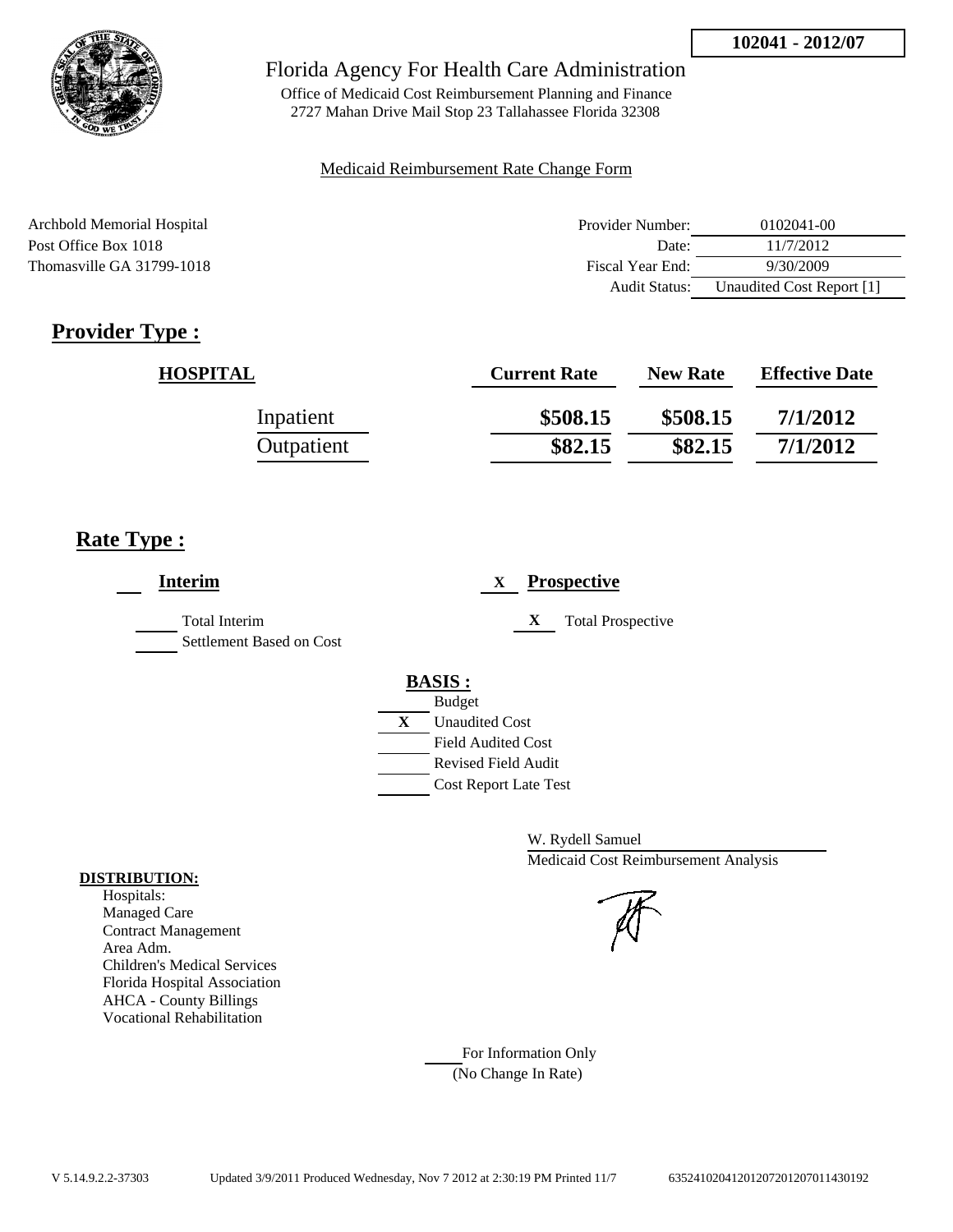

Office of Medicaid Cost Reimbursement Planning and Finance 2727 Mahan Drive Mail Stop 23 Tallahassee Florida 32308

#### Medicaid Reimbursement Rate Change Form

| Archbold Memorial Hospital | Provider Number: | 0102041-00                |
|----------------------------|------------------|---------------------------|
| Post Office Box 1018       | Date:            | 11/7/2012                 |
| Thomasville GA 31799-1018  | Fiscal Year End: | 9/30/2009                 |
|                            | Audit Status:    | Unaudited Cost Report [1] |

## **Provider Type :**

| <b>HOSPITAL</b> | <b>Current Rate</b> | <b>New Rate</b> | <b>Effective Date</b> |
|-----------------|---------------------|-----------------|-----------------------|
| Inpatient       | \$508.15            | \$508.15        | 7/1/2012              |
| Outpatient      | \$82.15             | \$82.15         | 7/1/2012              |

## **Rate Type :**

| <b>Prospective</b><br>X                                                                                                                          |
|--------------------------------------------------------------------------------------------------------------------------------------------------|
| <b>Total Prospective</b><br>X                                                                                                                    |
| <b>BASIS:</b><br><b>Budget</b><br>X<br><b>Unaudited Cost</b><br><b>Field Audited Cost</b><br>Revised Field Audit<br><b>Cost Report Late Test</b> |
|                                                                                                                                                  |

W. Rydell Samuel Medicaid Cost Reimbursement Analysis

For Information Only (No Change In Rate)

#### **DISTRIBUTION:**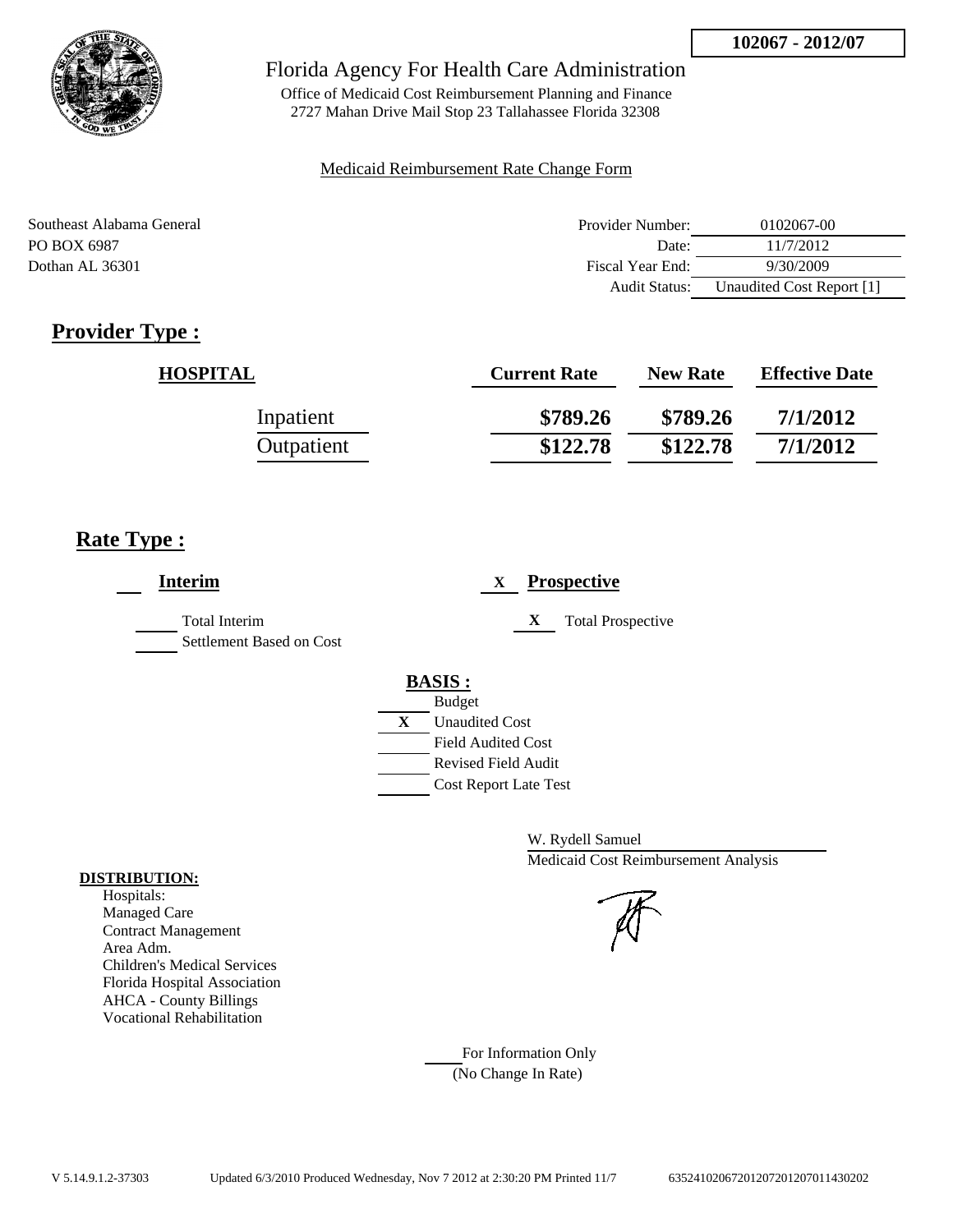

Office of Medicaid Cost Reimbursement Planning and Finance 2727 Mahan Drive Mail Stop 23 Tallahassee Florida 32308

### Medicaid Reimbursement Rate Change Form

| Southeast Alabama General | Provider Number: | 0102067-00                |
|---------------------------|------------------|---------------------------|
| PO BOX 6987               | Date:            | 11/7/2012                 |
| Dothan AL 36301           | Fiscal Year End: | 9/30/2009                 |
|                           | Audit Status:    | Unaudited Cost Report [1] |

## **Provider Type :**

| <b>HOSPITAL</b> | <b>Current Rate</b> | <b>New Rate</b> | <b>Effective Date</b> |
|-----------------|---------------------|-----------------|-----------------------|
| Inpatient       | \$789.26            | \$789.26        | 7/1/2012              |
| Outpatient      | \$122.78            | \$122.78        | 7/1/2012              |

## **Rate Type :**

| <b>Interim</b>                                   | <b>Prospective</b><br>X                                                                                                                          |
|--------------------------------------------------|--------------------------------------------------------------------------------------------------------------------------------------------------|
| <b>Total Interim</b><br>Settlement Based on Cost | X<br><b>Total Prospective</b>                                                                                                                    |
|                                                  | <b>BASIS:</b><br><b>Budget</b><br>X<br><b>Unaudited Cost</b><br><b>Field Audited Cost</b><br>Revised Field Audit<br><b>Cost Report Late Test</b> |

W. Rydell Samuel Medicaid Cost Reimbursement Analysis

For Information Only (No Change In Rate)

#### **DISTRIBUTION:**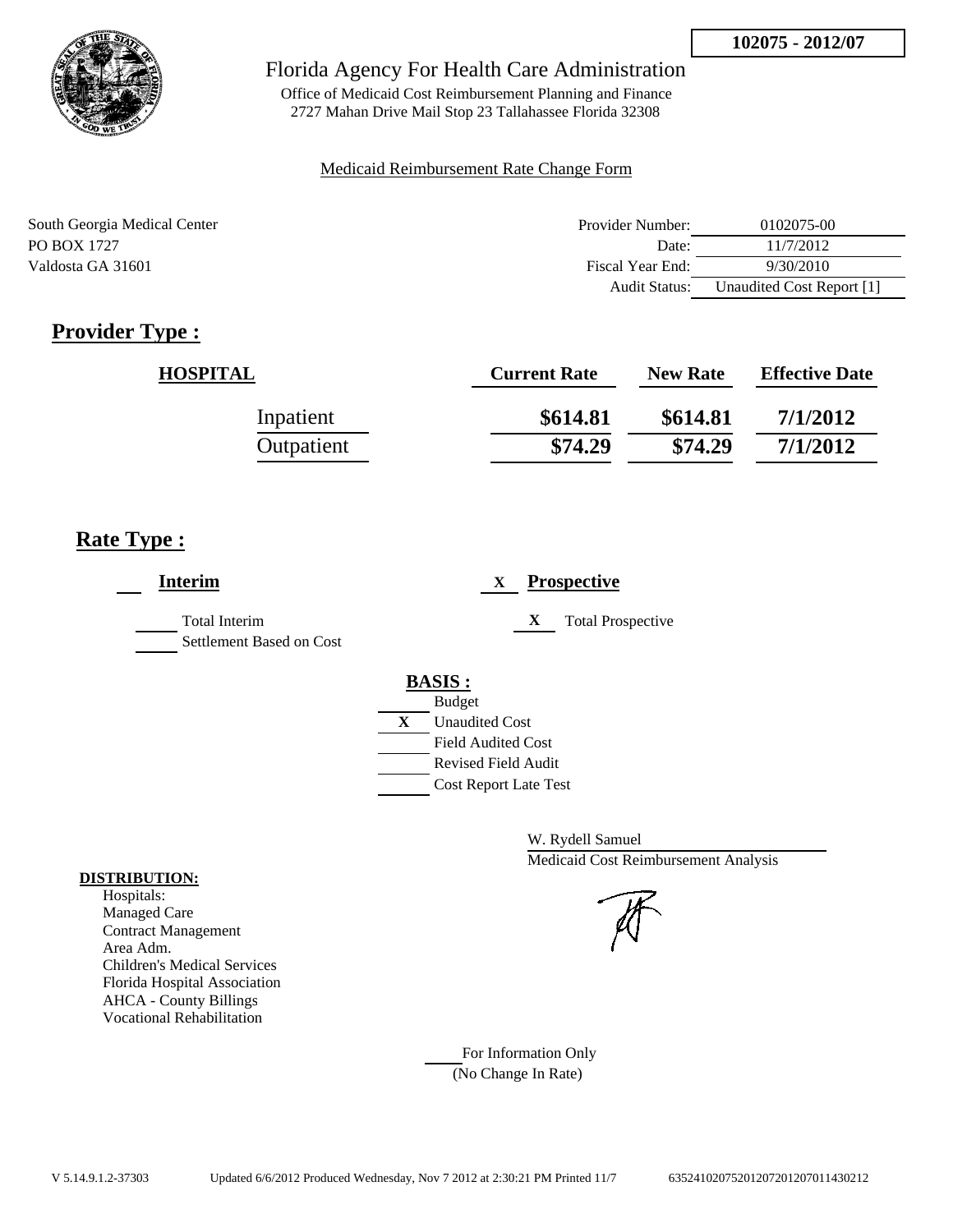

Office of Medicaid Cost Reimbursement Planning and Finance 2727 Mahan Drive Mail Stop 23 Tallahassee Florida 32308

#### Medicaid Reimbursement Rate Change Form

| South Georgia Medical Center | Provider Number: | 0102075-00                |
|------------------------------|------------------|---------------------------|
| PO BOX 1727                  | Date:            | 11/7/2012                 |
| Valdosta GA 31601            | Fiscal Year End: | 9/30/2010                 |
|                              | Audit Status:    | Unaudited Cost Report [1] |

## **Provider Type :**

| <b>HOSPITAL</b> | <b>Current Rate</b> | <b>New Rate</b> | <b>Effective Date</b> |
|-----------------|---------------------|-----------------|-----------------------|
| Inpatient       | \$614.81            | \$614.81        | 7/1/2012              |
| Outpatient      | \$74.29             | \$74.29         | 7/1/2012              |

## **Rate Type :**

| <b>Interim</b>                                   | <b>Prospective</b><br>X       |
|--------------------------------------------------|-------------------------------|
| <b>Total Interim</b><br>Settlement Based on Cost | X<br><b>Total Prospective</b> |
|                                                  | <b>BASIS:</b>                 |
|                                                  | <b>Budget</b>                 |
|                                                  | X<br><b>Unaudited Cost</b>    |
|                                                  | <b>Field Audited Cost</b>     |
|                                                  | <b>Revised Field Audit</b>    |
|                                                  | <b>Cost Report Late Test</b>  |
|                                                  |                               |

W. Rydell Samuel Medicaid Cost Reimbursement Analysis

For Information Only (No Change In Rate)

#### **DISTRIBUTION:**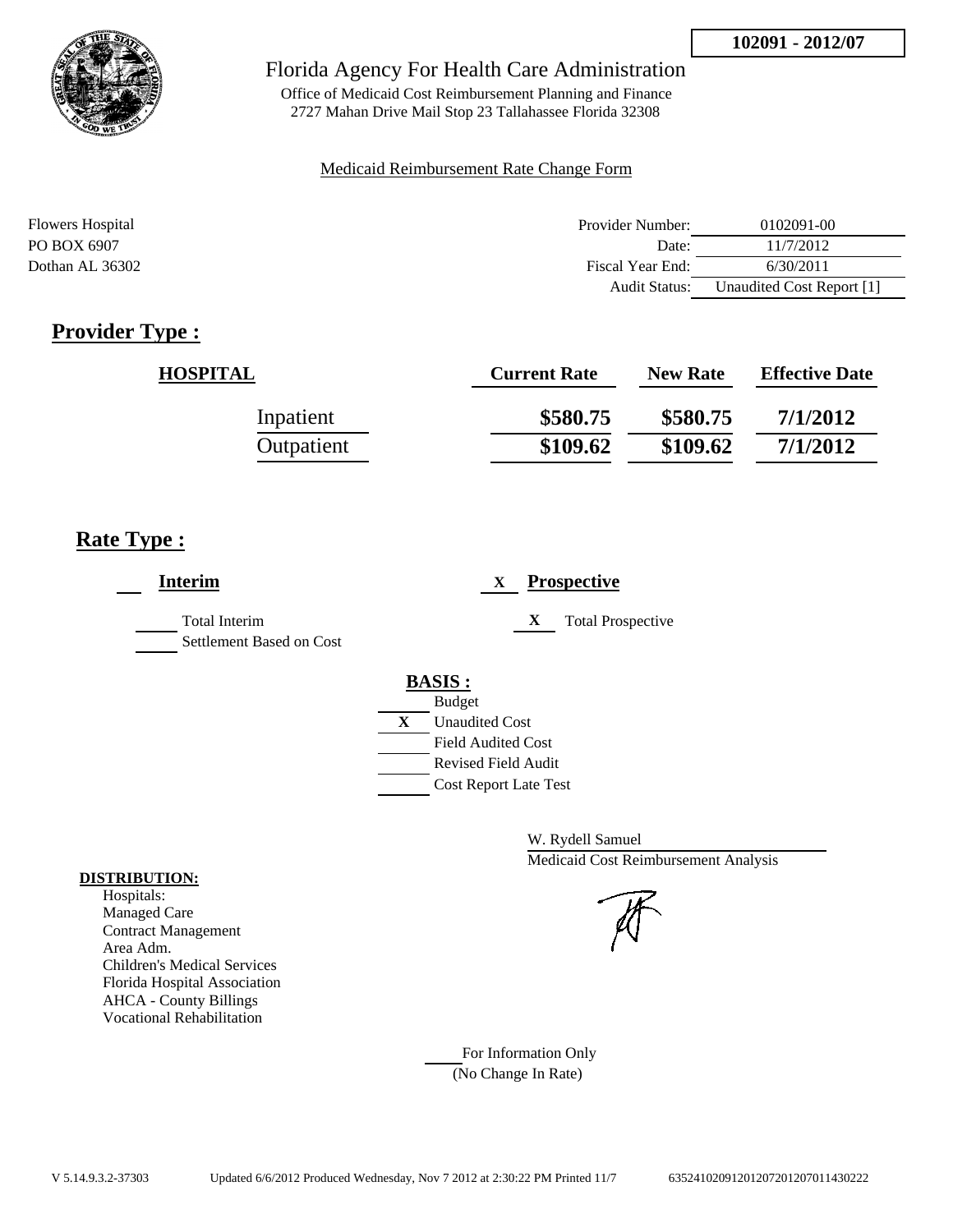

Office of Medicaid Cost Reimbursement Planning and Finance 2727 Mahan Drive Mail Stop 23 Tallahassee Florida 32308

#### Medicaid Reimbursement Rate Change Form

| <b>Flowers Hospital</b> | Provider Number:     | 0102091-00                |
|-------------------------|----------------------|---------------------------|
| PO BOX 6907             | Date:                | 11/7/2012                 |
| Dothan AL 36302         | Fiscal Year End:     | 6/30/2011                 |
|                         | <b>Audit Status:</b> | Unaudited Cost Report [1] |

## **Provider Type :**

| <b>HOSPITAL</b> | <b>Current Rate</b> | <b>New Rate</b> | <b>Effective Date</b> |
|-----------------|---------------------|-----------------|-----------------------|
| Inpatient       | \$580.75            | \$580.75        | 7/1/2012              |
| Outpatient      | \$109.62            | \$109.62        | 7/1/2012              |

## **Rate Type :**

| <b>Interim</b>                                   | <b>Prospective</b><br>X       |
|--------------------------------------------------|-------------------------------|
| <b>Total Interim</b><br>Settlement Based on Cost | X<br><b>Total Prospective</b> |
|                                                  | <b>BASIS:</b>                 |
|                                                  | <b>Budget</b>                 |
|                                                  | X<br><b>Unaudited Cost</b>    |
|                                                  | <b>Field Audited Cost</b>     |
|                                                  | Revised Field Audit           |
|                                                  | <b>Cost Report Late Test</b>  |
|                                                  |                               |

W. Rydell Samuel Medicaid Cost Reimbursement Analysis

For Information Only (No Change In Rate)

#### **DISTRIBUTION:**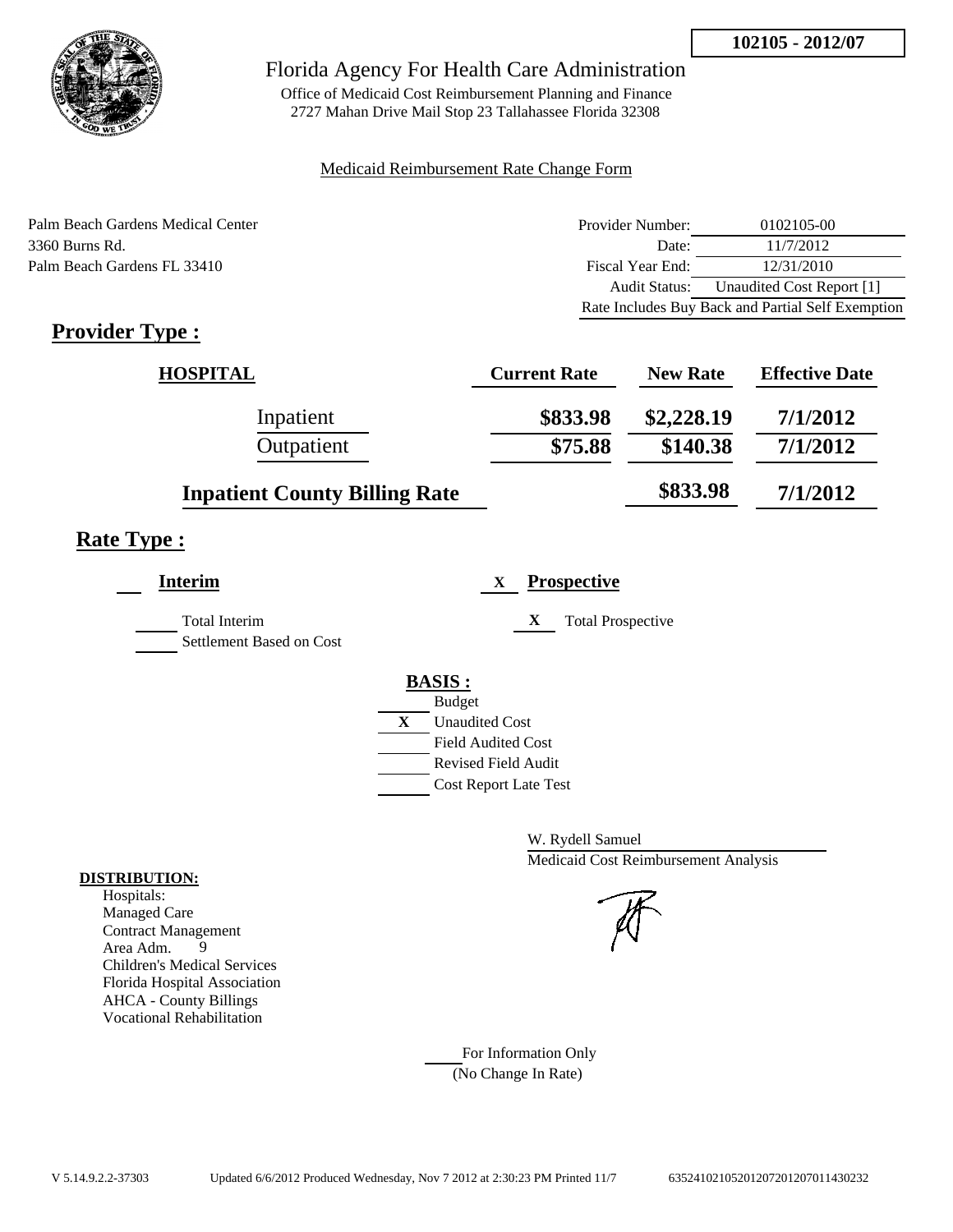

Office of Medicaid Cost Reimbursement Planning and Finance 2727 Mahan Drive Mail Stop 23 Tallahassee Florida 32308

#### Medicaid Reimbursement Rate Change Form

Palm Beach Gardens Medical Center 3360 Burns Rd. Palm Beach Gardens FL 33410

| Provider Number:     | 0102105-00                                        |
|----------------------|---------------------------------------------------|
| Date:                | 11/7/2012                                         |
| Fiscal Year End:     | 12/31/2010                                        |
| <b>Audit Status:</b> | Unaudited Cost Report [1]                         |
|                      | Rate Includes Buy Back and Partial Self Exemption |

## **Provider Type :**

| <b>HOSPITAL</b>                      | <b>Current Rate</b> | <b>New Rate</b> | <b>Effective Date</b> |
|--------------------------------------|---------------------|-----------------|-----------------------|
| Inpatient                            | \$833.98            | \$2,228.19      | 7/1/2012              |
| Outpatient                           | \$75.88             | \$140.38        | 7/1/2012              |
| <b>Inpatient County Billing Rate</b> |                     | \$833.98        | 7/1/2012              |

## **Rate Type :**

| <b>Interim</b>                            |   | <b>Prospective</b><br>X                     |
|-------------------------------------------|---|---------------------------------------------|
| Total Interim<br>Settlement Based on Cost |   | X<br><b>Total Prospective</b>               |
|                                           |   | <b>BASIS:</b>                               |
|                                           |   | <b>Budget</b>                               |
|                                           | X | <b>Unaudited Cost</b><br>Field Audited Cost |
|                                           |   | <b>Revised Field Audit</b>                  |
|                                           |   | <b>Cost Report Late Test</b>                |

W. Rydell Samuel Medicaid Cost Reimbursement Analysis

For Information Only (No Change In Rate)

#### **DISTRIBUTION:**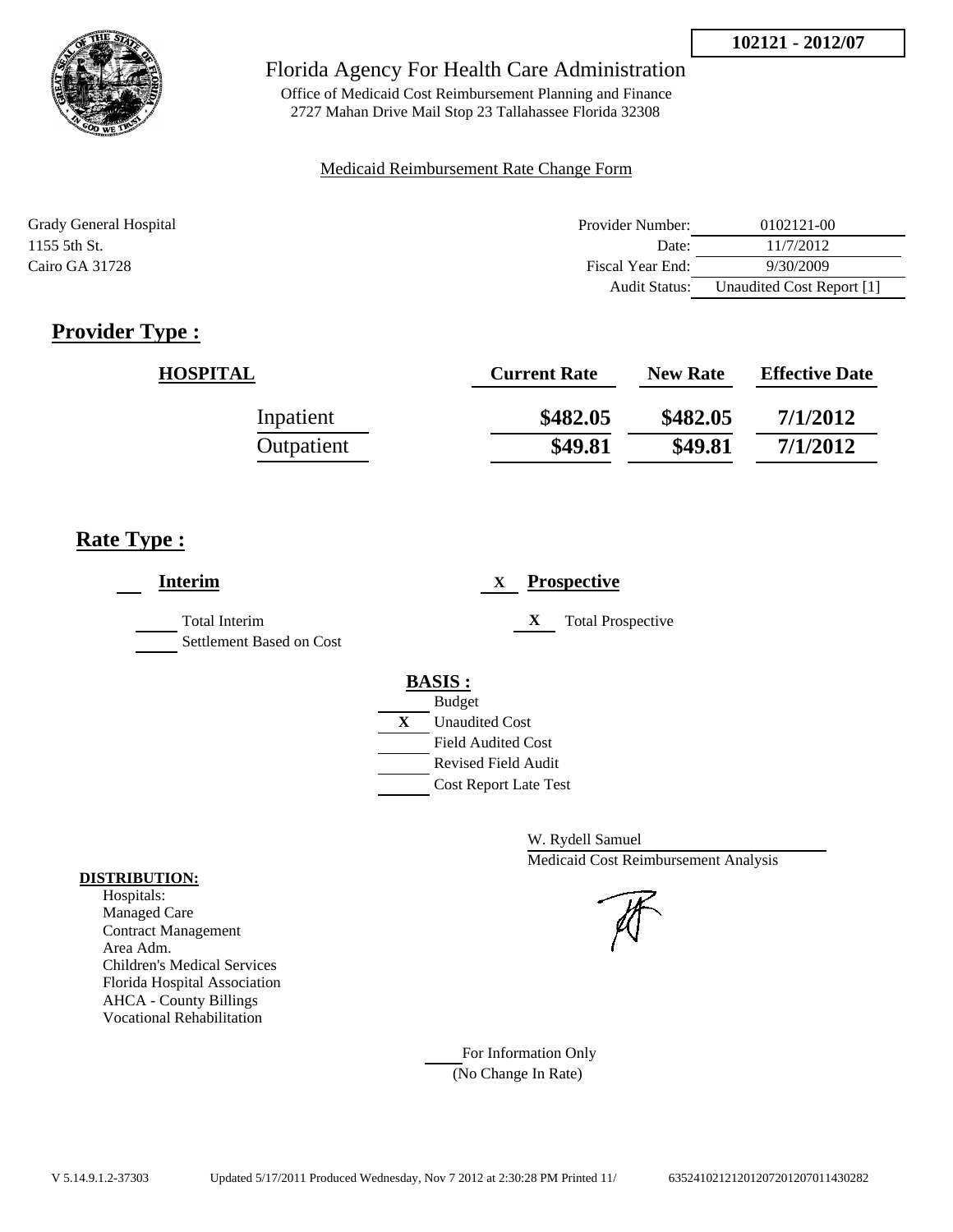

Office of Medicaid Cost Reimbursement Planning and Finance 2727 Mahan Drive Mail Stop 23 Tallahassee Florida 32308

#### Medicaid Reimbursement Rate Change Form

| Grady General Hospital | Provider Number:     | 0102121-00                |
|------------------------|----------------------|---------------------------|
| 1155 5th St.           | Date:                | 11/7/2012                 |
| Cairo GA 31728         | Fiscal Year End:     | 9/30/2009                 |
|                        | <b>Audit Status:</b> | Unaudited Cost Report [1] |

## **Provider Type :**

| <b>HOSPITAL</b> | <b>Current Rate</b> | <b>New Rate</b> | <b>Effective Date</b> |
|-----------------|---------------------|-----------------|-----------------------|
| Inpatient       | \$482.05            | \$482.05        | 7/1/2012              |
| Outpatient      | \$49.81             | \$49.81         | 7/1/2012              |

## **Rate Type :**

| <b>Interim</b>                            | <b>Prospective</b><br>X                                                                                                 |
|-------------------------------------------|-------------------------------------------------------------------------------------------------------------------------|
| Total Interim<br>Settlement Based on Cost | X<br><b>Total Prospective</b>                                                                                           |
|                                           | <b>BASIS:</b><br><b>Budget</b><br>X<br><b>Unaudited Cost</b><br><b>Field Audited Cost</b><br><b>Revised Field Audit</b> |
|                                           | <b>Cost Report Late Test</b>                                                                                            |

W. Rydell Samuel Medicaid Cost Reimbursement Analysis

For Information Only (No Change In Rate)

#### **DISTRIBUTION:**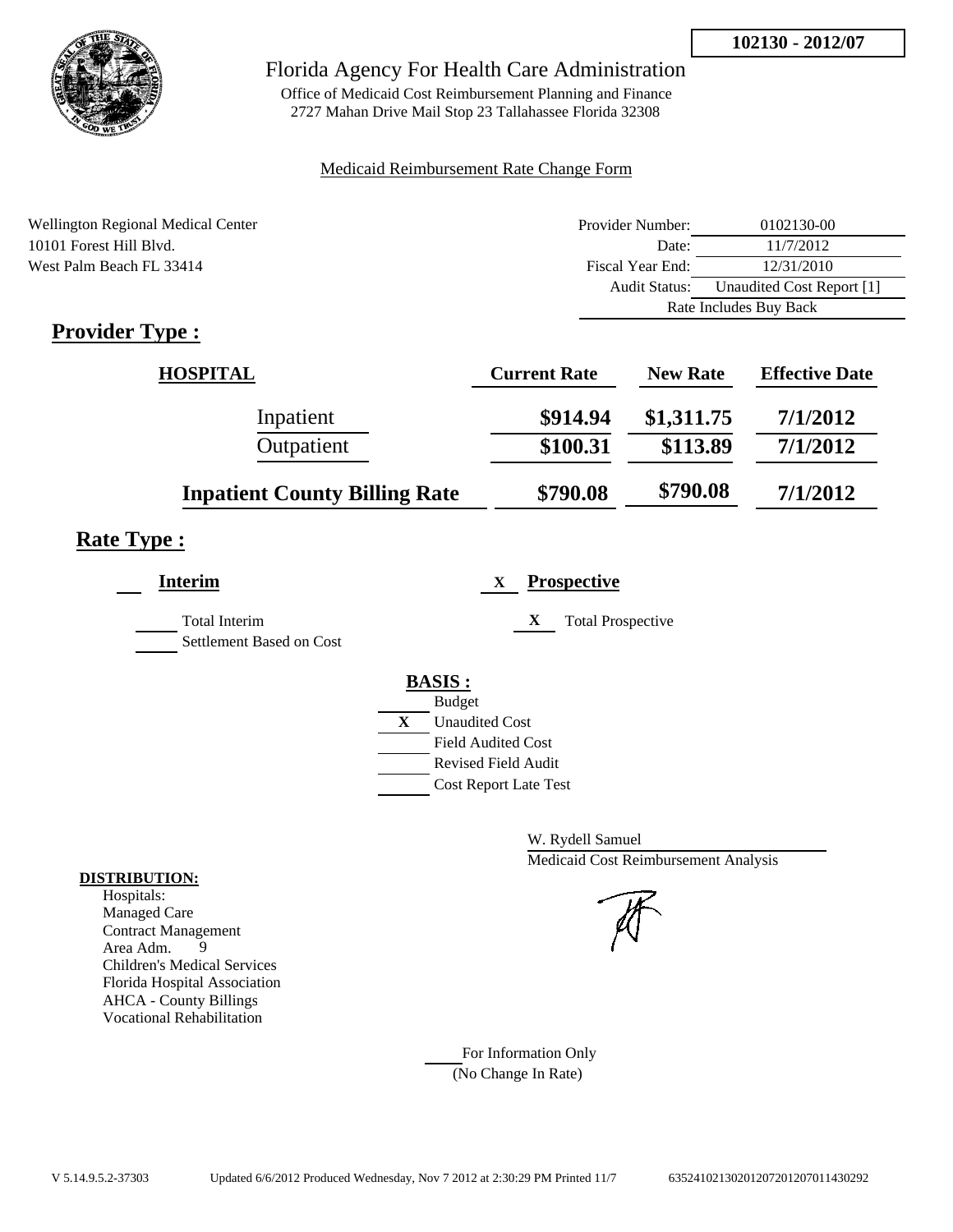

Office of Medicaid Cost Reimbursement Planning and Finance 2727 Mahan Drive Mail Stop 23 Tallahassee Florida 32308

### Medicaid Reimbursement Rate Change Form

| Wellington Regional Medical Center | Provider Number:     | 0102130-00                |  |
|------------------------------------|----------------------|---------------------------|--|
| 10101 Forest Hill Blyd.            | Date:                | 11/7/2012                 |  |
| West Palm Beach FL 33414           | Fiscal Year End:     | 12/31/2010                |  |
|                                    | <b>Audit Status:</b> | Unaudited Cost Report [1] |  |
|                                    |                      | Rate Includes Buy Back    |  |
| . .<br>$\overline{\phantom{a}}$    |                      |                           |  |

## **Provider Type :**

| <b>HOSPITAL</b>                      | <b>Current Rate</b> | <b>New Rate</b> | <b>Effective Date</b> |
|--------------------------------------|---------------------|-----------------|-----------------------|
| Inpatient                            | \$914.94            | \$1,311.75      | 7/1/2012              |
| Outpatient                           | \$100.31            | \$113.89        | 7/1/2012              |
| <b>Inpatient County Billing Rate</b> | \$790.08            | \$790.08        | 7/1/2012              |

## **Rate Type :**

| <b>Interim</b>           | <b>Prospective</b><br>X       |
|--------------------------|-------------------------------|
| <b>Total Interim</b>     | X<br><b>Total Prospective</b> |
| Settlement Based on Cost |                               |
|                          | <b>BASIS:</b>                 |
|                          | <b>Budget</b>                 |
|                          | X<br><b>Unaudited Cost</b>    |
|                          | <b>Field Audited Cost</b>     |
|                          | <b>Revised Field Audit</b>    |
|                          | <b>Cost Report Late Test</b>  |
|                          |                               |

W. Rydell Samuel Medicaid Cost Reimbursement Analysis

# For Information Only

(No Change In Rate)

#### **DISTRIBUTION:**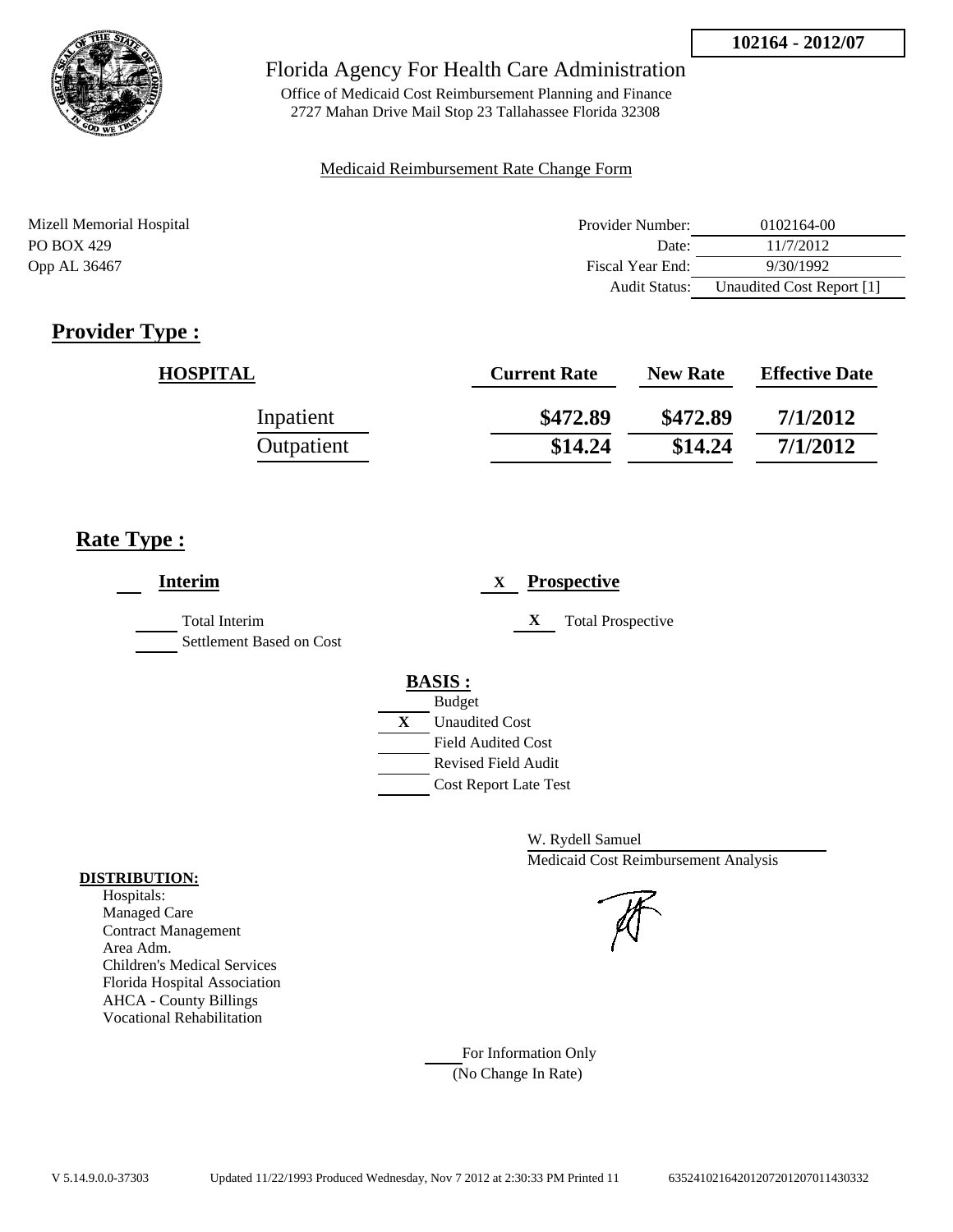

Office of Medicaid Cost Reimbursement Planning and Finance 2727 Mahan Drive Mail Stop 23 Tallahassee Florida 32308

### Medicaid Reimbursement Rate Change Form

| Mizell Memorial Hospital | Provider Number:     | 0102164-00                |
|--------------------------|----------------------|---------------------------|
| PO BOX 429               | Date:                | 11/7/2012                 |
| Opp AL 36467             | Fiscal Year End:     | 9/30/1992                 |
|                          | <b>Audit Status:</b> | Unaudited Cost Report [1] |

## **Provider Type :**

| <b>HOSPITAL</b> | <b>Current Rate</b> | <b>New Rate</b> | <b>Effective Date</b> |
|-----------------|---------------------|-----------------|-----------------------|
| Inpatient       | \$472.89            | \$472.89        | 7/1/2012              |
| Outpatient      | \$14.24             | \$14.24         | 7/1/2012              |

## **Rate Type :**

| <b>Interim</b>                                   | <b>Prospective</b><br>X                                                                                                                          |
|--------------------------------------------------|--------------------------------------------------------------------------------------------------------------------------------------------------|
| <b>Total Interim</b><br>Settlement Based on Cost | X<br><b>Total Prospective</b>                                                                                                                    |
|                                                  | <b>BASIS:</b><br><b>Budget</b><br>X<br><b>Unaudited Cost</b><br><b>Field Audited Cost</b><br>Revised Field Audit<br><b>Cost Report Late Test</b> |

W. Rydell Samuel Medicaid Cost Reimbursement Analysis

For Information Only (No Change In Rate)

#### **DISTRIBUTION:**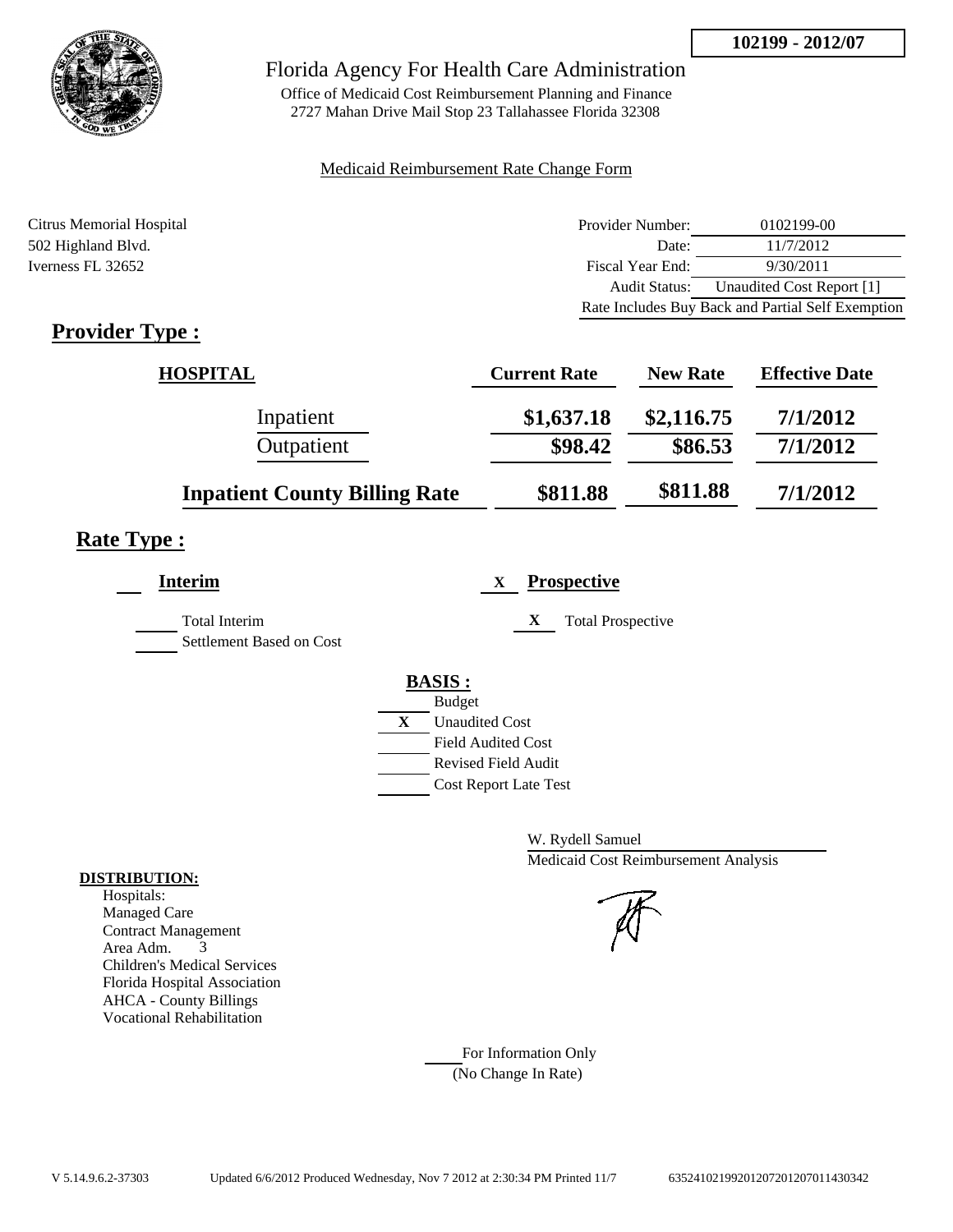

Office of Medicaid Cost Reimbursement Planning and Finance 2727 Mahan Drive Mail Stop 23 Tallahassee Florida 32308

### Medicaid Reimbursement Rate Change Form

| Citrus Memorial Hospital | Provider Number: | 0102199-00                                        |
|--------------------------|------------------|---------------------------------------------------|
| 502 Highland Blvd.       | Date:            | 11/7/2012                                         |
| Iverness FL 32652        | Fiscal Year End: | 9/30/2011                                         |
|                          | Audit Status:    | Unaudited Cost Report [1]                         |
|                          |                  | Rate Includes Buy Back and Partial Self Exemption |

## **Provider Type :**

| <b>HOSPITAL</b>                      | <b>Current Rate</b> | <b>New Rate</b> | <b>Effective Date</b> |
|--------------------------------------|---------------------|-----------------|-----------------------|
| Inpatient                            | \$1,637.18          | \$2,116.75      | 7/1/2012              |
| Outpatient                           | \$98.42             | \$86.53         | 7/1/2012              |
| <b>Inpatient County Billing Rate</b> | \$811.88            | \$811.88        | 7/1/2012              |

## **Rate Type :**

| <b>Interim</b>                                   | <b>Prospective</b><br>X       |
|--------------------------------------------------|-------------------------------|
| <b>Total Interim</b><br>Settlement Based on Cost | X<br><b>Total Prospective</b> |
|                                                  | <b>BASIS:</b>                 |
|                                                  | <b>Budget</b>                 |
|                                                  | X<br><b>Unaudited Cost</b>    |
|                                                  | <b>Field Audited Cost</b>     |
|                                                  | Revised Field Audit           |
|                                                  | <b>Cost Report Late Test</b>  |
|                                                  |                               |

W. Rydell Samuel Medicaid Cost Reimbursement Analysis

For Information Only (No Change In Rate)

#### **DISTRIBUTION:**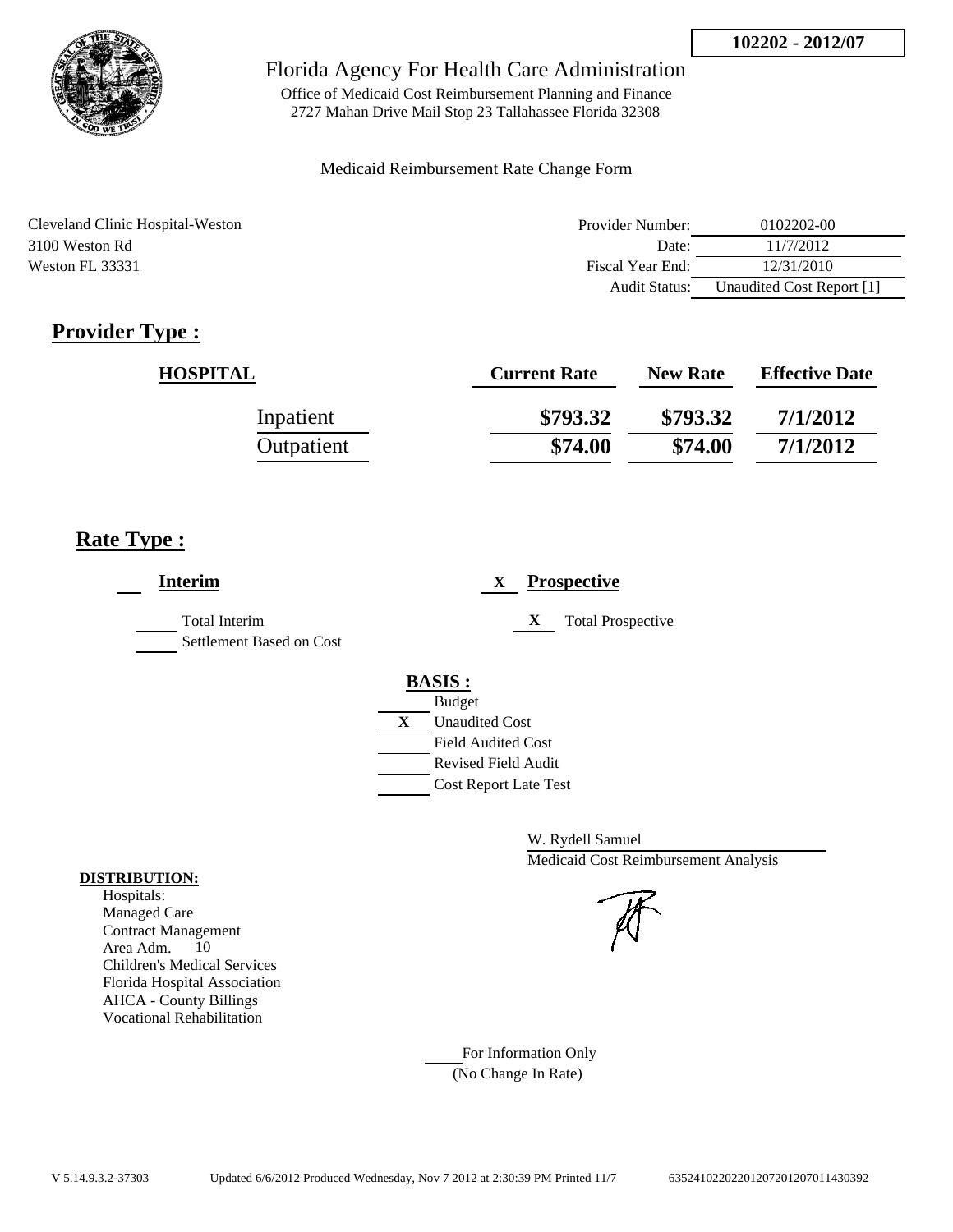

Office of Medicaid Cost Reimbursement Planning and Finance 2727 Mahan Drive Mail Stop 23 Tallahassee Florida 32308

#### Medicaid Reimbursement Rate Change Form

| Cleveland Clinic Hospital-Weston | Provider Number:     | 0102202-00                |
|----------------------------------|----------------------|---------------------------|
| 3100 Weston Rd                   | Date:                | 11/7/2012                 |
| Weston FL 33331                  | Fiscal Year End:     | 12/31/2010                |
|                                  | <b>Audit Status:</b> | Unaudited Cost Report [1] |

## **Provider Type :**

| <b>HOSPITAL</b> | <b>Current Rate</b> | <b>New Rate</b> | <b>Effective Date</b> |
|-----------------|---------------------|-----------------|-----------------------|
| Inpatient       | \$793.32            | \$793.32        | 7/1/2012              |
| Outpatient      | \$74.00             | \$74.00         | 7/1/2012              |

## **Rate Type :**

| <b>Interim</b>                                   | <b>Prospective</b><br>X                                                                                                                                 |
|--------------------------------------------------|---------------------------------------------------------------------------------------------------------------------------------------------------------|
| <b>Total Interim</b><br>Settlement Based on Cost | X<br><b>Total Prospective</b>                                                                                                                           |
|                                                  | <b>BASIS:</b><br><b>Budget</b><br>X<br><b>Unaudited Cost</b><br><b>Field Audited Cost</b><br><b>Revised Field Audit</b><br><b>Cost Report Late Test</b> |

W. Rydell Samuel Medicaid Cost Reimbursement Analysis

For Information Only (No Change In Rate)

#### **DISTRIBUTION:**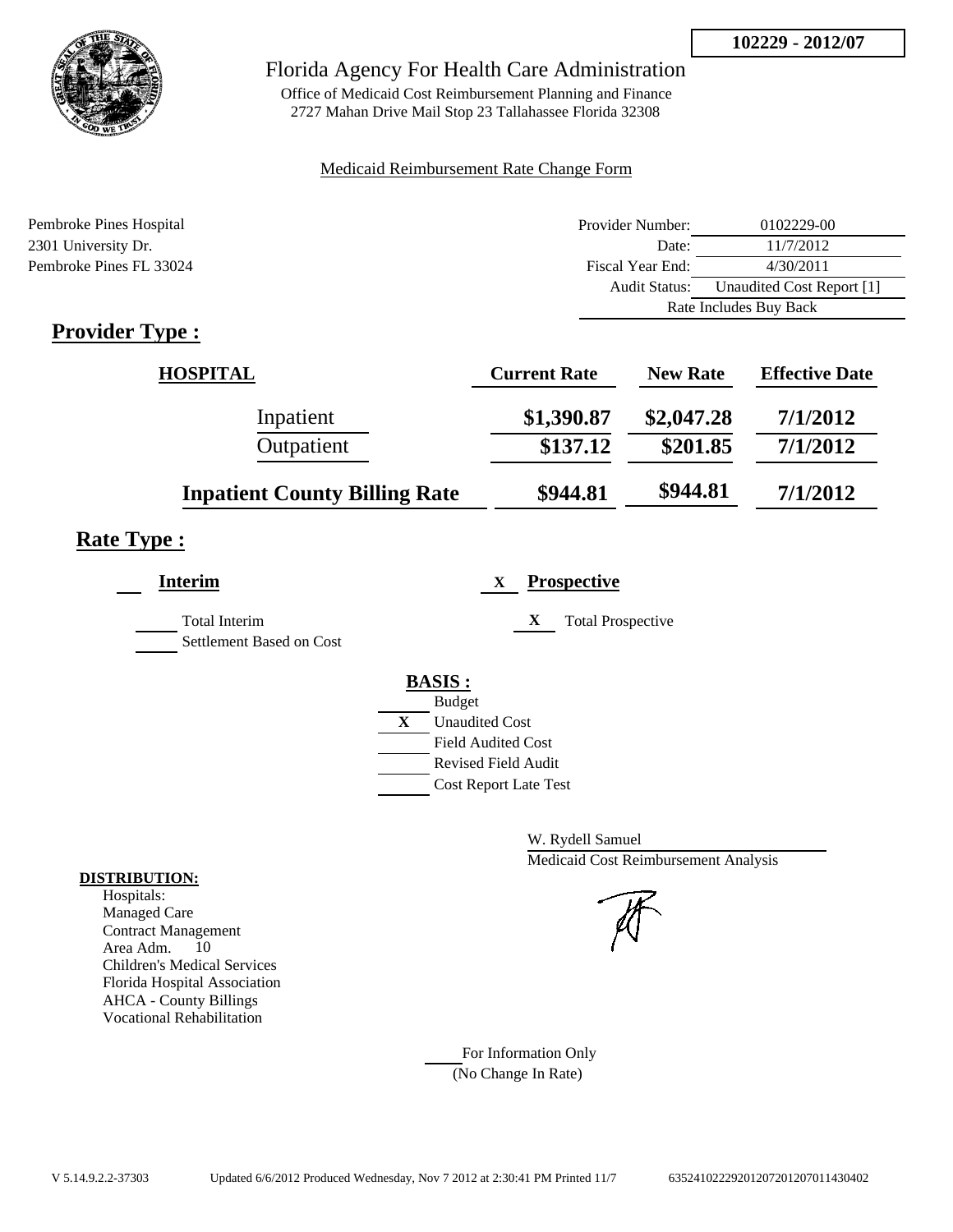

Office of Medicaid Cost Reimbursement Planning and Finance 2727 Mahan Drive Mail Stop 23 Tallahassee Florida 32308

### Medicaid Reimbursement Rate Change Form

| Pembroke Pines Hospital | Provider Number: | 0102229-00                |
|-------------------------|------------------|---------------------------|
| 2301 University Dr.     | Date:            | 11/7/2012                 |
| Pembroke Pines FL 33024 | Fiscal Year End: | 4/30/2011                 |
|                         | Audit Status:    | Unaudited Cost Report [1] |
|                         |                  | Rate Includes Buy Back    |

## **Provider Type :**

| <b>HOSPITAL</b>                      | <b>Current Rate</b> | <b>New Rate</b> | <b>Effective Date</b> |
|--------------------------------------|---------------------|-----------------|-----------------------|
| Inpatient                            | \$1,390.87          | \$2,047.28      | 7/1/2012              |
| Outpatient                           | \$137.12            | \$201.85        | 7/1/2012              |
| <b>Inpatient County Billing Rate</b> | \$944.81            | \$944.81        | 7/1/2012              |

## **Rate Type :**

| <b>Interim</b>                            | <b>Prospective</b><br>X                                                                 |
|-------------------------------------------|-----------------------------------------------------------------------------------------|
| Total Interim<br>Settlement Based on Cost | X<br><b>Total Prospective</b>                                                           |
|                                           | <b>BASIS:</b><br><b>Budget</b><br>X<br><b>Unaudited Cost</b>                            |
|                                           | <b>Field Audited Cost</b><br><b>Revised Field Audit</b><br><b>Cost Report Late Test</b> |

W. Rydell Samuel Medicaid Cost Reimbursement Analysis

For Information Only (No Change In Rate)

#### **DISTRIBUTION:**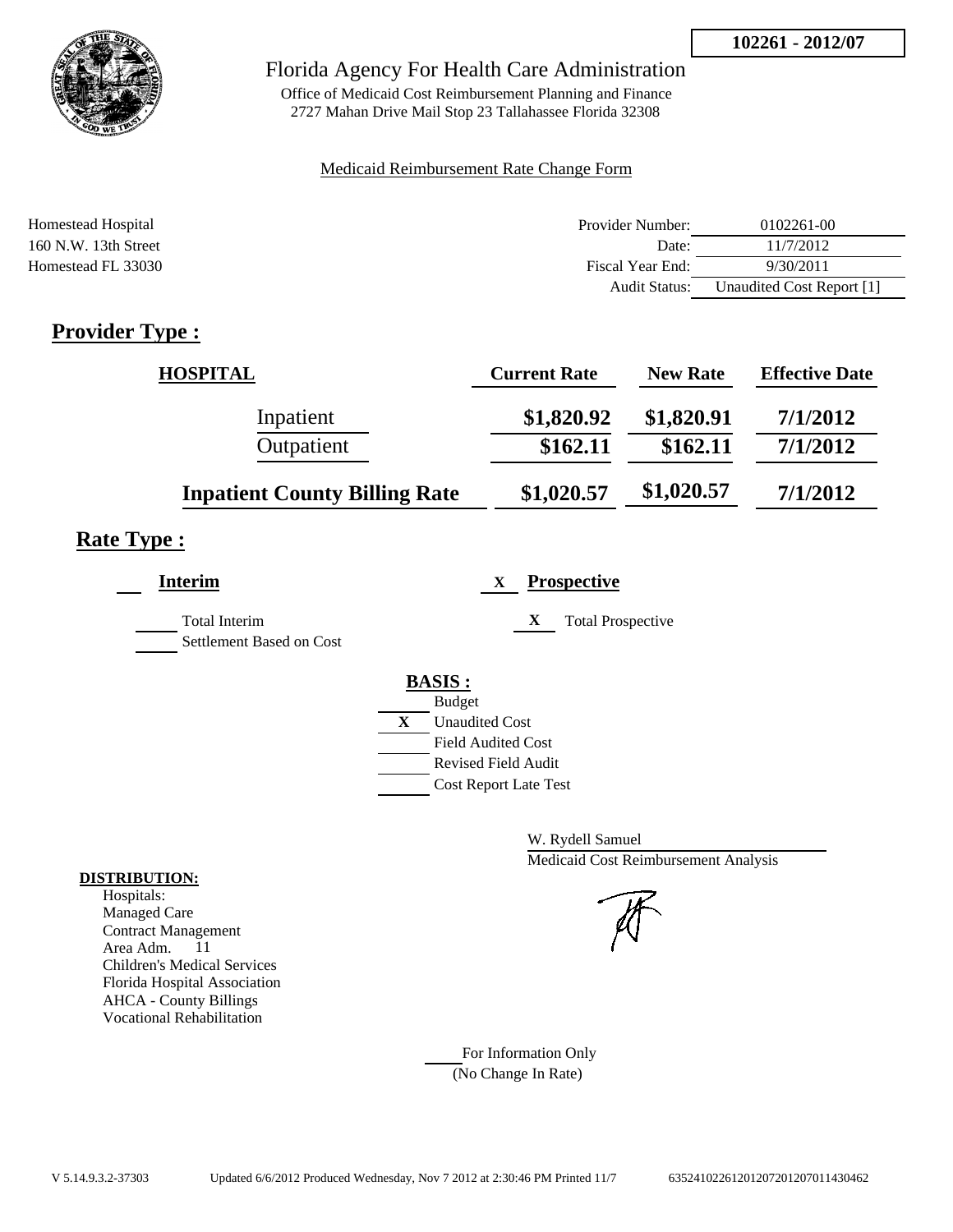

Office of Medicaid Cost Reimbursement Planning and Finance 2727 Mahan Drive Mail Stop 23 Tallahassee Florida 32308

### Medicaid Reimbursement Rate Change Form

| <b>Homestead Hospital</b> | Provider Number:     | 0102261-00                |
|---------------------------|----------------------|---------------------------|
| $160$ N.W. 13th Street    | Date:                | 11/7/2012                 |
| Homestead FL 33030        | Fiscal Year End:     | 9/30/2011                 |
|                           | <b>Audit Status:</b> | Unaudited Cost Report [1] |

## **Provider Type :**

| <b>HOSPITAL</b>                      | <b>Current Rate</b> | <b>New Rate</b> | <b>Effective Date</b> |
|--------------------------------------|---------------------|-----------------|-----------------------|
| Inpatient                            | \$1,820.92          | \$1,820.91      | 7/1/2012              |
| Outpatient                           | \$162.11            | \$162.11        | 7/1/2012              |
| <b>Inpatient County Billing Rate</b> | \$1,020.57          | \$1,020.57      | 7/1/2012              |

## **Rate Type :**

| <b>Interim</b>                                   | <b>Prospective</b><br>X                                                                                                                          |
|--------------------------------------------------|--------------------------------------------------------------------------------------------------------------------------------------------------|
| <b>Total Interim</b><br>Settlement Based on Cost | X<br><b>Total Prospective</b>                                                                                                                    |
|                                                  | <b>BASIS:</b><br><b>Budget</b><br>X<br><b>Unaudited Cost</b><br><b>Field Audited Cost</b><br>Revised Field Audit<br><b>Cost Report Late Test</b> |

W. Rydell Samuel Medicaid Cost Reimbursement Analysis

For Information Only (No Change In Rate)

#### **DISTRIBUTION:**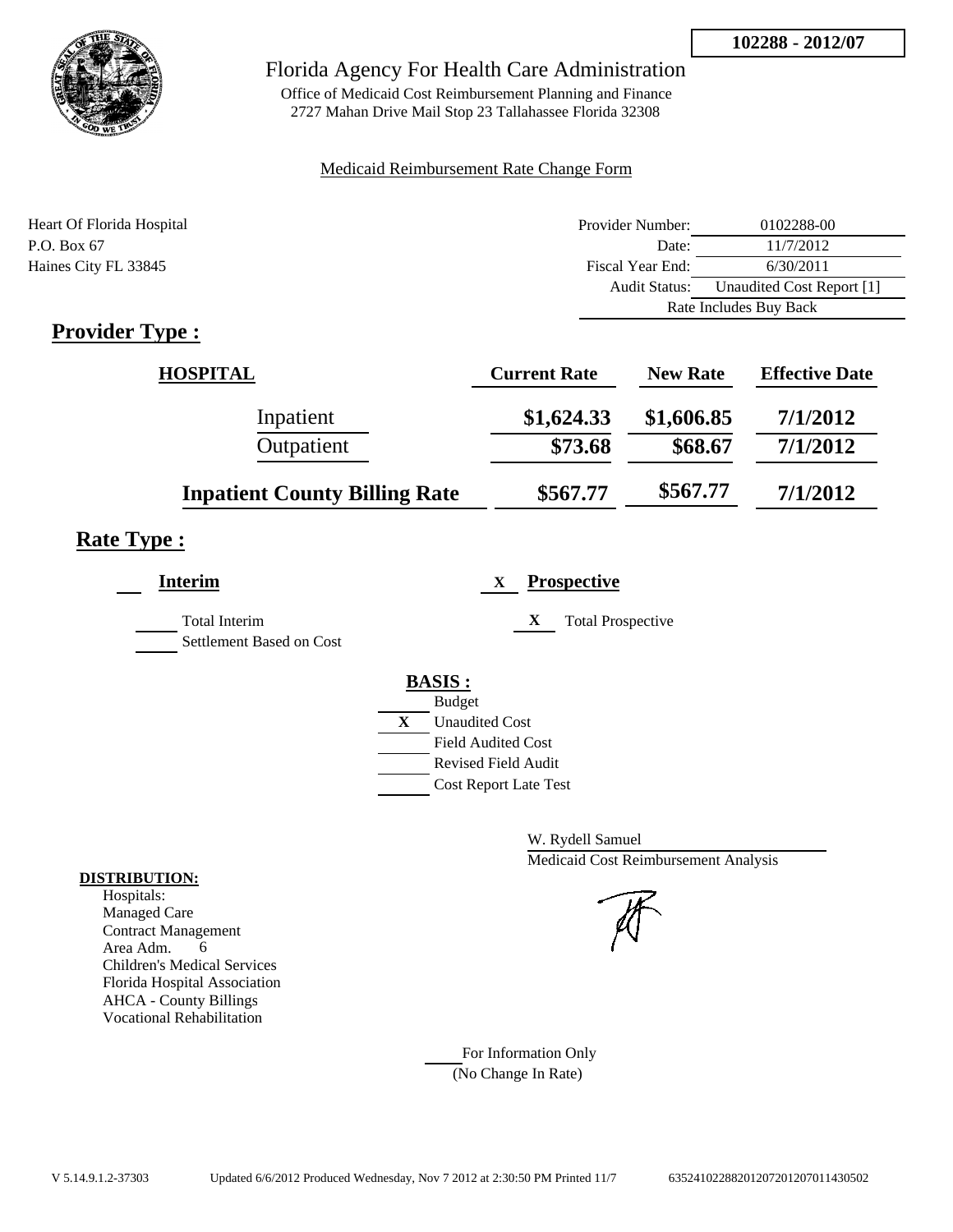

Office of Medicaid Cost Reimbursement Planning and Finance 2727 Mahan Drive Mail Stop 23 Tallahassee Florida 32308

### Medicaid Reimbursement Rate Change Form

| Heart Of Florida Hospital | Provider Number:     | 0102288-00                |
|---------------------------|----------------------|---------------------------|
| P.O. Box 67               | Date:                | 11/7/2012                 |
| Haines City FL 33845      | Fiscal Year End:     | 6/30/2011                 |
|                           | <b>Audit Status:</b> | Unaudited Cost Report [1] |
|                           |                      | Rate Includes Buy Back    |

## **Provider Type :**

| <b>HOSPITAL</b>                      | <b>Current Rate</b> | <b>New Rate</b> | <b>Effective Date</b> |
|--------------------------------------|---------------------|-----------------|-----------------------|
| Inpatient                            | \$1,624.33          | \$1,606.85      | 7/1/2012              |
| Outpatient                           | \$73.68             | \$68.67         | 7/1/2012              |
| <b>Inpatient County Billing Rate</b> | \$567.77            | \$567.77        | 7/1/2012              |

## **Rate Type :**

| Interim                                          |   | <b>Prospective</b><br>X       |
|--------------------------------------------------|---|-------------------------------|
| <b>Total Interim</b><br>Settlement Based on Cost |   | X<br><b>Total Prospective</b> |
|                                                  |   | <b>BASIS:</b>                 |
|                                                  |   | <b>Budget</b>                 |
|                                                  | X | <b>Unaudited Cost</b>         |
|                                                  |   | <b>Field Audited Cost</b>     |
|                                                  |   | <b>Revised Field Audit</b>    |
|                                                  |   | <b>Cost Report Late Test</b>  |
|                                                  |   |                               |

W. Rydell Samuel Medicaid Cost Reimbursement Analysis

For Information Only (No Change In Rate)

#### **DISTRIBUTION:**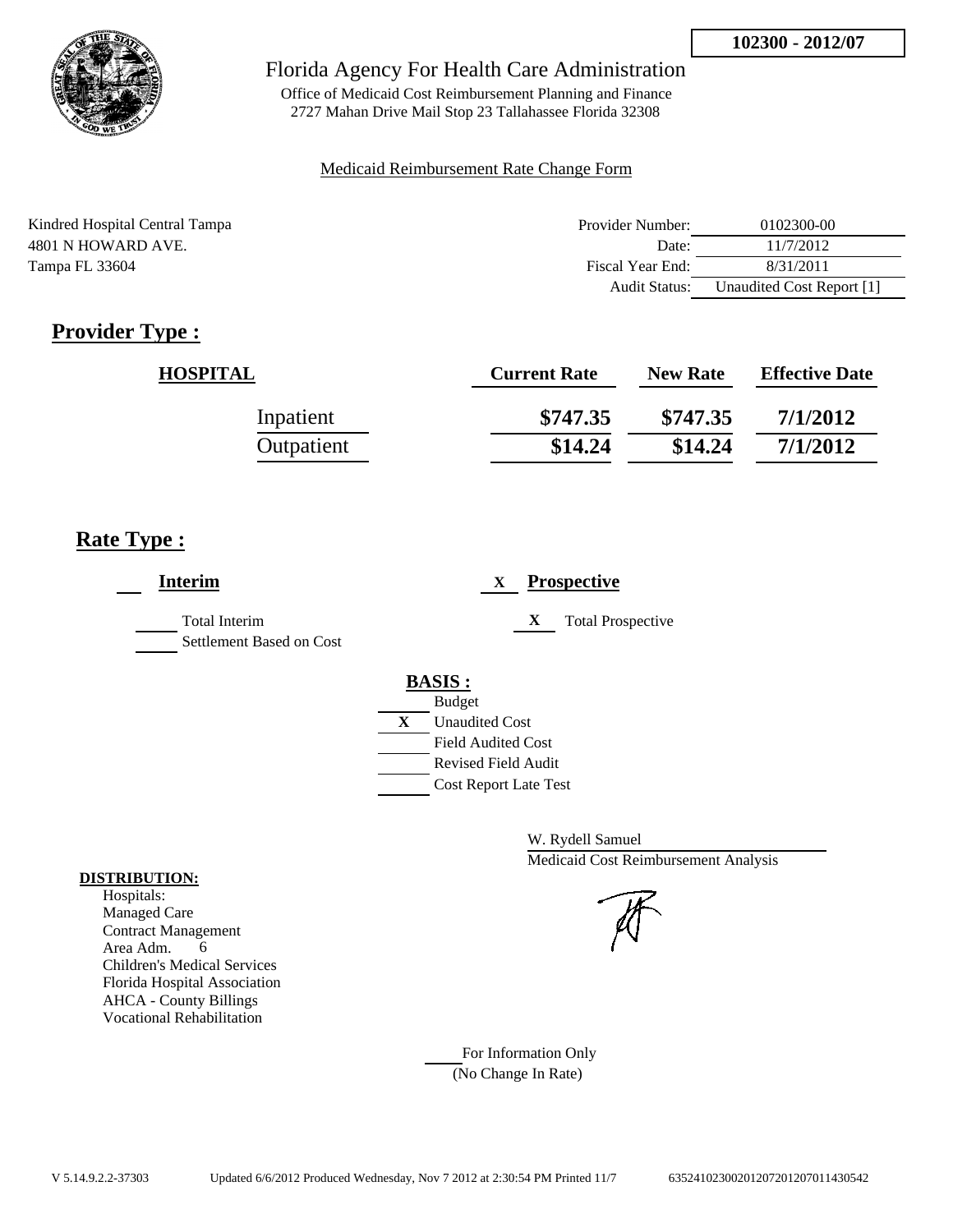

Office of Medicaid Cost Reimbursement Planning and Finance 2727 Mahan Drive Mail Stop 23 Tallahassee Florida 32308

#### Medicaid Reimbursement Rate Change Form

| Kindred Hospital Central Tampa | Provider Number: | 0102300-00                |
|--------------------------------|------------------|---------------------------|
| 4801 N HOWARD AVE.             | Date:            | 11/7/2012                 |
| Tampa FL 33604                 | Fiscal Year End: | 8/31/2011                 |
|                                | Audit Status:    | Unaudited Cost Report [1] |

# **Provider Type :**

| <b>HOSPITAL</b> | <b>Current Rate</b> | <b>New Rate</b> | <b>Effective Date</b> |
|-----------------|---------------------|-----------------|-----------------------|
| Inpatient       | \$747.35            | \$747.35        | 7/1/2012              |
| Outpatient      | \$14.24             | \$14.24         | 7/1/2012              |

## **Rate Type :**

| <b>Interim</b>                                   | <b>Prospective</b><br>X               |
|--------------------------------------------------|---------------------------------------|
| <b>Total Interim</b><br>Settlement Based on Cost | X<br><b>Total Prospective</b>         |
|                                                  | <b>BASIS:</b>                         |
|                                                  | <b>Budget</b>                         |
|                                                  | $\mathbf{X}$<br><b>Unaudited Cost</b> |
|                                                  | <b>Field Audited Cost</b>             |
|                                                  | <b>Revised Field Audit</b>            |
|                                                  | <b>Cost Report Late Test</b>          |
|                                                  |                                       |

W. Rydell Samuel Medicaid Cost Reimbursement Analysis

For Information Only (No Change In Rate)

#### **DISTRIBUTION:**

Hospitals: Managed Care Contract Management Area Adm. 6 Children's Medical Services Florida Hospital Association AHCA - County Billings Vocational Rehabilitation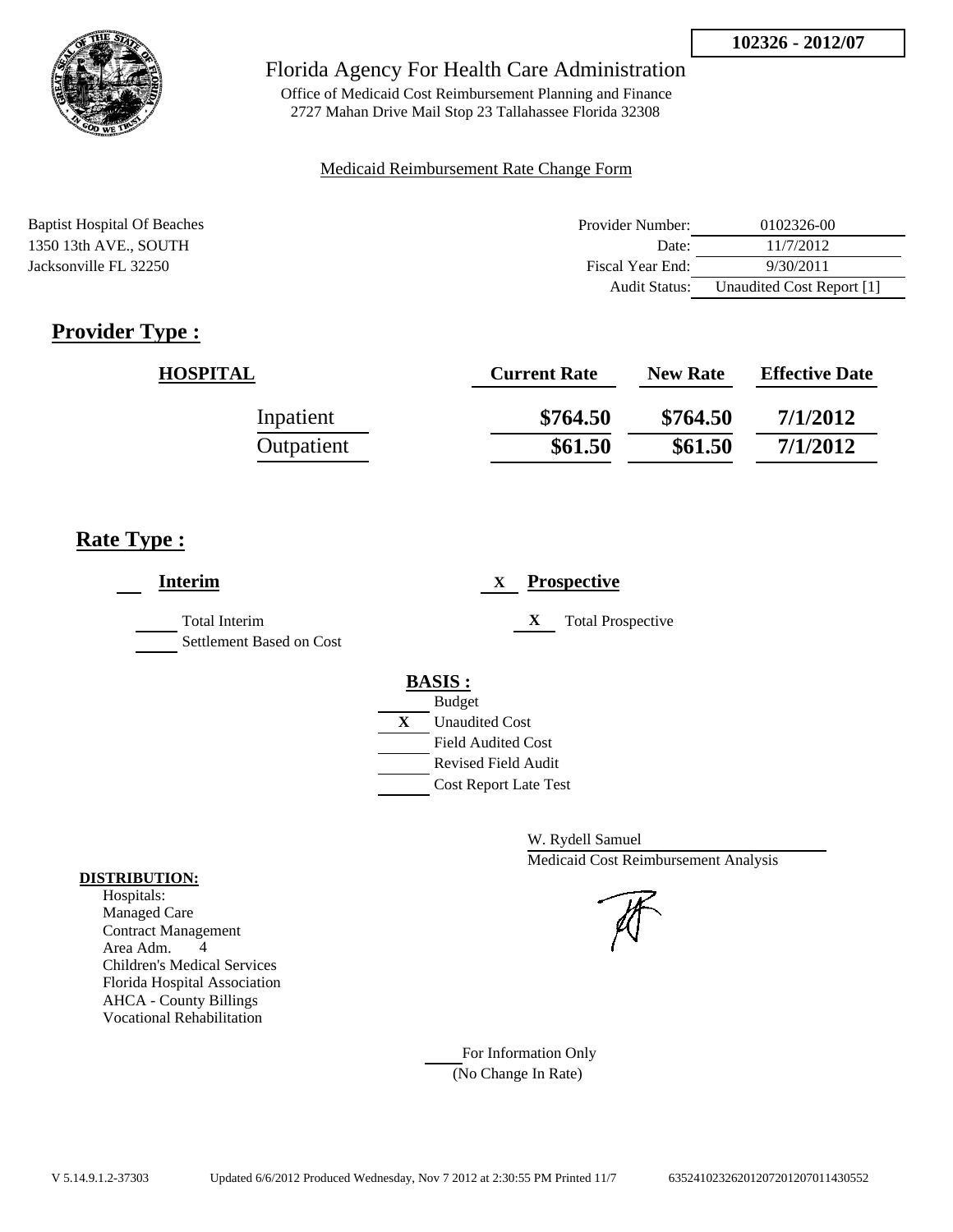

Office of Medicaid Cost Reimbursement Planning and Finance 2727 Mahan Drive Mail Stop 23 Tallahassee Florida 32308

#### Medicaid Reimbursement Rate Change Form

| <b>Baptist Hospital Of Beaches</b> | Provider Number:     | 0102326-00                |
|------------------------------------|----------------------|---------------------------|
| 1350 13th AVE., SOUTH              | Date:                | 11/7/2012                 |
| Jacksonville FL 32250              | Fiscal Year End:     | 9/30/2011                 |
|                                    | <b>Audit Status:</b> | Unaudited Cost Report [1] |

# **Provider Type :**

| <b>HOSPITAL</b> | <b>Current Rate</b> | <b>New Rate</b> | <b>Effective Date</b> |
|-----------------|---------------------|-----------------|-----------------------|
| Inpatient       | \$764.50            | \$764.50        | 7/1/2012              |
| Outpatient      | \$61.50             | \$61.50         | 7/1/2012              |

### **Rate Type :**

| <b>Interim</b>                            | <b>Prospective</b><br>X                                                                                                 |
|-------------------------------------------|-------------------------------------------------------------------------------------------------------------------------|
| Total Interim<br>Settlement Based on Cost | X<br><b>Total Prospective</b>                                                                                           |
|                                           | <b>BASIS:</b><br><b>Budget</b><br>X<br><b>Unaudited Cost</b><br><b>Field Audited Cost</b><br><b>Revised Field Audit</b> |
|                                           | <b>Cost Report Late Test</b>                                                                                            |

W. Rydell Samuel Medicaid Cost Reimbursement Analysis

For Information Only (No Change In Rate)

#### **DISTRIBUTION:**

Hospitals: Managed Care Contract Management Area Adm. 4 Children's Medical Services Florida Hospital Association AHCA - County Billings Vocational Rehabilitation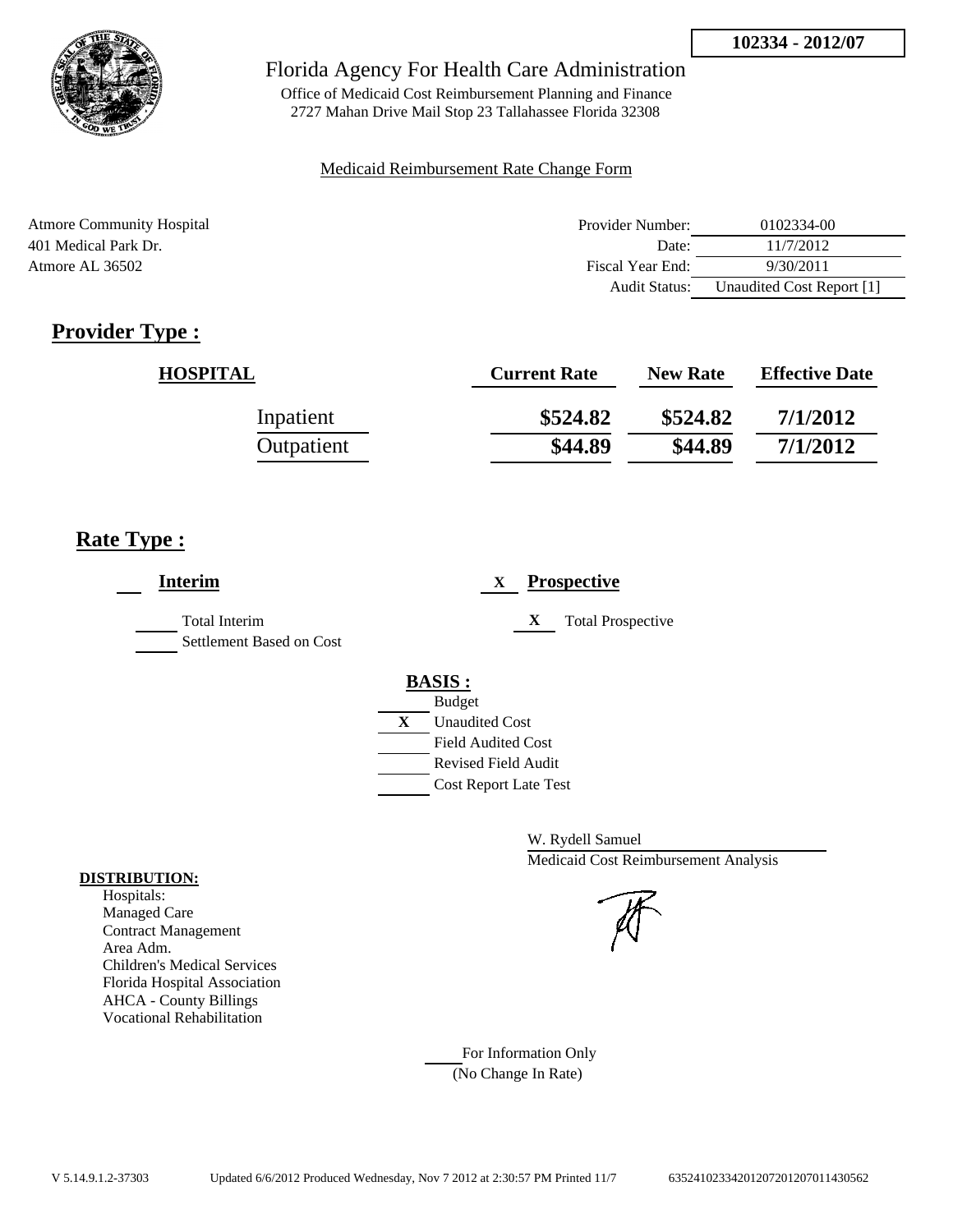

Office of Medicaid Cost Reimbursement Planning and Finance 2727 Mahan Drive Mail Stop 23 Tallahassee Florida 32308

### Medicaid Reimbursement Rate Change Form

| <b>Atmore Community Hospital</b> | Provider Number:     | 0102334-00                |
|----------------------------------|----------------------|---------------------------|
| 401 Medical Park Dr.             | Date:                | 11/7/2012                 |
| Atmore AL 36502                  | Fiscal Year End:     | 9/30/2011                 |
|                                  | <b>Audit Status:</b> | Unaudited Cost Report [1] |

# **Provider Type :**

| <b>HOSPITAL</b> | <b>Current Rate</b> | <b>New Rate</b> | <b>Effective Date</b> |
|-----------------|---------------------|-----------------|-----------------------|
| Inpatient       | \$524.82            | \$524.82        | 7/1/2012              |
| Outpatient      | \$44.89             | \$44.89         | 7/1/2012              |

## **Rate Type :**

| <b>Interim</b>                                   | <b>Prospective</b><br>X               |
|--------------------------------------------------|---------------------------------------|
| <b>Total Interim</b><br>Settlement Based on Cost | X<br><b>Total Prospective</b>         |
|                                                  | <b>BASIS:</b>                         |
|                                                  | <b>Budget</b>                         |
|                                                  | $\mathbf{X}$<br><b>Unaudited Cost</b> |
|                                                  | <b>Field Audited Cost</b>             |
|                                                  | <b>Revised Field Audit</b>            |
|                                                  | <b>Cost Report Late Test</b>          |
|                                                  |                                       |

W. Rydell Samuel Medicaid Cost Reimbursement Analysis

For Information Only (No Change In Rate)

#### **DISTRIBUTION:**

Hospitals: Managed Care Contract Management Area Adm. Children's Medical Services Florida Hospital Association AHCA - County Billings Vocational Rehabilitation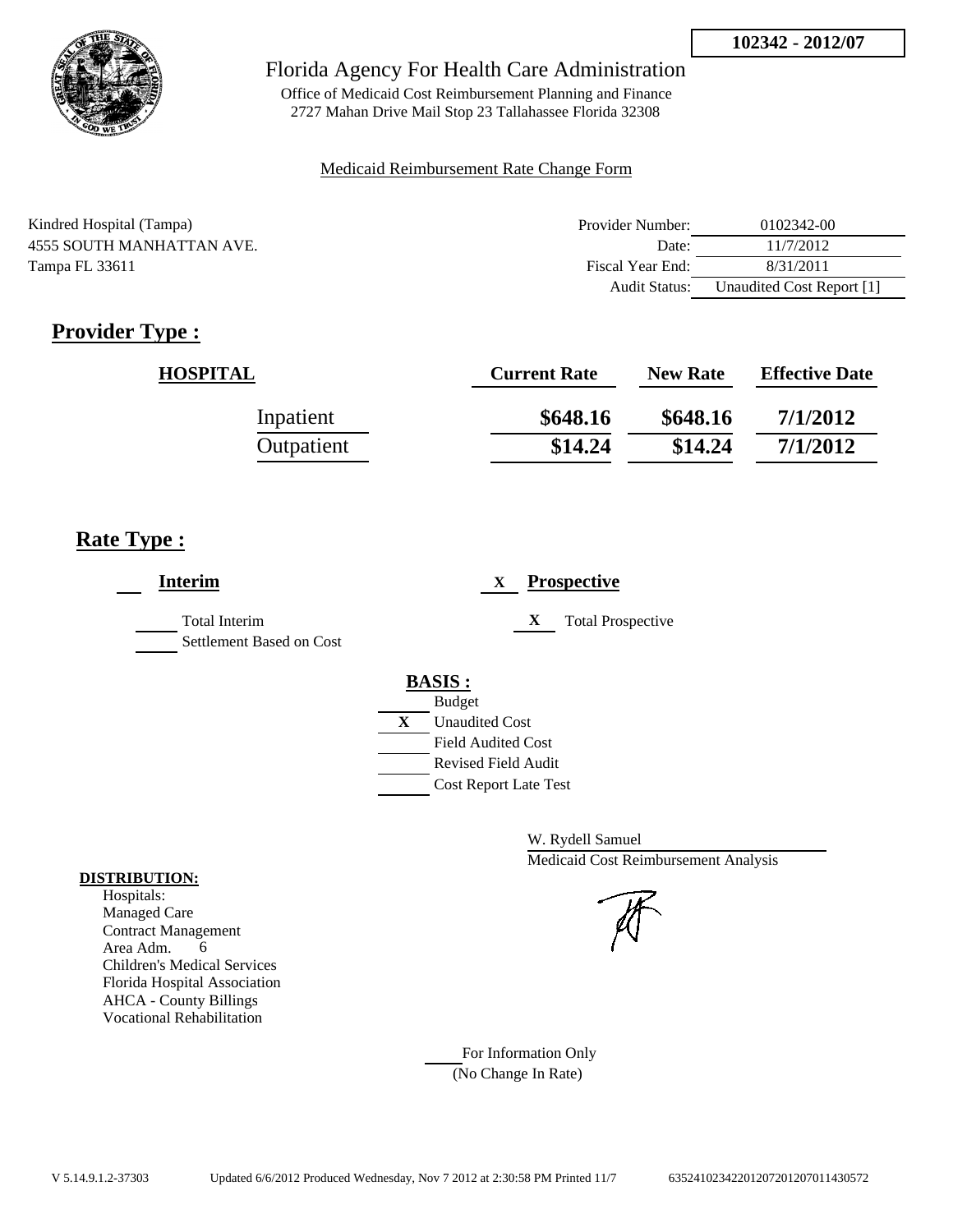

Office of Medicaid Cost Reimbursement Planning and Finance 2727 Mahan Drive Mail Stop 23 Tallahassee Florida 32308

#### Medicaid Reimbursement Rate Change Form

| Kindred Hospital (Tampa)  | Provider Number: | 0102342-00                |
|---------------------------|------------------|---------------------------|
| 4555 SOUTH MANHATTAN AVE. | Date:            | 11/7/2012                 |
| Tampa FL 33611            | Fiscal Year End: | 8/31/2011                 |
|                           | Audit Status:    | Unaudited Cost Report [1] |

# **Provider Type :**

| <b>HOSPITAL</b> | <b>Current Rate</b> | <b>New Rate</b> | <b>Effective Date</b> |
|-----------------|---------------------|-----------------|-----------------------|
| Inpatient       | \$648.16            | \$648.16        | 7/1/2012              |
| Outpatient      | \$14.24             | \$14.24         | 7/1/2012              |

### **Rate Type :**

| <b>Interim</b>                                   | <b>Prospective</b><br>X       |
|--------------------------------------------------|-------------------------------|
| <b>Total Interim</b><br>Settlement Based on Cost | X<br><b>Total Prospective</b> |
|                                                  | <b>BASIS:</b>                 |
|                                                  | <b>Budget</b>                 |
|                                                  | X<br><b>Unaudited Cost</b>    |
|                                                  | <b>Field Audited Cost</b>     |
|                                                  | <b>Revised Field Audit</b>    |
|                                                  | <b>Cost Report Late Test</b>  |
|                                                  |                               |

W. Rydell Samuel Medicaid Cost Reimbursement Analysis

For Information Only (No Change In Rate)

#### **DISTRIBUTION:**

Hospitals: Managed Care Contract Management Area Adm. 6 Children's Medical Services Florida Hospital Association AHCA - County Billings Vocational Rehabilitation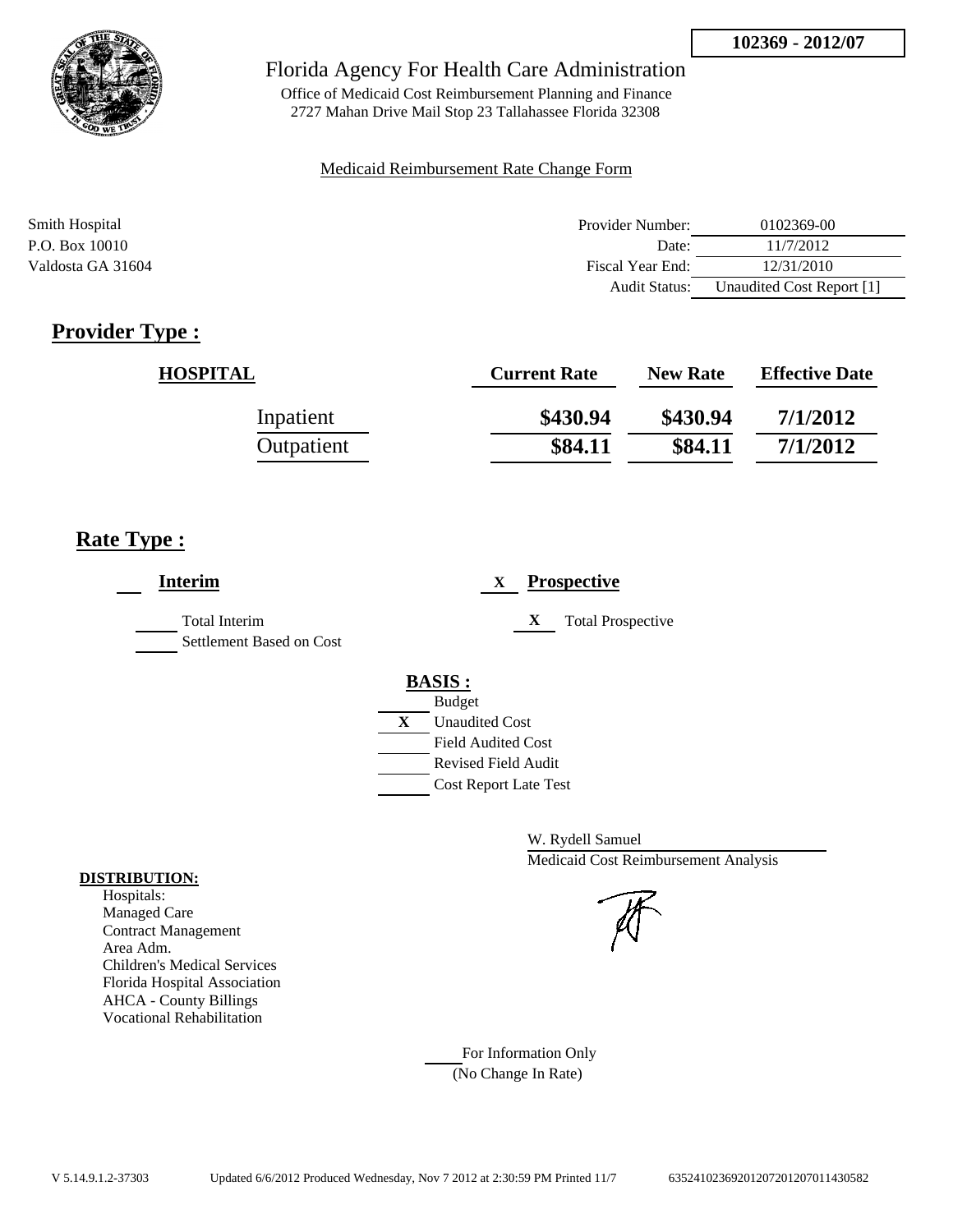

Office of Medicaid Cost Reimbursement Planning and Finance 2727 Mahan Drive Mail Stop 23 Tallahassee Florida 32308

#### Medicaid Reimbursement Rate Change Form

| Smith Hospital    | Provider Number:     | 0102369-00                |
|-------------------|----------------------|---------------------------|
| P.O. Box 10010    | Date:                | 11/7/2012                 |
| Valdosta GA 31604 | Fiscal Year End:     | 12/31/2010                |
|                   | <b>Audit Status:</b> | Unaudited Cost Report [1] |

# **Provider Type :**

| <b>HOSPITAL</b> | <b>Current Rate</b> | <b>New Rate</b> | <b>Effective Date</b> |
|-----------------|---------------------|-----------------|-----------------------|
| Inpatient       | \$430.94            | \$430.94        | 7/1/2012              |
| Outpatient      | \$84.11             | \$84.11         | 7/1/2012              |

## **Rate Type :**

| <b>Interim</b>                            | <b>Prospective</b><br>X                                                                 |
|-------------------------------------------|-----------------------------------------------------------------------------------------|
| Total Interim<br>Settlement Based on Cost | X<br><b>Total Prospective</b>                                                           |
|                                           | <b>BASIS:</b><br><b>Budget</b><br>$\mathbf{X}$<br><b>Unaudited Cost</b>                 |
|                                           | <b>Field Audited Cost</b><br><b>Revised Field Audit</b><br><b>Cost Report Late Test</b> |

W. Rydell Samuel Medicaid Cost Reimbursement Analysis

For Information Only (No Change In Rate)

#### **DISTRIBUTION:**

Hospitals: Managed Care Contract Management Area Adm. Children's Medical Services Florida Hospital Association AHCA - County Billings Vocational Rehabilitation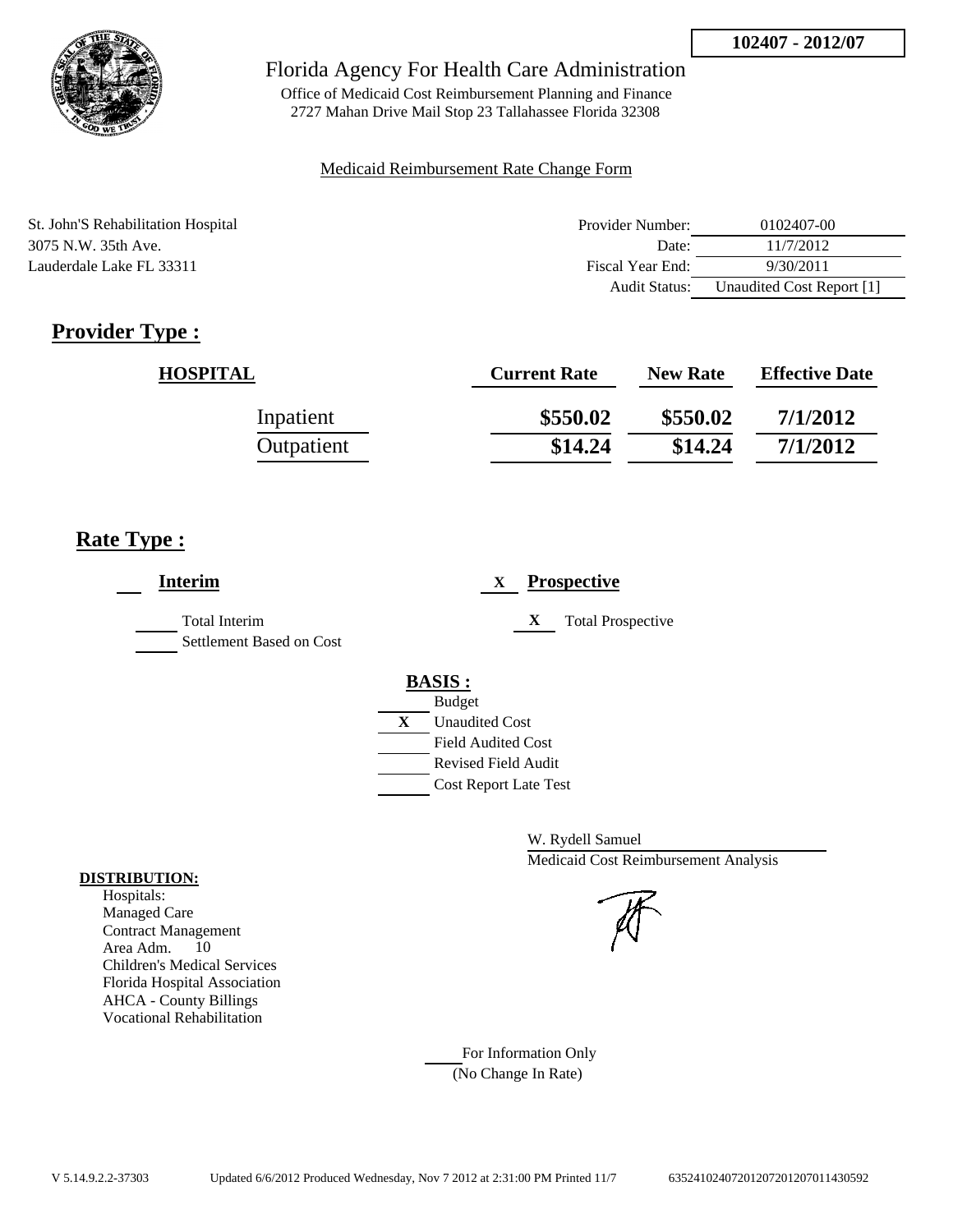

Office of Medicaid Cost Reimbursement Planning and Finance 2727 Mahan Drive Mail Stop 23 Tallahassee Florida 32308

#### Medicaid Reimbursement Rate Change Form

| St. John'S Rehabilitation Hospital | Provider Number: | 0102407-00                |
|------------------------------------|------------------|---------------------------|
| 3075 N.W. 35th Ave.                | Date:            | 11/7/2012                 |
| Lauderdale Lake FL 33311           | Fiscal Year End: | 9/30/2011                 |
|                                    | Audit Status:    | Unaudited Cost Report [1] |

# **Provider Type :**

| <b>HOSPITAL</b> | <b>Current Rate</b> | <b>New Rate</b> | <b>Effective Date</b> |
|-----------------|---------------------|-----------------|-----------------------|
| Inpatient       | \$550.02            | \$550.02        | 7/1/2012              |
| Outpatient      | \$14.24             | \$14.24         | 7/1/2012              |

## **Rate Type :**

| <b>Interim</b>                                   | <b>Prospective</b><br>X       |
|--------------------------------------------------|-------------------------------|
| <b>Total Interim</b><br>Settlement Based on Cost | X<br><b>Total Prospective</b> |
|                                                  | <b>BASIS:</b>                 |
|                                                  | <b>Budget</b>                 |
|                                                  | X<br><b>Unaudited Cost</b>    |
|                                                  | <b>Field Audited Cost</b>     |
|                                                  | <b>Revised Field Audit</b>    |
|                                                  | <b>Cost Report Late Test</b>  |

W. Rydell Samuel Medicaid Cost Reimbursement Analysis

#### **DISTRIBUTION:** Hospitals:

Managed Care Contract Management Area Adm. 10 Children's Medical Services Florida Hospital Association AHCA - County Billings Vocational Rehabilitation

> For Information Only (No Change In Rate)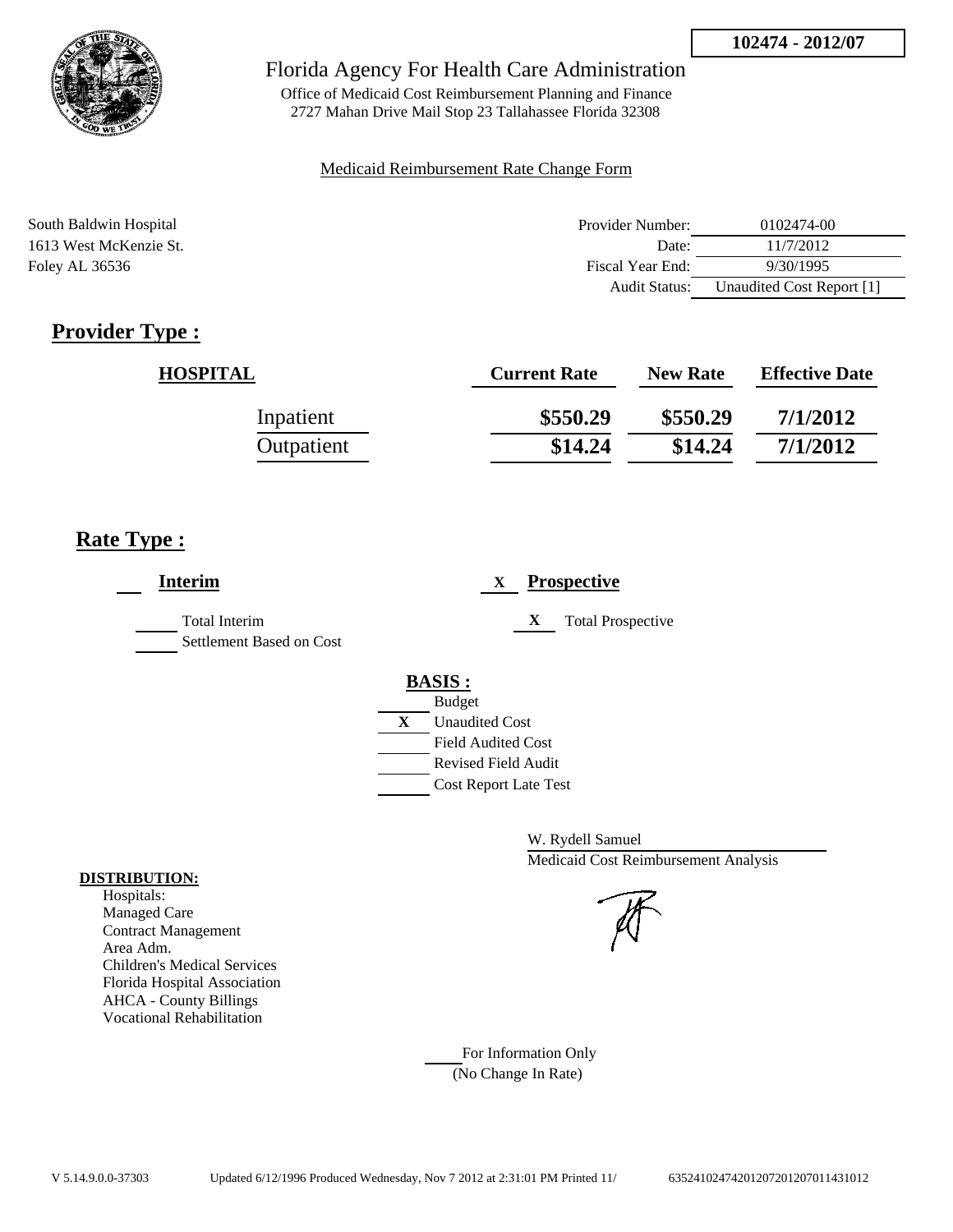

Office of Medicaid Cost Reimbursement Planning and Finance 2727 Mahan Drive Mail Stop 23 Tallahassee Florida 32308

#### Medicaid Reimbursement Rate Change Form

| South Baldwin Hospital | Provider Number:     | 0102474-00                |
|------------------------|----------------------|---------------------------|
| 1613 West McKenzie St. | Date:                | 11/7/2012                 |
| Foley AL 36536         | Fiscal Year End:     | 9/30/1995                 |
|                        | <b>Audit Status:</b> | Unaudited Cost Report [1] |

# **Provider Type :**

| <b>HOSPITAL</b> | <b>Current Rate</b> | <b>New Rate</b> | <b>Effective Date</b> |
|-----------------|---------------------|-----------------|-----------------------|
| Inpatient       | \$550.29            | \$550.29        | 7/1/2012              |
| Outpatient      | \$14.24             | \$14.24         | 7/1/2012              |

## **Rate Type :**

| <b>Interim</b>                                   | <b>Prospective</b><br>X       |  |
|--------------------------------------------------|-------------------------------|--|
| <b>Total Interim</b><br>Settlement Based on Cost | X<br><b>Total Prospective</b> |  |
|                                                  | <b>BASIS:</b>                 |  |
|                                                  | <b>Budget</b>                 |  |
|                                                  | X<br><b>Unaudited Cost</b>    |  |
|                                                  | <b>Field Audited Cost</b>     |  |
|                                                  | <b>Revised Field Audit</b>    |  |
|                                                  | <b>Cost Report Late Test</b>  |  |
|                                                  |                               |  |

W. Rydell Samuel Medicaid Cost Reimbursement Analysis

### For Information Only (No Change In Rate)

**DISTRIBUTION:**

Hospitals: Managed Care Contract Management Area Adm. Children's Medical Services Florida Hospital Association AHCA - County Billings Vocational Rehabilitation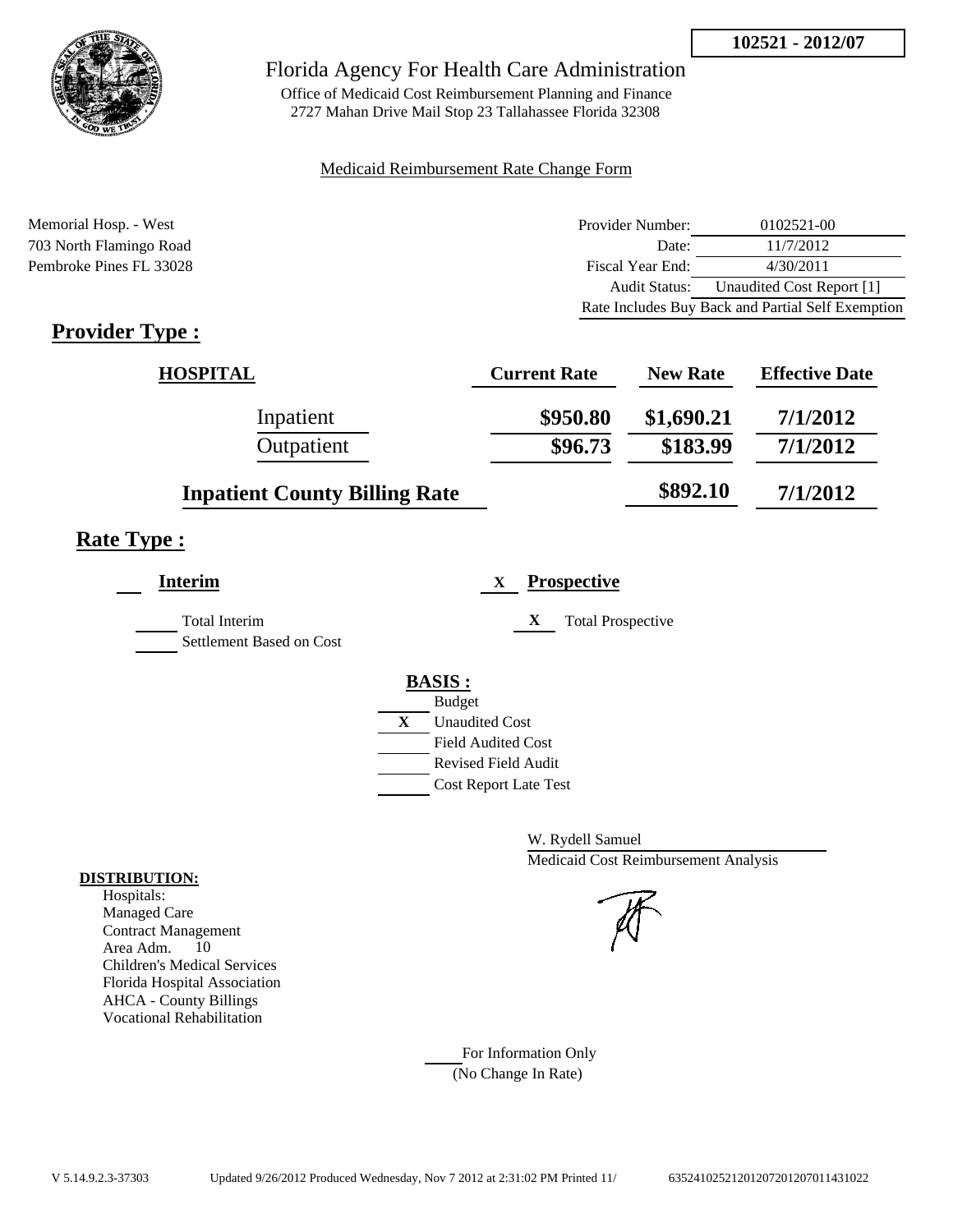Audit Status: Unaudited Cost Report [1]

Rate Includes Buy Back and Partial Self Exemption



### Florida Agency For Health Care Administration

Office of Medicaid Cost Reimbursement Planning and Finance 2727 Mahan Drive Mail Stop 23 Tallahassee Florida 32308

#### Medicaid Reimbursement Rate Change Form

Memorial Hosp. - West **Provider Number:** 0102521-00 703 North Flamingo Road Date: 11/7/2012 Pembroke Pines FL 33028 Fiscal Year End: 4/30/2011

# **Provider Type :**

| <b>HOSPITAL</b>                      | <b>Current Rate</b> | <b>New Rate</b> | <b>Effective Date</b> |
|--------------------------------------|---------------------|-----------------|-----------------------|
| Inpatient                            | \$950.80            | \$1,690.21      | 7/1/2012              |
| Outpatient                           | \$96.73             | \$183.99        | 7/1/2012              |
| <b>Inpatient County Billing Rate</b> |                     | \$892.10        | 7/1/2012              |

## **Rate Type :**

| Interim                                          | <b>Prospective</b><br>X               |
|--------------------------------------------------|---------------------------------------|
| <b>Total Interim</b><br>Settlement Based on Cost | X<br><b>Total Prospective</b>         |
|                                                  | <b>BASIS:</b>                         |
|                                                  | <b>Budget</b>                         |
|                                                  | $\mathbf{X}$<br><b>Unaudited Cost</b> |
|                                                  | <b>Field Audited Cost</b>             |
|                                                  | <b>Revised Field Audit</b>            |
|                                                  | <b>Cost Report Late Test</b>          |

W. Rydell Samuel Medicaid Cost Reimbursement Analysis

For Information Only (No Change In Rate)

#### **DISTRIBUTION:**

Hospitals: Managed Care Contract Management Area Adm. 10 Children's Medical Services Florida Hospital Association AHCA - County Billings Vocational Rehabilitation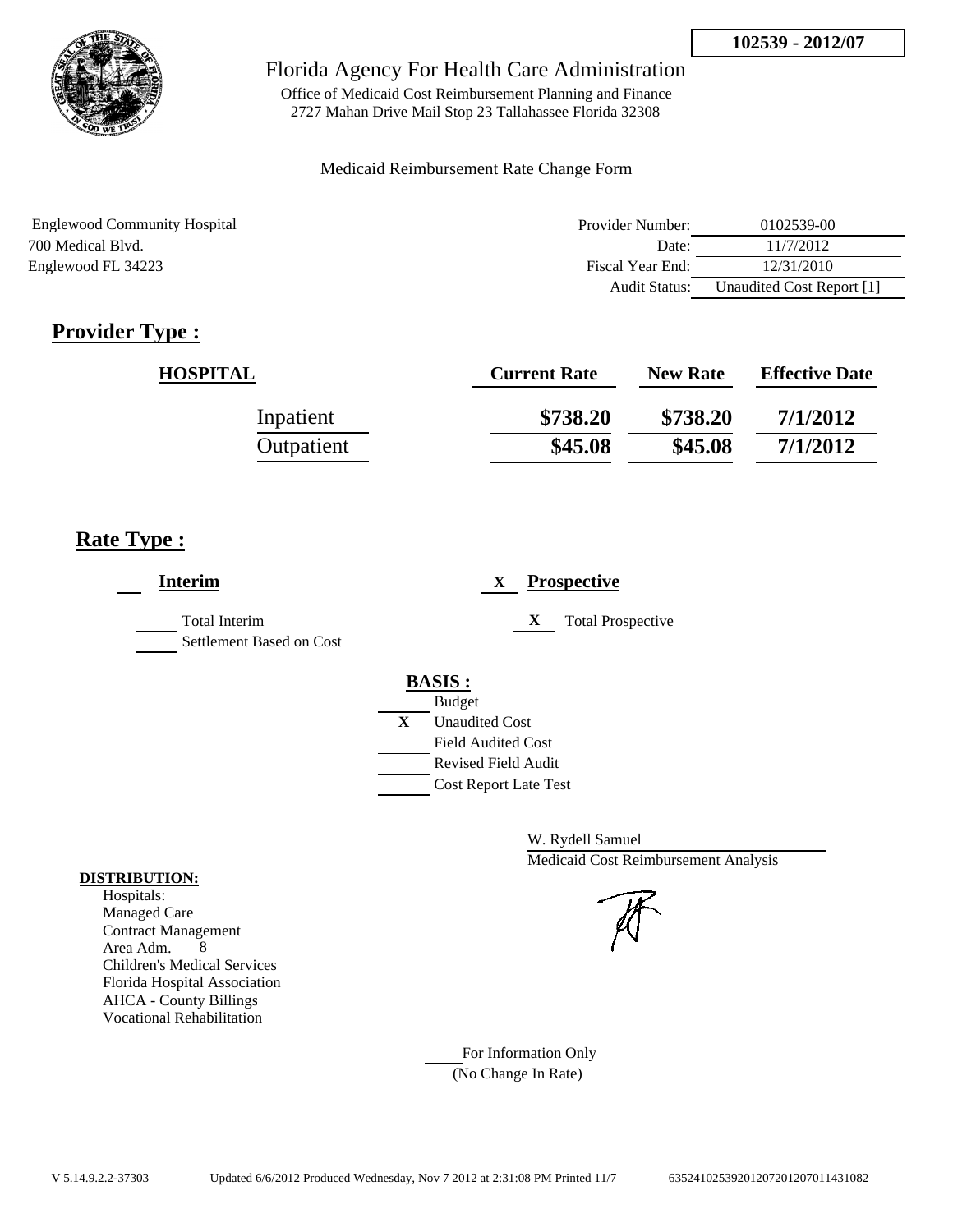

Office of Medicaid Cost Reimbursement Planning and Finance 2727 Mahan Drive Mail Stop 23 Tallahassee Florida 32308

### Medicaid Reimbursement Rate Change Form

| <b>Englewood Community Hospital</b> | Provider Number:     | 0102539-00                |
|-------------------------------------|----------------------|---------------------------|
| 700 Medical Blyd.                   | Date:                | 11/7/2012                 |
| Englewood FL 34223                  | Fiscal Year End:     | 12/31/2010                |
|                                     | <b>Audit Status:</b> | Unaudited Cost Report [1] |

# **Provider Type :**

| <b>HOSPITAL</b> | <b>Current Rate</b> | <b>New Rate</b> | <b>Effective Date</b> |
|-----------------|---------------------|-----------------|-----------------------|
| Inpatient       | \$738.20            | \$738.20        | 7/1/2012              |
| Outpatient      | \$45.08             | \$45.08         | 7/1/2012              |

## **Rate Type :**

| <b>Interim</b>                                   | <b>Prospective</b><br>X                                                                                                                                 |
|--------------------------------------------------|---------------------------------------------------------------------------------------------------------------------------------------------------------|
| <b>Total Interim</b><br>Settlement Based on Cost | X<br><b>Total Prospective</b>                                                                                                                           |
|                                                  | <b>BASIS:</b><br><b>Budget</b><br>X<br><b>Unaudited Cost</b><br><b>Field Audited Cost</b><br><b>Revised Field Audit</b><br><b>Cost Report Late Test</b> |

W. Rydell Samuel Medicaid Cost Reimbursement Analysis

For Information Only (No Change In Rate)

#### **DISTRIBUTION:**

Hospitals: Managed Care Contract Management Area Adm. 8 Children's Medical Services Florida Hospital Association AHCA - County Billings Vocational Rehabilitation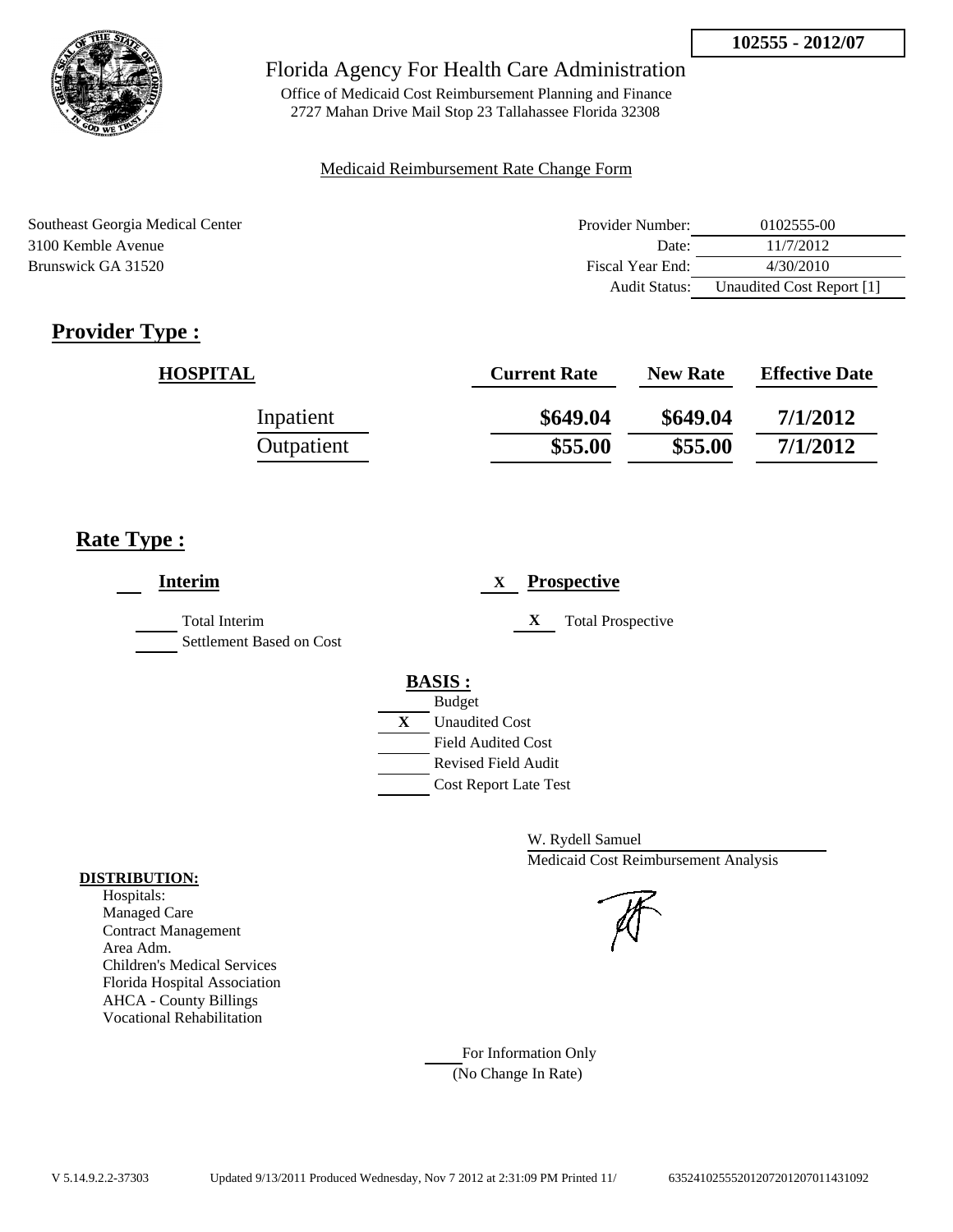

Office of Medicaid Cost Reimbursement Planning and Finance 2727 Mahan Drive Mail Stop 23 Tallahassee Florida 32308

#### Medicaid Reimbursement Rate Change Form

| Southeast Georgia Medical Center | Provider Number: | 0102555-00                |
|----------------------------------|------------------|---------------------------|
| 3100 Kemble Avenue               | Date:            | 11/7/2012                 |
| Brunswick GA 31520               | Fiscal Year End: | 4/30/2010                 |
|                                  | Audit Status:    | Unaudited Cost Report [1] |

# **Provider Type :**

| <b>HOSPITAL</b> | <b>Current Rate</b> | <b>New Rate</b> | <b>Effective Date</b> |
|-----------------|---------------------|-----------------|-----------------------|
| Inpatient       | \$649.04            | \$649.04        | 7/1/2012              |
| Outpatient      | \$55.00             | \$55.00         | 7/1/2012              |

## **Rate Type :**

| <b>Interim</b>                                   | <b>Prospective</b><br>X                                                                                                                          |
|--------------------------------------------------|--------------------------------------------------------------------------------------------------------------------------------------------------|
| <b>Total Interim</b><br>Settlement Based on Cost | X<br><b>Total Prospective</b>                                                                                                                    |
|                                                  | <b>BASIS:</b><br><b>Budget</b><br>X<br><b>Unaudited Cost</b><br><b>Field Audited Cost</b><br>Revised Field Audit<br><b>Cost Report Late Test</b> |

W. Rydell Samuel Medicaid Cost Reimbursement Analysis

For Information Only (No Change In Rate)

#### **DISTRIBUTION:**

Hospitals: Managed Care Contract Management Area Adm. Children's Medical Services Florida Hospital Association AHCA - County Billings Vocational Rehabilitation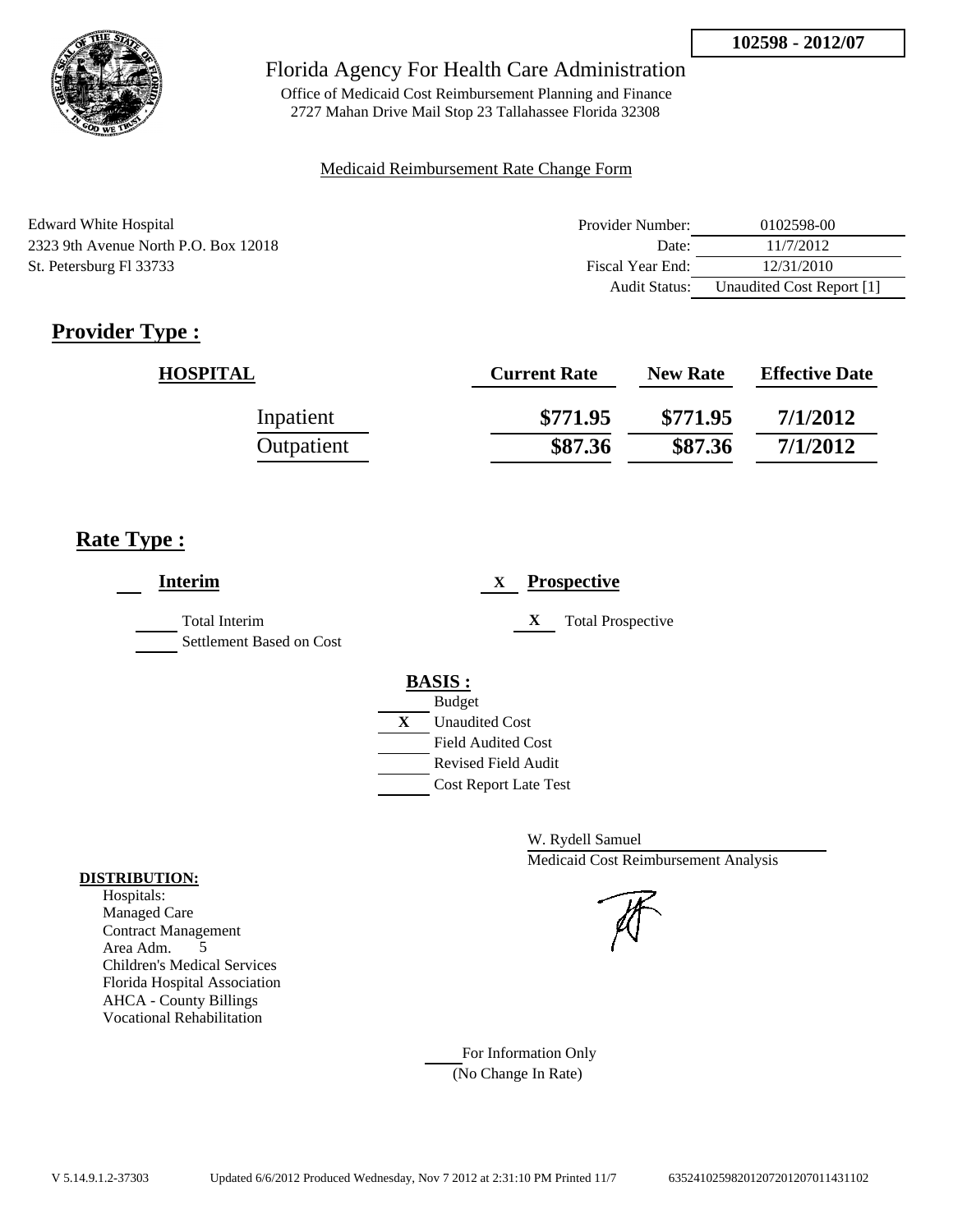

Office of Medicaid Cost Reimbursement Planning and Finance 2727 Mahan Drive Mail Stop 23 Tallahassee Florida 32308

#### Medicaid Reimbursement Rate Change Form

| Edward White Hospital                | Provider Number: | 0102598-00                |
|--------------------------------------|------------------|---------------------------|
| 2323 9th Avenue North P.O. Box 12018 | Date:            | 11/7/2012                 |
| St. Petersburg Fl 33733              | Fiscal Year End: | 12/31/2010                |
|                                      | Audit Status:    | Unaudited Cost Report [1] |

# **Provider Type :**

| <b>HOSPITAL</b> | <b>Current Rate</b> | <b>New Rate</b> | <b>Effective Date</b> |
|-----------------|---------------------|-----------------|-----------------------|
| Inpatient       | \$771.95            | \$771.95        | 7/1/2012              |
| Outpatient      | \$87.36             | \$87.36         | 7/1/2012              |

## **Rate Type :**

| <b>Interim</b>                            | <b>Prospective</b><br>X               |  |
|-------------------------------------------|---------------------------------------|--|
| Total Interim<br>Settlement Based on Cost | X<br><b>Total Prospective</b>         |  |
|                                           | <b>BASIS:</b>                         |  |
|                                           | <b>Budget</b>                         |  |
|                                           | $\mathbf{X}$<br><b>Unaudited Cost</b> |  |
|                                           | <b>Field Audited Cost</b>             |  |
|                                           | <b>Revised Field Audit</b>            |  |
|                                           | <b>Cost Report Late Test</b>          |  |
|                                           |                                       |  |

W. Rydell Samuel Medicaid Cost Reimbursement Analysis

For Information Only (No Change In Rate)

#### **DISTRIBUTION:**

Hospitals: Managed Care Contract Management Area Adm. 5 Children's Medical Services Florida Hospital Association AHCA - County Billings Vocational Rehabilitation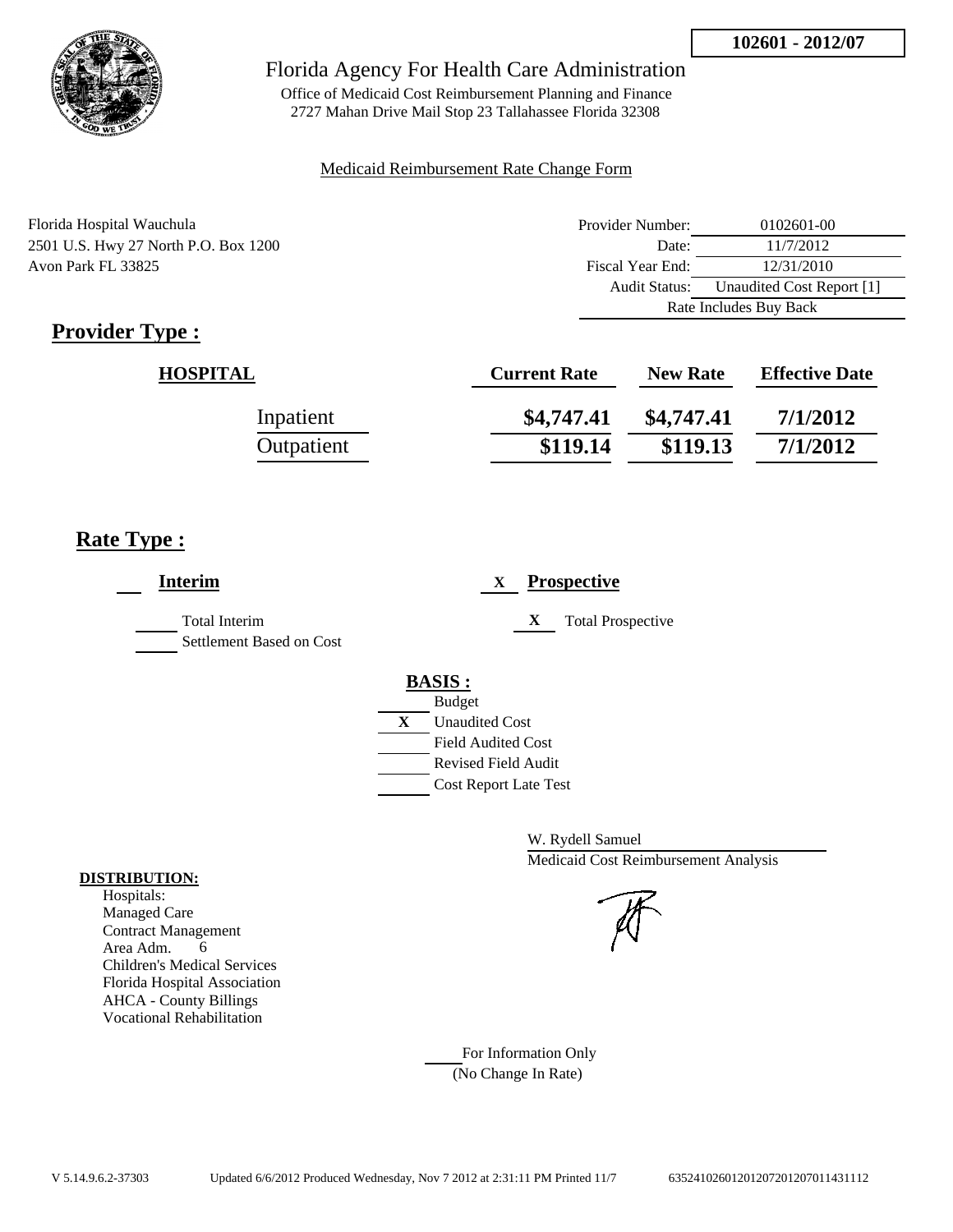

Office of Medicaid Cost Reimbursement Planning and Finance 2727 Mahan Drive Mail Stop 23 Tallahassee Florida 32308

#### Medicaid Reimbursement Rate Change Form

| Florida Hospital Wauchula            | Provider Number: | 0102601-00                |  |
|--------------------------------------|------------------|---------------------------|--|
| 2501 U.S. Hwy 27 North P.O. Box 1200 | Date:            | 11/7/2012                 |  |
| Avon Park FL 33825                   | Fiscal Year End: | 12/31/2010                |  |
|                                      | Audit Status:    | Unaudited Cost Report [1] |  |
|                                      |                  | Rate Includes Buy Back    |  |

# **Provider Type :**

| <b>HOSPITAL</b> | <b>Current Rate</b> | <b>New Rate</b> | <b>Effective Date</b> |
|-----------------|---------------------|-----------------|-----------------------|
| Inpatient       | \$4,747.41          | \$4,747.41      | 7/1/2012              |
| Outpatient      | \$119.14            | \$119.13        | 7/1/2012              |

## **Rate Type :**

| <b>Interim</b>                                   |                                | <b>Prospective</b><br>$\mathbf{X}$ |
|--------------------------------------------------|--------------------------------|------------------------------------|
| <b>Total Interim</b><br>Settlement Based on Cost |                                | X<br><b>Total Prospective</b>      |
|                                                  | <b>BASIS:</b><br><b>Budget</b> |                                    |
|                                                  | X                              | <b>Unaudited Cost</b>              |
|                                                  |                                | <b>Field Audited Cost</b>          |
|                                                  |                                | <b>Revised Field Audit</b>         |
|                                                  |                                | <b>Cost Report Late Test</b>       |
|                                                  |                                |                                    |

W. Rydell Samuel Medicaid Cost Reimbursement Analysis

#### For Information Only (No Change In Rate)

**DISTRIBUTION:**

Hospitals: Managed Care Contract Management Area Adm. 6 Children's Medical Services Florida Hospital Association AHCA - County Billings Vocational Rehabilitation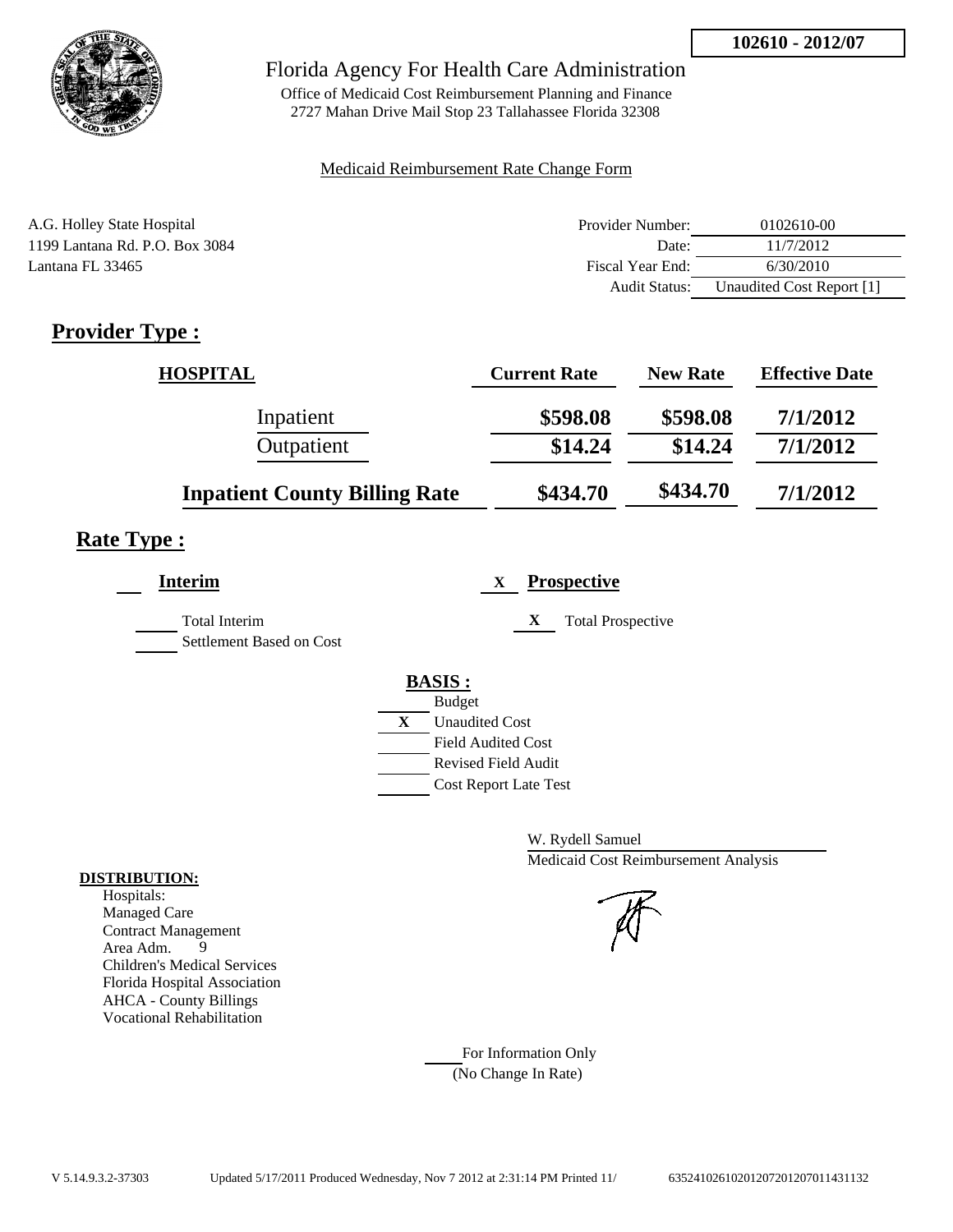

Office of Medicaid Cost Reimbursement Planning and Finance 2727 Mahan Drive Mail Stop 23 Tallahassee Florida 32308

#### Medicaid Reimbursement Rate Change Form

| A.G. Holley State Hospital     | Provider Number: | 0102610-00                |
|--------------------------------|------------------|---------------------------|
| 1199 Lantana Rd. P.O. Box 3084 | Date:            | 11/7/2012                 |
| Lantana FL 33465               | Fiscal Year End: | 6/30/2010                 |
|                                | Audit Status:    | Unaudited Cost Report [1] |

# **Provider Type :**

| <b>HOSPITAL</b>                      | <b>Current Rate</b> | <b>New Rate</b> | <b>Effective Date</b> |
|--------------------------------------|---------------------|-----------------|-----------------------|
| Inpatient                            | \$598.08            | \$598.08        | 7/1/2012              |
| Outpatient                           | \$14.24             | \$14.24         | 7/1/2012              |
| <b>Inpatient County Billing Rate</b> | \$434.70            | \$434.70        | 7/1/2012              |

# **Rate Type :**

| <b>Interim</b>                                   | <b>Prospective</b><br>X                                                                                                            |
|--------------------------------------------------|------------------------------------------------------------------------------------------------------------------------------------|
| <b>Total Interim</b><br>Settlement Based on Cost | <b>Total Prospective</b><br>X                                                                                                      |
|                                                  | <b>BASIS:</b><br><b>Budget</b><br>$\mathbf{X}$<br><b>Unaudited Cost</b><br><b>Field Audited Cost</b><br><b>Revised Field Audit</b> |
|                                                  | <b>Cost Report Late Test</b>                                                                                                       |

W. Rydell Samuel Medicaid Cost Reimbursement Analysis

For Information Only (No Change In Rate)

#### **DISTRIBUTION:**

Hospitals: Managed Care Contract Management Area Adm. 9 Children's Medical Services Florida Hospital Association AHCA - County Billings Vocational Rehabilitation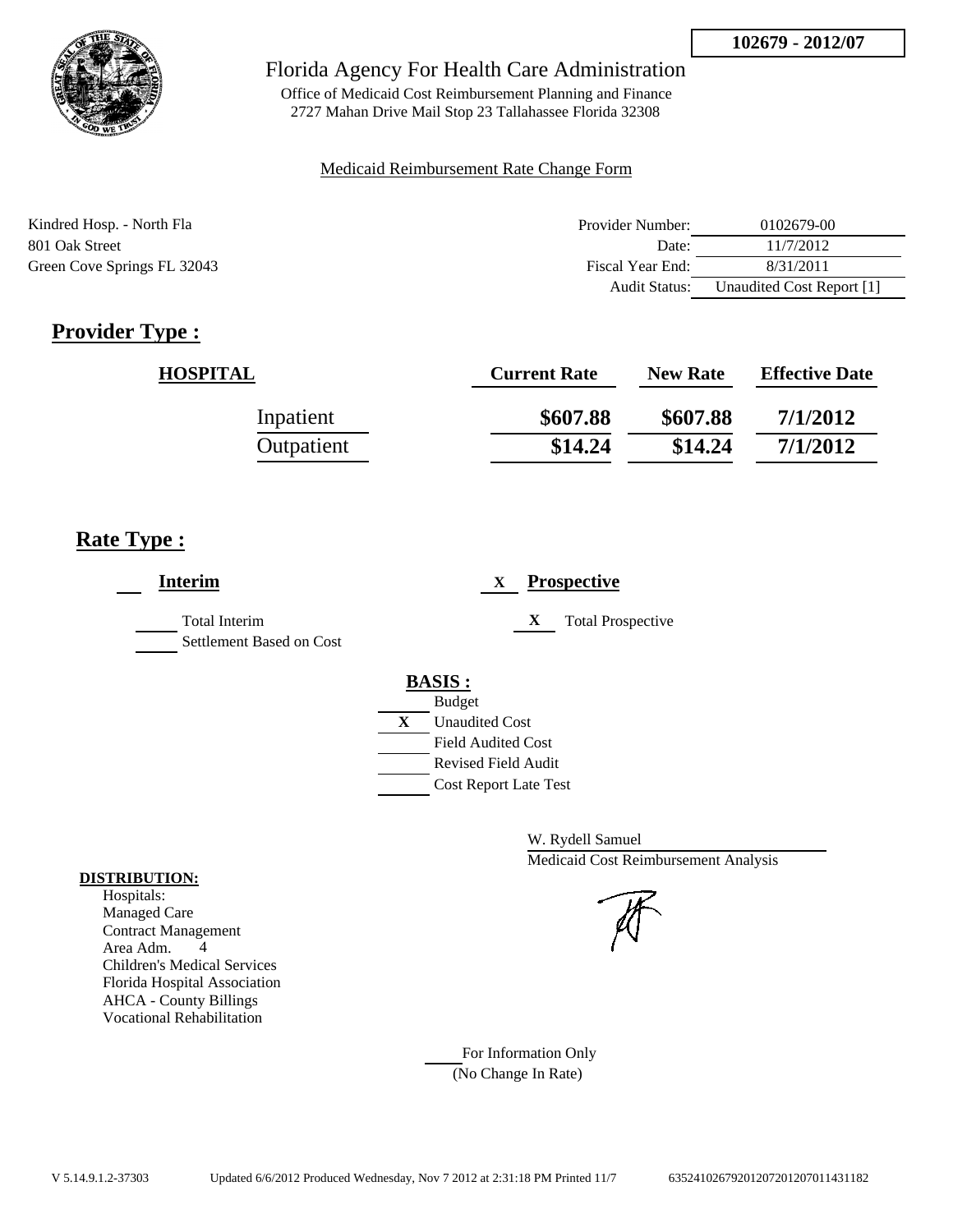

Office of Medicaid Cost Reimbursement Planning and Finance 2727 Mahan Drive Mail Stop 23 Tallahassee Florida 32308

### Medicaid Reimbursement Rate Change Form

| Kindred Hosp. - North Fla   | Provider Number:     | 0102679-00                |
|-----------------------------|----------------------|---------------------------|
| 801 Oak Street              | Date:                | 11/7/2012                 |
| Green Cove Springs FL 32043 | Fiscal Year End:     | 8/31/2011                 |
|                             | <b>Audit Status:</b> | Unaudited Cost Report [1] |

# **Provider Type :**

| <b>HOSPITAL</b> | <b>Current Rate</b> | <b>New Rate</b> | <b>Effective Date</b> |
|-----------------|---------------------|-----------------|-----------------------|
| Inpatient       | \$607.88            | \$607.88        | 7/1/2012              |
| Outpatient      | \$14.24             | \$14.24         | 7/1/2012              |

## **Rate Type :**

| <b>Interim</b>                                   | <b>Prospective</b><br>X               |
|--------------------------------------------------|---------------------------------------|
| <b>Total Interim</b><br>Settlement Based on Cost | <b>Total Prospective</b><br>X         |
|                                                  | <b>BASIS:</b>                         |
|                                                  | <b>Budget</b>                         |
|                                                  | $\mathbf{X}$<br><b>Unaudited Cost</b> |
|                                                  | <b>Field Audited Cost</b>             |
|                                                  | <b>Revised Field Audit</b>            |
|                                                  | <b>Cost Report Late Test</b>          |
|                                                  |                                       |

W. Rydell Samuel Medicaid Cost Reimbursement Analysis

#### Managed Care Contract Management

**DISTRIBUTION:** Hospitals:

> Area Adm. 4 Children's Medical Services Florida Hospital Association AHCA - County Billings Vocational Rehabilitation

> > For Information Only (No Change In Rate)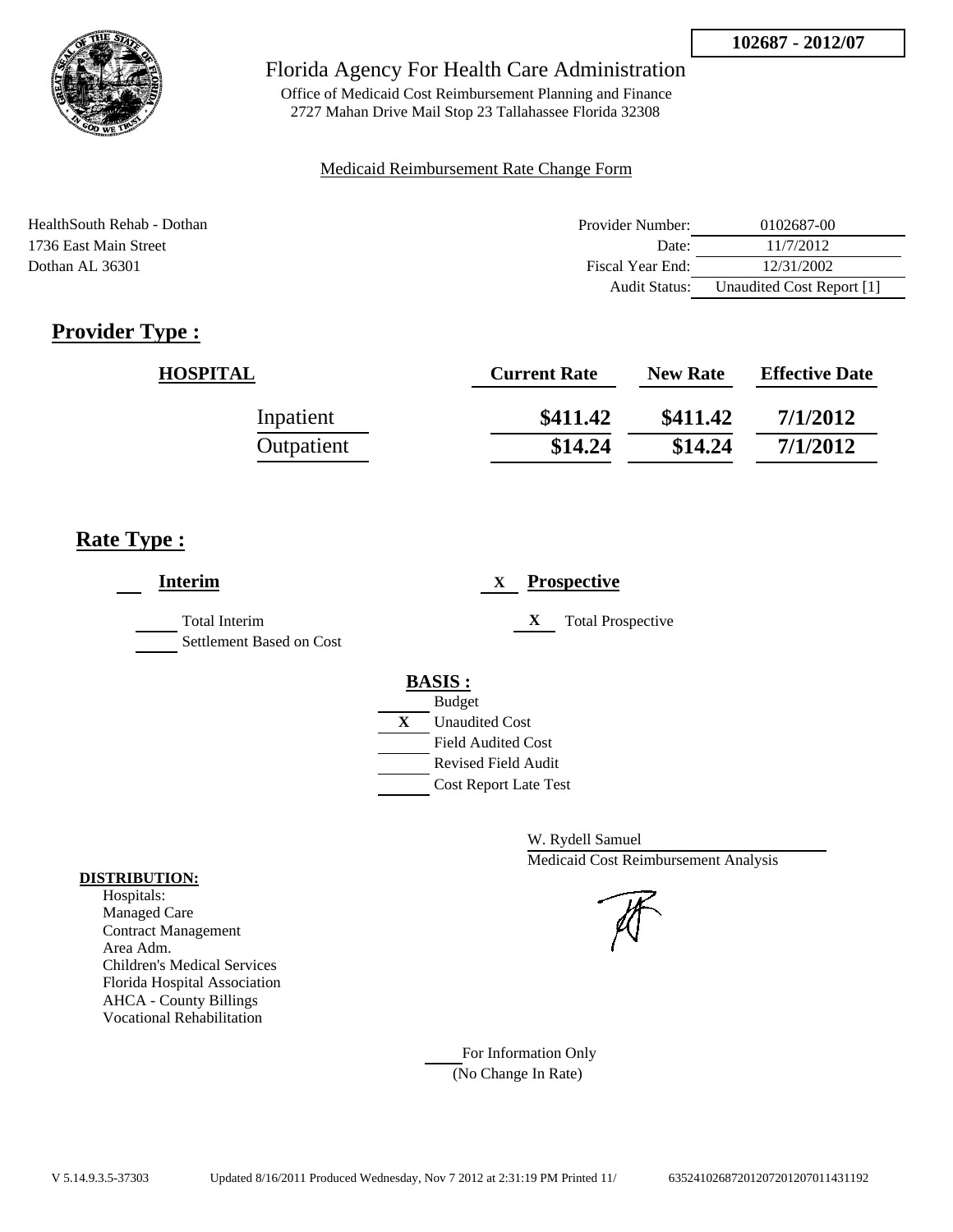

Office of Medicaid Cost Reimbursement Planning and Finance 2727 Mahan Drive Mail Stop 23 Tallahassee Florida 32308

#### Medicaid Reimbursement Rate Change Form

| HealthSouth Rehab - Dothan | Provider Number:     | 0102687-00                |
|----------------------------|----------------------|---------------------------|
| 1736 East Main Street      | Date:                | 11/7/2012                 |
| Dothan AL 36301            | Fiscal Year End:     | 12/31/2002                |
|                            | <b>Audit Status:</b> | Unaudited Cost Report [1] |

# **Provider Type :**

| <b>HOSPITAL</b> | <b>Current Rate</b> | <b>New Rate</b> | <b>Effective Date</b> |
|-----------------|---------------------|-----------------|-----------------------|
| Inpatient       | \$411.42            | \$411.42        | 7/1/2012              |
| Outpatient      | \$14.24             | \$14.24         | 7/1/2012              |

## **Rate Type :**

| <b>Interim</b>                                   | <b>Prospective</b><br>X       |
|--------------------------------------------------|-------------------------------|
| <b>Total Interim</b><br>Settlement Based on Cost | <b>Total Prospective</b><br>X |
|                                                  | <b>BASIS:</b>                 |
|                                                  | <b>Budget</b>                 |
|                                                  | X<br><b>Unaudited Cost</b>    |
|                                                  | <b>Field Audited Cost</b>     |
|                                                  | <b>Revised Field Audit</b>    |
|                                                  | <b>Cost Report Late Test</b>  |

W. Rydell Samuel Medicaid Cost Reimbursement Analysis

For Information Only (No Change In Rate)

#### **DISTRIBUTION:**

Hospitals: Managed Care Contract Management Area Adm. Children's Medical Services Florida Hospital Association AHCA - County Billings Vocational Rehabilitation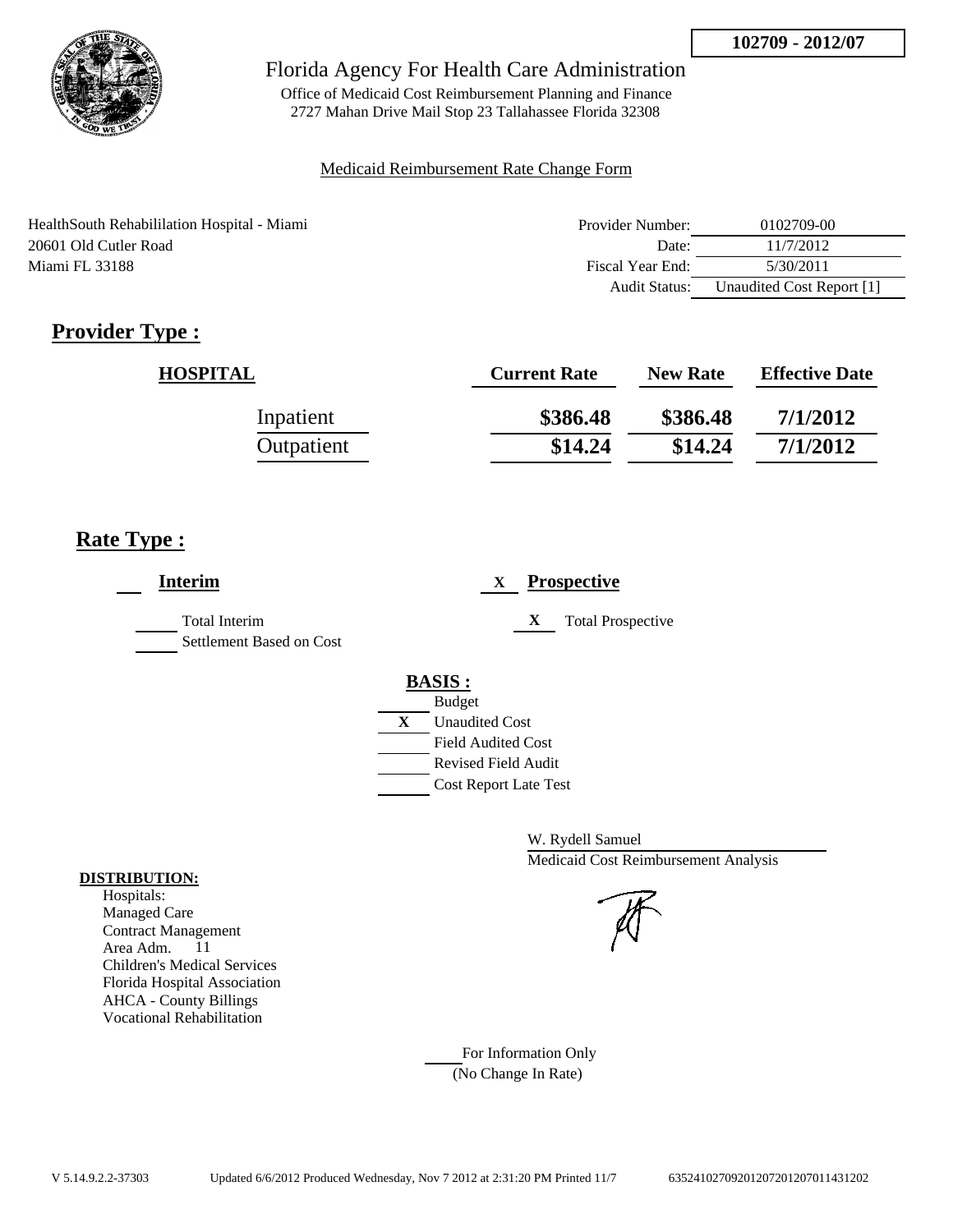

Office of Medicaid Cost Reimbursement Planning and Finance 2727 Mahan Drive Mail Stop 23 Tallahassee Florida 32308

### Medicaid Reimbursement Rate Change Form

| HealthSouth Rehabililation Hospital - Miami | Provider Number: | 0102709-00                |
|---------------------------------------------|------------------|---------------------------|
| 20601 Old Cutler Road                       | Date:            | 11/7/2012                 |
| Miami FL 33188                              | Fiscal Year End: | 5/30/2011                 |
|                                             | Audit Status:    | Unaudited Cost Report [1] |

# **Provider Type :**

| <b>HOSPITAL</b> | <b>Current Rate</b> | <b>New Rate</b> | <b>Effective Date</b> |
|-----------------|---------------------|-----------------|-----------------------|
| Inpatient       | \$386.48            | \$386.48        | 7/1/2012              |
| Outpatient      | \$14.24             | \$14.24         | 7/1/2012              |

## **Rate Type :**

| <b>Interim</b>                                   | <b>Prospective</b><br>X                                 |
|--------------------------------------------------|---------------------------------------------------------|
| <b>Total Interim</b><br>Settlement Based on Cost | <b>Total Prospective</b><br>X                           |
|                                                  | <b>BASIS:</b>                                           |
|                                                  | <b>Budget</b><br>X<br><b>Unaudited Cost</b>             |
|                                                  | <b>Field Audited Cost</b><br><b>Revised Field Audit</b> |
|                                                  | <b>Cost Report Late Test</b>                            |

W. Rydell Samuel Medicaid Cost Reimbursement Analysis

For Information Only (No Change In Rate)

#### **DISTRIBUTION:**

Hospitals: Managed Care Contract Management Area Adm. 11 Children's Medical Services Florida Hospital Association AHCA - County Billings Vocational Rehabilitation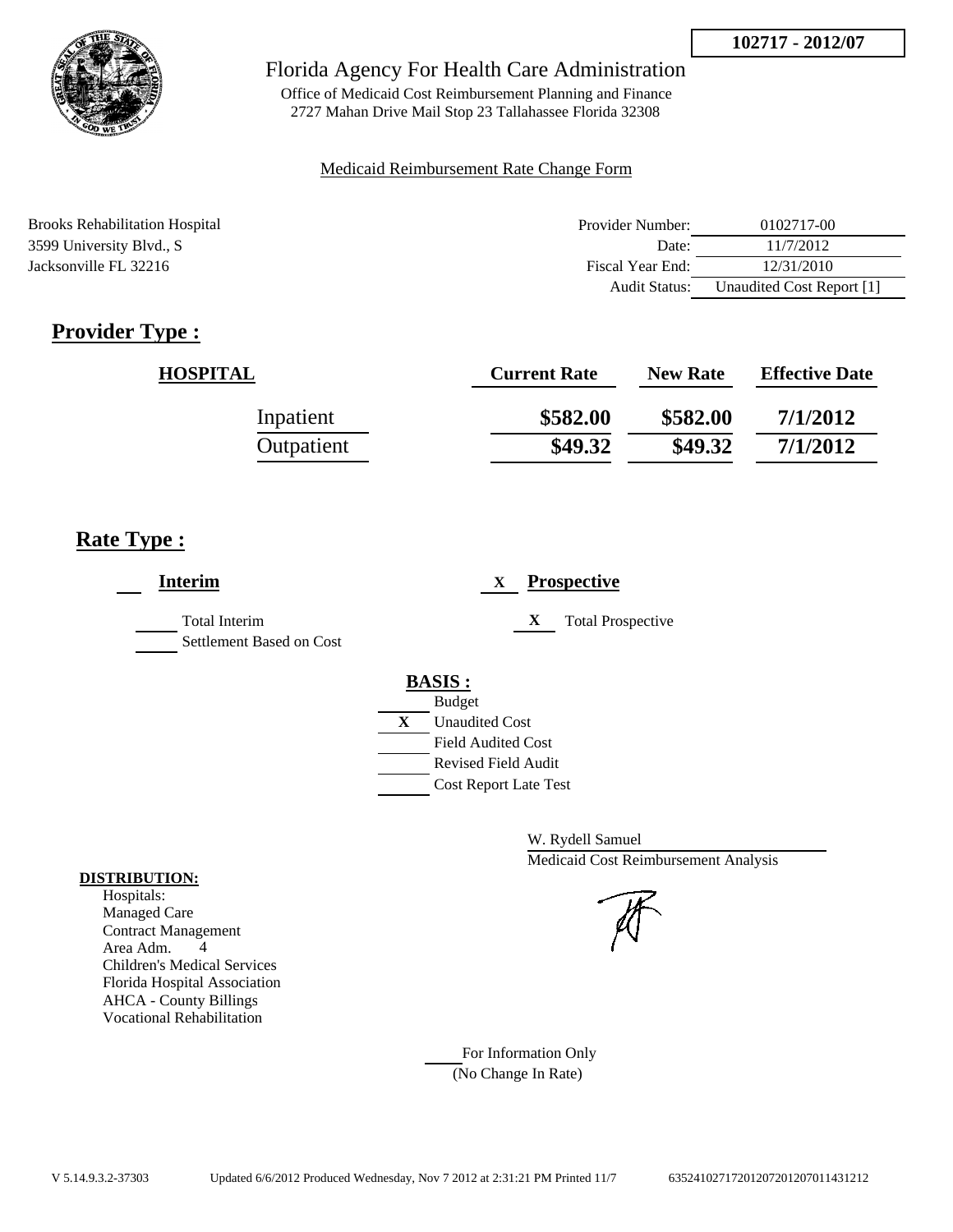

Office of Medicaid Cost Reimbursement Planning and Finance 2727 Mahan Drive Mail Stop 23 Tallahassee Florida 32308

#### Medicaid Reimbursement Rate Change Form

Brooks Rehabilitation Hospital **Provider Number:** 0102717-00 3599 University Blvd., S Date: 11/7/2012 Jacksonville FL 32216 Fiscal Year End: 12/31/2010 Audit Status: Unaudited Cost Report [1]

# **Provider Type :**

| <b>HOSPITAL</b> | <b>Current Rate</b> | <b>New Rate</b> | <b>Effective Date</b> |
|-----------------|---------------------|-----------------|-----------------------|
| Inpatient       | \$582.00            | \$582.00        | 7/1/2012              |
| Outpatient      | \$49.32             | \$49.32         | 7/1/2012              |

## **Rate Type :**

| <b>Interim</b>                                   | <b>Prospective</b><br>$\mathbf{X}$                         |
|--------------------------------------------------|------------------------------------------------------------|
| <b>Total Interim</b><br>Settlement Based on Cost | X<br><b>Total Prospective</b>                              |
|                                                  | <b>BASIS:</b><br><b>Budget</b>                             |
|                                                  | X<br><b>Unaudited Cost</b><br><b>Field Audited Cost</b>    |
|                                                  | <b>Revised Field Audit</b><br><b>Cost Report Late Test</b> |

W. Rydell Samuel Medicaid Cost Reimbursement Analysis

For Information Only (No Change In Rate)

#### **DISTRIBUTION:**

Hospitals: Managed Care Contract Management Area Adm. 4 Children's Medical Services Florida Hospital Association AHCA - County Billings Vocational Rehabilitation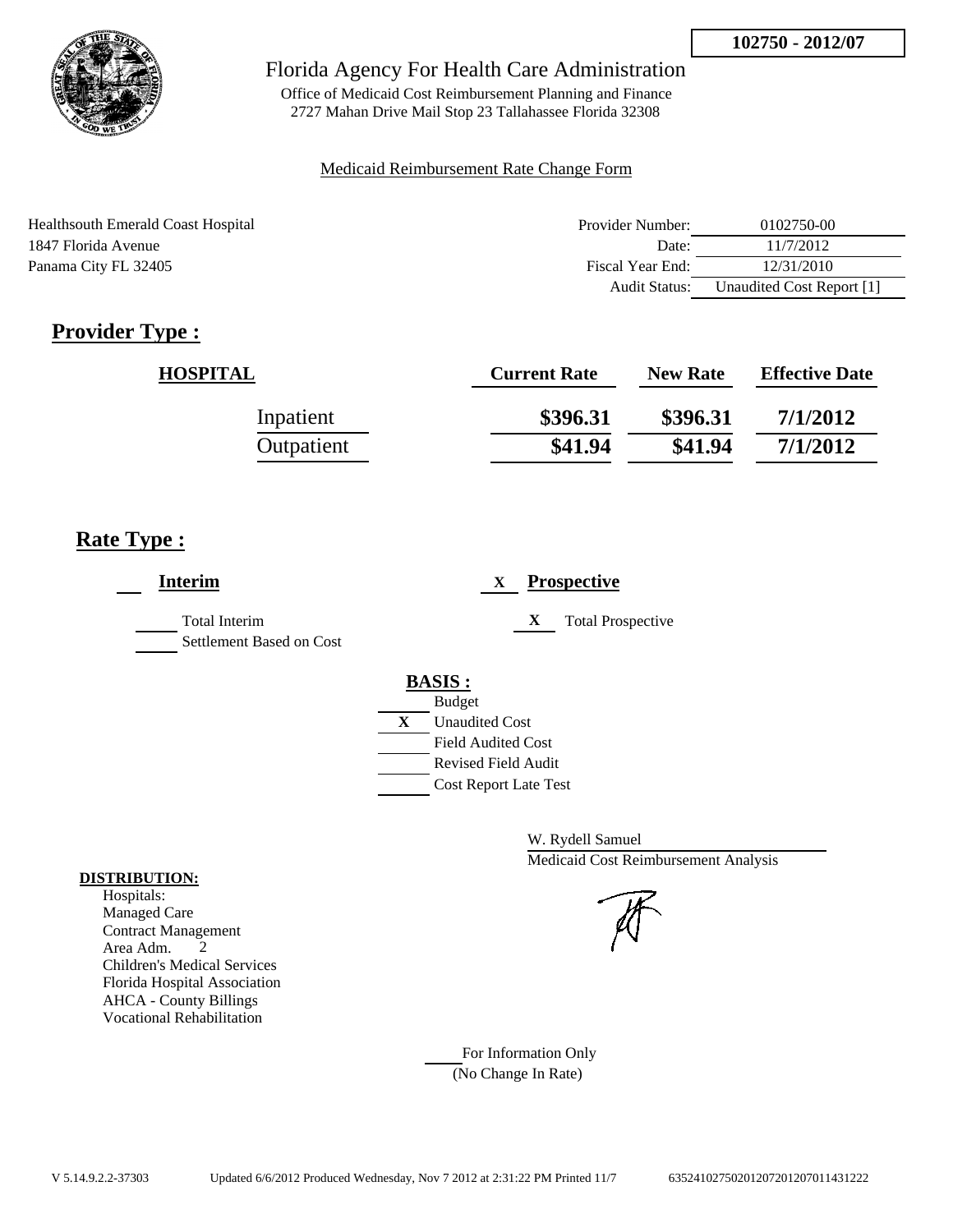

Office of Medicaid Cost Reimbursement Planning and Finance 2727 Mahan Drive Mail Stop 23 Tallahassee Florida 32308

#### Medicaid Reimbursement Rate Change Form

| Healthsouth Emerald Coast Hospital | Provider Number:     | 0102750-00                |
|------------------------------------|----------------------|---------------------------|
| 1847 Florida Avenue                | Date:                | 11/7/2012                 |
| Panama City FL 32405               | Fiscal Year End:     | 12/31/2010                |
|                                    | <b>Audit Status:</b> | Unaudited Cost Report [1] |

# **Provider Type :**

| <b>HOSPITAL</b> | <b>Current Rate</b> | <b>New Rate</b> | <b>Effective Date</b> |
|-----------------|---------------------|-----------------|-----------------------|
| Inpatient       | \$396.31            | \$396.31        | 7/1/2012              |
| Outpatient      | \$41.94             | \$41.94         | 7/1/2012              |

## **Rate Type :**

| <b>Interim</b>                            | <b>Prospective</b><br>X       |
|-------------------------------------------|-------------------------------|
| Total Interim<br>Settlement Based on Cost | <b>Total Prospective</b><br>X |
|                                           | <b>BASIS:</b>                 |
|                                           | <b>Budget</b>                 |
|                                           | X<br><b>Unaudited Cost</b>    |
|                                           | <b>Field Audited Cost</b>     |
|                                           | Revised Field Audit           |
|                                           | <b>Cost Report Late Test</b>  |
|                                           |                               |

W. Rydell Samuel Medicaid Cost Reimbursement Analysis

For Information Only (No Change In Rate)

#### **DISTRIBUTION:**

Hospitals: Managed Care Contract Management Area Adm. 2 Children's Medical Services Florida Hospital Association AHCA - County Billings Vocational Rehabilitation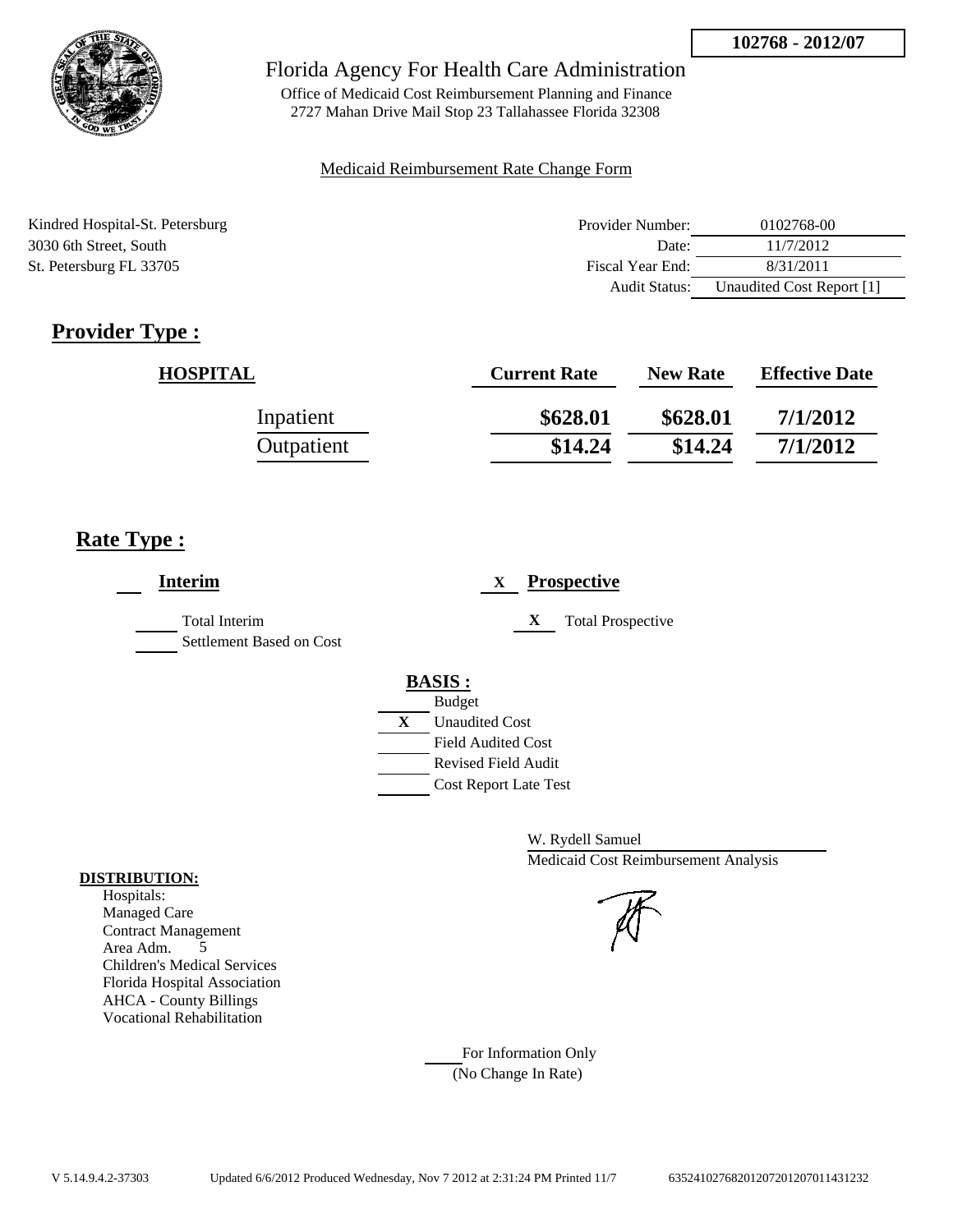

Office of Medicaid Cost Reimbursement Planning and Finance 2727 Mahan Drive Mail Stop 23 Tallahassee Florida 32308

### Medicaid Reimbursement Rate Change Form

| Kindred Hospital-St. Petersburg | Provider Number:     | 0102768-00                |
|---------------------------------|----------------------|---------------------------|
| 3030 6th Street, South          | Date:                | 11/7/2012                 |
| St. Petersburg FL 33705         | Fiscal Year End:     | 8/31/2011                 |
|                                 | <b>Audit Status:</b> | Unaudited Cost Report [1] |

# **Provider Type :**

| <b>HOSPITAL</b> | <b>Current Rate</b> | <b>New Rate</b> | <b>Effective Date</b> |
|-----------------|---------------------|-----------------|-----------------------|
| Inpatient       | \$628.01            | \$628.01        | 7/1/2012              |
| Outpatient      | \$14.24             | \$14.24         | 7/1/2012              |

## **Rate Type :**

| <b>Interim</b>                                   | <b>Prospective</b><br>X       |
|--------------------------------------------------|-------------------------------|
| <b>Total Interim</b><br>Settlement Based on Cost | <b>Total Prospective</b><br>X |
|                                                  | <b>BASIS:</b>                 |
|                                                  | <b>Budget</b>                 |
|                                                  | X<br><b>Unaudited Cost</b>    |
|                                                  | <b>Field Audited Cost</b>     |
|                                                  | <b>Revised Field Audit</b>    |
|                                                  | <b>Cost Report Late Test</b>  |

W. Rydell Samuel Medicaid Cost Reimbursement Analysis

For Information Only (No Change In Rate)

#### **DISTRIBUTION:**

Hospitals: Managed Care Contract Management Area Adm. 5 Children's Medical Services Florida Hospital Association AHCA - County Billings Vocational Rehabilitation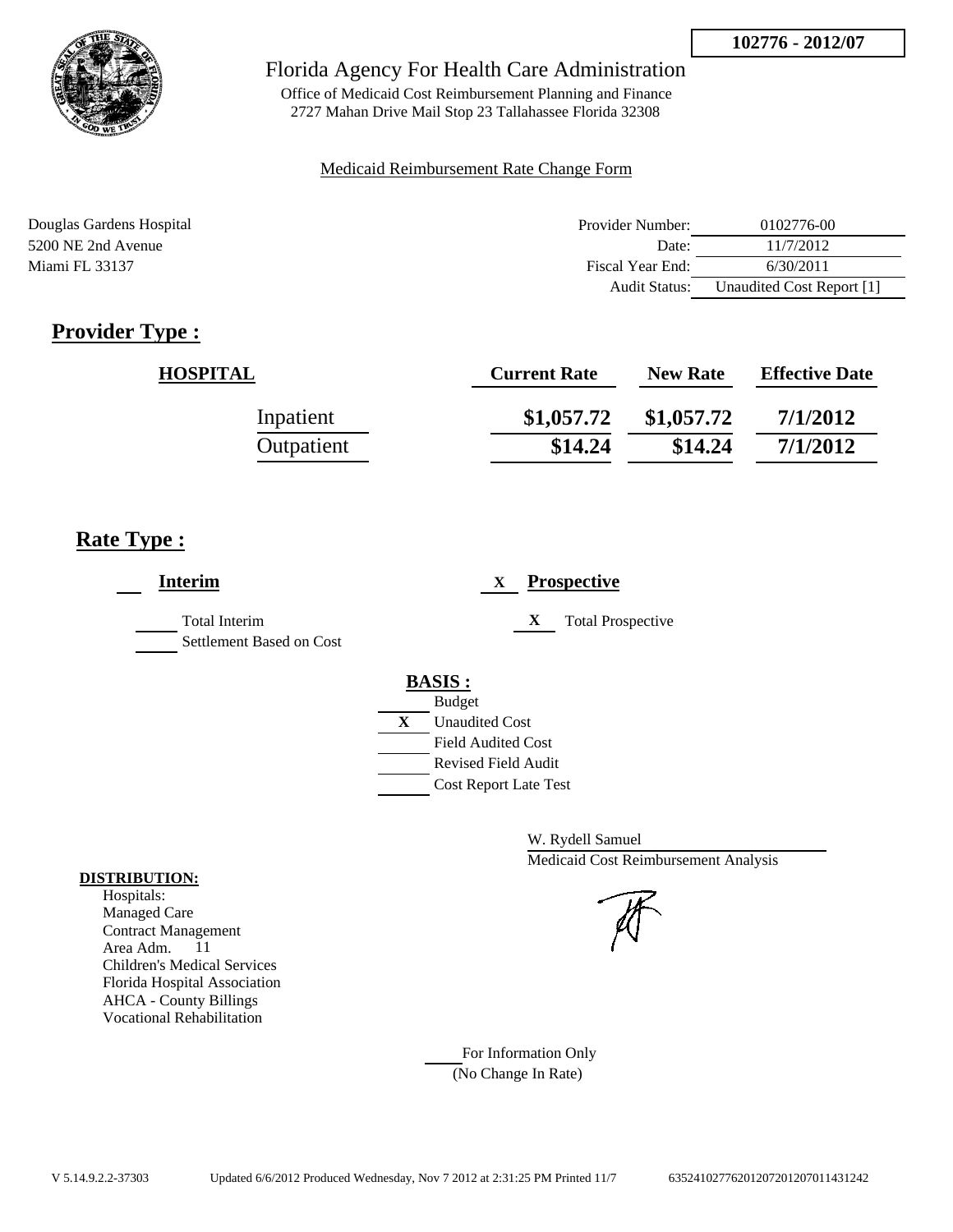

Office of Medicaid Cost Reimbursement Planning and Finance 2727 Mahan Drive Mail Stop 23 Tallahassee Florida 32308

#### Medicaid Reimbursement Rate Change Form

| Douglas Gardens Hospital | Provider Number: | 0102776-00                |
|--------------------------|------------------|---------------------------|
| 5200 NE 2nd Avenue       | Date:            | 11/7/2012                 |
| Miami FL 33137           | Fiscal Year End: | 6/30/2011                 |
|                          | Audit Status:    | Unaudited Cost Report [1] |

# **Provider Type :**

| <b>HOSPITAL</b> | <b>Current Rate</b> | <b>New Rate</b> | <b>Effective Date</b> |
|-----------------|---------------------|-----------------|-----------------------|
| Inpatient       | \$1,057.72          | \$1,057.72      | 7/1/2012              |
| Outpatient      | \$14.24             | \$14.24         | 7/1/2012              |

## **Rate Type :**

| <b>Interim</b>                                   | <b>Prospective</b><br>X                          |
|--------------------------------------------------|--------------------------------------------------|
| <b>Total Interim</b><br>Settlement Based on Cost | <b>Total Prospective</b><br>X                    |
|                                                  | <b>BASIS:</b>                                    |
|                                                  | <b>Budget</b><br>X<br><b>Unaudited Cost</b>      |
|                                                  | <b>Field Audited Cost</b><br>Revised Field Audit |
|                                                  | <b>Cost Report Late Test</b>                     |

W. Rydell Samuel Medicaid Cost Reimbursement Analysis

For Information Only (No Change In Rate)

#### **DISTRIBUTION:**

Hospitals: Managed Care Contract Management Area Adm. 11 Children's Medical Services Florida Hospital Association AHCA - County Billings Vocational Rehabilitation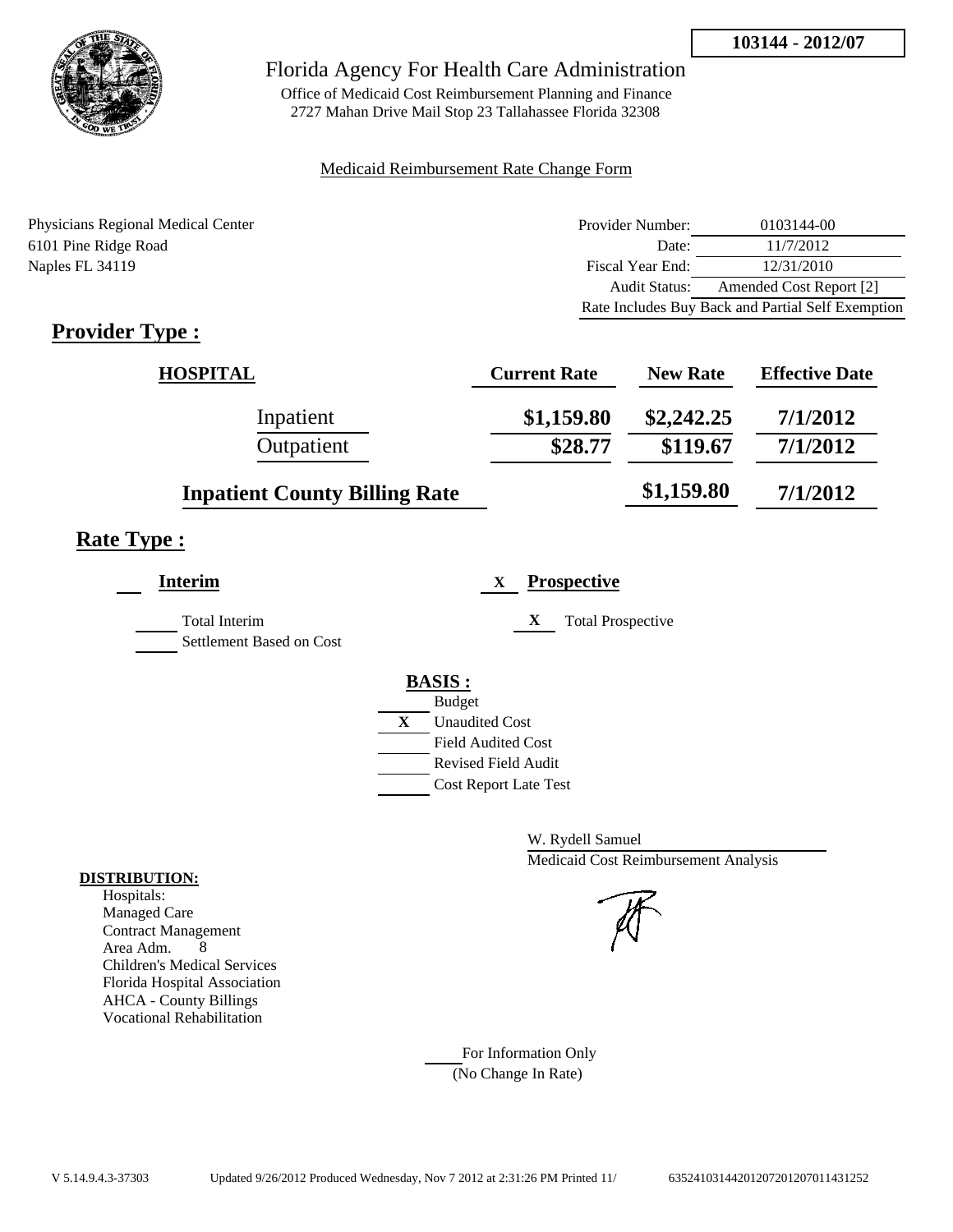

Office of Medicaid Cost Reimbursement Planning and Finance 2727 Mahan Drive Mail Stop 23 Tallahassee Florida 32308

#### Medicaid Reimbursement Rate Change Form

Physicians Regional Medical Center 6101 Pine Ridge Road Naples FL 34119

| Provider Number:                                  | 0103144-00              |  |
|---------------------------------------------------|-------------------------|--|
| Date:                                             | 11/7/2012               |  |
| Fiscal Year End:                                  | 12/31/2010              |  |
| Audit Status:                                     | Amended Cost Report [2] |  |
| Rate Includes Buy Back and Partial Self Exemption |                         |  |

# **Provider Type :**

| HOSPITAL                             | <b>Current Rate</b> | <b>New Rate</b> | <b>Effective Date</b> |
|--------------------------------------|---------------------|-----------------|-----------------------|
| Inpatient                            | \$1,159.80          | \$2,242.25      | 7/1/2012              |
| Outpatient                           | \$28.77             | \$119.67        | 7/1/2012              |
| <b>Inpatient County Billing Rate</b> |                     | \$1,159.80      | 7/1/2012              |

## **Rate Type :**

| <b>Prospective</b>       |
|--------------------------|
| <b>Total Prospective</b> |
|                          |
|                          |
|                          |
|                          |
|                          |
|                          |
|                          |

W. Rydell Samuel Medicaid Cost Reimbursement Analysis

For Information Only (No Change In Rate)

#### **DISTRIBUTION:**

Hospitals: Managed Care Contract Management Area Adm. 8 Children's Medical Services Florida Hospital Association AHCA - County Billings Vocational Rehabilitation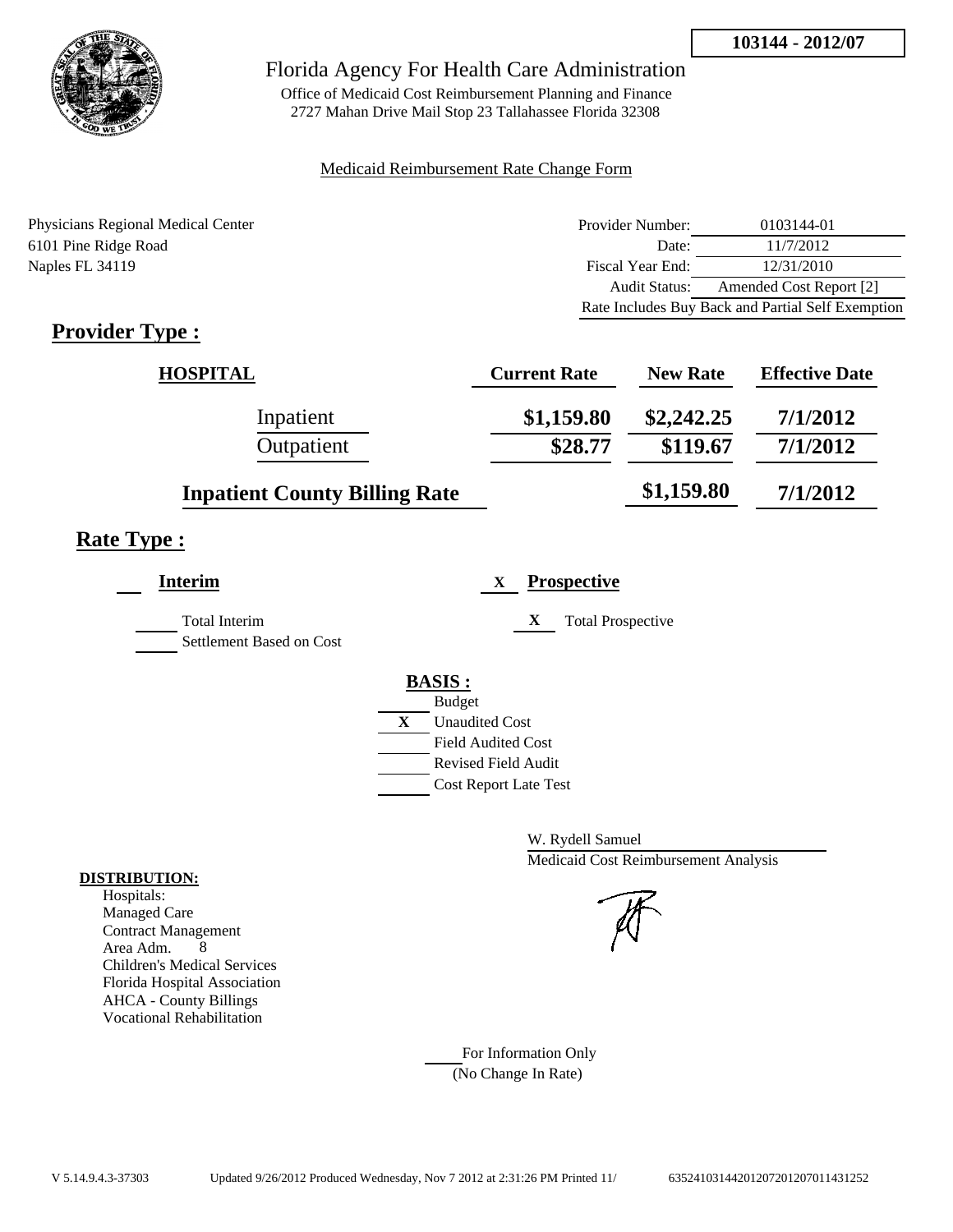

Office of Medicaid Cost Reimbursement Planning and Finance 2727 Mahan Drive Mail Stop 23 Tallahassee Florida 32308

#### Medicaid Reimbursement Rate Change Form

Physicians Regional Medical Center 6101 Pine Ridge Road Naples FL 34119

| Provider Number: | 0103144-01                                        |
|------------------|---------------------------------------------------|
| Date:            | 11/7/2012                                         |
| Fiscal Year End: | 12/31/2010                                        |
| Audit Status:    | Amended Cost Report [2]                           |
|                  | Rate Includes Buy Back and Partial Self Exemption |

# **Provider Type :**

| <b>HOSPITAL</b>                      | <b>Current Rate</b> | <b>New Rate</b> | <b>Effective Date</b> |
|--------------------------------------|---------------------|-----------------|-----------------------|
| Inpatient                            | \$1,159.80          | \$2,242.25      | 7/1/2012              |
| Outpatient                           | \$28.77             | \$119.67        | 7/1/2012              |
| <b>Inpatient County Billing Rate</b> |                     | \$1,159.80      | 7/1/2012              |

## **Rate Type :**

| <b>Interim</b>                                   | <b>Prospective</b><br>X       |
|--------------------------------------------------|-------------------------------|
| <b>Total Interim</b><br>Settlement Based on Cost | X<br><b>Total Prospective</b> |
|                                                  | <b>BASIS:</b>                 |
|                                                  | <b>Budget</b>                 |
|                                                  | X<br><b>Unaudited Cost</b>    |
|                                                  | <b>Field Audited Cost</b>     |
|                                                  | <b>Revised Field Audit</b>    |
|                                                  | <b>Cost Report Late Test</b>  |

W. Rydell Samuel Medicaid Cost Reimbursement Analysis

For Information Only (No Change In Rate)

#### **DISTRIBUTION:**

Hospitals: Managed Care Contract Management Area Adm. 8 Children's Medical Services Florida Hospital Association AHCA - County Billings Vocational Rehabilitation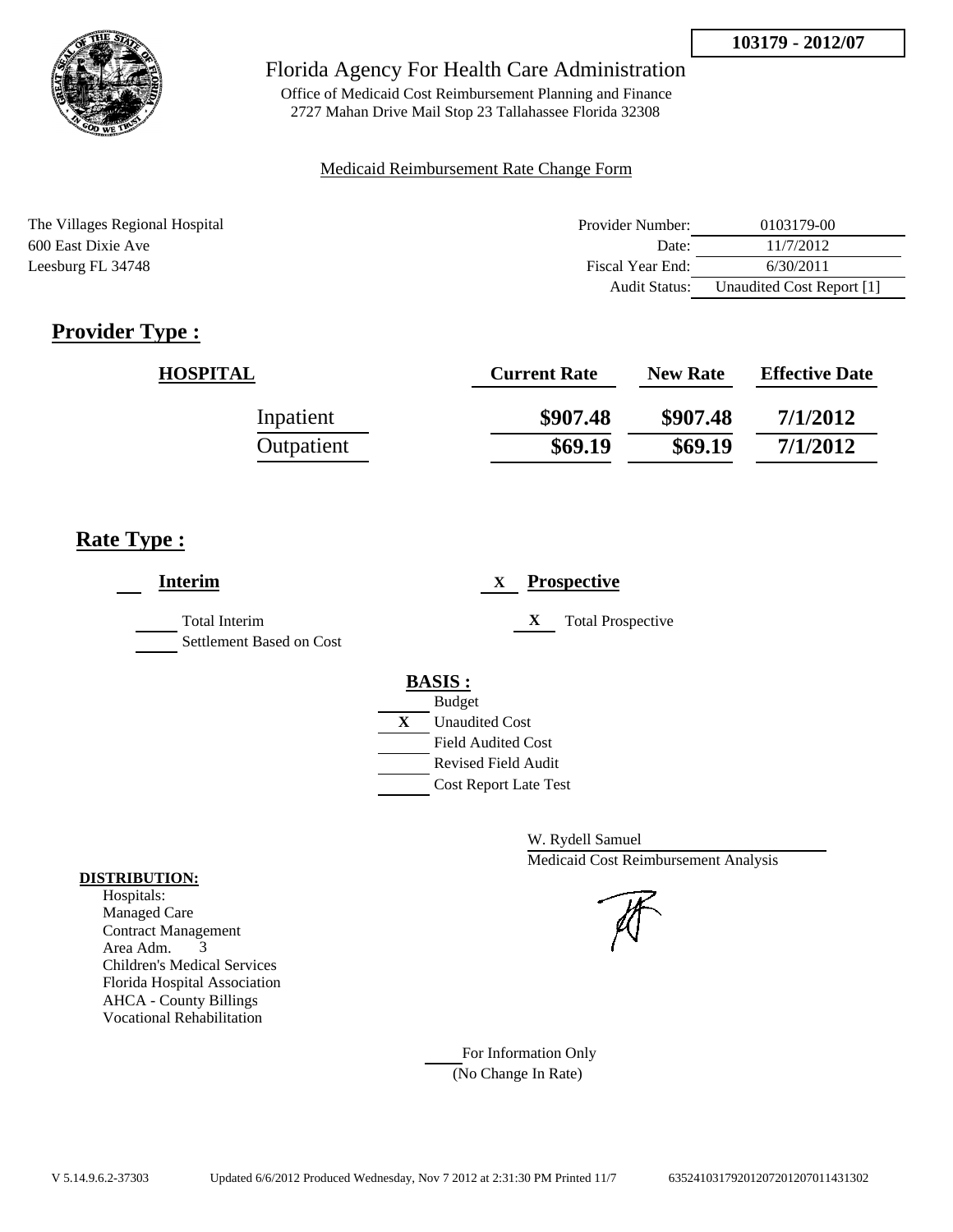

Office of Medicaid Cost Reimbursement Planning and Finance 2727 Mahan Drive Mail Stop 23 Tallahassee Florida 32308

### Medicaid Reimbursement Rate Change Form

| The Villages Regional Hospital | Provider Number:     | 0103179-00                |
|--------------------------------|----------------------|---------------------------|
| 600 East Dixie Ave             | Date:                | 11/7/2012                 |
| Leesburg FL 34748              | Fiscal Year End:     | 6/30/2011                 |
|                                | <b>Audit Status:</b> | Unaudited Cost Report [1] |

# **Provider Type :**

| <b>HOSPITAL</b> | <b>Current Rate</b> | <b>New Rate</b> | <b>Effective Date</b> |
|-----------------|---------------------|-----------------|-----------------------|
| Inpatient       | \$907.48            | \$907.48        | 7/1/2012              |
| Outpatient      | \$69.19             | \$69.19         | 7/1/2012              |

## **Rate Type :**

| <b>Interim</b>                            | <b>Prospective</b><br>X                                                                 |
|-------------------------------------------|-----------------------------------------------------------------------------------------|
| Total Interim<br>Settlement Based on Cost | X<br><b>Total Prospective</b>                                                           |
|                                           | <b>BASIS:</b><br><b>Budget</b><br>X<br><b>Unaudited Cost</b>                            |
|                                           | <b>Field Audited Cost</b><br><b>Revised Field Audit</b><br><b>Cost Report Late Test</b> |

W. Rydell Samuel Medicaid Cost Reimbursement Analysis

For Information Only (No Change In Rate)

#### **DISTRIBUTION:**

Hospitals: Managed Care Contract Management Area Adm. 3 Children's Medical Services Florida Hospital Association AHCA - County Billings Vocational Rehabilitation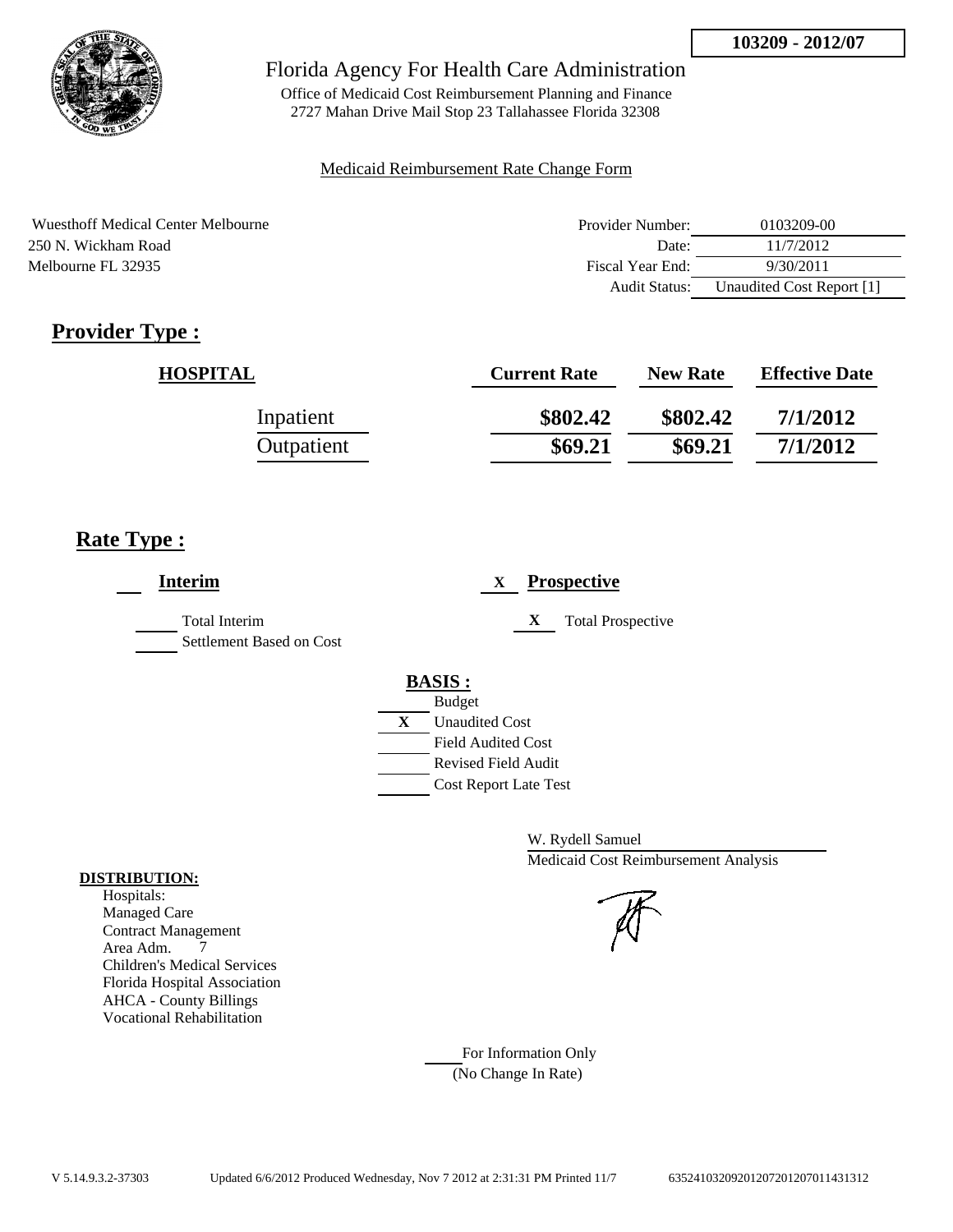

Office of Medicaid Cost Reimbursement Planning and Finance 2727 Mahan Drive Mail Stop 23 Tallahassee Florida 32308

### Medicaid Reimbursement Rate Change Form

| Wuesthoff Medical Center Melbourne | Provider Number: | 0103209-00                |
|------------------------------------|------------------|---------------------------|
| 250 N. Wickham Road                | Date:            | 11/7/2012                 |
| Melbourne FL 32935                 | Fiscal Year End: | 9/30/2011                 |
|                                    | Audit Status:    | Unaudited Cost Report [1] |

# **Provider Type :**

| <b>HOSPITAL</b> | <b>Current Rate</b> | <b>New Rate</b> | <b>Effective Date</b> |
|-----------------|---------------------|-----------------|-----------------------|
| Inpatient       | \$802.42            | \$802.42        | 7/1/2012              |
| Outpatient      | \$69.21             | \$69.21         | 7/1/2012              |

## **Rate Type :**

| <b>Interim</b>                                   | <b>Prospective</b><br>X                                                                                                                                 |
|--------------------------------------------------|---------------------------------------------------------------------------------------------------------------------------------------------------------|
| <b>Total Interim</b><br>Settlement Based on Cost | X<br><b>Total Prospective</b>                                                                                                                           |
|                                                  | <b>BASIS:</b><br><b>Budget</b><br>X<br><b>Unaudited Cost</b><br><b>Field Audited Cost</b><br><b>Revised Field Audit</b><br><b>Cost Report Late Test</b> |

W. Rydell Samuel Medicaid Cost Reimbursement Analysis

For Information Only (No Change In Rate)

#### **DISTRIBUTION:**

Hospitals: Managed Care Contract Management Area Adm. 7 Children's Medical Services Florida Hospital Association AHCA - County Billings Vocational Rehabilitation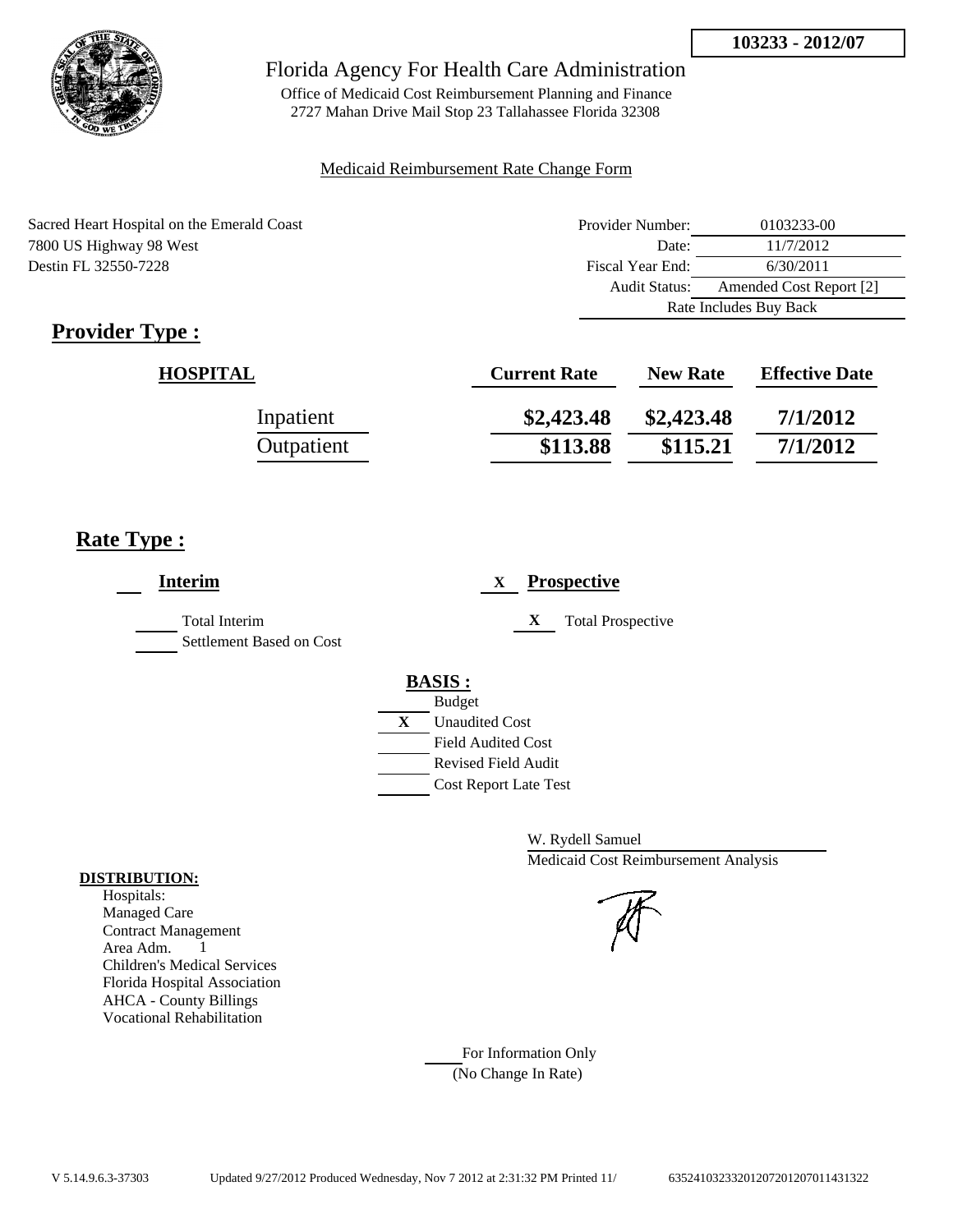

Office of Medicaid Cost Reimbursement Planning and Finance 2727 Mahan Drive Mail Stop 23 Tallahassee Florida 32308

#### Medicaid Reimbursement Rate Change Form

| Sacred Heart Hospital on the Emerald Coast | Provider Number: | 0103233-00              |  |
|--------------------------------------------|------------------|-------------------------|--|
| 7800 US Highway 98 West                    | Date:            | 11/7/2012               |  |
| Destin FL 32550-7228                       | Fiscal Year End: | 6/30/2011               |  |
|                                            | Audit Status:    | Amended Cost Report [2] |  |
|                                            |                  | Rate Includes Buy Back  |  |

# **Provider Type :**

| <b>HOSPITAL</b> | <b>Current Rate</b> | <b>New Rate</b> | <b>Effective Date</b> |
|-----------------|---------------------|-----------------|-----------------------|
| Inpatient       | \$2,423.48          | \$2,423.48      | 7/1/2012              |
| Outpatient      | \$113.88            | \$115.21        | 7/1/2012              |

## **Rate Type :**

| <b>Interim</b>                            | <b>Prospective</b><br>X                                                                                              |
|-------------------------------------------|----------------------------------------------------------------------------------------------------------------------|
| Total Interim<br>Settlement Based on Cost | X<br><b>Total Prospective</b>                                                                                        |
|                                           | <b>BASIS:</b><br><b>Budget</b><br>$\mathbf{X}$<br><b>Unaudited Cost</b><br>Field Audited Cost<br>Revised Field Audit |
|                                           | <b>Cost Report Late Test</b>                                                                                         |

W. Rydell Samuel Medicaid Cost Reimbursement Analysis

### For Information Only (No Change In Rate)

#### **DISTRIBUTION:**

Hospitals: Managed Care Contract Management Area Adm. 1 Children's Medical Services Florida Hospital Association AHCA - County Billings Vocational Rehabilitation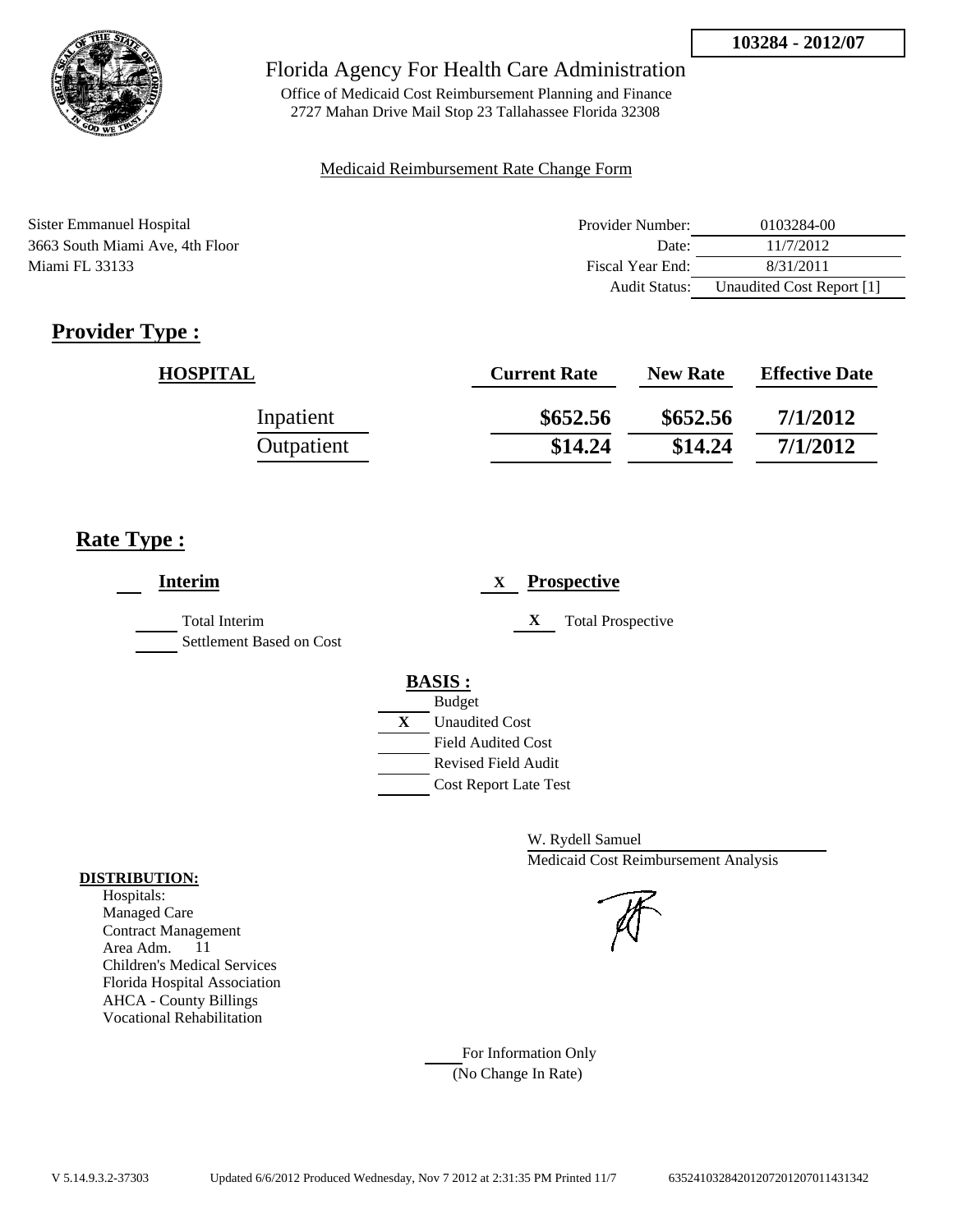

Office of Medicaid Cost Reimbursement Planning and Finance 2727 Mahan Drive Mail Stop 23 Tallahassee Florida 32308

### Medicaid Reimbursement Rate Change Form

| Sister Emmanuel Hospital        | Provider Number: | 0103284-00                |
|---------------------------------|------------------|---------------------------|
| 3663 South Miami Ave, 4th Floor | Date:            | 11/7/2012                 |
| Miami FL 33133                  | Fiscal Year End: | 8/31/2011                 |
|                                 | Audit Status:    | Unaudited Cost Report [1] |

# **Provider Type :**

| <b>HOSPITAL</b> | <b>Current Rate</b> | <b>New Rate</b> | <b>Effective Date</b> |
|-----------------|---------------------|-----------------|-----------------------|
| Inpatient       | \$652.56            | \$652.56        | 7/1/2012              |
| Outpatient      | \$14.24             | \$14.24         | 7/1/2012              |

# **Rate Type :**

| <b>Interim</b>                            | <b>Prospective</b><br>X       |
|-------------------------------------------|-------------------------------|
| Total Interim<br>Settlement Based on Cost | X<br><b>Total Prospective</b> |
|                                           | <b>BASIS:</b>                 |
|                                           | <b>Budget</b>                 |
|                                           | X<br><b>Unaudited Cost</b>    |
|                                           | <b>Field Audited Cost</b>     |
|                                           | <b>Revised Field Audit</b>    |
|                                           | <b>Cost Report Late Test</b>  |
|                                           |                               |

W. Rydell Samuel Medicaid Cost Reimbursement Analysis

For Information Only (No Change In Rate)

#### **DISTRIBUTION:**

Hospitals: Managed Care Contract Management Area Adm. 11 Children's Medical Services Florida Hospital Association AHCA - County Billings Vocational Rehabilitation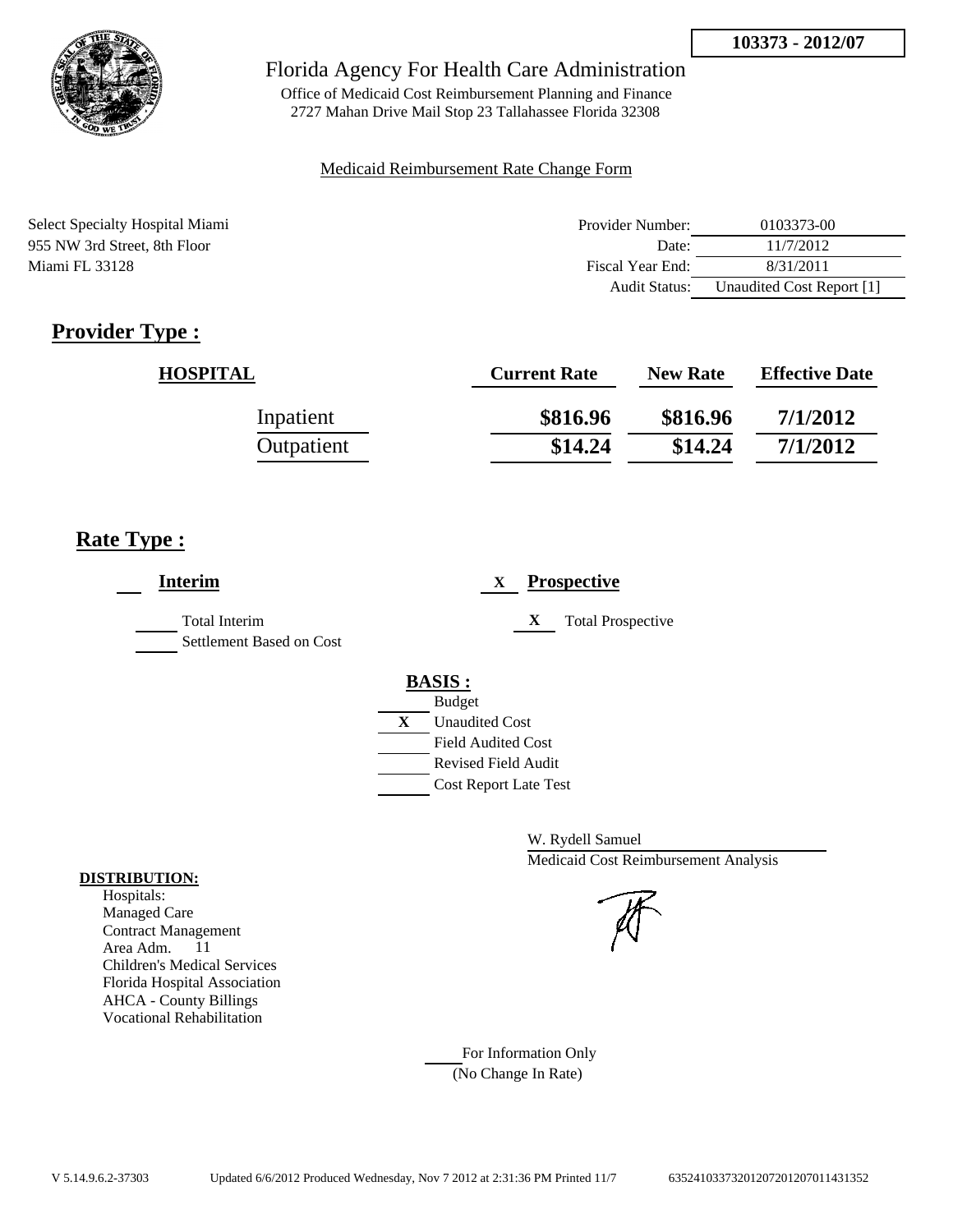

Office of Medicaid Cost Reimbursement Planning and Finance 2727 Mahan Drive Mail Stop 23 Tallahassee Florida 32308

#### Medicaid Reimbursement Rate Change Form

Select Specialty Hospital Miami 955 NW 3rd Street, 8th Floor Miami FL 33128

| Provider Number: | 0103373-00                |
|------------------|---------------------------|
| Date:            | 11/7/2012                 |
| Fiscal Year End: | 8/31/2011                 |
| Audit Status:    | Unaudited Cost Report [1] |

# **Provider Type :**

| <b>HOSPITAL</b> | <b>Current Rate</b> | <b>New Rate</b> | <b>Effective Date</b> |
|-----------------|---------------------|-----------------|-----------------------|
| Inpatient       | \$816.96            | \$816.96        | 7/1/2012              |
| Outpatient      | \$14.24             | \$14.24         | 7/1/2012              |

### **Rate Type :**

| <b>Interim</b>                            | <b>Prospective</b><br>X       |
|-------------------------------------------|-------------------------------|
| Total Interim<br>Settlement Based on Cost | <b>Total Prospective</b><br>X |
|                                           | <b>BASIS:</b>                 |
|                                           | <b>Budget</b>                 |
|                                           | X<br><b>Unaudited Cost</b>    |
|                                           | <b>Field Audited Cost</b>     |
|                                           | Revised Field Audit           |
|                                           | <b>Cost Report Late Test</b>  |
|                                           |                               |

W. Rydell Samuel Medicaid Cost Reimbursement Analysis

For Information Only (No Change In Rate)

#### **DISTRIBUTION:**

Hospitals: Managed Care Contract Management Area Adm. 11 Children's Medical Services Florida Hospital Association AHCA - County Billings Vocational Rehabilitation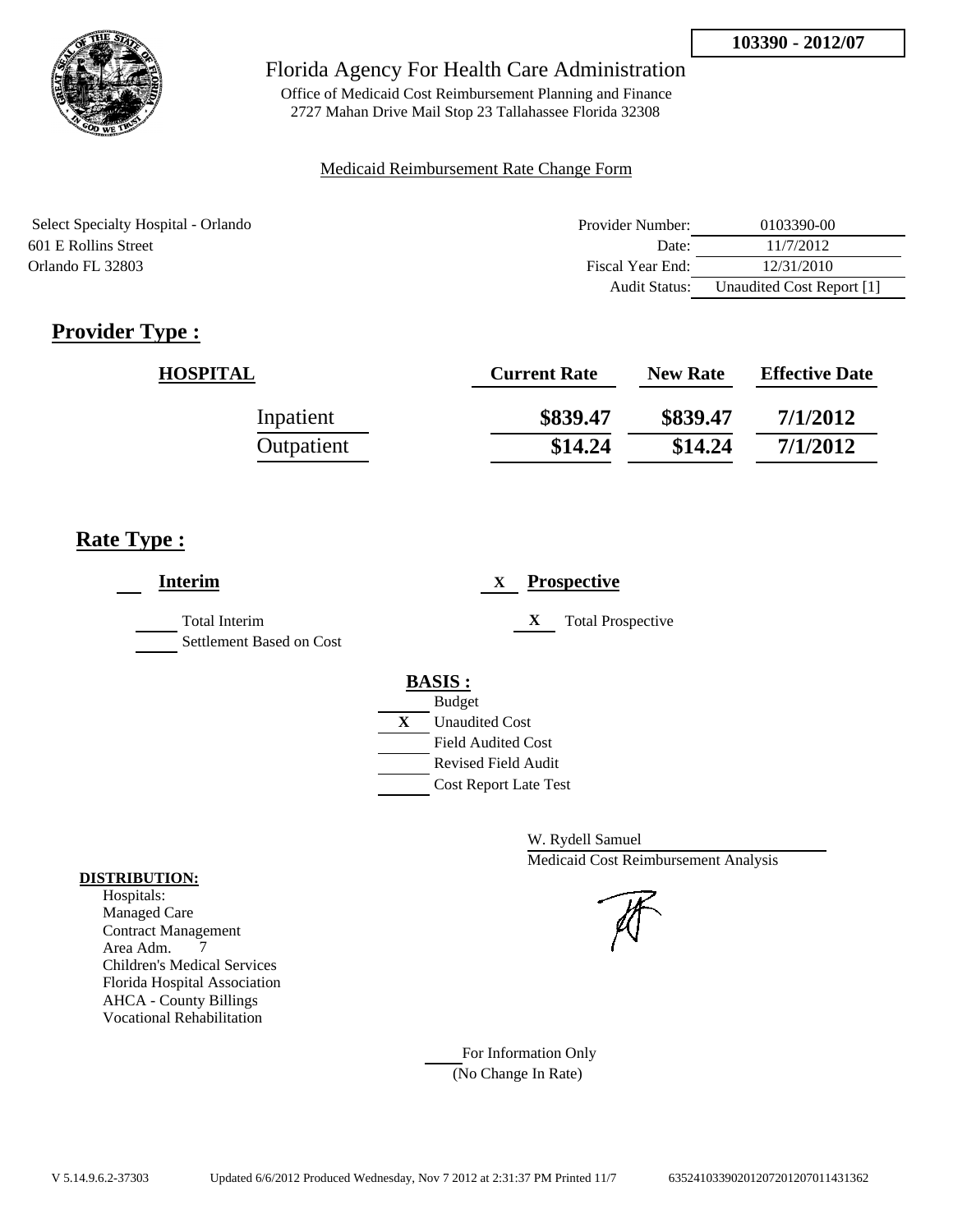

Office of Medicaid Cost Reimbursement Planning and Finance 2727 Mahan Drive Mail Stop 23 Tallahassee Florida 32308

#### Medicaid Reimbursement Rate Change Form

| Select Specialty Hospital - Orlando | Provider Number: | 0103390-00                |
|-------------------------------------|------------------|---------------------------|
| 601 E Rollins Street                | Date:            | 11/7/2012                 |
| Orlando FL 32803                    | Fiscal Year End: | 12/31/2010                |
|                                     | Audit Status:    | Unaudited Cost Report [1] |

# **Provider Type :**

| <b>HOSPITAL</b> | <b>Current Rate</b> | <b>New Rate</b> | <b>Effective Date</b> |
|-----------------|---------------------|-----------------|-----------------------|
| Inpatient       | \$839.47            | \$839.47        | 7/1/2012              |
| Outpatient      | \$14.24             | \$14.24         | 7/1/2012              |

## **Rate Type :**

| <b>Interim</b>                            | <b>Prospective</b><br>X               |  |
|-------------------------------------------|---------------------------------------|--|
| Total Interim<br>Settlement Based on Cost | X<br><b>Total Prospective</b>         |  |
|                                           | <b>BASIS:</b>                         |  |
|                                           | <b>Budget</b>                         |  |
|                                           | $\mathbf{X}$<br><b>Unaudited Cost</b> |  |
|                                           | <b>Field Audited Cost</b>             |  |
|                                           | <b>Revised Field Audit</b>            |  |
|                                           | <b>Cost Report Late Test</b>          |  |
|                                           |                                       |  |

W. Rydell Samuel Medicaid Cost Reimbursement Analysis

For Information Only (No Change In Rate)

#### **DISTRIBUTION:**

Hospitals: Managed Care Contract Management Area Adm. 7 Children's Medical Services Florida Hospital Association AHCA - County Billings Vocational Rehabilitation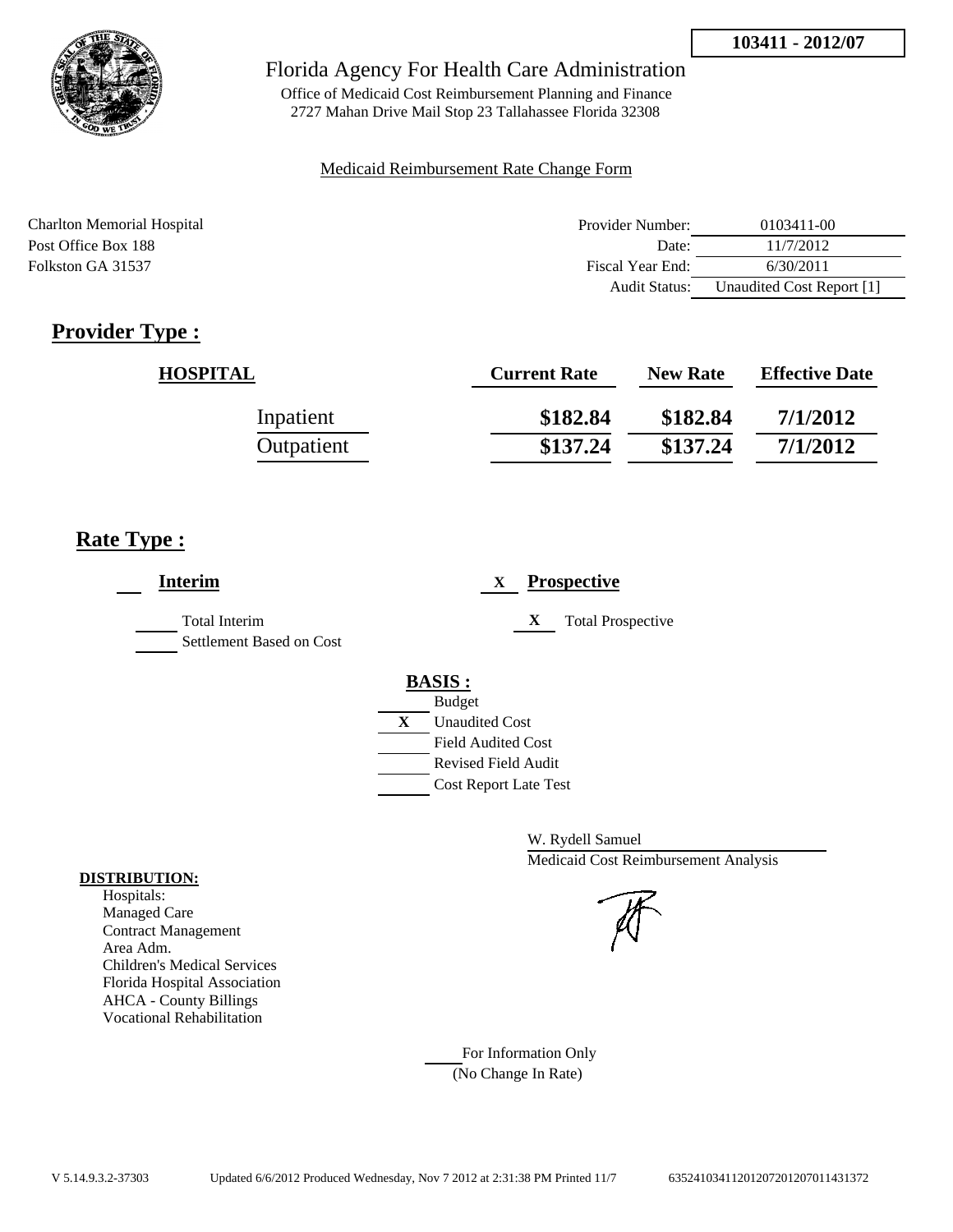

Office of Medicaid Cost Reimbursement Planning and Finance 2727 Mahan Drive Mail Stop 23 Tallahassee Florida 32308

#### Medicaid Reimbursement Rate Change Form

| Charlton Memorial Hospital | Provider Number:     | 0103411-00                |
|----------------------------|----------------------|---------------------------|
| Post Office Box 188        | Date:                | 11/7/2012                 |
| Folkston GA 31537          | Fiscal Year End:     | 6/30/2011                 |
|                            | <b>Audit Status:</b> | Unaudited Cost Report [1] |

# **Provider Type :**

| <b>HOSPITAL</b> | <b>Current Rate</b> | <b>New Rate</b> | <b>Effective Date</b> |
|-----------------|---------------------|-----------------|-----------------------|
| Inpatient       | \$182.84            | \$182.84        | 7/1/2012              |
| Outpatient      | \$137.24            | \$137.24        | 7/1/2012              |

## **Rate Type :**

| <b>Interim</b>                                   | <b>Prospective</b><br>X               |  |
|--------------------------------------------------|---------------------------------------|--|
| <b>Total Interim</b><br>Settlement Based on Cost | X<br><b>Total Prospective</b>         |  |
|                                                  | <b>BASIS:</b>                         |  |
|                                                  | <b>Budget</b>                         |  |
|                                                  | $\mathbf{X}$<br><b>Unaudited Cost</b> |  |
|                                                  | <b>Field Audited Cost</b>             |  |
|                                                  | <b>Revised Field Audit</b>            |  |
|                                                  | <b>Cost Report Late Test</b>          |  |
|                                                  |                                       |  |

W. Rydell Samuel Medicaid Cost Reimbursement Analysis

For Information Only (No Change In Rate)

#### **DISTRIBUTION:**

Hospitals: Managed Care Contract Management Area Adm. Children's Medical Services Florida Hospital Association AHCA - County Billings Vocational Rehabilitation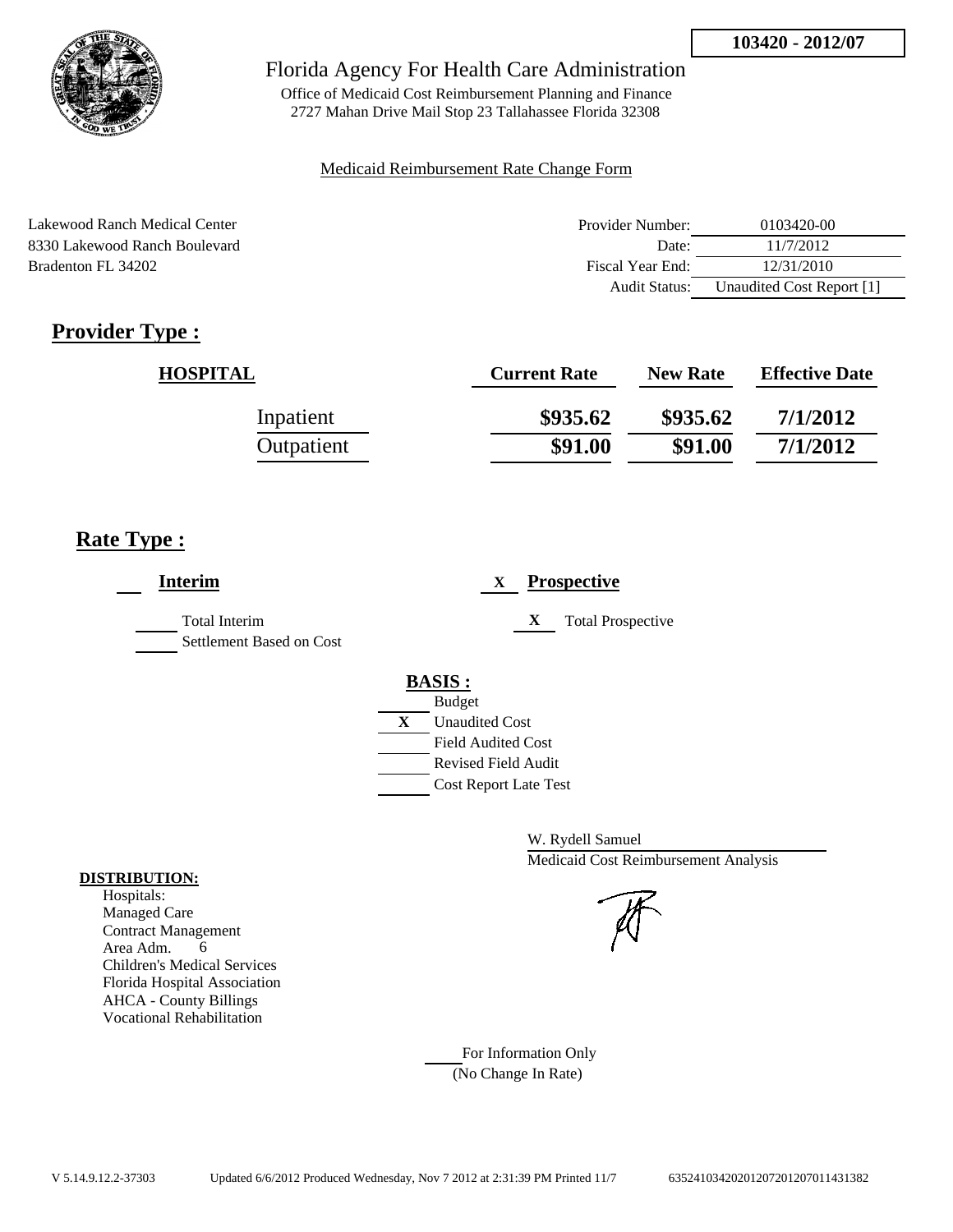

Office of Medicaid Cost Reimbursement Planning and Finance 2727 Mahan Drive Mail Stop 23 Tallahassee Florida 32308

#### Medicaid Reimbursement Rate Change Form

Lakewood Ranch Medical Center 8330 Lakewood Ranch Boulevard Bradenton FL 34202

| Provider Number: | 0103420-00                |
|------------------|---------------------------|
| Date:            | 11/7/2012                 |
| Fiscal Year End: | 12/31/2010                |
| Audit Status:    | Unaudited Cost Report [1] |

# **Provider Type :**

| <b>HOSPITAL</b> | <b>Current Rate</b> | <b>New Rate</b> | <b>Effective Date</b> |
|-----------------|---------------------|-----------------|-----------------------|
| Inpatient       | \$935.62            | \$935.62        | 7/1/2012              |
| Outpatient      | \$91.00             | \$91.00         | 7/1/2012              |

## **Rate Type :**

| <b>Interim</b>                                   | <b>Prospective</b><br>X       |
|--------------------------------------------------|-------------------------------|
| <b>Total Interim</b><br>Settlement Based on Cost | <b>Total Prospective</b><br>X |
|                                                  | <b>BASIS:</b>                 |
|                                                  | <b>Budget</b>                 |
|                                                  | X<br><b>Unaudited Cost</b>    |
|                                                  | <b>Field Audited Cost</b>     |
|                                                  | <b>Revised Field Audit</b>    |
|                                                  | <b>Cost Report Late Test</b>  |

W. Rydell Samuel Medicaid Cost Reimbursement Analysis

For Information Only (No Change In Rate)

#### **DISTRIBUTION:**

Hospitals: Managed Care Contract Management Area Adm. 6 Children's Medical Services Florida Hospital Association AHCA - County Billings Vocational Rehabilitation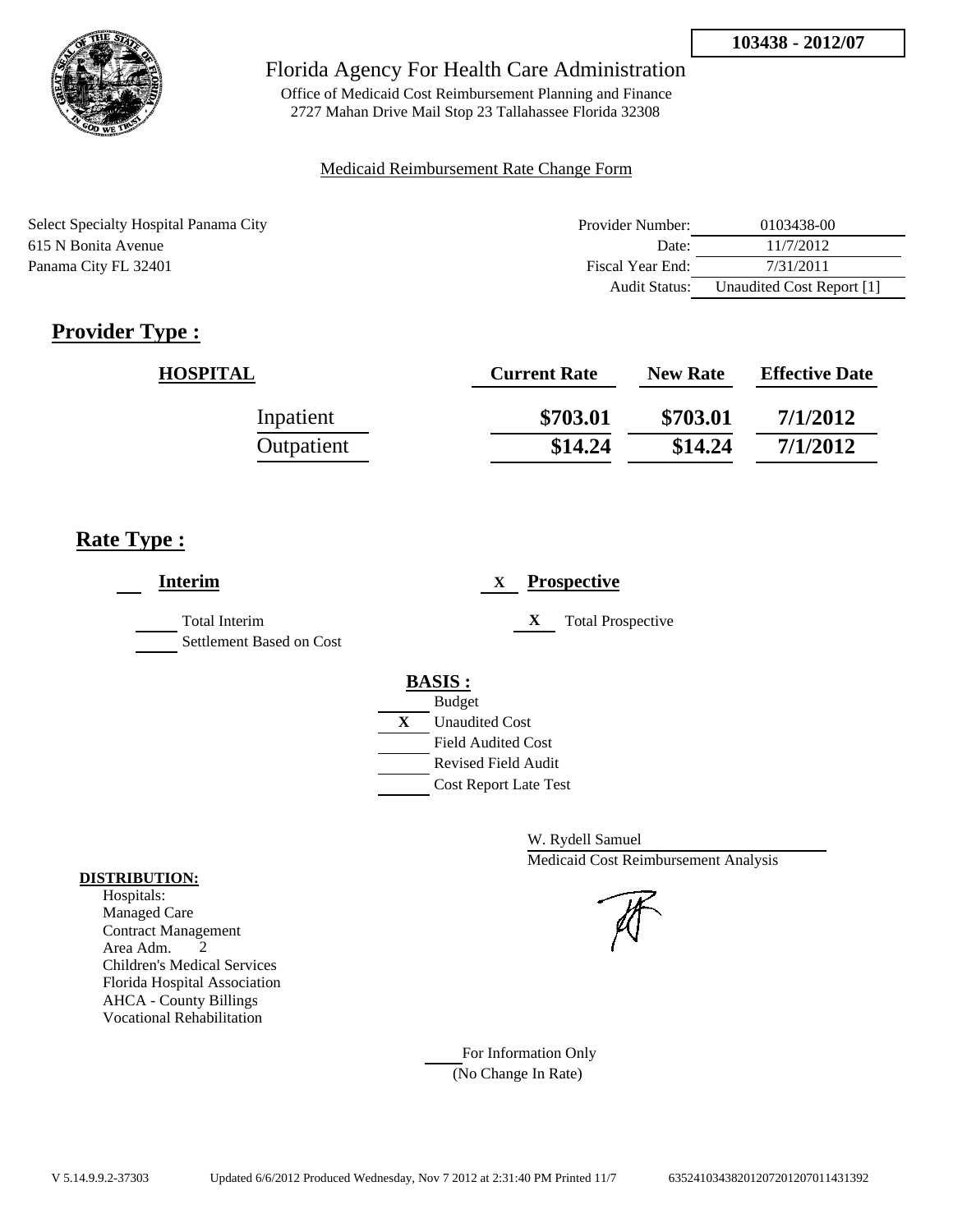

Office of Medicaid Cost Reimbursement Planning and Finance 2727 Mahan Drive Mail Stop 23 Tallahassee Florida 32308

#### Medicaid Reimbursement Rate Change Form

| Select Specialty Hospital Panama City | Provider Number: | 0103438-00                |
|---------------------------------------|------------------|---------------------------|
| 615 N Bonita Avenue                   | Date:            | 11/7/2012                 |
| Panama City FL 32401                  | Fiscal Year End: | 7/31/2011                 |
|                                       | Audit Status:    | Unaudited Cost Report [1] |

# **Provider Type :**

| <b>HOSPITAL</b> | <b>Current Rate</b> | <b>New Rate</b> | <b>Effective Date</b> |
|-----------------|---------------------|-----------------|-----------------------|
| Inpatient       | \$703.01            | \$703.01        | 7/1/2012              |
| Outpatient      | \$14.24             | \$14.24         | 7/1/2012              |

## **Rate Type :**

| <b>Interim</b>                                   | <b>Prospective</b><br>X                                                                                                                          |
|--------------------------------------------------|--------------------------------------------------------------------------------------------------------------------------------------------------|
| <b>Total Interim</b><br>Settlement Based on Cost | <b>Total Prospective</b><br>X                                                                                                                    |
|                                                  | <b>BASIS:</b><br><b>Budget</b><br>X<br><b>Unaudited Cost</b><br><b>Field Audited Cost</b><br>Revised Field Audit<br><b>Cost Report Late Test</b> |

W. Rydell Samuel Medicaid Cost Reimbursement Analysis

For Information Only (No Change In Rate)

#### **DISTRIBUTION:**

Hospitals: Managed Care Contract Management Area Adm. 2 Children's Medical Services Florida Hospital Association AHCA - County Billings Vocational Rehabilitation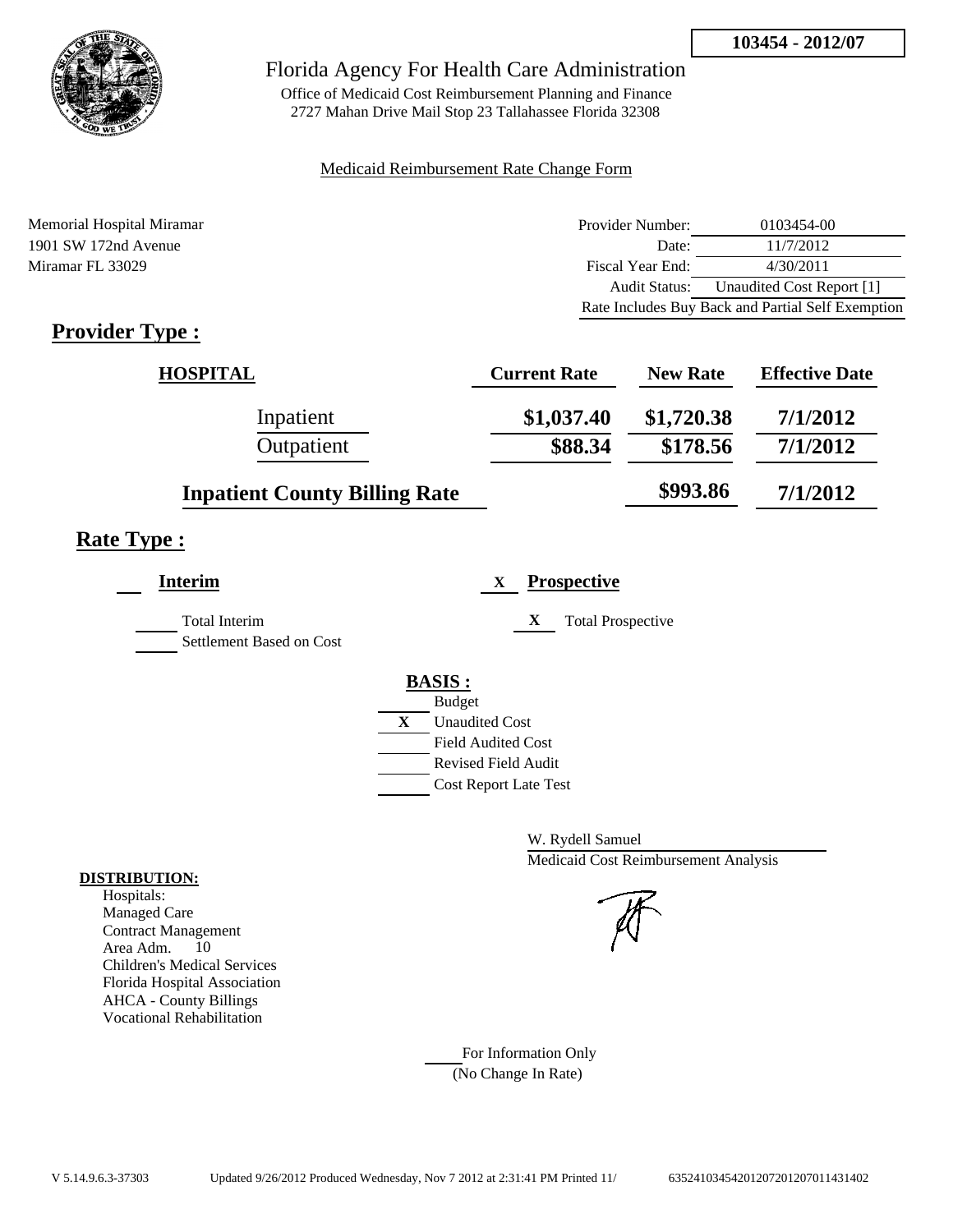

Office of Medicaid Cost Reimbursement Planning and Finance 2727 Mahan Drive Mail Stop 23 Tallahassee Florida 32308

### Medicaid Reimbursement Rate Change Form

Memorial Hospital Miramar 1901 SW 172nd Avenue Miramar FL 33029

| Provider Number:                                  | 0103454-00                |
|---------------------------------------------------|---------------------------|
| Date:                                             | 11/7/2012                 |
| Fiscal Year End:                                  | 4/30/2011                 |
| Audit Status:                                     | Unaudited Cost Report [1] |
| Rate Includes Buy Back and Partial Self Exemption |                           |

# **Provider Type :**

| <b>HOSPITAL</b>                      | <b>Current Rate</b> | <b>New Rate</b> | <b>Effective Date</b> |
|--------------------------------------|---------------------|-----------------|-----------------------|
| Inpatient                            | \$1,037.40          | \$1,720.38      | 7/1/2012              |
| Outpatient                           | \$88.34             | \$178.56        | 7/1/2012              |
| <b>Inpatient County Billing Rate</b> |                     | \$993.86        | 7/1/2012              |

## **Rate Type :**

| <b>Interim</b>                                   | <b>Prospective</b><br>X       |
|--------------------------------------------------|-------------------------------|
| <b>Total Interim</b><br>Settlement Based on Cost | X<br><b>Total Prospective</b> |
|                                                  | <b>BASIS:</b>                 |
|                                                  | <b>Budget</b>                 |
|                                                  | X<br><b>Unaudited Cost</b>    |
|                                                  | <b>Field Audited Cost</b>     |
|                                                  | <b>Revised Field Audit</b>    |
|                                                  | <b>Cost Report Late Test</b>  |
|                                                  |                               |

W. Rydell Samuel Medicaid Cost Reimbursement Analysis

For Information Only (No Change In Rate)

#### **DISTRIBUTION:**

Hospitals: Managed Care Contract Management Area Adm. 10 Children's Medical Services Florida Hospital Association AHCA - County Billings Vocational Rehabilitation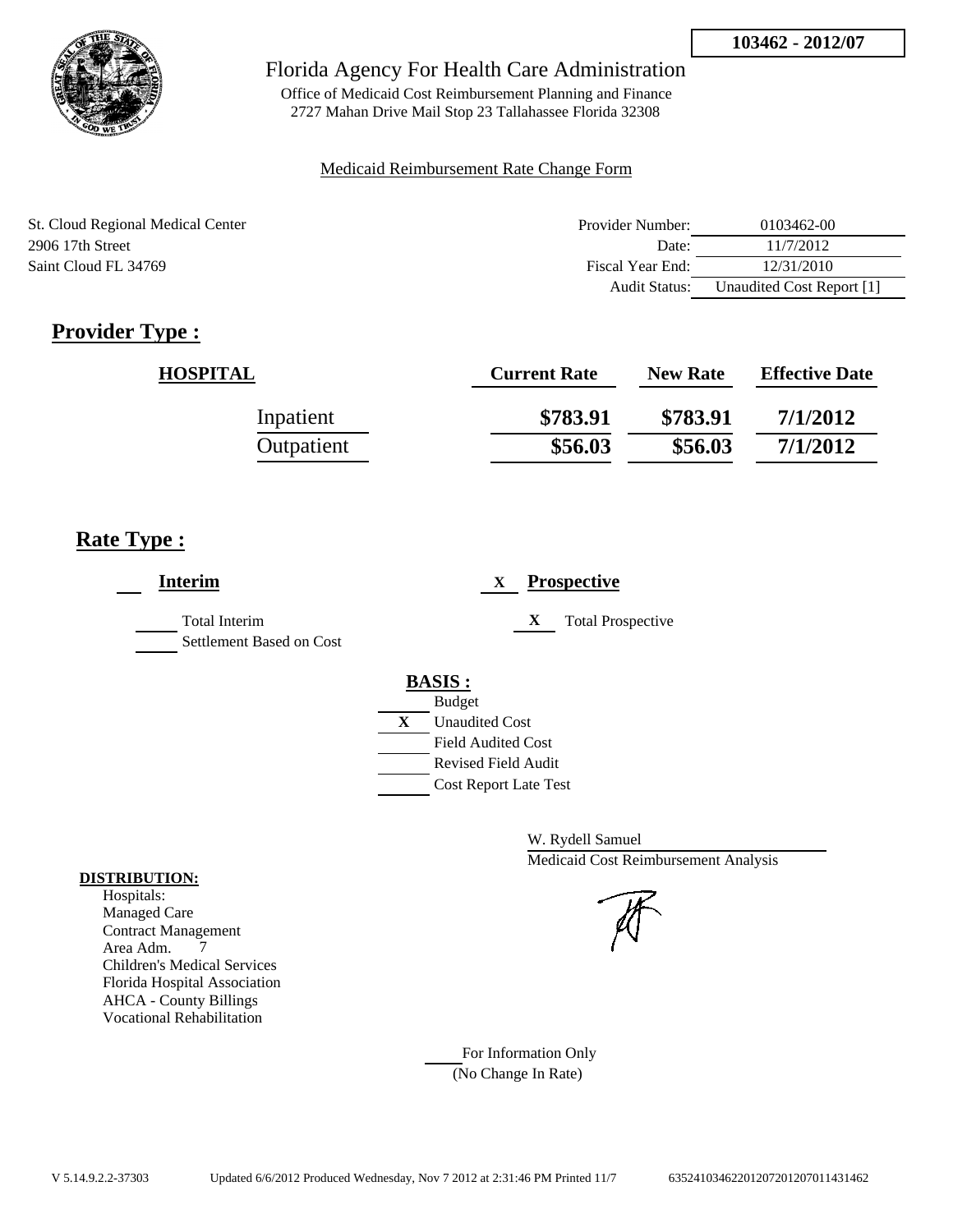

Office of Medicaid Cost Reimbursement Planning and Finance 2727 Mahan Drive Mail Stop 23 Tallahassee Florida 32308

### Medicaid Reimbursement Rate Change Form

| St. Cloud Regional Medical Center | Provider Number: | 0103462-00                |
|-----------------------------------|------------------|---------------------------|
| 2906 17th Street                  | Date:            | 11/7/2012                 |
| Saint Cloud FL 34769              | Fiscal Year End: | 12/31/2010                |
|                                   | Audit Status:    | Unaudited Cost Report [1] |

# **Provider Type :**

| <b>HOSPITAL</b> | <b>Current Rate</b> | <b>New Rate</b> | <b>Effective Date</b> |
|-----------------|---------------------|-----------------|-----------------------|
| Inpatient       | \$783.91            | \$783.91        | 7/1/2012              |
| Outpatient      | \$56.03             | \$56.03         | 7/1/2012              |

## **Rate Type :**

| <b>Interim</b>                            | <b>Prospective</b><br>X       |
|-------------------------------------------|-------------------------------|
| Total Interim<br>Settlement Based on Cost | X<br><b>Total Prospective</b> |
|                                           | <b>BASIS:</b>                 |
|                                           | <b>Budget</b>                 |
|                                           | X<br><b>Unaudited Cost</b>    |
|                                           | <b>Field Audited Cost</b>     |
|                                           | <b>Revised Field Audit</b>    |
|                                           | <b>Cost Report Late Test</b>  |

W. Rydell Samuel Medicaid Cost Reimbursement Analysis

For Information Only (No Change In Rate)

#### **DISTRIBUTION:**

Hospitals: Managed Care Contract Management Area Adm. 7 Children's Medical Services Florida Hospital Association AHCA - County Billings Vocational Rehabilitation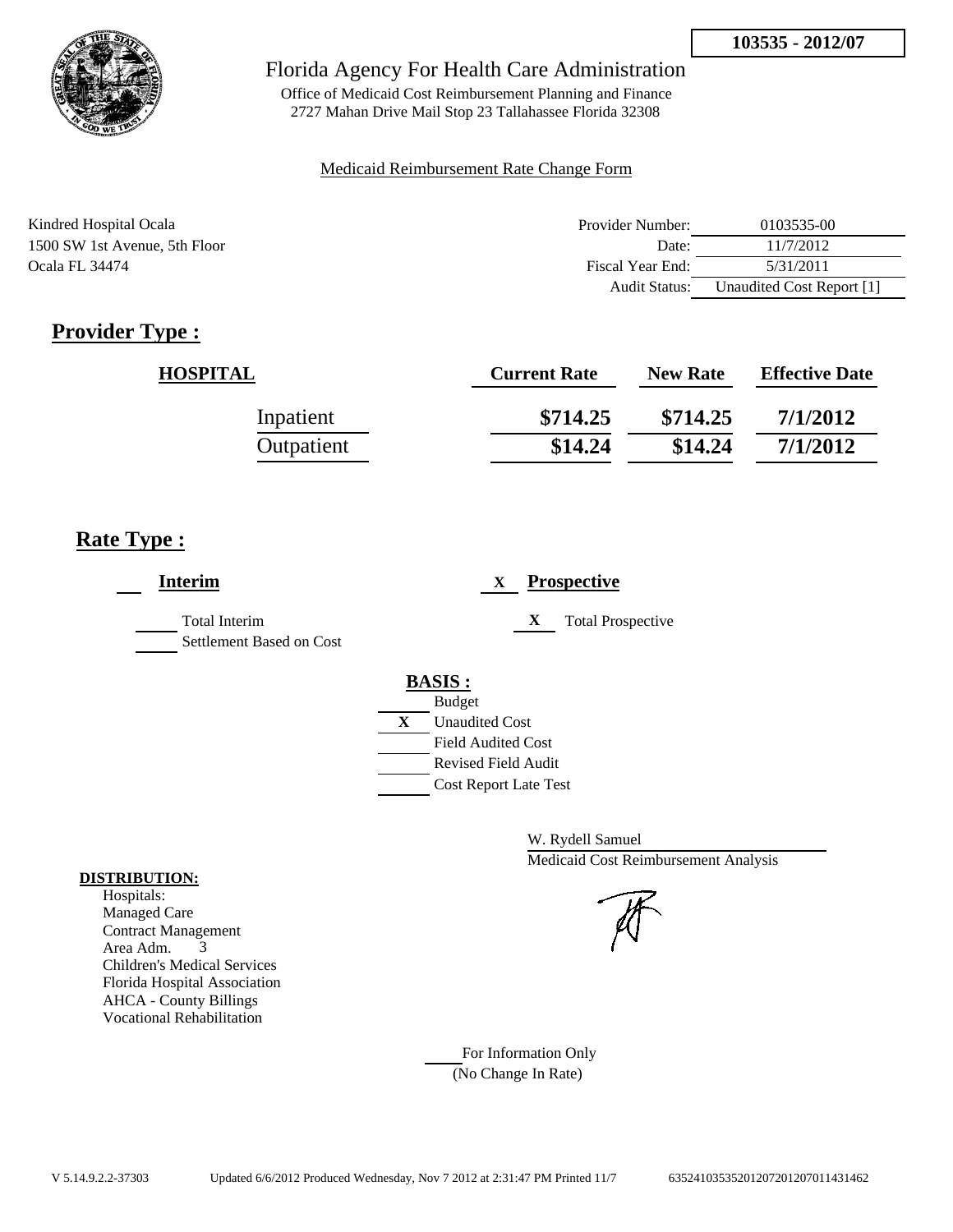

Office of Medicaid Cost Reimbursement Planning and Finance 2727 Mahan Drive Mail Stop 23 Tallahassee Florida 32308

### Medicaid Reimbursement Rate Change Form

| Kindred Hospital Ocala        | Provider Number:     | 0103535-00                |
|-------------------------------|----------------------|---------------------------|
| 1500 SW 1st Avenue, 5th Floor | Date:                | 11/7/2012                 |
| <b>Ocala FL 34474</b>         | Fiscal Year End:     | 5/31/2011                 |
|                               | <b>Audit Status:</b> | Unaudited Cost Report [1] |

# **Provider Type :**

| <b>HOSPITAL</b> | <b>Current Rate</b> | <b>New Rate</b> | <b>Effective Date</b> |
|-----------------|---------------------|-----------------|-----------------------|
| Inpatient       | \$714.25            | \$714.25        | 7/1/2012              |
| Outpatient      | \$14.24             | \$14.24         | 7/1/2012              |

## **Rate Type :**

| <b>Interim</b>                                   | <b>Prospective</b><br>X                                 |
|--------------------------------------------------|---------------------------------------------------------|
| <b>Total Interim</b><br>Settlement Based on Cost | X<br><b>Total Prospective</b>                           |
|                                                  | <b>BASIS:</b>                                           |
|                                                  | <b>Budget</b><br>X<br><b>Unaudited Cost</b>             |
|                                                  | <b>Field Audited Cost</b><br><b>Revised Field Audit</b> |
|                                                  | <b>Cost Report Late Test</b>                            |

W. Rydell Samuel Medicaid Cost Reimbursement Analysis

For Information Only (No Change In Rate)

#### **DISTRIBUTION:**

Hospitals: Managed Care Contract Management Area Adm. 3 Children's Medical Services Florida Hospital Association AHCA - County Billings Vocational Rehabilitation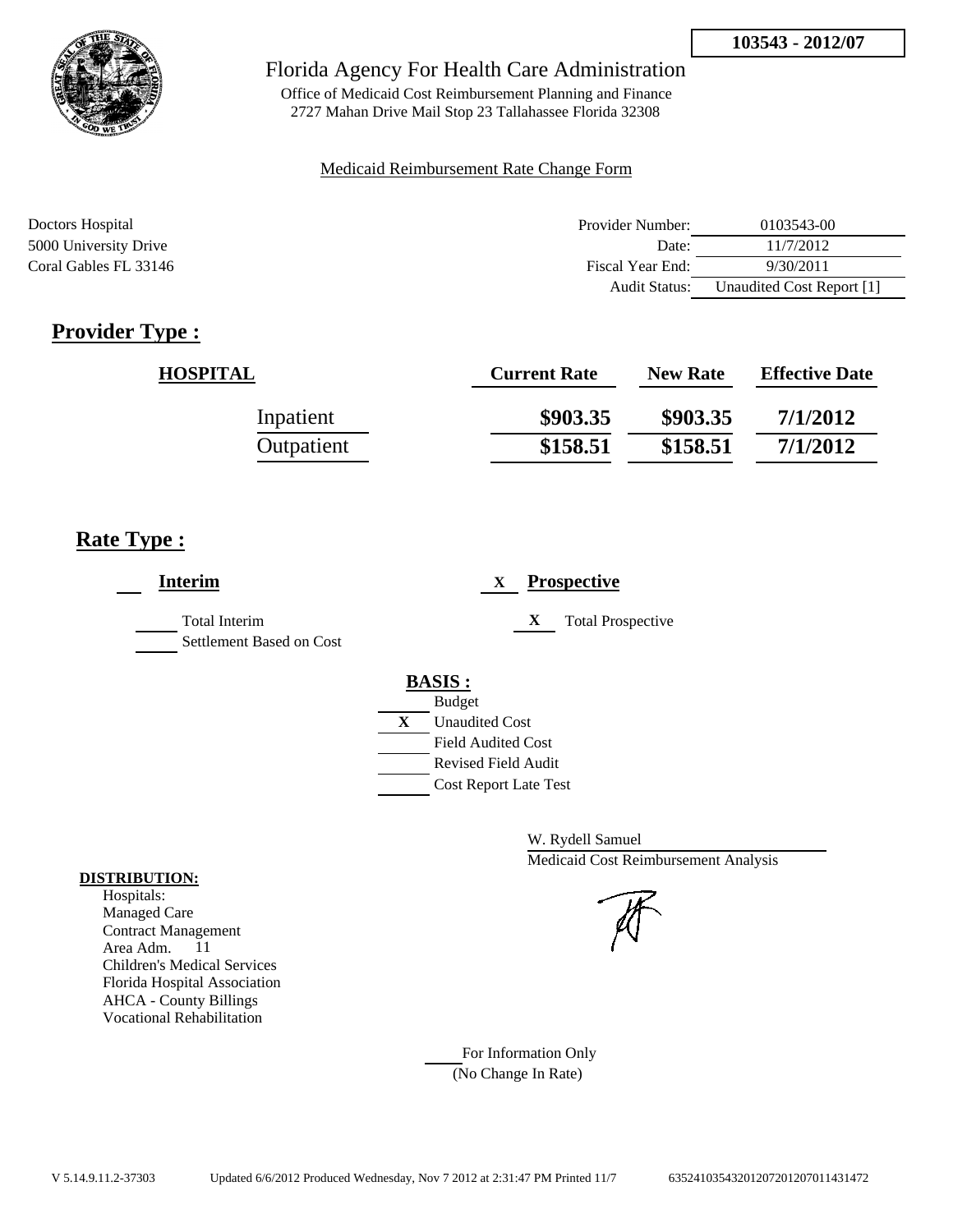

Office of Medicaid Cost Reimbursement Planning and Finance 2727 Mahan Drive Mail Stop 23 Tallahassee Florida 32308

### Medicaid Reimbursement Rate Change Form

| Doctors Hospital      | Provider Number:     | 0103543-00                |
|-----------------------|----------------------|---------------------------|
| 5000 University Drive | Date:                | 11/7/2012                 |
| Coral Gables FL 33146 | Fiscal Year End:     | 9/30/2011                 |
|                       | <b>Audit Status:</b> | Unaudited Cost Report [1] |

# **Provider Type :**

| <b>HOSPITAL</b> | <b>Current Rate</b> | <b>New Rate</b> | <b>Effective Date</b> |
|-----------------|---------------------|-----------------|-----------------------|
| Inpatient       | \$903.35            | \$903.35        | 7/1/2012              |
| Outpatient      | \$158.51            | \$158.51        | 7/1/2012              |

## **Rate Type :**

| <b>Interim</b>                                   | <b>Prospective</b><br>X       |
|--------------------------------------------------|-------------------------------|
| <b>Total Interim</b><br>Settlement Based on Cost | X<br><b>Total Prospective</b> |
|                                                  | <b>BASIS:</b>                 |
|                                                  | <b>Budget</b>                 |
|                                                  | X<br><b>Unaudited Cost</b>    |
|                                                  | <b>Field Audited Cost</b>     |
|                                                  | <b>Revised Field Audit</b>    |
|                                                  | <b>Cost Report Late Test</b>  |
|                                                  |                               |

W. Rydell Samuel Medicaid Cost Reimbursement Analysis

For Information Only (No Change In Rate)

#### **DISTRIBUTION:**

Hospitals: Managed Care Contract Management Area Adm. 11 Children's Medical Services Florida Hospital Association AHCA - County Billings Vocational Rehabilitation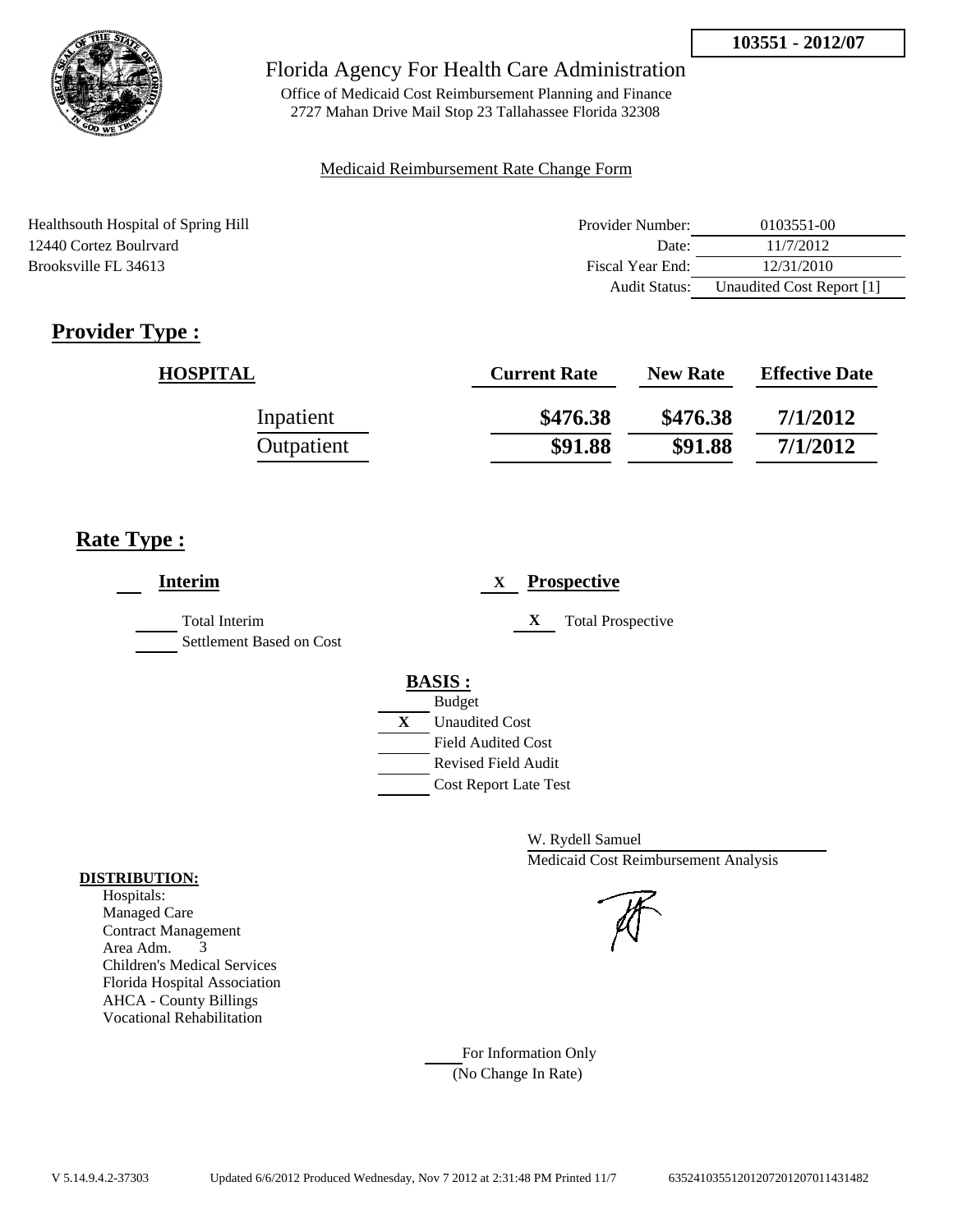

Office of Medicaid Cost Reimbursement Planning and Finance 2727 Mahan Drive Mail Stop 23 Tallahassee Florida 32308

#### Medicaid Reimbursement Rate Change Form

Healthsouth Hospital of Spring Hill 12440 Cortez Boulrvard Brooksville FL 34613

| Provider Number: | 0103551-00                |
|------------------|---------------------------|
| Date:            | 11/7/2012                 |
| Fiscal Year End: | 12/31/2010                |
| Audit Status:    | Unaudited Cost Report [1] |

# **Provider Type :**

| <b>HOSPITAL</b> | <b>Current Rate</b> | <b>New Rate</b> | <b>Effective Date</b> |
|-----------------|---------------------|-----------------|-----------------------|
| Inpatient       | \$476.38            | \$476.38        | 7/1/2012              |
| Outpatient      | \$91.88             | \$91.88         | 7/1/2012              |

## **Rate Type :**

| <b>Interim</b>                                   | <b>Prospective</b><br>X       |
|--------------------------------------------------|-------------------------------|
| <b>Total Interim</b><br>Settlement Based on Cost | <b>Total Prospective</b><br>X |
|                                                  | <b>BASIS:</b>                 |
|                                                  | <b>Budget</b>                 |
|                                                  | X<br><b>Unaudited Cost</b>    |
|                                                  | <b>Field Audited Cost</b>     |
|                                                  | <b>Revised Field Audit</b>    |
|                                                  | <b>Cost Report Late Test</b>  |

W. Rydell Samuel Medicaid Cost Reimbursement Analysis

For Information Only (No Change In Rate)

### **DISTRIBUTION:**

Hospitals: Managed Care Contract Management Area Adm. 3 Children's Medical Services Florida Hospital Association AHCA - County Billings Vocational Rehabilitation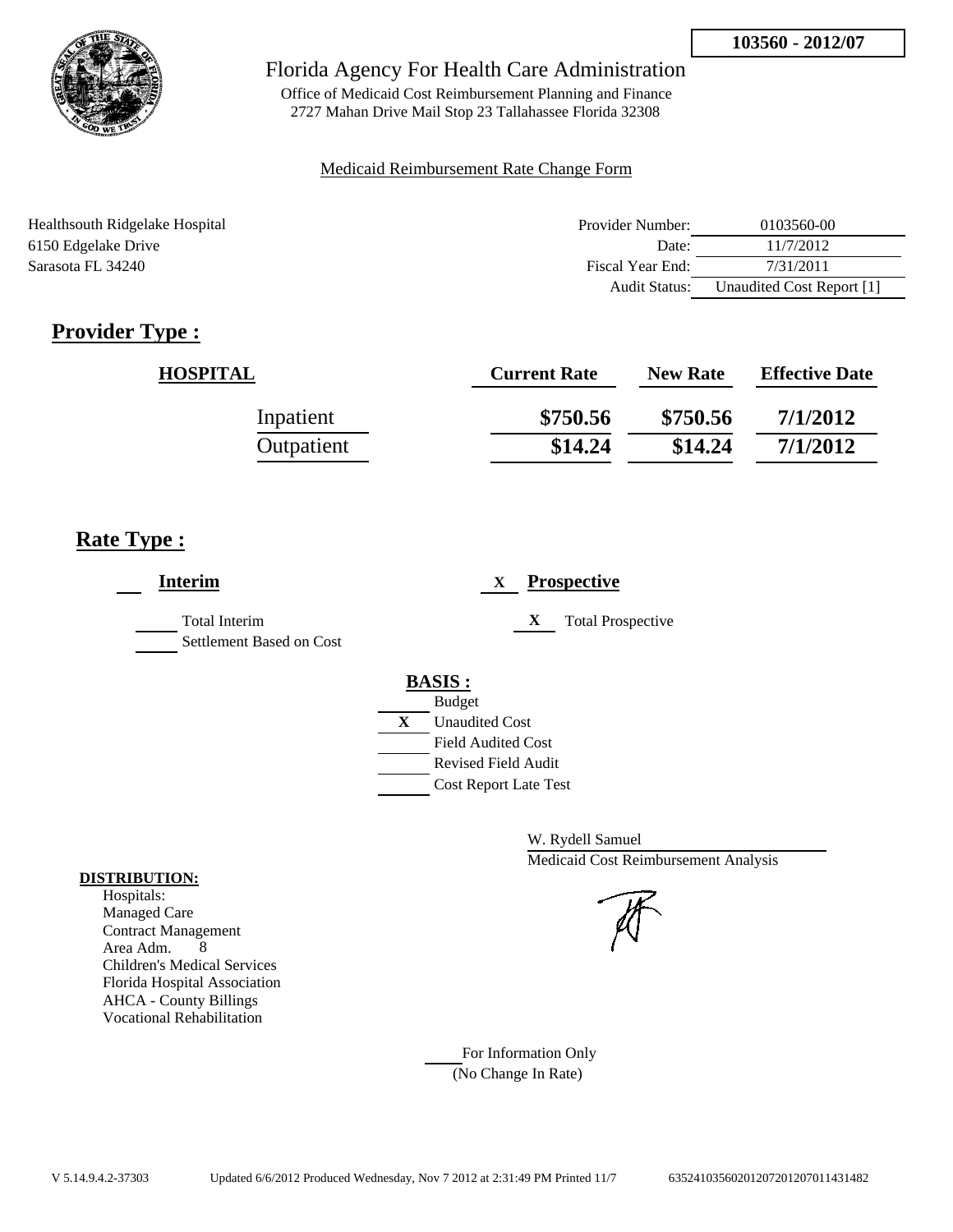

Office of Medicaid Cost Reimbursement Planning and Finance 2727 Mahan Drive Mail Stop 23 Tallahassee Florida 32308

#### Medicaid Reimbursement Rate Change Form

| Healthsouth Ridgelake Hospital | Provider Number:     | 0103560-00                |
|--------------------------------|----------------------|---------------------------|
| 6150 Edgelake Drive            | Date:                | 11/7/2012                 |
| Sarasota FL 34240              | Fiscal Year End:     | 7/31/2011                 |
|                                | <b>Audit Status:</b> | Unaudited Cost Report [1] |

# **Provider Type :**

| <b>HOSPITAL</b> | <b>Current Rate</b> | <b>New Rate</b> | <b>Effective Date</b> |
|-----------------|---------------------|-----------------|-----------------------|
| Inpatient       | \$750.56            | \$750.56        | 7/1/2012              |
| Outpatient      | \$14.24             | \$14.24         | 7/1/2012              |

## **Rate Type :**

| <b>Interim</b>                                   | <b>Prospective</b><br>X       |  |
|--------------------------------------------------|-------------------------------|--|
| <b>Total Interim</b><br>Settlement Based on Cost | X<br><b>Total Prospective</b> |  |
|                                                  | <b>BASIS</b> :                |  |
|                                                  | <b>Budget</b>                 |  |
|                                                  | X<br><b>Unaudited Cost</b>    |  |
|                                                  | <b>Field Audited Cost</b>     |  |
|                                                  | <b>Revised Field Audit</b>    |  |
|                                                  | <b>Cost Report Late Test</b>  |  |
|                                                  |                               |  |

W. Rydell Samuel Medicaid Cost Reimbursement Analysis

For Information Only (No Change In Rate)

#### **DISTRIBUTION:**

Hospitals: Managed Care Contract Management Area Adm. 8 Children's Medical Services Florida Hospital Association AHCA - County Billings Vocational Rehabilitation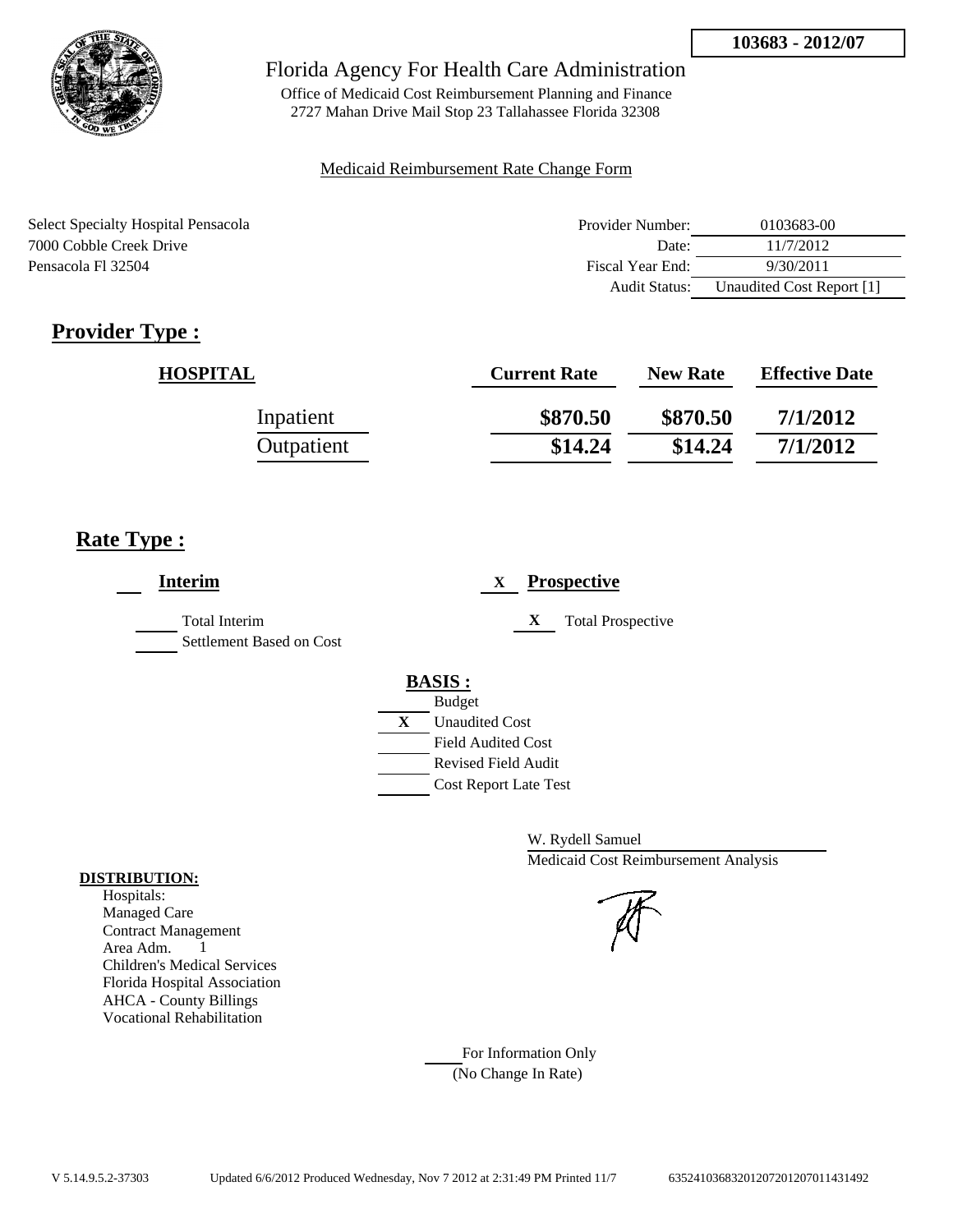

Office of Medicaid Cost Reimbursement Planning and Finance 2727 Mahan Drive Mail Stop 23 Tallahassee Florida 32308

#### Medicaid Reimbursement Rate Change Form

| Select Specialty Hospital Pensacola | Provider Number: | 0103683-00                |
|-------------------------------------|------------------|---------------------------|
| 7000 Cobble Creek Drive             | Date:            | 11/7/2012                 |
| Pensacola Fl 32504                  | Fiscal Year End: | 9/30/2011                 |
|                                     | Audit Status:    | Unaudited Cost Report [1] |

# **Provider Type :**

| <b>HOSPITAL</b> | <b>Current Rate</b> | <b>New Rate</b> | <b>Effective Date</b> |
|-----------------|---------------------|-----------------|-----------------------|
| Inpatient       | \$870.50            | \$870.50        | 7/1/2012              |
| Outpatient      | \$14.24             | \$14.24         | 7/1/2012              |

## **Rate Type :**

| <b>Interim</b>                                   | <b>Prospective</b><br>X       |  |
|--------------------------------------------------|-------------------------------|--|
| <b>Total Interim</b><br>Settlement Based on Cost | X<br><b>Total Prospective</b> |  |
|                                                  | <b>BASIS:</b>                 |  |
|                                                  | <b>Budget</b>                 |  |
|                                                  | X<br><b>Unaudited Cost</b>    |  |
|                                                  | <b>Field Audited Cost</b>     |  |
|                                                  | Revised Field Audit           |  |
|                                                  | <b>Cost Report Late Test</b>  |  |
|                                                  |                               |  |

W. Rydell Samuel Medicaid Cost Reimbursement Analysis

#### Hospitals: Managed Care

**DISTRIBUTION:**

Contract Management Area Adm. 1 Children's Medical Services Florida Hospital Association AHCA - County Billings Vocational Rehabilitation

> For Information Only (No Change In Rate)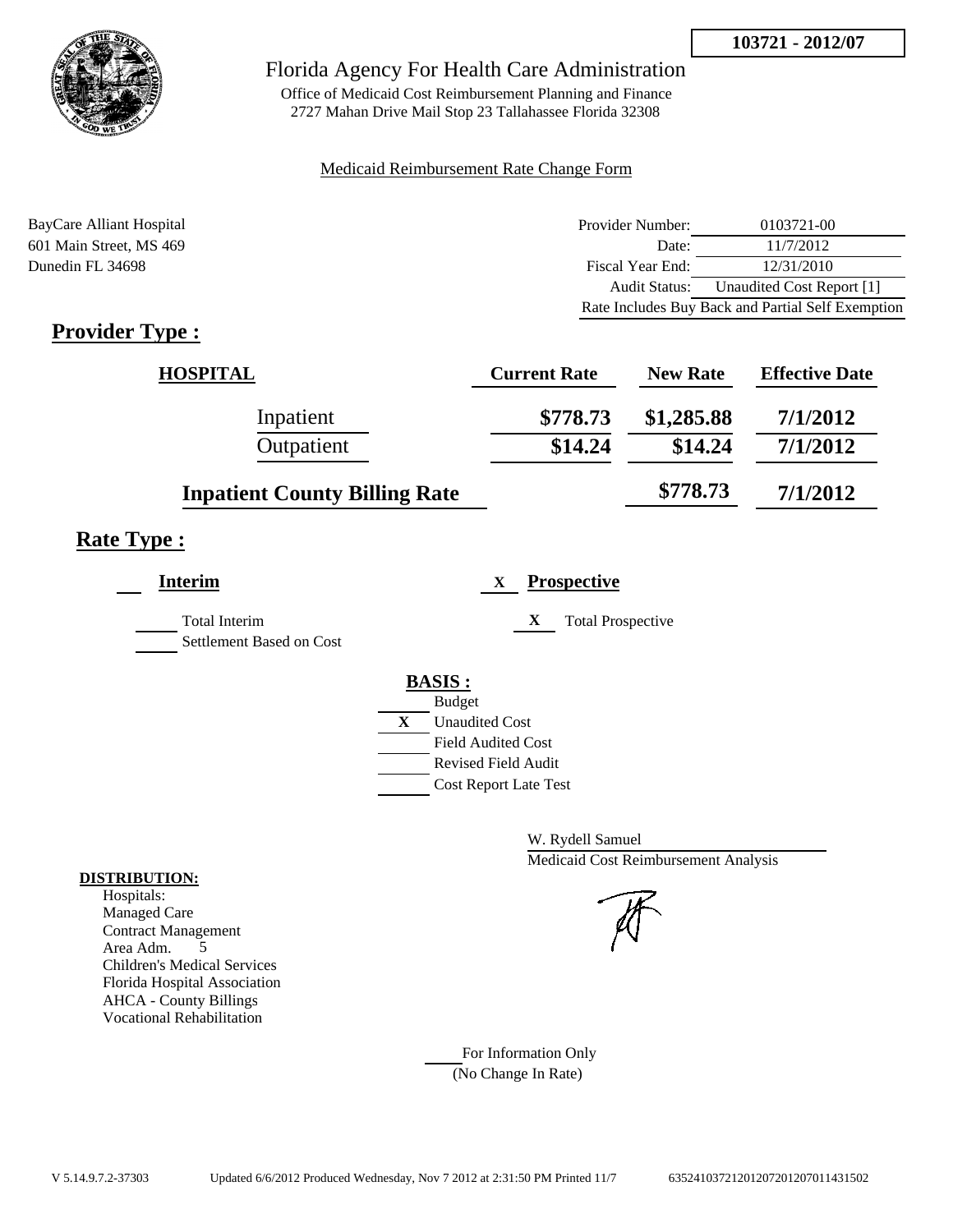

Office of Medicaid Cost Reimbursement Planning and Finance 2727 Mahan Drive Mail Stop 23 Tallahassee Florida 32308

#### Medicaid Reimbursement Rate Change Form

BayCare Alliant Hospital **Provider Number:** 0103721-00 601 Main Street, MS 469 Date: 11/7/2012 Dunedin FL 34698 Fiscal Year End: 12/31/2010 Audit Status: Unaudited Cost Report [1] Rate Includes Buy Back and Partial Self Exemption

# **Provider Type :**

| <b>HOSPITAL</b>                      | <b>Current Rate</b> | <b>New Rate</b> | <b>Effective Date</b> |
|--------------------------------------|---------------------|-----------------|-----------------------|
| Inpatient                            | \$778.73            | \$1,285.88      | 7/1/2012              |
| Outpatient                           | \$14.24             | \$14.24         | 7/1/2012              |
| <b>Inpatient County Billing Rate</b> |                     | \$778.73        | 7/1/2012              |

## **Rate Type :**

| Interim                                          | <b>Prospective</b><br>X       |
|--------------------------------------------------|-------------------------------|
| <b>Total Interim</b><br>Settlement Based on Cost | X<br><b>Total Prospective</b> |
|                                                  | <b>BASIS:</b>                 |
|                                                  | <b>Budget</b>                 |
|                                                  | X<br><b>Unaudited Cost</b>    |
|                                                  | <b>Field Audited Cost</b>     |
|                                                  | <b>Revised Field Audit</b>    |
|                                                  | <b>Cost Report Late Test</b>  |

W. Rydell Samuel Medicaid Cost Reimbursement Analysis

For Information Only (No Change In Rate)

#### **DISTRIBUTION:**

Hospitals: Managed Care Contract Management Area Adm. 5 Children's Medical Services Florida Hospital Association AHCA - County Billings Vocational Rehabilitation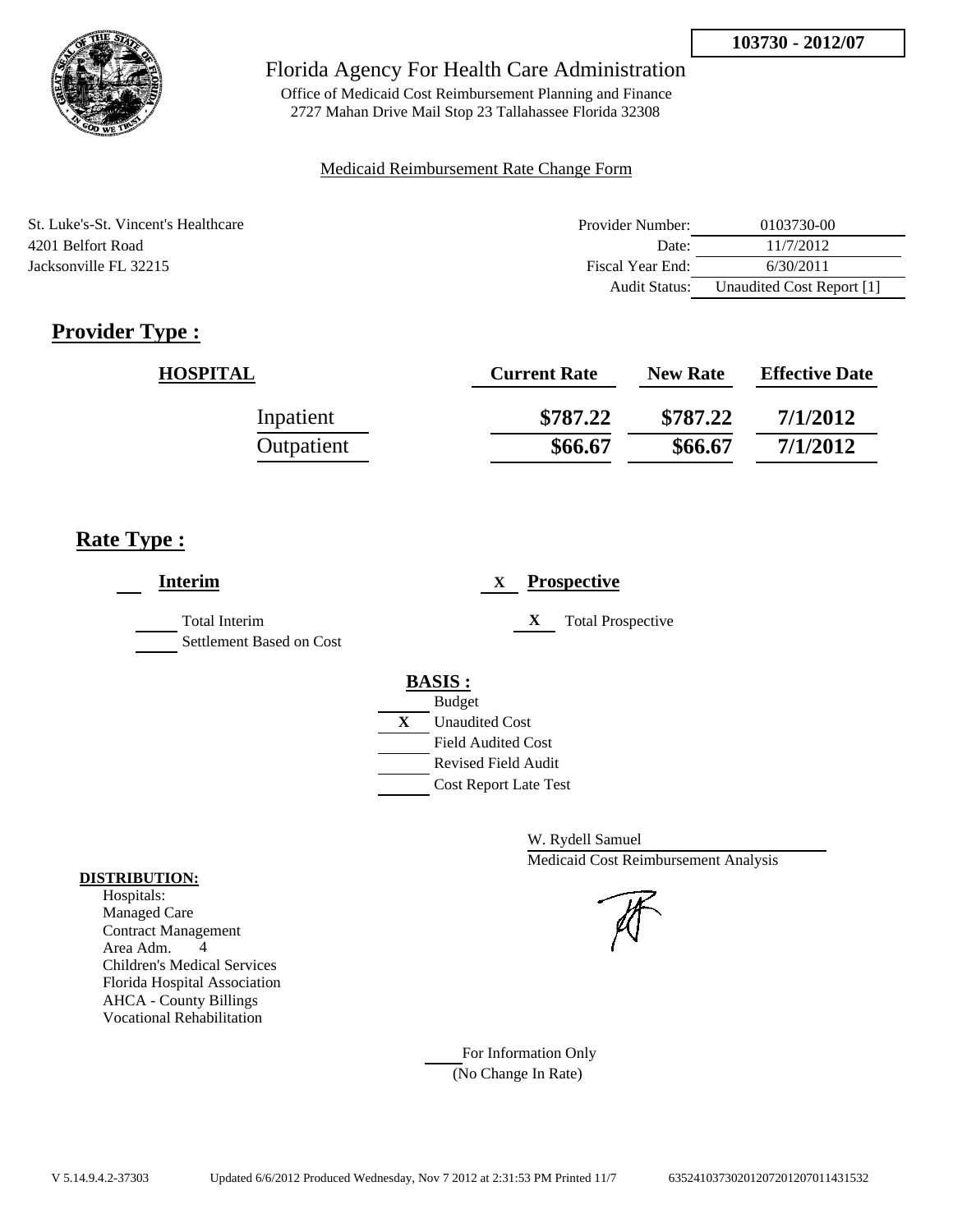

Office of Medicaid Cost Reimbursement Planning and Finance 2727 Mahan Drive Mail Stop 23 Tallahassee Florida 32308

#### Medicaid Reimbursement Rate Change Form

| St. Luke's-St. Vincent's Healthcare | Provider Number:     | 0103730-00                |
|-------------------------------------|----------------------|---------------------------|
| 4201 Belfort Road                   | Date:                | 11/7/2012                 |
| Jacksonville FL 32215               | Fiscal Year End:     | 6/30/2011                 |
|                                     | <b>Audit Status:</b> | Unaudited Cost Report [1] |

# **Provider Type :**

| <b>HOSPITAL</b> | <b>Current Rate</b> | <b>New Rate</b> | <b>Effective Date</b> |
|-----------------|---------------------|-----------------|-----------------------|
| Inpatient       | \$787.22            | \$787.22        | 7/1/2012              |
| Outpatient      | \$66.67             | \$66.67         | 7/1/2012              |

## **Rate Type :**

| <b>Interim</b>                                   | <b>Prospective</b><br>X       |
|--------------------------------------------------|-------------------------------|
| <b>Total Interim</b><br>Settlement Based on Cost | X<br><b>Total Prospective</b> |
|                                                  | <b>BASIS:</b>                 |
|                                                  | <b>Budget</b>                 |
|                                                  | X<br><b>Unaudited Cost</b>    |
|                                                  | <b>Field Audited Cost</b>     |
|                                                  | <b>Revised Field Audit</b>    |
|                                                  | <b>Cost Report Late Test</b>  |
|                                                  |                               |

W. Rydell Samuel Medicaid Cost Reimbursement Analysis

### **DISTRIBUTION:** Hospitals:

Managed Care Contract Management Area Adm. 4 Children's Medical Services Florida Hospital Association AHCA - County Billings Vocational Rehabilitation

> For Information Only (No Change In Rate)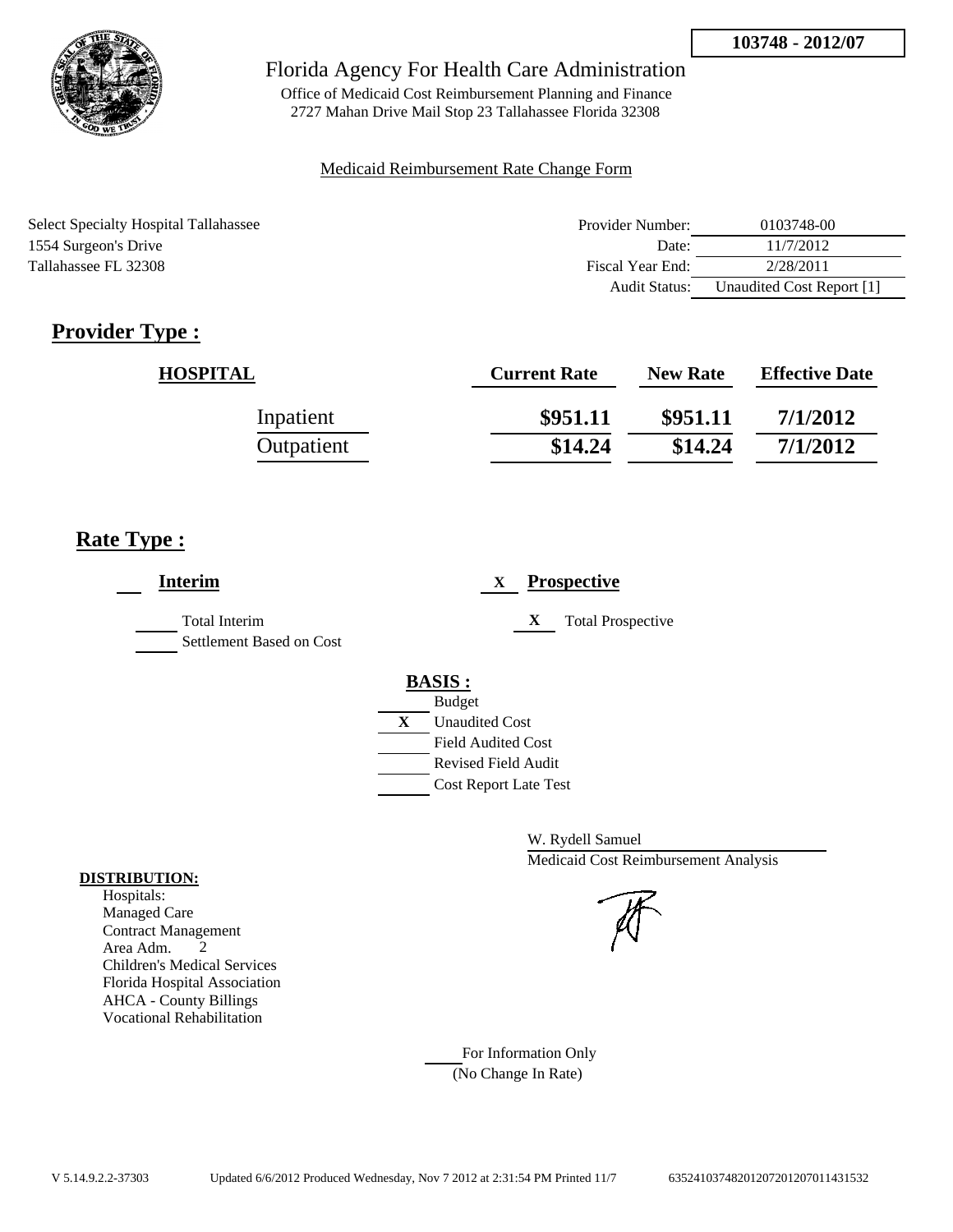

Office of Medicaid Cost Reimbursement Planning and Finance 2727 Mahan Drive Mail Stop 23 Tallahassee Florida 32308

### Medicaid Reimbursement Rate Change Form

| <b>Select Specialty Hospital Tallahassee</b> | Provider Number: | 0103748-00                |
|----------------------------------------------|------------------|---------------------------|
| 1554 Surgeon's Drive                         | Date:            | 11/7/2012                 |
| Tallahassee FL 32308                         | Fiscal Year End: | 2/28/2011                 |
|                                              | Audit Status:    | Unaudited Cost Report [1] |

# **Provider Type :**

| <b>HOSPITAL</b> | <b>Current Rate</b> | <b>New Rate</b> | <b>Effective Date</b> |
|-----------------|---------------------|-----------------|-----------------------|
| Inpatient       | \$951.11            | \$951.11        | 7/1/2012              |
| Outpatient      | \$14.24             | \$14.24         | 7/1/2012              |

# **Rate Type :**

| <b>Interim</b>                            | <b>Prospective</b><br>X       |
|-------------------------------------------|-------------------------------|
| Total Interim<br>Settlement Based on Cost | <b>Total Prospective</b><br>X |
|                                           | <b>BASIS:</b>                 |
|                                           | <b>Budget</b>                 |
|                                           | X<br><b>Unaudited Cost</b>    |
|                                           | <b>Field Audited Cost</b>     |
|                                           | Revised Field Audit           |
|                                           | <b>Cost Report Late Test</b>  |
|                                           |                               |

W. Rydell Samuel Medicaid Cost Reimbursement Analysis

For Information Only (No Change In Rate)

#### **DISTRIBUTION:**

Hospitals: Managed Care Contract Management Area Adm. 2 Children's Medical Services Florida Hospital Association AHCA - County Billings Vocational Rehabilitation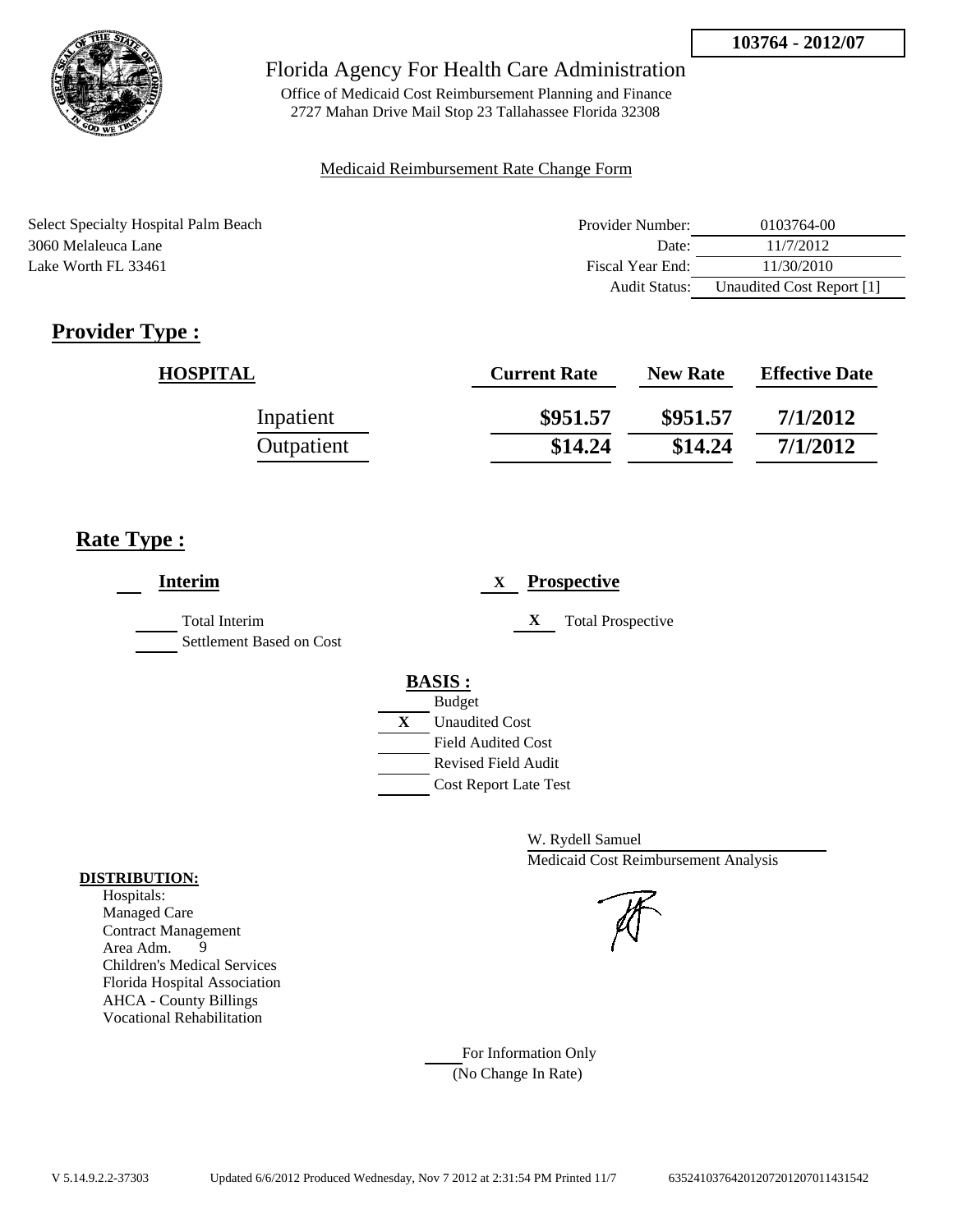

Office of Medicaid Cost Reimbursement Planning and Finance 2727 Mahan Drive Mail Stop 23 Tallahassee Florida 32308

### Medicaid Reimbursement Rate Change Form

Select Specialty Hospital Palm Beach 3060 Melaleuca Lane Lake Worth FL 33461

| Provider Number: | 0103764-00                |
|------------------|---------------------------|
| Date:            | 11/7/2012                 |
| Fiscal Year End: | 11/30/2010                |
| Audit Status:    | Unaudited Cost Report [1] |

# **Provider Type :**

| <b>HOSPITAL</b> | <b>Current Rate</b> | <b>New Rate</b> | <b>Effective Date</b> |
|-----------------|---------------------|-----------------|-----------------------|
| Inpatient       | \$951.57            | \$951.57        | 7/1/2012              |
| Outpatient      | \$14.24             | \$14.24         | 7/1/2012              |

## **Rate Type :**

| <b>Interim</b>                                   | <b>Prospective</b><br>X       |
|--------------------------------------------------|-------------------------------|
| <b>Total Interim</b><br>Settlement Based on Cost | X<br><b>Total Prospective</b> |
|                                                  | <b>BASIS:</b>                 |
|                                                  | <b>Budget</b>                 |
|                                                  | X<br><b>Unaudited Cost</b>    |
|                                                  | <b>Field Audited Cost</b>     |
|                                                  | <b>Revised Field Audit</b>    |
|                                                  | <b>Cost Report Late Test</b>  |
|                                                  |                               |

W. Rydell Samuel Medicaid Cost Reimbursement Analysis

For Information Only (No Change In Rate)

#### **DISTRIBUTION:**

Hospitals: Managed Care Contract Management Area Adm. 9 Children's Medical Services Florida Hospital Association AHCA - County Billings Vocational Rehabilitation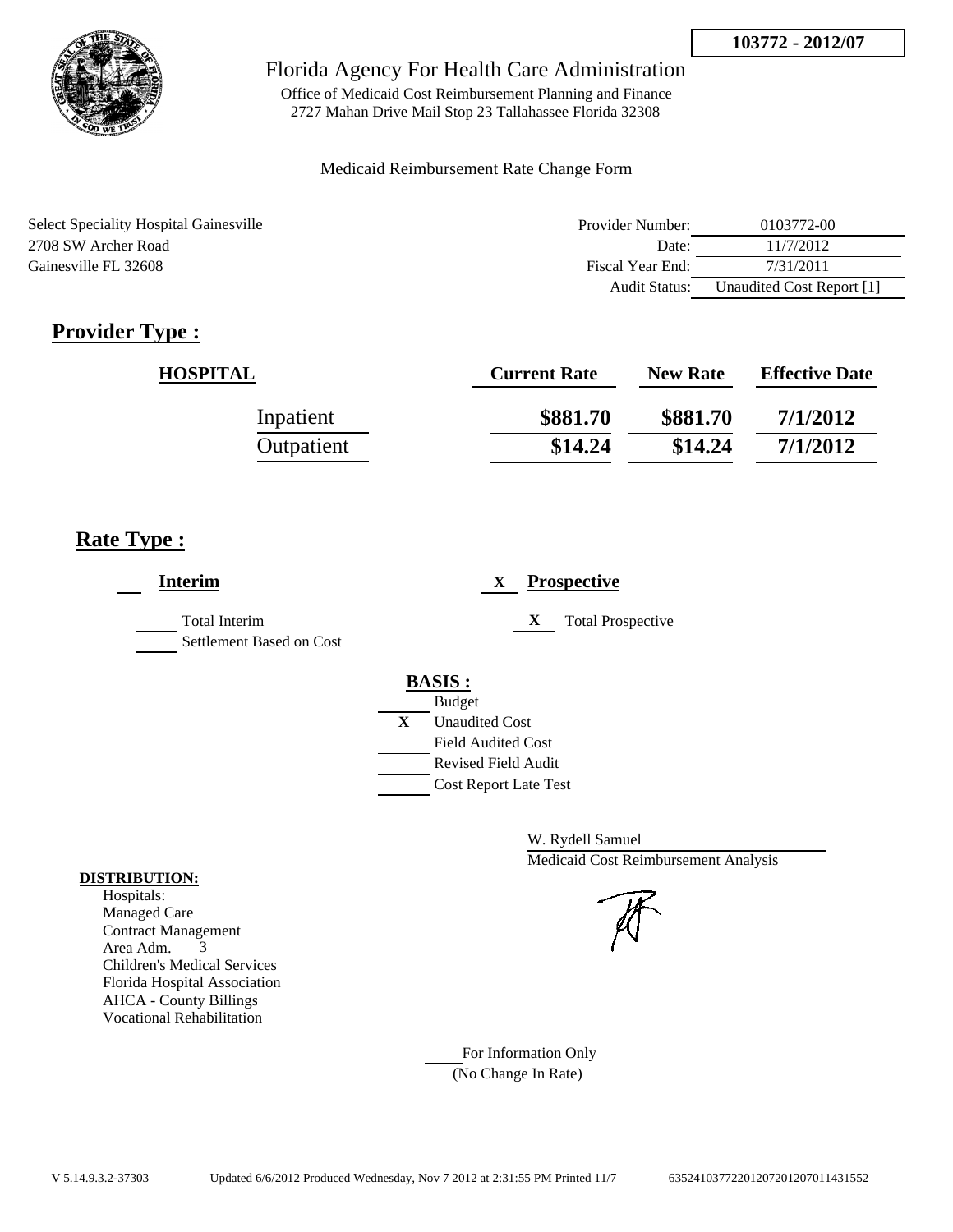

Office of Medicaid Cost Reimbursement Planning and Finance 2727 Mahan Drive Mail Stop 23 Tallahassee Florida 32308

### Medicaid Reimbursement Rate Change Form

| <b>Select Speciality Hospital Gainesville</b> | Provider Number: | 0103772-00                |
|-----------------------------------------------|------------------|---------------------------|
| 2708 SW Archer Road                           | Date:            | 11/7/2012                 |
| Gainesville FL 32608                          | Fiscal Year End: | 7/31/2011                 |
|                                               | Audit Status:    | Unaudited Cost Report [1] |

# **Provider Type :**

| <b>HOSPITAL</b> | <b>Current Rate</b> | <b>New Rate</b> | <b>Effective Date</b> |
|-----------------|---------------------|-----------------|-----------------------|
| Inpatient       | \$881.70            | \$881.70        | 7/1/2012              |
| Outpatient      | \$14.24             | \$14.24         | 7/1/2012              |

## **Rate Type :**

| <b>Interim</b>                                   | <b>Prospective</b><br>X                                                                                                                                 |
|--------------------------------------------------|---------------------------------------------------------------------------------------------------------------------------------------------------------|
| <b>Total Interim</b><br>Settlement Based on Cost | X<br><b>Total Prospective</b>                                                                                                                           |
|                                                  | <b>BASIS:</b><br><b>Budget</b><br>X<br><b>Unaudited Cost</b><br><b>Field Audited Cost</b><br><b>Revised Field Audit</b><br><b>Cost Report Late Test</b> |

W. Rydell Samuel Medicaid Cost Reimbursement Analysis

For Information Only (No Change In Rate)

#### **DISTRIBUTION:**

Hospitals: Managed Care Contract Management Area Adm. 3 Children's Medical Services Florida Hospital Association AHCA - County Billings Vocational Rehabilitation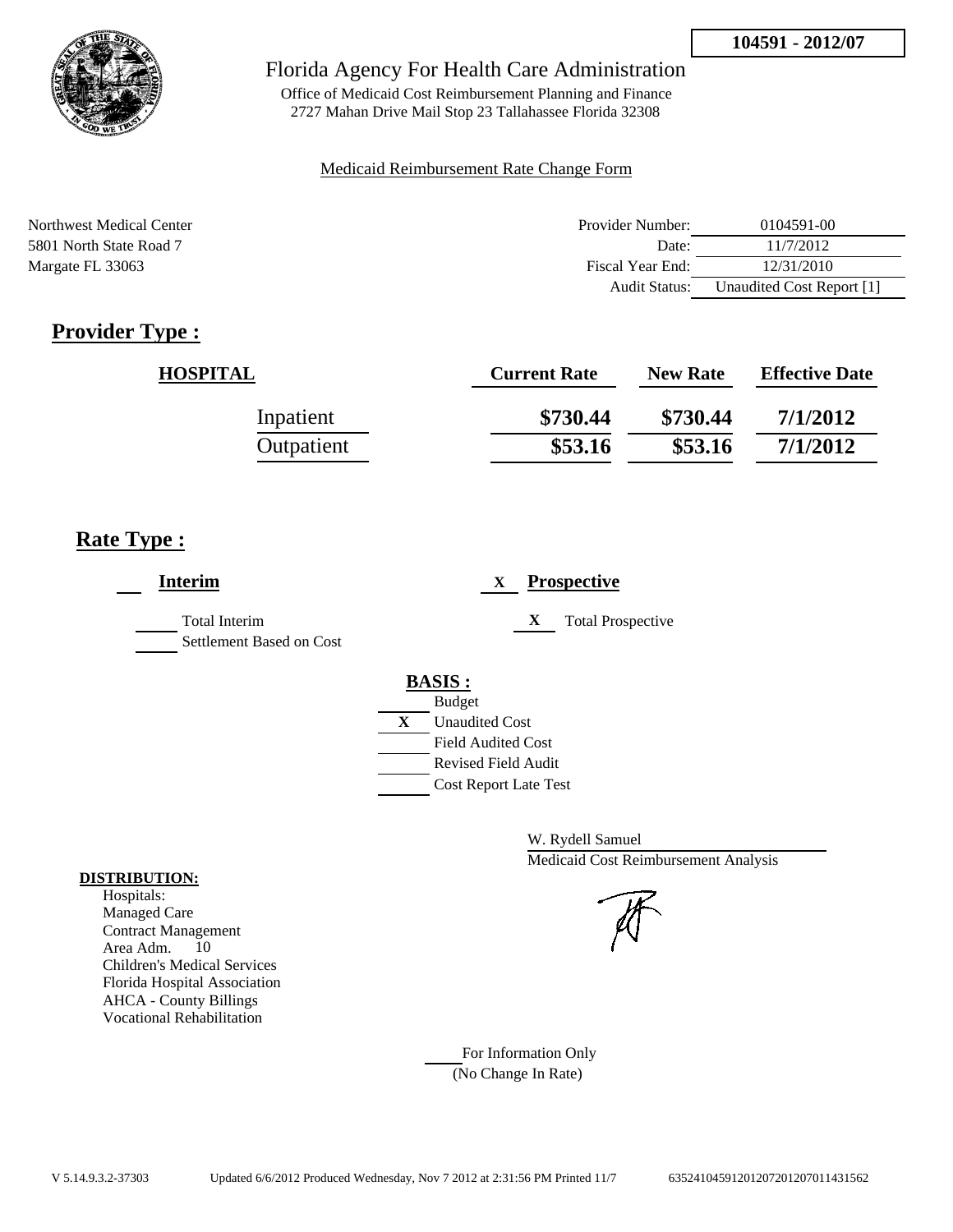

Office of Medicaid Cost Reimbursement Planning and Finance 2727 Mahan Drive Mail Stop 23 Tallahassee Florida 32308

### Medicaid Reimbursement Rate Change Form

| Northwest Medical Center | Provider Number:     | 0104591-00                |
|--------------------------|----------------------|---------------------------|
| 5801 North State Road 7  | Date:                | 11/7/2012                 |
| Margate FL 33063         | Fiscal Year End:     | 12/31/2010                |
|                          | <b>Audit Status:</b> | Unaudited Cost Report [1] |

# **Provider Type :**

| <b>HOSPITAL</b> | <b>Current Rate</b> | <b>New Rate</b> | <b>Effective Date</b> |
|-----------------|---------------------|-----------------|-----------------------|
| Inpatient       | \$730.44            | \$730.44        | 7/1/2012              |
| Outpatient      | \$53.16             | \$53.16         | 7/1/2012              |

## **Rate Type :**

| <b>Interim</b>                                   | <b>Prospective</b><br>X                                                                                                                                 |
|--------------------------------------------------|---------------------------------------------------------------------------------------------------------------------------------------------------------|
| <b>Total Interim</b><br>Settlement Based on Cost | X<br><b>Total Prospective</b>                                                                                                                           |
|                                                  | <b>BASIS:</b><br><b>Budget</b><br>X<br><b>Unaudited Cost</b><br><b>Field Audited Cost</b><br><b>Revised Field Audit</b><br><b>Cost Report Late Test</b> |

W. Rydell Samuel Medicaid Cost Reimbursement Analysis

## Managed Care

**DISTRIBUTION:** Hospitals:

> Contract Management Area Adm. 10 Children's Medical Services Florida Hospital Association AHCA - County Billings Vocational Rehabilitation

> > For Information Only (No Change In Rate)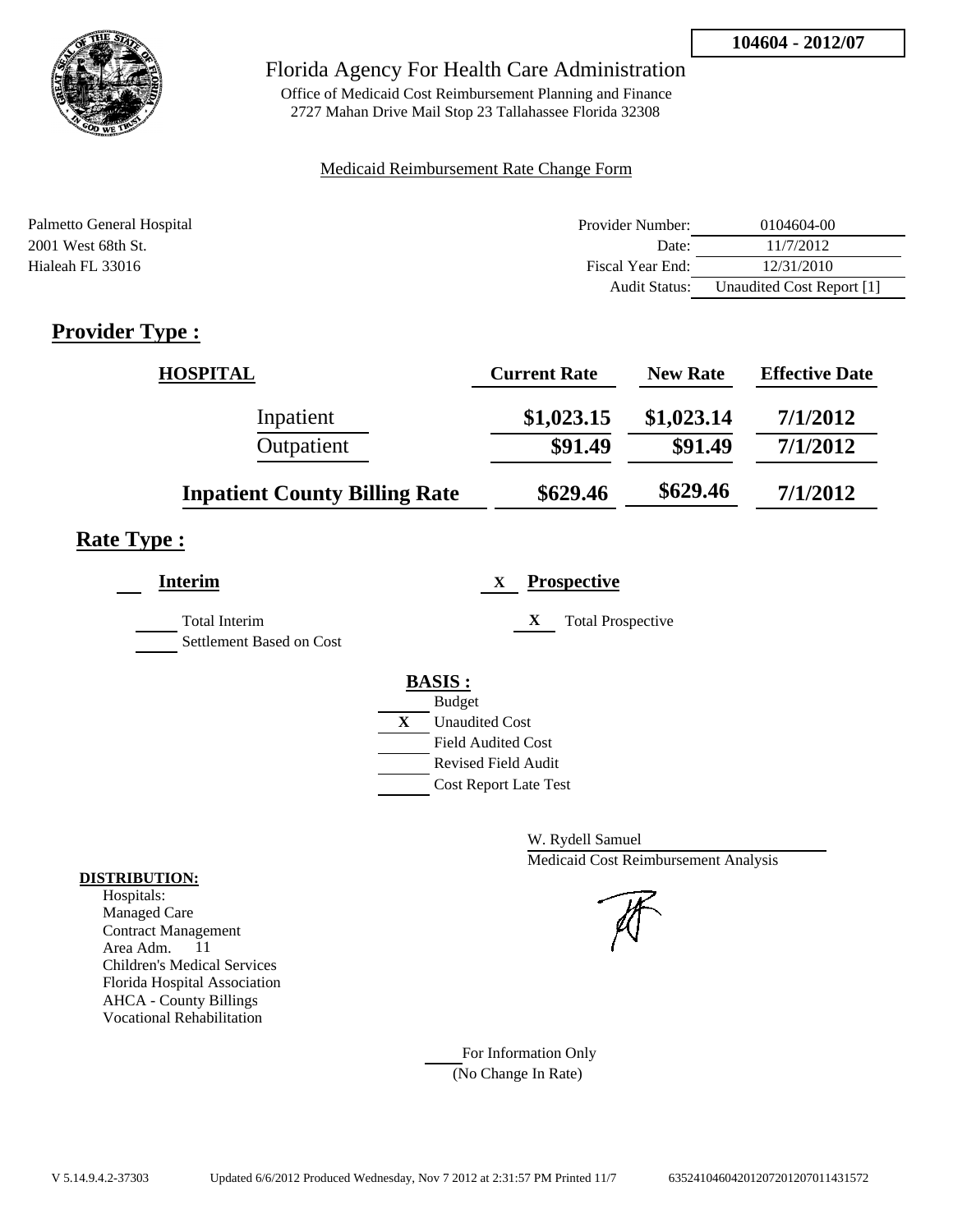

Office of Medicaid Cost Reimbursement Planning and Finance 2727 Mahan Drive Mail Stop 23 Tallahassee Florida 32308

### Medicaid Reimbursement Rate Change Form

| Palmetto General Hospital | Provider Number:     | 0104604-00                |
|---------------------------|----------------------|---------------------------|
| 2001 West 68th St.        | Date:                | 11/7/2012                 |
| Hialeah FL 33016          | Fiscal Year End:     | 12/31/2010                |
|                           | <b>Audit Status:</b> | Unaudited Cost Report [1] |

# **Provider Type :**

| <b>HOSPITAL</b>                      | <b>Current Rate</b> | <b>New Rate</b> | <b>Effective Date</b> |
|--------------------------------------|---------------------|-----------------|-----------------------|
| Inpatient                            | \$1,023.15          | \$1,023.14      | 7/1/2012              |
| Outpatient                           | \$91.49             | \$91.49         | 7/1/2012              |
| <b>Inpatient County Billing Rate</b> | \$629.46            | \$629.46        | 7/1/2012              |

# **Rate Type :**

| <b>Interim</b>                                   | <b>Prospective</b><br>X       |
|--------------------------------------------------|-------------------------------|
| <b>Total Interim</b><br>Settlement Based on Cost | X<br><b>Total Prospective</b> |
|                                                  | <b>BASIS:</b>                 |
|                                                  | <b>Budget</b>                 |
|                                                  | X<br><b>Unaudited Cost</b>    |
|                                                  | <b>Field Audited Cost</b>     |
|                                                  | <b>Revised Field Audit</b>    |
|                                                  | <b>Cost Report Late Test</b>  |
|                                                  |                               |

W. Rydell Samuel Medicaid Cost Reimbursement Analysis

For Information Only (No Change In Rate)

### **DISTRIBUTION:**

Hospitals: Managed Care Contract Management Area Adm. 11 Children's Medical Services Florida Hospital Association AHCA - County Billings Vocational Rehabilitation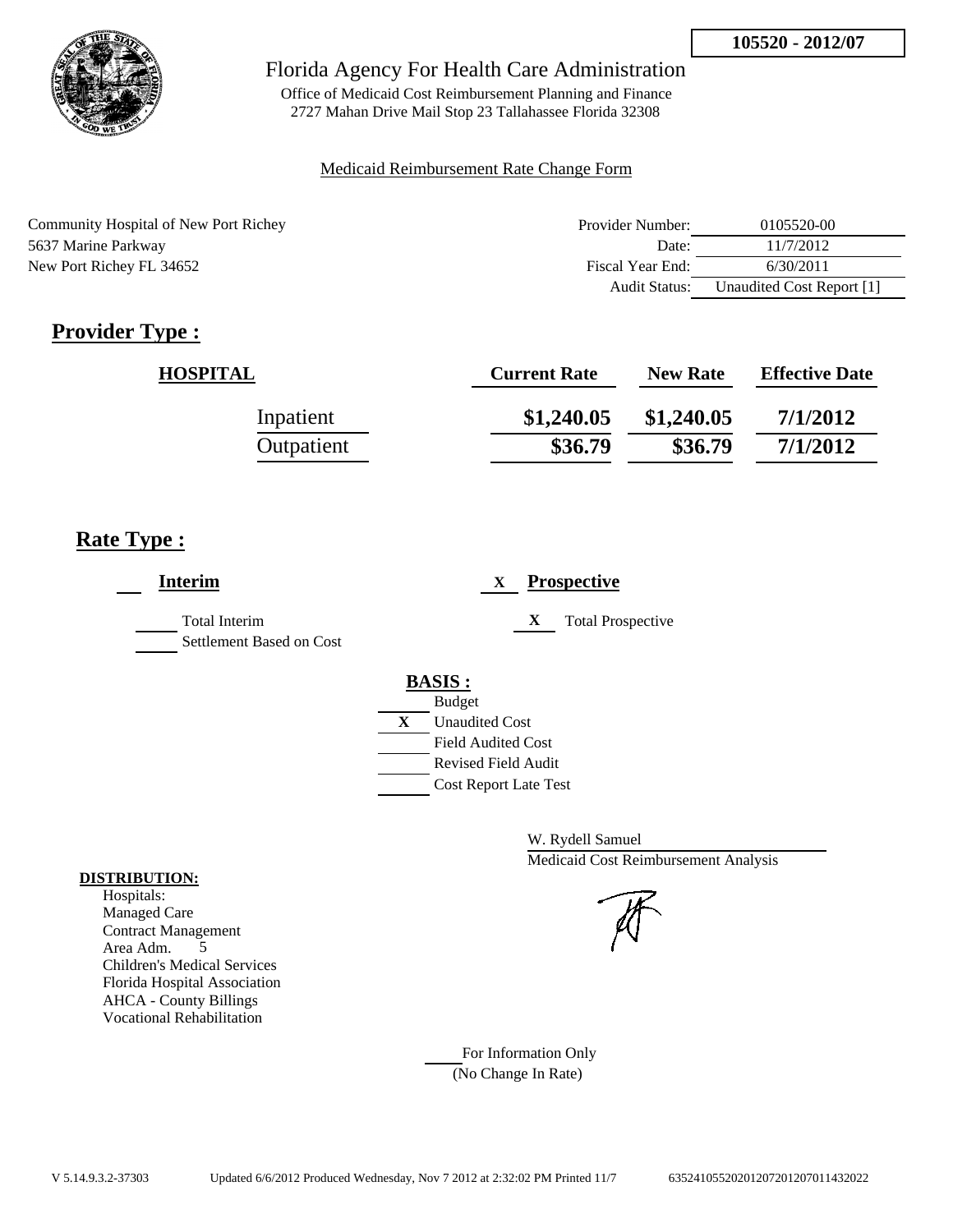

Office of Medicaid Cost Reimbursement Planning and Finance 2727 Mahan Drive Mail Stop 23 Tallahassee Florida 32308

### Medicaid Reimbursement Rate Change Form

| Community Hospital of New Port Richey | Provider Number: | 0105520-00                |
|---------------------------------------|------------------|---------------------------|
| 5637 Marine Parkway                   | Date:            | 11/7/2012                 |
| New Port Richey FL 34652              | Fiscal Year End: | 6/30/2011                 |
|                                       | Audit Status:    | Unaudited Cost Report [1] |

# **Provider Type :**

| <b>HOSPITAL</b> | <b>Current Rate</b> | <b>New Rate</b> | <b>Effective Date</b> |
|-----------------|---------------------|-----------------|-----------------------|
| Inpatient       | \$1,240.05          | \$1,240.05      | 7/1/2012              |
| Outpatient      | \$36.79             | \$36.79         | 7/1/2012              |

## **Rate Type :**

| <b>Interim</b>                            | <b>Prospective</b><br>X                                                                                                                                 |
|-------------------------------------------|---------------------------------------------------------------------------------------------------------------------------------------------------------|
| Total Interim<br>Settlement Based on Cost | <b>Total Prospective</b><br>X                                                                                                                           |
|                                           | <b>BASIS:</b><br><b>Budget</b><br>X<br><b>Unaudited Cost</b><br><b>Field Audited Cost</b><br><b>Revised Field Audit</b><br><b>Cost Report Late Test</b> |

W. Rydell Samuel Medicaid Cost Reimbursement Analysis

For Information Only (No Change In Rate)

#### **DISTRIBUTION:**

Hospitals: Managed Care Contract Management Area Adm. 5 Children's Medical Services Florida Hospital Association AHCA - County Billings Vocational Rehabilitation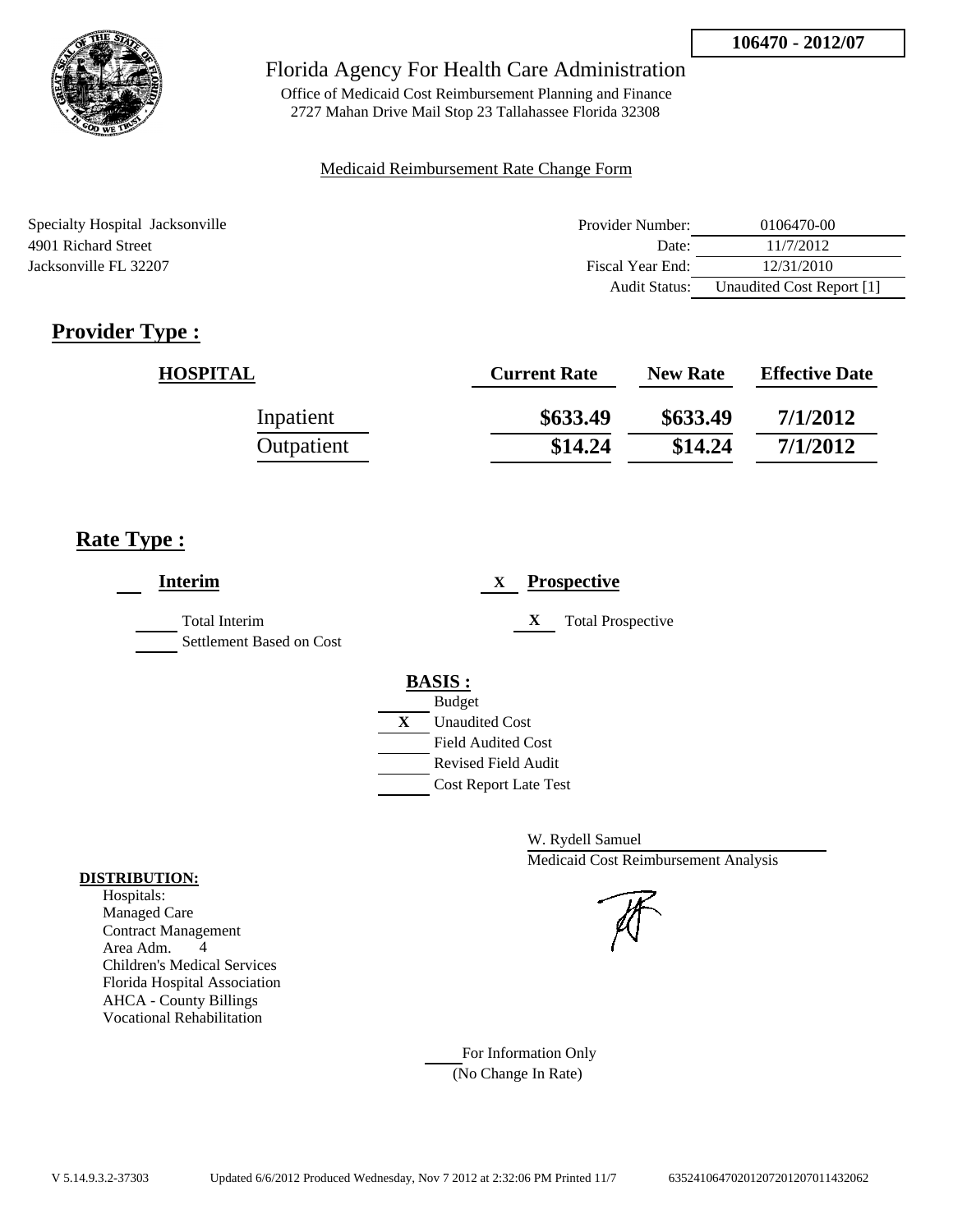

Office of Medicaid Cost Reimbursement Planning and Finance 2727 Mahan Drive Mail Stop 23 Tallahassee Florida 32308

### Medicaid Reimbursement Rate Change Form

| Specialty Hospital Jacksonville | Provider Number: | 0106470-00                |
|---------------------------------|------------------|---------------------------|
| 4901 Richard Street             | Date:            | 11/7/2012                 |
| Jacksonville FL 32207           | Fiscal Year End: | 12/31/2010                |
|                                 | Audit Status:    | Unaudited Cost Report [1] |

# **Provider Type :**

| <b>HOSPITAL</b> | <b>Current Rate</b> | <b>New Rate</b> | <b>Effective Date</b> |
|-----------------|---------------------|-----------------|-----------------------|
| Inpatient       | \$633.49            | \$633.49        | 7/1/2012              |
| Outpatient      | \$14.24             | \$14.24         | 7/1/2012              |

## **Rate Type :**

| <b>Interim</b>                                   | <b>Prospective</b><br>X                          |
|--------------------------------------------------|--------------------------------------------------|
| <b>Total Interim</b><br>Settlement Based on Cost | <b>Total Prospective</b><br>X                    |
|                                                  | <b>BASIS:</b>                                    |
|                                                  | <b>Budget</b><br>X<br><b>Unaudited Cost</b>      |
|                                                  | <b>Field Audited Cost</b><br>Revised Field Audit |
|                                                  | <b>Cost Report Late Test</b>                     |

W. Rydell Samuel Medicaid Cost Reimbursement Analysis

For Information Only (No Change In Rate)

#### **DISTRIBUTION:**

Hospitals: Managed Care Contract Management Area Adm. 4 Children's Medical Services Florida Hospital Association AHCA - County Billings Vocational Rehabilitation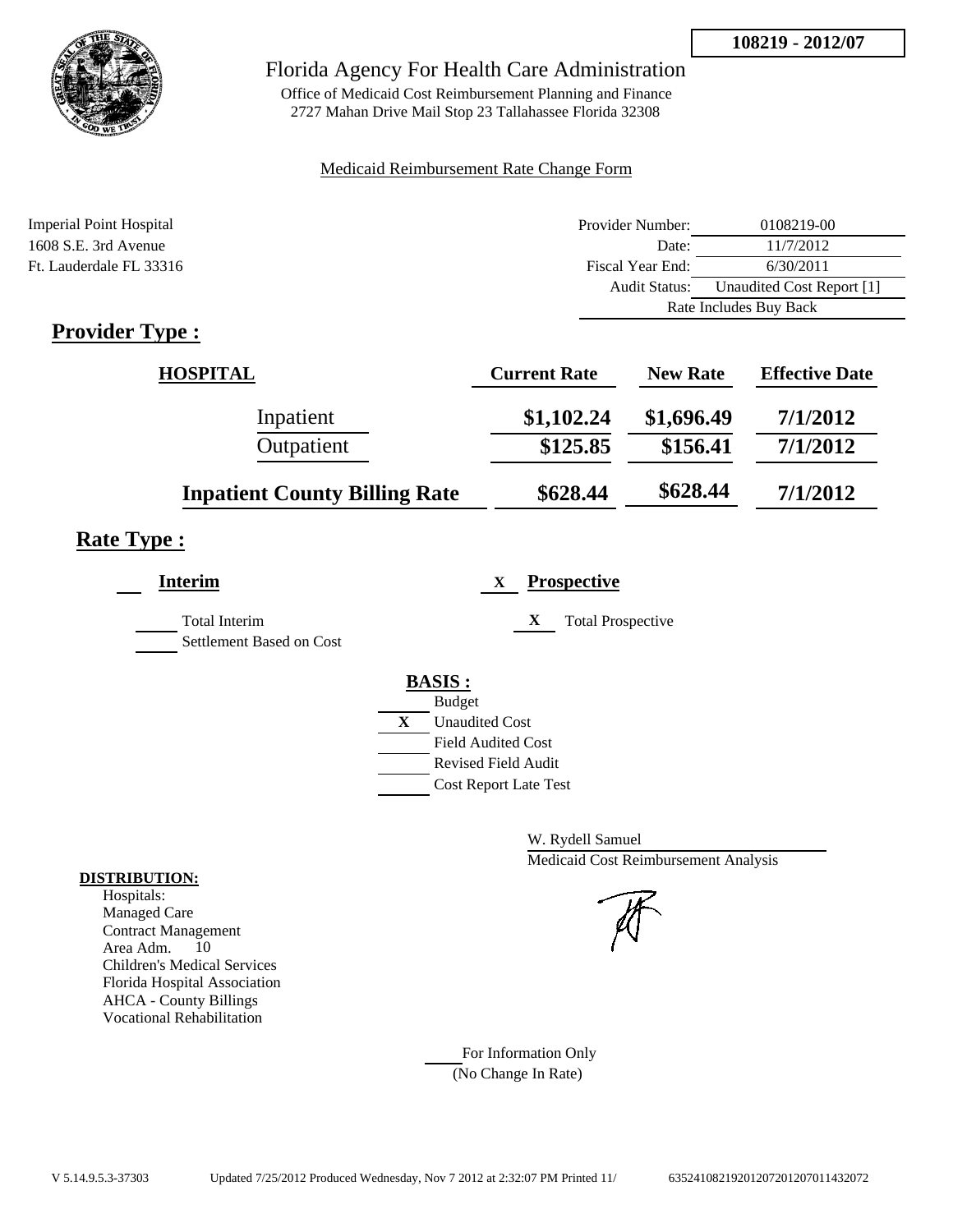

Office of Medicaid Cost Reimbursement Planning and Finance 2727 Mahan Drive Mail Stop 23 Tallahassee Florida 32308

### Medicaid Reimbursement Rate Change Form

| Imperial Point Hospital | Provider Number:     | 0108219-00                |  |
|-------------------------|----------------------|---------------------------|--|
| 1608 S.E. 3rd Avenue    | Date:                | 11/7/2012                 |  |
| Ft. Lauderdale FL 33316 | Fiscal Year End:     | 6/30/2011                 |  |
|                         | <b>Audit Status:</b> | Unaudited Cost Report [1] |  |
|                         |                      | Rate Includes Buy Back    |  |
|                         |                      |                           |  |

# **Provider Type :**

| <b>HOSPITAL</b>                      | <b>Current Rate</b> | <b>New Rate</b> | <b>Effective Date</b> |
|--------------------------------------|---------------------|-----------------|-----------------------|
| Inpatient                            | \$1,102.24          | \$1,696.49      | 7/1/2012              |
| Outpatient                           | \$125.85            | \$156.41        | 7/1/2012              |
| <b>Inpatient County Billing Rate</b> | \$628.44            | \$628.44        | 7/1/2012              |

# **Rate Type :**

| <b>Interim</b>                            | <b>Prospective</b><br>X                                                                                                                                 |
|-------------------------------------------|---------------------------------------------------------------------------------------------------------------------------------------------------------|
| Total Interim<br>Settlement Based on Cost | X<br><b>Total Prospective</b>                                                                                                                           |
|                                           | <b>BASIS:</b><br><b>Budget</b><br>X<br><b>Unaudited Cost</b><br><b>Field Audited Cost</b><br><b>Revised Field Audit</b><br><b>Cost Report Late Test</b> |

W. Rydell Samuel Medicaid Cost Reimbursement Analysis

For Information Only (No Change In Rate)

#### **DISTRIBUTION:**

Hospitals: Managed Care Contract Management Area Adm. 10 Children's Medical Services Florida Hospital Association AHCA - County Billings Vocational Rehabilitation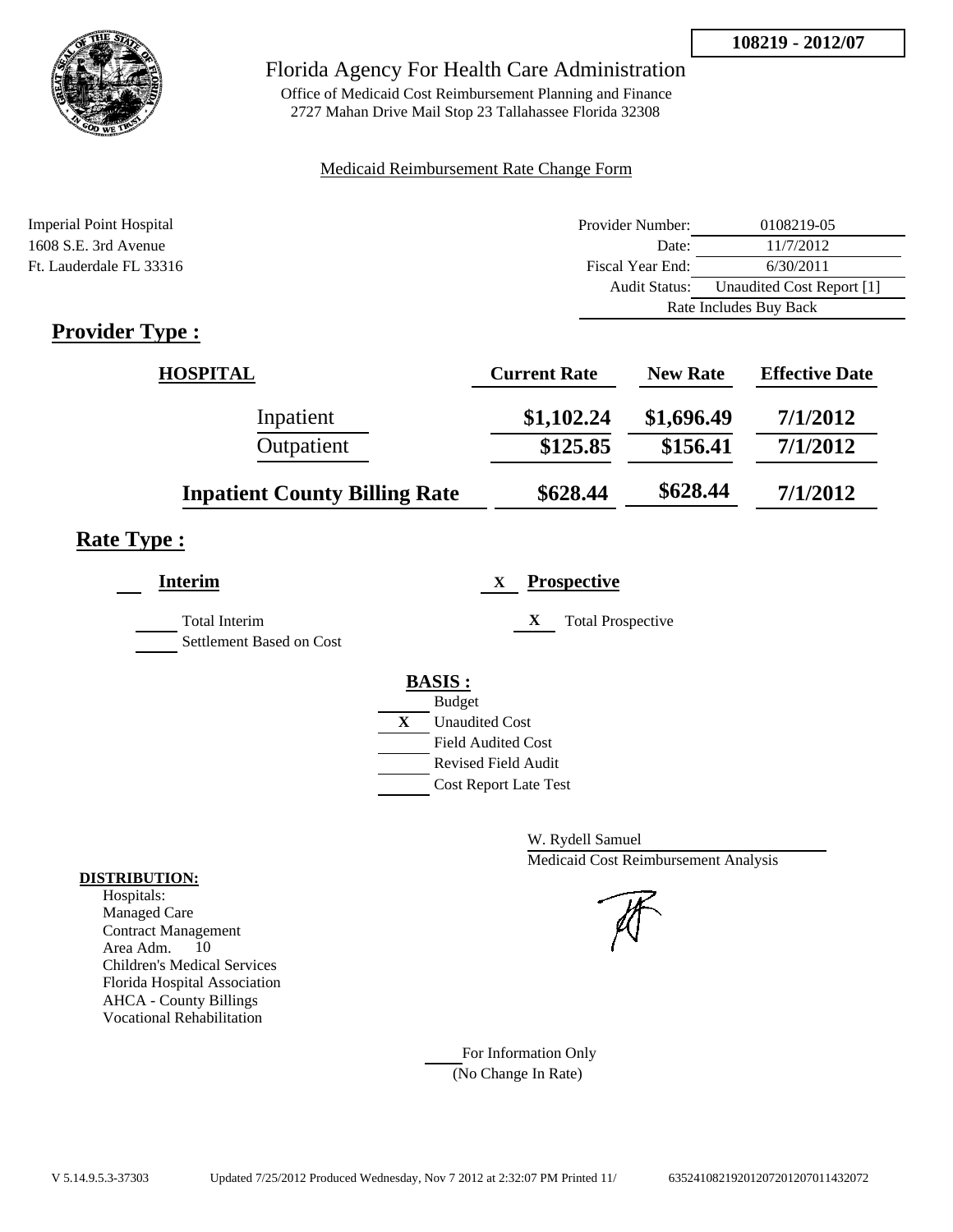

Office of Medicaid Cost Reimbursement Planning and Finance 2727 Mahan Drive Mail Stop 23 Tallahassee Florida 32308

### Medicaid Reimbursement Rate Change Form

| Imperial Point Hospital | Provider Number:     | 0108219-05                |  |
|-------------------------|----------------------|---------------------------|--|
| 1608 S.E. 3rd Avenue    | Date:                | 11/7/2012                 |  |
| Ft. Lauderdale FL 33316 | Fiscal Year End:     | 6/30/2011                 |  |
|                         | <b>Audit Status:</b> | Unaudited Cost Report [1] |  |
|                         |                      | Rate Includes Buy Back    |  |
|                         |                      |                           |  |

# **Provider Type :**

| <b>HOSPITAL</b>                      | <b>Current Rate</b> | <b>New Rate</b> | <b>Effective Date</b> |
|--------------------------------------|---------------------|-----------------|-----------------------|
| Inpatient                            | \$1,102.24          | \$1,696.49      | 7/1/2012              |
| Outpatient                           | \$125.85            | \$156.41        | 7/1/2012              |
| <b>Inpatient County Billing Rate</b> | \$628.44            | \$628.44        | 7/1/2012              |

# **Rate Type :**

| <b>Interim</b>                            | <b>Prospective</b><br>X                                                                                                                                 |
|-------------------------------------------|---------------------------------------------------------------------------------------------------------------------------------------------------------|
| Total Interim<br>Settlement Based on Cost | X<br><b>Total Prospective</b>                                                                                                                           |
|                                           | <b>BASIS:</b><br><b>Budget</b><br>X<br><b>Unaudited Cost</b><br><b>Field Audited Cost</b><br><b>Revised Field Audit</b><br><b>Cost Report Late Test</b> |

W. Rydell Samuel Medicaid Cost Reimbursement Analysis

For Information Only (No Change In Rate)

#### **DISTRIBUTION:**

Hospitals: Managed Care Contract Management Area Adm. 10 Children's Medical Services Florida Hospital Association AHCA - County Billings Vocational Rehabilitation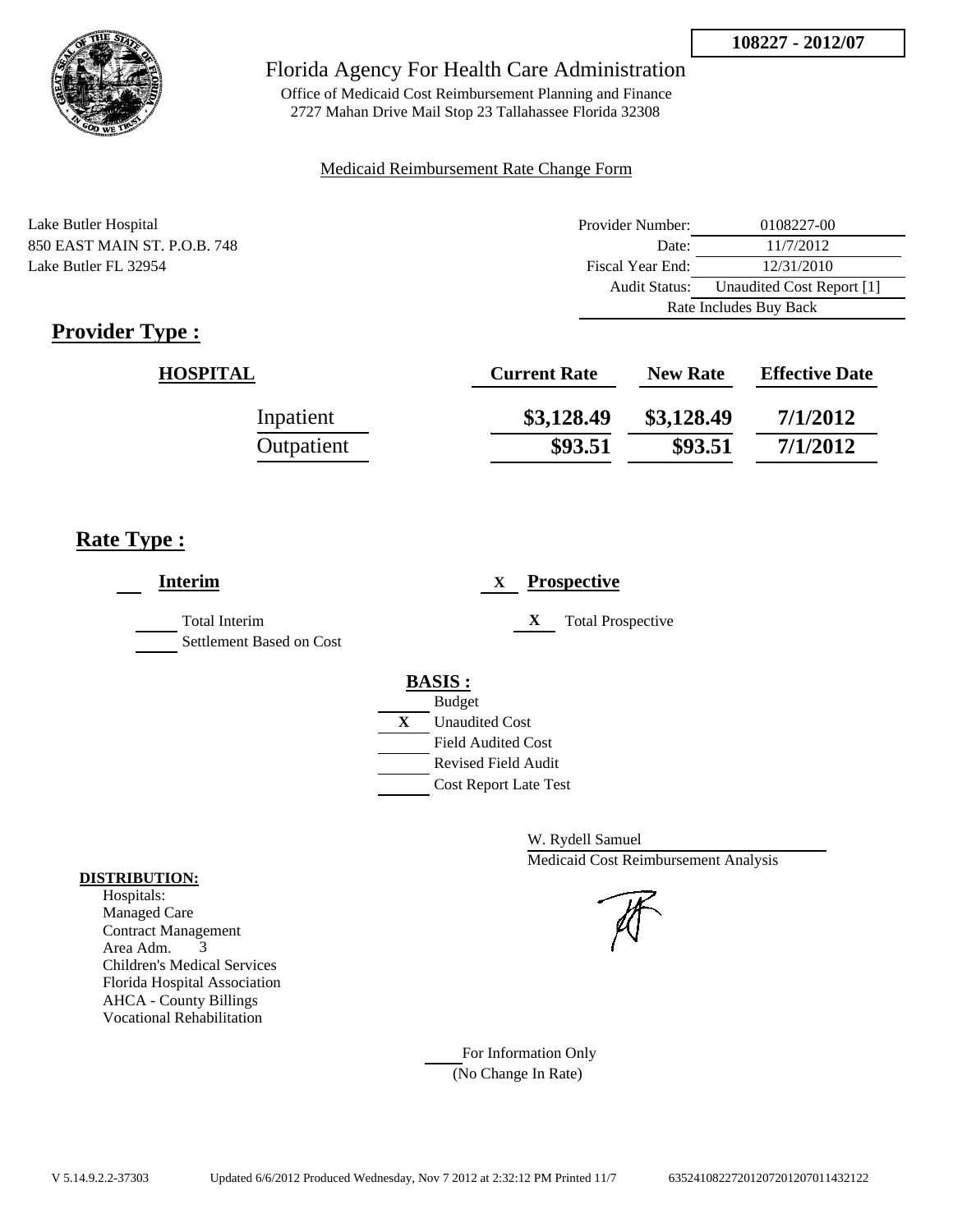

Office of Medicaid Cost Reimbursement Planning and Finance 2727 Mahan Drive Mail Stop 23 Tallahassee Florida 32308

#### Medicaid Reimbursement Rate Change Form

| Lake Butler Hospital         | Provider Number:     | 0108227-00                |  |
|------------------------------|----------------------|---------------------------|--|
| 850 EAST MAIN ST. P.O.B. 748 | Date:                | 11/7/2012                 |  |
| Lake Butler FL 32954         | Fiscal Year End:     | 12/31/2010                |  |
|                              | <b>Audit Status:</b> | Unaudited Cost Report [1] |  |
|                              |                      | Rate Includes Buy Back    |  |

# **Provider Type :**

| <b>HOSPITAL</b> | <b>Current Rate</b> | <b>New Rate</b> | <b>Effective Date</b> |
|-----------------|---------------------|-----------------|-----------------------|
| Inpatient       | \$3,128.49          | \$3,128.49      | 7/1/2012              |
| Outpatient      | \$93.51             | \$93.51         | 7/1/2012              |

## **Rate Type :**

| <b>Interim</b>                            | <b>Prospective</b><br>$\mathbf{X}$ |
|-------------------------------------------|------------------------------------|
| Total Interim<br>Settlement Based on Cost | X<br><b>Total Prospective</b>      |
|                                           | <b>BASIS:</b>                      |
|                                           | <b>Budget</b>                      |
|                                           | X<br><b>Unaudited Cost</b>         |
|                                           | <b>Field Audited Cost</b>          |
|                                           | <b>Revised Field Audit</b>         |
|                                           | <b>Cost Report Late Test</b>       |
|                                           |                                    |

W. Rydell Samuel Medicaid Cost Reimbursement Analysis

#### For Information Only (No Change In Rate)

#### **DISTRIBUTION:**

Hospitals: Managed Care Contract Management Area Adm. 3 Children's Medical Services Florida Hospital Association AHCA - County Billings Vocational Rehabilitation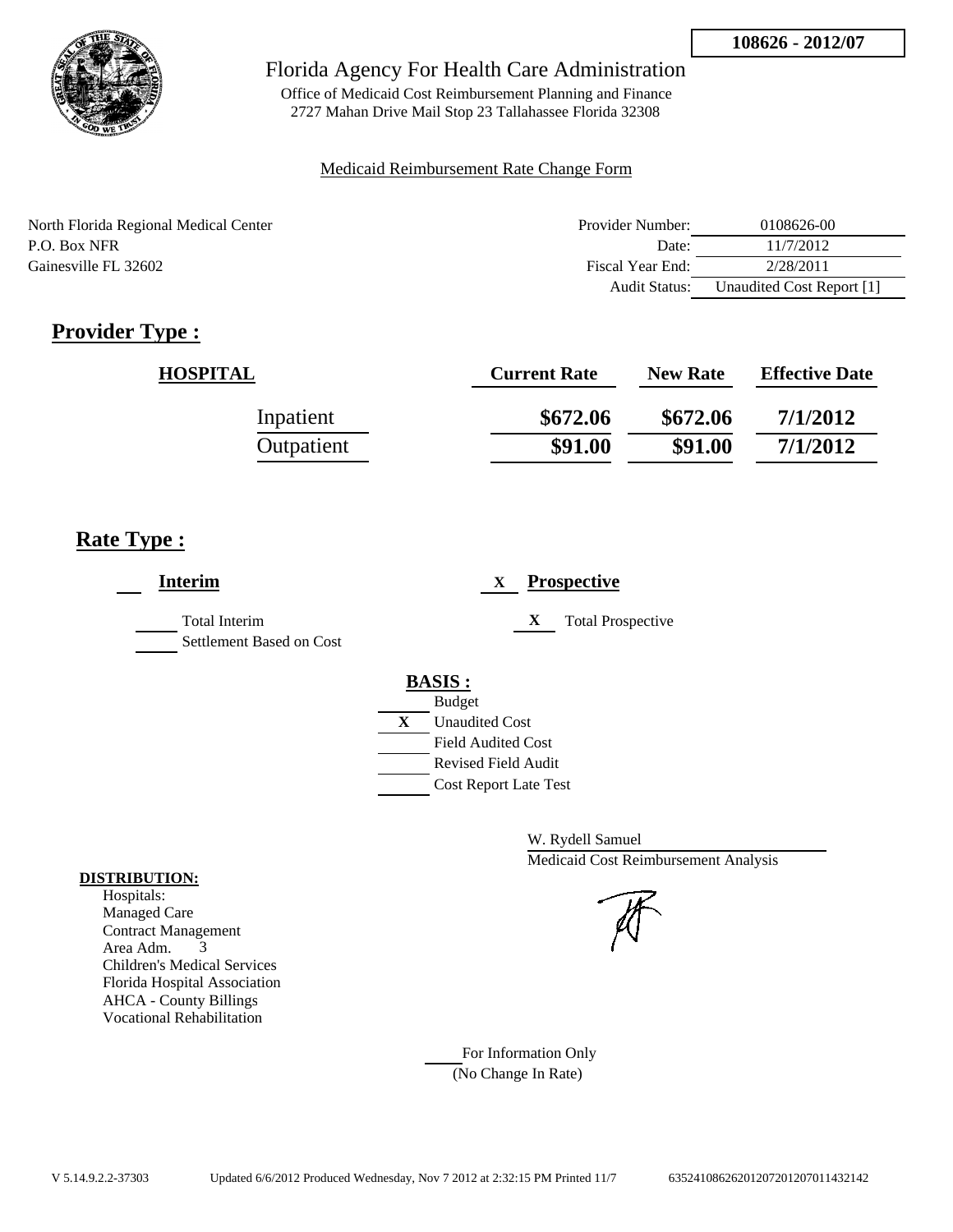

Office of Medicaid Cost Reimbursement Planning and Finance 2727 Mahan Drive Mail Stop 23 Tallahassee Florida 32308

#### Medicaid Reimbursement Rate Change Form

North Florida Regional Medical Center P.O. Box NFR Gainesville FL 32602

| Provider Number: | 0108626-00                |
|------------------|---------------------------|
| Date:            | 11/7/2012                 |
| Fiscal Year End: | 2/28/2011                 |
| Audit Status:    | Unaudited Cost Report [1] |

# **Provider Type :**

| <b>HOSPITAL</b> | <b>Current Rate</b> | <b>New Rate</b> | <b>Effective Date</b> |
|-----------------|---------------------|-----------------|-----------------------|
| Inpatient       | \$672.06            | \$672.06        | 7/1/2012              |
| Outpatient      | \$91.00             | \$91.00         | 7/1/2012              |

## **Rate Type :**

| <b>Interim</b>                            | <b>Prospective</b><br>X                                                                 |
|-------------------------------------------|-----------------------------------------------------------------------------------------|
| Total Interim<br>Settlement Based on Cost | X<br><b>Total Prospective</b>                                                           |
|                                           | <b>BASIS:</b><br><b>Budget</b><br>$\mathbf{X}$<br><b>Unaudited Cost</b>                 |
|                                           | <b>Field Audited Cost</b><br><b>Revised Field Audit</b><br><b>Cost Report Late Test</b> |

W. Rydell Samuel Medicaid Cost Reimbursement Analysis

For Information Only (No Change In Rate)

#### **DISTRIBUTION:**

Hospitals: Managed Care Contract Management Area Adm. 3 Children's Medical Services Florida Hospital Association AHCA - County Billings Vocational Rehabilitation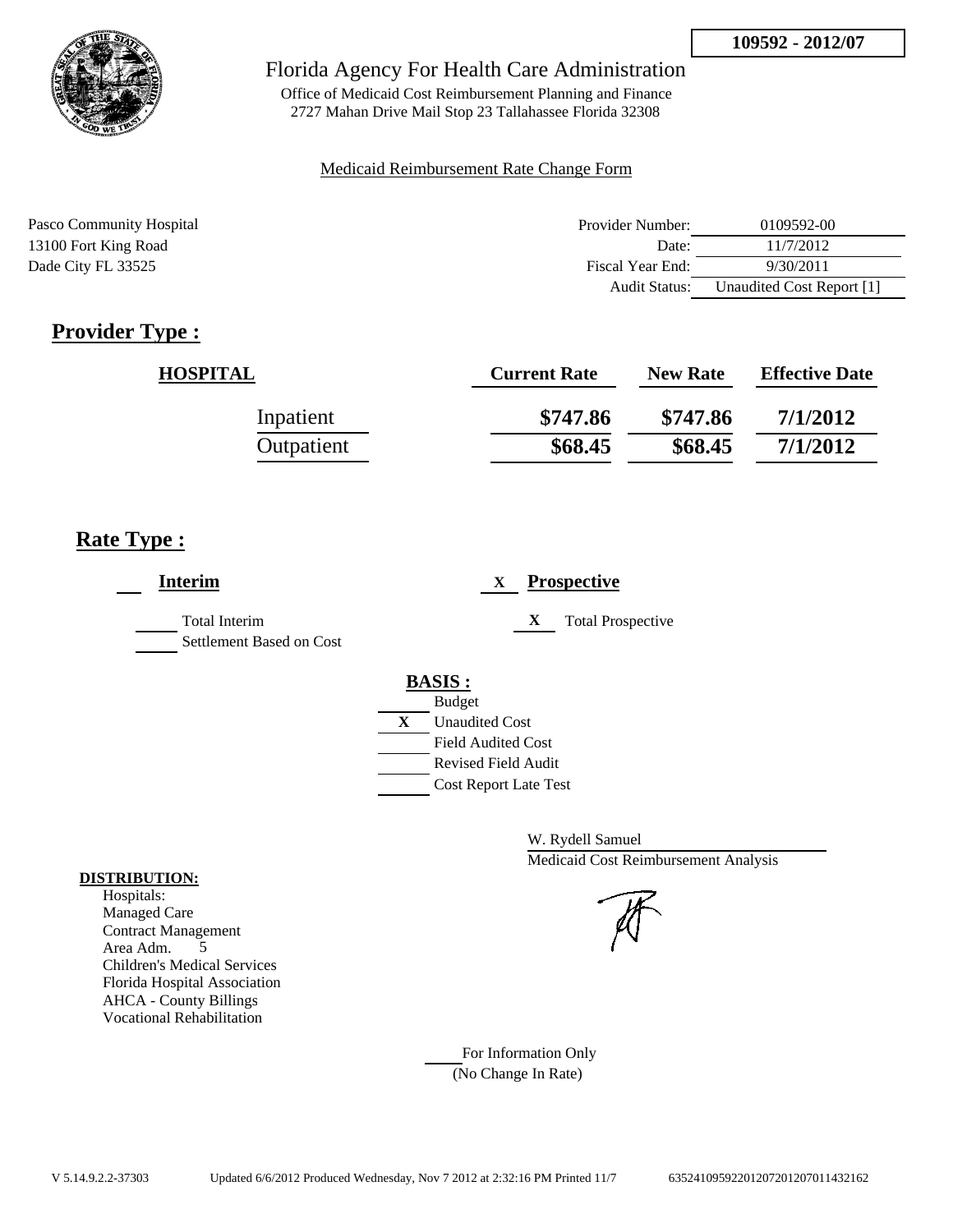

Office of Medicaid Cost Reimbursement Planning and Finance 2727 Mahan Drive Mail Stop 23 Tallahassee Florida 32308

### Medicaid Reimbursement Rate Change Form

| Pasco Community Hospital | Provider Number: | 0109592-00                |
|--------------------------|------------------|---------------------------|
| 13100 Fort King Road     | Date:            | 11/7/2012                 |
| Dade City FL 33525       | Fiscal Year End: | 9/30/2011                 |
|                          | Audit Status:    | Unaudited Cost Report [1] |

# **Provider Type :**

| <b>HOSPITAL</b> | <b>Current Rate</b> | <b>New Rate</b> | <b>Effective Date</b> |
|-----------------|---------------------|-----------------|-----------------------|
| Inpatient       | \$747.86            | \$747.86        | 7/1/2012              |
| Outpatient      | \$68.45             | \$68.45         | 7/1/2012              |

## **Rate Type :**

| <b>Interim</b>                            | <b>Prospective</b><br>X                                                                                                                                 |
|-------------------------------------------|---------------------------------------------------------------------------------------------------------------------------------------------------------|
| Total Interim<br>Settlement Based on Cost | X<br><b>Total Prospective</b>                                                                                                                           |
|                                           | <b>BASIS:</b><br><b>Budget</b><br>X<br><b>Unaudited Cost</b><br><b>Field Audited Cost</b><br><b>Revised Field Audit</b><br><b>Cost Report Late Test</b> |

W. Rydell Samuel Medicaid Cost Reimbursement Analysis

For Information Only (No Change In Rate)

#### **DISTRIBUTION:**

Hospitals: Managed Care Contract Management Area Adm. 5 Children's Medical Services Florida Hospital Association AHCA - County Billings Vocational Rehabilitation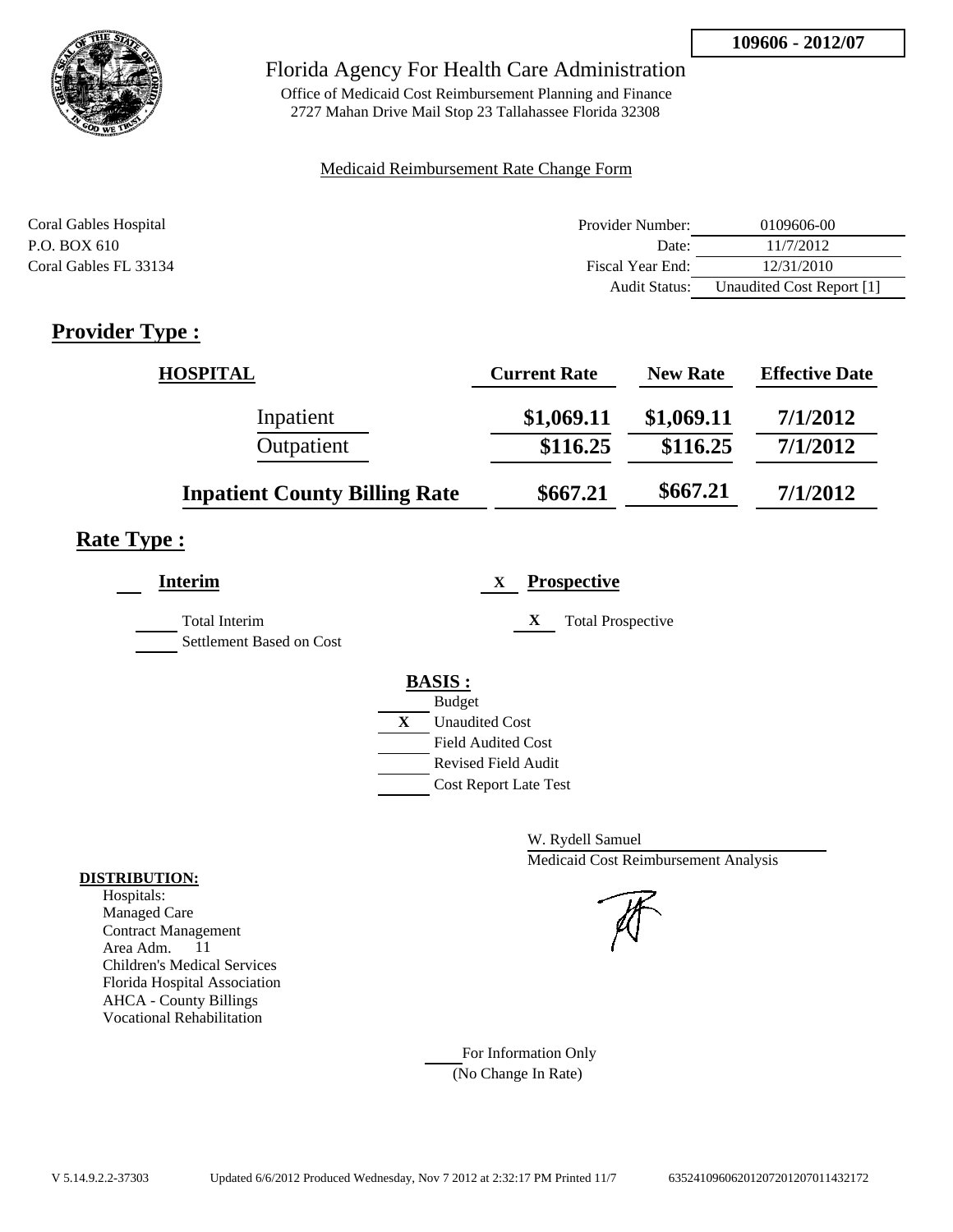

Office of Medicaid Cost Reimbursement Planning and Finance 2727 Mahan Drive Mail Stop 23 Tallahassee Florida 32308

### Medicaid Reimbursement Rate Change Form

| Coral Gables Hospital | Provider Number:     | 0109606-00                |
|-----------------------|----------------------|---------------------------|
| P.O. BOX 610          | Date:                | 11/7/2012                 |
| Coral Gables FL 33134 | Fiscal Year End:     | 12/31/2010                |
|                       | <b>Audit Status:</b> | Unaudited Cost Report [1] |

# **Provider Type :**

| <b>HOSPITAL</b>                      | <b>Current Rate</b> | <b>New Rate</b> | <b>Effective Date</b> |
|--------------------------------------|---------------------|-----------------|-----------------------|
| Inpatient                            | \$1,069.11          | \$1,069.11      | 7/1/2012              |
| Outpatient                           | \$116.25            | \$116.25        | 7/1/2012              |
| <b>Inpatient County Billing Rate</b> | \$667.21            | \$667.21        | 7/1/2012              |

# **Rate Type :**

| <b>Interim</b>                                   | <b>Prospective</b><br>X       |
|--------------------------------------------------|-------------------------------|
| <b>Total Interim</b><br>Settlement Based on Cost | X<br><b>Total Prospective</b> |
|                                                  | <b>BASIS:</b>                 |
|                                                  | <b>Budget</b>                 |
|                                                  | X<br><b>Unaudited Cost</b>    |
|                                                  | <b>Field Audited Cost</b>     |
|                                                  | <b>Revised Field Audit</b>    |
|                                                  | <b>Cost Report Late Test</b>  |
|                                                  |                               |

W. Rydell Samuel Medicaid Cost Reimbursement Analysis

For Information Only (No Change In Rate)

### **DISTRIBUTION:**

Hospitals: Managed Care Contract Management Area Adm. 11 Children's Medical Services Florida Hospital Association AHCA - County Billings Vocational Rehabilitation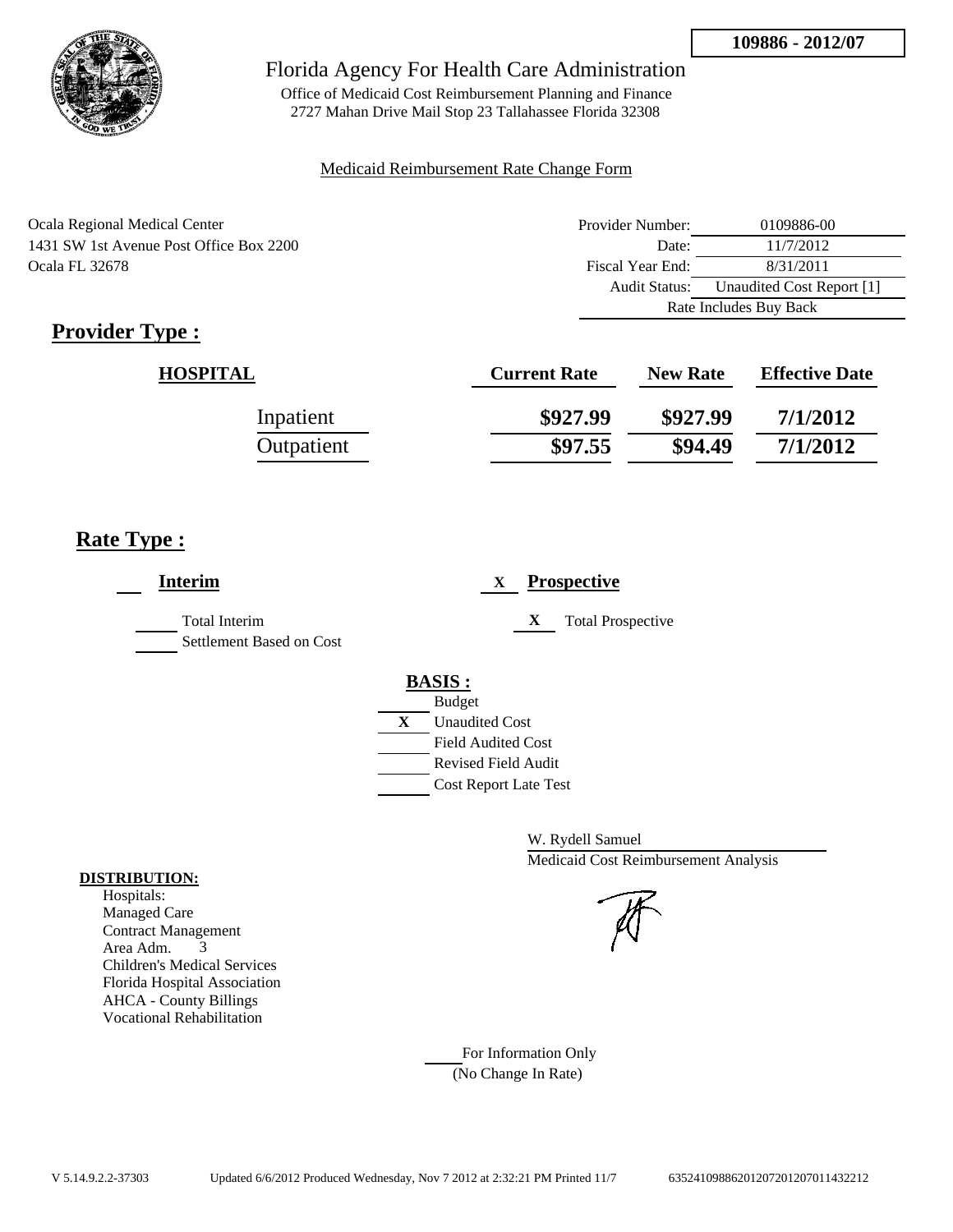

Office of Medicaid Cost Reimbursement Planning and Finance 2727 Mahan Drive Mail Stop 23 Tallahassee Florida 32308

### Medicaid Reimbursement Rate Change Form

| Ocala Regional Medical Center           | Provider Number:     | 0109886-00                |  |
|-----------------------------------------|----------------------|---------------------------|--|
| 1431 SW 1st Avenue Post Office Box 2200 | Date:                | 11/7/2012                 |  |
| Ocala FL 32678                          | Fiscal Year End:     | 8/31/2011                 |  |
|                                         | <b>Audit Status:</b> | Unaudited Cost Report [1] |  |
|                                         |                      | Rate Includes Buy Back    |  |

# **Provider Type :**

| <b>HOSPITAL</b> | <b>Current Rate</b> | <b>New Rate</b> | <b>Effective Date</b> |
|-----------------|---------------------|-----------------|-----------------------|
| Inpatient       | \$927.99            | \$927.99        | 7/1/2012              |
| Outpatient      | \$97.55             | \$94.49         | 7/1/2012              |

## **Rate Type :**

| <b>Interim</b>                                   | <b>Prospective</b><br>X       |
|--------------------------------------------------|-------------------------------|
| <b>Total Interim</b><br>Settlement Based on Cost | X<br><b>Total Prospective</b> |
|                                                  | <b>BASIS:</b>                 |
|                                                  | <b>Budget</b>                 |
|                                                  | X<br><b>Unaudited Cost</b>    |
|                                                  | <b>Field Audited Cost</b>     |
|                                                  | Revised Field Audit           |
|                                                  | <b>Cost Report Late Test</b>  |
|                                                  |                               |

W. Rydell Samuel Medicaid Cost Reimbursement Analysis

For Information Only (No Change In Rate)

#### **DISTRIBUTION:**

Hospitals: Managed Care Contract Management Area Adm. 3 Children's Medical Services Florida Hospital Association AHCA - County Billings Vocational Rehabilitation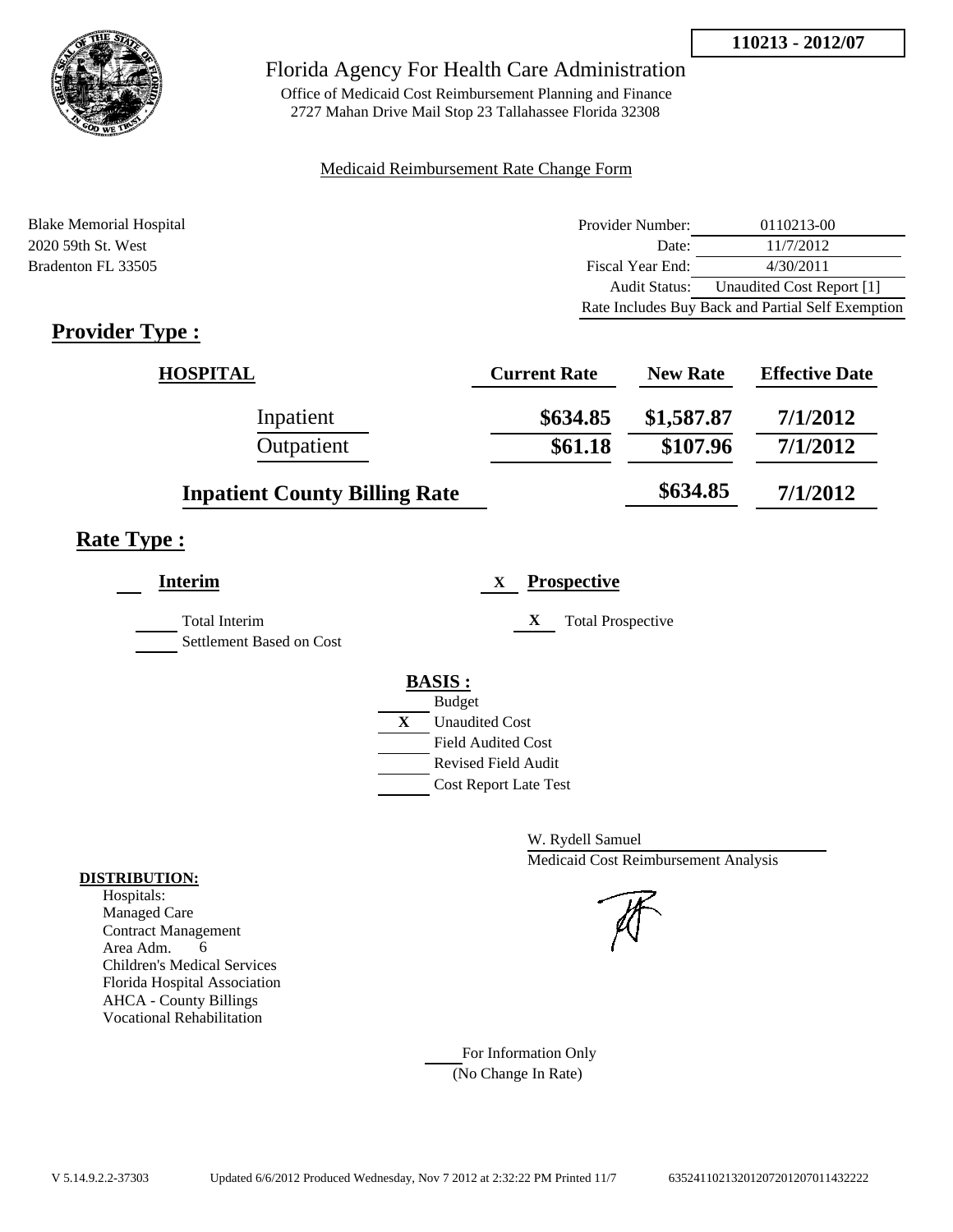

Office of Medicaid Cost Reimbursement Planning and Finance 2727 Mahan Drive Mail Stop 23 Tallahassee Florida 32308

### Medicaid Reimbursement Rate Change Form

| <b>Blake Memorial Hospital</b> | Provider Number:     | 0110213-00                                        |
|--------------------------------|----------------------|---------------------------------------------------|
| 2020 59th St. West             | Date:                | 11/7/2012                                         |
| Bradenton FL 33505             | Fiscal Year End:     | 4/30/2011                                         |
|                                | <b>Audit Status:</b> | Unaudited Cost Report [1]                         |
|                                |                      | Rate Includes Buy Back and Partial Self Exemption |

# **Provider Type :**

| <b>HOSPITAL</b>                      | <b>Current Rate</b> | <b>New Rate</b> | <b>Effective Date</b> |
|--------------------------------------|---------------------|-----------------|-----------------------|
| Inpatient                            | \$634.85            | \$1,587.87      | 7/1/2012              |
| Outpatient                           | \$61.18             | \$107.96        | 7/1/2012              |
| <b>Inpatient County Billing Rate</b> |                     | \$634.85        | 7/1/2012              |

# **Rate Type :**

| <b>Interim</b>           |   | <b>Prospective</b><br>X       |
|--------------------------|---|-------------------------------|
| <b>Total Interim</b>     |   | X<br><b>Total Prospective</b> |
| Settlement Based on Cost |   |                               |
|                          |   | <b>BASIS:</b>                 |
|                          |   | <b>Budget</b>                 |
|                          | X | <b>Unaudited Cost</b>         |
|                          |   | <b>Field Audited Cost</b>     |
|                          |   | <b>Revised Field Audit</b>    |
|                          |   | <b>Cost Report Late Test</b>  |
|                          |   |                               |

W. Rydell Samuel Medicaid Cost Reimbursement Analysis

For Information Only (No Change In Rate)

#### **DISTRIBUTION:**

Hospitals: Managed Care Contract Management Area Adm. 6 Children's Medical Services Florida Hospital Association AHCA - County Billings Vocational Rehabilitation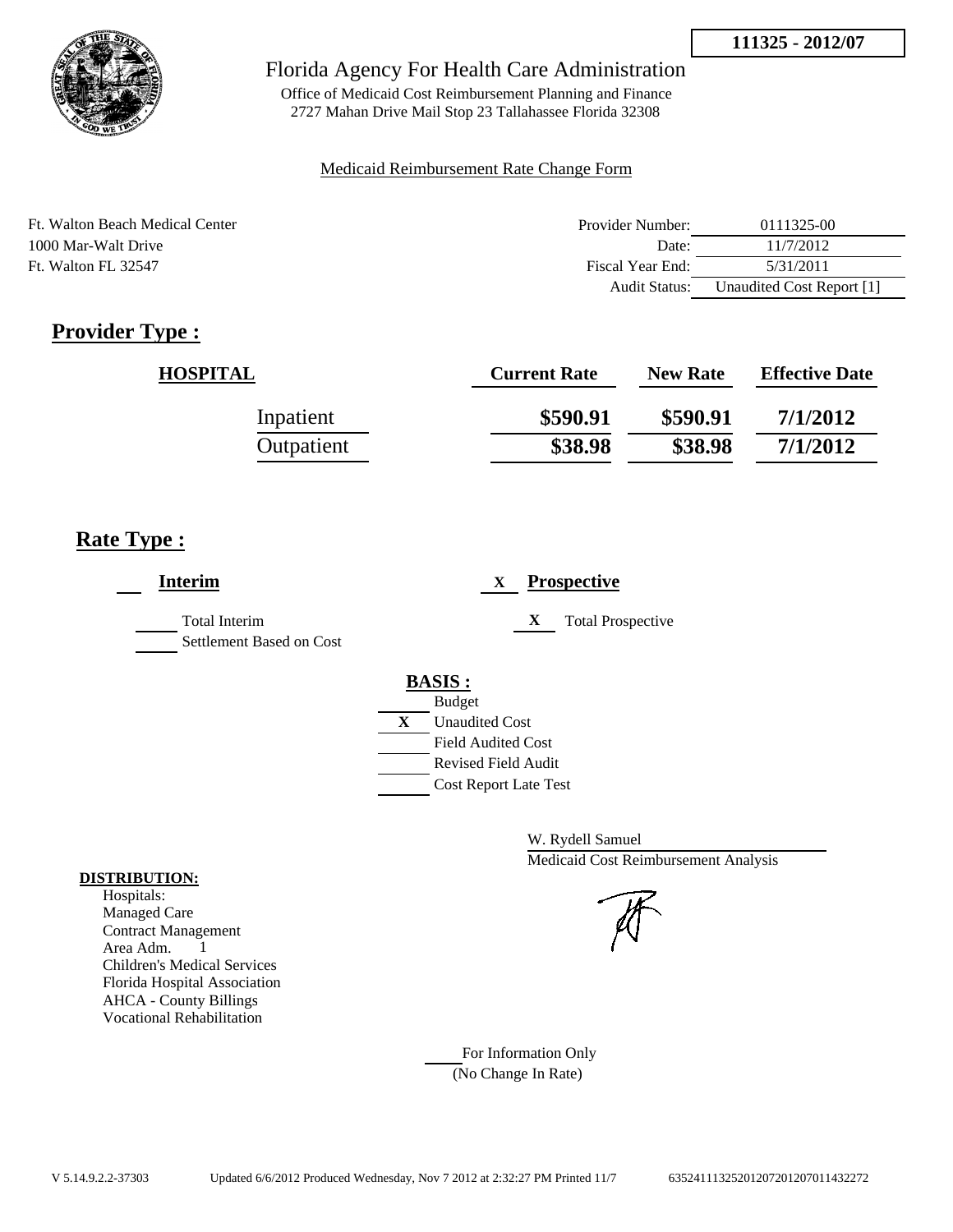

## Florida Agency For Health Care Administration

Office of Medicaid Cost Reimbursement Planning and Finance 2727 Mahan Drive Mail Stop 23 Tallahassee Florida 32308

### Medicaid Reimbursement Rate Change Form

| Ft. Walton Beach Medical Center | Provider Number: | 0111325-00                |
|---------------------------------|------------------|---------------------------|
| 1000 Mar-Walt Drive             | Date:            | 11/7/2012                 |
| Ft. Walton FL 32547             | Fiscal Year End: | 5/31/2011                 |
|                                 | Audit Status:    | Unaudited Cost Report [1] |

# **Provider Type :**

| <b>HOSPITAL</b> | <b>Current Rate</b> | <b>New Rate</b> | <b>Effective Date</b> |
|-----------------|---------------------|-----------------|-----------------------|
| Inpatient       | \$590.91            | \$590.91        | 7/1/2012              |
| Outpatient      | \$38.98             | \$38.98         | 7/1/2012              |

## **Rate Type :**

| <b>Prospective</b><br>X       |
|-------------------------------|
| X<br><b>Total Prospective</b> |
| <b>BASIS:</b>                 |
| <b>Budget</b>                 |
| X<br><b>Unaudited Cost</b>    |
| <b>Field Audited Cost</b>     |
| <b>Revised Field Audit</b>    |
| <b>Cost Report Late Test</b>  |
|                               |

W. Rydell Samuel Medicaid Cost Reimbursement Analysis

For Information Only (No Change In Rate)

#### **DISTRIBUTION:**

Hospitals: Managed Care Contract Management Area Adm. 1 Children's Medical Services Florida Hospital Association AHCA - County Billings Vocational Rehabilitation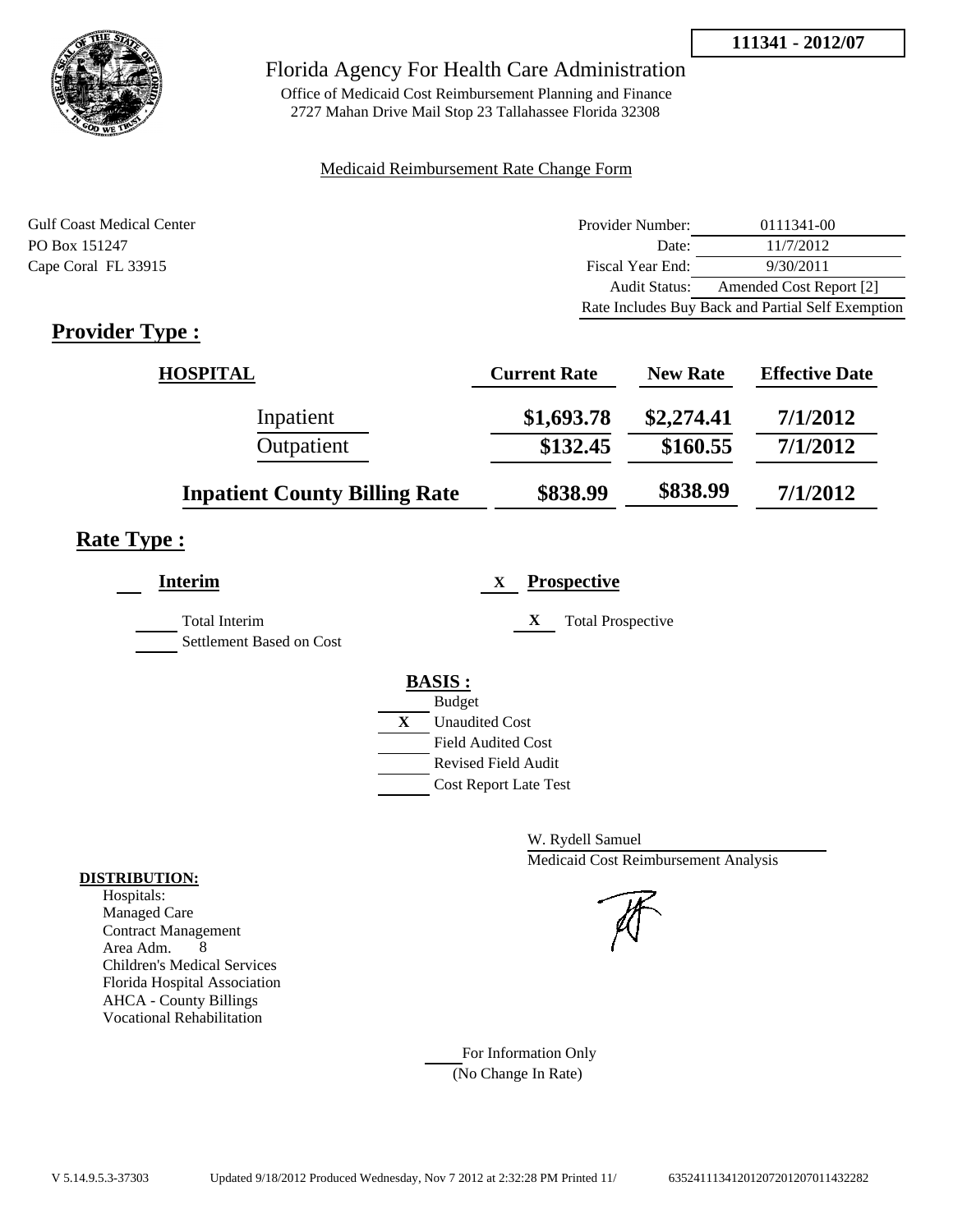

## Florida Agency For Health Care Administration

Office of Medicaid Cost Reimbursement Planning and Finance 2727 Mahan Drive Mail Stop 23 Tallahassee Florida 32308

### Medicaid Reimbursement Rate Change Form

| <b>Gulf Coast Medical Center</b> | Provider Number:     | 0111341-00                                        |
|----------------------------------|----------------------|---------------------------------------------------|
| PO Box 151247                    | Date:                | 11/7/2012                                         |
| Cape Coral FL 33915              | Fiscal Year End:     | 9/30/2011                                         |
|                                  | <b>Audit Status:</b> | Amended Cost Report [2]                           |
|                                  |                      | Rate Includes Buy Back and Partial Self Exemption |

# **Provider Type :**

| <b>HOSPITAL</b>                      | <b>Current Rate</b> | <b>New Rate</b> | <b>Effective Date</b> |
|--------------------------------------|---------------------|-----------------|-----------------------|
| Inpatient                            | \$1,693.78          | \$2,274.41      | 7/1/2012              |
| Outpatient                           | \$132.45            | \$160.55        | 7/1/2012              |
| <b>Inpatient County Billing Rate</b> | \$838.99            | \$838.99        | 7/1/2012              |

# **Rate Type :**

| <b>Interim</b>                                   | <b>Prospective</b><br>X                                                                                                                          |
|--------------------------------------------------|--------------------------------------------------------------------------------------------------------------------------------------------------|
| <b>Total Interim</b><br>Settlement Based on Cost | <b>Total Prospective</b><br>X                                                                                                                    |
|                                                  | <b>BASIS:</b><br><b>Budget</b><br>X<br><b>Unaudited Cost</b><br><b>Field Audited Cost</b><br>Revised Field Audit<br><b>Cost Report Late Test</b> |

W. Rydell Samuel Medicaid Cost Reimbursement Analysis

For Information Only (No Change In Rate)

#### **DISTRIBUTION:**

Hospitals: Managed Care Contract Management Area Adm. 8 Children's Medical Services Florida Hospital Association AHCA - County Billings Vocational Rehabilitation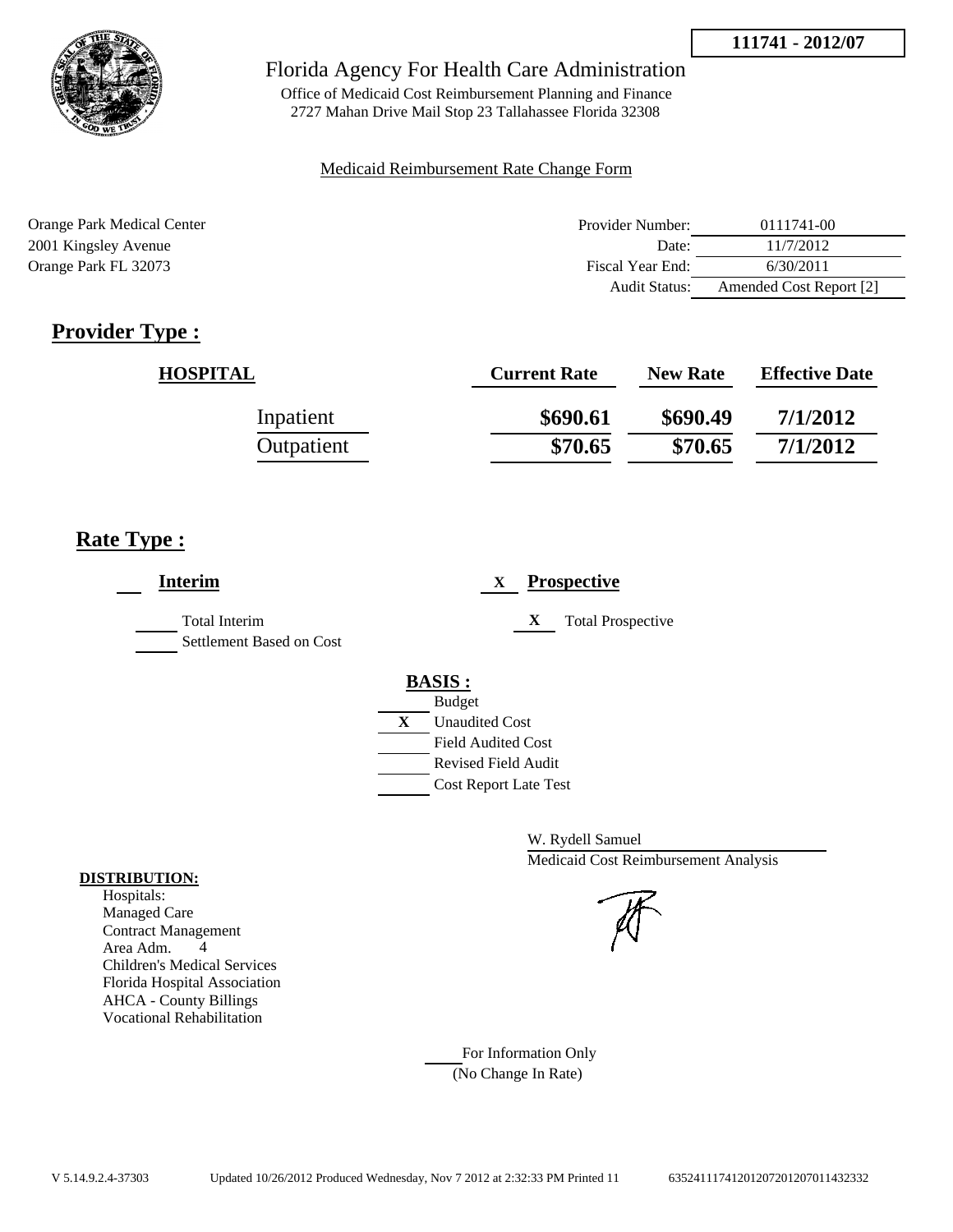

## Florida Agency For Health Care Administration

Office of Medicaid Cost Reimbursement Planning and Finance 2727 Mahan Drive Mail Stop 23 Tallahassee Florida 32308

### Medicaid Reimbursement Rate Change Form

| Orange Park Medical Center | Provider Number:     | 0111741-00              |
|----------------------------|----------------------|-------------------------|
| 2001 Kingsley Avenue       | Date:                | 11/7/2012               |
| Orange Park FL 32073       | Fiscal Year End:     | 6/30/2011               |
|                            | <b>Audit Status:</b> | Amended Cost Report [2] |

# **Provider Type :**

| <b>HOSPITAL</b> | <b>Current Rate</b> | <b>New Rate</b> | <b>Effective Date</b> |
|-----------------|---------------------|-----------------|-----------------------|
| Inpatient       | \$690.61            | \$690.49        | 7/1/2012              |
| Outpatient      | \$70.65             | \$70.65         | 7/1/2012              |

## **Rate Type :**

| <b>Interim</b>                            | <b>Prospective</b><br>X                                                                   |
|-------------------------------------------|-------------------------------------------------------------------------------------------|
| Total Interim<br>Settlement Based on Cost | X<br><b>Total Prospective</b>                                                             |
|                                           | <b>BASIS:</b><br><b>Budget</b><br>X<br><b>Unaudited Cost</b><br><b>Field Audited Cost</b> |
|                                           | <b>Revised Field Audit</b><br><b>Cost Report Late Test</b>                                |

W. Rydell Samuel Medicaid Cost Reimbursement Analysis

For Information Only (No Change In Rate)

#### **DISTRIBUTION:**

Hospitals: Managed Care Contract Management Area Adm. 4 Children's Medical Services Florida Hospital Association AHCA - County Billings Vocational Rehabilitation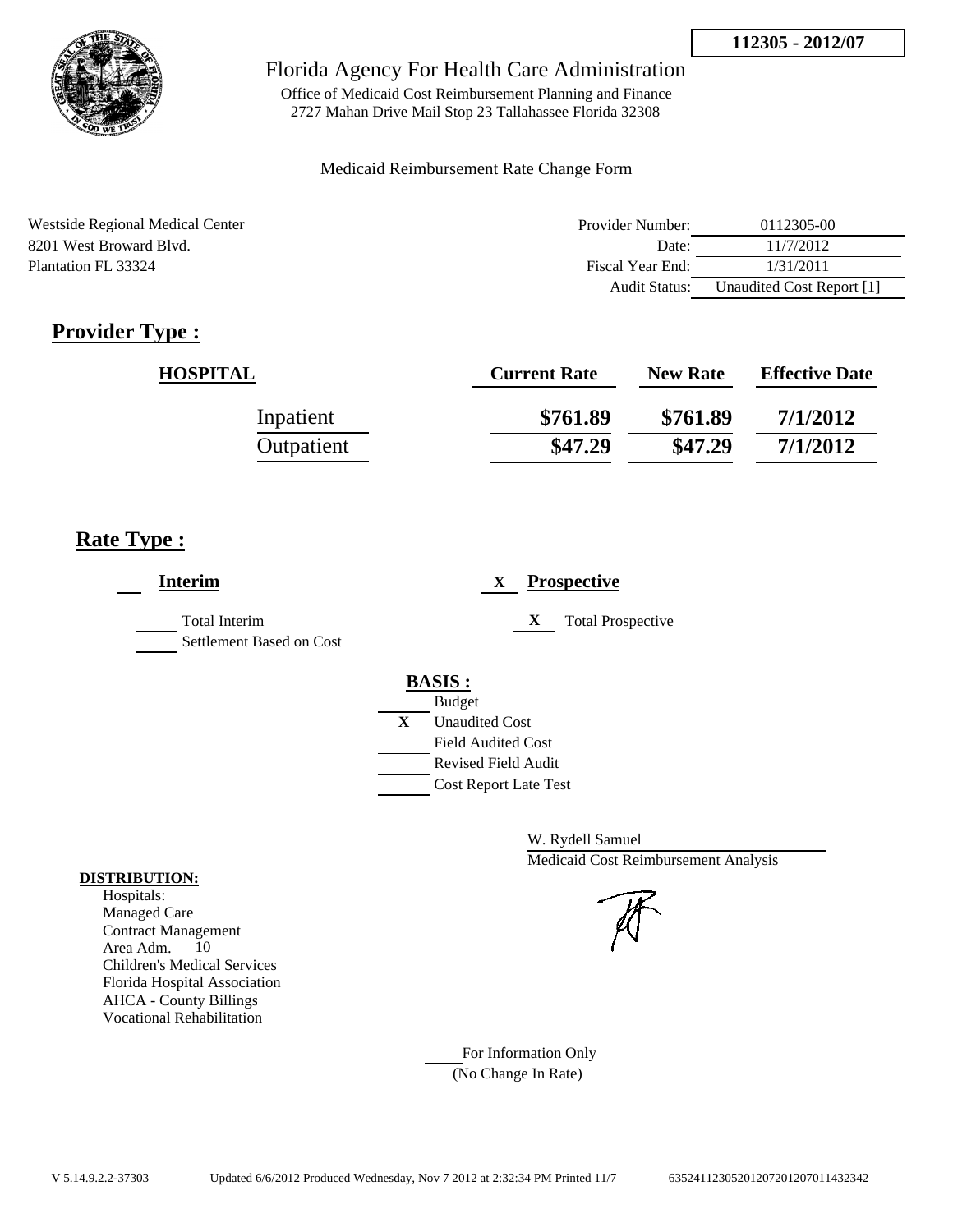

Office of Medicaid Cost Reimbursement Planning and Finance 2727 Mahan Drive Mail Stop 23 Tallahassee Florida 32308

#### Medicaid Reimbursement Rate Change Form

| Westside Regional Medical Center | Provider Number:     | 0112305-00                |
|----------------------------------|----------------------|---------------------------|
| 8201 West Broward Blyd.          | Date:                | 11/7/2012                 |
| Plantation FL 33324              | Fiscal Year End:     | 1/31/2011                 |
|                                  | <b>Audit Status:</b> | Unaudited Cost Report [1] |

# **Provider Type :**

| <b>HOSPITAL</b> | <b>Current Rate</b> | <b>New Rate</b> | <b>Effective Date</b> |
|-----------------|---------------------|-----------------|-----------------------|
| Inpatient       | \$761.89            | \$761.89        | 7/1/2012              |
| Outpatient      | \$47.29             | \$47.29         | 7/1/2012              |

## **Rate Type :**

| <b>Interim</b>                                   | <b>Prospective</b><br>X                                    |
|--------------------------------------------------|------------------------------------------------------------|
| <b>Total Interim</b><br>Settlement Based on Cost | X<br><b>Total Prospective</b>                              |
|                                                  | <b>BASIS:</b><br><b>Budget</b>                             |
|                                                  | X<br><b>Unaudited Cost</b><br><b>Field Audited Cost</b>    |
|                                                  | <b>Revised Field Audit</b><br><b>Cost Report Late Test</b> |

W. Rydell Samuel Medicaid Cost Reimbursement Analysis

For Information Only (No Change In Rate)

#### **DISTRIBUTION:**

Hospitals: Managed Care Contract Management Area Adm. 10 Children's Medical Services Florida Hospital Association AHCA - County Billings Vocational Rehabilitation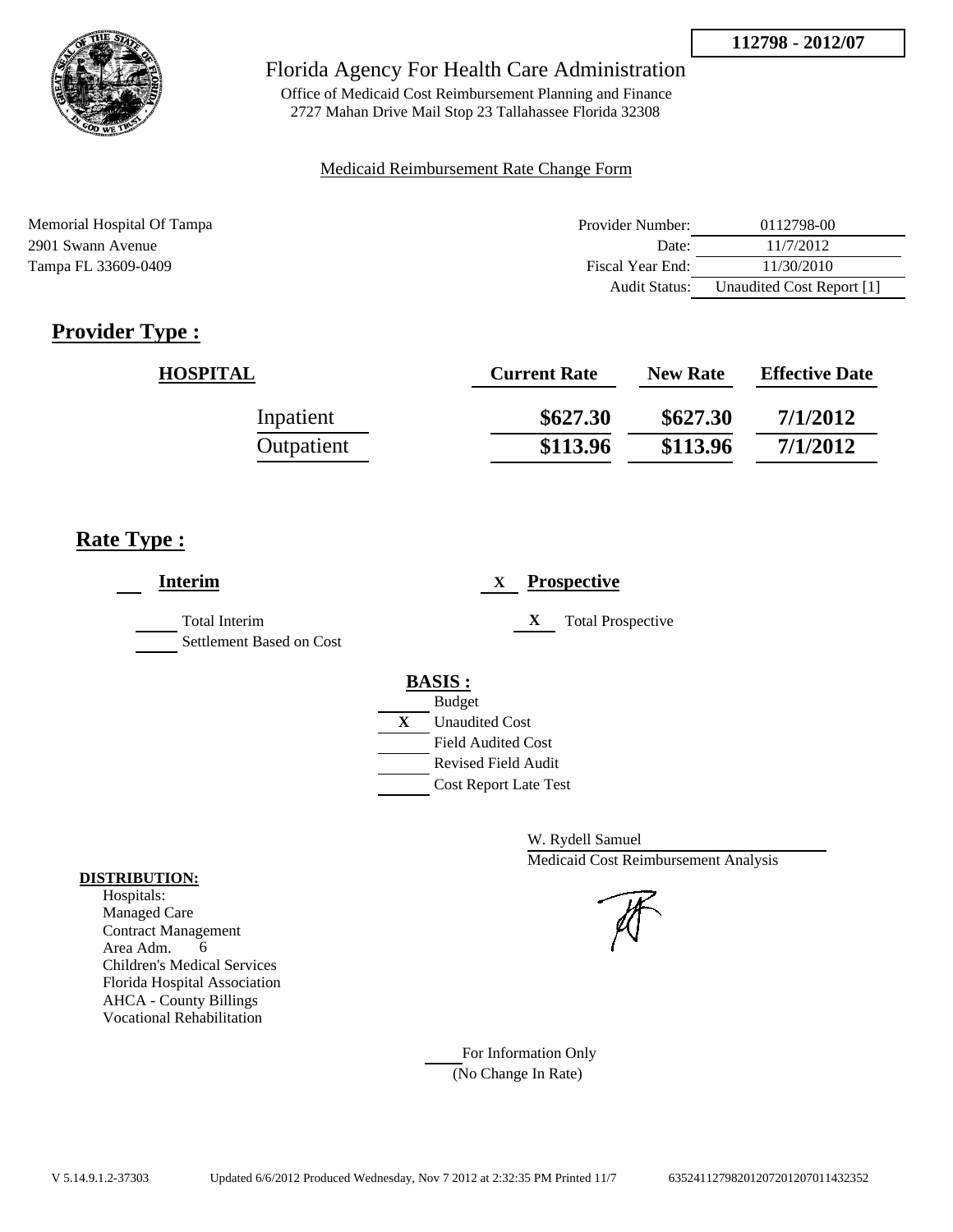

Office of Medicaid Cost Reimbursement Planning and Finance 2727 Mahan Drive Mail Stop 23 Tallahassee Florida 32308

### Medicaid Reimbursement Rate Change Form

| Memorial Hospital Of Tampa | Provider Number: | 0112798-00                |
|----------------------------|------------------|---------------------------|
| 2901 Swann Avenue          | Date:            | 11/7/2012                 |
| Tampa FL 33609-0409        | Fiscal Year End: | 11/30/2010                |
|                            | Audit Status:    | Unaudited Cost Report [1] |

# **Provider Type :**

| <b>HOSPITAL</b> | <b>Current Rate</b> | <b>New Rate</b> | <b>Effective Date</b> |
|-----------------|---------------------|-----------------|-----------------------|
| Inpatient       | \$627.30            | \$627.30        | 7/1/2012              |
| Outpatient      | \$113.96            | \$113.96        | 7/1/2012              |

## **Rate Type :**

| <b>Interim</b>                            | <b>Prospective</b><br>X                                                                                                                          |
|-------------------------------------------|--------------------------------------------------------------------------------------------------------------------------------------------------|
| Total Interim<br>Settlement Based on Cost | X<br><b>Total Prospective</b>                                                                                                                    |
|                                           | <b>BASIS:</b><br><b>Budget</b><br>X<br><b>Unaudited Cost</b><br><b>Field Audited Cost</b><br>Revised Field Audit<br><b>Cost Report Late Test</b> |

W. Rydell Samuel Medicaid Cost Reimbursement Analysis

For Information Only (No Change In Rate)

#### **DISTRIBUTION:**

Hospitals: Managed Care Contract Management Area Adm. 6 Children's Medical Services Florida Hospital Association AHCA - County Billings Vocational Rehabilitation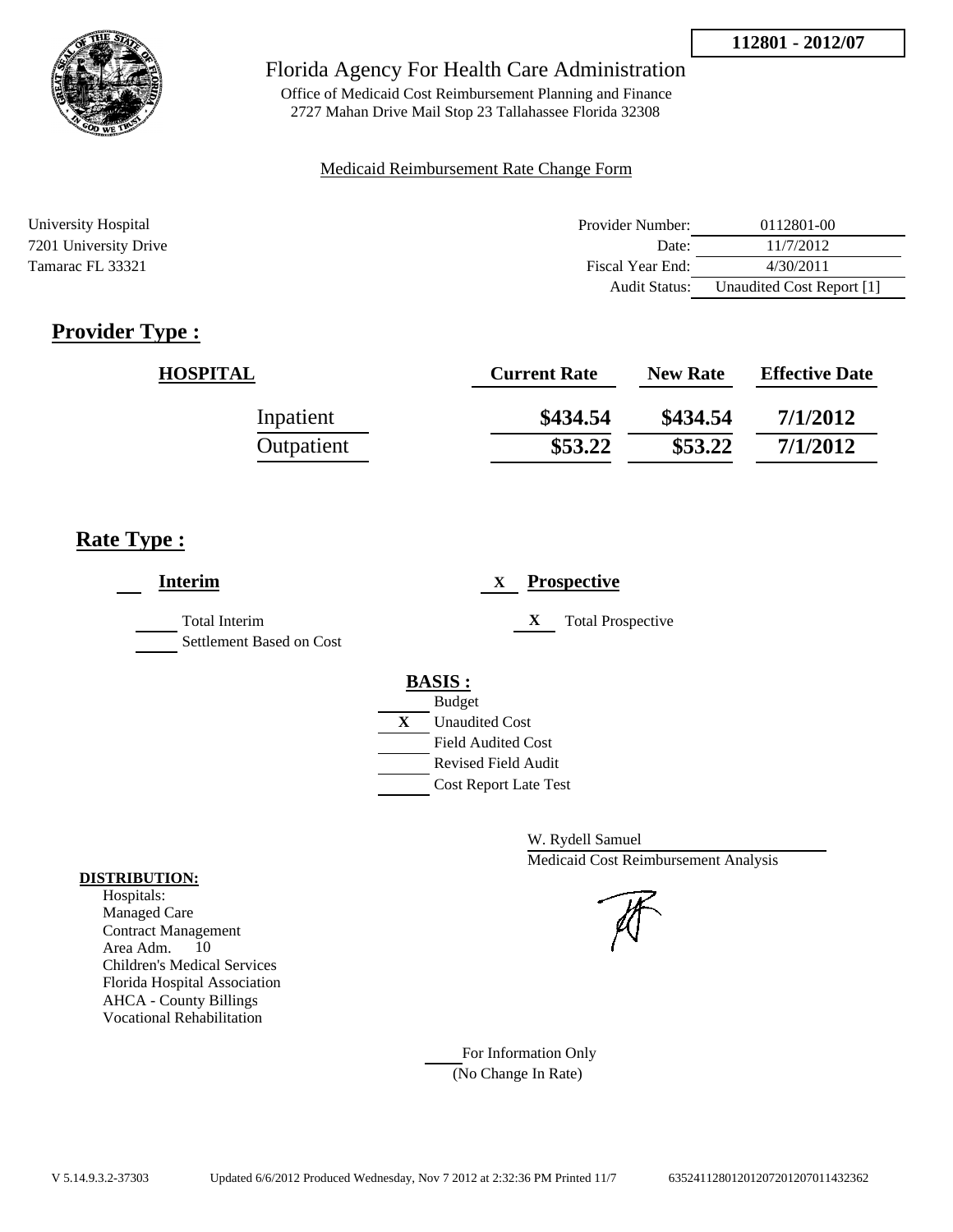

Office of Medicaid Cost Reimbursement Planning and Finance 2727 Mahan Drive Mail Stop 23 Tallahassee Florida 32308

#### Medicaid Reimbursement Rate Change Form

| University Hospital   | Provider Number:     | 0112801-00                |
|-----------------------|----------------------|---------------------------|
| 7201 University Drive | Date:                | 11/7/2012                 |
| Tamarac FL 33321      | Fiscal Year End:     | 4/30/2011                 |
|                       | <b>Audit Status:</b> | Unaudited Cost Report [1] |

# **Provider Type :**

| <b>HOSPITAL</b> | <b>Current Rate</b> | <b>New Rate</b> | <b>Effective Date</b> |
|-----------------|---------------------|-----------------|-----------------------|
| Inpatient       | \$434.54            | \$434.54        | 7/1/2012              |
| Outpatient      | \$53.22             | \$53.22         | 7/1/2012              |

# **Rate Type :**

| <b>Interim</b>                            | <b>Prospective</b><br>X       |
|-------------------------------------------|-------------------------------|
| Total Interim<br>Settlement Based on Cost | <b>Total Prospective</b><br>X |
|                                           | <b>BASIS:</b>                 |
|                                           | <b>Budget</b>                 |
|                                           | X<br><b>Unaudited Cost</b>    |
|                                           | <b>Field Audited Cost</b>     |
|                                           | <b>Revised Field Audit</b>    |
|                                           | <b>Cost Report Late Test</b>  |
|                                           |                               |

W. Rydell Samuel Medicaid Cost Reimbursement Analysis

For Information Only (No Change In Rate)

#### **DISTRIBUTION:**

Hospitals: Managed Care Contract Management Area Adm. 10 Children's Medical Services Florida Hospital Association AHCA - County Billings Vocational Rehabilitation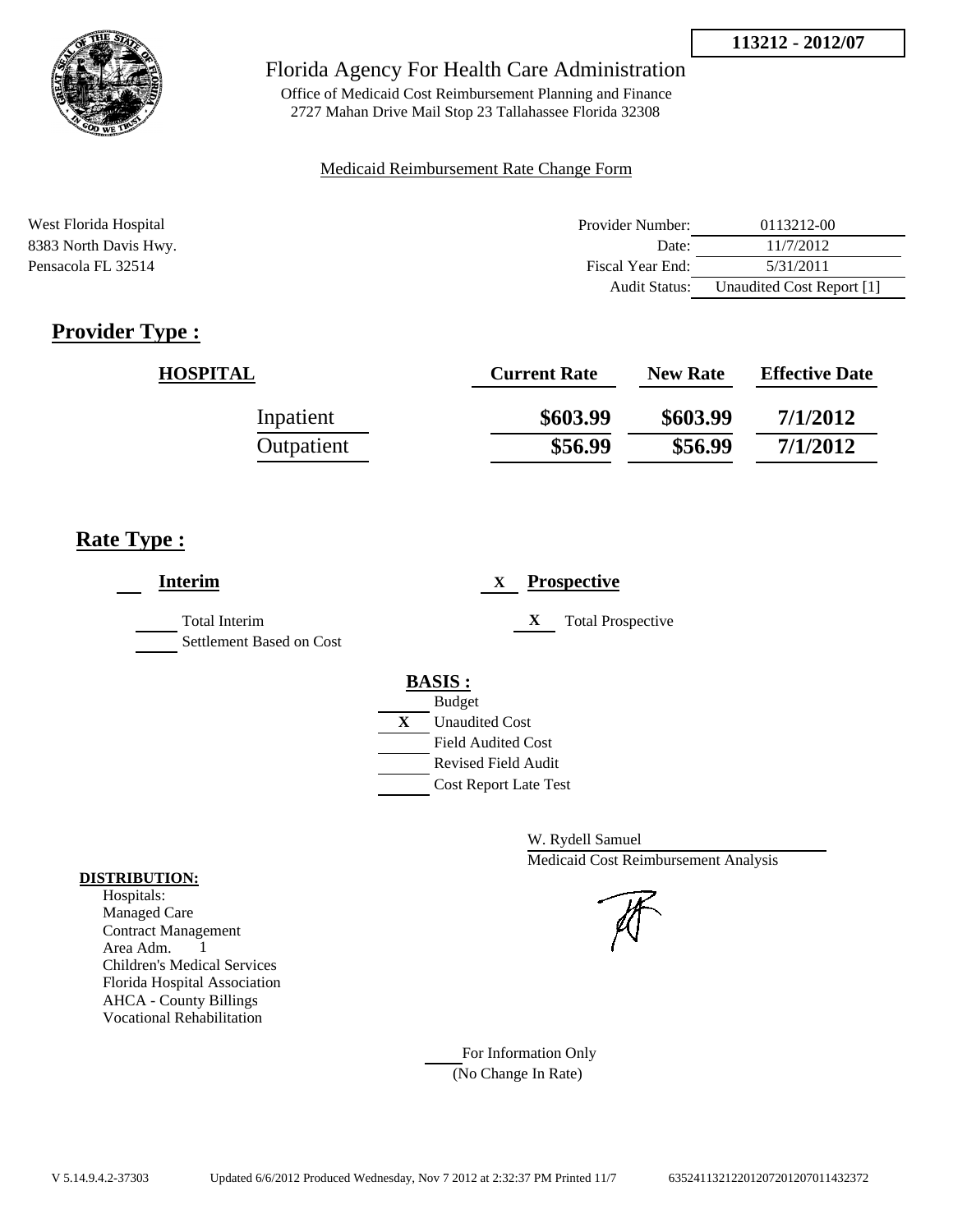

## Florida Agency For Health Care Administration

Office of Medicaid Cost Reimbursement Planning and Finance 2727 Mahan Drive Mail Stop 23 Tallahassee Florida 32308

#### Medicaid Reimbursement Rate Change Form

| West Florida Hospital | Provider Number: | 0113212-00                |
|-----------------------|------------------|---------------------------|
| 8383 North Davis Hwy. | Date:            | 11/7/2012                 |
| Pensacola FL 32514    | Fiscal Year End: | 5/31/2011                 |
|                       | Audit Status:    | Unaudited Cost Report [1] |

# **Provider Type :**

| <b>HOSPITAL</b> | <b>Current Rate</b> | <b>New Rate</b> | <b>Effective Date</b> |
|-----------------|---------------------|-----------------|-----------------------|
| Inpatient       | \$603.99            | \$603.99        | 7/1/2012              |
| Outpatient      | \$56.99             | \$56.99         | 7/1/2012              |

## **Rate Type :**

| <b>Interim</b>                                   | <b>Prospective</b><br>X       |
|--------------------------------------------------|-------------------------------|
| <b>Total Interim</b><br>Settlement Based on Cost | X<br><b>Total Prospective</b> |
|                                                  | <b>BASIS:</b>                 |
|                                                  | <b>Budget</b>                 |
|                                                  | X<br><b>Unaudited Cost</b>    |
|                                                  | <b>Field Audited Cost</b>     |
|                                                  | Revised Field Audit           |
|                                                  | <b>Cost Report Late Test</b>  |

W. Rydell Samuel Medicaid Cost Reimbursement Analysis

For Information Only (No Change In Rate)

#### **DISTRIBUTION:**

Hospitals: Managed Care Contract Management Area Adm. 1 Children's Medical Services Florida Hospital Association AHCA - County Billings Vocational Rehabilitation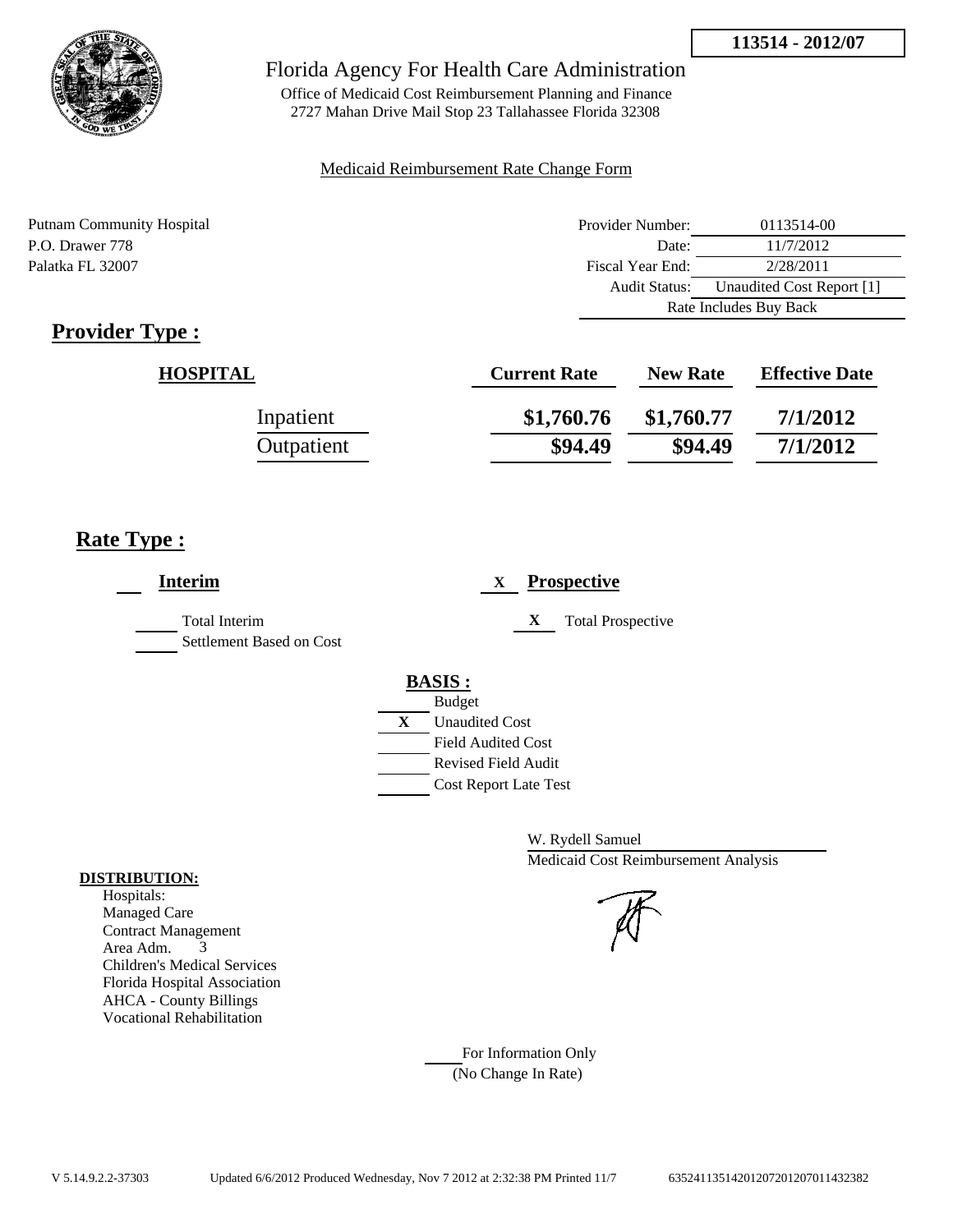

Office of Medicaid Cost Reimbursement Planning and Finance 2727 Mahan Drive Mail Stop 23 Tallahassee Florida 32308

#### Medicaid Reimbursement Rate Change Form

Putnam Community Hospital **Provider Number:** 0113514-00 P.O. Drawer 778 Date: 11/7/2012 Palatka FL 32007 Fiscal Year End: 2/28/2011 Audit Status: Unaudited Cost Report [1] Rate Includes Buy Back

# **Provider Type :**

| <b>HOSPITAL</b> | <b>Current Rate</b> | <b>New Rate</b> | <b>Effective Date</b> |
|-----------------|---------------------|-----------------|-----------------------|
| Inpatient       | \$1,760.76          | \$1,760.77      | 7/1/2012              |
| Outpatient      | \$94.49             | \$94.49         | 7/1/2012              |

## **Rate Type :**

| <b>Interim</b>                                   | <b>Prospective</b><br>$\mathbf{X}$                                                                                                                      |
|--------------------------------------------------|---------------------------------------------------------------------------------------------------------------------------------------------------------|
| <b>Total Interim</b><br>Settlement Based on Cost | X<br><b>Total Prospective</b>                                                                                                                           |
|                                                  | <b>BASIS:</b><br><b>Budget</b><br>X<br><b>Unaudited Cost</b><br><b>Field Audited Cost</b><br><b>Revised Field Audit</b><br><b>Cost Report Late Test</b> |

W. Rydell Samuel Medicaid Cost Reimbursement Analysis

For Information Only (No Change In Rate)

#### **DISTRIBUTION:**

Hospitals: Managed Care Contract Management Area Adm. 3 Children's Medical Services Florida Hospital Association AHCA - County Billings Vocational Rehabilitation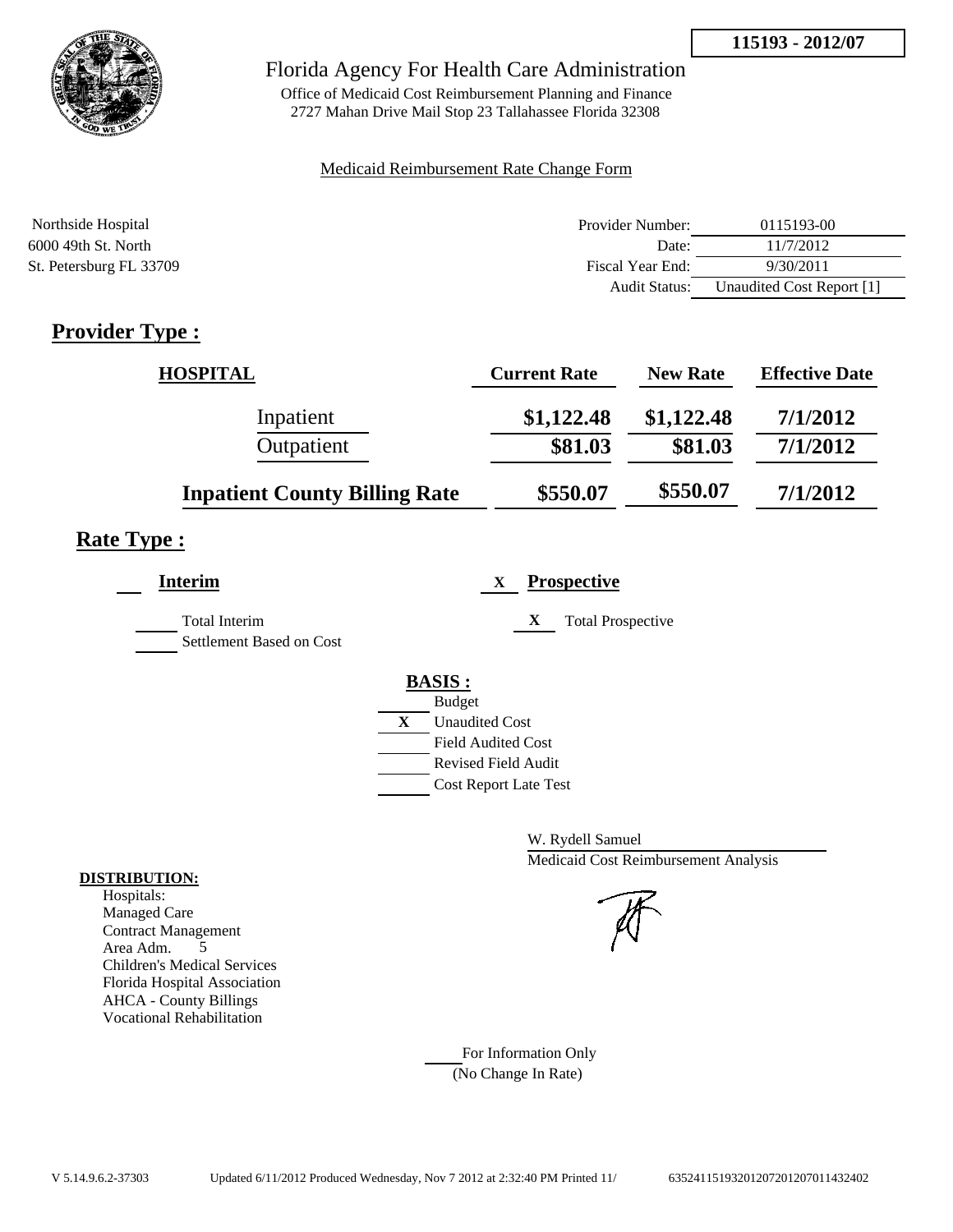

## Florida Agency For Health Care Administration

Office of Medicaid Cost Reimbursement Planning and Finance 2727 Mahan Drive Mail Stop 23 Tallahassee Florida 32308

#### Medicaid Reimbursement Rate Change Form

| Northside Hospital      | Provider Number:     | 0115193-00                |
|-------------------------|----------------------|---------------------------|
| 6000 49th St. North     | Date:                | 11/7/2012                 |
| St. Petersburg FL 33709 | Fiscal Year End:     | 9/30/2011                 |
|                         | <b>Audit Status:</b> | Unaudited Cost Report [1] |

# **Provider Type :**

| <b>HOSPITAL</b>                      | <b>Current Rate</b> | <b>New Rate</b> | <b>Effective Date</b> |
|--------------------------------------|---------------------|-----------------|-----------------------|
| Inpatient                            | \$1,122.48          | \$1,122.48      | 7/1/2012              |
| Outpatient                           | \$81.03             | \$81.03         | 7/1/2012              |
| <b>Inpatient County Billing Rate</b> | \$550.07            | \$550.07        | 7/1/2012              |

# **Rate Type :**

| Interim                                          | <b>Prospective</b><br>X                                 |
|--------------------------------------------------|---------------------------------------------------------|
| <b>Total Interim</b><br>Settlement Based on Cost | X<br><b>Total Prospective</b>                           |
|                                                  | <b>BASIS:</b>                                           |
|                                                  | <b>Budget</b><br>X<br><b>Unaudited Cost</b>             |
|                                                  | <b>Field Audited Cost</b><br><b>Revised Field Audit</b> |
|                                                  | <b>Cost Report Late Test</b>                            |

W. Rydell Samuel Medicaid Cost Reimbursement Analysis

For Information Only (No Change In Rate)

#### **DISTRIBUTION:**

Hospitals: Managed Care Contract Management Area Adm. 5 Children's Medical Services Florida Hospital Association AHCA - County Billings Vocational Rehabilitation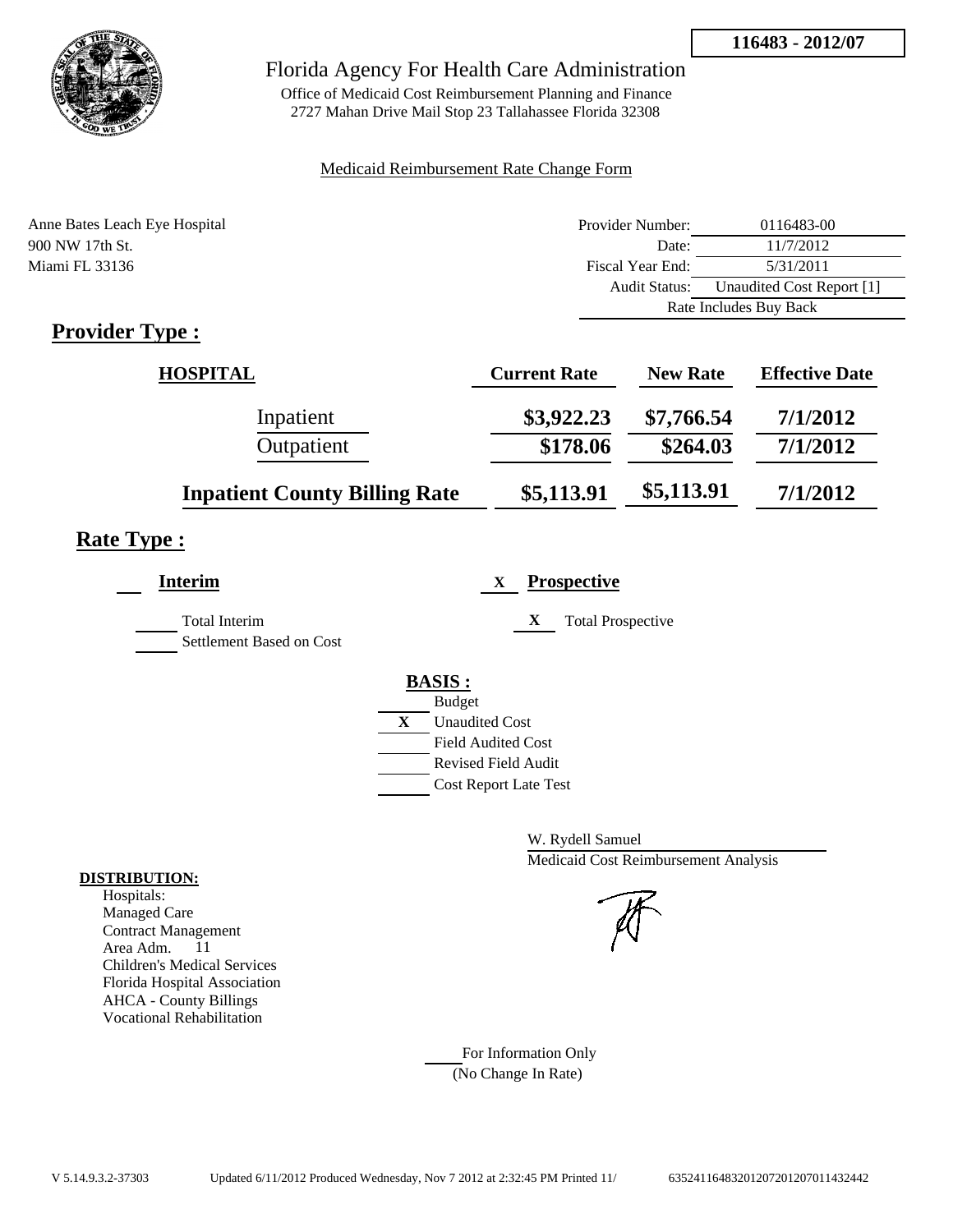

## Florida Agency For Health Care Administration

Office of Medicaid Cost Reimbursement Planning and Finance 2727 Mahan Drive Mail Stop 23 Tallahassee Florida 32308

### Medicaid Reimbursement Rate Change Form

| Anne Bates Leach Eye Hospital | Provider Number:     | 0116483-00                |  |
|-------------------------------|----------------------|---------------------------|--|
| 900 NW 17th St.               | Date:                | 11/7/2012                 |  |
| Miami FL 33136                | Fiscal Year End:     | 5/31/2011                 |  |
|                               | <b>Audit Status:</b> | Unaudited Cost Report [1] |  |
|                               |                      | Rate Includes Buy Back    |  |

# **Provider Type :**

| HOSPITAL                             | <b>Current Rate</b> | <b>New Rate</b> | <b>Effective Date</b> |
|--------------------------------------|---------------------|-----------------|-----------------------|
| Inpatient                            | \$3,922.23          | \$7,766.54      | 7/1/2012              |
| Outpatient                           | \$178.06            | \$264.03        | 7/1/2012              |
| <b>Inpatient County Billing Rate</b> | \$5,113.91          | \$5,113.91      | 7/1/2012              |

## **Rate Type :**

| <b>Interim</b>                                   | <b>Prospective</b><br>$\mathbf{X}$                                                                                                               |
|--------------------------------------------------|--------------------------------------------------------------------------------------------------------------------------------------------------|
| <b>Total Interim</b><br>Settlement Based on Cost | X<br><b>Total Prospective</b>                                                                                                                    |
|                                                  | <b>BASIS:</b><br><b>Budget</b><br>X<br><b>Unaudited Cost</b><br><b>Field Audited Cost</b><br>Revised Field Audit<br><b>Cost Report Late Test</b> |

W. Rydell Samuel Medicaid Cost Reimbursement Analysis

For Information Only (No Change In Rate)

#### **DISTRIBUTION:**

Hospitals: Managed Care Contract Management Area Adm. 11 Children's Medical Services Florida Hospital Association AHCA - County Billings Vocational Rehabilitation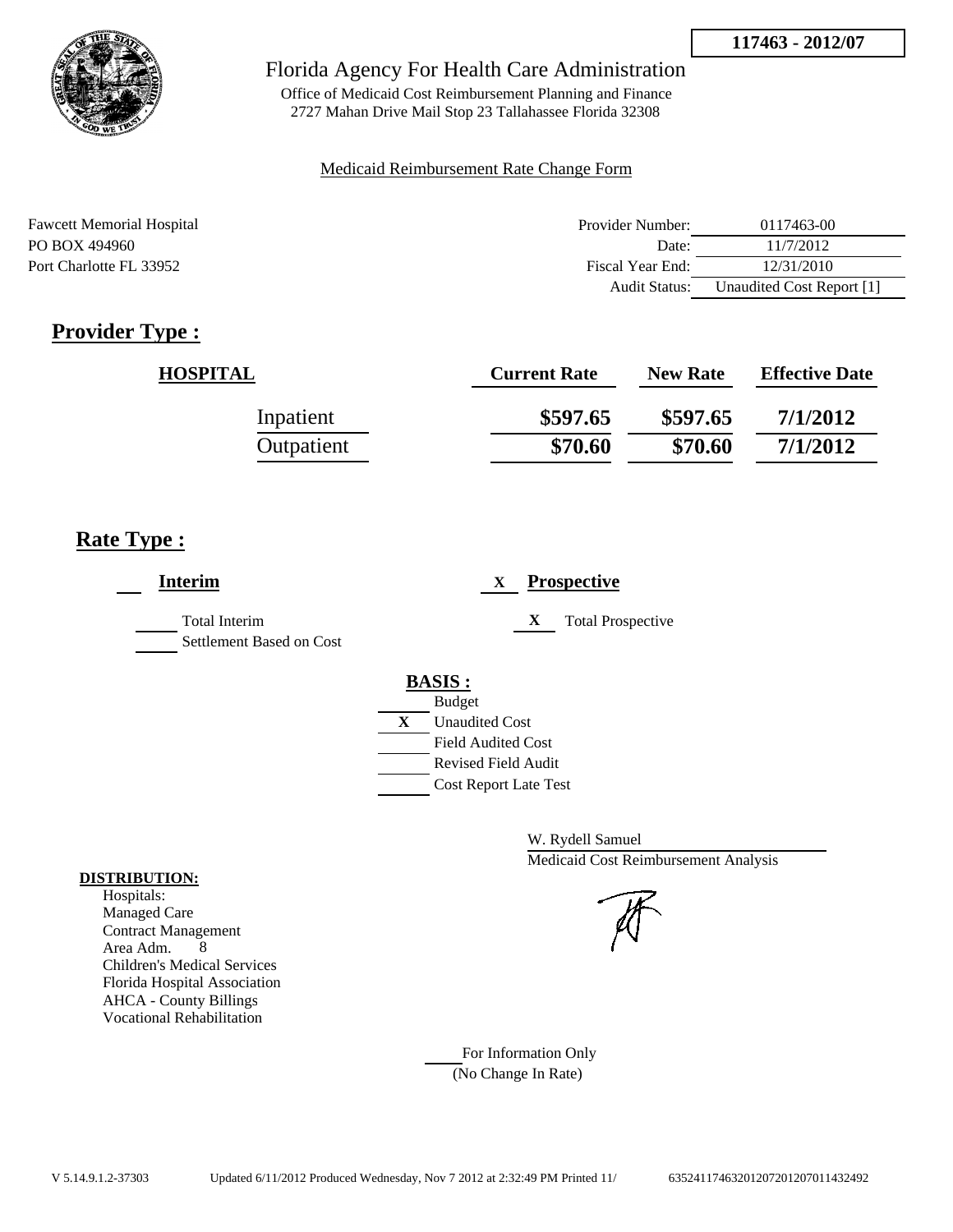



Office of Medicaid Cost Reimbursement Planning and Finance 2727 Mahan Drive Mail Stop 23 Tallahassee Florida 32308

#### Medicaid Reimbursement Rate Change Form

| <b>Fawcett Memorial Hospital</b> | Provider Number:     | 0117463-00                |
|----------------------------------|----------------------|---------------------------|
| PO BOX 494960                    | Date:                | 11/7/2012                 |
| Port Charlotte FL 33952          | Fiscal Year End:     | 12/31/2010                |
|                                  | <b>Audit Status:</b> | Unaudited Cost Report [1] |

# **Provider Type :**

| <b>HOSPITAL</b> | <b>Current Rate</b> | <b>New Rate</b> | <b>Effective Date</b> |
|-----------------|---------------------|-----------------|-----------------------|
| Inpatient       | \$597.65            | \$597.65        | 7/1/2012              |
| Outpatient      | \$70.60             | \$70.60         | 7/1/2012              |

## **Rate Type :**

| <b>Interim</b>                                   | <b>Prospective</b><br>X               |
|--------------------------------------------------|---------------------------------------|
| <b>Total Interim</b><br>Settlement Based on Cost | <b>Total Prospective</b><br>X         |
|                                                  | <b>BASIS:</b>                         |
|                                                  | <b>Budget</b>                         |
|                                                  | $\mathbf{X}$<br><b>Unaudited Cost</b> |
|                                                  | <b>Field Audited Cost</b>             |
|                                                  | Revised Field Audit                   |
|                                                  | <b>Cost Report Late Test</b>          |
|                                                  |                                       |

W. Rydell Samuel Medicaid Cost Reimbursement Analysis

For Information Only (No Change In Rate)

#### **DISTRIBUTION:**

Hospitals: Managed Care Contract Management Area Adm. 8 Children's Medical Services Florida Hospital Association AHCA - County Billings Vocational Rehabilitation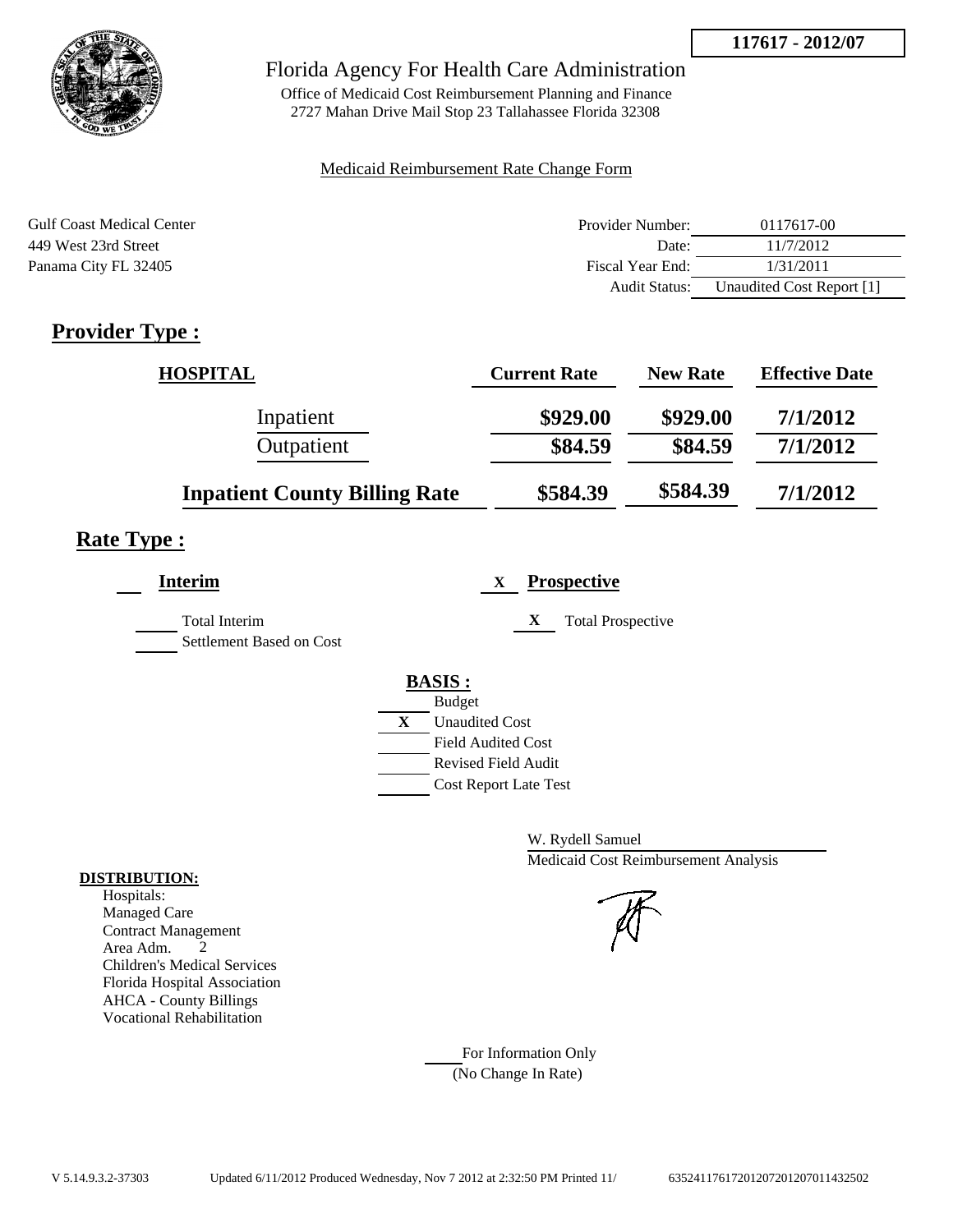

## Florida Agency For Health Care Administration

Office of Medicaid Cost Reimbursement Planning and Finance 2727 Mahan Drive Mail Stop 23 Tallahassee Florida 32308

### Medicaid Reimbursement Rate Change Form

| <b>Gulf Coast Medical Center</b> | Provider Number: | 0117617-00                |
|----------------------------------|------------------|---------------------------|
| 449 West 23rd Street             | Date:            | 11/7/2012                 |
| Panama City FL 32405             | Fiscal Year End: | 1/31/2011                 |
|                                  | Audit Status:    | Unaudited Cost Report [1] |

# **Provider Type :**

| <b>HOSPITAL</b>                      | <b>Current Rate</b> | <b>New Rate</b> | <b>Effective Date</b> |
|--------------------------------------|---------------------|-----------------|-----------------------|
| Inpatient                            | \$929.00            | \$929.00        | 7/1/2012              |
| Outpatient                           | \$84.59             | \$84.59         | 7/1/2012              |
| <b>Inpatient County Billing Rate</b> | \$584.39            | \$584.39        | 7/1/2012              |

# **Rate Type :**

| <b>Interim</b>                                   | <b>Prospective</b><br>X.                                                                                                                         |
|--------------------------------------------------|--------------------------------------------------------------------------------------------------------------------------------------------------|
| <b>Total Interim</b><br>Settlement Based on Cost | X<br><b>Total Prospective</b>                                                                                                                    |
|                                                  | <b>BASIS:</b><br><b>Budget</b><br>X<br><b>Unaudited Cost</b><br><b>Field Audited Cost</b><br>Revised Field Audit<br><b>Cost Report Late Test</b> |

W. Rydell Samuel Medicaid Cost Reimbursement Analysis

For Information Only (No Change In Rate)

#### **DISTRIBUTION:**

Hospitals: Managed Care Contract Management Area Adm. 2 Children's Medical Services Florida Hospital Association AHCA - County Billings Vocational Rehabilitation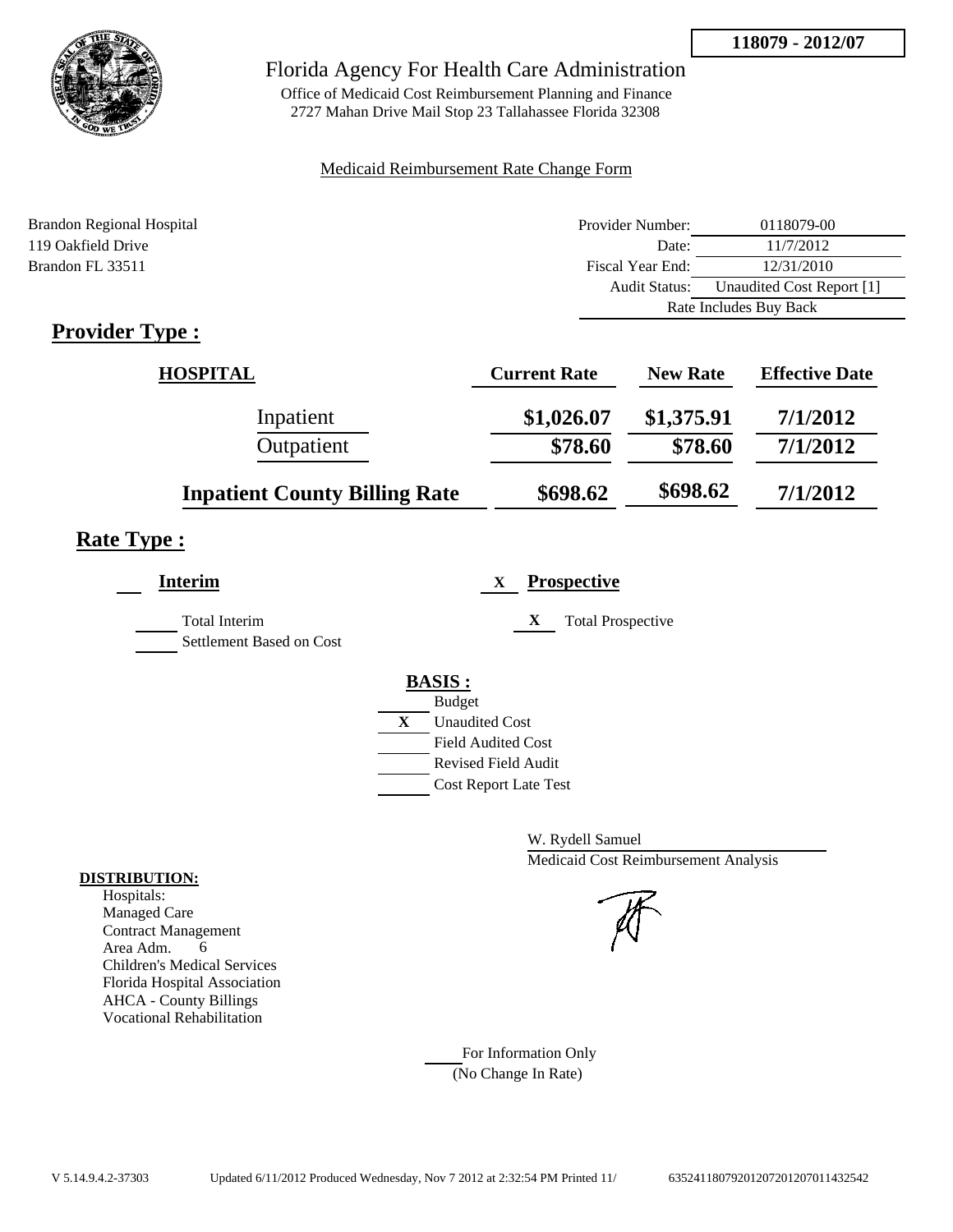

## Florida Agency For Health Care Administration

Office of Medicaid Cost Reimbursement Planning and Finance 2727 Mahan Drive Mail Stop 23 Tallahassee Florida 32308

### Medicaid Reimbursement Rate Change Form

| <b>Brandon Regional Hospital</b> | Provider Number:     | 0118079-00                |  |
|----------------------------------|----------------------|---------------------------|--|
| 119 Oakfield Drive               | Date:                | 11/7/2012                 |  |
| Brandon FL 33511                 | Fiscal Year End:     | 12/31/2010                |  |
|                                  | <b>Audit Status:</b> | Unaudited Cost Report [1] |  |
|                                  |                      | Rate Includes Buy Back    |  |
|                                  |                      |                           |  |

## **Provider Type :**

| <b>HOSPITAL</b>                      | <b>Current Rate</b> | <b>New Rate</b> | <b>Effective Date</b> |
|--------------------------------------|---------------------|-----------------|-----------------------|
| Inpatient                            | \$1,026.07          | \$1,375.91      | 7/1/2012              |
| Outpatient                           | \$78.60             | \$78.60         | 7/1/2012              |
| <b>Inpatient County Billing Rate</b> | \$698.62            | \$698.62        | 7/1/2012              |

# **Rate Type :**

| <b>Interim</b>                                   | <b>Prospective</b><br>X               |
|--------------------------------------------------|---------------------------------------|
| <b>Total Interim</b><br>Settlement Based on Cost | X<br><b>Total Prospective</b>         |
|                                                  | <b>BASIS:</b>                         |
|                                                  | <b>Budget</b>                         |
|                                                  | $\mathbf{X}$<br><b>Unaudited Cost</b> |
|                                                  | <b>Field Audited Cost</b>             |
|                                                  | Revised Field Audit                   |
|                                                  | <b>Cost Report Late Test</b>          |
|                                                  |                                       |

W. Rydell Samuel Medicaid Cost Reimbursement Analysis

For Information Only (No Change In Rate)

#### **DISTRIBUTION:**

Hospitals: Managed Care Contract Management Area Adm. 6 Children's Medical Services Florida Hospital Association AHCA - County Billings Vocational Rehabilitation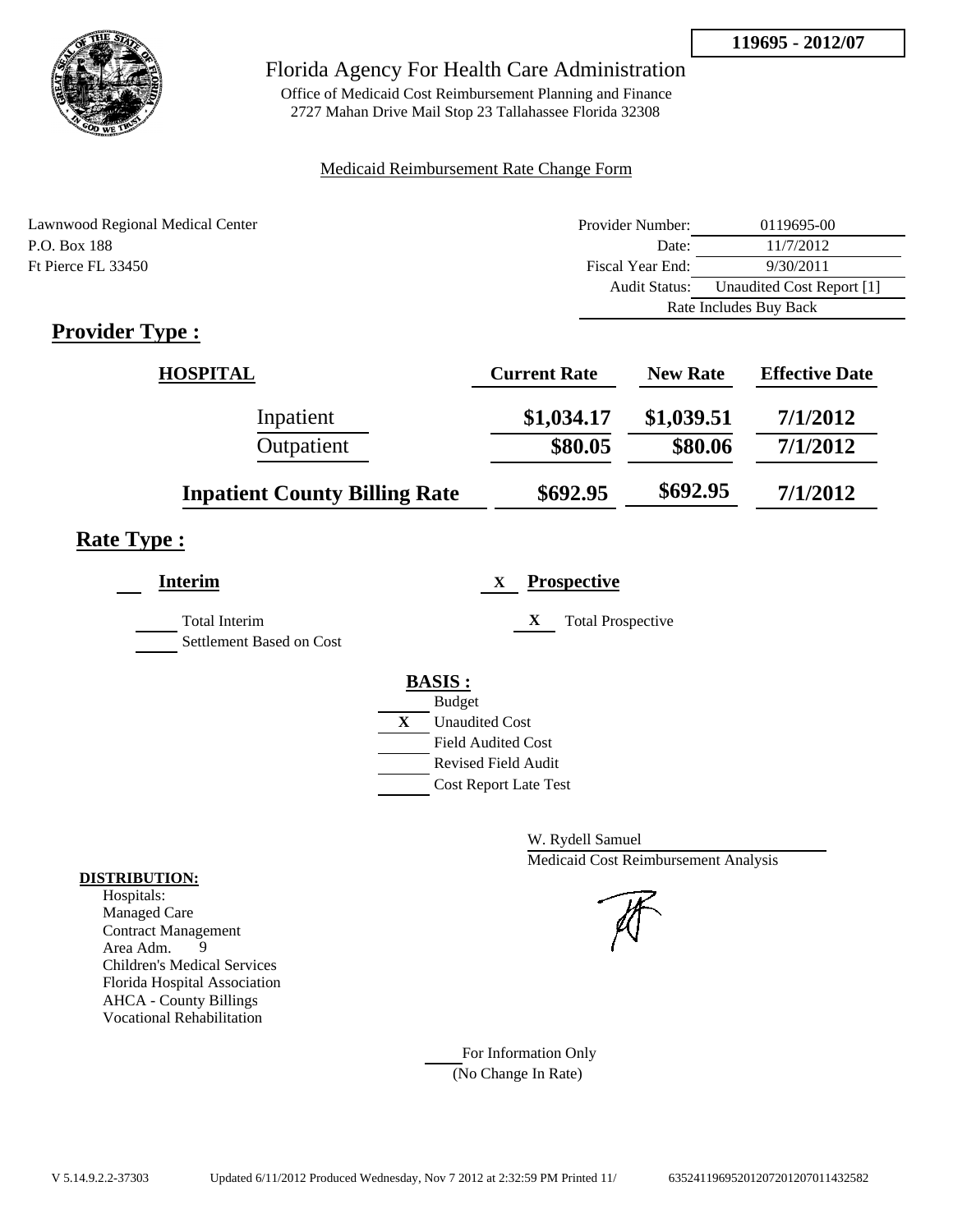

## Florida Agency For Health Care Administration

Office of Medicaid Cost Reimbursement Planning and Finance 2727 Mahan Drive Mail Stop 23 Tallahassee Florida 32308

### Medicaid Reimbursement Rate Change Form

| Lawnwood Regional Medical Center | Provider Number:     | 0119695-00                |  |
|----------------------------------|----------------------|---------------------------|--|
| P.O. Box 188                     | Date:                | 11/7/2012                 |  |
| Ft Pierce FL 33450               | Fiscal Year End:     | 9/30/2011                 |  |
|                                  | <b>Audit Status:</b> | Unaudited Cost Report [1] |  |
|                                  |                      | Rate Includes Buy Back    |  |
|                                  |                      |                           |  |

# **Provider Type :**

| <b>HOSPITAL</b>                      | <b>Current Rate</b> | <b>New Rate</b> | <b>Effective Date</b> |
|--------------------------------------|---------------------|-----------------|-----------------------|
| Inpatient                            | \$1,034.17          | \$1,039.51      | 7/1/2012              |
| Outpatient                           | \$80.05             | \$80.06         | 7/1/2012              |
| <b>Inpatient County Billing Rate</b> | \$692.95            | \$692.95        | 7/1/2012              |

## **Rate Type :**

| <b>Interim</b>                                   | <b>Prospective</b><br>X               |
|--------------------------------------------------|---------------------------------------|
| <b>Total Interim</b><br>Settlement Based on Cost | X<br><b>Total Prospective</b>         |
|                                                  | <b>BASIS:</b>                         |
|                                                  | <b>Budget</b>                         |
|                                                  | $\mathbf{X}$<br><b>Unaudited Cost</b> |
|                                                  | <b>Field Audited Cost</b>             |
|                                                  | Revised Field Audit                   |
|                                                  | <b>Cost Report Late Test</b>          |
|                                                  |                                       |

W. Rydell Samuel Medicaid Cost Reimbursement Analysis

For Information Only (No Change In Rate)

#### **DISTRIBUTION:**

Hospitals: Managed Care Contract Management<br>Area Adm. 9 Area Adm. 9 Children's Medical Services Florida Hospital Association AHCA - County Billings Vocational Rehabilitation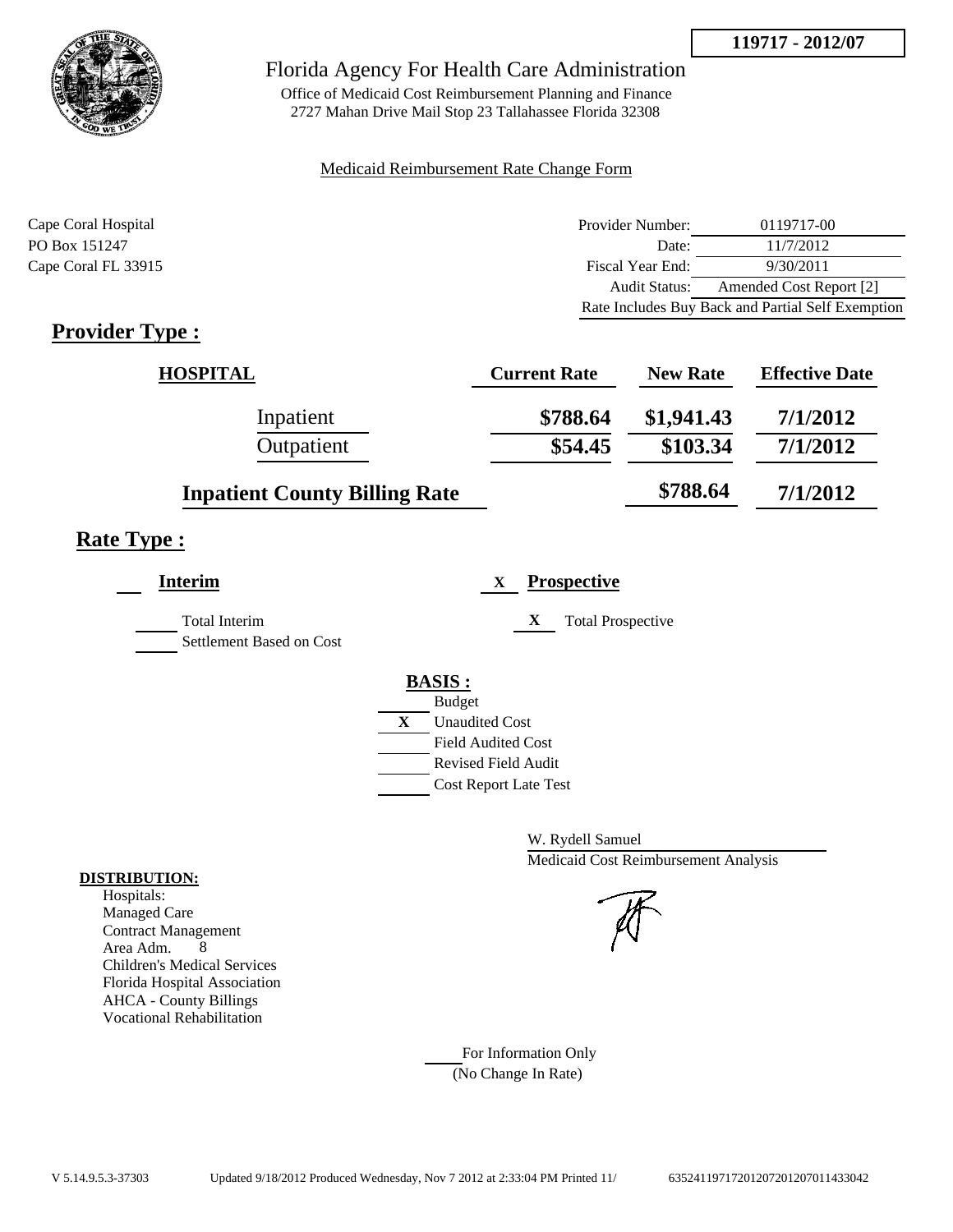

## Florida Agency For Health Care Administration

Office of Medicaid Cost Reimbursement Planning and Finance 2727 Mahan Drive Mail Stop 23 Tallahassee Florida 32308

### Medicaid Reimbursement Rate Change Form

| Cape Coral Hospital | Provider Number:     | 0119717-00                                        |
|---------------------|----------------------|---------------------------------------------------|
| PO Box 151247       | Date:                | 11/7/2012                                         |
| Cape Coral FL 33915 | Fiscal Year End:     | 9/30/2011                                         |
|                     | <b>Audit Status:</b> | Amended Cost Report [2]                           |
|                     |                      | Rate Includes Buy Back and Partial Self Exemption |

# **Provider Type :**

| <b>HOSPITAL</b>                      | <b>Current Rate</b> | <b>New Rate</b> | <b>Effective Date</b> |
|--------------------------------------|---------------------|-----------------|-----------------------|
| Inpatient                            | \$788.64            | \$1,941.43      | 7/1/2012              |
| Outpatient                           | \$54.45             | \$103.34        | 7/1/2012              |
| <b>Inpatient County Billing Rate</b> |                     | \$788.64        | 7/1/2012              |

# **Rate Type :**

| Interim                                          | <b>Prospective</b><br>X       |
|--------------------------------------------------|-------------------------------|
| <b>Total Interim</b><br>Settlement Based on Cost | X<br><b>Total Prospective</b> |
|                                                  | <b>BASIS:</b>                 |
|                                                  | <b>Budget</b>                 |
|                                                  | <b>Unaudited Cost</b><br>X    |
|                                                  | <b>Field Audited Cost</b>     |
|                                                  | <b>Revised Field Audit</b>    |
|                                                  | <b>Cost Report Late Test</b>  |

W. Rydell Samuel Medicaid Cost Reimbursement Analysis

For Information Only (No Change In Rate)

#### **DISTRIBUTION:**

Hospitals: Managed Care Contract Management Area Adm. 8 Children's Medical Services Florida Hospital Association AHCA - County Billings Vocational Rehabilitation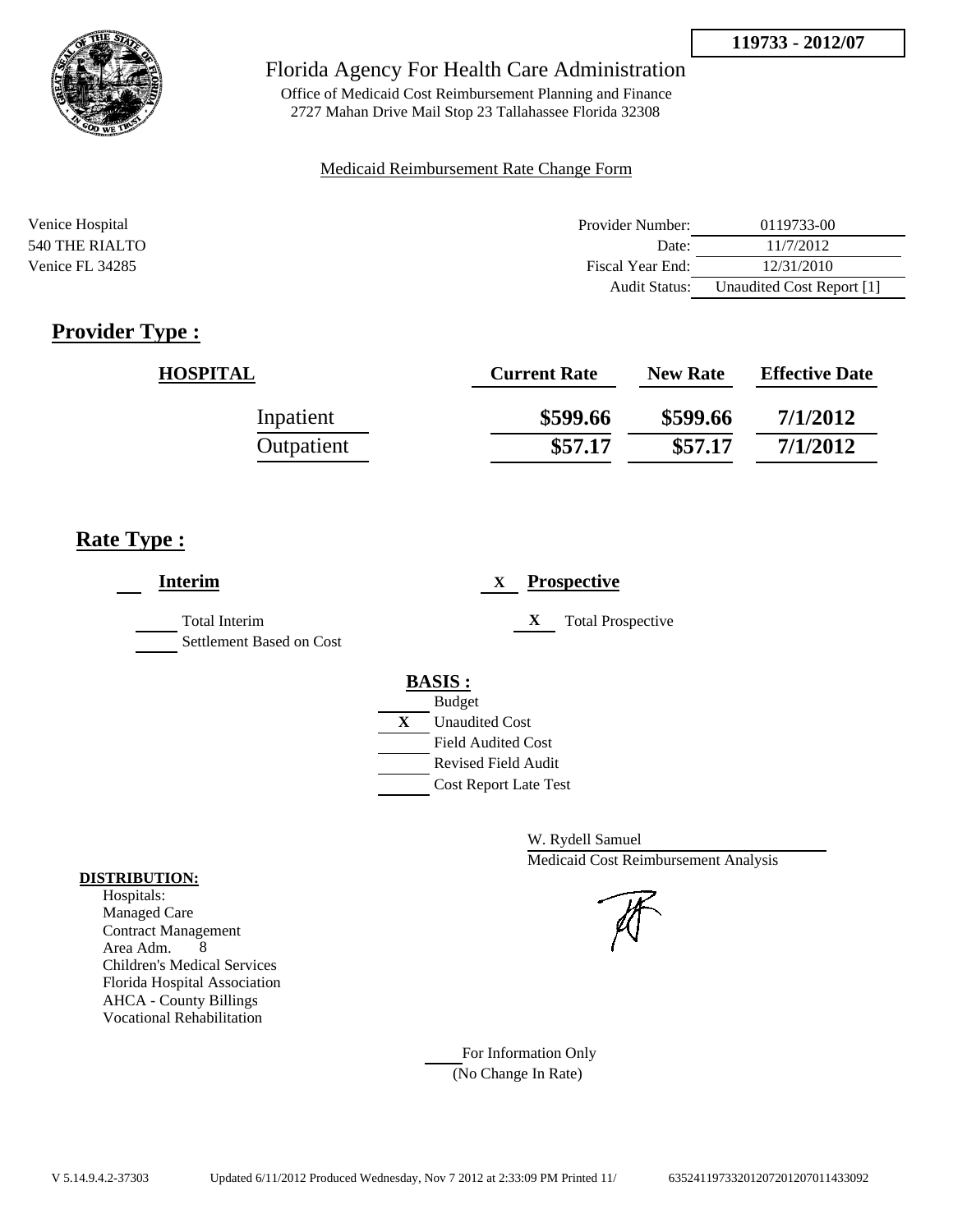

## Florida Agency For Health Care Administration

Office of Medicaid Cost Reimbursement Planning and Finance 2727 Mahan Drive Mail Stop 23 Tallahassee Florida 32308

#### Medicaid Reimbursement Rate Change Form

| Venice Hospital | Provider Number:     | 0119733-00                |
|-----------------|----------------------|---------------------------|
| 540 THE RIALTO  | Date:                | 11/7/2012                 |
| Venice FL 34285 | Fiscal Year End:     | 12/31/2010                |
|                 | <b>Audit Status:</b> | Unaudited Cost Report [1] |

# **Provider Type :**

| <b>HOSPITAL</b> | <b>Current Rate</b> | <b>New Rate</b> | <b>Effective Date</b> |
|-----------------|---------------------|-----------------|-----------------------|
| Inpatient       | \$599.66            | \$599.66        | 7/1/2012              |
| Outpatient      | \$57.17             | \$57.17         | 7/1/2012              |

## **Rate Type :**

| <b>Interim</b>                                   | <b>Prospective</b><br>X       |
|--------------------------------------------------|-------------------------------|
| <b>Total Interim</b><br>Settlement Based on Cost | X<br><b>Total Prospective</b> |
|                                                  | <b>BASIS:</b>                 |
|                                                  | <b>Budget</b>                 |
|                                                  | X<br><b>Unaudited Cost</b>    |
|                                                  | <b>Field Audited Cost</b>     |
|                                                  | <b>Revised Field Audit</b>    |
|                                                  | Cost Report Late Test         |
|                                                  |                               |

W. Rydell Samuel Medicaid Cost Reimbursement Analysis

For Information Only (No Change In Rate)

#### **DISTRIBUTION:**

Hospitals: Managed Care Contract Management Area Adm. 8 Children's Medical Services Florida Hospital Association AHCA - County Billings Vocational Rehabilitation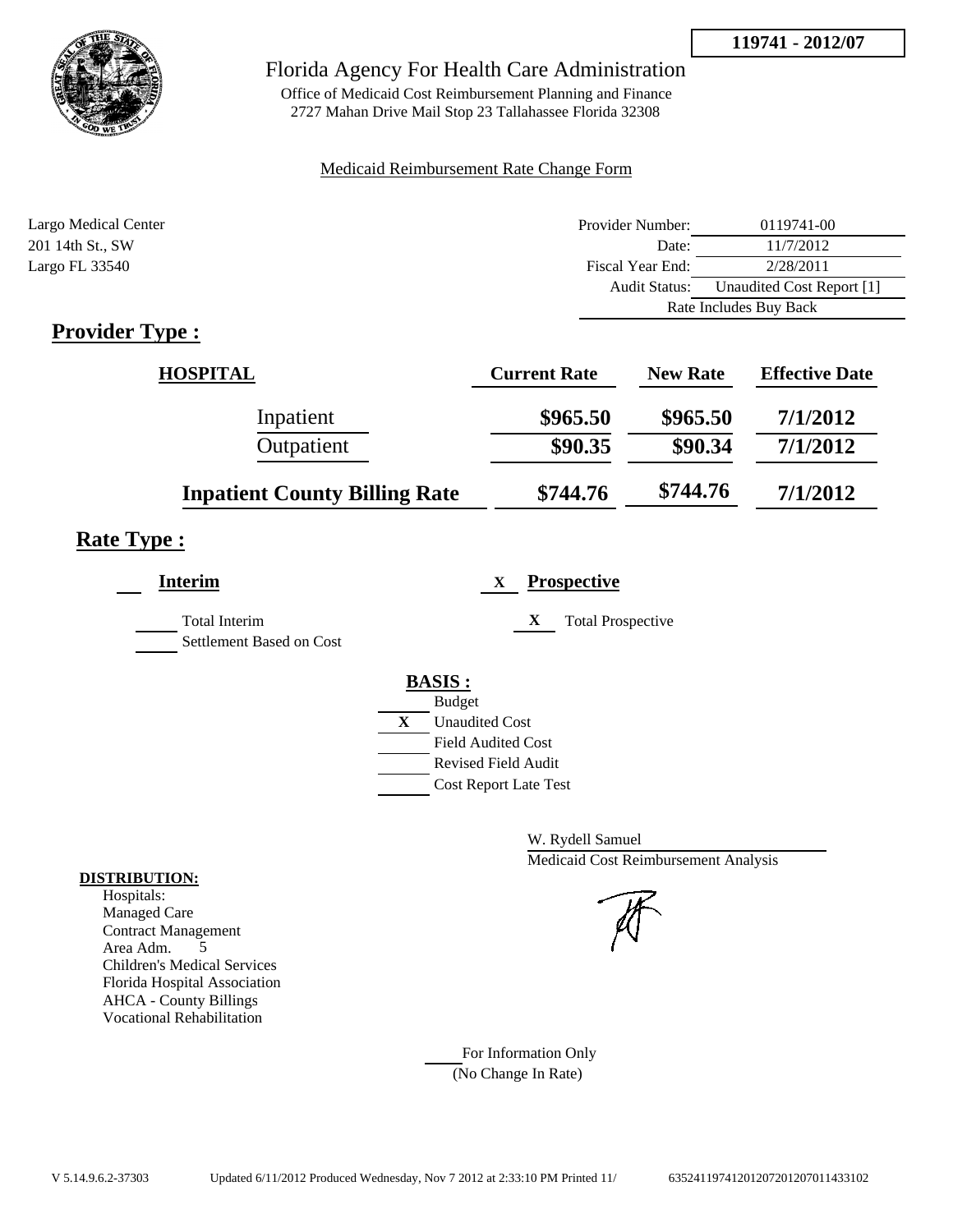

## Florida Agency For Health Care Administration

Office of Medicaid Cost Reimbursement Planning and Finance 2727 Mahan Drive Mail Stop 23 Tallahassee Florida 32308

### Medicaid Reimbursement Rate Change Form

| Largo Medical Center | Provider Number:     | 0119741-00                |
|----------------------|----------------------|---------------------------|
| 201 14th St., SW     | Date:                | 11/7/2012                 |
| Largo FL 33540       | Fiscal Year End:     | 2/28/2011                 |
|                      | <b>Audit Status:</b> | Unaudited Cost Report [1] |
|                      |                      | Rate Includes Buy Back    |

# **Provider Type :**

| <b>HOSPITAL</b>                      | <b>Current Rate</b> | <b>New Rate</b> | <b>Effective Date</b> |
|--------------------------------------|---------------------|-----------------|-----------------------|
| Inpatient                            | \$965.50            | \$965.50        | 7/1/2012              |
| Outpatient                           | \$90.35             | \$90.34         | 7/1/2012              |
| <b>Inpatient County Billing Rate</b> | \$744.76            | \$744.76        | 7/1/2012              |

# **Rate Type :**

| <b>Interim</b>                            | <b>Prospective</b><br>$\mathbf X$                                                                                                                |
|-------------------------------------------|--------------------------------------------------------------------------------------------------------------------------------------------------|
| Total Interim<br>Settlement Based on Cost | X<br><b>Total Prospective</b>                                                                                                                    |
|                                           | <b>BASIS:</b><br><b>Budget</b><br>X<br><b>Unaudited Cost</b><br><b>Field Audited Cost</b><br>Revised Field Audit<br><b>Cost Report Late Test</b> |

W. Rydell Samuel Medicaid Cost Reimbursement Analysis

For Information Only (No Change In Rate)

#### **DISTRIBUTION:**

Hospitals: Managed Care Contract Management Area Adm. 5 Children's Medical Services Florida Hospital Association AHCA - County Billings Vocational Rehabilitation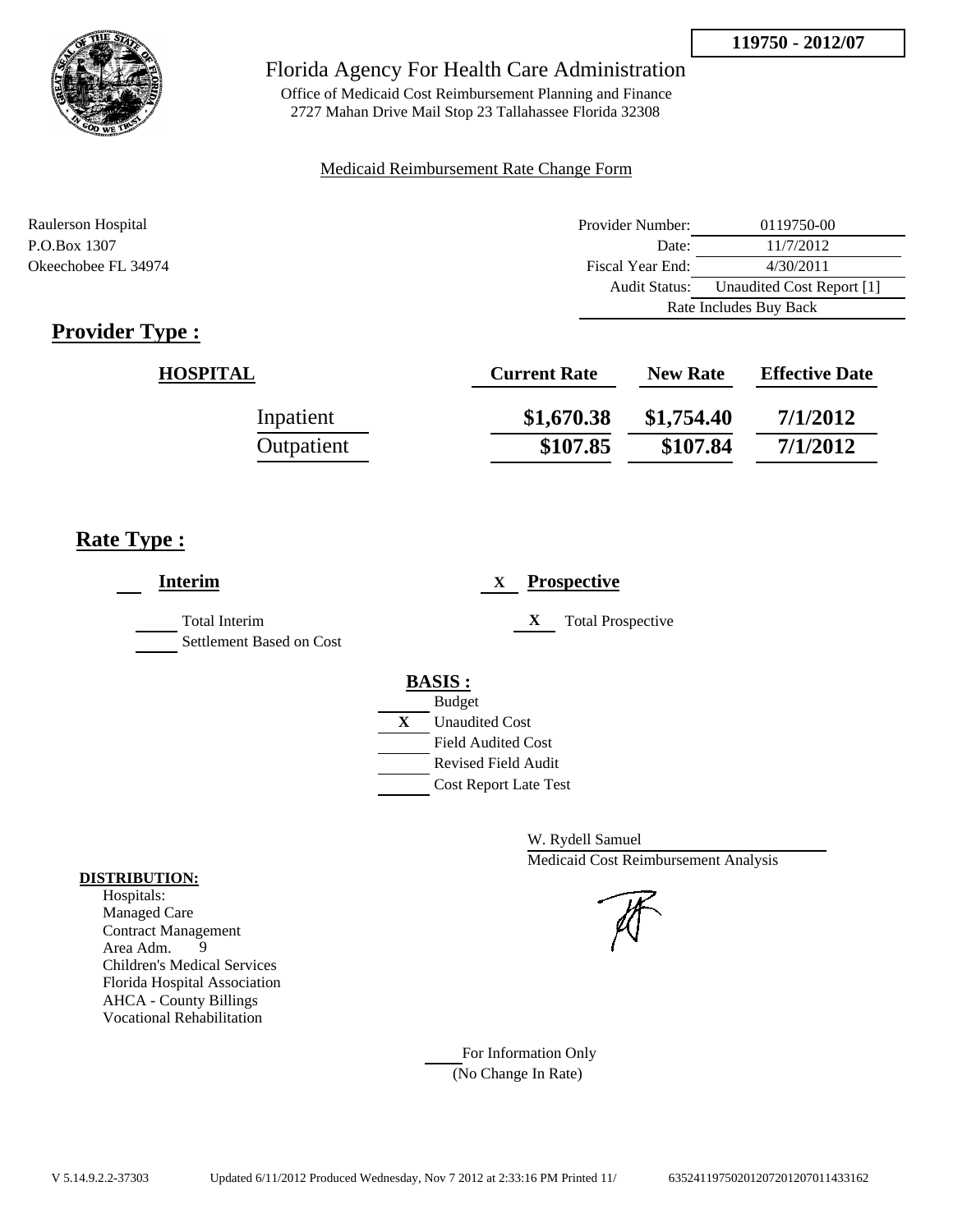

## Florida Agency For Health Care Administration

Office of Medicaid Cost Reimbursement Planning and Finance 2727 Mahan Drive Mail Stop 23 Tallahassee Florida 32308

## Medicaid Reimbursement Rate Change Form

| Raulerson Hospital  | Provider Number:     | 0119750-00                |  |
|---------------------|----------------------|---------------------------|--|
| P.O.Box 1307        | Date:                | 11/7/2012                 |  |
| Okeechobee FL 34974 | Fiscal Year End:     | 4/30/2011                 |  |
|                     | <b>Audit Status:</b> | Unaudited Cost Report [1] |  |
|                     |                      | Rate Includes Buy Back    |  |

# **Provider Type :**

| <b>HOSPITAL</b> | <b>Current Rate</b> | <b>New Rate</b> | <b>Effective Date</b> |
|-----------------|---------------------|-----------------|-----------------------|
| Inpatient       | \$1,670.38          | \$1,754.40      | 7/1/2012              |
| Outpatient      | \$107.85            | \$107.84        | 7/1/2012              |

# **Rate Type :**

| <b>Interim</b>                                   | <b>Prospective</b><br>X       |
|--------------------------------------------------|-------------------------------|
| <b>Total Interim</b><br>Settlement Based on Cost | <b>Total Prospective</b><br>X |
|                                                  | <b>BASIS:</b>                 |
|                                                  | <b>Budget</b>                 |
|                                                  | X<br><b>Unaudited Cost</b>    |
|                                                  | <b>Field Audited Cost</b>     |
|                                                  | <b>Revised Field Audit</b>    |
|                                                  | <b>Cost Report Late Test</b>  |
|                                                  |                               |

W. Rydell Samuel Medicaid Cost Reimbursement Analysis

For Information Only (No Change In Rate)

## **DISTRIBUTION:**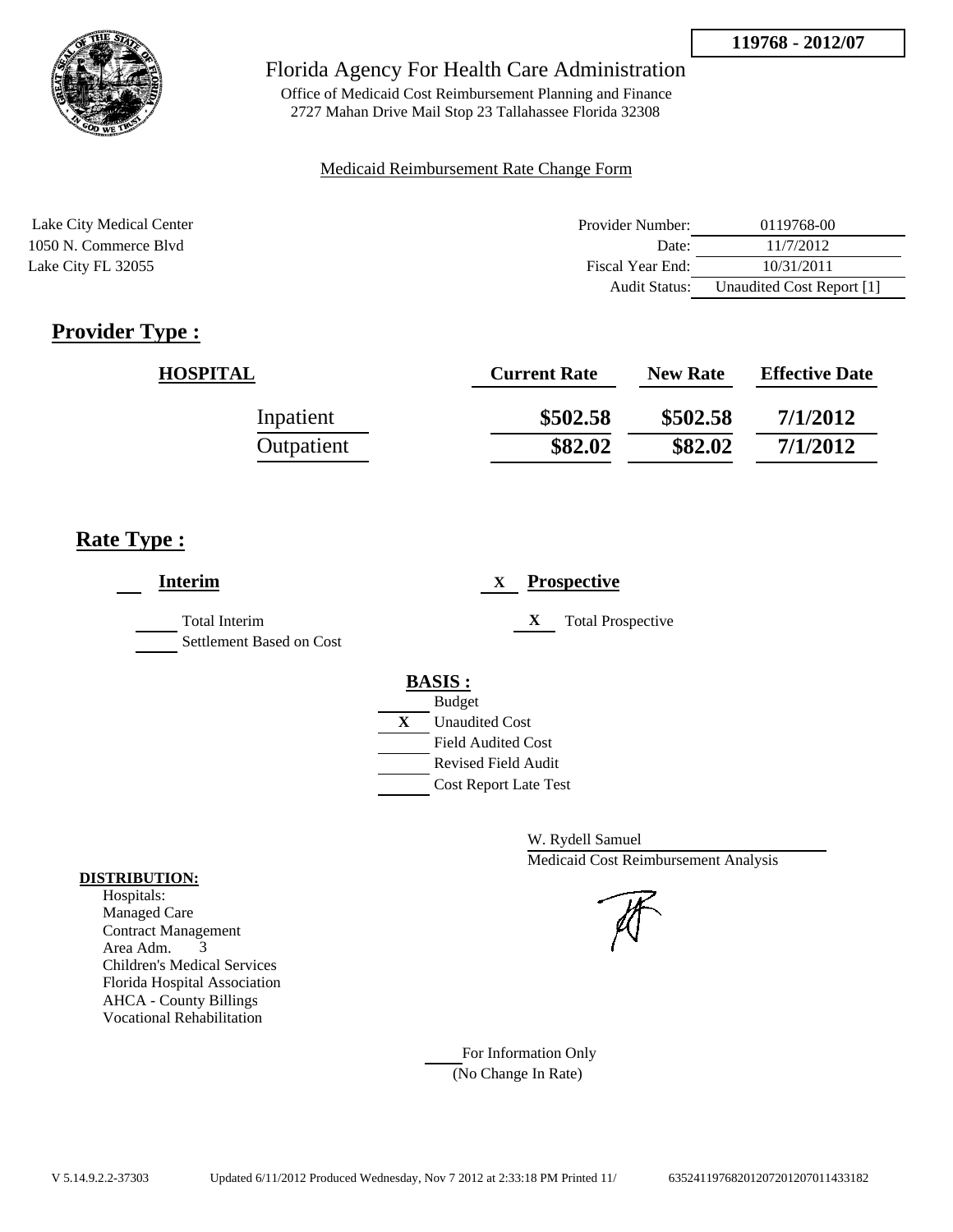

Office of Medicaid Cost Reimbursement Planning and Finance 2727 Mahan Drive Mail Stop 23 Tallahassee Florida 32308

## Medicaid Reimbursement Rate Change Form

| Lake City Medical Center | Provider Number: | 0119768-00                |
|--------------------------|------------------|---------------------------|
| 1050 N. Commerce Blvd    | Date:            | 11/7/2012                 |
| Lake City FL 32055       | Fiscal Year End: | 10/31/2011                |
|                          | Audit Status:    | Unaudited Cost Report [1] |

# **Provider Type :**

| <b>HOSPITAL</b> | <b>Current Rate</b> | <b>New Rate</b> | <b>Effective Date</b> |
|-----------------|---------------------|-----------------|-----------------------|
| Inpatient       | \$502.58            | \$502.58        | 7/1/2012              |
| Outpatient      | \$82.02             | \$82.02         | 7/1/2012              |

# **Rate Type :**

| <b>Interim</b>                                   | <b>Prospective</b><br>X               |
|--------------------------------------------------|---------------------------------------|
| <b>Total Interim</b><br>Settlement Based on Cost | X<br><b>Total Prospective</b>         |
|                                                  | <b>BASIS:</b>                         |
|                                                  | <b>Budget</b>                         |
|                                                  | $\mathbf{X}$<br><b>Unaudited Cost</b> |
|                                                  | <b>Field Audited Cost</b>             |
|                                                  | <b>Revised Field Audit</b>            |
|                                                  | <b>Cost Report Late Test</b>          |
|                                                  |                                       |

W. Rydell Samuel Medicaid Cost Reimbursement Analysis

For Information Only (No Change In Rate)

## **DISTRIBUTION:**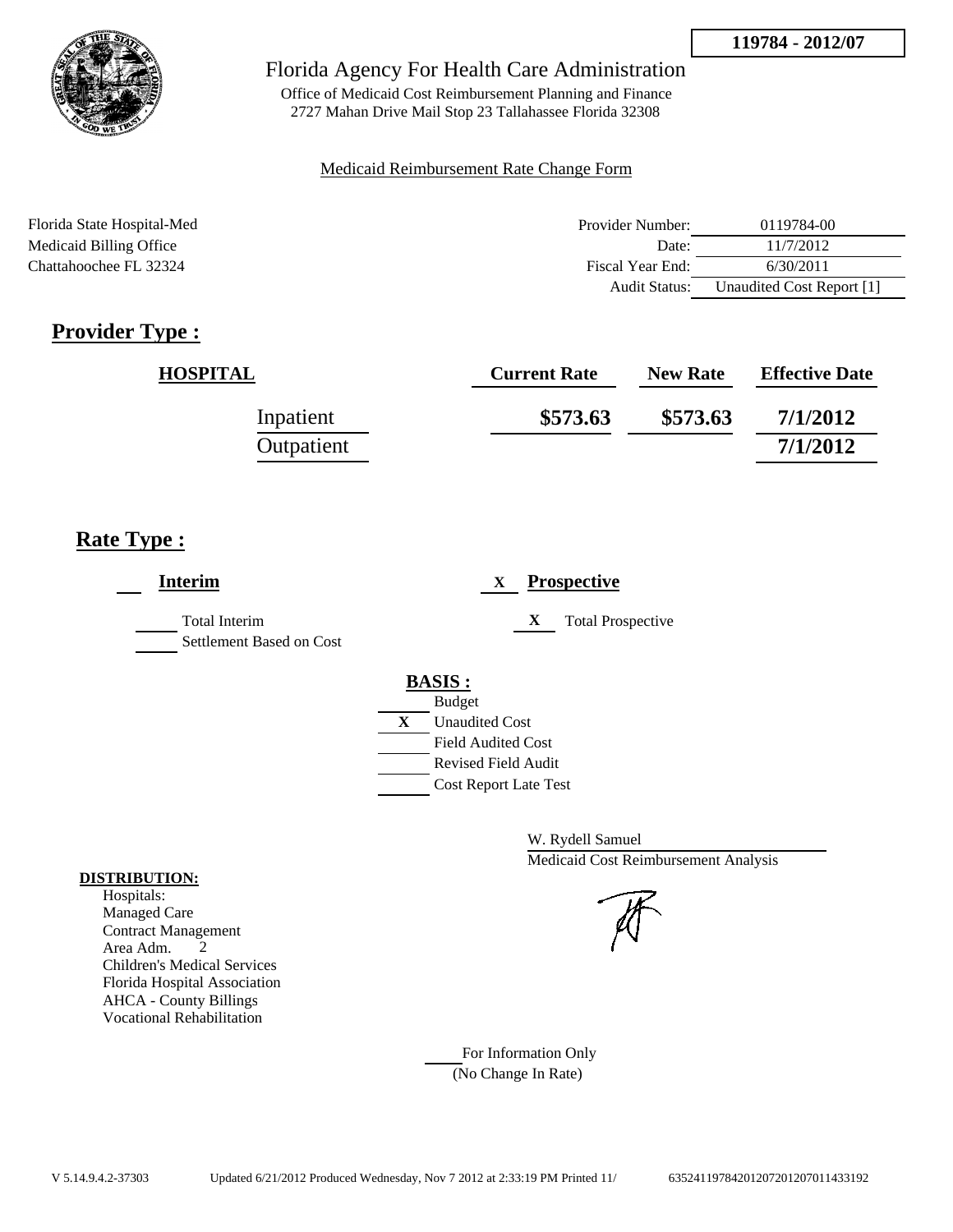

Office of Medicaid Cost Reimbursement Planning and Finance 2727 Mahan Drive Mail Stop 23 Tallahassee Florida 32308

## Medicaid Reimbursement Rate Change Form

Florida State Hospital-Med Provider Number: 0119784-00 Medicaid Billing Office Date: 11/7/2012 Chattahoochee FL 32324 Fiscal Year End: 6/30/2011 Audit Status: Unaudited Cost Report [1]

# **Provider Type :**

| <b>HOSPITAL</b> | <b>Current Rate</b> | <b>New Rate</b> | <b>Effective Date</b> |
|-----------------|---------------------|-----------------|-----------------------|
| Inpatient       | \$573.63            | \$573.63        | 7/1/2012              |
| Outpatient      |                     |                 | 7/1/2012              |

# **Rate Type :**

|   | <b>Prospective</b><br>X       |
|---|-------------------------------|
|   | X<br><b>Total Prospective</b> |
|   | <b>BASIS:</b>                 |
|   | <b>Budget</b>                 |
| X | <b>Unaudited Cost</b>         |
|   | <b>Field Audited Cost</b>     |
|   | <b>Revised Field Audit</b>    |
|   | <b>Cost Report Late Test</b>  |
|   |                               |
|   |                               |

W. Rydell Samuel Medicaid Cost Reimbursement Analysis

For Information Only (No Change In Rate)

## **DISTRIBUTION:**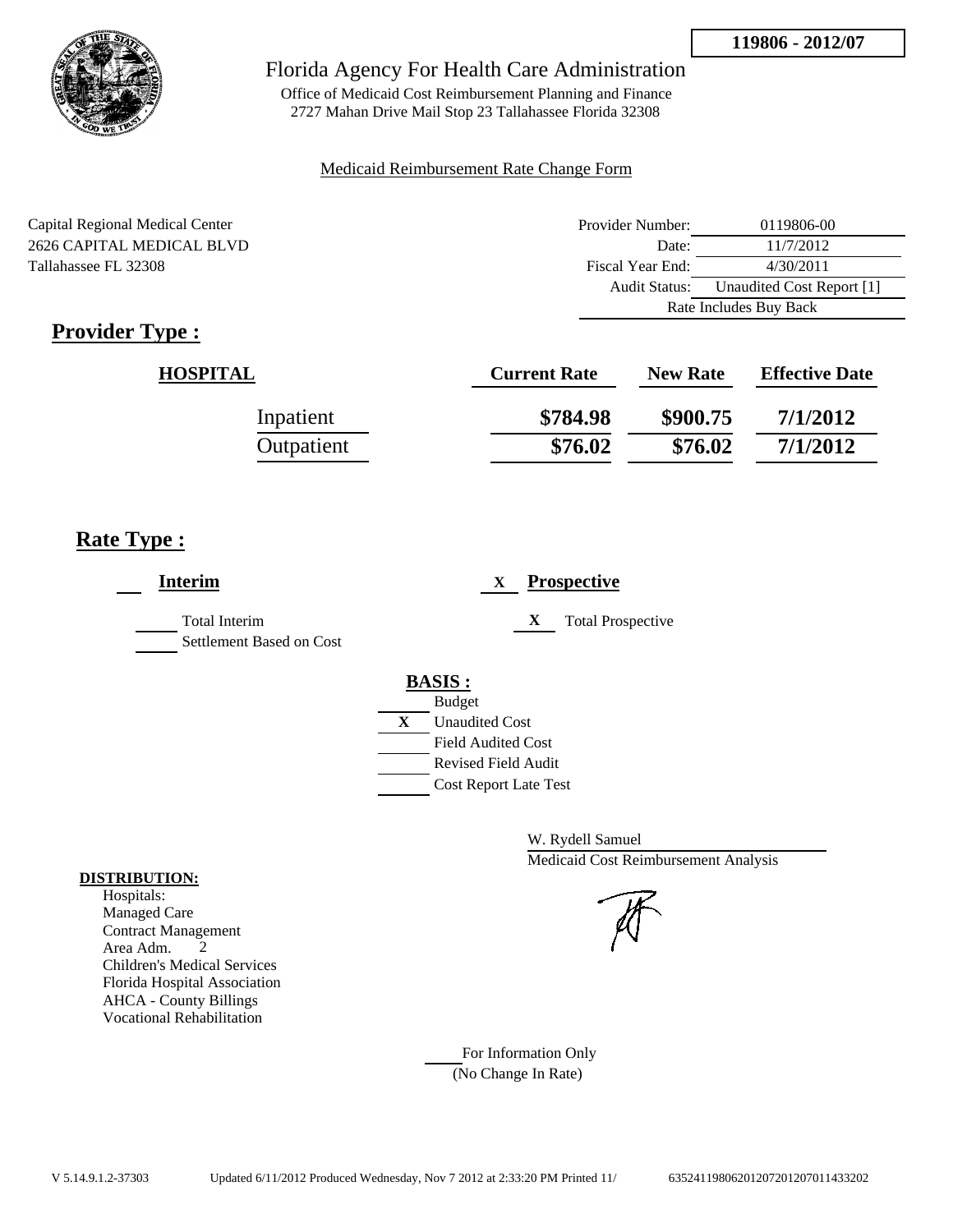

Office of Medicaid Cost Reimbursement Planning and Finance 2727 Mahan Drive Mail Stop 23 Tallahassee Florida 32308

## Medicaid Reimbursement Rate Change Form

Capital Regional Medical Center 2626 CAPITAL MEDICAL BLVD Tallahassee FL 32308

| Provider Number:       | 0119806-00                |  |
|------------------------|---------------------------|--|
| Date:                  | 11/7/2012                 |  |
| Fiscal Year End:       | 4/30/2011                 |  |
| Audit Status:          | Unaudited Cost Report [1] |  |
| Rate Includes Buy Back |                           |  |

# **Provider Type :**

| <b>HOSPITAL</b> | <b>Current Rate</b> | <b>New Rate</b> | <b>Effective Date</b> |
|-----------------|---------------------|-----------------|-----------------------|
| Inpatient       | \$784.98            | \$900.75        | 7/1/2012              |
| Outpatient      | \$76.02             | \$76.02         | 7/1/2012              |

# **Rate Type :**

| <b>Interim</b>                                   | <b>Prospective</b><br>$\mathbf{X}$                                                                                                                      |
|--------------------------------------------------|---------------------------------------------------------------------------------------------------------------------------------------------------------|
| <b>Total Interim</b><br>Settlement Based on Cost | X<br><b>Total Prospective</b>                                                                                                                           |
|                                                  | <b>BASIS:</b><br><b>Budget</b><br>X<br><b>Unaudited Cost</b><br><b>Field Audited Cost</b><br><b>Revised Field Audit</b><br><b>Cost Report Late Test</b> |

W. Rydell Samuel Medicaid Cost Reimbursement Analysis

For Information Only (No Change In Rate)

## **DISTRIBUTION:**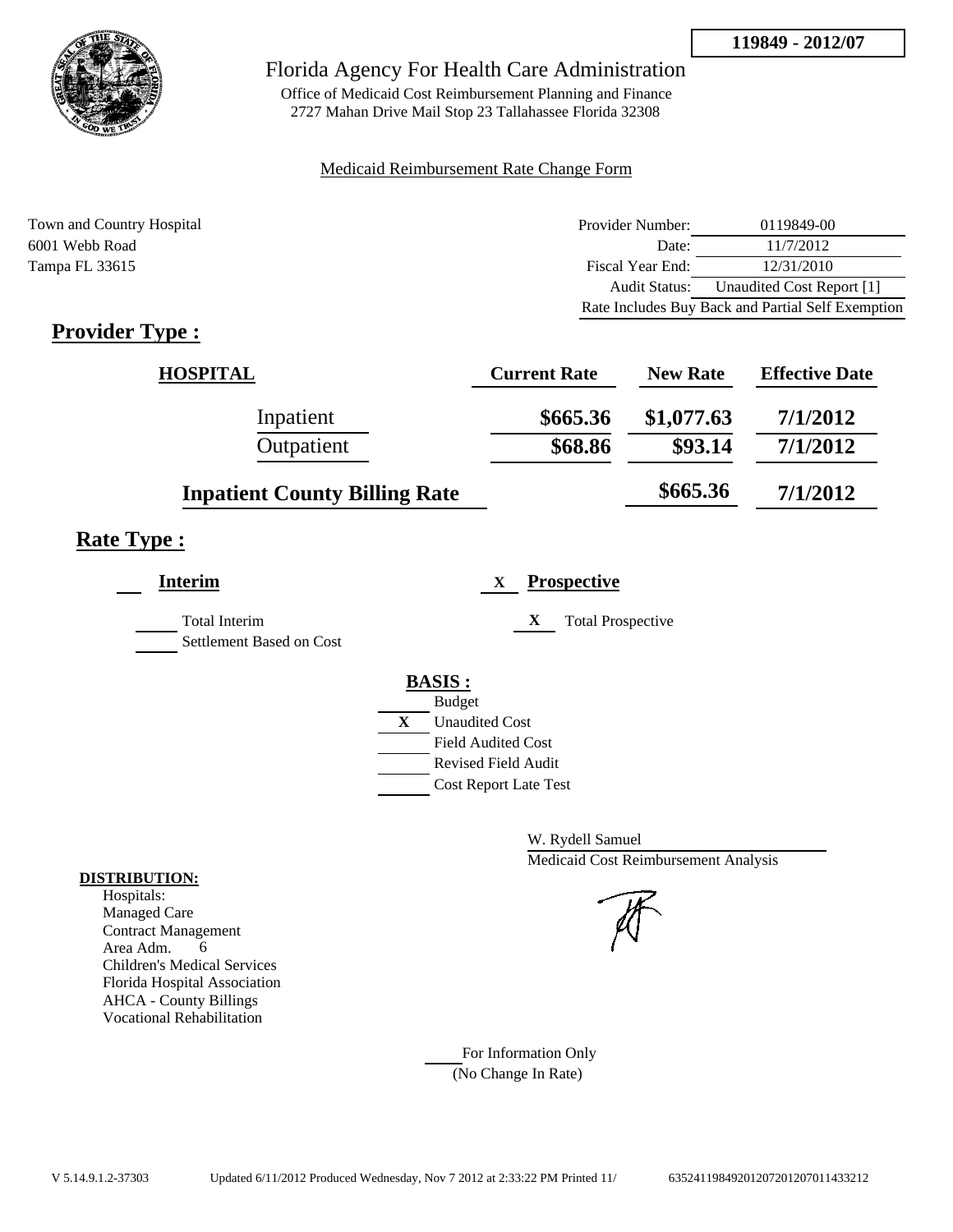

Office of Medicaid Cost Reimbursement Planning and Finance 2727 Mahan Drive Mail Stop 23 Tallahassee Florida 32308

## Medicaid Reimbursement Rate Change Form

Town and Country Hospital **Provider Number:** 0119849-00 6001 Webb Road Date: 11/7/2012 Tampa FL 33615 Fiscal Year End: 12/31/2010 Audit Status: Unaudited Cost Report [1] Rate Includes Buy Back and Partial Self Exemption

# **Provider Type :**

| <b>HOSPITAL</b>                      | <b>Current Rate</b> | <b>New Rate</b> | <b>Effective Date</b> |
|--------------------------------------|---------------------|-----------------|-----------------------|
| Inpatient                            | \$665.36            | \$1,077.63      | 7/1/2012              |
| Outpatient                           | \$68.86             | \$93.14         | 7/1/2012              |
| <b>Inpatient County Billing Rate</b> |                     | \$665.36        | 7/1/2012              |

## **Rate Type :**

| <b>Interim</b>                                   | <b>Prospective</b><br>X       |  |
|--------------------------------------------------|-------------------------------|--|
| <b>Total Interim</b><br>Settlement Based on Cost | X<br><b>Total Prospective</b> |  |
|                                                  | <b>BASIS:</b>                 |  |
|                                                  | <b>Budget</b>                 |  |
|                                                  | X<br><b>Unaudited Cost</b>    |  |
|                                                  | <b>Field Audited Cost</b>     |  |
|                                                  | Revised Field Audit           |  |
|                                                  | <b>Cost Report Late Test</b>  |  |
|                                                  |                               |  |

W. Rydell Samuel Medicaid Cost Reimbursement Analysis

For Information Only (No Change In Rate)

## **DISTRIBUTION:**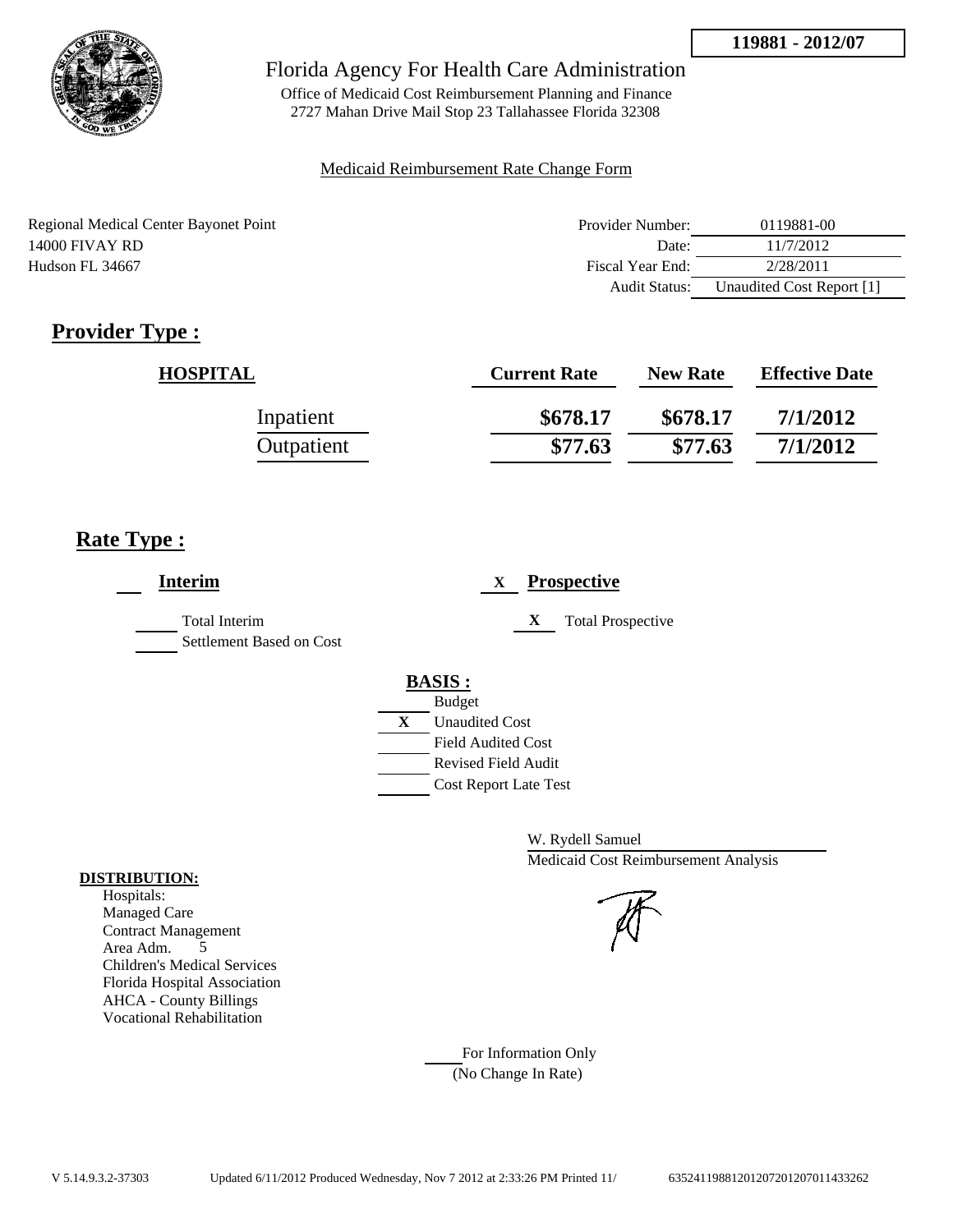

Office of Medicaid Cost Reimbursement Planning and Finance 2727 Mahan Drive Mail Stop 23 Tallahassee Florida 32308

## Medicaid Reimbursement Rate Change Form

| Regional Medical Center Bayonet Point | Provider Number: | 0119881-00                |
|---------------------------------------|------------------|---------------------------|
| 14000 FIVAY RD                        | Date:            | 11/7/2012                 |
| Hudson FL 34667                       | Fiscal Year End: | 2/28/2011                 |
|                                       | Audit Status:    | Unaudited Cost Report [1] |

# **Provider Type :**

| <b>HOSPITAL</b> | <b>Current Rate</b> | <b>New Rate</b> | <b>Effective Date</b> |
|-----------------|---------------------|-----------------|-----------------------|
| Inpatient       | \$678.17            | \$678.17        | 7/1/2012              |
| Outpatient      | \$77.63             | \$77.63         | 7/1/2012              |

## **Rate Type :**

| <b>Interim</b>                                   | <b>Prospective</b><br>X       |
|--------------------------------------------------|-------------------------------|
| <b>Total Interim</b><br>Settlement Based on Cost | X<br><b>Total Prospective</b> |
|                                                  | <b>BASIS:</b>                 |
|                                                  | <b>Budget</b>                 |
|                                                  | X<br><b>Unaudited Cost</b>    |
|                                                  | <b>Field Audited Cost</b>     |
|                                                  | <b>Revised Field Audit</b>    |
|                                                  | Cost Report Late Test         |
|                                                  |                               |

W. Rydell Samuel Medicaid Cost Reimbursement Analysis

For Information Only (No Change In Rate)

## **DISTRIBUTION:**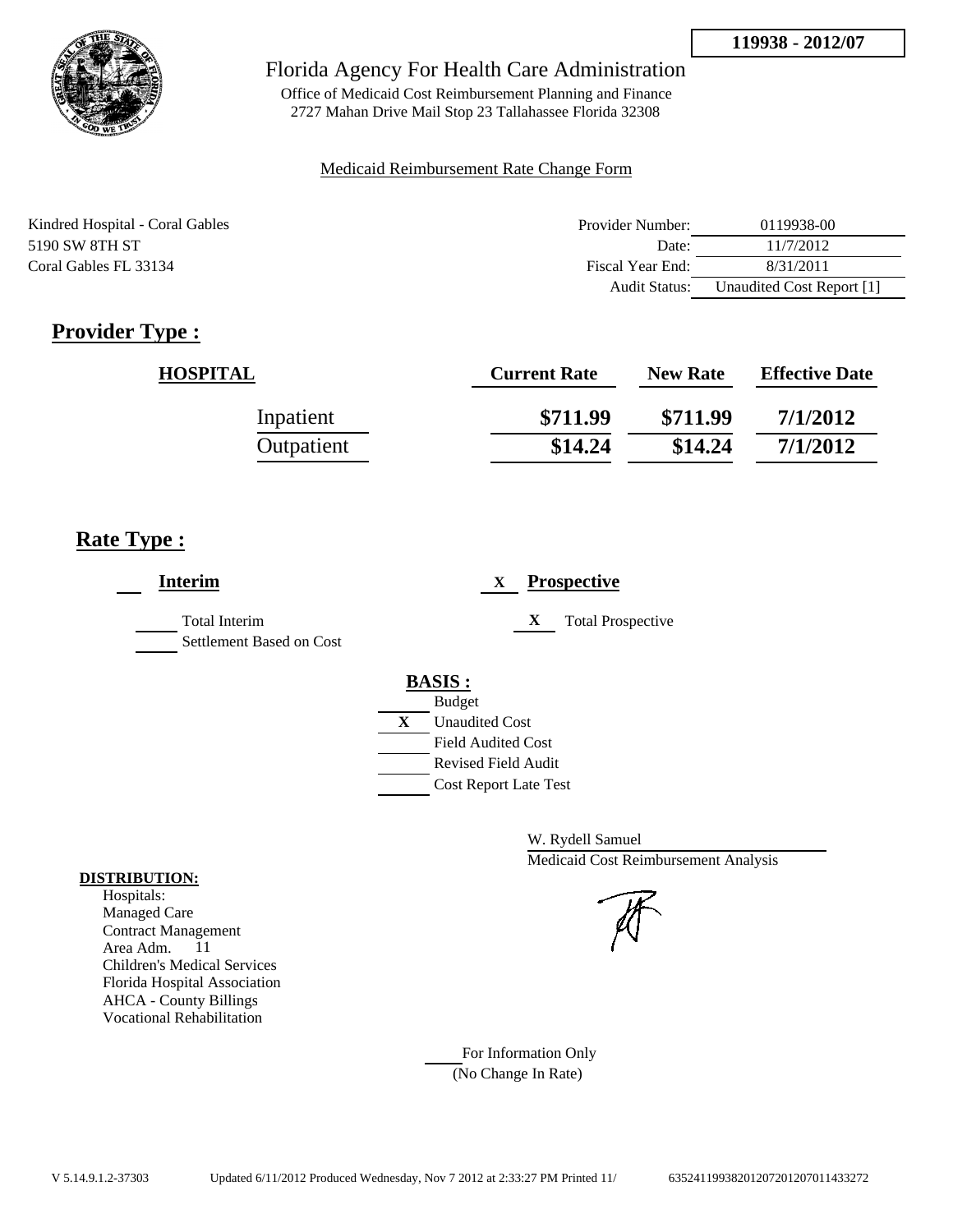

Office of Medicaid Cost Reimbursement Planning and Finance 2727 Mahan Drive Mail Stop 23 Tallahassee Florida 32308

## Medicaid Reimbursement Rate Change Form

| Kindred Hospital - Coral Gables | Provider Number:     | 0119938-00                |
|---------------------------------|----------------------|---------------------------|
| 5190 SW 8TH ST                  | Date:                | 11/7/2012                 |
| Coral Gables FL 33134           | Fiscal Year End:     | 8/31/2011                 |
|                                 | <b>Audit Status:</b> | Unaudited Cost Report [1] |

# **Provider Type :**

| <b>HOSPITAL</b> | <b>Current Rate</b> | <b>New Rate</b> | <b>Effective Date</b> |
|-----------------|---------------------|-----------------|-----------------------|
| Inpatient       | \$711.99            | \$711.99        | 7/1/2012              |
| Outpatient      | \$14.24             | \$14.24         | 7/1/2012              |

# **Rate Type :**

| <b>Interim</b>                                   | <b>Prospective</b><br>X       |
|--------------------------------------------------|-------------------------------|
| <b>Total Interim</b><br>Settlement Based on Cost | X<br><b>Total Prospective</b> |
|                                                  | <b>BASIS:</b>                 |
|                                                  | <b>Budget</b>                 |
|                                                  | X<br><b>Unaudited Cost</b>    |
|                                                  | <b>Field Audited Cost</b>     |
|                                                  | <b>Revised Field Audit</b>    |
|                                                  | Cost Report Late Test         |
|                                                  |                               |

W. Rydell Samuel Medicaid Cost Reimbursement Analysis

For Information Only (No Change In Rate)

#### **DISTRIBUTION:**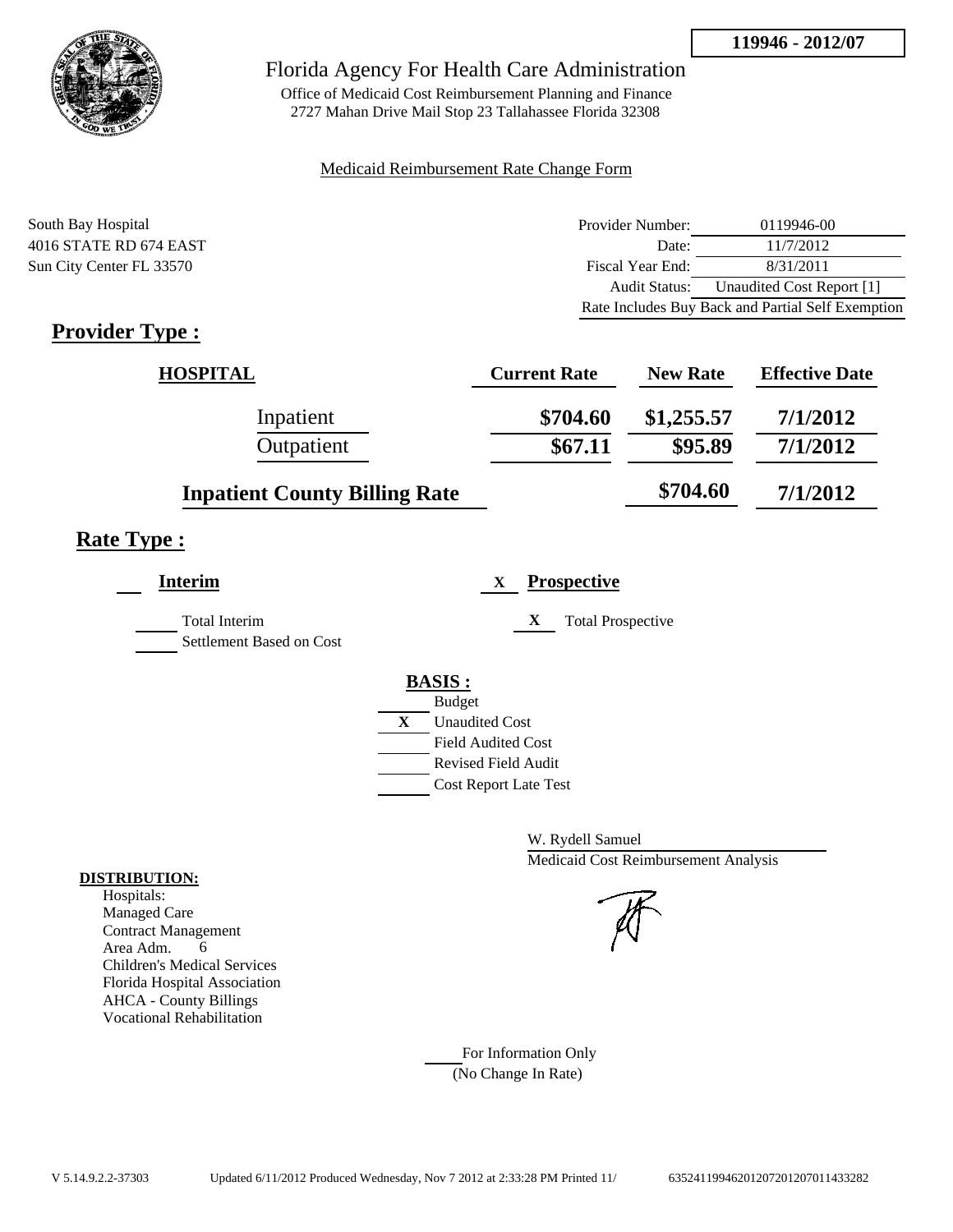

Office of Medicaid Cost Reimbursement Planning and Finance 2727 Mahan Drive Mail Stop 23 Tallahassee Florida 32308

## Medicaid Reimbursement Rate Change Form

South Bay Hospital 4016 STATE RD 674 EAST Sun City Center FL 33570

| Provider Number: | 0119946-00                                        |
|------------------|---------------------------------------------------|
| Date:            | 11/7/2012                                         |
| Fiscal Year End: | 8/31/2011                                         |
| Audit Status:    | Unaudited Cost Report [1]                         |
|                  | Rate Includes Buy Back and Partial Self Exemption |

# **Provider Type :**

| <b>HOSPITAL</b>                      | <b>Current Rate</b> | <b>New Rate</b> | <b>Effective Date</b> |
|--------------------------------------|---------------------|-----------------|-----------------------|
| Inpatient                            | \$704.60            | \$1,255.57      | 7/1/2012              |
| Outpatient                           | \$67.11             | \$95.89         | 7/1/2012              |
| <b>Inpatient County Billing Rate</b> |                     | \$704.60        | 7/1/2012              |

# **Rate Type :**

| <b>Interim</b>                            | <b>Prospective</b><br>X       |
|-------------------------------------------|-------------------------------|
| Total Interim<br>Settlement Based on Cost | X<br><b>Total Prospective</b> |
|                                           | <b>BASIS:</b>                 |
|                                           | <b>Budget</b>                 |
|                                           | X<br><b>Unaudited Cost</b>    |
|                                           | <b>Field Audited Cost</b>     |
|                                           | Revised Field Audit           |
|                                           | <b>Cost Report Late Test</b>  |
|                                           |                               |

W. Rydell Samuel Medicaid Cost Reimbursement Analysis

For Information Only (No Change In Rate)

## **DISTRIBUTION:**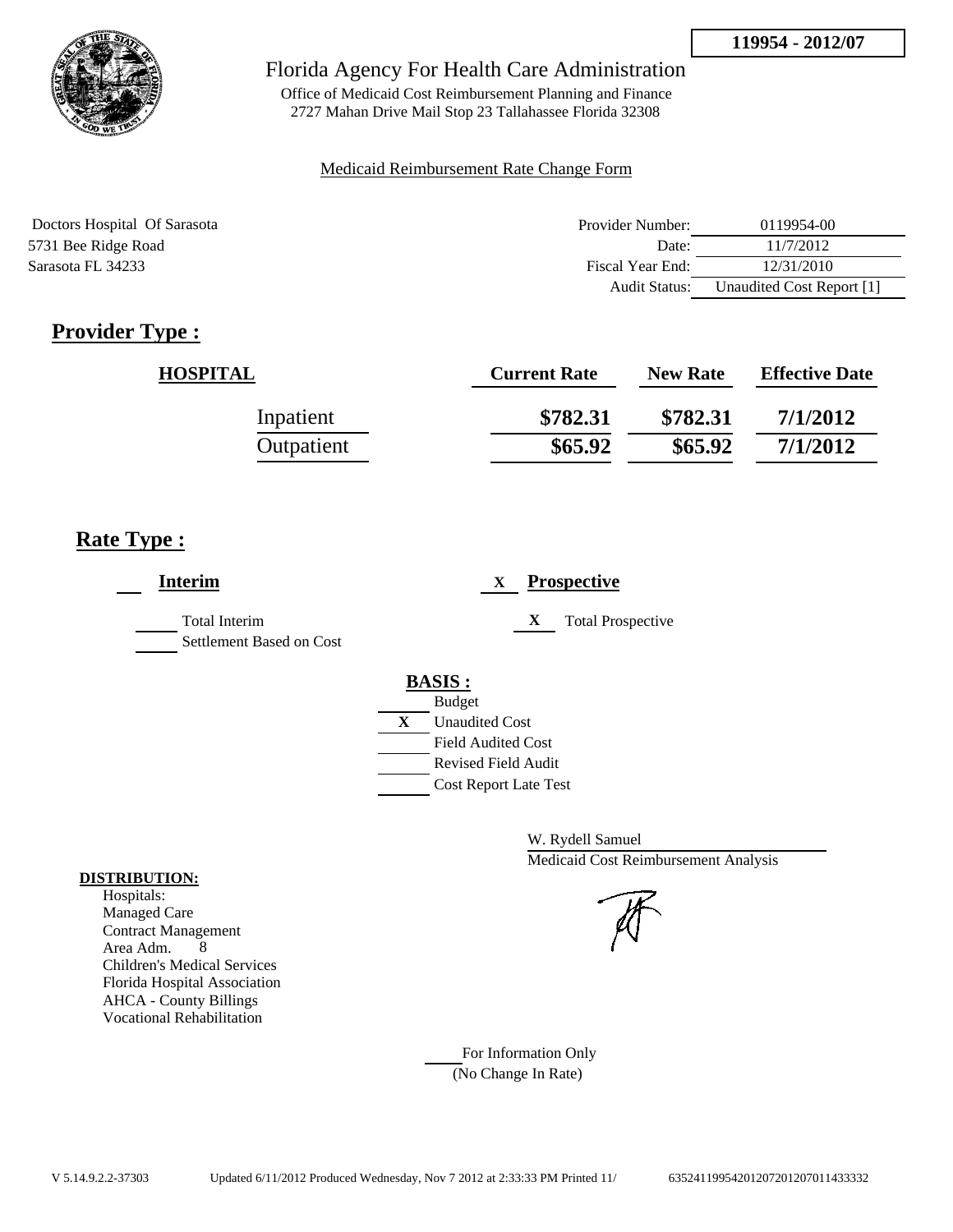

Office of Medicaid Cost Reimbursement Planning and Finance 2727 Mahan Drive Mail Stop 23 Tallahassee Florida 32308

## Medicaid Reimbursement Rate Change Form

| Doctors Hospital Of Sarasota | Provider Number:     | 0119954-00                |
|------------------------------|----------------------|---------------------------|
| 5731 Bee Ridge Road          | Date:                | 11/7/2012                 |
| Sarasota FL 34233            | Fiscal Year End:     | 12/31/2010                |
|                              | <b>Audit Status:</b> | Unaudited Cost Report [1] |

# **Provider Type :**

| <b>HOSPITAL</b> | <b>Current Rate</b> | <b>New Rate</b> | <b>Effective Date</b> |
|-----------------|---------------------|-----------------|-----------------------|
| Inpatient       | \$782.31            | \$782.31        | 7/1/2012              |
| Outpatient      | \$65.92             | \$65.92         | 7/1/2012              |

# **Rate Type :**

| <b>Interim</b>                            | <b>Prospective</b><br>X                                                                                                                          |
|-------------------------------------------|--------------------------------------------------------------------------------------------------------------------------------------------------|
| Total Interim<br>Settlement Based on Cost | X<br><b>Total Prospective</b>                                                                                                                    |
|                                           | <b>BASIS:</b><br><b>Budget</b><br>X<br><b>Unaudited Cost</b><br><b>Field Audited Cost</b><br>Revised Field Audit<br><b>Cost Report Late Test</b> |

W. Rydell Samuel Medicaid Cost Reimbursement Analysis

For Information Only (No Change In Rate)

## **DISTRIBUTION:**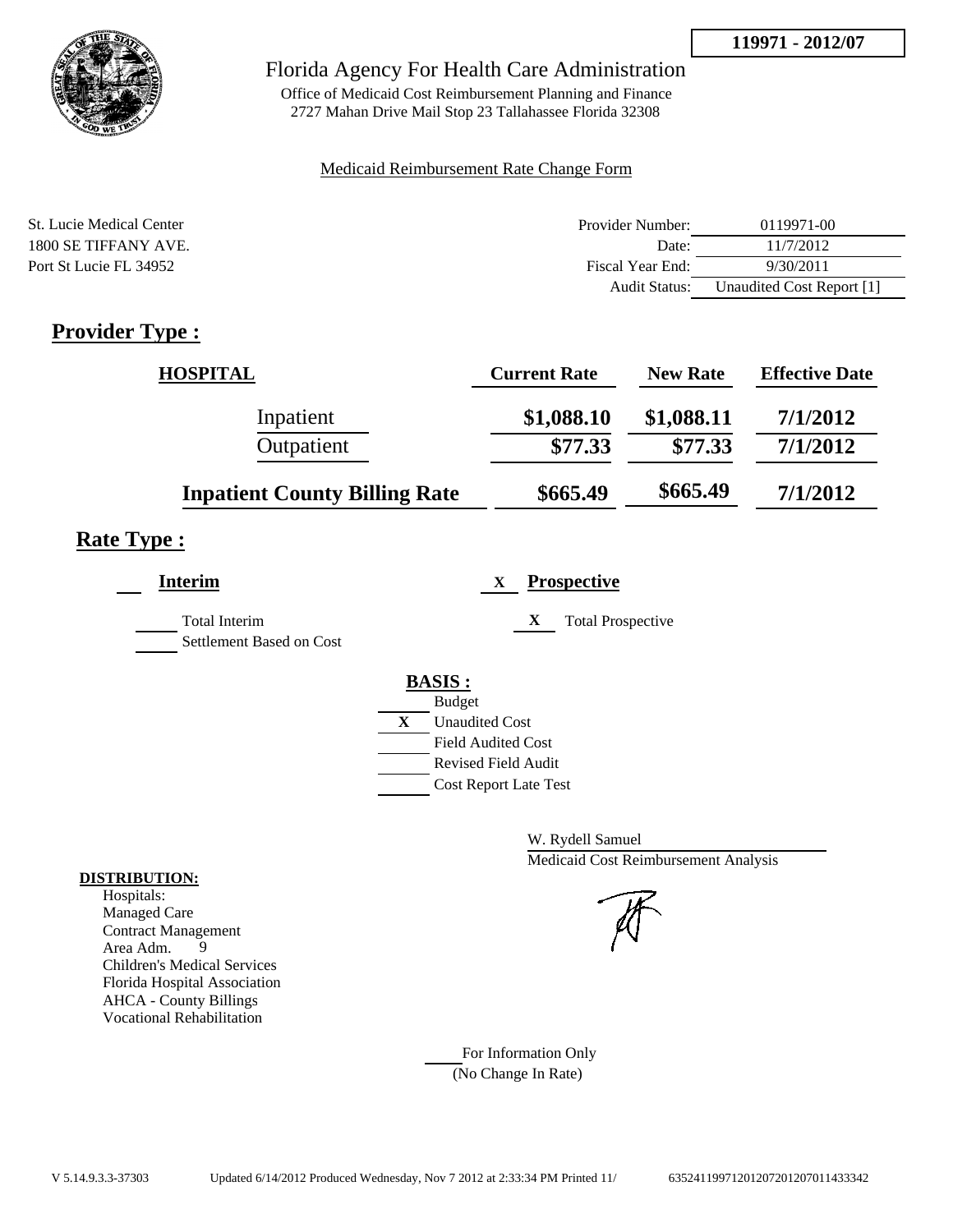

## Florida Agency For Health Care Administration

Office of Medicaid Cost Reimbursement Planning and Finance 2727 Mahan Drive Mail Stop 23 Tallahassee Florida 32308

## Medicaid Reimbursement Rate Change Form

| St. Lucie Medical Center | Provider Number: | 0119971-00                |
|--------------------------|------------------|---------------------------|
| 1800 SE TIFFANY AVE.     | Date:            | 11/7/2012                 |
| Port St Lucie FL 34952   | Fiscal Year End: | 9/30/2011                 |
|                          | Audit Status:    | Unaudited Cost Report [1] |

# **Provider Type :**

| <b>HOSPITAL</b>                      | <b>Current Rate</b> | <b>New Rate</b> | <b>Effective Date</b> |
|--------------------------------------|---------------------|-----------------|-----------------------|
| Inpatient                            | \$1,088.10          | \$1,088.11      | 7/1/2012              |
| Outpatient                           | \$77.33             | \$77.33         | 7/1/2012              |
| <b>Inpatient County Billing Rate</b> | \$665.49            | \$665.49        | 7/1/2012              |

# **Rate Type :**

| <b>Interim</b>                                   | <b>Prospective</b><br>X       |
|--------------------------------------------------|-------------------------------|
| <b>Total Interim</b><br>Settlement Based on Cost | <b>Total Prospective</b><br>X |
|                                                  | <b>BASIS:</b>                 |
|                                                  | <b>Budget</b>                 |
|                                                  | X<br><b>Unaudited Cost</b>    |
|                                                  | <b>Field Audited Cost</b>     |
|                                                  | <b>Revised Field Audit</b>    |
|                                                  | <b>Cost Report Late Test</b>  |
|                                                  |                               |

W. Rydell Samuel Medicaid Cost Reimbursement Analysis

For Information Only (No Change In Rate)

## **DISTRIBUTION:**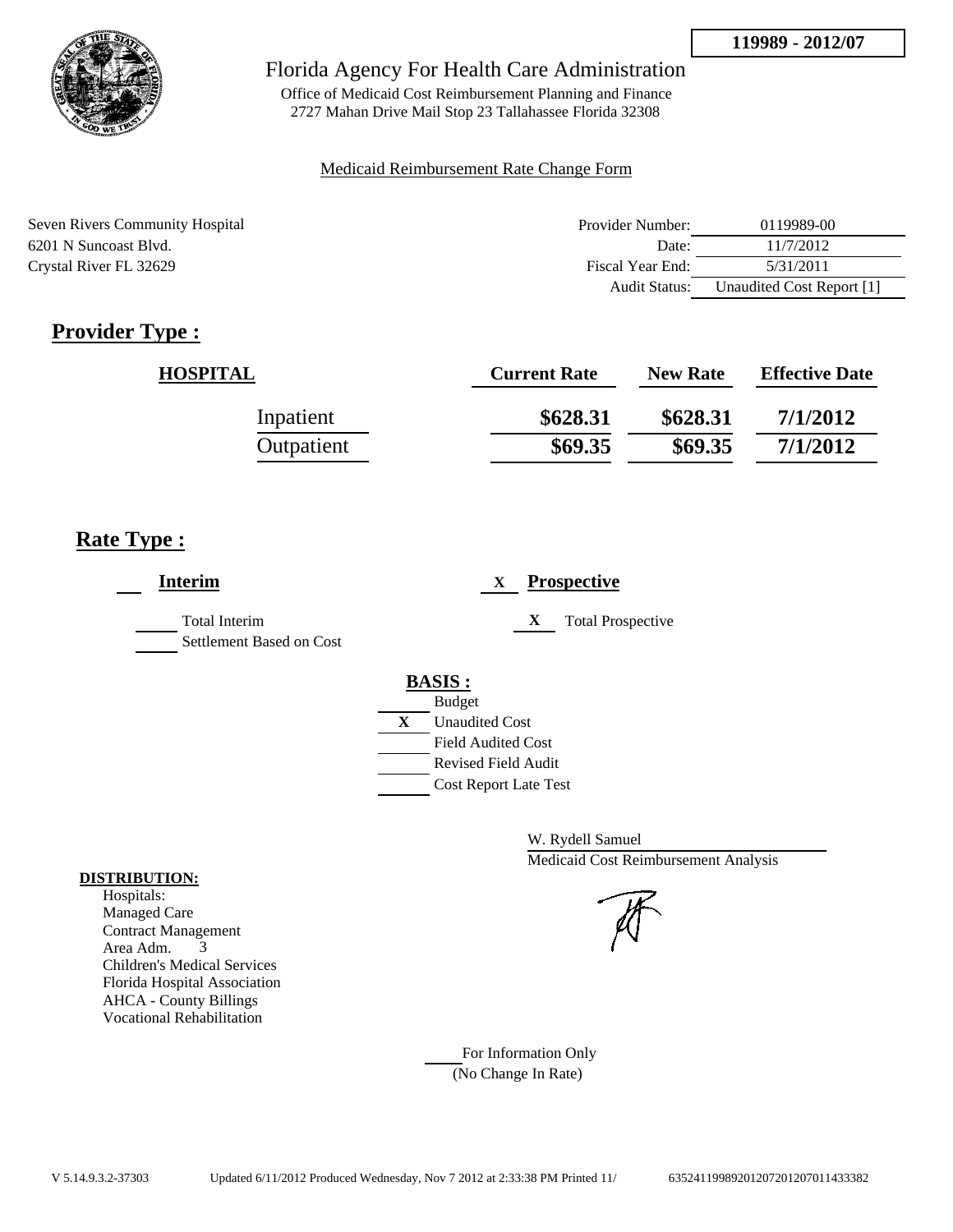

Office of Medicaid Cost Reimbursement Planning and Finance 2727 Mahan Drive Mail Stop 23 Tallahassee Florida 32308

## Medicaid Reimbursement Rate Change Form

| <b>Seven Rivers Community Hospital</b> | Provider Number:     | 0119989-00                |
|----------------------------------------|----------------------|---------------------------|
| 6201 N Suncoast Blvd.                  | Date:                | 11/7/2012                 |
| Crystal River FL 32629                 | Fiscal Year End:     | 5/31/2011                 |
|                                        | <b>Audit Status:</b> | Unaudited Cost Report [1] |

# **Provider Type :**

| <b>HOSPITAL</b> | <b>Current Rate</b> | <b>New Rate</b> | <b>Effective Date</b> |
|-----------------|---------------------|-----------------|-----------------------|
| Inpatient       | \$628.31            | \$628.31        | 7/1/2012              |
| Outpatient      | \$69.35             | \$69.35         | 7/1/2012              |

# **Rate Type :**

| X | <b>Total Prospective</b>                                                                                         |
|---|------------------------------------------------------------------------------------------------------------------|
|   |                                                                                                                  |
|   |                                                                                                                  |
|   | <b>Unaudited Cost</b><br><b>Field Audited Cost</b><br><b>Revised Field Audit</b><br><b>Cost Report Late Test</b> |

W. Rydell Samuel Medicaid Cost Reimbursement Analysis

For Information Only (No Change In Rate)

## **DISTRIBUTION:**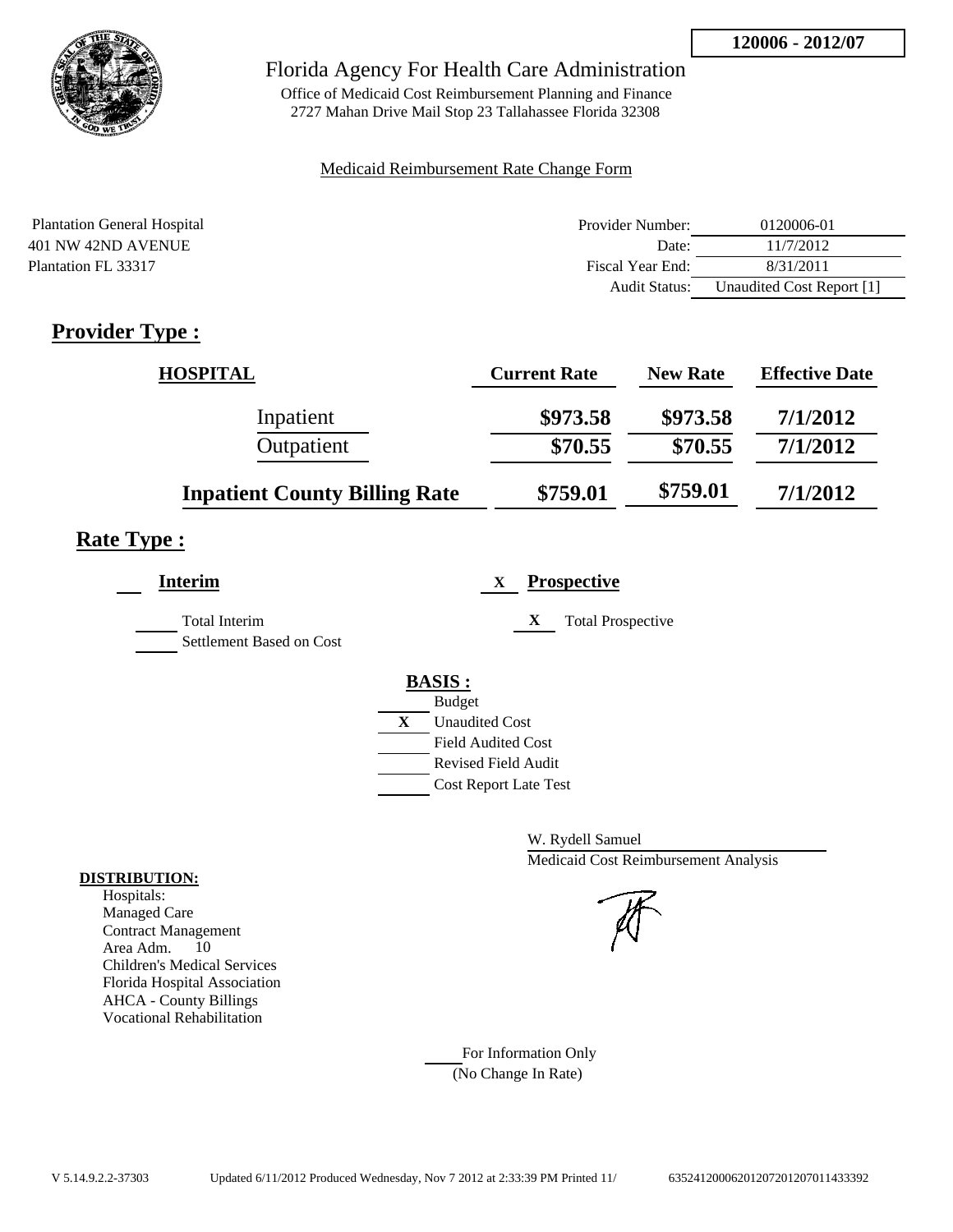

Office of Medicaid Cost Reimbursement Planning and Finance 2727 Mahan Drive Mail Stop 23 Tallahassee Florida 32308

## Medicaid Reimbursement Rate Change Form

| <b>Plantation General Hospital</b> | Provider Number: | 0120006-01                |
|------------------------------------|------------------|---------------------------|
| 401 NW 42ND AVENUE                 | Date:            | 11/7/2012                 |
| Plantation FL 33317                | Fiscal Year End: | 8/31/2011                 |
|                                    | Audit Status:    | Unaudited Cost Report [1] |

# **Provider Type :**

| <b>HOSPITAL</b>                      | <b>Current Rate</b> | <b>New Rate</b> | <b>Effective Date</b> |
|--------------------------------------|---------------------|-----------------|-----------------------|
| Inpatient                            | \$973.58            | \$973.58        | 7/1/2012              |
| Outpatient                           | \$70.55             | \$70.55         | 7/1/2012              |
| <b>Inpatient County Billing Rate</b> | \$759.01            | \$759.01        | 7/1/2012              |

# **Rate Type :**

| <b>Interim</b>                            | <b>Prospective</b><br>X                                                                                          |
|-------------------------------------------|------------------------------------------------------------------------------------------------------------------|
| Total Interim<br>Settlement Based on Cost | X<br><b>Total Prospective</b>                                                                                    |
|                                           | <b>BASIS:</b><br><b>Budget</b><br>X<br><b>Unaudited Cost</b><br><b>Field Audited Cost</b><br>Revised Field Audit |
|                                           | <b>Cost Report Late Test</b>                                                                                     |

W. Rydell Samuel Medicaid Cost Reimbursement Analysis

For Information Only (No Change In Rate)

## **DISTRIBUTION:**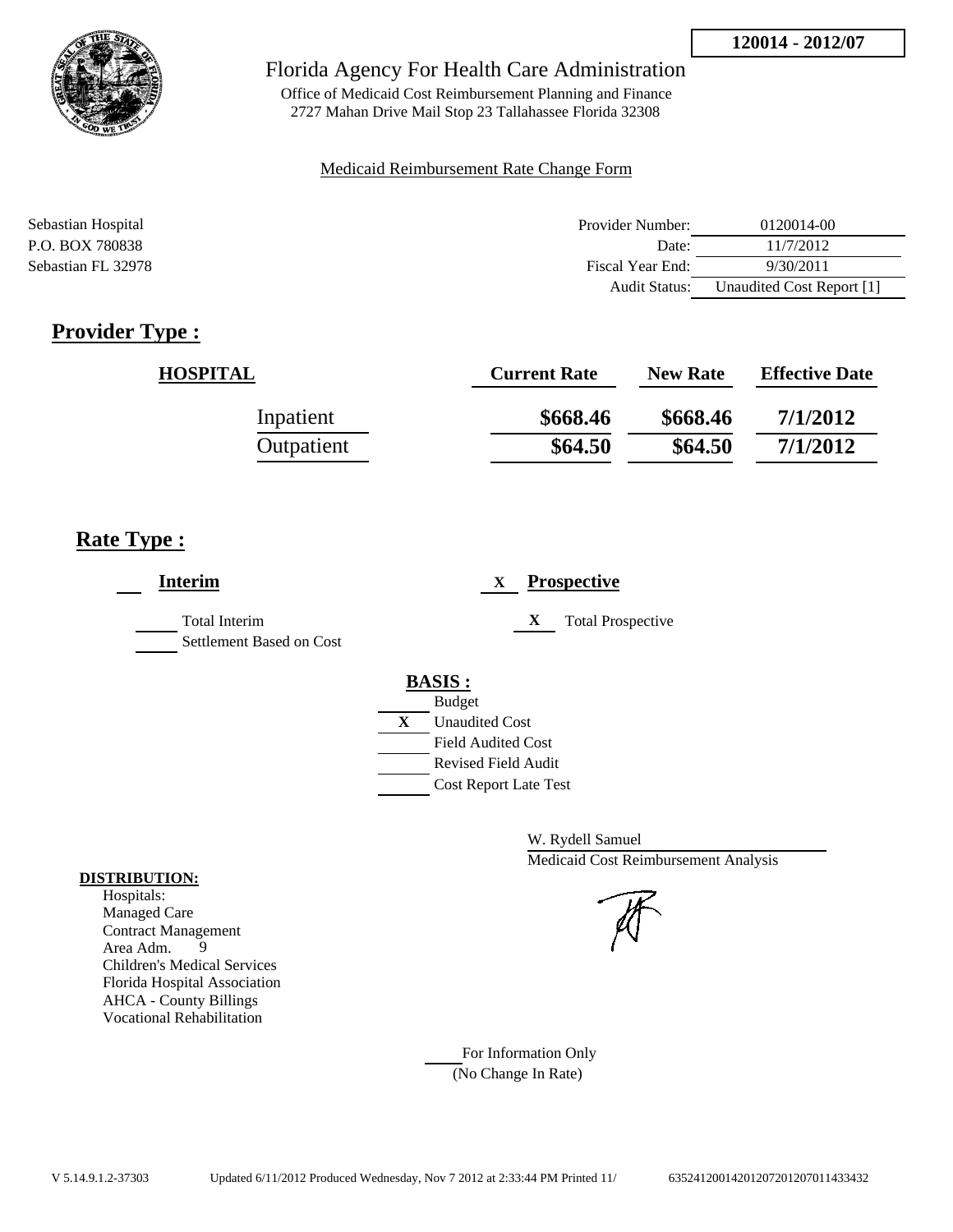

Office of Medicaid Cost Reimbursement Planning and Finance 2727 Mahan Drive Mail Stop 23 Tallahassee Florida 32308

#### Medicaid Reimbursement Rate Change Form

| Sebastian Hospital | Provider Number: | 0120014-00                |
|--------------------|------------------|---------------------------|
| P.O. BOX 780838    | Date:            | 11/7/2012                 |
| Sebastian FL 32978 | Fiscal Year End: | 9/30/2011                 |
|                    | Audit Status:    | Unaudited Cost Report [1] |

# **Provider Type :**

| <b>HOSPITAL</b> | <b>Current Rate</b> | <b>New Rate</b> | <b>Effective Date</b> |
|-----------------|---------------------|-----------------|-----------------------|
| Inpatient       | \$668.46            | \$668.46        | 7/1/2012              |
| Outpatient      | \$64.50             | \$64.50         | 7/1/2012              |

## **Rate Type :**

| Interim                                          | <b>Prospective</b><br>X                                                          |
|--------------------------------------------------|----------------------------------------------------------------------------------|
| <b>Total Interim</b><br>Settlement Based on Cost | X<br><b>Total Prospective</b>                                                    |
|                                                  | <b>BASIS:</b><br><b>Budget</b><br>X<br><b>Unaudited Cost</b>                     |
|                                                  | <b>Field Audited Cost</b><br>Revised Field Audit<br><b>Cost Report Late Test</b> |

W. Rydell Samuel Medicaid Cost Reimbursement Analysis

For Information Only (No Change In Rate)

## **DISTRIBUTION:**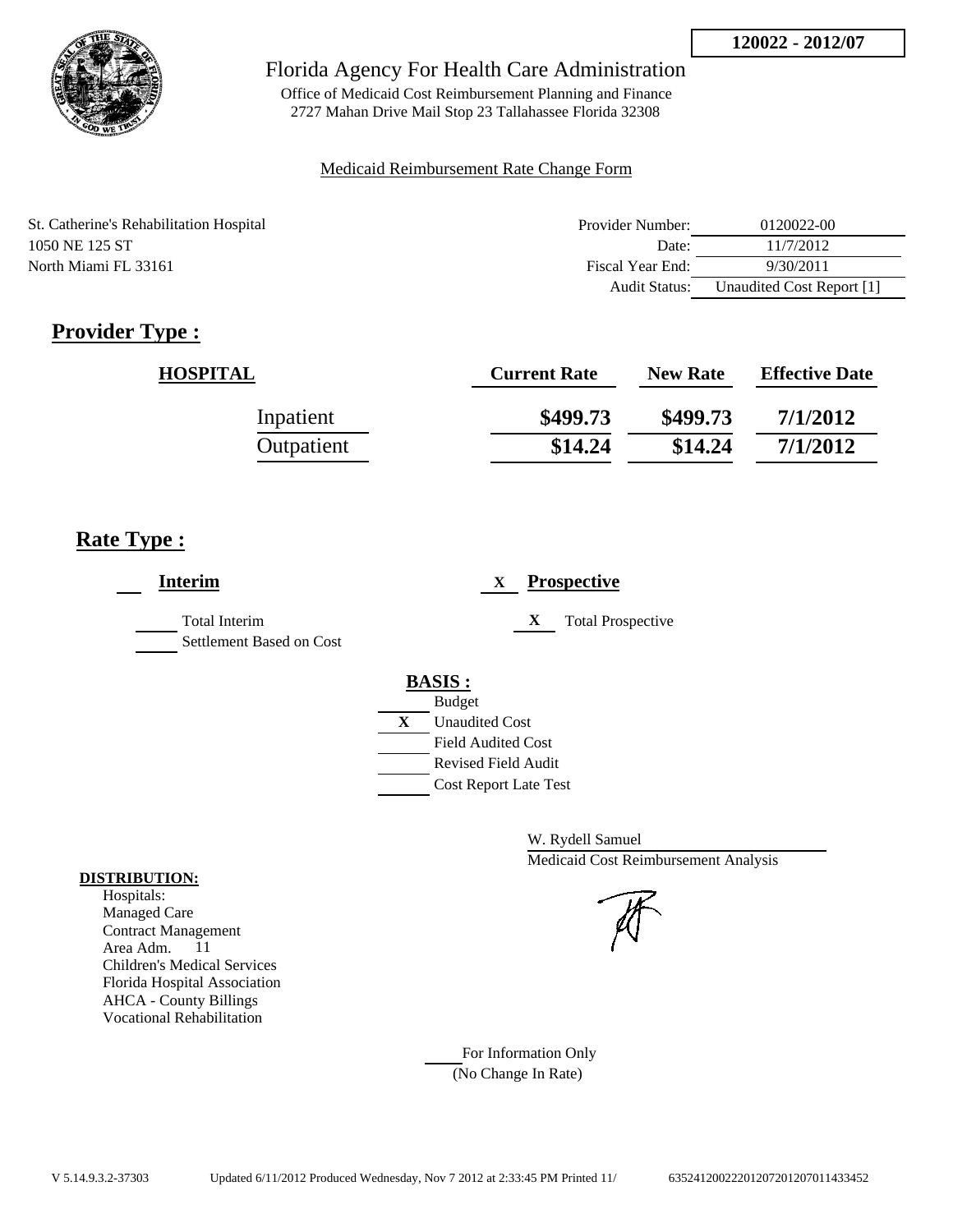

Office of Medicaid Cost Reimbursement Planning and Finance 2727 Mahan Drive Mail Stop 23 Tallahassee Florida 32308

## Medicaid Reimbursement Rate Change Form

| St. Catherine's Rehabilitation Hospital | Provider Number:     | 0120022-00                |
|-----------------------------------------|----------------------|---------------------------|
| 1050 NE 125 ST                          | Date:                | 11/7/2012                 |
| North Miami FL 33161                    | Fiscal Year End:     | 9/30/2011                 |
|                                         | <b>Audit Status:</b> | Unaudited Cost Report [1] |

# **Provider Type :**

| <b>HOSPITAL</b> | <b>Current Rate</b> | <b>New Rate</b> | <b>Effective Date</b> |
|-----------------|---------------------|-----------------|-----------------------|
| Inpatient       | \$499.73            | \$499.73        | 7/1/2012              |
| Outpatient      | \$14.24             | \$14.24         | 7/1/2012              |

# **Rate Type :**

| <b>Interim</b>                                   | <b>Prospective</b><br>X       |
|--------------------------------------------------|-------------------------------|
| <b>Total Interim</b><br>Settlement Based on Cost | X<br><b>Total Prospective</b> |
|                                                  | <b>BASIS:</b>                 |
|                                                  | <b>Budget</b>                 |
|                                                  | X<br><b>Unaudited Cost</b>    |
|                                                  | <b>Field Audited Cost</b>     |
|                                                  | <b>Revised Field Audit</b>    |
|                                                  | <b>Cost Report Late Test</b>  |
|                                                  |                               |

W. Rydell Samuel Medicaid Cost Reimbursement Analysis

For Information Only (No Change In Rate)

## **DISTRIBUTION:**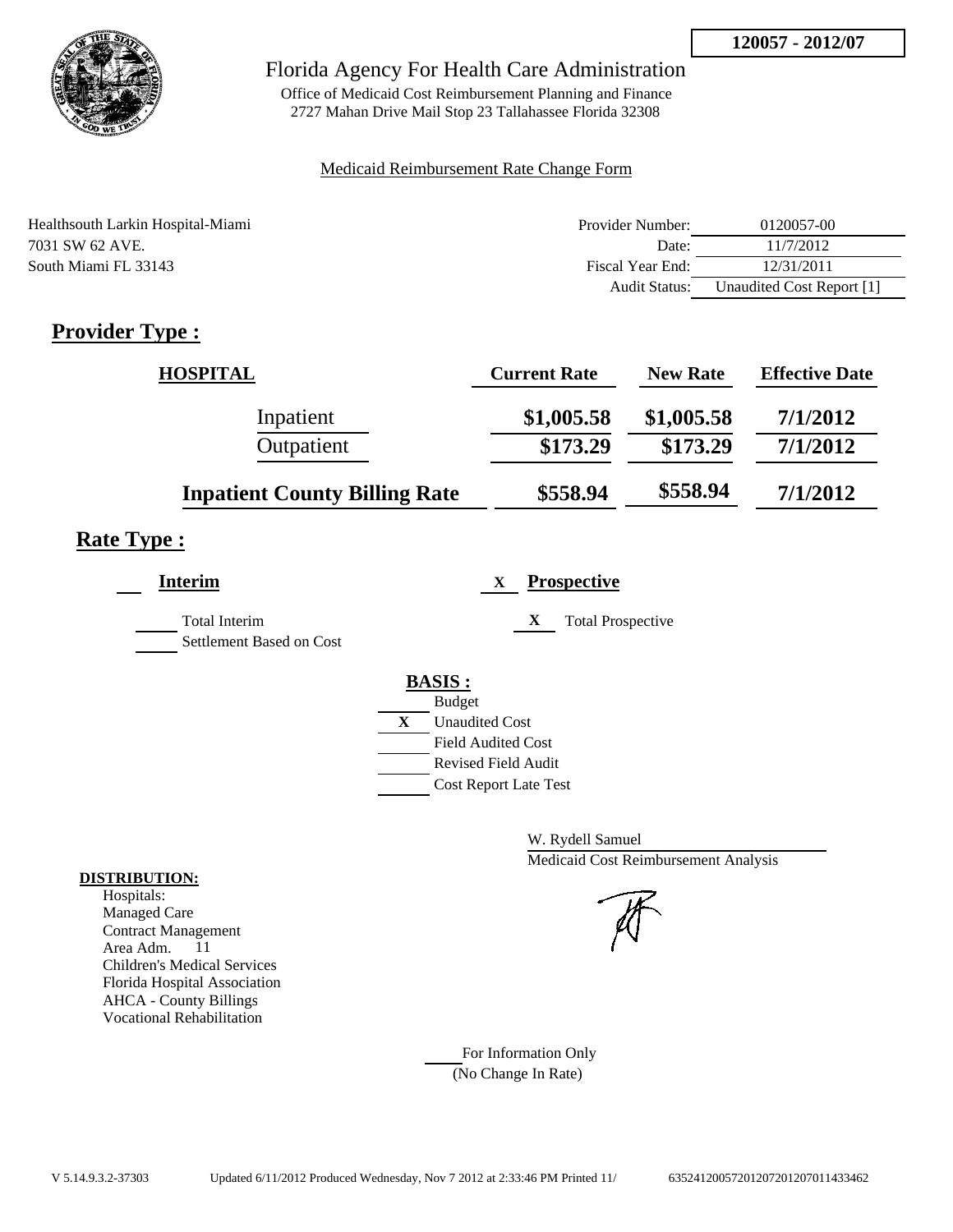

Office of Medicaid Cost Reimbursement Planning and Finance 2727 Mahan Drive Mail Stop 23 Tallahassee Florida 32308

## Medicaid Reimbursement Rate Change Form

| Healthsouth Larkin Hospital-Miami | Provider Number:     | 0120057-00                |
|-----------------------------------|----------------------|---------------------------|
| 7031 SW 62 AVE.                   | Date:                | 11/7/2012                 |
| South Miami FL 33143              | Fiscal Year End:     | 12/31/2011                |
|                                   | <b>Audit Status:</b> | Unaudited Cost Report [1] |

# **Provider Type :**

| <b>HOSPITAL</b>                      | <b>Current Rate</b> | <b>New Rate</b> | <b>Effective Date</b> |
|--------------------------------------|---------------------|-----------------|-----------------------|
| Inpatient                            | \$1,005.58          | \$1,005.58      | 7/1/2012              |
| Outpatient                           | \$173.29            | \$173.29        | 7/1/2012              |
| <b>Inpatient County Billing Rate</b> | \$558.94            | \$558.94        | 7/1/2012              |

# **Rate Type :**

| <b>Interim</b>                                   | <b>Prospective</b><br>X                                                                                                                          |
|--------------------------------------------------|--------------------------------------------------------------------------------------------------------------------------------------------------|
| <b>Total Interim</b><br>Settlement Based on Cost | <b>Total Prospective</b><br>X                                                                                                                    |
|                                                  | <b>BASIS:</b><br><b>Budget</b><br>X<br><b>Unaudited Cost</b><br><b>Field Audited Cost</b><br>Revised Field Audit<br><b>Cost Report Late Test</b> |

W. Rydell Samuel Medicaid Cost Reimbursement Analysis

For Information Only (No Change In Rate)

## **DISTRIBUTION:**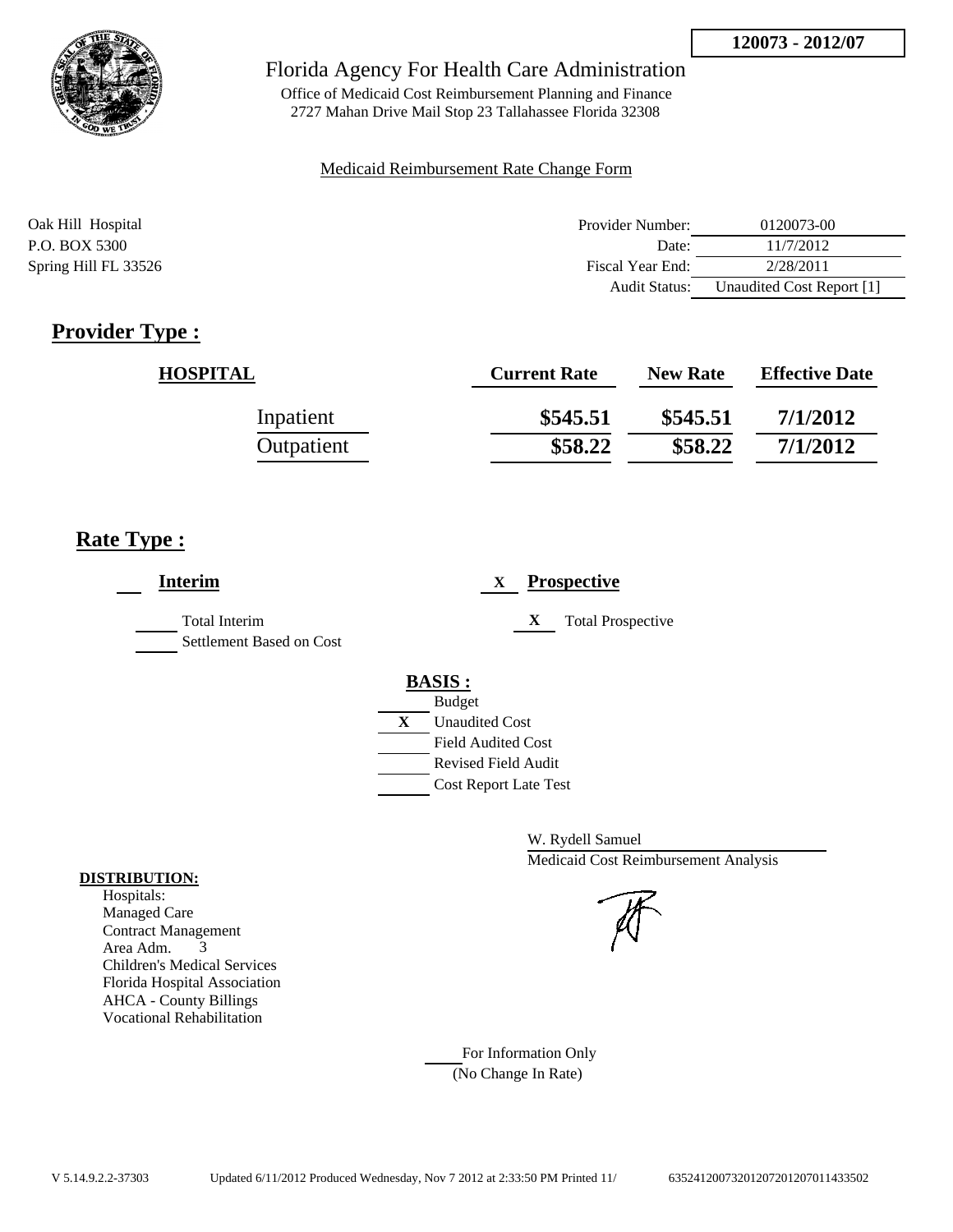

Office of Medicaid Cost Reimbursement Planning and Finance 2727 Mahan Drive Mail Stop 23 Tallahassee Florida 32308

#### Medicaid Reimbursement Rate Change Form

| Oak Hill Hospital    | Provider Number:     | 0120073-00                |
|----------------------|----------------------|---------------------------|
| P.O. BOX 5300        | Date:                | 11/7/2012                 |
| Spring Hill FL 33526 | Fiscal Year End:     | 2/28/2011                 |
|                      | <b>Audit Status:</b> | Unaudited Cost Report [1] |

# **Provider Type :**

| <b>HOSPITAL</b> | <b>Current Rate</b> | <b>New Rate</b> | <b>Effective Date</b> |
|-----------------|---------------------|-----------------|-----------------------|
| Inpatient       | \$545.51            | \$545.51        | 7/1/2012              |
| Outpatient      | \$58.22             | \$58.22         | 7/1/2012              |

# **Rate Type :**

| <b>Interim</b>                                   | <b>Prospective</b><br>X                                           |
|--------------------------------------------------|-------------------------------------------------------------------|
| <b>Total Interim</b><br>Settlement Based on Cost | X<br><b>Total Prospective</b>                                     |
|                                                  | <b>BASIS:</b><br><b>Budget</b>                                    |
|                                                  | $\mathbf X$<br><b>Unaudited Cost</b><br><b>Field Audited Cost</b> |
|                                                  | <b>Revised Field Audit</b><br><b>Cost Report Late Test</b>        |

W. Rydell Samuel Medicaid Cost Reimbursement Analysis

For Information Only (No Change In Rate)

#### **DISTRIBUTION:**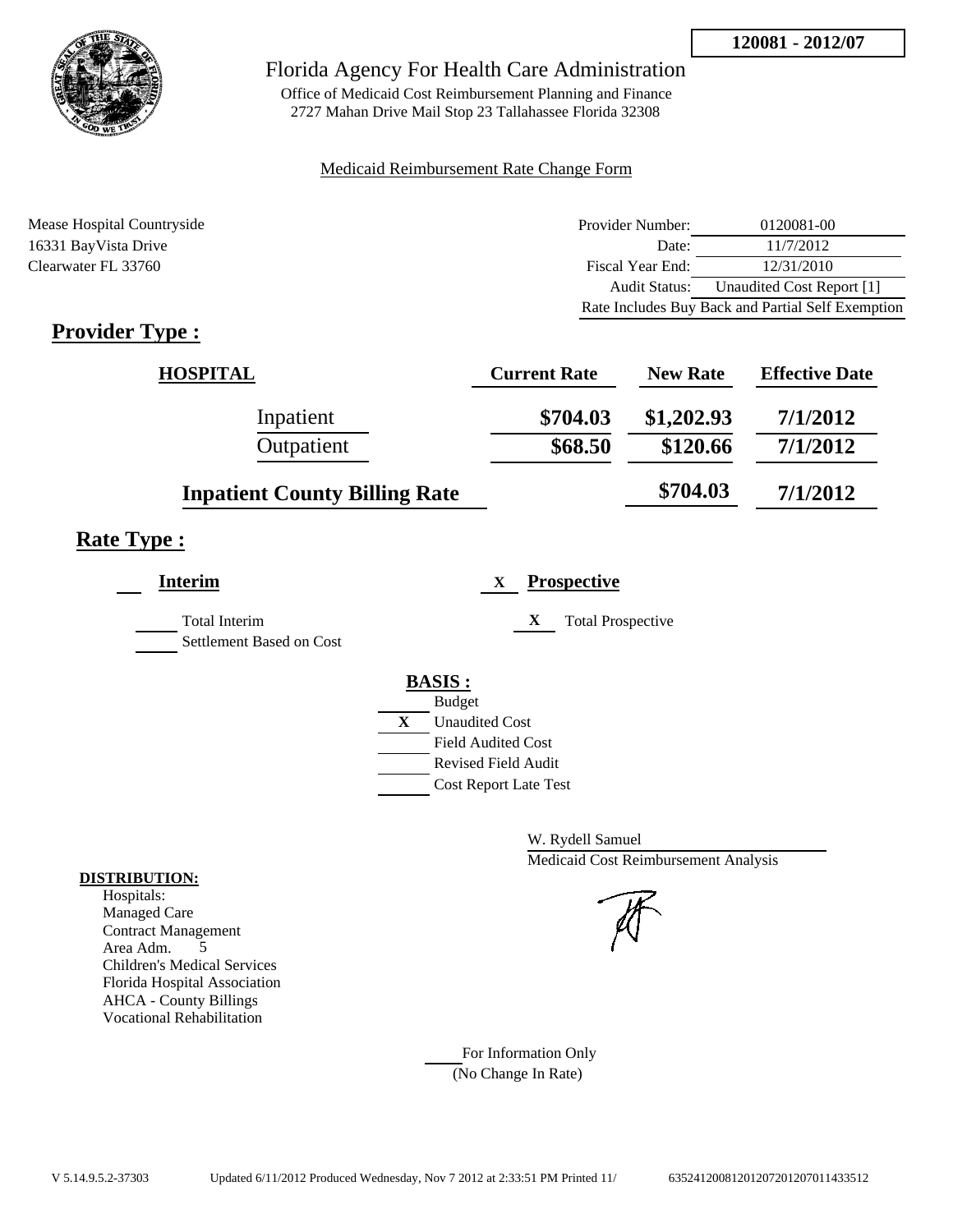

Office of Medicaid Cost Reimbursement Planning and Finance 2727 Mahan Drive Mail Stop 23 Tallahassee Florida 32308

## Medicaid Reimbursement Rate Change Form

Mease Hospital Countryside **Provider Number:** 0120081-00 16331 BayVista Drive Date: 11/7/2012 Clearwater FL 33760 Fiscal Year End: 12/31/2010 Audit Status: Unaudited Cost Report [1] Rate Includes Buy Back and Partial Self Exemption

# **Provider Type :**

| <b>HOSPITAL</b>                      | <b>Current Rate</b> | <b>New Rate</b> | <b>Effective Date</b> |
|--------------------------------------|---------------------|-----------------|-----------------------|
| Inpatient                            | \$704.03            | \$1,202.93      | 7/1/2012              |
| Outpatient                           | \$68.50             | \$120.66        | 7/1/2012              |
| <b>Inpatient County Billing Rate</b> |                     | \$704.03        | 7/1/2012              |

## **Rate Type :**

| <b>Interim</b>           | <b>Prospective</b><br>X       |  |
|--------------------------|-------------------------------|--|
| Total Interim            | X<br><b>Total Prospective</b> |  |
| Settlement Based on Cost |                               |  |
|                          | <b>BASIS:</b>                 |  |
|                          | <b>Budget</b>                 |  |
|                          | X<br><b>Unaudited Cost</b>    |  |
|                          | <b>Field Audited Cost</b>     |  |
|                          | <b>Revised Field Audit</b>    |  |
|                          | <b>Cost Report Late Test</b>  |  |
|                          |                               |  |

W. Rydell Samuel Medicaid Cost Reimbursement Analysis

For Information Only (No Change In Rate)

## **DISTRIBUTION:**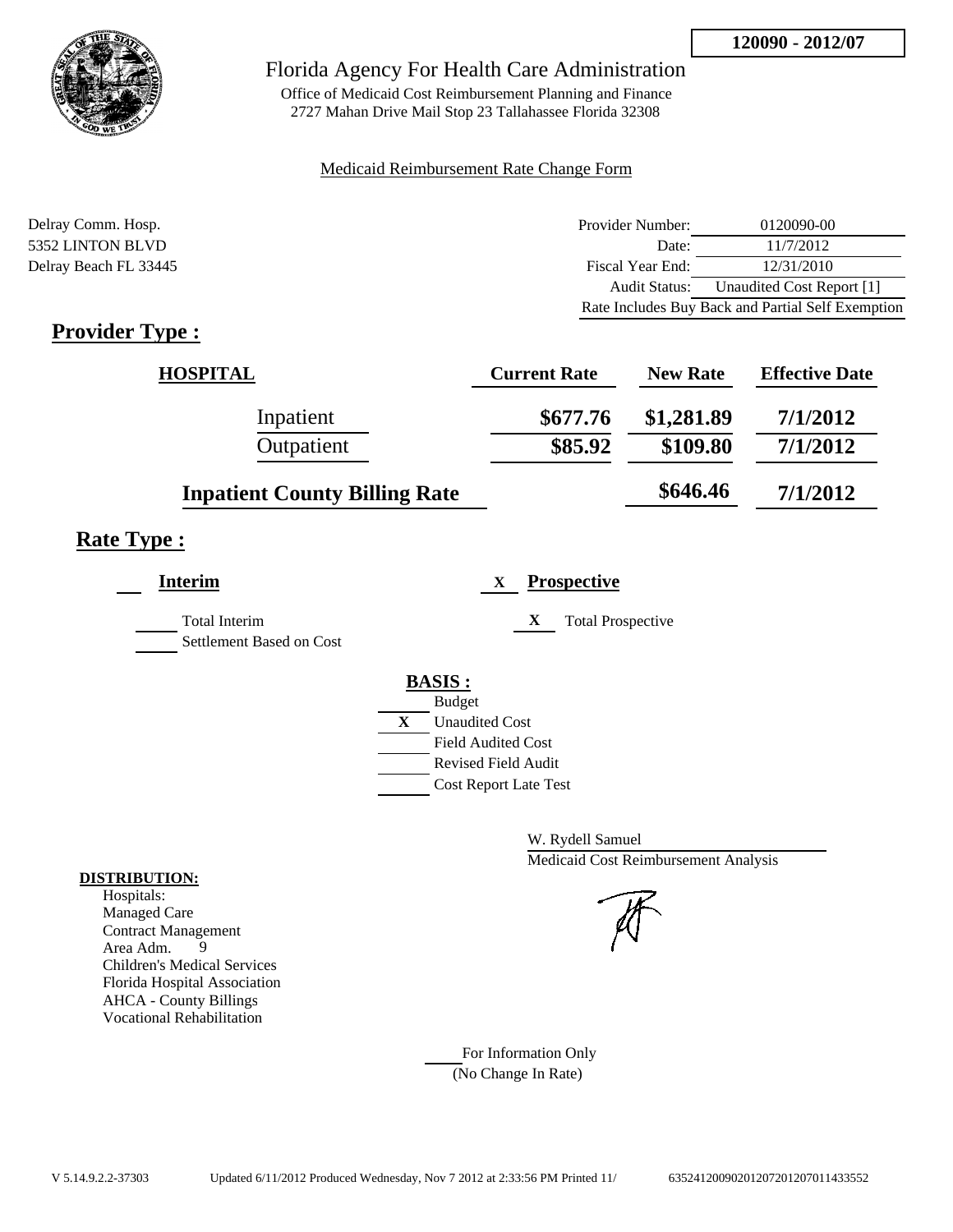

Office of Medicaid Cost Reimbursement Planning and Finance 2727 Mahan Drive Mail Stop 23 Tallahassee Florida 32308

## Medicaid Reimbursement Rate Change Form

| Delray Comm. Hosp.    | Provider Number:     | 0120090-00                                        |
|-----------------------|----------------------|---------------------------------------------------|
| 5352 LINTON BLVD      | Date:                | 11/7/2012                                         |
| Delray Beach FL 33445 | Fiscal Year End:     | 12/31/2010                                        |
|                       | <b>Audit Status:</b> | Unaudited Cost Report [1]                         |
|                       |                      | Rate Includes Buy Back and Partial Self Exemption |
|                       |                      |                                                   |

# **Provider Type :**

| <b>HOSPITAL</b>                      | <b>Current Rate</b> | <b>New Rate</b> | <b>Effective Date</b> |
|--------------------------------------|---------------------|-----------------|-----------------------|
| Inpatient                            | \$677.76            | \$1,281.89      | 7/1/2012              |
| Outpatient                           | \$85.92             | \$109.80        | 7/1/2012              |
| <b>Inpatient County Billing Rate</b> |                     | \$646.46        | 7/1/2012              |

# **Rate Type :**

| <b>Prospective</b><br>X       |
|-------------------------------|
| X<br><b>Total Prospective</b> |
| <b>BASIS:</b>                 |
| <b>Budget</b>                 |
| X<br><b>Unaudited Cost</b>    |
| <b>Field Audited Cost</b>     |
| <b>Revised Field Audit</b>    |
| <b>Cost Report Late Test</b>  |
|                               |

W. Rydell Samuel Medicaid Cost Reimbursement Analysis

For Information Only (No Change In Rate)

## **DISTRIBUTION:**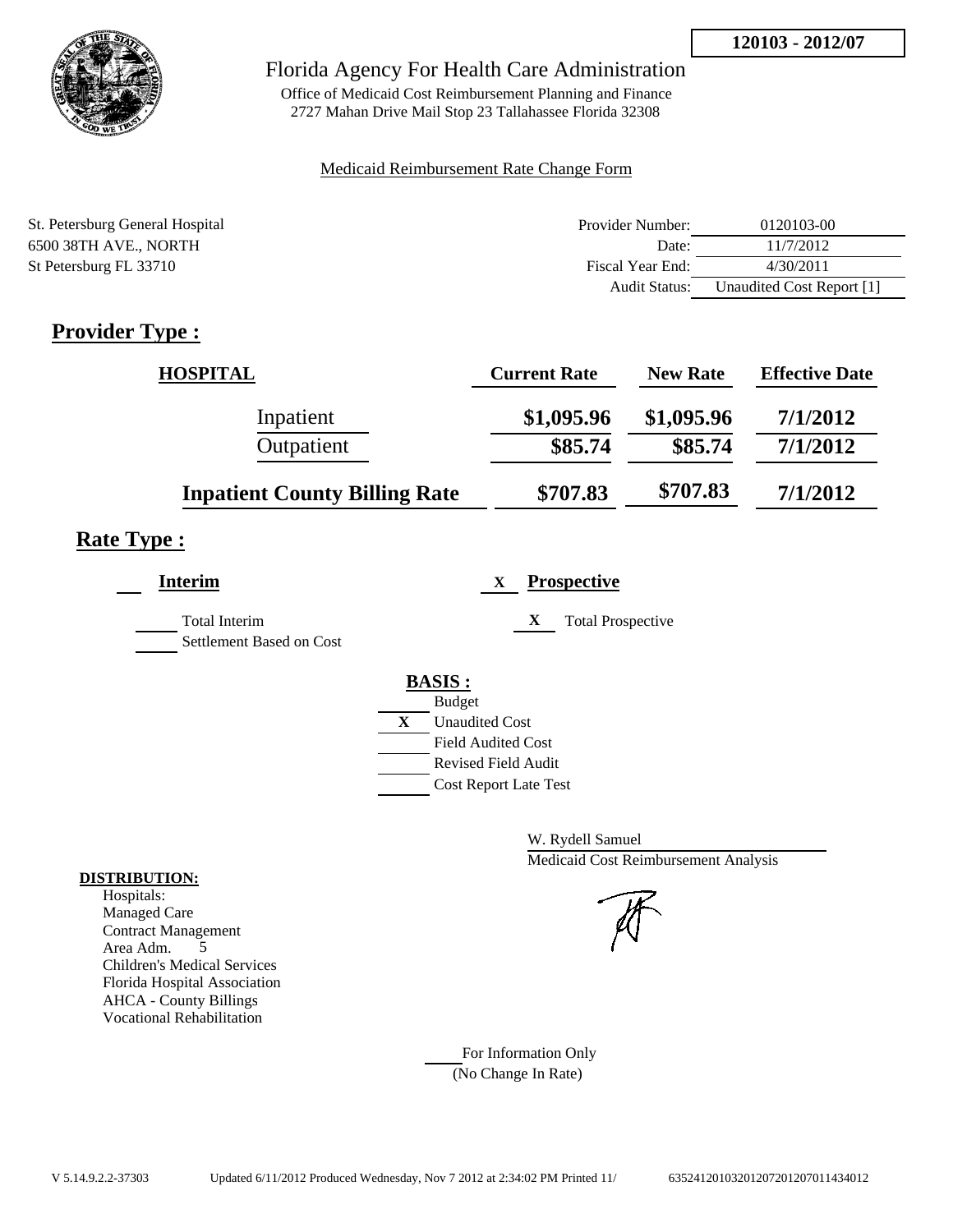

## Florida Agency For Health Care Administration

Office of Medicaid Cost Reimbursement Planning and Finance 2727 Mahan Drive Mail Stop 23 Tallahassee Florida 32308

## Medicaid Reimbursement Rate Change Form

| St. Petersburg General Hospital | Provider Number:     | 0120103-00                |
|---------------------------------|----------------------|---------------------------|
| 6500 38TH AVE., NORTH           | Date:                | 11/7/2012                 |
| St Petersburg FL 33710          | Fiscal Year End:     | 4/30/2011                 |
|                                 | <b>Audit Status:</b> | Unaudited Cost Report [1] |

# **Provider Type :**

| <b>HOSPITAL</b>                      | <b>Current Rate</b> | <b>New Rate</b> | <b>Effective Date</b> |
|--------------------------------------|---------------------|-----------------|-----------------------|
| Inpatient                            | \$1,095.96          | \$1,095.96      | 7/1/2012              |
| Outpatient                           | \$85.74             | \$85.74         | 7/1/2012              |
| <b>Inpatient County Billing Rate</b> | \$707.83            | \$707.83        | 7/1/2012              |

# **Rate Type :**

| <b>Interim</b>                            | <b>Prospective</b><br>X                                                                                                                                 |
|-------------------------------------------|---------------------------------------------------------------------------------------------------------------------------------------------------------|
| Total Interim<br>Settlement Based on Cost | X<br><b>Total Prospective</b>                                                                                                                           |
|                                           | <b>BASIS:</b><br><b>Budget</b><br>X<br><b>Unaudited Cost</b><br><b>Field Audited Cost</b><br><b>Revised Field Audit</b><br><b>Cost Report Late Test</b> |

W. Rydell Samuel Medicaid Cost Reimbursement Analysis

For Information Only (No Change In Rate)

## **DISTRIBUTION:**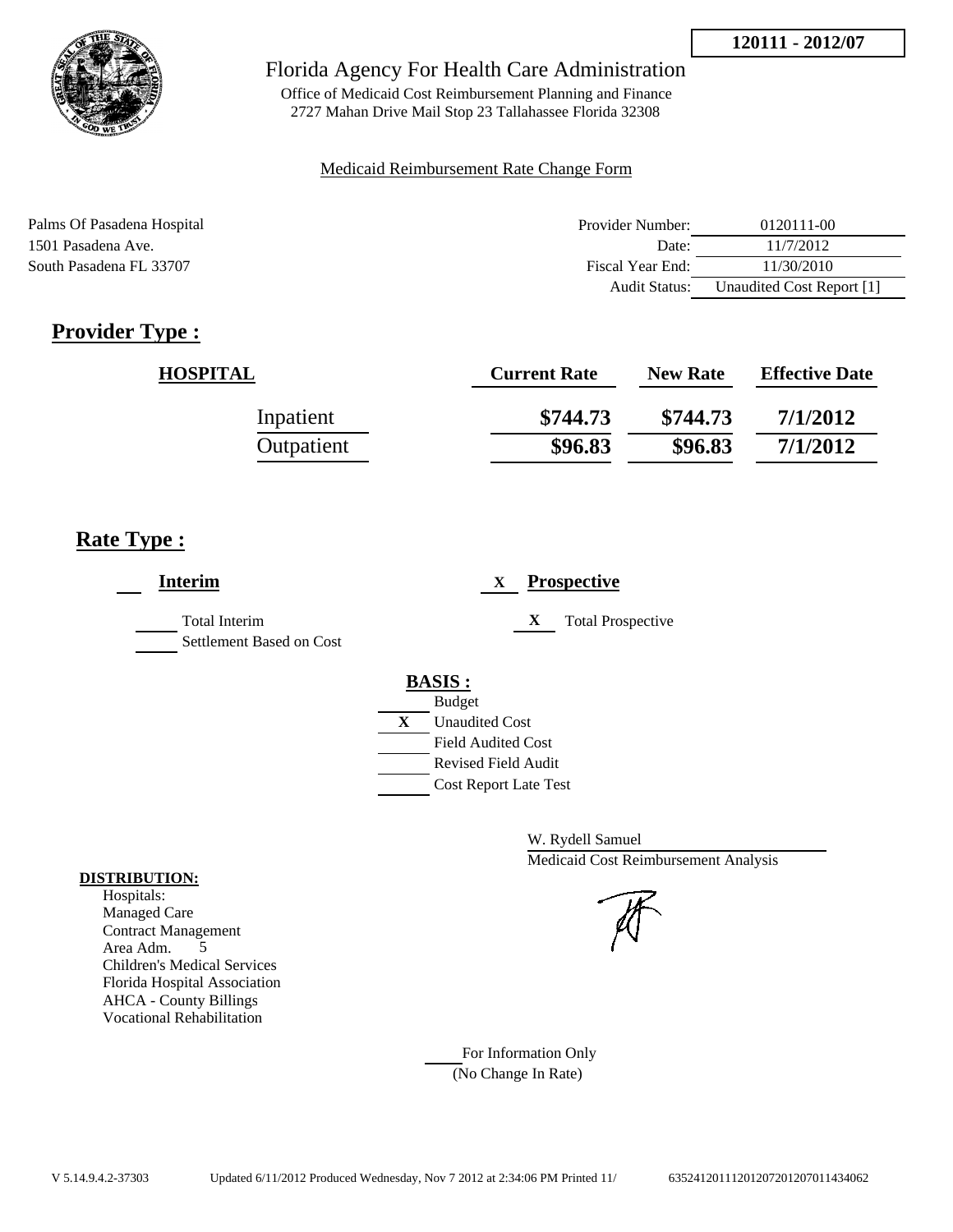

Office of Medicaid Cost Reimbursement Planning and Finance 2727 Mahan Drive Mail Stop 23 Tallahassee Florida 32308

## Medicaid Reimbursement Rate Change Form

| Palms Of Pasadena Hospital | Provider Number:     | 0120111-00                |
|----------------------------|----------------------|---------------------------|
| 1501 Pasadena Ave.         | Date:                | 11/7/2012                 |
| South Pasadena FL 33707    | Fiscal Year End:     | 11/30/2010                |
|                            | <b>Audit Status:</b> | Unaudited Cost Report [1] |

# **Provider Type :**

| <b>HOSPITAL</b> | <b>Current Rate</b> | <b>New Rate</b> | <b>Effective Date</b> |
|-----------------|---------------------|-----------------|-----------------------|
| Inpatient       | \$744.73            | \$744.73        | 7/1/2012              |
| Outpatient      | \$96.83             | \$96.83         | 7/1/2012              |

# **Rate Type :**

| <b>Interim</b>                                   | <b>Prospective</b><br>X       |
|--------------------------------------------------|-------------------------------|
| <b>Total Interim</b><br>Settlement Based on Cost | X<br><b>Total Prospective</b> |
|                                                  | <b>BASIS:</b>                 |
|                                                  | <b>Budget</b>                 |
|                                                  | X<br><b>Unaudited Cost</b>    |
|                                                  | <b>Field Audited Cost</b>     |
|                                                  | <b>Revised Field Audit</b>    |
|                                                  | <b>Cost Report Late Test</b>  |

W. Rydell Samuel Medicaid Cost Reimbursement Analysis

For Information Only (No Change In Rate)

## **DISTRIBUTION:**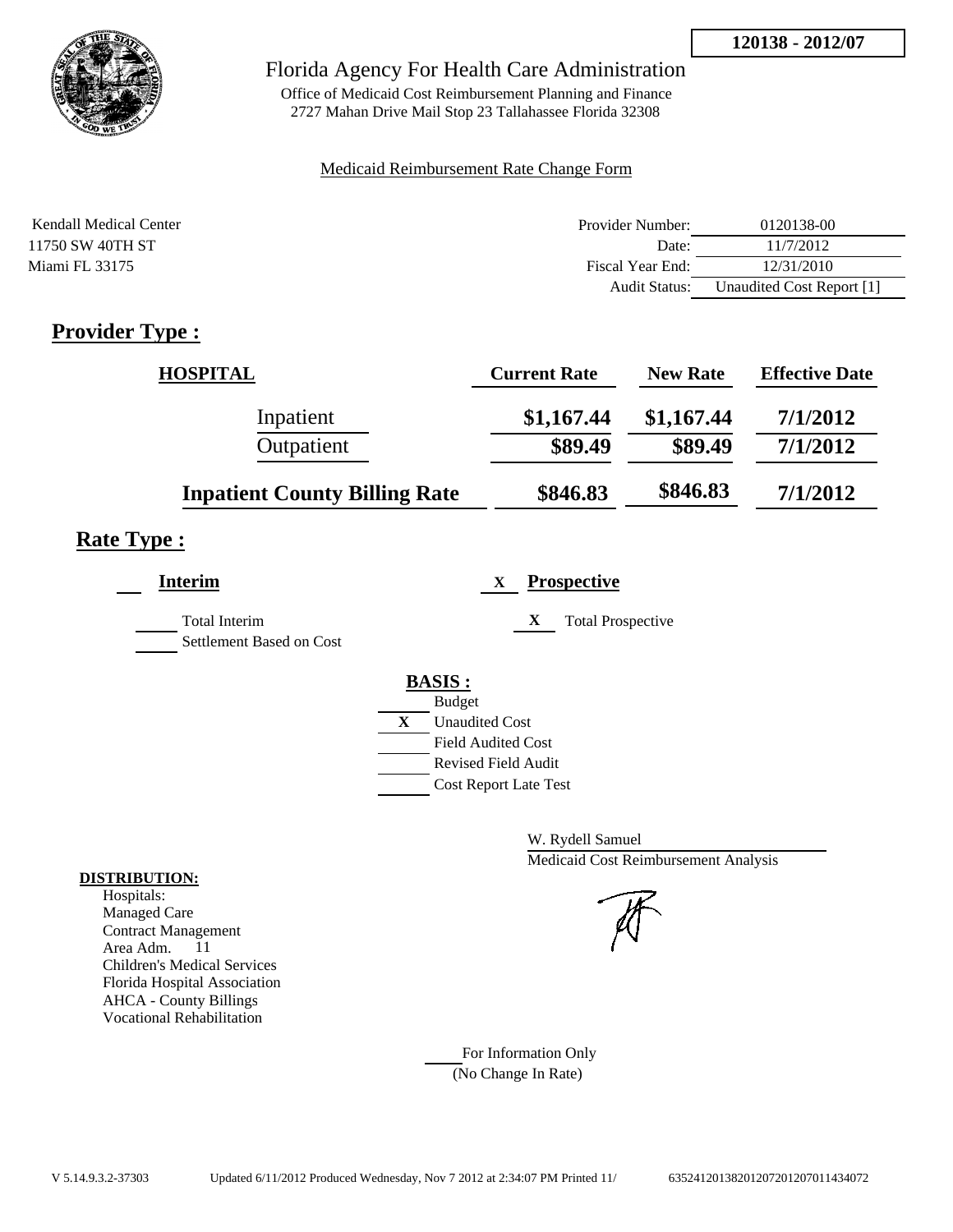

Office of Medicaid Cost Reimbursement Planning and Finance 2727 Mahan Drive Mail Stop 23 Tallahassee Florida 32308

## Medicaid Reimbursement Rate Change Form

| Kendall Medical Center | Provider Number:     | 0120138-00                |
|------------------------|----------------------|---------------------------|
| 11750 SW 40TH ST       | Date:                | 11/7/2012                 |
| Miami FL 33175         | Fiscal Year End:     | 12/31/2010                |
|                        | <b>Audit Status:</b> | Unaudited Cost Report [1] |

# **Provider Type :**

| <b>HOSPITAL</b>                      | <b>Current Rate</b> | <b>New Rate</b> | <b>Effective Date</b> |
|--------------------------------------|---------------------|-----------------|-----------------------|
| Inpatient                            | \$1,167.44          | \$1,167.44      | 7/1/2012              |
| Outpatient                           | \$89.49             | \$89.49         | 7/1/2012              |
| <b>Inpatient County Billing Rate</b> | \$846.83            | \$846.83        | 7/1/2012              |

# **Rate Type :**

| <b>Interim</b>                                   | <b>Prospective</b><br>X       |
|--------------------------------------------------|-------------------------------|
| <b>Total Interim</b><br>Settlement Based on Cost | X<br><b>Total Prospective</b> |
|                                                  | <b>BASIS:</b>                 |
|                                                  | <b>Budget</b>                 |
|                                                  | X<br><b>Unaudited Cost</b>    |
|                                                  | <b>Field Audited Cost</b>     |
|                                                  | Revised Field Audit           |
|                                                  | <b>Cost Report Late Test</b>  |
|                                                  |                               |

W. Rydell Samuel Medicaid Cost Reimbursement Analysis

For Information Only (No Change In Rate)

## **DISTRIBUTION:**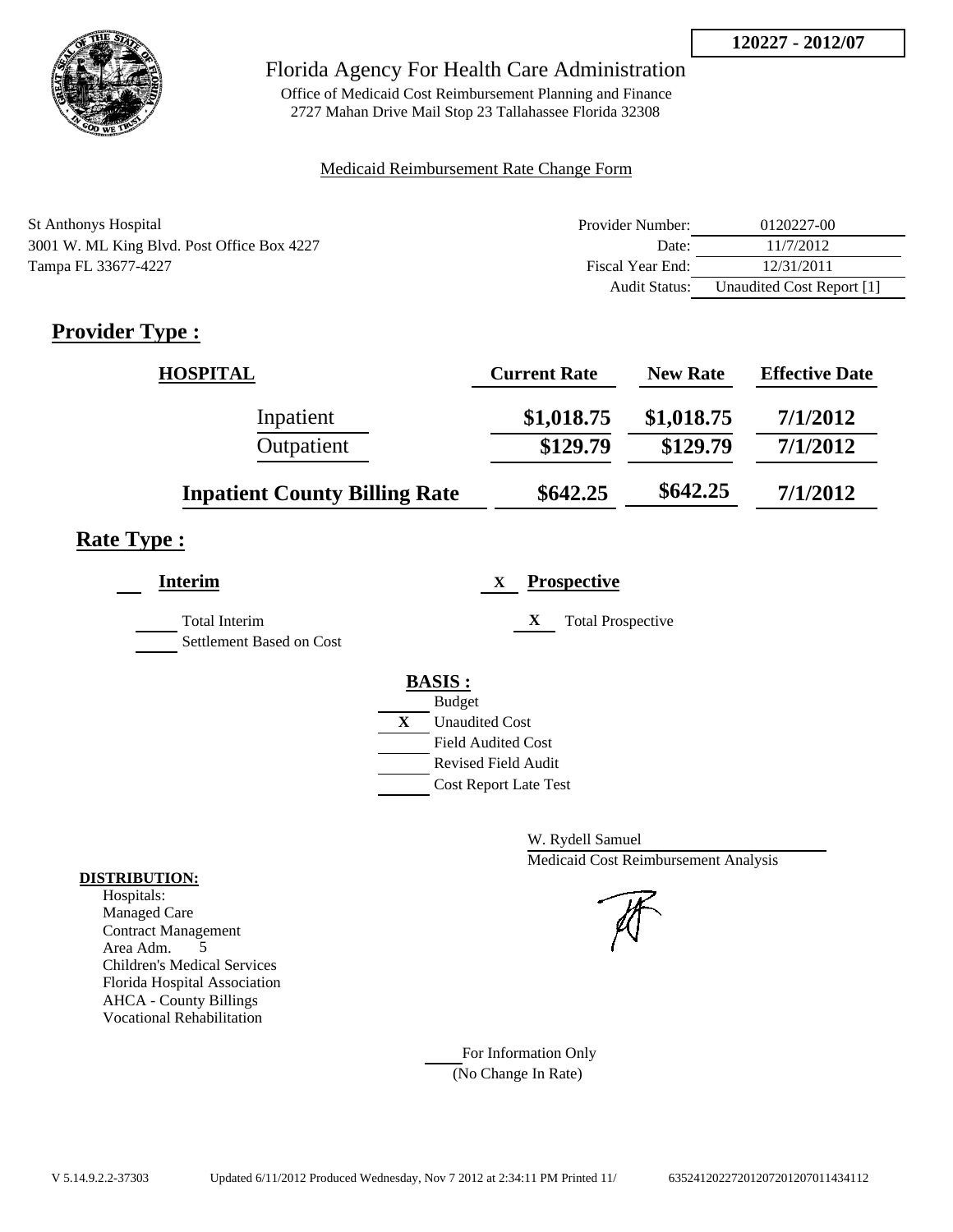

## Florida Agency For Health Care Administration

Office of Medicaid Cost Reimbursement Planning and Finance 2727 Mahan Drive Mail Stop 23 Tallahassee Florida 32308

## Medicaid Reimbursement Rate Change Form

| <b>St Anthonys Hospital</b>                | Provider Number: | 0120227-00                |
|--------------------------------------------|------------------|---------------------------|
| 3001 W. ML King Blvd. Post Office Box 4227 | Date:            | 11/7/2012                 |
| Tampa FL 33677-4227                        | Fiscal Year End: | 12/31/2011                |
|                                            | Audit Status:    | Unaudited Cost Report [1] |

# **Provider Type :**

| <b>HOSPITAL</b>                      | <b>Current Rate</b> | <b>New Rate</b> | <b>Effective Date</b> |
|--------------------------------------|---------------------|-----------------|-----------------------|
| Inpatient                            | \$1,018.75          | \$1,018.75      | 7/1/2012              |
| Outpatient                           | \$129.79            | \$129.79        | 7/1/2012              |
| <b>Inpatient County Billing Rate</b> | \$642.25            | \$642.25        | 7/1/2012              |

## **Rate Type :**

| <b>Interim</b>                                   | <b>Prospective</b><br>X                                                                                                                          |
|--------------------------------------------------|--------------------------------------------------------------------------------------------------------------------------------------------------|
| <b>Total Interim</b><br>Settlement Based on Cost | X<br><b>Total Prospective</b>                                                                                                                    |
|                                                  | <b>BASIS:</b><br><b>Budget</b><br>X<br><b>Unaudited Cost</b><br><b>Field Audited Cost</b><br>Revised Field Audit<br><b>Cost Report Late Test</b> |

W. Rydell Samuel Medicaid Cost Reimbursement Analysis

For Information Only (No Change In Rate)

## **DISTRIBUTION:**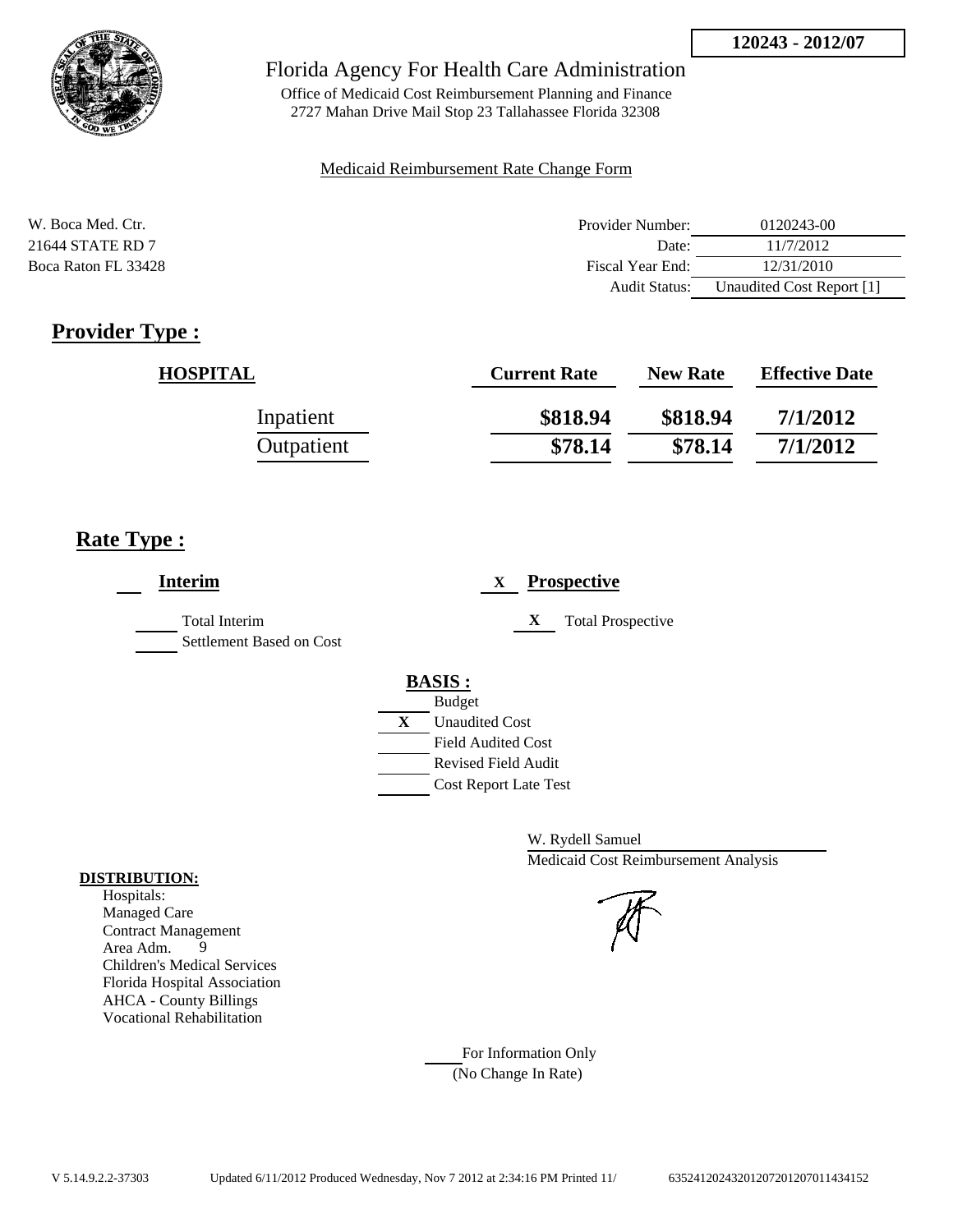

Office of Medicaid Cost Reimbursement Planning and Finance 2727 Mahan Drive Mail Stop 23 Tallahassee Florida 32308

#### Medicaid Reimbursement Rate Change Form

| W. Boca Med. Ctr.   | Provider Number: | 0120243-00                |
|---------------------|------------------|---------------------------|
| 21644 STATE RD 7    | Date:            | 11/7/2012                 |
| Boca Raton FL 33428 | Fiscal Year End: | 12/31/2010                |
|                     | Audit Status:    | Unaudited Cost Report [1] |

# **Provider Type :**

| <b>HOSPITAL</b> | <b>Current Rate</b> | <b>New Rate</b> | <b>Effective Date</b> |
|-----------------|---------------------|-----------------|-----------------------|
| Inpatient       | \$818.94            | \$818.94        | 7/1/2012              |
| Outpatient      | \$78.14             | \$78.14         | 7/1/2012              |

# **Rate Type :**

| <b>Interim</b>                                   | <b>Prospective</b><br>X       |
|--------------------------------------------------|-------------------------------|
| <b>Total Interim</b><br>Settlement Based on Cost | X<br><b>Total Prospective</b> |
|                                                  | <b>BASIS:</b>                 |
|                                                  | <b>Budget</b>                 |
|                                                  | X<br><b>Unaudited Cost</b>    |
|                                                  | <b>Field Audited Cost</b>     |
|                                                  | <b>Revised Field Audit</b>    |
|                                                  | <b>Cost Report Late Test</b>  |
|                                                  |                               |

W. Rydell Samuel Medicaid Cost Reimbursement Analysis

For Information Only (No Change In Rate)

## **DISTRIBUTION:**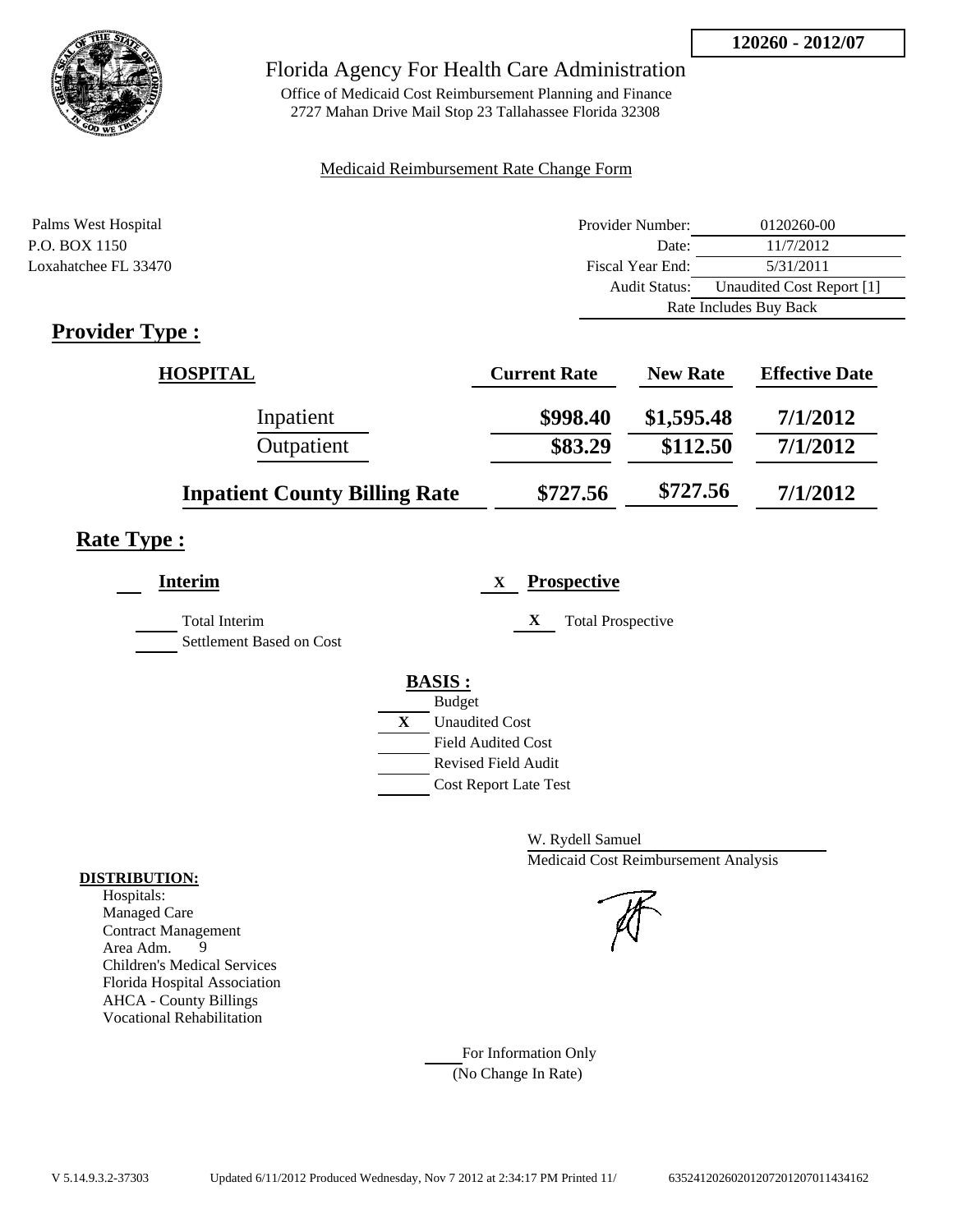

## Florida Agency For Health Care Administration

Office of Medicaid Cost Reimbursement Planning and Finance 2727 Mahan Drive Mail Stop 23 Tallahassee Florida 32308

## Medicaid Reimbursement Rate Change Form

| Palms West Hospital  | Provider Number:     | 0120260-00                |
|----------------------|----------------------|---------------------------|
| P.O. BOX 1150        | Date:                | 11/7/2012                 |
| Loxahatchee FL 33470 | Fiscal Year End:     | 5/31/2011                 |
|                      | <b>Audit Status:</b> | Unaudited Cost Report [1] |
|                      |                      | Rate Includes Buy Back    |

# **Provider Type :**

| <b>HOSPITAL</b>                      | <b>Current Rate</b> | <b>New Rate</b> | <b>Effective Date</b> |
|--------------------------------------|---------------------|-----------------|-----------------------|
| Inpatient                            | \$998.40            | \$1,595.48      | 7/1/2012              |
| Outpatient                           | \$83.29             | \$112.50        | 7/1/2012              |
| <b>Inpatient County Billing Rate</b> | \$727.56            | \$727.56        | 7/1/2012              |

# **Rate Type :**

| <b>Interim</b>                            | <b>Prospective</b><br>X       |
|-------------------------------------------|-------------------------------|
| Total Interim<br>Settlement Based on Cost | X<br><b>Total Prospective</b> |
|                                           | <b>BASIS:</b>                 |
|                                           | <b>Budget</b>                 |
|                                           | X<br><b>Unaudited Cost</b>    |
|                                           | <b>Field Audited Cost</b>     |
|                                           | <b>Revised Field Audit</b>    |
|                                           | <b>Cost Report Late Test</b>  |
|                                           |                               |

W. Rydell Samuel Medicaid Cost Reimbursement Analysis

For Information Only (No Change In Rate)

## **DISTRIBUTION:**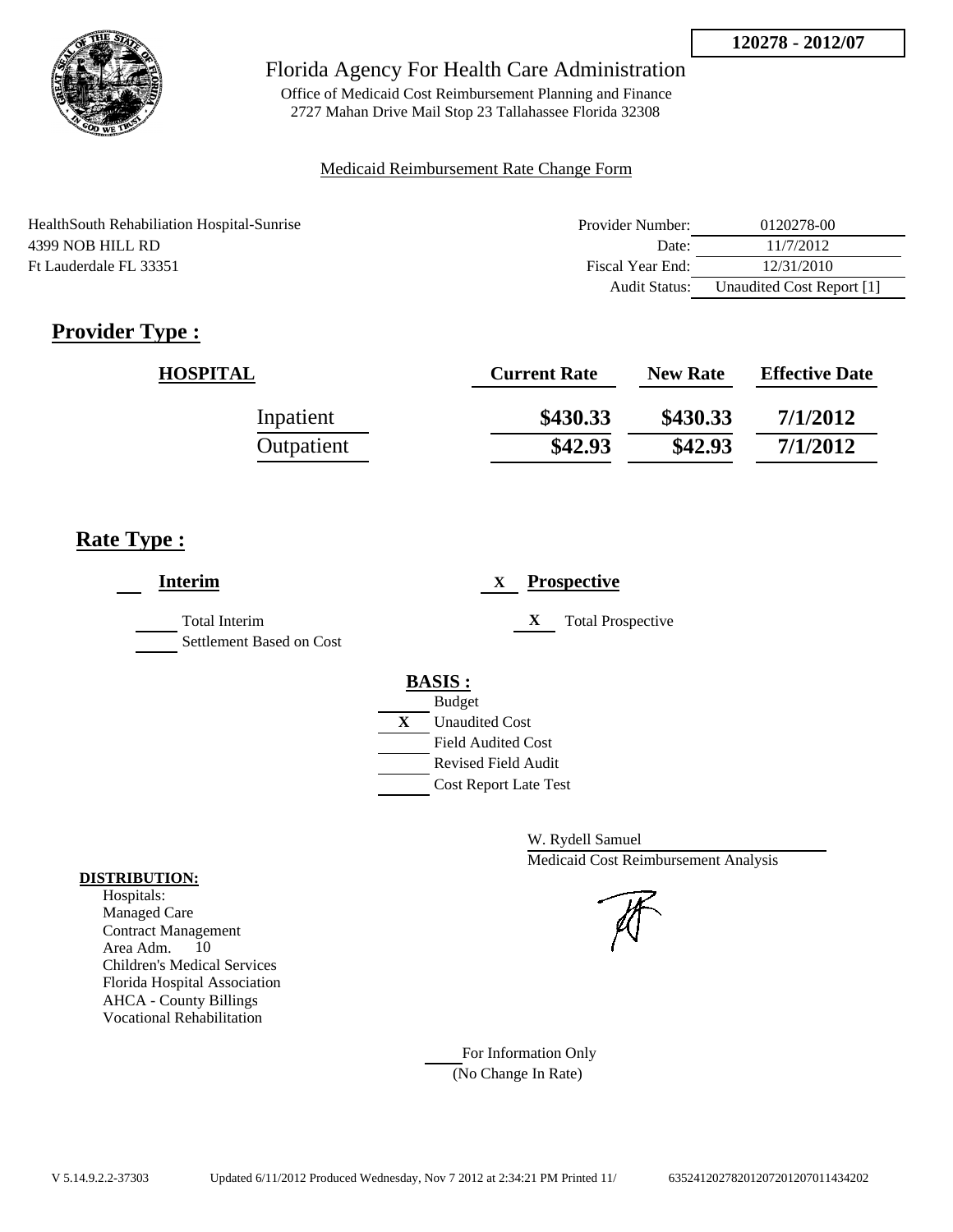

Office of Medicaid Cost Reimbursement Planning and Finance 2727 Mahan Drive Mail Stop 23 Tallahassee Florida 32308

## Medicaid Reimbursement Rate Change Form

| Health South Rehabiliation Hospital-Sunrise | Provider Number: | 0120278-00                |
|---------------------------------------------|------------------|---------------------------|
| 4399 NOB HILL RD                            | Date:            | 11/7/2012                 |
| Ft Lauderdale FL 33351                      | Fiscal Year End: | 12/31/2010                |
|                                             | Audit Status:    | Unaudited Cost Report [1] |

# **Provider Type :**

| <b>HOSPITAL</b> | <b>Current Rate</b> | <b>New Rate</b> | <b>Effective Date</b> |
|-----------------|---------------------|-----------------|-----------------------|
| Inpatient       | \$430.33            | \$430.33        | 7/1/2012              |
| Outpatient      | \$42.93             | \$42.93         | 7/1/2012              |

# **Rate Type :**

| <b>Interim</b>                            | <b>Prospective</b><br>X       |
|-------------------------------------------|-------------------------------|
| Total Interim<br>Settlement Based on Cost | <b>Total Prospective</b><br>X |
|                                           | <b>BASIS:</b>                 |
|                                           | <b>Budget</b>                 |
|                                           | X<br><b>Unaudited Cost</b>    |
|                                           | <b>Field Audited Cost</b>     |
|                                           | <b>Revised Field Audit</b>    |
|                                           | <b>Cost Report Late Test</b>  |
|                                           |                               |

W. Rydell Samuel Medicaid Cost Reimbursement Analysis

For Information Only (No Change In Rate)

## **DISTRIBUTION:**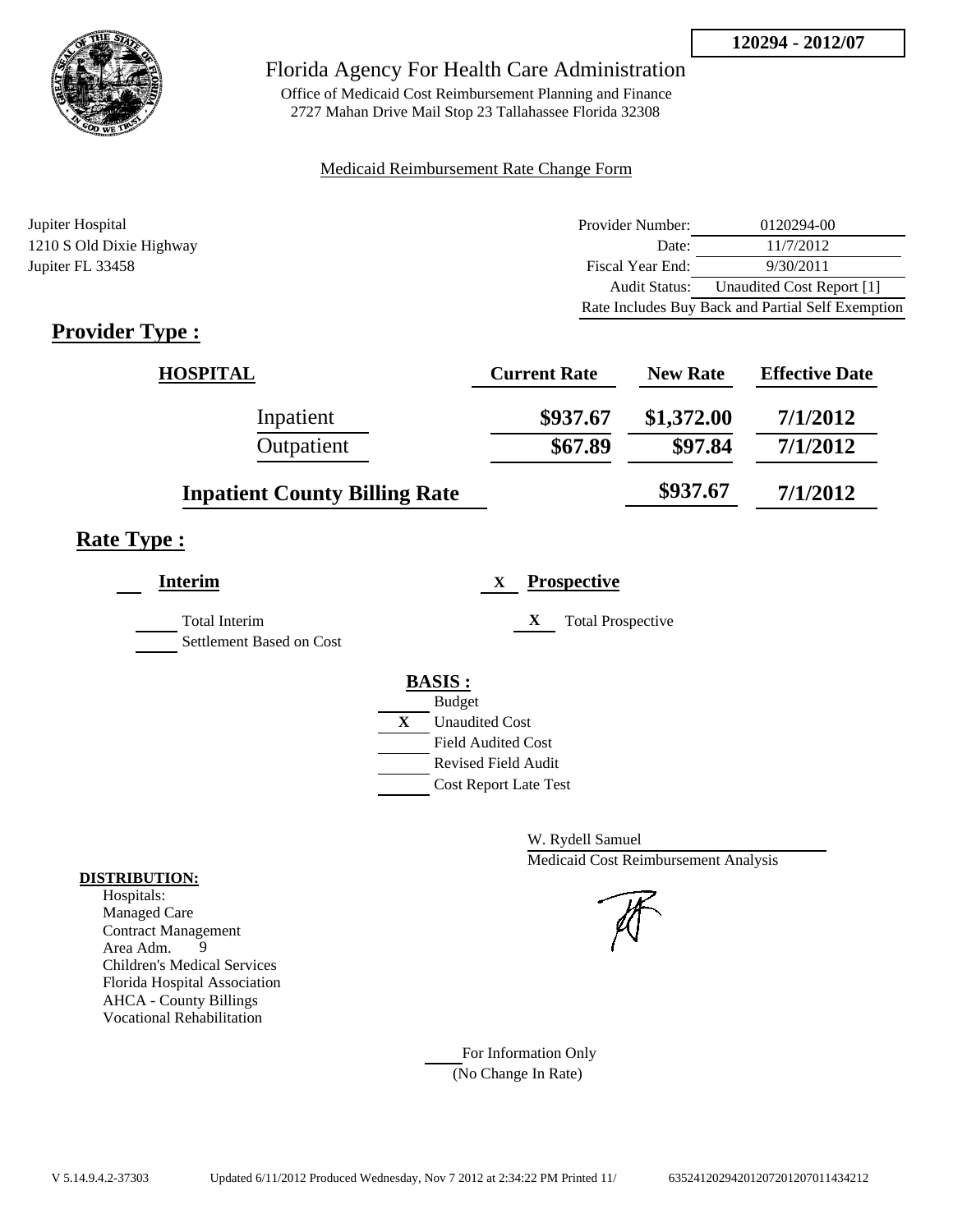

Office of Medicaid Cost Reimbursement Planning and Finance 2727 Mahan Drive Mail Stop 23 Tallahassee Florida 32308

## Medicaid Reimbursement Rate Change Form

| Jupiter Hospital         | Provider Number: | 0120294-00                                        |
|--------------------------|------------------|---------------------------------------------------|
| 1210 S Old Dixie Highway | Date:            | 11/7/2012                                         |
| Jupiter FL 33458         | Fiscal Year End: | 9/30/2011                                         |
|                          | Audit Status:    | Unaudited Cost Report [1]                         |
|                          |                  | Rate Includes Buy Back and Partial Self Exemption |

# **Provider Type :**

| <b>HOSPITAL</b>                      | <b>Current Rate</b> | <b>New Rate</b> | <b>Effective Date</b> |
|--------------------------------------|---------------------|-----------------|-----------------------|
| Inpatient                            | \$937.67            | \$1,372.00      | 7/1/2012              |
| Outpatient                           | \$67.89             | \$97.84         | 7/1/2012              |
| <b>Inpatient County Billing Rate</b> |                     | \$937.67        | 7/1/2012              |

# **Rate Type :**

| <b>Interim</b>                                   | <b>Prospective</b><br>X               |
|--------------------------------------------------|---------------------------------------|
| <b>Total Interim</b><br>Settlement Based on Cost | X<br><b>Total Prospective</b>         |
|                                                  | <b>BASIS:</b>                         |
|                                                  | <b>Budget</b>                         |
|                                                  | $\mathbf{X}$<br><b>Unaudited Cost</b> |
|                                                  | <b>Field Audited Cost</b>             |
|                                                  | Revised Field Audit                   |
|                                                  | <b>Cost Report Late Test</b>          |
|                                                  |                                       |

W. Rydell Samuel Medicaid Cost Reimbursement Analysis

For Information Only (No Change In Rate)

## **DISTRIBUTION:**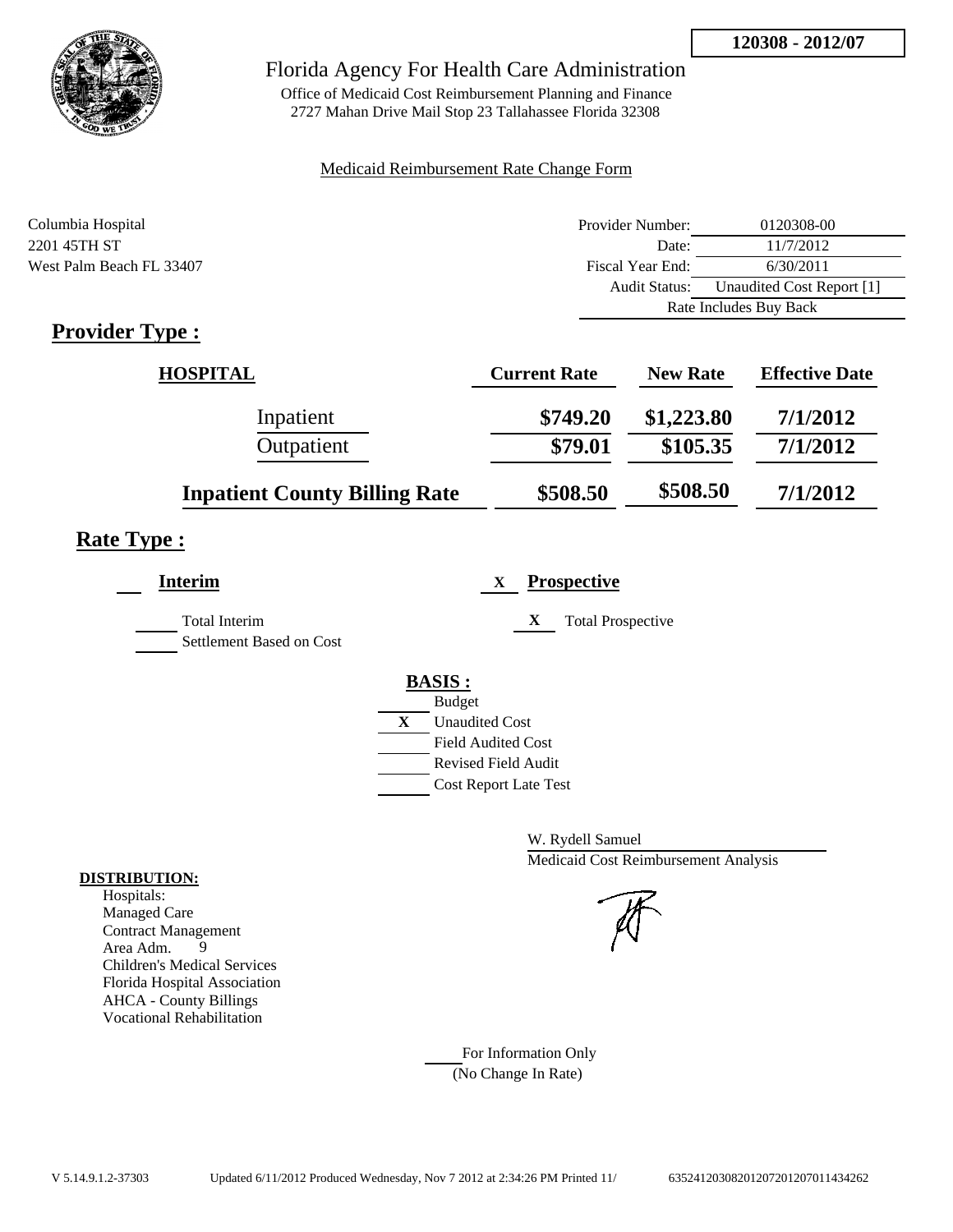

Office of Medicaid Cost Reimbursement Planning and Finance 2727 Mahan Drive Mail Stop 23 Tallahassee Florida 32308

## Medicaid Reimbursement Rate Change Form

| Columbia Hospital        | Provider Number: | 0120308-00                |
|--------------------------|------------------|---------------------------|
| 2201 45TH ST             | Date:            | 11/7/2012                 |
| West Palm Beach FL 33407 | Fiscal Year End: | 6/30/2011                 |
|                          | Audit Status:    | Unaudited Cost Report [1] |
|                          |                  | Rate Includes Buy Back    |

# **Provider Type :**

| <b>HOSPITAL</b>                      | <b>Current Rate</b> | <b>New Rate</b> | <b>Effective Date</b> |
|--------------------------------------|---------------------|-----------------|-----------------------|
| Inpatient                            | \$749.20            | \$1,223.80      | 7/1/2012              |
| Outpatient                           | \$79.01             | \$105.35        | 7/1/2012              |
| <b>Inpatient County Billing Rate</b> | \$508.50            | \$508.50        | 7/1/2012              |

# **Rate Type :**

| <b>Interim</b>           | <b>Prospective</b><br>X       |
|--------------------------|-------------------------------|
| Total Interim            | <b>Total Prospective</b><br>X |
| Settlement Based on Cost |                               |
|                          | <b>BASIS:</b>                 |
|                          | <b>Budget</b>                 |
|                          | X<br><b>Unaudited Cost</b>    |
|                          | <b>Field Audited Cost</b>     |
|                          | <b>Revised Field Audit</b>    |
|                          | <b>Cost Report Late Test</b>  |

W. Rydell Samuel Medicaid Cost Reimbursement Analysis

For Information Only (No Change In Rate)

## **DISTRIBUTION:**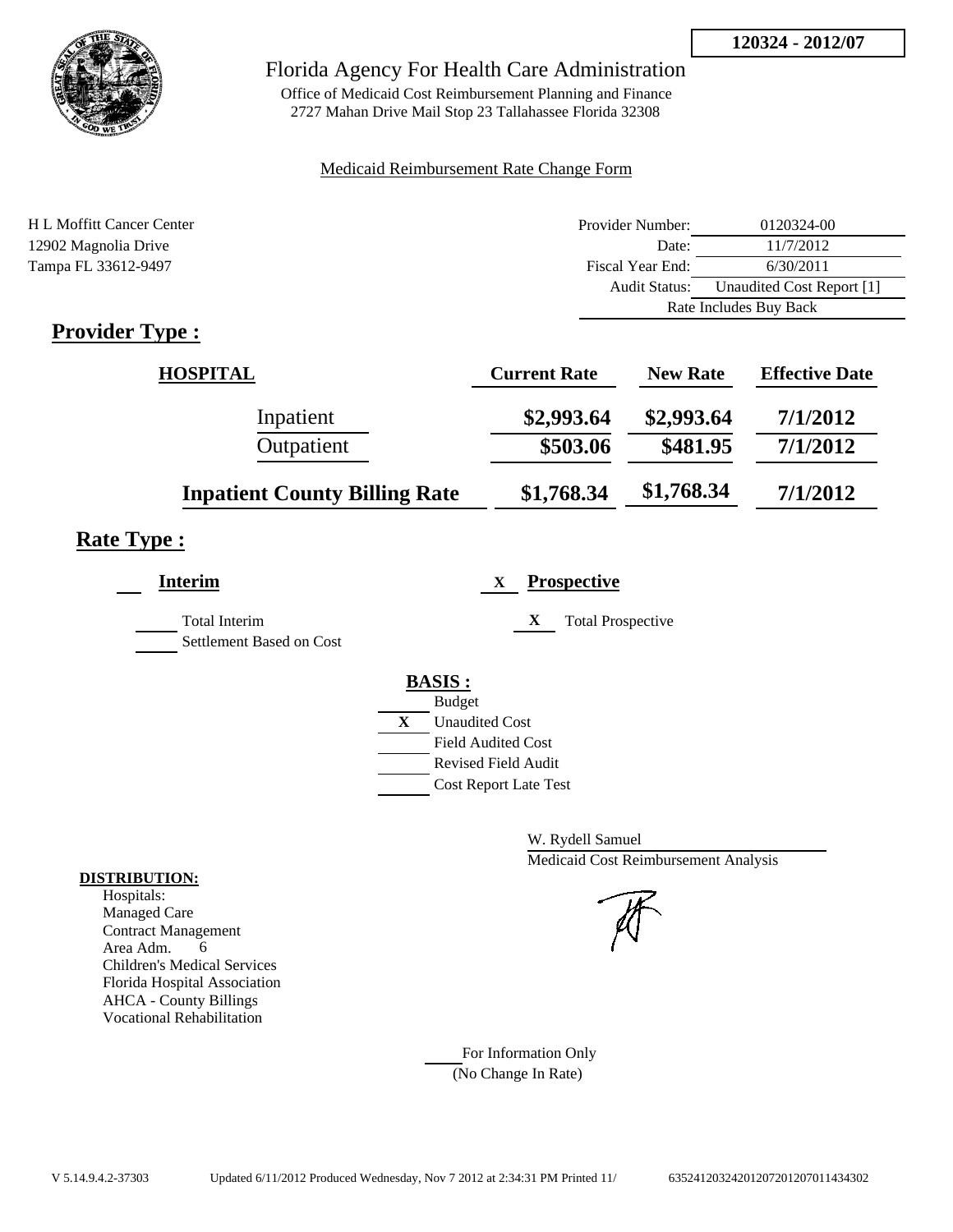

## Florida Agency For Health Care Administration

Office of Medicaid Cost Reimbursement Planning and Finance 2727 Mahan Drive Mail Stop 23 Tallahassee Florida 32308

## Medicaid Reimbursement Rate Change Form

| H L Moffitt Cancer Center                                  | Provider Number: | 0120324-00                |
|------------------------------------------------------------|------------------|---------------------------|
| 12902 Magnolia Drive                                       | Date:            | 11/7/2012                 |
| Tampa FL 33612-9497                                        | Fiscal Year End: | 6/30/2011                 |
|                                                            | Audit Status:    | Unaudited Cost Report [1] |
|                                                            |                  | Rate Includes Buy Back    |
| $\bullet$ $\blacksquare$<br>$\blacksquare$<br>$\mathbf{r}$ |                  |                           |

# **Provider Type :**

| <b>HOSPITAL</b>                      | <b>Current Rate</b> | <b>New Rate</b> | <b>Effective Date</b> |
|--------------------------------------|---------------------|-----------------|-----------------------|
| Inpatient                            | \$2,993.64          | \$2,993.64      | 7/1/2012              |
| Outpatient                           | \$503.06            | \$481.95        | 7/1/2012              |
| <b>Inpatient County Billing Rate</b> | \$1,768.34          | \$1,768.34      | 7/1/2012              |

# **Rate Type :**

| <b>Interim</b>                            | <b>Prospective</b><br>X       |
|-------------------------------------------|-------------------------------|
| Total Interim<br>Settlement Based on Cost | X<br><b>Total Prospective</b> |
|                                           | <b>BASIS:</b>                 |
|                                           | <b>Budget</b>                 |
|                                           | X<br><b>Unaudited Cost</b>    |
|                                           | <b>Field Audited Cost</b>     |
|                                           | Revised Field Audit           |
|                                           | <b>Cost Report Late Test</b>  |
|                                           |                               |

W. Rydell Samuel Medicaid Cost Reimbursement Analysis

For Information Only (No Change In Rate)

## **DISTRIBUTION:**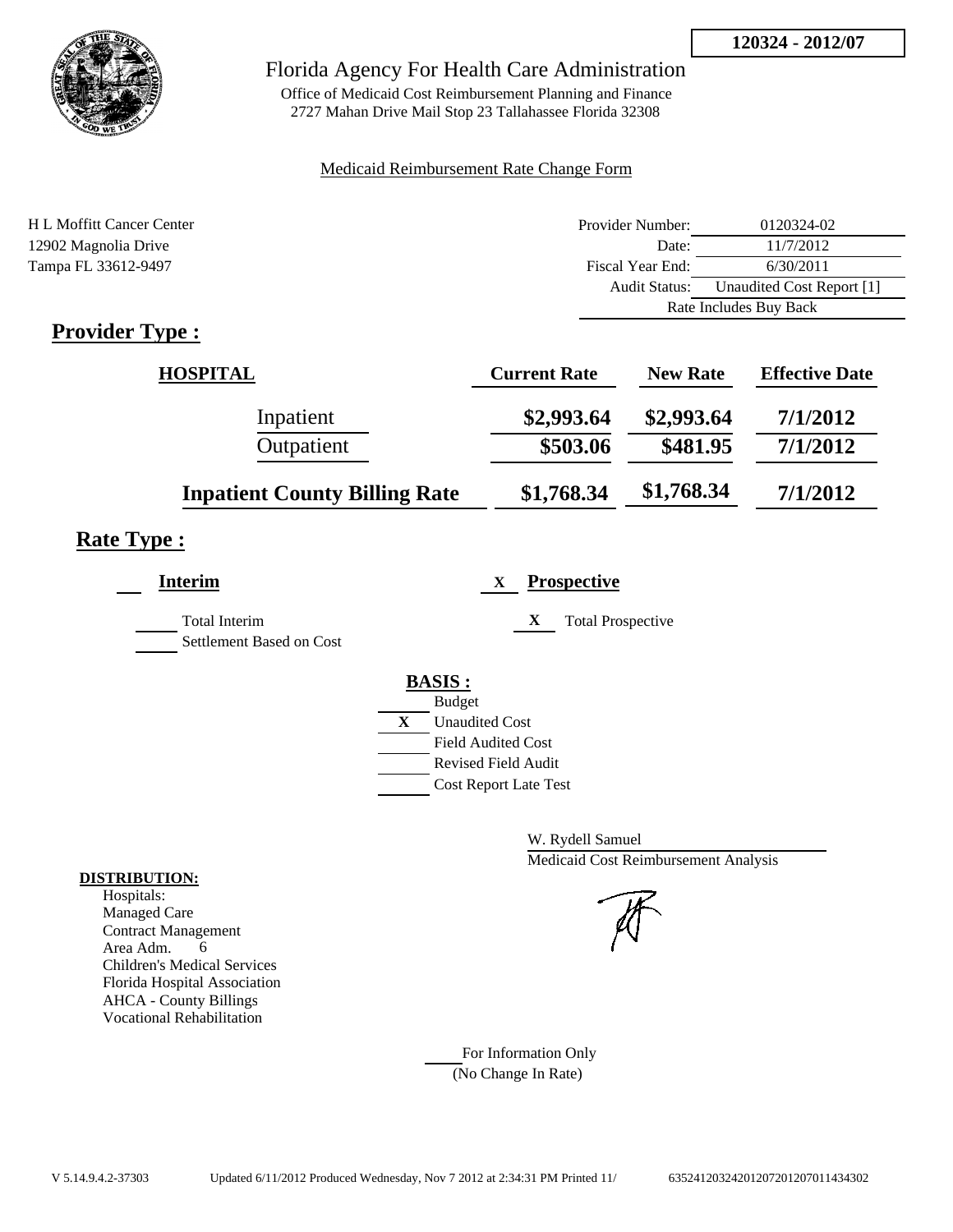

## Florida Agency For Health Care Administration

Office of Medicaid Cost Reimbursement Planning and Finance 2727 Mahan Drive Mail Stop 23 Tallahassee Florida 32308

## Medicaid Reimbursement Rate Change Form

| H L Moffitt Cancer Center | Provider Number:     | 0120324-02                |
|---------------------------|----------------------|---------------------------|
| 12902 Magnolia Drive      | Date:                | 11/7/2012                 |
| Tampa FL 33612-9497       | Fiscal Year End:     | 6/30/2011                 |
|                           | <b>Audit Status:</b> | Unaudited Cost Report [1] |
|                           |                      | Rate Includes Buy Back    |
| m<br>n.                   |                      |                           |

# **Provider Type :**

| <b>HOSPITAL</b>                      | <b>Current Rate</b> | <b>New Rate</b> | <b>Effective Date</b> |
|--------------------------------------|---------------------|-----------------|-----------------------|
| Inpatient                            | \$2,993.64          | \$2,993.64      | 7/1/2012              |
| Outpatient                           | \$503.06            | \$481.95        | 7/1/2012              |
| <b>Inpatient County Billing Rate</b> | \$1,768.34          | \$1,768.34      | 7/1/2012              |

# **Rate Type :**

| <b>Interim</b>                            | <b>Prospective</b><br>X       |
|-------------------------------------------|-------------------------------|
| Total Interim<br>Settlement Based on Cost | X<br><b>Total Prospective</b> |
|                                           | <b>BASIS:</b>                 |
|                                           | <b>Budget</b>                 |
|                                           | X<br><b>Unaudited Cost</b>    |
|                                           | <b>Field Audited Cost</b>     |
|                                           | Revised Field Audit           |
|                                           | <b>Cost Report Late Test</b>  |
|                                           |                               |

W. Rydell Samuel Medicaid Cost Reimbursement Analysis

For Information Only (No Change In Rate)

## **DISTRIBUTION:**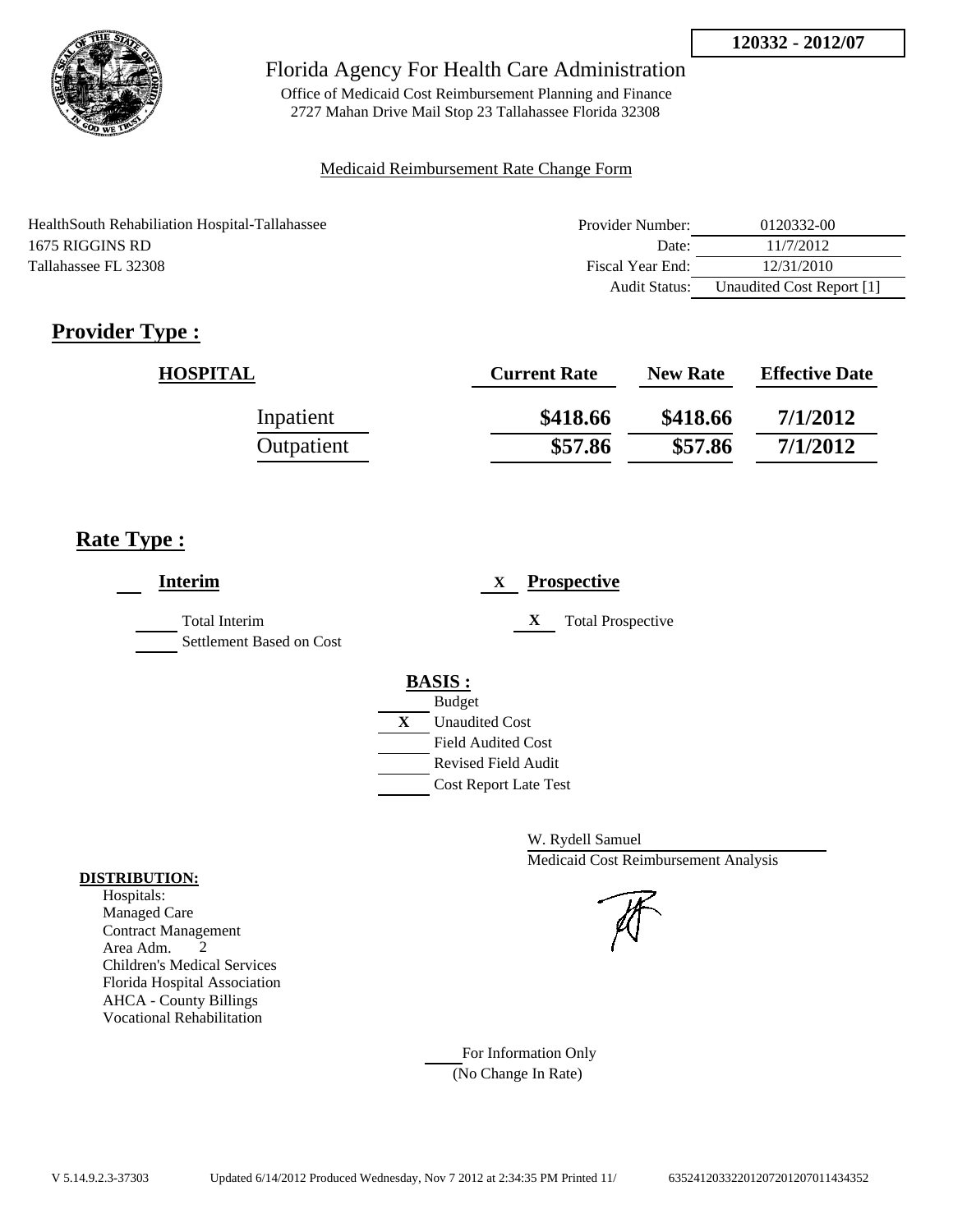

Office of Medicaid Cost Reimbursement Planning and Finance 2727 Mahan Drive Mail Stop 23 Tallahassee Florida 32308

## Medicaid Reimbursement Rate Change Form

| HealthSouth Rehabiliation Hospital-Tallahassee | Provider Number: | 0120332-00                |
|------------------------------------------------|------------------|---------------------------|
| 1675 RIGGINS RD                                | Date:            | 11/7/2012                 |
| Tallahassee FL 32308                           | Fiscal Year End: | 12/31/2010                |
|                                                | Audit Status:    | Unaudited Cost Report [1] |

# **Provider Type :**

| <b>HOSPITAL</b> | <b>Current Rate</b> | <b>New Rate</b> | <b>Effective Date</b> |
|-----------------|---------------------|-----------------|-----------------------|
| Inpatient       | \$418.66            | \$418.66        | 7/1/2012              |
| Outpatient      | \$57.86             | \$57.86         | 7/1/2012              |

# **Rate Type :**

| <b>Interim</b>                                   | <b>Prospective</b><br>X       |
|--------------------------------------------------|-------------------------------|
| <b>Total Interim</b><br>Settlement Based on Cost | X<br><b>Total Prospective</b> |
|                                                  | <b>BASIS:</b>                 |
|                                                  | <b>Budget</b>                 |
|                                                  | X<br><b>Unaudited Cost</b>    |
|                                                  | <b>Field Audited Cost</b>     |
|                                                  | <b>Revised Field Audit</b>    |
|                                                  | <b>Cost Report Late Test</b>  |
|                                                  |                               |

W. Rydell Samuel Medicaid Cost Reimbursement Analysis

For Information Only (No Change In Rate)

## **DISTRIBUTION:**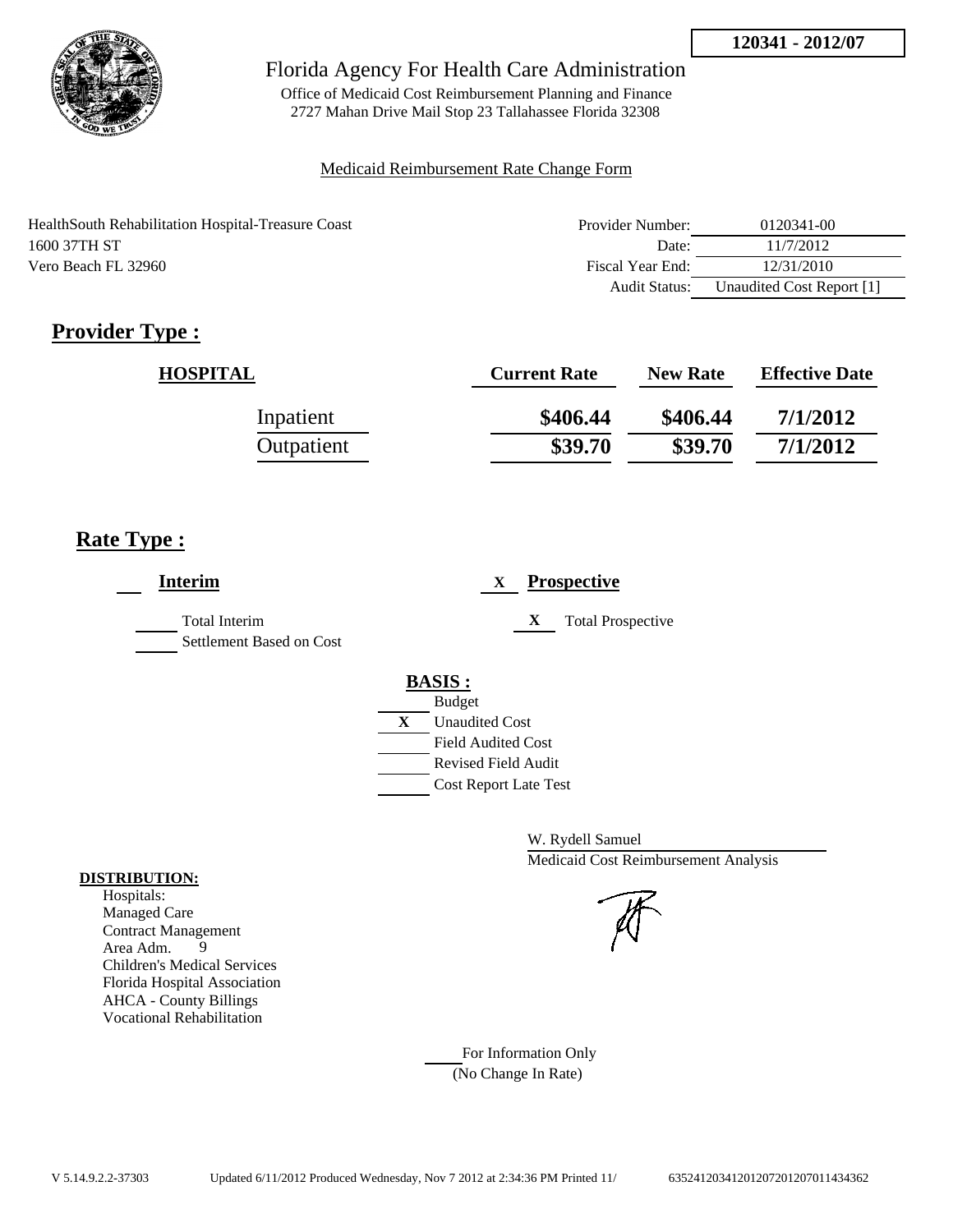

Office of Medicaid Cost Reimbursement Planning and Finance 2727 Mahan Drive Mail Stop 23 Tallahassee Florida 32308

## Medicaid Reimbursement Rate Change Form

| Health South Rehabilitation Hospital-Treasure Coast | Provider Number: | 0120341-00                |
|-----------------------------------------------------|------------------|---------------------------|
| 1600 37TH ST                                        | Date:            | 11/7/2012                 |
| Vero Beach FL 32960                                 | Fiscal Year End: | 12/31/2010                |
|                                                     | Audit Status:    | Unaudited Cost Report [1] |

# **Provider Type :**

| <b>HOSPITAL</b> | <b>Current Rate</b> | <b>New Rate</b> | <b>Effective Date</b> |
|-----------------|---------------------|-----------------|-----------------------|
| Inpatient       | \$406.44            | \$406.44        | 7/1/2012              |
| Outpatient      | \$39.70             | \$39.70         | 7/1/2012              |

# **Rate Type :**

| <b>Interim</b>                                   | <b>Prospective</b><br>X               |
|--------------------------------------------------|---------------------------------------|
| <b>Total Interim</b><br>Settlement Based on Cost | X<br><b>Total Prospective</b>         |
|                                                  | <b>BASIS:</b>                         |
|                                                  | <b>Budget</b>                         |
|                                                  | $\mathbf{X}$<br><b>Unaudited Cost</b> |
|                                                  | <b>Field Audited Cost</b>             |
|                                                  | <b>Revised Field Audit</b>            |
|                                                  | <b>Cost Report Late Test</b>          |
|                                                  |                                       |

W. Rydell Samuel Medicaid Cost Reimbursement Analysis

For Information Only (No Change In Rate)

## **DISTRIBUTION:**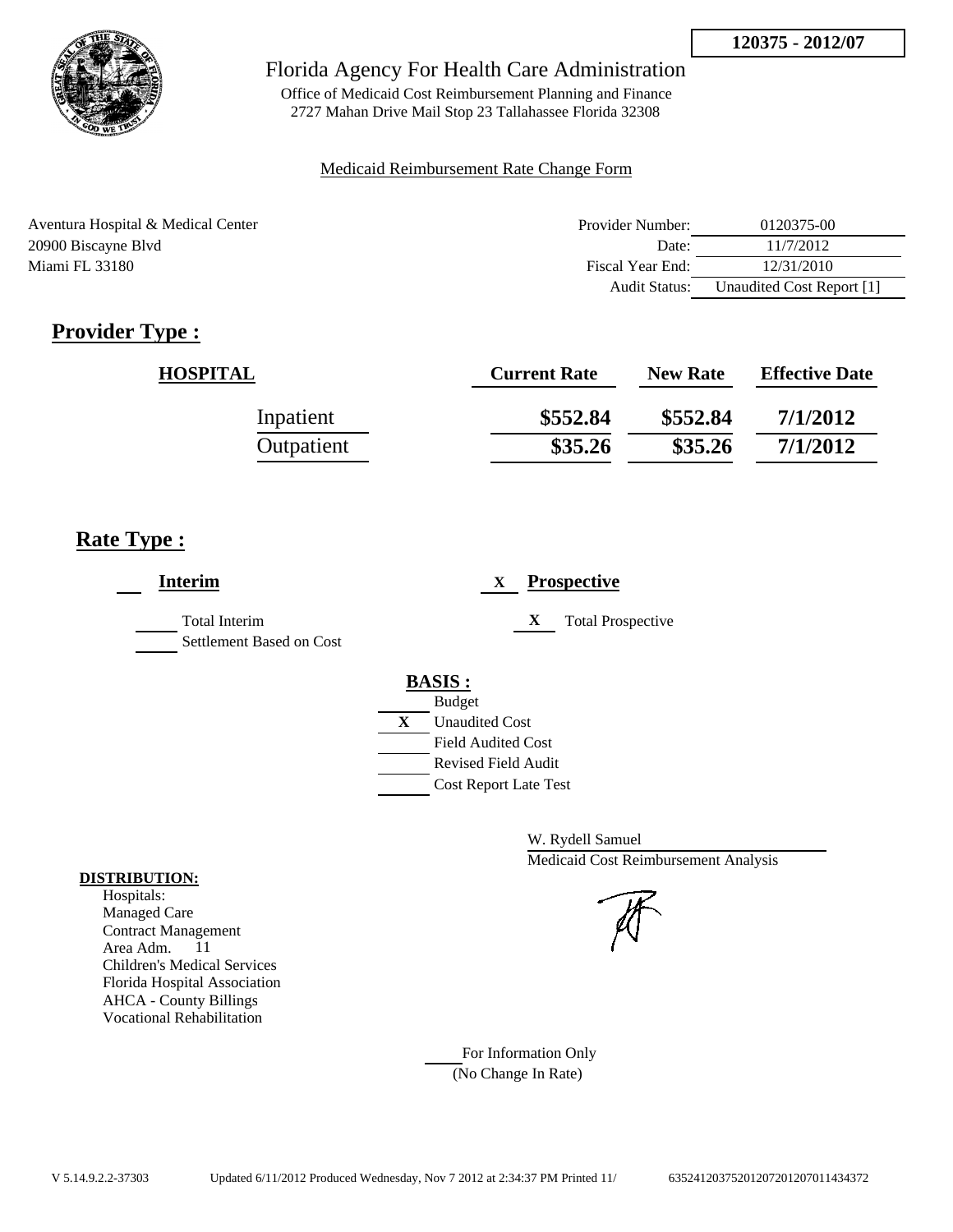

Office of Medicaid Cost Reimbursement Planning and Finance 2727 Mahan Drive Mail Stop 23 Tallahassee Florida 32308

## Medicaid Reimbursement Rate Change Form

| Aventura Hospital & Medical Center | Provider Number: | 0120375-00                |
|------------------------------------|------------------|---------------------------|
| 20900 Biscayne Blvd                | Date:            | 11/7/2012                 |
| Miami FL 33180                     | Fiscal Year End: | 12/31/2010                |
|                                    | Audit Status:    | Unaudited Cost Report [1] |

# **Provider Type :**

| <b>HOSPITAL</b> | <b>Current Rate</b> | <b>New Rate</b> | <b>Effective Date</b> |
|-----------------|---------------------|-----------------|-----------------------|
| Inpatient       | \$552.84            | \$552.84        | 7/1/2012              |
| Outpatient      | \$35.26             | \$35.26         | 7/1/2012              |

# **Rate Type :**

| <b>Interim</b>                                   | <b>Prospective</b><br>X                                                                 |
|--------------------------------------------------|-----------------------------------------------------------------------------------------|
| <b>Total Interim</b><br>Settlement Based on Cost | X<br><b>Total Prospective</b>                                                           |
|                                                  | <b>BASIS:</b><br><b>Budget</b><br>X<br><b>Unaudited Cost</b>                            |
|                                                  | <b>Field Audited Cost</b><br><b>Revised Field Audit</b><br><b>Cost Report Late Test</b> |

W. Rydell Samuel Medicaid Cost Reimbursement Analysis

For Information Only (No Change In Rate)

## **DISTRIBUTION:**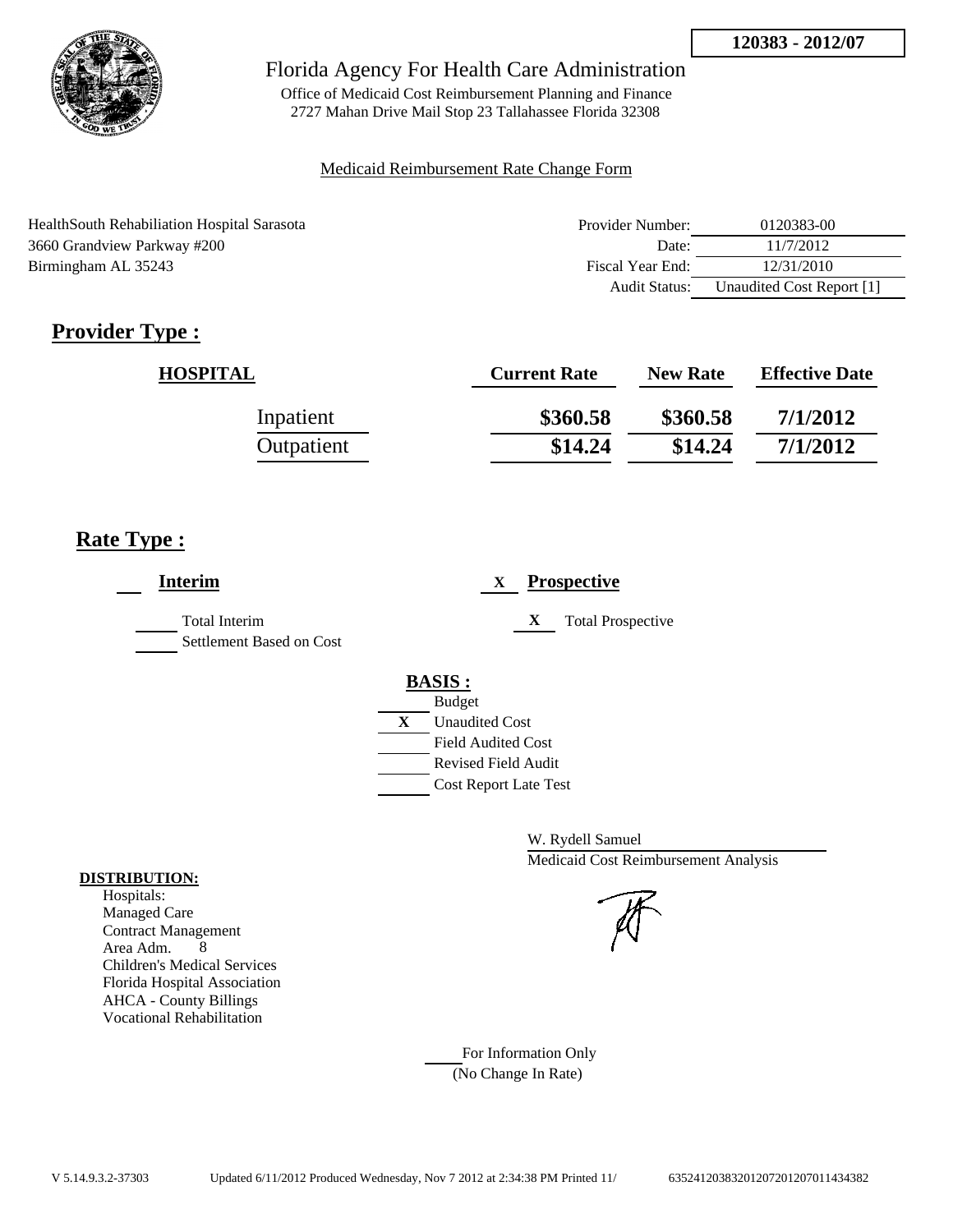

Office of Medicaid Cost Reimbursement Planning and Finance 2727 Mahan Drive Mail Stop 23 Tallahassee Florida 32308

## Medicaid Reimbursement Rate Change Form

| HealthSouth Rehabiliation Hospital Sarasota | Provider Number:     | 0120383-00                |
|---------------------------------------------|----------------------|---------------------------|
| 3660 Grandview Parkway #200                 | Date:                | 11/7/2012                 |
| Birmingham AL 35243                         | Fiscal Year End:     | 12/31/2010                |
|                                             | <b>Audit Status:</b> | Unaudited Cost Report [1] |

# **Provider Type :**

| <b>HOSPITAL</b> | <b>Current Rate</b> | <b>New Rate</b> | <b>Effective Date</b> |
|-----------------|---------------------|-----------------|-----------------------|
| Inpatient       | \$360.58            | \$360.58        | 7/1/2012              |
| Outpatient      | \$14.24             | \$14.24         | 7/1/2012              |

# **Rate Type :**

| <b>Interim</b>                            | <b>Prospective</b><br>X       |
|-------------------------------------------|-------------------------------|
| Total Interim<br>Settlement Based on Cost | <b>Total Prospective</b><br>X |
|                                           | <b>BASIS:</b>                 |
|                                           | <b>Budget</b>                 |
|                                           | X<br><b>Unaudited Cost</b>    |
|                                           | <b>Field Audited Cost</b>     |
|                                           | <b>Revised Field Audit</b>    |
|                                           | <b>Cost Report Late Test</b>  |
|                                           |                               |

W. Rydell Samuel Medicaid Cost Reimbursement Analysis

For Information Only (No Change In Rate)

## **DISTRIBUTION:**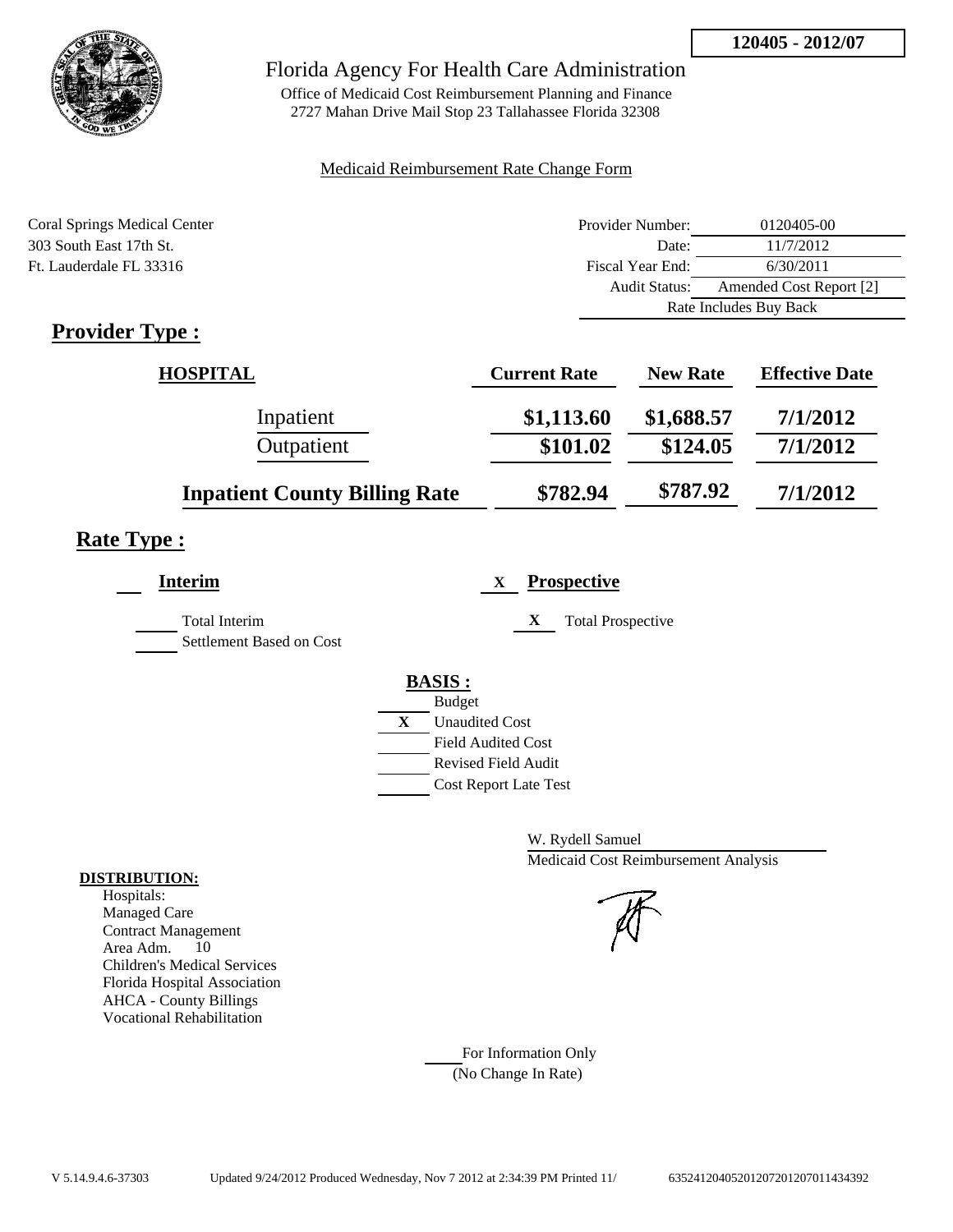

## Florida Agency For Health Care Administration

Office of Medicaid Cost Reimbursement Planning and Finance 2727 Mahan Drive Mail Stop 23 Tallahassee Florida 32308

## Medicaid Reimbursement Rate Change Form

| <b>Coral Springs Medical Center</b> | Provider Number: | 0120405-00              |  |
|-------------------------------------|------------------|-------------------------|--|
| 303 South East 17th St.             | Date:            | 11/7/2012               |  |
| Ft. Lauderdale FL 33316             | Fiscal Year End: | 6/30/2011               |  |
|                                     | Audit Status:    | Amended Cost Report [2] |  |
|                                     |                  | Rate Includes Buy Back  |  |

# **Provider Type :**

| <b>HOSPITAL</b>                      | <b>Current Rate</b> | <b>New Rate</b> | <b>Effective Date</b> |
|--------------------------------------|---------------------|-----------------|-----------------------|
| Inpatient                            | \$1,113.60          | \$1,688.57      | 7/1/2012              |
| Outpatient                           | \$101.02            | \$124.05        | 7/1/2012              |
| <b>Inpatient County Billing Rate</b> | \$782.94            | \$787.92        | 7/1/2012              |

# **Rate Type :**

| <b>Interim</b>                                   | <b>Prospective</b><br>X       |
|--------------------------------------------------|-------------------------------|
| <b>Total Interim</b><br>Settlement Based on Cost | X<br><b>Total Prospective</b> |
|                                                  | <b>BASIS:</b>                 |
|                                                  | <b>Budget</b>                 |
|                                                  | X<br><b>Unaudited Cost</b>    |
|                                                  | <b>Field Audited Cost</b>     |
|                                                  | <b>Revised Field Audit</b>    |
|                                                  | <b>Cost Report Late Test</b>  |
|                                                  |                               |

W. Rydell Samuel Medicaid Cost Reimbursement Analysis



For Information Only (No Change In Rate)

## **DISTRIBUTION:**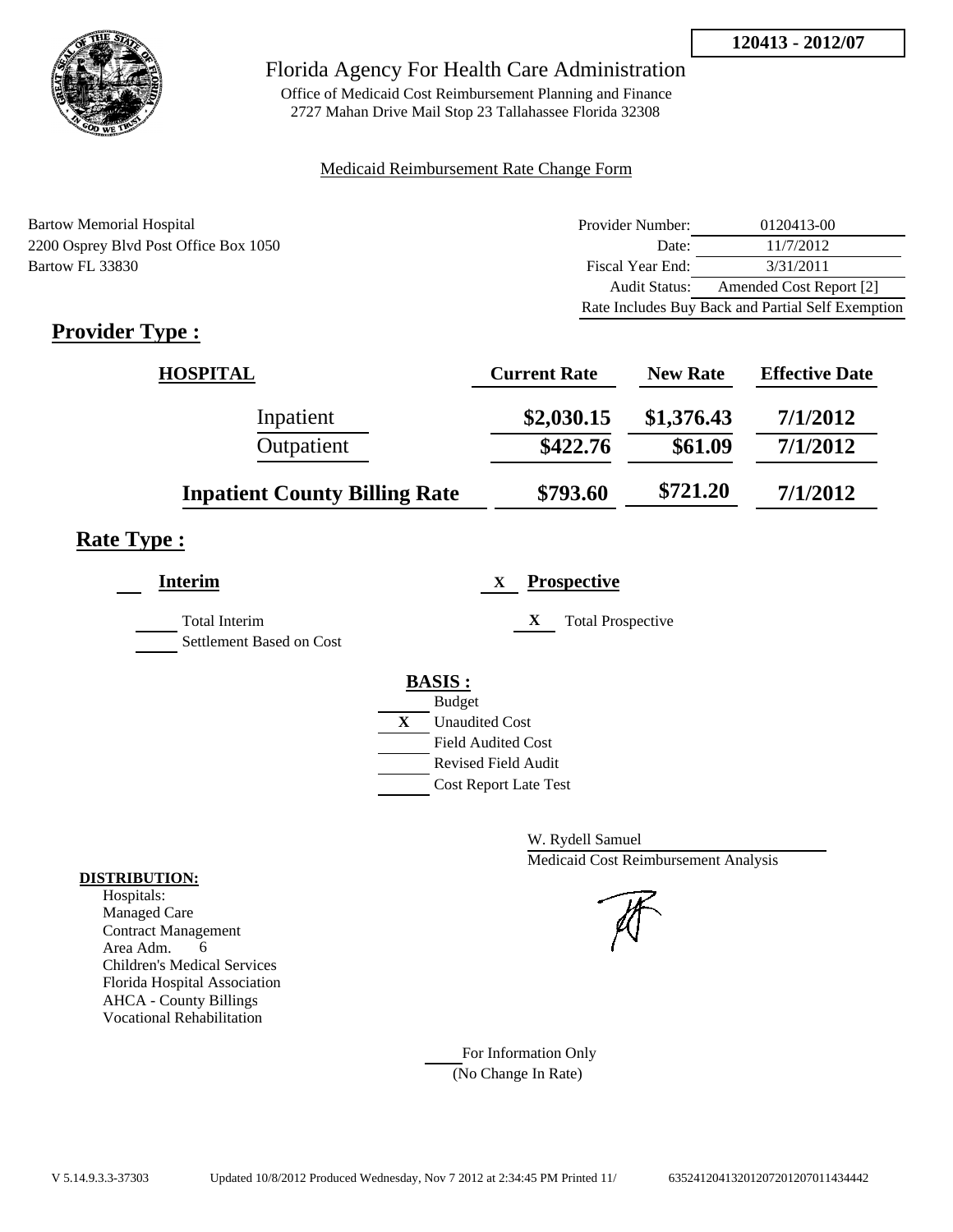

Office of Medicaid Cost Reimbursement Planning and Finance 2727 Mahan Drive Mail Stop 23 Tallahassee Florida 32308

## Medicaid Reimbursement Rate Change Form

Bartow Memorial Hospital 2200 Osprey Blvd Post Office Box 1050 Bartow FL 33830

| Provider Number: | 0120413-00                                        |
|------------------|---------------------------------------------------|
| Date:            | 11/7/2012                                         |
| Fiscal Year End: | 3/31/2011                                         |
| Audit Status:    | Amended Cost Report [2]                           |
|                  | Rate Includes Buy Back and Partial Self Exemption |

# **Provider Type :**

| <b>HOSPITAL</b>                      | <b>Current Rate</b> | <b>New Rate</b> | <b>Effective Date</b> |
|--------------------------------------|---------------------|-----------------|-----------------------|
| Inpatient                            | \$2,030.15          | \$1,376.43      | 7/1/2012              |
| Outpatient                           | \$422.76            | \$61.09         | 7/1/2012              |
| <b>Inpatient County Billing Rate</b> | \$793.60            | \$721.20        | 7/1/2012              |

# **Rate Type :**

| <b>Interim</b>                            | <b>Prospective</b><br>X                                                                                                                                           |
|-------------------------------------------|-------------------------------------------------------------------------------------------------------------------------------------------------------------------|
| Total Interim<br>Settlement Based on Cost | X<br><b>Total Prospective</b>                                                                                                                                     |
|                                           | <b>BASIS:</b><br><b>Budget</b><br>$\mathbf X$<br><b>Unaudited Cost</b><br><b>Field Audited Cost</b><br><b>Revised Field Audit</b><br><b>Cost Report Late Test</b> |

W. Rydell Samuel Medicaid Cost Reimbursement Analysis

For Information Only (No Change In Rate)

## **DISTRIBUTION:**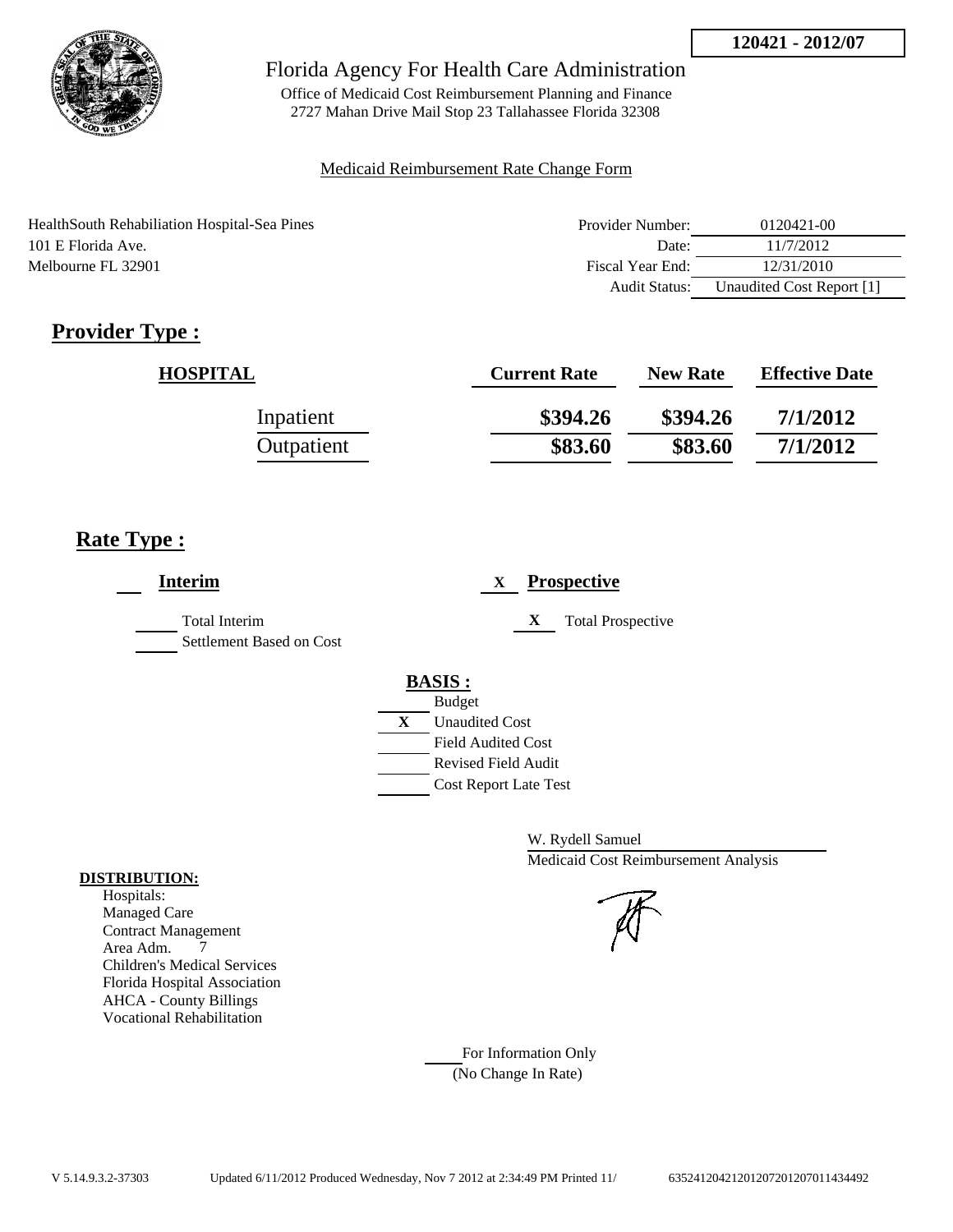

Office of Medicaid Cost Reimbursement Planning and Finance 2727 Mahan Drive Mail Stop 23 Tallahassee Florida 32308

## Medicaid Reimbursement Rate Change Form

| HealthSouth Rehabiliation Hospital-Sea Pines | Provider Number: | 0120421-00                |
|----------------------------------------------|------------------|---------------------------|
| 101 E Florida Ave.                           | Date:            | 11/7/2012                 |
| Melbourne FL 32901                           | Fiscal Year End: | 12/31/2010                |
|                                              | Audit Status:    | Unaudited Cost Report [1] |

# **Provider Type :**

| <b>HOSPITAL</b> | <b>Current Rate</b> | <b>New Rate</b> | <b>Effective Date</b> |
|-----------------|---------------------|-----------------|-----------------------|
| Inpatient       | \$394.26            | \$394.26        | 7/1/2012              |
| Outpatient      | \$83.60             | \$83.60         | 7/1/2012              |

# **Rate Type :**

| <b>Interim</b>                                   | <b>Prospective</b><br>X               |
|--------------------------------------------------|---------------------------------------|
| <b>Total Interim</b><br>Settlement Based on Cost | X<br><b>Total Prospective</b>         |
|                                                  | <b>BASIS:</b>                         |
|                                                  | <b>Budget</b>                         |
|                                                  | $\mathbf{X}$<br><b>Unaudited Cost</b> |
|                                                  | <b>Field Audited Cost</b>             |
|                                                  | <b>Revised Field Audit</b>            |
|                                                  | <b>Cost Report Late Test</b>          |
|                                                  |                                       |

W. Rydell Samuel Medicaid Cost Reimbursement Analysis

#### **DISTRIBUTION:** Hospitals:

Managed Care Contract Management Area Adm. 7 Children's Medical Services Florida Hospital Association AHCA - County Billings Vocational Rehabilitation

> For Information Only (No Change In Rate)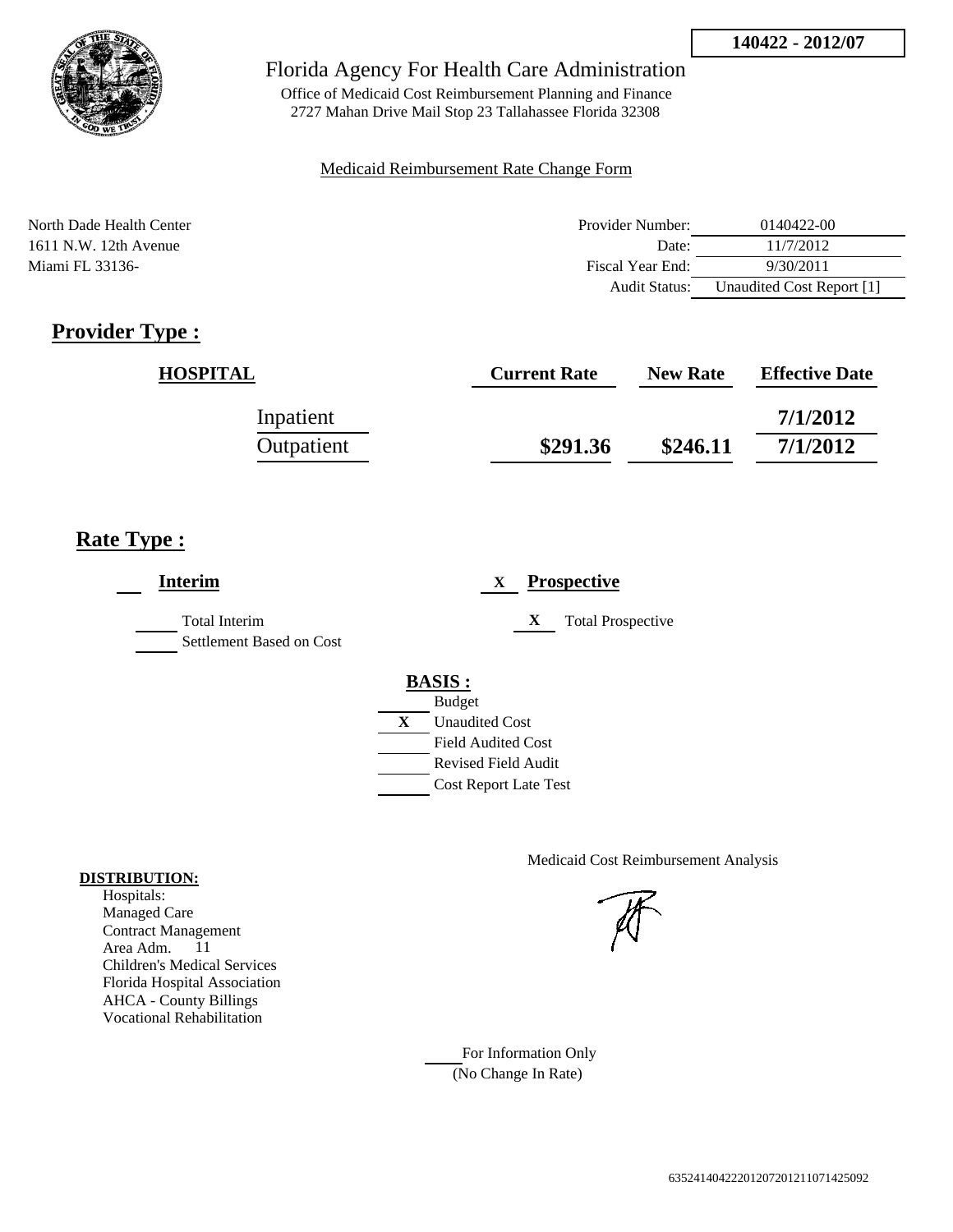

Office of Medicaid Cost Reimbursement Planning and Finance 2727 Mahan Drive Mail Stop 23 Tallahassee Florida 32308

#### Medicaid Reimbursement Rate Change Form

North Dade Health Center **Provider Number:** 0140422-00 1611 N.W. 12th Avenue Date: 11/7/2012 Miami FL 33136- 9/30/2011 Audit Status: Unaudited Cost Report [1]

# **Provider Type :**

| <b>HOSPITAL</b> | <b>Current Rate</b> | <b>New Rate</b> | <b>Effective Date</b> |
|-----------------|---------------------|-----------------|-----------------------|
| Inpatient       |                     |                 | 7/1/2012              |
| Outpatient      | \$291.36            | \$246.11        | 7/1/2012              |

## **Rate Type :**

| <b>Interim</b>                            | <b>Prospective</b><br>X       |
|-------------------------------------------|-------------------------------|
| Total Interim<br>Settlement Based on Cost | X<br><b>Total Prospective</b> |
|                                           | <b>BASIS:</b>                 |
|                                           | <b>Budget</b>                 |
|                                           | X<br><b>Unaudited Cost</b>    |
|                                           | <b>Field Audited Cost</b>     |
|                                           | Revised Field Audit           |
|                                           | <b>Cost Report Late Test</b>  |

Medicaid Cost Reimbursement Analysis

For Information Only (No Change In Rate)

#### **DISTRIBUTION:**

Hospitals: Managed Care Contract Management Area Adm. 11 Children's Medical Services Florida Hospital Association AHCA - County Billings Vocational Rehabilitation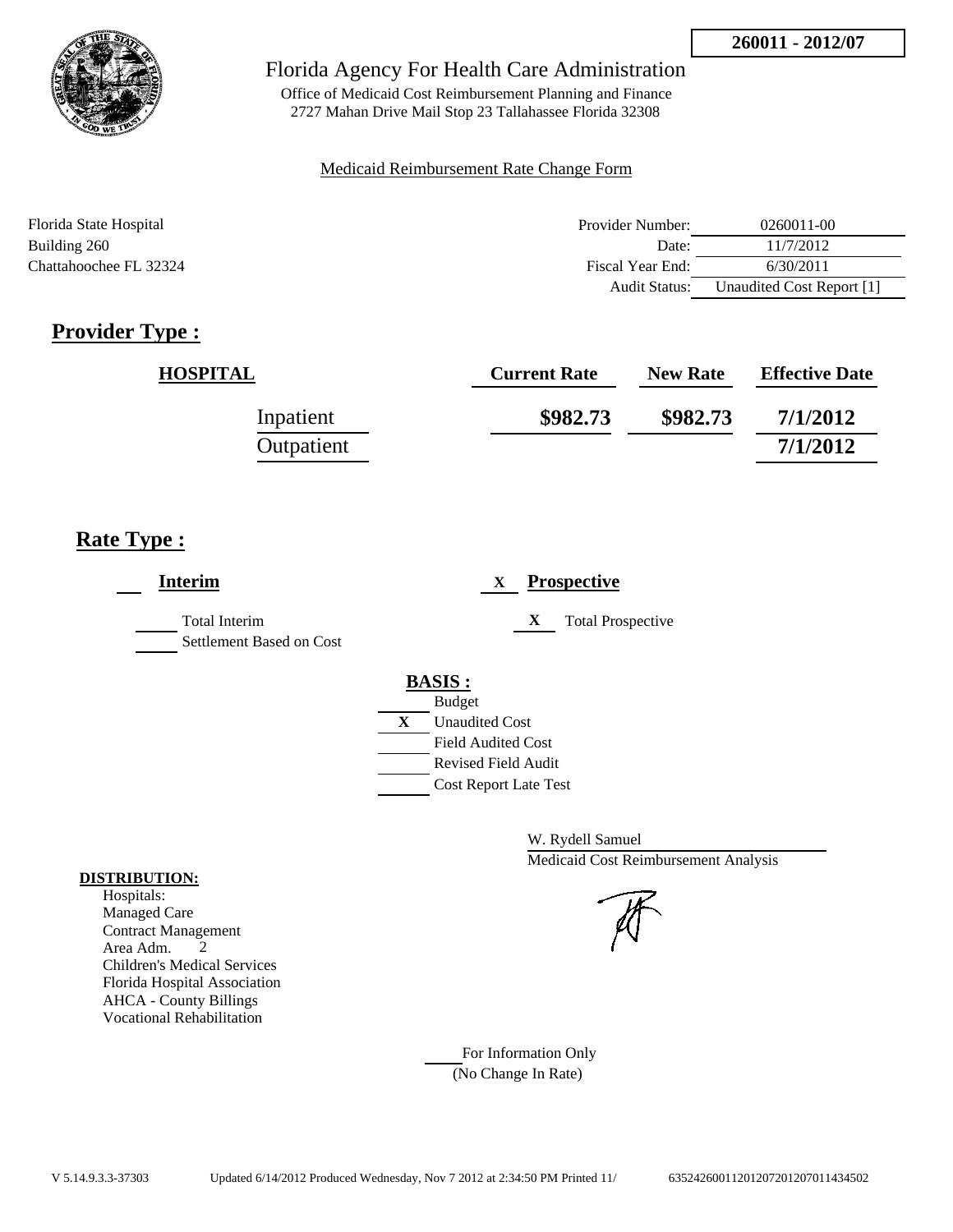

Office of Medicaid Cost Reimbursement Planning and Finance 2727 Mahan Drive Mail Stop 23 Tallahassee Florida 32308

## Medicaid Reimbursement Rate Change Form

| Florida State Hospital | Provider Number:     | $0260011 - 00$            |
|------------------------|----------------------|---------------------------|
| Building 260           | Date:                | 11/7/2012                 |
| Chattahoochee FL 32324 | Fiscal Year End:     | 6/30/2011                 |
|                        | <b>Audit Status:</b> | Unaudited Cost Report [1] |

# **Provider Type :**

| <b>HOSPITAL</b> | <b>Current Rate</b> | <b>New Rate</b> | <b>Effective Date</b> |
|-----------------|---------------------|-----------------|-----------------------|
| Inpatient       | \$982.73            | \$982.73        | 7/1/2012              |
| Outpatient      |                     |                 | 7/1/2012              |

# **Rate Type :**

| <b>Interim</b>                                   | <b>Prospective</b><br>X                                                                                                                          |
|--------------------------------------------------|--------------------------------------------------------------------------------------------------------------------------------------------------|
| <b>Total Interim</b><br>Settlement Based on Cost | X<br><b>Total Prospective</b>                                                                                                                    |
|                                                  | <b>BASIS:</b><br><b>Budget</b><br>X<br><b>Unaudited Cost</b><br><b>Field Audited Cost</b><br>Revised Field Audit<br><b>Cost Report Late Test</b> |

W. Rydell Samuel Medicaid Cost Reimbursement Analysis



For Information Only (No Change In Rate)

#### **DISTRIBUTION:**

Hospitals: Managed Care Contract Management Area Adm. 2 Children's Medical Services Florida Hospital Association AHCA - County Billings Vocational Rehabilitation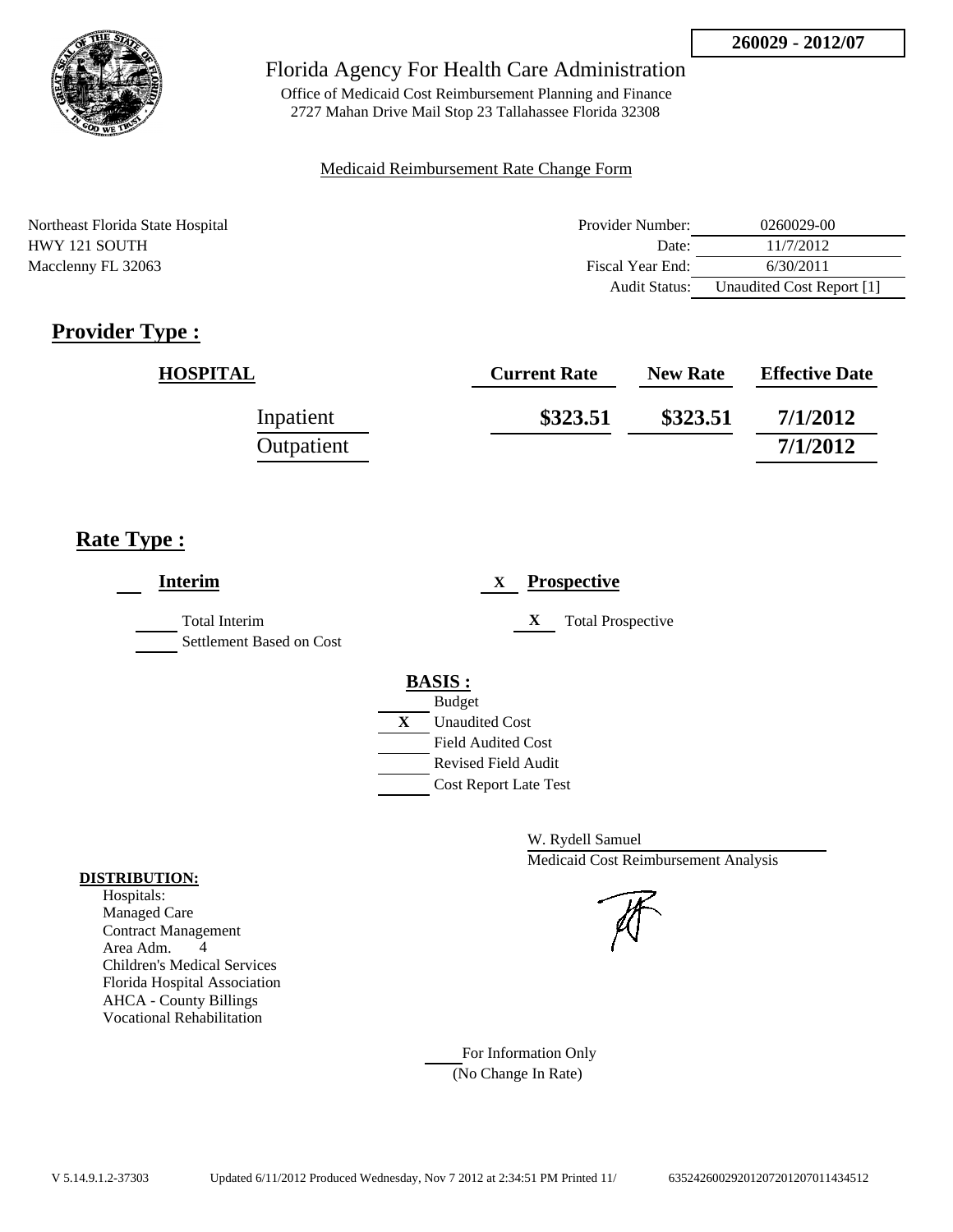

Office of Medicaid Cost Reimbursement Planning and Finance 2727 Mahan Drive Mail Stop 23 Tallahassee Florida 32308

#### Medicaid Reimbursement Rate Change Form

| Northeast Florida State Hospital | Provider Number: | 0260029-00                |
|----------------------------------|------------------|---------------------------|
| HWY 121 SOUTH                    | Date:            | 11/7/2012                 |
| Macclenny FL 32063               | Fiscal Year End: | 6/30/2011                 |
|                                  | Audit Status:    | Unaudited Cost Report [1] |

# **Provider Type :**

| <b>HOSPITAL</b> | <b>Current Rate</b> | <b>New Rate</b> | <b>Effective Date</b> |
|-----------------|---------------------|-----------------|-----------------------|
| Inpatient       | \$323.51            | \$323.51        | 7/1/2012              |
| Outpatient      |                     |                 | 7/1/2012              |

## **Rate Type :**

| <b>Interim</b>                                   | <b>Prospective</b><br>$\mathbf{X}$                                                                                                                      |
|--------------------------------------------------|---------------------------------------------------------------------------------------------------------------------------------------------------------|
| <b>Total Interim</b><br>Settlement Based on Cost | X<br><b>Total Prospective</b>                                                                                                                           |
|                                                  | <b>BASIS:</b><br><b>Budget</b><br>X<br><b>Unaudited Cost</b><br><b>Field Audited Cost</b><br><b>Revised Field Audit</b><br><b>Cost Report Late Test</b> |

W. Rydell Samuel Medicaid Cost Reimbursement Analysis

For Information Only (No Change In Rate)

#### **DISTRIBUTION:**

Hospitals: Managed Care Contract Management Area Adm. 4 Children's Medical Services Florida Hospital Association AHCA - County Billings Vocational Rehabilitation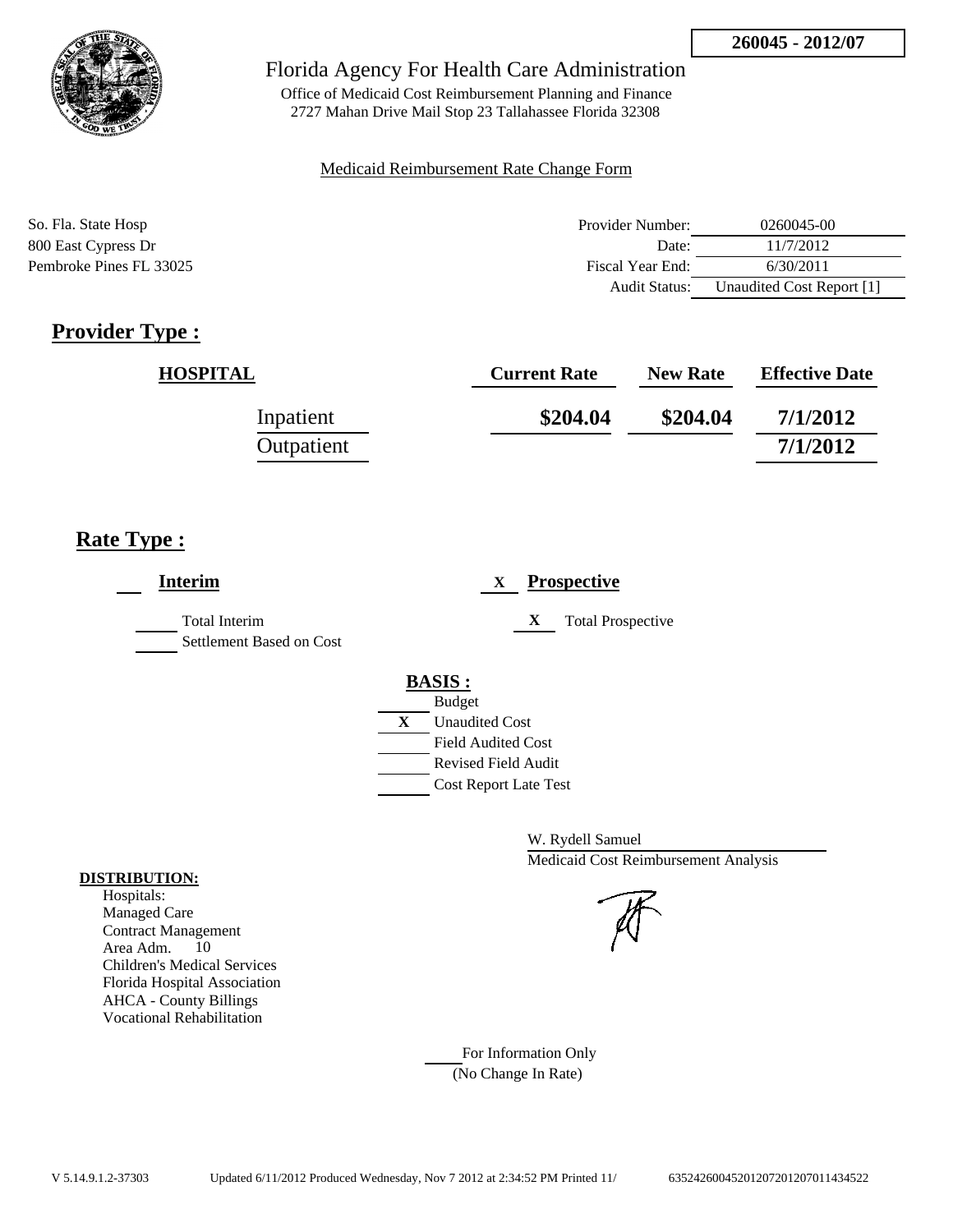

Office of Medicaid Cost Reimbursement Planning and Finance 2727 Mahan Drive Mail Stop 23 Tallahassee Florida 32308

## Medicaid Reimbursement Rate Change Form

| So. Fla. State Hosp     | Provider Number:     | 0260045-00                |
|-------------------------|----------------------|---------------------------|
| 800 East Cypress Dr     | Date:                | 11/7/2012                 |
| Pembroke Pines FL 33025 | Fiscal Year End:     | 6/30/2011                 |
|                         | <b>Audit Status:</b> | Unaudited Cost Report [1] |

# **Provider Type :**

| <b>HOSPITAL</b> | <b>Current Rate</b> | <b>New Rate</b> | <b>Effective Date</b> |
|-----------------|---------------------|-----------------|-----------------------|
| Inpatient       | \$204.04            | \$204.04        | 7/1/2012              |
| Outpatient      |                     |                 | 7/1/2012              |

# **Rate Type :**

| <b>Interim</b>                            | <b>Prospective</b><br>X                            |
|-------------------------------------------|----------------------------------------------------|
| Total Interim<br>Settlement Based on Cost | X<br><b>Total Prospective</b>                      |
|                                           | <b>BASIS:</b>                                      |
|                                           | <b>Budget</b><br>X                                 |
|                                           | <b>Unaudited Cost</b><br><b>Field Audited Cost</b> |
|                                           | <b>Revised Field Audit</b>                         |
|                                           | <b>Cost Report Late Test</b>                       |

W. Rydell Samuel Medicaid Cost Reimbursement Analysis

For Information Only (No Change In Rate)

#### **DISTRIBUTION:**

Hospitals: Managed Care Contract Management Area Adm. 10 Children's Medical Services Florida Hospital Association AHCA - County Billings Vocational Rehabilitation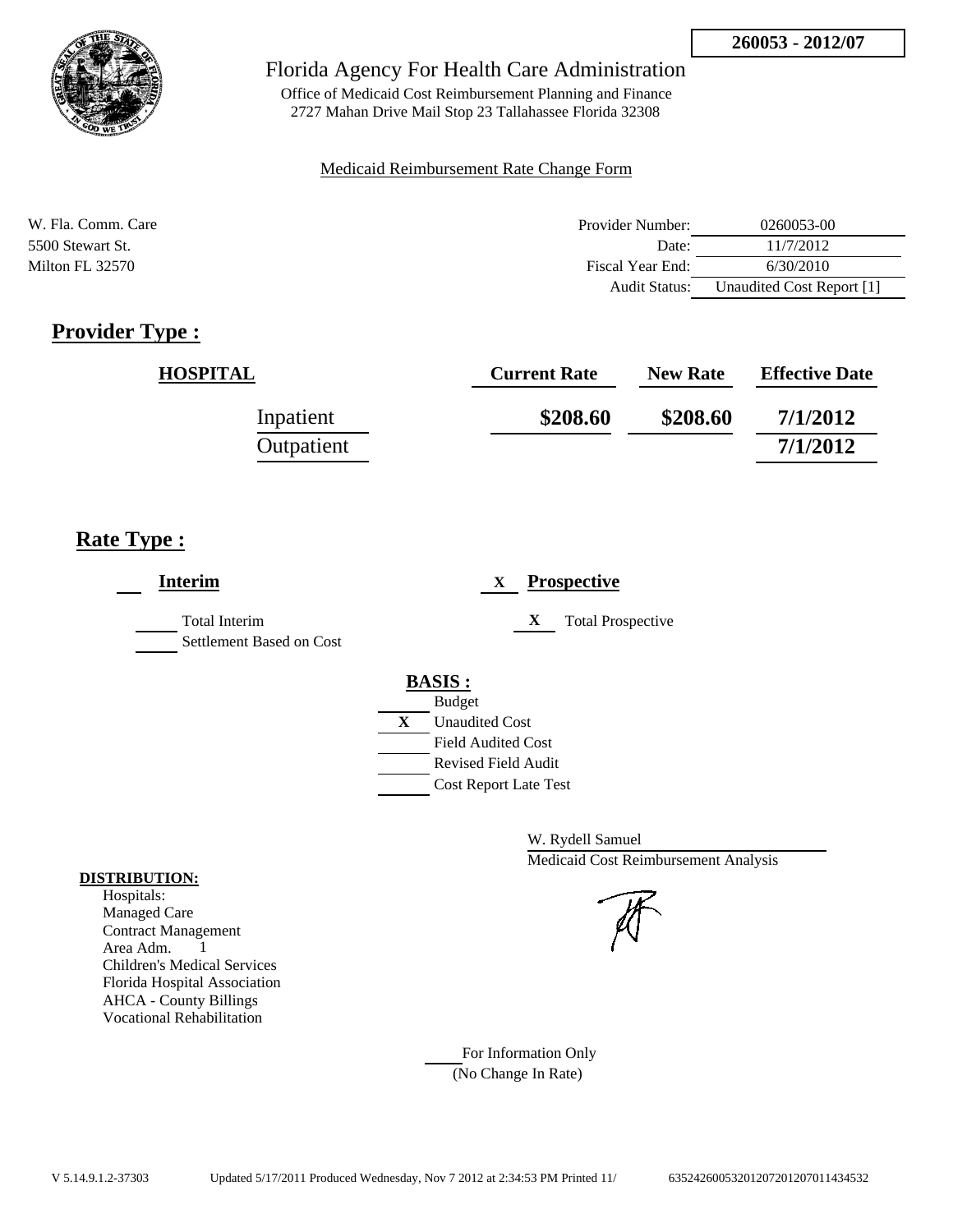

Office of Medicaid Cost Reimbursement Planning and Finance 2727 Mahan Drive Mail Stop 23 Tallahassee Florida 32308

#### Medicaid Reimbursement Rate Change Form

| W. Fla. Comm. Care | Provider Number: | 0260053-00                |
|--------------------|------------------|---------------------------|
| 5500 Stewart St.   | Date:            | 11/7/2012                 |
| Milton FL 32570    | Fiscal Year End: | 6/30/2010                 |
|                    | Audit Status:    | Unaudited Cost Report [1] |

# **Provider Type :**

| <b>HOSPITAL</b> | <b>Current Rate</b> | <b>New Rate</b> | <b>Effective Date</b> |
|-----------------|---------------------|-----------------|-----------------------|
| Inpatient       | \$208.60            | \$208.60        | 7/1/2012              |
| Outpatient      |                     |                 | 7/1/2012              |

## **Rate Type :**

| <b>Interim</b>                            | <b>Prospective</b><br>X       |
|-------------------------------------------|-------------------------------|
| Total Interim<br>Settlement Based on Cost | X<br><b>Total Prospective</b> |
|                                           | <b>BASIS:</b>                 |
|                                           | <b>Budget</b>                 |
|                                           | X<br><b>Unaudited Cost</b>    |
|                                           | <b>Field Audited Cost</b>     |
|                                           | Revised Field Audit           |
|                                           | <b>Cost Report Late Test</b>  |
|                                           |                               |

W. Rydell Samuel Medicaid Cost Reimbursement Analysis

For Information Only (No Change In Rate)

#### **DISTRIBUTION:**

Hospitals: Managed Care Contract Management Area Adm. 1 Children's Medical Services Florida Hospital Association AHCA - County Billings Vocational Rehabilitation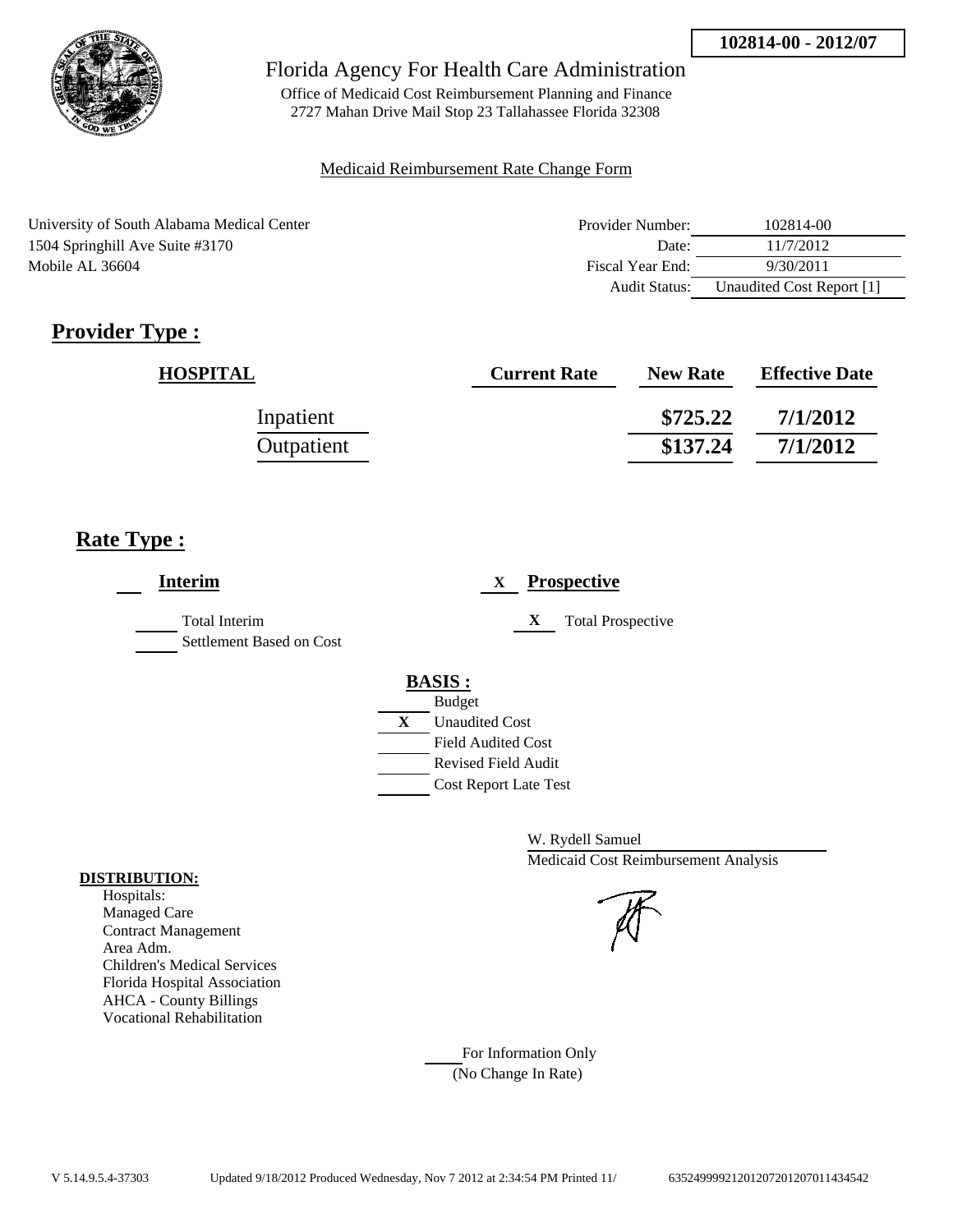

Office of Medicaid Cost Reimbursement Planning and Finance 2727 Mahan Drive Mail Stop 23 Tallahassee Florida 32308

#### Medicaid Reimbursement Rate Change Form

| University of South Alabama Medical Center | Provider Number:     | 102814-00                 |
|--------------------------------------------|----------------------|---------------------------|
| 1504 Springhill Ave Suite #3170            | Date:                | 11/7/2012                 |
| Mobile AL 36604                            | Fiscal Year End:     | 9/30/2011                 |
|                                            | <b>Audit Status:</b> | Unaudited Cost Report [1] |

# **Provider Type :**

| <b>HOSPITAL</b> | <b>Current Rate</b> | <b>New Rate</b> | <b>Effective Date</b> |
|-----------------|---------------------|-----------------|-----------------------|
| Inpatient       |                     | \$725.22        | 7/1/2012              |
| Outpatient      |                     | \$137.24        | 7/1/2012              |

# **Rate Type :**

| <b>Interim</b>                                   | <b>Prospective</b><br>X                                                                                                                          |
|--------------------------------------------------|--------------------------------------------------------------------------------------------------------------------------------------------------|
| <b>Total Interim</b><br>Settlement Based on Cost | X<br><b>Total Prospective</b>                                                                                                                    |
|                                                  | <b>BASIS:</b><br><b>Budget</b><br>X<br><b>Unaudited Cost</b><br><b>Field Audited Cost</b><br>Revised Field Audit<br><b>Cost Report Late Test</b> |

W. Rydell Samuel Medicaid Cost Reimbursement Analysis

For Information Only (No Change In Rate)

#### **DISTRIBUTION:**

Hospitals: Managed Care Contract Management Area Adm. Children's Medical Services Florida Hospital Association AHCA - County Billings Vocational Rehabilitation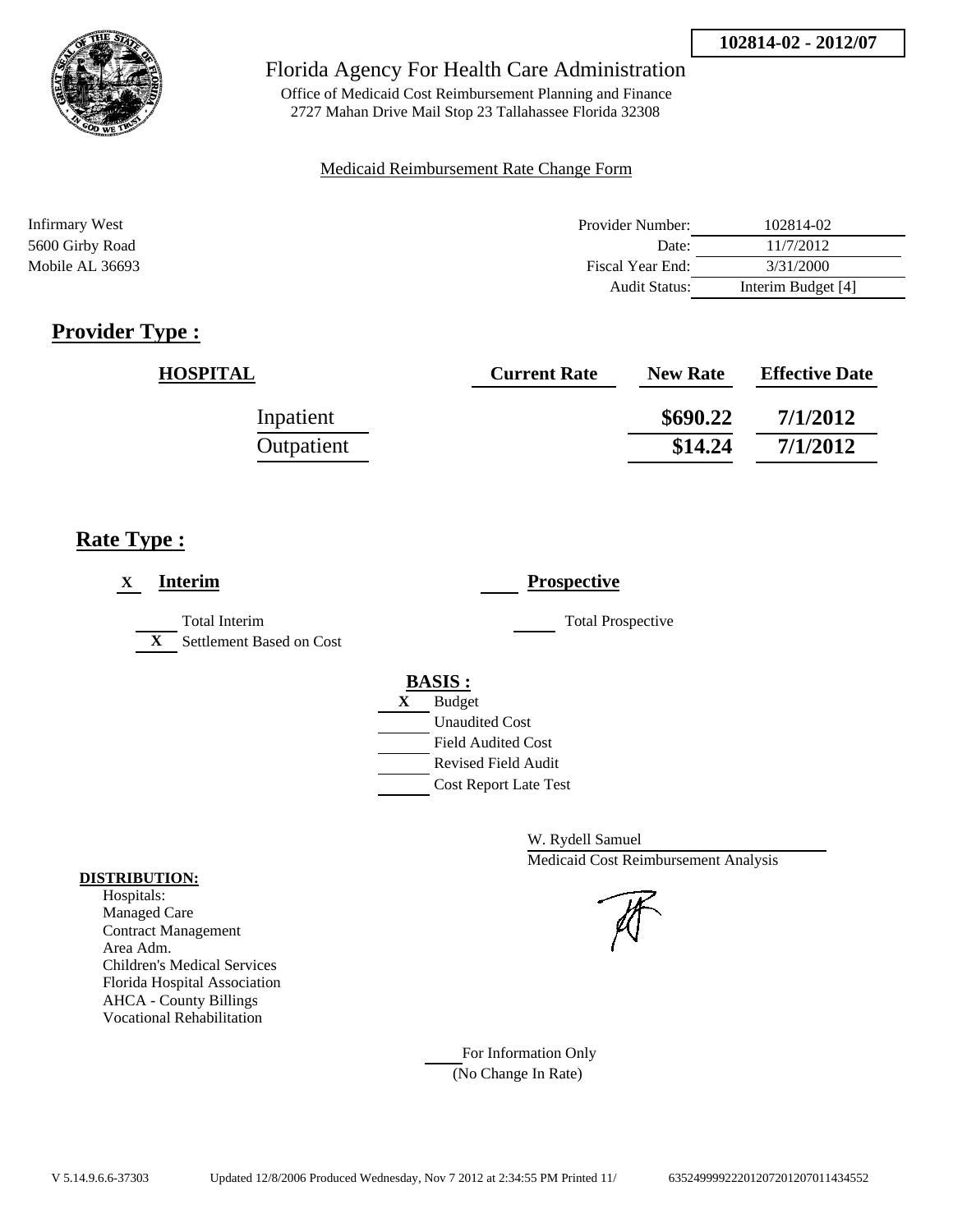

Office of Medicaid Cost Reimbursement Planning and Finance 2727 Mahan Drive Mail Stop 23 Tallahassee Florida 32308

#### Medicaid Reimbursement Rate Change Form

| Infirmary West  | Provider Number:     | 102814-02          |
|-----------------|----------------------|--------------------|
| 5600 Girby Road | Date:                | 11/7/2012          |
| Mobile AL 36693 | Fiscal Year End:     | 3/31/2000          |
|                 | <b>Audit Status:</b> | Interim Budget [4] |

## **Provider Type :**

| <b>HOSPITAL</b> | <b>Current Rate</b> | <b>New Rate</b> | <b>Effective Date</b> |
|-----------------|---------------------|-----------------|-----------------------|
| Inpatient       |                     | \$690.22        | 7/1/2012              |
| Outpatient      |                     | \$14.24         | 7/1/2012              |

## **Rate Type :**

| <b>Interim</b><br>X                                       | <b>Prospective</b>                                                                                                                                      |
|-----------------------------------------------------------|---------------------------------------------------------------------------------------------------------------------------------------------------------|
| Total Interim<br>Settlement Based on Cost<br>$\mathbf{X}$ | <b>Total Prospective</b>                                                                                                                                |
|                                                           | <b>BASIS:</b><br><b>Budget</b><br>X<br><b>Unaudited Cost</b><br><b>Field Audited Cost</b><br><b>Revised Field Audit</b><br><b>Cost Report Late Test</b> |

W. Rydell Samuel Medicaid Cost Reimbursement Analysis

For Information Only (No Change In Rate)

#### **DISTRIBUTION:**

Hospitals: Managed Care Contract Management Area Adm. Children's Medical Services Florida Hospital Association AHCA - County Billings Vocational Rehabilitation